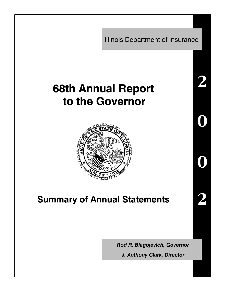**Illinois Department of Insurance** 

# **68th Annual Report** to the Governor



# **Summary of Annual Statements**

Rod R. Blagojevich, Governor J. Anthony Clark, Director

 $\boldsymbol{Z}$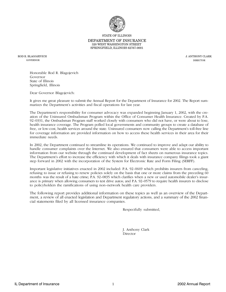

STATE OF ILLINOIS

#### DEPARTMENT OF INSURANCE 320 WEST WASHINGTON STREET SPRINGFIELD, ILLINOIS 62767-0001

**ROD R BLAGOJEVICH GOVERNOR** 

J ANTHONY CLARK **DIRECTOR** 

Honorable Rod R. Blagojevich Governor State of Illinois Springfield, Illinois

Dear Governor Blagojevich:

It gives me great pleasure to submit the Annual Report for the Department of Insurance for 2002. The Report summarizes the Department's activities and fiscal operations for last year.

The Department's responsibility for consumer advocacy was expanded beginning January 1, 2002, with the creation of the Uninsured Ombudsman Program within the Office of Consumer Health Insurance. Created by P.A. 92-0331, the Ombudsman Program staff worked closely with consumers who did not have, or were about to lose, health insurance coverage. The Program polled local governments and community groups to create a database of free, or low-cost, health services around the state. Uninsured consumers now calling the Department's toll-free line for coverage information are provided information on how to access these health services in their area for their immediate needs.

In 2002, the Department continued to streamline its operations. We continued to improve and adapt our ability to handle consumer complaints over the Internet. We also ensured that consumers were able to access important information from our website through the continued development of fact sheets on numerous insurance topics. The Department's effort to increase the efficiency with which it deals with insurance company filings took a giant step forward in 2002 with the incorporation of the System for Electronic Rate and Form Filing (SERFF).

Important legislative initiatives enacted in 2002 included: P.A. 92-0669 which prohibits insurers from canceling, refusing to issue or refusing to renew policies solely on the basis that one or more claims from the preceding 60 months was the result of a hate crime; P.A. 92-0835 which clarifies when a new or used automobile dealer's insurance is primary when allowing consumers to test drive autos; and P.A. 92-0579 to require health insurers to disclose to policyholders the ramifications of using non-network health care providers.

The following report provides additional information on these topics as well as an overview of the Department, a review of all enacted legislation and Department regulatory actions, and a summary of the 2002 financial statements filed by all licensed insurance companies.

Respectfully submitted,

J. Anthony Clark **Director**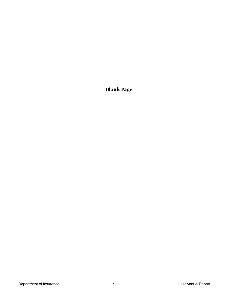**Blank Page**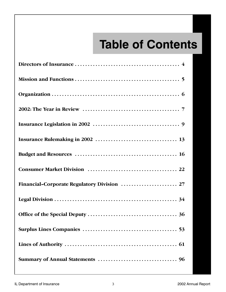# **Table of Contents**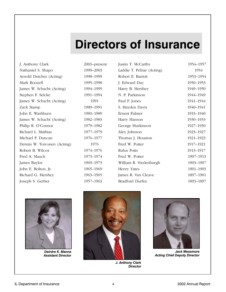# **Directors of Insurance**

J. Anthony Clark Nathaniel S. Shapo Arnold Dutcher (Acting) Mark Boozell James W. Schacht (Acting) Stephen F. Selcke James W. Schacht (Acting) Zack Stamp John E. Washburn James W. Schacht (Acting) Philip R. O'Connor Richard L. Mathias Michael P. Duncan Dennis W. Toivonen (Acting) Robert B. Wilcox Fred A. Mauck James Baylor John E. Bolton, Jr. Richard G. Hershey Joseph S. Gerber

| 2003-present |
|--------------|
| 1999-2003    |
| 1998-1999    |
| 1995-1998    |
| 1994-1995    |
| 1991–1994    |
| 1991         |
| 1989-1991    |
| 1983-1989    |
| 1982-1983    |
| 1979-1982    |
| 1977-1979    |
| 1976-1977    |
| 1976         |
| 1974–1976    |
| 1973-1974    |
| 1969-1973    |
| 1965-1969    |
| 1963-1965    |
| 1957-1963    |
|              |

| Justin T. McCarthy        | 1954–1957 |
|---------------------------|-----------|
| Laddie T. Pelnar (Acting) | 1954      |
| Robert E. Barrett         | 1953-1954 |
| J. Edward Day             | 1950–1953 |
| Harry B. Hershey          | 1949-1950 |
| N. P. Parkinson           | 1944-1949 |
| Paul F. Jones             | 1941-1944 |
| S. Hayden Davis           | 1940-1941 |
| Ernest Palmer             | 1933-1940 |
| Harry Hanson              | 1930–1933 |
| George Huskinson          | 1927-1930 |
| Alex Johnson              | 1923-1927 |
| Thomas J. Houston         | 1921-1923 |
| Fred W. Potter            | 1917-1921 |
| Rufus Potts               | 1913-1917 |
| Fred W. Potter            | 1907-1913 |
| William R. Vredenburgh    | 1903-1907 |
| Henry Yates               | 1901-1903 |
| James R. Van Cleave       | 1897-1901 |
| <b>Bradford Durfee</b>    | 1893-1897 |
|                           |           |



Deirdre K. Manna **Assistant Director** 



J. Anthony Clark Director



**Jack Messmore Acting Chief Deputy Director**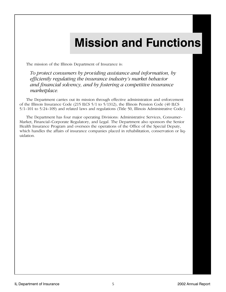# **Mission and Functions**

The mission of the Illinois Department of Insurance is:

To protect consumers by providing assistance and information, by efficiently regulating the insurance industry's market behavior and financial solvency, and by fostering a competitive insurance marketplace.

The Department carries out its mission through effective administration and enforcement of the Illinois Insurance Code (215 ILCS 5/1 to 5/1312), the Illinois Pension Code (40 ILCS  $5/1$ -101 to  $5/24$ -109) and related laws and regulations (Title 50, Illinois Administrative Code.)

The Department has four major operating Divisions: Administrative Services, Consumer-Market, Financial-Corporate Regulatory, and Legal. The Department also sponsors the Senior Health Insurance Program and oversees the operations of the Office of the Special Deputy, which handles the affairs of insurance companies placed in rehabilitation, conservation or liquidation.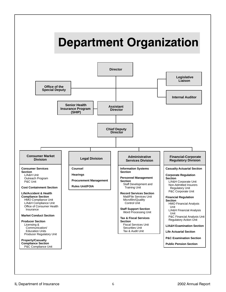# **Department Organization**

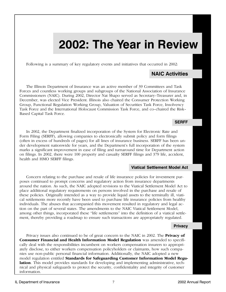# 2002: The Year in Review

Following is a summary of key regulatory events and initiatives that occurred in 2002.

## **NAIC Activities**

The Illinois Department of Insurance was an active member of 39 Committees and Task Forces and countless working groups and subgroups of the National Association of Insurance Commissioners (NAIC). During 2002, Director Nat Shapo served as Secretary-Treasurer and, in December, was elected Vice President. Illinois also chaired the Consumer Protection Working Group, Functional Regulation Working Group, Valuation of Securities Task Force, Insolvency Task Force and the International Holocaust Commission Task Force, and co-chaired the Risk-Based Capital Task Force.

In 2002, the Department finalized incorporation of the System for Electronic Rate and Form Filing (SERFF), allowing companies to electronically submit policy and form filings (often in excess of hundreds of pages) for all lines of insurance business. SERFF has been under development nationwide for years, and the Department's full incorporation of the system marks a significant improvement in ease of filing and turnaround time for Department action on filings. In 2002, there were 100 property and casualty SERFF filings and 379 life, accident, health and HMO SERFF filings.

### **Viatical Settlement Model Act**

Concern relating to the purchase and resale of life insurance policies for investment purposes continued to prompt concerns and regulatory action from insurance departments around the nation. As such, the NAIC adopted revisions to the Viatical Settlement Model Act to place additional regulatory requirements on persons involved in the purchase and resale of these policies. Originally intended as a way to provide liquid assets to the terminally ill, viatical settlements more recently have been used to purchase life insurance policies from healthy individuals. The abuses that accompanied this movement resulted in regulatory and legal action on the part of several states. The amendments to the NAIC Viatical Settlement Model, among other things, incorporated these "life settlements" into the definition of a viatical settlement, thereby providing a roadmap to ensure such transactions are appropriately regulated.

### **Privacy**

**SERFF** 

Privacy issues also continued to be of great concern to the NAIC in 2002. The **Privacy of Consumer Financial and Health Information Model Regulation** was amended to specifically deal with the responsibilities incumbent on workers compensation insurers to appropriately disclose, to either workers compensation policyholders or claimants, how such companies use non-public personal financial information. Additionally, the NAIC adopted a new model regulation entitled Standards for Safeguarding Customer Information Model Regu**lation**. This model provides standards for developing and implementing administrative, technical and physical safeguards to protect the security, confidentiality and integrity of customer information.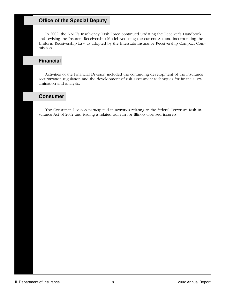# **Office of the Special Deputy**

In 2002, the NAIC's Insolvency Task Force continued updating the Receiver's Handbook and revising the Insurers Receivership Model Act using the current Act and incorporating the Uniform Receivership Law as adopted by the Interstate Insurance Receivership Compact Commission.

# **Financial**

Activities of the Financial Division included the continuing development of the insurance securitization regulation and the development of risk assessment techniques for financial examination and analysis.

### **Consumer**

The Consumer Division participated in activities relating to the federal Terrorism Risk Insurance Act of 2002 and issuing a related bulletin for Illinois-licensed insurers.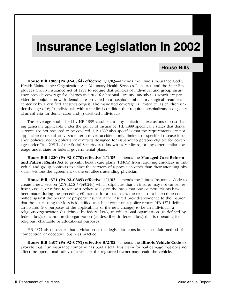# **Insurance Legislation in 2002**

## **House Bills**

House Bill 1889 (PA 92-0764) effective 1/1/03—amends the Illinois Insurance Code, Health Maintenance Organization Act, Voluntary Health Services Plans Act, and the State Employees Group Insurance Act of 1971 to require that policies of individual and group insurance provide coverage for charges incurred for hospital care and anesthetics which are provided in conjunction with dental care provided in a hospital, ambulatory surgical treatment center or by a certified anesthesiologist. The mandated coverage is limited to: 1) children under the age of  $6$ ; 2) individuals with a medical condition that requires hospitalization or general anesthesia for dental care; and 3) disabled individuals.

The coverage established by HB 1889 is subject to any limitations, exclusions or cost sharing generally applicable under the policy of insurance. HB 1889 specifically states that dental services are not required to be covered. HB 1889 also specifies that the requirements are not applicable to dental-only, short-term travel, accident-only, limited, or specified disease insurance policies, nor to policies or contracts designed for issuance to persons eligible for coverage under Title XVIII of the Social Security Act, known as Medicare, or any other similar coverage under state or federal governmental plans.

House Bill  $4220$  (PA  $92-0770$ ) effective  $1/1/03$ —amends the Managed Care Reform **and Patient Rights Act** to prohibit health care plans (HMOs) from requiring enrollees in individual and group contracts to utilize the services of a physician other than their attending physician without the agreement of the enrollee's attending physician.

**House Bill 4371 (PA 92-0669) effective**  $1/1/03$ —amends the Illinois Insurance Code to create a new section (215 ILCS 5/143.24c) which stipulates that an insurer may not cancel, refuse to issue, or refuse to renew a policy solely on the basis that one or more claims have been made during the preceding 60 months for a loss that is the result of a hate crime committed against the person or property insured if the insured provides evidence to the insurer that the act causing the loss is identified as a hate crime on a police report. HB 4371 defines an insured (for purposes of the applicability of the new change) to be an individual, a religious organization (as defined by federal law), an educational organization (as defined by federal law), or a nonprofit organization (as described in federal law) that is operating for religious, charitable or educational purposes.

HB 4371 also provides that a violation of this legislation constitutes an unfair method of competition or deceptive business practice.

House Bill 4407 (PA 92-0751) effective 8/2/02—amends the Illinois Vehicle Code to provide that if an insurance company has paid a total loss claim for hail damage that does not affect the operational safety of a vehicle, the registered owner may retain the vehicle.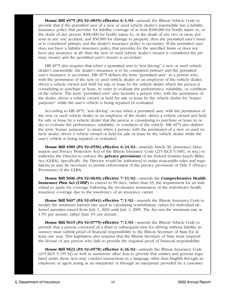**House Bill 4975 (PA 92-0835) effective**  $6/1/03$ —amends the Illinois Vehicle Code to provide that if the permitted user of a new or used vehicle dealer's automobile has a liability insurance policy that provides for liability coverage of at least \$100,000 for bodily injury to, or the death of any person, \$300,000 for bodily injury to, or the death of any two or more persons in any one accident, and \$50,000 for damage to property, then the permitted user's insurer is considered primary and the dealer's insurance policy is secondary. If the permitted user does not have a liability insurance policy that provides for the specified limits or does not have any insurance at all, then the new or used vehicle dealer's insurer is considered the primary insurer and the permitted user's insurer is secondary.

HB 4975 also requires that when a permitted user is "test driving" a new or used vehicle dealer's automobile, the dealer's insurance is to be considered primary and the permitted user's insurance is secondary. HB 4975 defines the term "permitted user" as a person who, with the permission of the new or used vehicle dealer or an employee of the vehicle dealer, drives a vehicle owned and held for sale or lease by the vehicle dealer which the person is considering to purchase or lease, in order to evaluate the performance, reliability, or condition of the vehicle. The term "permitted user" also includes a person who, with the permission of the dealer, drives a vehicle owned or held for sale or lease by the vehicle dealer for "loaner" purposes" while the user's vehicle is being repaired or evaluated.

According to HB 4975, "test driving" occurs when a permitted user, with the permission of the new or used vehicle dealer or an employee of the dealer, drives a vehicle owned and held for sale or lease by a vehicle dealer that the person is considering to purchase or lease in order to evaluate the performance, reliability, or condition of the vehicle. HB 4975 also defines the term "loaner purposes" to mean when a person, with the permission of a new or used vehicle dealer, drives a vehicle owned or held for sale or lease by the vehicle dealer while the user's vehicle is being repaired or evaluated.

House Bill 4989 (PA 92-0556) effective 6/24/02—amends Article XL (Insurance Information and Privacy Protection Act) of the Illinois Insurance Code (215 ILCS 5/1001, et seq.) to authorize the Director to enforce the **privacy provisions** of the federal Gramm-Leach-Bliley Act (GLBA). Specifically, the Director would be authorized to make reasonable rules and regulations as may be necessary to permit enforcement of the privacy provisions of Title V (Privacy Provisions) of the GLBA.

House Bill 5606 (PA  $92-0630$ ) effective  $7/11/02$ —amends the Comprehensive Health **Insurance Plan Act (CHIP)** to extend to 90 days, rather than 63, the requirement for an individual to apply for coverage following the involuntary termination of the individual's health insurance coverage due to the insolvency of an insurance carrier.

**House Bill 5607 (PA 92-0541) effective**  $7/1/02$ —amends the Illinois Insurance Code to modify the minimum interest rate used in calculating nonforfeiture values for individual deferred annuities issued from July 1, 2002 until July 1, 2005. The Act sets the minimum rate at 1.5% per annum, rather than 3% per annum.

**House Bill 5615 (PA 92-0775) effective**  $7/1/03$ —amends the Illinois Vehicle Code to provide that a person convicted of a third or subsequent time for driving without liability insurance must submit proof of financial responsibility to the Illinois Secretary of State for at least one year. This legislation also requires that the Illinois Secretary of State must suspend the license of any person who fails to provide the required proof of financial responsibility.

House Bill 5822 (PA 92-0578) effective 6/26/02—amends the Illinois Insurance Code  $(215$  ILCS  $5/155.32$ ) as well as numerous other Acts to provide that entities and persons regulated under those Acts may conduct transactions in a language other than English through an employee or agent acting as an interpreter or through an interpreter provided by a customer.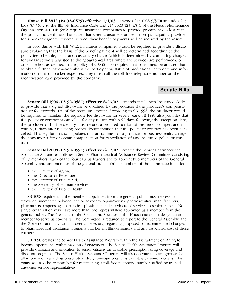**House Bill 5842 (PA 92-0579) effective 1/1/03**—amends 215 ILCS 5/370i and adds 215 ILCS 5/356z.2 to the Illinois Insurance Code and 215 ILCS 125/4.5-1 of the Health Maintenance Organization Act. HB 5842 requires insurance companies to provide prominent disclosure in the policy and certificate that states that when consumers utilize a non-participating provider for a non-emergency covered service, their benefit payments will be reduced by the insurer.

In accordance with HB 5842, insurance companies would be required to provide a disclosure explaining that the basis of the benefit payment will be determined according to the policy fee schedule, usual and customary charge (which is determined by comparing charges for similar services adjusted to the geographical area where the services are performed), or other method as defined in the policy. HB 5842 also requires that consumers be advised that to obtain further information about the participating status of professional providers and information on out-of-pocket expenses, they must call the toll-free telephone number on their identification card provided by the company.

## **Senate Bills**

**Senate Bill 1996 (PA 92-0587) effective 6/26/02—amends the Illinois Insurance Code** to provide that a signed disclosure be obtained by the producer if the producer's compensation or fee exceeds 10% of the premium amount. According to SB 1996, the producer would be required to maintain the requisite fee disclosure for seven years. SB 1996 also provides that if a policy or contract is cancelled for any reason within 90 days following the inception date, the producer or business entity must refund a prorated portion of the fee or compensation within 30 days after receiving proper documentation that the policy or contract has been cancelled. This legislation also stipulates that at no time can a producer or business entity charge the consumer a fee or obtain compensation for cancellation of any insurance policy or contract.

Senate Bill 2098 (PA 92-0594) effective 6/27/02—creates the Senior Pharmaceutical Assistance Act and establishes a Senior Pharmaceutical Assistance Review Committee consisting of 17 members. Each of the four caucus leaders are to appoint two members of the General Assembly and one member of the general public. Other members of the committee include:

- the Director of Aging:
- the Director of Revenue;
- the Director of Public Aid:
- the Secretary of Human Services;
- the Director of Public Health.

SB 2098 requires that the members appointed from the general public must represent. statewide, membership-based, senior advocacy organizations; pharmaceutical manufacturers; pharmacists; dispensing pharmacies; physicians; and providers of services to senior citizens. No single organization may have more than one representative appointed as a member from the general public. The President of the Senate and Speaker of the House each must designate one member to serve as co-chairs. The Committee is required to report to the General Assembly and the Governor annually, or as it deems necessary, regarding proposed or recommended changes to pharmaceutical assistance programs that benefit Illinois seniors and any associated cost of those changes.

SB 2098 creates the Senior Health Assistance Program within the Department on Aging to become operational within 90 days of enactment. The Senior Health Assistance Program will provide outreach and education to senior citizens on available prescription drug coverage and discount programs. The Senior Health Assistance Program will also operate a clearinghouse for all information regarding prescription drug coverage programs available to senior citizens. This entity will also be responsible for maintaining a toll-free telephone number staffed by trained customer service representatives.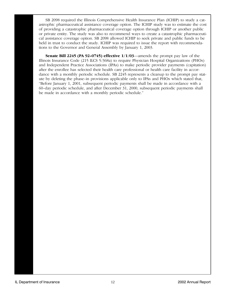SB 2098 required the Illinois Comprehensive Health Insurance Plan (ICHIP) to study a catastrophic pharmaceutical assistance coverage option. The ICHIP study was to estimate the cost of providing a catastrophic pharmaceutical coverage option through ICHIP or another public or private entity. The study was also to recommend ways to create a catastrophic pharmaceutical assistance coverage option. SB 2098 allowed ICHIP to seek private and public funds to be held in trust to conduct the study. ICHIP was required to issue the report with recommendations to the Governor and General Assembly by January 1, 2003.

Senate Bill 2245 (PA 92-0745) effective  $1/1/03$ —amends the prompt pay law of the Illinois Insurance Code (215 ILCS 5/368a) to require Physician Hospital Organizations (PHOs) and Independent Practice Associations (IPAs) to make periodic provider payments (capitation) after the enrollee has selected their health care professional or health care facility in accordance with a monthly periodic schedule. SB 2245 represents a cleanup to the prompt pay statute by deleting the phase-in provisions applicable only to IPAs and PHOs which stated that, "Before January 1, 2001, subsequent periodic payments shall be made in accordance with a 60-day periodic schedule, and after December 31, 2000, subsequent periodic payments shall be made in accordance with a monthly periodic schedule."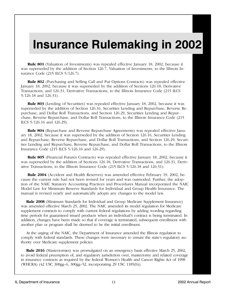# **Insurance Rulemaking in 2002**

**Rule 801** (Valuation of Investments) was repealed effective January 18, 2002, because it was superseded by the addition of Section 126.7, Valuation of Investments, to the Illinois Insurance Code (215 ILCS 5/126.7).

**Rule 802** (Purchasing and Selling Call and Put Options Contracts) was repealed effective January 18, 2002, because it was superseded by the addition of Sections 126.18, Derivative Transactions, and 126.31, Derivative Transactions, to the Illinois Insurance Code (215 ILCS)  $5/126.18$  and  $126.31$ ).

**Rule 803** (Lending of Securities) was repealed effective January 18, 2002, because it was superseded by the addition of Section 126.16, Securities Lending and Repurchase, Reverse Repurchase, and Dollar Roll Transactions, and Section 126.29, Securities Lending and Repurchase, Reverse Repurchase, and Dollar Roll Transactions, to the Illinois Insurance Code (215) ILCS 5/126.16 and 126.29).

**Rule 804** (Repurchase and Reverse Repurchase Agreements) was repealed effective January 18, 2002, because it was superseded by the addition of Section 126.16, Securities Lending and Repurchase, Reverse Repurchase, and Dollar Roll Transactions, and Section 126.29, Securities Lending and Repurchase, Reverse Repurchase, and Dollar Roll Transactions, to the Illinois Insurance Code (215 ILCS 5/126.16 and 126.29).

**Rule 805** (Financial Futures Contracts) was repealed effective January 18, 2002, because it was superseded by the addition of Sections 126.18, Derivative Transactions, and 126.31, Derivative Transactions, to the Illinois Insurance Code (215 ILCS 5/126.18 and 126.31).

**Rule 2004** (Accident and Health Reserves) was amended effective February 19, 2002, because the current rule had not been revised for years and was outmoded. Further, the adoption of the NAIC Statutory Accounting Practices and Procedures Manual incorporated the NAIC Model Law for Minimum Reserve Standards for Individual and Group Health Insurance. The manual is revised yearly and automatically adopts any changes to the model law.

**Rule 2008** (Minimum Standards for Individual and Group Medicare Supplement Insurance) was amended effective March 25, 2002. The NAIC amended its model regulation for Medicare supplement contracts to comply with current federal regulations by adding wording regarding time periods for guaranteed issued products when an individual's contract is being terminated. In addition, changes have been made so that if coverage is terminated, subsequent enrollment with another plan or program shall be deemed to be the initial enrollment.

At the urging of the NAIC, the Department of Insurance amended the Illinois regulation to comply with federal standards. These changes were necessary to ensure the state's regulatory authority over Medicare supplement policies.

**Rule 2016** (Mastectomies) was promulgated on an emergency basis effective March 25, 2002, to avoid federal preemption of, and regulatory jurisdiction over, mastectomy and related coverage in insurance contracts as required by the federal Women's Health and Cancer Rights Act of 1998 (WHCRA) (42 USC 300gg-6, 300gg-52, incorporating 29 USC 1185(b)).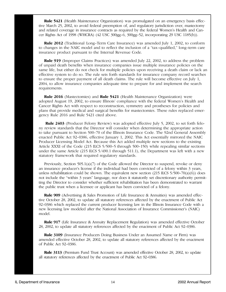**Rule 5421** (Health Maintenance Organization) was promulgated on an emergency basis effective March 25, 2002, to avoid federal preemption of, and regulatory jurisdiction over, mastectomy and related coverage in insurance contracts as required by the federal Women's Health and Cancer Rights Act of 1998 (WHCRA) (42 USC 300gg-6, 300gg-52, incorporating 29 USC 1185(b)).

**Rule 2012** (Traditional Long-Term Care Insurance) was amended July 1, 2002, to conform to changes in the NAIC model and to reflect the inclusion of a "tax-qualified," long-term care insurance product pursuant to the Internal Revenue Code.

Rule 919 (Improper Claims Practices) was amended July 22, 2002, to address the problem of unpaid death benefits when insurance companies issue multiple insurance policies on the same life, but either do not check for multiple policies upon receiving a death claim or lack an effective system to do so. The rule sets forth standards for insurance company record searches to ensure the proper payment of all death claims. The rule will become effective on July 1, 2004, to allow insurance companies adequate time to prepare for and implement the search requirements.

Rule 2016 (Mastectomies) and Rule 5421 (Health Maintenance Organization) were adopted August 19, 2002, to ensure Illinois' compliance with the federal Women's Health and Cancer Rights Act with respect to reconstruction, symmetry and prostheses for policies and plans that provide medical and surgical benefits for mastectomies. These rules replaced emergency Rule 2016 and Rule 5421 cited above.

**Rule 2403** (Producer Felony Review) was adopted effective July 5, 2002, to set forth felony review standards that the Director will consider when determining the appropriate action to take pursuant to Section 500-70 of the Illinois Insurance Code. The 92nd General Assembly enacted Public Act 92-0386, effective January 1, 2002. This Act essentially mirrored the NAIC Producer Licensing Model Act. Because this Act added multiple new sections to the existing Article XXXI of the Code (215 ILCS 5/500-5 through 500-150) while repealing similar sections under the same Article  $(215 \text{ ILCS } 5/490.1 \text{ through } 511.1)$ , the Department was left with a new statutory framework that required regulatory standards.

Previously, Section  $505.1(a)$  (7) of the Code allowed the Director to suspend, revoke or deny an insurance producer's license if the individual had been convicted of a felony within 3 years, unless rehabilitation could be shown. The equivalent new section  $(215 \text{ ILCS } 5/500 - 70(a)(6))$  does not include the "within 3 years" language, nor does it statutorily set discretionary authority permitting the Director to consider whether sufficient rehabilitation has been demonstrated to warrant the public trust when a licensee or applicant has been convicted of a felony.

**Rule 909** (Advertising & Sales Promotion of Life Insurance & Annuities) was amended effective October 28, 2002, to update all statutory references affected by the enactment of Public Act 92-0386 which replaced the current producer licensing law in the Illinois Insurance Code with a new licensing law modeled after the National Association of Insurance Commissioner's (NAIC) model.

**Rule 917** (Life Insurance & Annuity Replacement Regulation) was amended effective October 28, 2002, to update all statutory references affected by the enactment of Public Act 92-0386.

**Rule 3109** (Insurance Producers Doing Business Under an Assumed Name or Firm) was amended effective October 28, 2002, to update all statutory references affected by the enactment of Public Act 92-0386.

**Rule 3113** (Premium Fund Trust Account) was amended effective October 28, 2002, to update all statutory references affected by the enactment of Public Act 92-0386.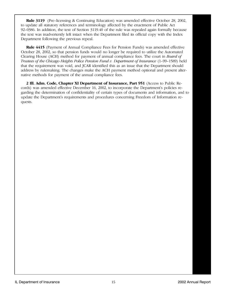**Rule 3119** (Pre-licensing & Continuing Education) was amended effective October 28, 2002, to update all statutory references and terminology affected by the enactment of Public Act 92-0386. In addition, the text of Section 3119.40 of the rule was repealed again formally because the text was inadvertently left intact when the Department filed its official copy with the Index Department following the previous repeal.

**Rule 4415** (Payment of Annual Compliance Fees for Pension Funds) was amended effective October 28, 2002, so that pension funds would no longer be required to utilize the Automated Clearing House (ACH) method for payment of annual compliance fees. The court in *Board of* Trustees of the Chicago Heights Police Pension Fund v. Department of Insurance (1-99-1589) held that the requirement was void, and JCAR identified this as an issue that the Department should address by rulemaking. The changes make the ACH payment method optional and present alternative methods for payment of the annual compliance fees.

2 Ill. Adm. Code, Chapter XI Department of Insurance, Part 951 (Access to Public Records) was amended effective December 16, 2002, to incorporate the Department's policies regarding the determination of confidentiality of certain types of documents and information, and to update the Department's requirements and procedures concerning Freedom of Information requests.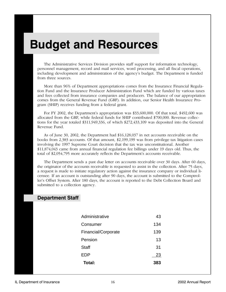# **Budget and Resources**

The Administrative Services Division provides staff support for information technology, personnel management, record and mail services, word processing, and all fiscal operations, including development and administration of the agency's budget. The Department is funded from three sources.

More than 96% of Department appropriations comes from the Insurance Financial Regulation Fund and the Insurance Producer Administration Fund which are funded by various taxes and fees collected from insurance companies and producers. The balance of our appropriation comes from the General Revenue Fund (GRF). In addition, our Senior Health Insurance Program (SHIP) receives funding from a federal grant.

For FY 2002, the Department's appropriation was  $$33,600,000$ . Of that total,  $$492,600$  was allocated from the GRF, while federal funds for SHIP contributed \$700,000. Revenue collections for the year totaled  $$311,949,336$ , of which  $$272,433,109$  was deposited into the General Revenue Fund.

As of June 30, 2002, the Department had \$16,128,037 in net accounts receivable on the books from 2,383 accounts. Of that amount, \$2,199,199 was from privilege tax litigation cases involving the 1997 Supreme Court decision that the tax was unconstitutional. Another  $$11,874,043$  came from annual financial regulation fee billings under 19 days old. Thus, the total of \$2,054,795 more accurately reflects the Department's accounts receivable.

The Department sends a past due letter on accounts receivable over 30 days. After 60 days, the originator of the accounts receivable is requested to assist in the collection. After 75 days, a request is made to initiate regulatory action against the insurance company or individual licensee. If an account is outstanding after 90 days, the account is submitted to the Comptroller's Offset System. After 180 days, the account is reported to the Debt Collection Board and submitted to a collection agency.

### **Department Staff**

| Total:              | 383 |
|---------------------|-----|
| EDP                 | 23  |
| Staff               | 31  |
| Pension             | 13  |
| Financial/Corporate | 139 |
| Consumer            | 134 |
| Administrative      | 43  |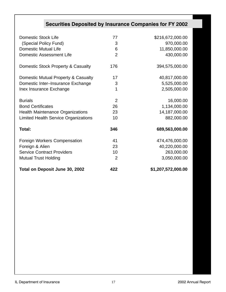# **Securities Deposited by Insurance Companies for FY 2002**

| Domestic Stock Life                         | 77             | \$216,672,000.00   |
|---------------------------------------------|----------------|--------------------|
| (Special Policy Fund)                       | 3              | 970,000.00         |
| <b>Domestic Mutual Life</b>                 | 6              | 11,850,000.00      |
| <b>Domestic Assessment Life</b>             | $\overline{2}$ | 430,000.00         |
| Domestic Stock Property & Casualty          | 176            | 394,575,000.00     |
| Domestic Mutual Property & Casualty         | 17             | 40,817,000.00      |
| Domestic Inter-Insurance Exchange           | 3              | 5,525,000.00       |
| Inex Insurance Exchange                     | 1              | 2,505,000.00       |
| <b>Burials</b>                              | 2              | 16,000.00          |
| <b>Bond Certificates</b>                    | 26             | 1,134,000.00       |
| <b>Health Maintenance Organizations</b>     | 23             | 14,187,000.00      |
| <b>Limited Health Service Organizations</b> | 10             | 882,000.00         |
| Total:                                      | 346            | 689,563,000.00     |
| <b>Foreign Workers Compensation</b>         | 41             | 474,476,000.00     |
| Foreign & Alien                             | 23             | 40,220,000.00      |
| <b>Service Contract Providers</b>           | 10             | 263,000.00         |
| <b>Mutual Trust Holding</b>                 | 2              | 3,050,000.00       |
| Total on Deposit June 30, 2002              | 422            | \$1,207,572,000.00 |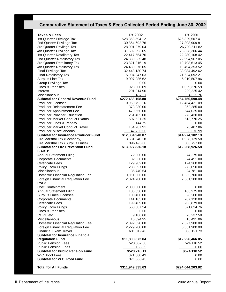### Comparative Statement of Taxes & Fees Collected Period Ending June 30, 2002

| <b>Taxes &amp; Fees</b>                     | FY 2002          | FY 2001           |
|---------------------------------------------|------------------|-------------------|
| 1st Quarter Privilege Tax                   | \$28,358,594.12  | \$26,329,507.41   |
| 2nd Quarter Privilege Tax                   | 30,854,692.76    | 27,398,909.81     |
| 3rd Quarter Privilege Tax                   | 28,001,279.04    | 26,703,511.82     |
| 4th Quarter Privilege Tax                   | 31,502,293.65    | 26,828,306.44     |
| 1st Quarter Retaliatory Tax                 | 22,417,554.76    | 22,280,108.42     |
| 2nd Quarter Retaliatory Tax                 | 24,330,835.48    | 22,994,967.05     |
| 3rd Quarter Retaliatory Tax                 | 23,821,316.19    | 19,798,613.45     |
| 4th Quarter Retaliatory Tax                 | 24,480,976.05    | 19,494,353.52     |
| Final Privilege Tax                         | 32,448,130.74    | 33,084,492.62     |
| <b>Final Retaliatory Tax</b>                | 15,994,247.03    | 21,624,092.21     |
| Surplus Line Tax                            | 9,007,286.62     | 6,910,507.96      |
| Group Privilege Tax                         | 0.00             | 0.00              |
| <b>Fines &amp; Penalties</b>                | 923,500.09       | 1,069,376.59      |
| Interest                                    | 291,914.90       | 229,225.42        |
| Miscellaneous                               | 487.37           | 4,625.76          |
| <b>Subtotal for General Revenue Fund</b>    | \$272,433,108.80 | \$254,750,598.48  |
| <b>Producer Licenses</b>                    | 10,960,792.16    | 12,464,421.09     |
| <b>Producer Reinstatement Fee</b>           | 373,930.00       | 362,285.00        |
| Producer Appointment Fee                    | 479,650.00       | 544,025.00        |
| <b>Producer Provider Education</b>          | 261,405.00       | 273,430.00        |
| <b>Producer Market Conduct Exams</b>        | 607,521.25       | 513,776.25        |
| <b>Producer Fines &amp; Penalty</b>         | 144.75           | 0.00              |
| <b>Producer Market Conduct Travel</b>       | 154,287.91       | 76,487.86         |
| Producer Miscellaneous                      | 47,209.00        | 39,676.99         |
| <b>Subtotal for Insurance Producer Fund</b> | \$12,884,940.07  | \$14,274,102.19   |
| Fire Marshal Tax (Company)                  | 13,531,340.18    | 11,968,129.58     |
| Fire Marshal Tax (Surplus Lines)            | 396,496.00       | 300,797.00        |
| <b>Subtotal for Fire Prevention Fund</b>    | \$13,927,836.18  | \$12,268,926.58   |
| $L/A&H$ :                                   |                  |                   |
| <b>Annual Statement Filing</b>              | 72,000.00        | 74,275.00         |
| <b>Corporate Documents</b>                  | 82,830.00        | 74,451.00         |
| <b>Certificate Fees</b>                     | 129,902.00       | 124,260.00        |
| Policy Form Filings                         | 288,397.00       | 272,050.00        |
| Miscellaneous                               | 35,740.54        | 24,781.00         |
| Domestic Financial Regulation Fee           | 1,111,900.00     | 1,555,700.00      |
| Foreign Financial Regulation Fee            | 2,024,700.00     | 2,581,200.00      |
| <b>P&amp;C:</b>                             |                  |                   |
| <b>Cost Containment</b>                     | 2,000,000.00     | 0.00              |
| <b>Annual Statement Filing</b>              | 105,850.00       | 106,275.00        |
| <b>Surplus Lines Licenses</b>               | 100,400.00       | 98,200.00         |
| <b>Corporate Documents</b>                  | 141,165.00       | 207,120.00        |
| <b>Certificate Fees</b>                     | 199,469.00       | 203,879.00        |
| Policy Form Filings                         | 568,887.24       | 571,624.76        |
| <b>Fines &amp; Penalties</b>                | 0.00             | 0.00              |
| RCPT, etc.                                  | 9,188.88         | 76,237.50         |
| Miscellaneous                               | 15,694.95        | 16,491.06         |
| Domestic Financial Regulation Fee           | 2,092,028.00     | 2,527,900.00      |
| Foreign Financial Regulation Fee            | 2,229,200.00     | 3,361,900.00      |
| <b>Financial Exam Travel</b>                | 601,019.43       | <u>350,121.73</u> |
| <b>Subtotal for Insurance Financial</b>     |                  |                   |
| <b>Regulation Fund</b>                      | \$11,808,372.04  | \$12,226,466.05   |
| <b>Public Pension Fees</b>                  | 523,062.56       | 524,110.52        |
| <b>Public Pension Fines</b>                 | <u>155.55</u>    | 0.00              |
| <b>Subtotal for Public Pension Fund</b>     | \$523,218.11     | \$524,110.52      |
| W.C. Pool Fees                              | 371,860.43       | 0.00              |
| <b>Subtotal for W.C. Pool Fund</b>          | 371,860.43       | 0.00              |
| <b>Total for All Funds</b>                  | \$311,949,335.63 | \$294,044,203.82  |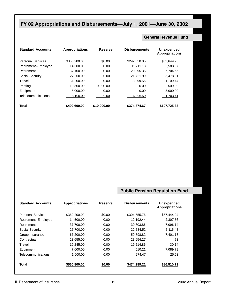# FY 02 Appropriations and Disbursements-July 1, 2001-June 30, 2002

| <b>Standard Accounts:</b> | <b>Appropriations</b> | <b>Reserve</b> | <b>Disbursements</b> | Unexpended<br><b>Appropriations</b> |
|---------------------------|-----------------------|----------------|----------------------|-------------------------------------|
| <b>Personal Services</b>  | \$356,200,00          | \$0.00         | \$292,550.05         | \$63,649.95                         |
| Retirement-Employee       | 14,300.00             | 0.00           | 11.711.13            | 2,588.87                            |
| Retirement                | 37.100.00             | 0.00           | 29.395.35            | 7.704.65                            |
| Social Security           | 27,200.00             | 0.00           | 21.721.99            | 5.478.01                            |
| Travel                    | 34,200.00             | 0.00           | 13,099.56            | 21,100.44                           |
| Printing                  | 10.500.00             | 10.000.00      | 0.00                 | 500.00                              |
| Equipment                 | 5,000.00              | 0.00           | 0.00                 | 5.000.00                            |
| Telecommunications        | 8,100.00              | 0.00           | 6,396.59             | 1,703.41                            |
| <b>Total</b>              | \$492,600.00          | \$10,000.00    | \$374,874.67         | \$107.725.33                        |

## **General Revenue Fund**

# **Public Pension Regulation Fund**

| <b>Standard Accounts:</b> | <b>Appropriations</b> | <b>Reserve</b> | <b>Disbursements</b> | <b>Unexpended</b><br><b>Appropriations</b> |
|---------------------------|-----------------------|----------------|----------------------|--------------------------------------------|
| <b>Personal Services</b>  | \$362,200,00          | \$0.00         | \$304,755.76         | \$57,444.24                                |
| Retirement-Employee       | 14.500.00             | 0.00           | 12.192.44            | 2.307.56                                   |
| Retirement                | 37,700.00             | 0.00           | 30,603.86            | 7,096.14                                   |
| Social Security           | 27.700.00             | 0.00           | 22.584.52            | 5.115.48                                   |
| Group Insurance           | 67.200.00             | 0.00           | 59.798.82            | 7.401.18                                   |
| Contractual               | 23.655.00             | 0.00           | 23.654.27            | .73                                        |
| Travel                    | 19,245.00             | 0.00           | 19,214.86            | 30.14                                      |
| Equipment                 | 7.600.00              | 0.00           | 510.21               | 7.089.79                                   |
| Telecommunications        | 1,000.00              | 0.00           | 974.47               | 25.53                                      |
| Total                     | \$560,800.00          | <u>\$0.00</u>  | \$474.289.21         | \$86,510.79                                |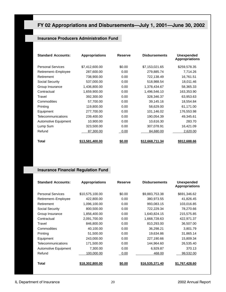# FY 02 Appropriations and Disbursements-July 1, 2001-June 30, 2002

### **Insurance Producers Administration Fund**

| <b>Standard Accounts:</b> | <b>Appropriations</b> | <b>Reserve</b> | <b>Disbursements</b>   | <b>Unexpended</b><br><b>Appropriations</b> |
|---------------------------|-----------------------|----------------|------------------------|--------------------------------------------|
| <b>Personal Services</b>  | \$7,412,600.00        | \$0.00         | \$7,153,021.65         | \$259,578.35                               |
| Retirement-Employee       | 287,600.00            | 0.00           | 279,885.74             | 7,714.26                                   |
| Retirement                | 738,900.00            | 0.00           | 722,138.49             | 16,761.51                                  |
| Social Security           | 537,000.00            | 0.00           | 518,988.54             | 18,011.46                                  |
| Group Insurance           | 1,436,800.00          | 0.00           | 1,378,434.67           | 58,365.33                                  |
| Contractual               | 1,659,900.00          | 0.00           | 1,496,546.10           | 163,353.90                                 |
| Travel                    | 392,300.00            | 0.00           | 328,346.37             | 63,953.63                                  |
| Commodities               | 57,700.00             | 0.00           | 39,145.16              | 18,554.84                                  |
| Printing                  | 119,800.00            | 0.00           | 58,629.00              | 61,171.00                                  |
| Equipment                 | 277,700.00            | 0.00           | 101.146.02             | 176,553.98                                 |
| Telecommunications        | 239,400.00            | 0.00           | 190,054.39             | 49,345.61                                  |
| Automotive Equipment      | 10,900.00             | 0.00           | 10,616.30              | 283.70                                     |
| Lump Sum                  | 323,500.00            | 0.00           | 307,078.91             | 16,421.09                                  |
| Refund                    | 87,300.00             | 0.00           | 84,680.00              | 2,620.00                                   |
| Total                     | \$13,581,400.00       | <u>\$0.00</u>  | <u>\$12,668,711.34</u> | <u>\$912,688.66</u>                        |

### **Insurance Financial Regulation Fund**

| <b>Standard Accounts:</b> | <b>Appropriations</b> | <b>Reserve</b> | <b>Disbursements</b> | <b>Unexpended</b><br><b>Appropriations</b> |
|---------------------------|-----------------------|----------------|----------------------|--------------------------------------------|
| <b>Personal Services</b>  | \$10,575,100.00       | \$0.00         | \$9,883,753.38       | \$691,346.62                               |
| Retirement-Employee       | 422,800.00            | 0.00           | 380,973.55           | 41,826.45                                  |
| Retirement                | 1,096,100.00          | 0.00           | 993,083.15           | 103,016.85                                 |
| Social Security           | 800,500.00            | 0.00           | 722,229.34           | 78,270.66                                  |
| Group Insurance           | 1,856,400.00          | 0.00           | 1,640,824.15         | 215,575.85                                 |
| Contractual               | 2,091,700.00          | 0.00           | 1,668,728.63         | 422,971.37                                 |
| Travel                    | 846,800.00            | 0.00           | 810,293.00           | 36,507.00                                  |
| Commodities               | 40,100.00             | 0.00           | 36,298.21            | 3,801.79                                   |
| Printing                  | 51,500.00             | 0.00           | 19,634.86            | 31,865.14                                  |
| Equipment                 | 243,000.00            | 0.00           | 227,190.66           | 15,809.34                                  |
| Telecommunications        | 171,500.00            | 0.00           | 144,964.60           | 26,535.40                                  |
| Automotive Equipment      | 7,300.00              | 0.00           | 6,929.87             | 370.13                                     |
| Refund                    | 100,000.00            | 0.00           | 468.00               | 99,532.00                                  |
| <b>Total</b>              | \$18,302,800.00       | <u>\$0.00</u>  | \$16,535,371.40      | \$1,767,428.60                             |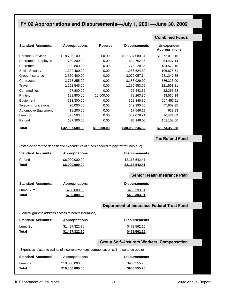# FY 02 Appropriations and Disbursements-July 1, 2001-June 30, 2002

| <b>Unexpended</b><br><b>Appropriations</b>        |
|---------------------------------------------------|
| \$1,072,019.16                                    |
| 54,437.14                                         |
| 134,579.15                                        |
| 106,875.61                                        |
| 281,342.36                                        |
| 586,326.00                                        |
| 121,591.21                                        |
| 22,356.63                                         |
| 93,536.14                                         |
| 204,453.11                                        |
| 77,609.95                                         |
| 653.83                                            |
| 16,421.09                                         |
| 102,152.00                                        |
| \$2,874,353.38                                    |
| <b>Tax Refund Fund</b>                            |
|                                                   |
|                                                   |
|                                                   |
|                                                   |
|                                                   |
| <b>Senior Health Insurance Plan</b>               |
|                                                   |
|                                                   |
|                                                   |
|                                                   |
|                                                   |
| <b>Department of Insurance Federal Trust Fund</b> |
|                                                   |
|                                                   |
|                                                   |
|                                                   |
| <b>Group Self-Insurers Workers' Compensation</b>  |
|                                                   |
|                                                   |
|                                                   |
|                                                   |

## **Combined Funds**

IL Department of Insurance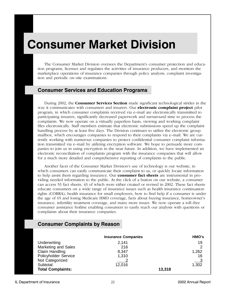# **Consumer Market Division**

The Consumer Market Division oversees the Department's consumer protection and education programs, licenses and regulates the activities of insurance producers, and monitors the marketplace operations of insurance companies through policy analysis, complaint investigation and periodic on-site examinations.

# **Consumer Services and Education Programs**

During 2002, the **Consumer Services Section** made significant technological strides in the way it communicates with consumers and insurers. Our **electronic complaint project** pilot program, in which consumer complaints received via e-mail are electronically transmitted to participating insurers, significantly decreased paperwork and turnaround time to process the complaints. We now operate on a virtually paperless basis, viewing and working complaint files electronically. Staff members estimate that electronic submissions speed up the complaint handling process by at least five days. The Division continues to utilize the electronic group mailbox, which encourages companies to respond to their complaints via e-mail. We are currently working with numerous companies to protect confidential consumer complaint information transmitted via e-mail by utilizing encryption software. We hope to persuade more companies to join us in using encryption in the near future. In addition, we have implemented an electronic reconciliation of complaints program with the insurance companies that will allow for a much more detailed and comprehensive reporting of complaints to the public.

Another facet of the Consumer Market Division's use of technology is our website, in which consumers can easily communicate their complaint to us, or quickly locate information to help assist them regarding insurance. Our **consumer fact sheets** are instrumental in providing needed information to the public. At the click of a button on our website, a consumer can access 53 fact sheets, 43 of which were either created or revised in 2002. These fact sheets educate consumers on a wide range of insurance issues such as health insurance continuation rights (COBRA), health insurance for small employers, how to find help if a consumer is under the age of 65 and losing Medicare HMO coverage, facts about buying insurance, homeowner's insurance, infertility treatment coverage, and many more issues. We now operate a toll-free consumer assistance hotline enabling consumers to easily reach our analysts with questions or complaints about their insurance companies.

| <b>Insurance Companies</b> | HMO's             |
|----------------------------|-------------------|
| 2,141                      | 19                |
| 216                        | 2                 |
| 8,347                      | 1,262             |
| 1,310                      | 16                |
|                            |                   |
| 12,016                     | $\frac{3}{1,302}$ |
|                            | 13,318            |
|                            |                   |

# **Consumer Complaints by Reason**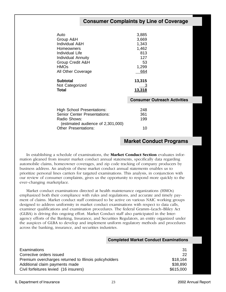# **Consumer Complaints by Line of Coverage**

| Auto                      | 3,885         |
|---------------------------|---------------|
| Group A&H                 | 3,669         |
| Individual A&H            | 1,343         |
| Homeowners                | 1,462         |
| Individual Life           | 813           |
| <b>Individual Annuity</b> | 127           |
| Group Credit A&H          | 53            |
| <b>HMOs</b>               | 1,299         |
| All Other Coverage        | 664           |
| <b>Subtotal</b>           | 13,315        |
| Not Categorized           | <u>3</u>      |
| Total                     | <u>13,318</u> |
|                           |               |

|                                                   | <b>Consumer Outreach Activities</b> |
|---------------------------------------------------|-------------------------------------|
| <b>High School Presentations:</b>                 | 248                                 |
| <b>Senior Center Presentations:</b>               | 361                                 |
| Radio Shows:<br>(estimated audience of 2,301,000) | 199                                 |
| <b>Other Presentations:</b>                       | 10                                  |

## **Market Conduct Programs**

In establishing a schedule of examinations, the **Market Conduct Section** evaluates information gleaned from insurer market conduct annual statements, specifically data regarding automobile claims, homeowner coverages, and zip code tracking of company producers by business address. An analysis of these market conduct annual statements enables us to prioritize personal lines carriers for targeted examinations. This analysis, in conjunction with our review of consumer complaints, gives us the opportunity to respond more quickly to the ever-changing marketplace.

Market conduct examinations directed at health maintenance organizations (HMOs) emphasized both their compliance with rules and regulations, and accurate and timely payment of claims. Market conduct staff continued to be active on various NAIC working groups designed to address uniformity in market conduct examinations with respect to data calls, examiner qualifications and examination procedures. The federal Gramm-Leach-Bliley Act (GLBA) is driving this ongoing effort. Market Conduct staff also participated in the Interagency efforts of the Banking, Insurance, and Securities Regulators, an entity organized under the auspices of GLBA to develop and implement uniform regulatory methods and procedures across the banking, insurance, and securities industries.

|                                                        | <b>Completed Market Conduct Examinations</b> |
|--------------------------------------------------------|----------------------------------------------|
| Examinations                                           | -31                                          |
| Corrective orders issued                               | 22                                           |
| Premium overcharges returned to Illinois policyholders | \$18,164                                     |
| Additional claim payments made                         | \$38,890                                     |
| Civil forfeitures levied (16 insurers)                 | \$615,000                                    |
|                                                        |                                              |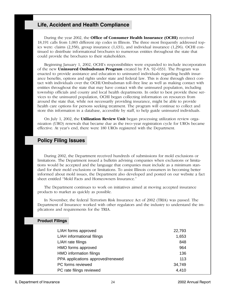# Life, Accident and Health Compliance

During the year 2002, the **Office of Consumer Health Insurance (OCHI)** received 18,191 calls from 1,083 different zip codes in Illinois. The three most frequently addressed topics were: claims  $(2,358)$ , group insurance  $(1,631)$ , and individual insurance  $(1,296)$ . OCHI continued to distribute informational brochures to numerous entities throughout the state that could provide the brochures to their stakeholders.

Beginning January 1, 2002, OCHI's responsibilities were expanded to include incorporation of the new **Uninsured Ombudsman Program** created by P.A. 92-0331. The Program was enacted to provide assistance and education to uninsured individuals regarding health insurance benefits, options and rights under state and federal law. This is done through direct contact with individuals over the OCHI/Ombudsman toll-free line as well as making contact with entities throughout the state that may have contact with the uninsured population, including township officials and county and local health departments. In order to best provide these services to the uninsured population, OCHI began collecting information on resources from around the state that, while not necessarily providing insurance, might be able to provide health care options for persons seeking treatment. The program will continue to collect and store this information in a database, accessible by staff, to help guide uninsured individuals.

On July 1, 2002, the Utilization Review Unit began processing utilization review organization (URO) renewals that became due as the two-year registration cycle for UROs became effective. At year's end, there were 180 UROs registered with the Department.

# **Policy Filing Issues**

During 2002, the Department received hundreds of submissions for mold exclusions or limitations. The Department issued a bulletin advising companies when exclusions or limitations would be accepted and the language that companies must include as a minimum standard for their mold exclusions or limitations. To assist Illinois consumers in becoming better informed about mold issues, the Department also developed and posted on our website a fact sheet entitled "Mold Facts and Homeowners Insurance."

The Department continues to work on initiatives aimed at moving accepted insurance products to market as quickly as possible.

In November, the federal Terrorism Risk Insurance Act of 2002 (TRIA) was passed. The Department of Insurance worked with other regulators and the industry to understand the implications and requirements for the TRIA.

### **Product Filings**

| L/AH forms approved               | 22,793 |
|-----------------------------------|--------|
| L/AH informational filings        | 1,653  |
| L/AH rate filings                 | 848    |
| HMO forms approved                | 964    |
| HMO information filings           | 136    |
| PPA applications approved/renewed | 113    |
| PC forms reviewed                 | 34,749 |
| PC rate filings reviewed          | 4,410  |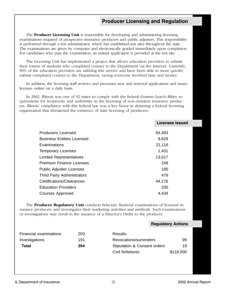# **Producer Licensing and Regulation**

The Producer Licensing Unit is responsible for developing and administering licensing examinations required of prospective insurance producers and public adjusters. This responsibility is performed through a test administrator, which has established test sites throughout the state. The examinations are given by computer and electronically graded immediately upon completion. For candidates who pass the examination, an instant application is provided at the test site.

The Licensing Unit has implemented a project that allows education providers to submit their rosters of students who completed courses to the Department via the Internet. Currently, 90% of the education providers are utilizing this service and have been able to more quickly submit completed courses to the Department, saving everyone involved time and money.

In addition, the licensing staff reviews and processes new and renewal applications and issues licenses online on a daily basis.

In 2002, Illinois was one of 32 states to comply with the federal Gramm-Leach-Bliley requirements for reciprocity and uniformity in the licensing of non-resident insurance producers. Illinois' compliance with this federal law was a key factor in deterring a federal licensing organization that threatened the existence of state licensing of producers.

|                                   | <b>Licenses Issued</b> |
|-----------------------------------|------------------------|
| <b>Producers Licensed</b>         | 64,493                 |
| <b>Business Entities Licensed</b> | 9,629                  |
| Examinations                      | 21,116                 |
| <b>Temporary Licenses</b>         | 1,431                  |
| <b>Limited Representatives</b>    | 13,017                 |
| <b>Premium Finance Licenses</b>   | 248                    |
| <b>Public Adjuster Licenses</b>   | 185                    |
| <b>Third Party Administrators</b> | 479                    |
| Certifications/Clearances         | 44,176                 |
| <b>Education Providers</b>        | 335                    |
| <b>Courses Approved</b>           | 4,434                  |

The Producer Regulatory Unit conducts fiduciary financial examinations of licensed insurance producers and investigates their marketing activities and methods. Such examinations or investigations may result in the issuance of a Director's Order to the producer.

#### **Regulatory Actions**

| Financial examinations | 203 | Results:                                |           |
|------------------------|-----|-----------------------------------------|-----------|
| Investigations         | 191 | Revocations/surrenders                  | 99        |
| Total                  | 394 | <b>Stipulation &amp; Consent orders</b> | 19        |
|                        |     | Civil forfeitures                       | \$118,000 |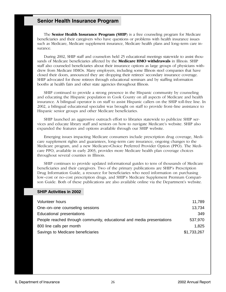# Senior Health Insurance Program

The **Senior Health Insurance Program (SHIP**) is a free counseling program for Medicare beneficiaries and their caregivers who have questions or problems with health insurance issues such as Medicare, Medicare supplement insurance, Medicare health plans and long-term care insurance.

During 2002, SHIP staff and counselors held 25 educational meetings statewide to assist thousands of Medicare beneficiaries affected by the Medicare HMO withdrawals in Illinois. SHIP staff also counseled beneficiaries about their insurance options as large groups of physicians withdrew from Medicare HMOs. Many employers, including some Illinois steel companies that have closed their doors, announced they are dropping their retirees' secondary insurance coverage. SHIP advocated for those retirees through educational seminars and by staffing information booths at health fairs and other state agencies throughout Illinois.

SHIP continued to provide a strong presence in the Hispanic community by counseling and educating the Hispanic population in Cook County on all aspects of Medicare and health insurance. A bilingual operator is on staff to assist Hispanic callers on the SHIP toll-free line. In 2002, a bilingual educational specialist was brought on staff to provide front-line assistance to Hispanic senior groups and other Medicare beneficiaries.

SHIP launched an aggressive outreach effort to libraries statewide to publicize SHIP services and educate library staff and seniors on how to navigate Medicare's website. SHIP also expanded the features and options available through our SHIP website.

Emerging issues impacting Medicare consumers include prescription drug coverage, Medicare supplement rights and guarantees, long-term care insurance, ongoing changes to the Medicare program, and a new Medicare+Choice Preferred Provider Option (PPO). The Medicare PPO, available in early 2003, provides more Medicare health plan coverage choices throughout several counties in Illinois.

SHIP continues to provide updated informational guides to tens of thousands of Medicare beneficiaries and their caregivers. Two of the primary publications are SHIP's Prescription Drug Information Guide, a resource for beneficiaries who need information on purchasing low-cost or no-cost prescription drugs, and SHIP's Medicare Supplement Premium Comparison Guide. Both of these publications are also available online via the Department's website.

#### SHIP Activities in 2002

| Volunteer hours                                                       | 11,789      |
|-----------------------------------------------------------------------|-------------|
| One-on-one counseling sessions                                        | 13,734      |
| Educational presentations                                             | 349         |
| People reached through community, educational and media presentations | 537,970     |
| 800 line calls per month                                              | 1,825       |
| Savings to Medicare beneficiaries                                     | \$1,733,267 |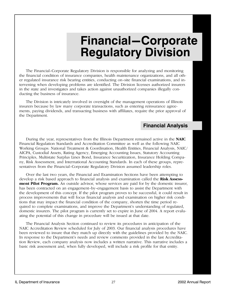# **Financial-Corporate Regulatory Division**

The Financial-Corporate Regulatory Division is responsible for analyzing and monitoring the financial condition of insurance companies, health maintenance organizations, and all other regulated insurance risk bearing entities, conducting on-site financial examinations, and intervening when developing problems are identified. The Division licenses authorized insurers in the state and investigates and takes action against unauthorized companies illegally conducting the business of insurance.

The Division is intricately involved in oversight of the management operations of Illinois insurers because by law many corporate transactions, such as entering reinsurance agreements, paying dividends, and transacting business with affiliates, require the prior approval of the Department.

### **Financial Analysis**

During the year, representatives from the Illinois Department remained active in the **NAIC** Financial Regulation Standards and Accreditation Committee as well as the following NAIC Working Groups: National Treatment & Coordination, Health Entities, Financial Analysis, NAIC/ AICPA, Custodial Assets, Rating Agency, Emerging Accounting Issues, Statutory Accounting Principles, Multistate Surplus Lines Bond, Insurance Securitization, Insurance Holding Company, Risk Assessment, and International Accounting Standards. In each of these groups, representatives from the Financial-Corporate Regulatory Division assumed leadership roles.

Over the last two years, the Financial and Examination Sections have been attempting to develop a risk based approach to financial analysis and examination called the Risk Assess**ment Pilot Program.** An outside advisor, whose services are paid for by the domestic insurer, has been contracted on an engagement-by-engagement basis to assist the Department with the development of this concept. If the pilot program proves to be successful, it could result in process improvements that will focus financial analysis and examination on higher risk conditions that may impact the financial condition of the company, shorten the time period required to complete examinations, and improve the Department's understanding of regulated, domestic insurers. The pilot program is currently set to expire in June of 2004. A report evaluating the potential of this change in procedure will be issued at that date.

The Financial Analysis Section continued to review its procedures in anticipation of the NAIC Accreditation Review scheduled for July of 2003. Our financial analysis procedures have been reviewed to insure that they match up directly with the guidelines provided by the NAIC. In response to the Department's needs and review comments provided in the last Accreditation Review, each company analysis now includes a written narrative. This narrative includes a basic risk assessment and, when fully developed, will include a risk profile for that entity.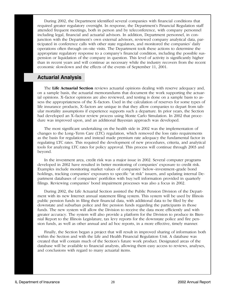During 2002, the Department identified several companies with financial conditions that required greater regulatory oversight. In response, the Department's Financial Regulation staff attended frequent meetings, both in person and by teleconference, with company personnel including legal, financial and actuarial advisors. In addition, Department personnel, in conjunction with the Department's own external advisors, reviewed company analytical data, participated in conference calls with other state regulators, and monitored the companies' daily operations often through on-site visits. The Department took these actions to determine the appropriate regulatory response to a company's financial condition, including the possible suspension or liquidation of the company in question. This level of activity is significantly higher than in recent years and will continue as necessary while the industry recovers from the recent economic slowdown and the effects of the events of September 11, 2001.

## **Actuarial Analysis**

The Life Actuarial Section reviews actuarial opinions dealing with reserve adequacy and, on a sample basis, the actuarial memorandums that document the work supporting the actuarial opinions. X-factor opinions are also reviewed, and testing is done on a sample basis to assess the appropriateness of the X-factors. Used in the calculation of reserves for some types of life insurance products, X-factors are unique in that they allow companies to depart from tabular mortality assumptions if experience supports such a departure. In prior years, the Section had developed an X-factor review process using Monte Carlo Simulation. In 2002 that procedure was improved upon, and an additional Bayesian approach was developed.

The most significant undertaking on the health side in 2002 was the implementation of changes to the Long-Term Care (LTC) regulation, which removed the loss ratio requirements as the basis for regulation and instead made premium rate adequacy the fundamental factor in regulating LTC rates. This required the development of new procedures, criteria, and analytical tools for analyzing LTC rates for policy approval. This process will continue through 2003 and bevond.

In the investment area, credit risk was a major issue in 2002. Several computer programs developed in 2002 have resulted in better monitoring of companies' exposure to credit risk. Examples include monitoring market values of companies' below-investment-grade bond holdings, tracking companies' exposures to specific "at risk" issuers, and updating internal Department databases of companies' portfolios with buy/sell information provided in quarterly filings. Reviewing companies' bond impairment processes was also a focus in 2002.

During 2002, the Life Actuarial Section assisted the Public Pension Division of the Department with its new Internet annual statement filing system. This system will be used by Illinois public pension funds in filing their financial data, with additional data to be filed by the downstate and suburban police and fire pension funds regarding the participants in those funds. The new system will allow the Division to receive the data more efficiently and with greater accuracy. The system will also provide a platform for the Division to produce its Biennial Report to the Illinois Legislature, tax levy reports for the downstate police and fire pension funds, as well as other annual and ad hoc reports, in a more effective, timely manner.

Finally, the Section began a project that will result in improved sharing of information both within the Section and with the Life and Health Financial Regulation Unit. A database was created that will contain much of the Section's future work product. Designated areas of the database will be available to financial analysts, allowing them easy access to reviews, analyses, and conclusions with regard to many actuarial items.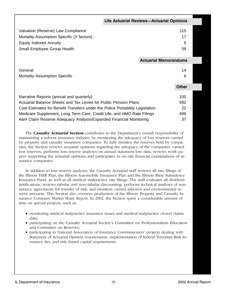|                                                                               | <b>Life Actuarial Reviews-Actuarial Opinions</b> |    |
|-------------------------------------------------------------------------------|--------------------------------------------------|----|
| Valuation (Reserve) Law Compliance                                            | 115                                              |    |
| Mortality Assumption Specific (X factors)                                     | 17                                               |    |
| <b>Equity Indexed Annuity</b>                                                 |                                                  | 5  |
| Small Employee Group Health                                                   | 59                                               |    |
|                                                                               |                                                  |    |
|                                                                               | <b>Actuarial Memorandums</b>                     |    |
| General                                                                       | 14                                               |    |
| <b>Mortality Assumption Specific</b>                                          |                                                  | 6  |
|                                                                               |                                                  |    |
|                                                                               | <b>Other</b>                                     |    |
| Narrative Reports (annual and quarterly)                                      | 100                                              |    |
| Actuarial Balance Sheets and Tax Levies for Public Pension Plans              | 592                                              |    |
| Cost Estimates for Benefit Transfers under the Police Portability Legislation |                                                  | 22 |
| Medicare Supplement, Long Term Care, Credit Life, and HMO Rate Filings        | 499                                              |    |
| A&H Claim Reserve Adequacy Analysis/Expanded Financial Monitoring             | 37                                               |    |

The **Casualty Actuarial Section** contributes to the Department's overall responsibility of maintaining a solvent insurance industry by monitoring the adequacy of loss reserves carried by property and casualty insurance companies. To fully monitor the reserves held by companies, the Section reviews actuarial opinions regarding the adequacy of the companies' carried loss reserves, performs loss reserve analyses on annual statement loss data, reviews work papers supporting the actuarial opinions and participates in on-site financial examinations of insurance companies.

In addition to loss reserve analyses, the Casualty Actuarial staff reviews all rate filings of the Illinois FAIR Plan, the Illinois Automobile Insurance Plan and the Illinois Mine Subsidence Insurance Fund, as well as all medical malpractice rate filings. The staff evaluates all dividend notifications; reviews tabular and non-tabular discounting; performs technical analyses of reinsurance agreements for transfer of risk; and monitors carried asbestos and environmental reserve amounts. This Section also oversees production of the Illinois Property and Casualty Insurance Company Market Share Report. In 2002, the Section spent a considerable amount of time on special projects, such as:

- monitoring medical malpractice insurance issues and medical malpractice closed claims data:
- participating on the Casualty Actuarial Society's Committee on Professionalism Education and Committee on Reserves:
- participating in National Association of Insurance Commissioners' projects dealing with Statement of Actuarial Opinion requirements, implementation of federal Terrorism Risk Insurance Act, and risk-based capital requirements.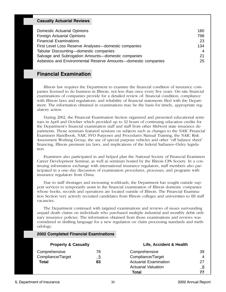### **Casualty Actuarial Reviews**

| <b>Domestic Actuarial Opinions</b>                            | 180              |
|---------------------------------------------------------------|------------------|
| Foreign Actuarial Opinions                                    | 798              |
| <b>Financial Examinations</b>                                 | 23               |
| First Level Loss Reserve Analyses-domestic companies          | 134              |
| Tabular Discounting-domestic companies                        | $\boldsymbol{A}$ |
| Salvage and Subrogation Amounts-domestic companies            | 21               |
| Asbestos and Environmental Reserve Amounts-domestic companies | 25               |

## **Financial Examination**

Illinois law requires the Department to examine the financial condition of insurance companies licensed to do business in Illinois, not less than once every five years. On-site financial examinations of companies provide for a detailed review of: financial condition; compliance with Illinois laws and regulations; and reliability of financial statements filed with the Department. The information obtained in examinations may be the basis for timely, appropriate regulatory action.

During 2002, the Financial Examination Section organized and presented educational seminars in April and October which provided up to 32 hours of continuing education credits for the Department's financial examination staff and staff from other Midwest state insurance departments. Those seminars featured sessions on subjects such as changes to the NAIC Financial Examiners Handbook, NAIC SVO Purposes and Procedures Manual Training, the NAIC Risk Assessment Working Group, the use of special purpose vehicles and other "off balance sheet" financing, Illinois premium tax laws, and implications of the federal Sarbanes–Oxley legislation.

Examiners also participated in and helped plan the National Society of Financial Examiners Career Development Seminar, as well as seminars hosted by the Illinois CPA Society. In a continuing information exchange with international insurance regulators, staff members also participated in a one-day discussion of examination procedures, processes, and programs with insurance regulators from China.

Due to staff shortages and increasing workloads, the Department has sought outside support services to temporarily assist in the financial examination of Illinois domestic companies whose books, records and operations are located outside of Illinois. The Financial Examination Section very actively recruited candidates from Illinois colleges and universities to fill staff vacancies.

The Department continued with targeted examinations and reviews of issues surrounding unpaid death claims on individuals who purchased multiple industrial and monthly debit ordinary insurance policies. The information obtained from those examinations and reviews was considered in drafting language for a new regulation on claim processing standards and methodology.

### **2002 Completed Financial Examinations**

| <b>Property &amp; Casualty</b> |           | Life, Accident & Health      |    |
|--------------------------------|-----------|------------------------------|----|
| Comprehensive                  | 78        | Comprehensive                | 39 |
| Compliance/Target              | <u>_5</u> | Compliance/Target            |    |
| Total                          | 83        | <b>Actuarial Examination</b> | 27 |
|                                |           | <b>Actuarial Valuation</b>   |    |
|                                |           | Total                        | 77 |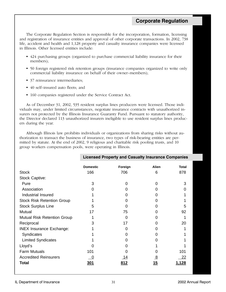# **Corporate Regulation**

The Corporate Regulation Section is responsible for the incorporation, formation, licensing and registration of insurance entities and approval of other corporate transactions. In 2002, 738 life, accident and health and 1,128 property and casualty insurance companies were licensed in Illinois. Other licensed entities include:

- 424 purchasing groups (organized to purchase commercial liability insurance for their members);
- 50 foreign registered risk retention groups (insurance companies organized to write only commercial liability insurance on behalf of their owner-members);
- 37 reinsurance intermediaries;
- 40 self-insured auto fleets; and
- 160 companies registered under the Service Contract Act.

As of December 31, 2002, 535 resident surplus lines producers were licensed. Those individuals may, under limited circumstances, negotiate insurance contracts with unauthorized insurers not protected by the Illinois Insurance Guaranty Fund. Pursuant to statutory authority, the Director declared 113 unauthorized insurers ineligible to use resident surplus lines producers during the year.

Although Illinois law prohibits individuals or organizations from sharing risks without authorization to transact the business of insurance, two types of risk-bearing entities are permitted by statute. At the end of 2002, 9 religious and charitable risk pooling trusts, and 10 group workers compensation pools, were operating in Illinois.

|                                    | <b>Licensed Property and Casualty Insurance Companies</b> |         |              |              |
|------------------------------------|-----------------------------------------------------------|---------|--------------|--------------|
|                                    | <b>Domestic</b>                                           | Foreign | <b>Alien</b> | <b>Total</b> |
| <b>Stock</b>                       | 166                                                       | 706     | 6            | 878          |
| Stock Captive:                     |                                                           |         |              |              |
| Pure                               | 3                                                         | 0       | O            | 3            |
| Association                        |                                                           | O)      |              |              |
| <b>Industrial Insured</b>          |                                                           | 0       |              |              |
| <b>Stock Risk Retention Group</b>  |                                                           |         |              |              |
| <b>Stock Surplus Line</b>          | 5                                                         |         |              | 5            |
| Mutual                             | 17                                                        | 75      |              | 92           |
| <b>Mutual Risk Retention Group</b> |                                                           | O       |              |              |
| Reciprocal                         | 3                                                         | 17      |              | 20           |
| <b>INEX Insurance Exchange:</b>    |                                                           | 0       |              |              |
| Syndicates                         |                                                           |         |              |              |
| <b>Limited Syndicates</b>          |                                                           | O       |              |              |
| Lloyd's                            |                                                           | 0       |              |              |
| <b>Farm Mutuals</b>                | 101                                                       |         |              | 101          |
| <b>Accredited Reinsurers</b>       |                                                           | 14      | <u>_8</u>    | 22           |
| <b>Total</b>                       | <u>301</u>                                                | 812     | 15           | <u>1,128</u> |
|                                    |                                                           |         |              |              |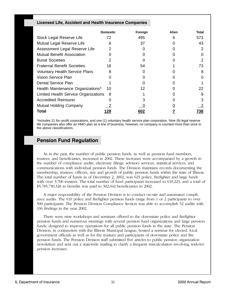| Licensed Life, Accident and Health Insurance Companies |                 |            |              |              |  |
|--------------------------------------------------------|-----------------|------------|--------------|--------------|--|
|                                                        | <b>Domestic</b> | Foreign    | <b>Alien</b> | <b>Total</b> |  |
| Stock Legal Reserve Life                               | 72              | 495        | 6            | 573          |  |
| Mutual Legal Reserve Life                              | 6               | 37         |              | 43           |  |
| Assessment Legal Reserve Life                          | 2               |            |              | 2            |  |
| <b>Mutual Benefit Association</b>                      |                 |            |              |              |  |
| <b>Burial Societies</b>                                | 2               |            |              |              |  |
| <b>Fraternal Benefit Societies</b>                     | 18              | 54         |              | 73           |  |
| <b>Voluntary Health Service Plans</b>                  | 8               |            |              | 8            |  |
| Vision Service Plan                                    |                 |            |              |              |  |
| Dental Service Plan                                    |                 |            |              |              |  |
| Health Maintenance Organizations*                      | 10              | 12         |              | 22           |  |
| Limited Health Service Organizations                   | 8               |            |              | 9            |  |
| <b>Accredited Reinsurer</b>                            |                 |            |              |              |  |
| <b>Mutual Holding Company</b>                          |                 |            |              |              |  |
| Total                                                  | <u> 129</u>     | <u>602</u> |              | <u>738</u>   |  |

\*Includes 21 for–profit corporations, and one (1) voluntary health service plan corporation. Nine (9) legal reserve life companies also offer an HMO plan as a line of business; however, no company is counted more than once in the above classifications.

# **Pension Fund Regulation**

As in the past, the number of public pension funds, as well as pension fund members, trustees, and beneficiaries, increased in 2002. These increases were accompanied by a growth in the number of compliance audits, electronic filings, advisory services, statistical services, and communications with individual pension funds. The Division maintains records documenting the membership, trustees, officers, size and growth of public pension funds within the state of Illinois. The total number of funds as of December 2, 2002, was 625 police, firefighter and large funds with over 3,700 trustees. The total number of fund participants increased to 610,223, and a total of  $$5,785,730,328$  in benefits was paid to  $302,042$  beneficiaries in 2002.

A major responsibility of the Pension Division is to conduct on-site and automated compliance audits. The 610 police and firefighter pension funds range from 1 or 2 participants to over 500 participants. The Pension Division Compliance Section was able to accomplish 52 audits with  $336$  findings in the year  $2002$ .

There were nine workshops and seminars offered to the downstate police and firefighter pension funds and numerous meetings with several pension fund organizations and large pension funds, designed to improve operations for all public pension funds in the state. The Pension Division, in conjunction with the Illinois Municipal League, hosted a seminar for elected, local government officials as well as for the trustees and participants of downstate police and fire pension funds. The Pension Division staff submitted five articles to public pension organization newsletters and sent out a statewide mailing to clarify a frequent miscalculation involving widows' pension increases.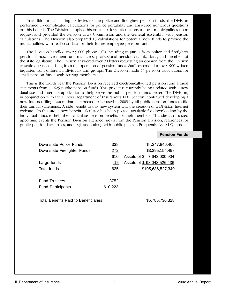In addition to calculating tax levies for the police and firefighter pension funds, the Division performed 15 complicated calculations for police portability and answered numerous questions on this benefit. The Division supplied historical tax levy calculations to local municipalities upon request and provided the Pension Laws Commission and the General Assembly with pension calculations. The Division also prepared 15 calculations for potential new funds to provide the municipalities with real cost data for their future employee pension fund.

The Division handled over 5,000 phone calls including inquiries from police and firefighter pension funds, investment fund managers, professional pension organizations, and members of the state legislature. The Division answered over 90 letters requesting an opinion from the Division to settle questions arising from the operation of pension funds. Staff responded to over 900 written inquiries from different individuals and groups. The Division made 45 pension calculations for small pension funds with retiring members.

This is the fourth year the Pension Division received electronically-filed pension fund annual statements from all 625 public pension funds. This project is currently being updated with a new database and interface application to help serve the public pension funds better. The Division, in conjunction with the Illinois Department of Insurance's EDP Section, continued developing a new Internet filing system that is expected to be used in 2003 by all public pension funds to file their annual statements. A side benefit to this new system was the creation of a Division Internet website. On this site, a new benefit calculator has been posted, available for downloading by the individual funds to help them calculate pension benefits for their members. This site also posted upcoming events the Pension Division attended, news from the Pension Division, references for public pension laws, rules, and legislation along with public pension Frequently Asked Questions.

### **Pension Funds**

| Downstate Police Funds      | 338     | \$4,247,846,406            |
|-----------------------------|---------|----------------------------|
| Downstate Firefighter Funds | 272     | \$3,395,154,498            |
|                             | 610     | Assets of \$7,643,000,904  |
| Large funds                 | -15     | Assets of \$98,043,526,436 |
| Total funds                 | 625     | \$105,686,527,340          |
|                             |         |                            |
| <b>Fund Trustees</b>        | 3752    |                            |
| <b>Fund Participants</b>    | 610,223 |                            |

**Total Benefits Paid to Beneficiaries** 

\$5,785,730,328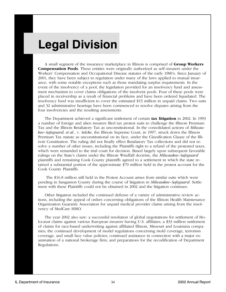# **Legal Division**

A small segment of the insurance marketplace in Illinois is comprised of **Group Workers Compensation Pools**. These entities were originally authorized as self-insurers under the Workers' Compensation and Occupational Disease statutes of the early 1980's. Since January of 2001, they have been subject to regulation under many of the laws applied to mutual insurance, with some notable exceptions such as those mandating surplus requirements. In the event of the insolvency of a pool, the legislation provided for an insolvency fund and assessment mechanism to cover claims obligations of the insolvent pools. Four of these pools were placed in receivership as a result of financial problems and have been ordered liquidated. The insolvency fund was insufficient to cover the estimated \$15 million in unpaid claims. Two suits and 32 administrative hearings have been commenced to resolve disputes arising from the four insolvencies and the resulting assessments.

The Department achieved a significant settlement of certain **tax litigation** in 2002. In 1993 a number of foreign and alien insurers filed tax protest suits to challenge the Illinois Premium Tax and the Illinois Retaliatory Tax as unconstitutional. In the consolidated actions of Milwaukee-Safeguard, et al., v. Selcke, the Illinois Supreme Court, in 1997, struck down the Illinois Premium Tax statute as unconstitutional on its face, under the Classification Clause of the Illinois Constitution. The ruling did not finally effect Retaliatory Tax collections and did not resolve a number of other issues, including the Plaintiffs right to a refund of the protested taxes, which were remanded to the trial court for decision. Based largely upon subsequent favorable rulings on the State's claims under the Illinois Windfall doctrine, the *Milwaukee-Safeguard* plaintiffs and remaining Cook County plaintiffs agreed to a settlement in which the state retained a substantial portion of the approximate \$70 million held in the protest account for the Cook County Plaintiffs.

The \$16.8 million still held in the Protest Account arises from similar suits which were pending in Sangamon County during the course of litigation in *Milwaukee-Safeguard*. Settlement with these Plaintiffs could not be obtained in 2002 and the litigation continues.

Other litigation included the continued defense of a variety of administrative review actions, including the appeal of orders concerning obligations of the Illinois Health Maintenance Organization Guaranty Association for unpaid medical provider claims arising from the insolvency of MedCare HMO.

The year 2002 also saw: a successful resolution of global negotiations for settlement of Holocaust claims against various European insurers having U.S. affiliates; a \$33 million settlement of claims for race-based underwriting against affiliated Illinois, Missouri and Louisiana companies; the continued development of model regulations concerning mold coverage, terrorism coverage, and small face value policies; continued assistance in connection with a major examination of a national brokerage firm; and preparations for the recodification of Department Regulations.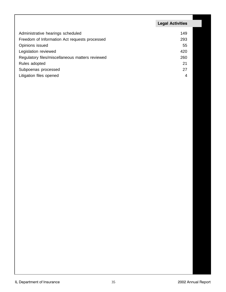|                                                 | <b>Legal Activities</b> |
|-------------------------------------------------|-------------------------|
| Administrative hearings scheduled               | 149                     |
| Freedom of Information Act requests processed   | 293                     |
| Opinions issued                                 | 55                      |
| Legislation reviewed                            | 420                     |
| Regulatory files/miscellaneous matters reviewed | 260                     |
| Rules adopted                                   | 21                      |
| Subpoenas processed                             | 27                      |
| Litigation files opened                         | 4                       |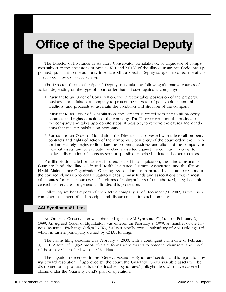# **Office of the Special Deputy**

The Director of Insurance as statutory Conservator, Rehabilitator, or Liquidator of companies subject to the provisions of Articles XIII and XIII  $\frac{1}{2}$  of the Illinois Insurance Code, has appointed, pursuant to the authority in Article XIII, a Special Deputy as agent to direct the affairs of such companies in receivership.

The Director, through the Special Deputy, may take the following alternative courses of action, depending on the type of court order that is issued against a company.

- 1. Pursuant to an Order of Conservation, the Director takes possession of the property, business and affairs of a company to protect the interests of policyholders and other creditors, and proceeds to ascertain the condition and situation of the company.
- 2. Pursuant to an Order of Rehabilitation, the Director is vested with title to all property, contracts and rights of action of the company. The Director conducts the business of the company and takes appropriate steps, if possible, to remove the causes and conditions that made rehabilitation necessary.
- 3. Pursuant to an Order of Liquidation, the Director is also vested with title to all property, contracts and rights of action of the company. Upon entry of the court order, the Director immediately begins to liquidate the property, business and affairs of the company, to marshal assets, and to evaluate the claims asserted against the company in order to make a distribution of assets as soon as possible to policyholders and other creditors.

For Illinois domiciled or licensed insurers placed into Liquidation, the Illinois Insurance Guaranty Fund, the Illinois Life and Health Insurance Guaranty Association, and the Illinois Health Maintenance Organization Guaranty Association are mandated by statute to respond to the covered claims up to certain statutory caps. Similar funds and associations exist in most other states for similar purposes. The claims of policyholders of unauthorized, illegal or unlicensed insurers are not generally afforded this protection.

Following are brief reports of each active company as of December 31, 2002, as well as a combined statement of cash receipts and disbursements for each company.

#### AAI Syndicate #1, Ltd.

An Order of Conservation was obtained against AAI Syndicate #1, Ltd., on February 2, 1999. An Agreed Order of Liquidation was entered on February 9, 1999. A member of the Illinois Insurance Exchange  $(a/k/a \text{ INEX})$ , AAI is a wholly owned subsidiary of AAI Holdings Ltd., which in turn is principally owned by CMA Holdings.

The claims filing deadline was February 9, 2000, with a contingent claim date of February 9, 2001. A total of 11,052 proof-of-claim forms were mailed to potential claimants, and 2,224 of those have been filed with the Liquidator.

The litigation referenced in the "Geneva Assurance Syndicate" section of this report is moving toward resolution. If approved by the court, the Guaranty Fund's available assets will be distributed on a pro rata basis to the insolvent syndicates' policyholders who have covered claims under the Guaranty Fund's plan of operation.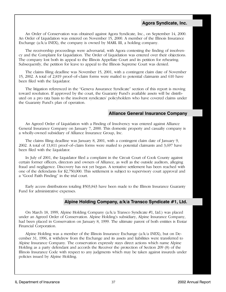#### Agora Syndicate, Inc.

An Order of Conservation was obtained against Agora Syndicate, Inc., on September 14, 2000. An Order of Liquidation was entered on November 15, 2000. A member of the Illinois Insurance Exchange  $(a/k/a \text{ INEX})$ , the company is owned by MARL III, a holding company.

The receivership proceedings were adversarial, with Agora contesting the finding of insolvency and the Complaint for Liquidation. The Order of Liquidation was entered over their objections. The company lost both its appeal to the Illinois Appellate Court and its petition for rehearing. Subsequently, the petition for leave to appeal to the Illinois Supreme Court was denied.

The claims filing deadline was November 15, 2001, with a contingent claim date of November 15, 2002. A total of 2,819 proof-of-claim forms were mailed to potential claimants and 610 have been filed with the Liquidator.

The litigation referenced in the "Geneva Assurance Syndicate" section of this report is moving toward resolution. If approved by the court, the Guaranty Fund's available assets will be distributed on a pro rata basis to the insolvent syndicates' policyholders who have covered claims under the Guaranty Fund's plan of operation.

#### **Alliance General Insurance Company**

An Agreed Order of Liquidation with a Finding of Insolvency was entered against Alliance General Insurance Company on January 7, 2000. This domestic property and casualty company is a wholly-owned subsidiary of Alliance Insurance Group, Inc.

The claims filing deadline was January 8, 2001, with a contingent claim date of January 9, 2002. A total of 13,811 proof-of-claim forms were mailed to potential claimants and 3,697 have been filed with the Liquidator.

In July of 2001, the Liquidator filed a complaint in the Circuit Court of Cook County against certain former officers, directors and owners of Alliance, as well as the outside auditors, alleging fraud and negligence. Discovery has not yet begun. A tentative settlement has been reached with one of the defendants for \$2,750,000. This settlement is subject to supervisory court approval and a "Good Faith Finding" in the trial court.

Early access distributions totaling \$503,843 have been made to the Illinois Insurance Guaranty Fund for administrative expenses.

#### Alpine Holding Company, a/k/a Transco Syndicate #1, Ltd.

On March 18, 1999, Alpine Holding Company  $(a/k/a)$  Transco Syndicate #1, Ltd.) was placed under an Agreed Order of Conservation. Alpine Holding's subsidiary, Alpine Insurance Company, had been placed in Conservation on January 8, 1999. The ultimate parent of both entities is Exstar Financial Corporation.

Alpine Holding was a member of the Illinois Insurance Exchange  $(a/k/a \text{ INEX})$ , but on December 31, 1996, it withdrew from the Exchange and its assets and liabilities were transferred to Alpine Insurance Company. The conservation expressly stays direct actions which name Alpine Holding as a party defendant and accords the Receiver the protection of Section 209 (8) of the Illinois Insurance Code with respect to any judgments which may be taken against insureds under policies issued by Alpine Holding.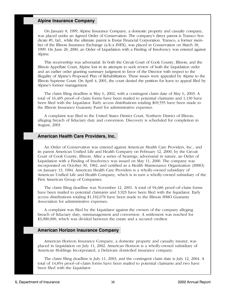#### **Alpine Insurance Company**

On January 8, 1999, Alpine Insurance Company, a domestic property and casualty company, was placed under an Agreed Order of Conservation. The company's direct parent is Transco Syndicate #1, Ltd., while the ultimate parent is Exstar Financial Corporation. Transco, a former member of the Illinois Insurance Exchange  $(a/k/a \text{ INEX})$ , was placed in Conservation on March 18, 1999. On June 28, 2000, an Order of Liquidation with a Finding of Insolvency was entered against Alpine.

This receivership was adversarial. In both the Circuit Court of Cook County, Illinois, and the Illinois Appellate Court, Alpine lost in its attempts to seek review of both the Liquidation order and an earlier order granting summary judgment in favor of the Director with respect to the illegality of Alpine's Proposed Plan of Rehabilitation. These issues were appealed by Alpine to the Illinois Supreme Court. On April 4, 2001, the court denied the petition for leave to appeal filed by Alpine's former management.

The claim filing deadline is May 6, 2002, with a contingent claim date of May 6, 2003. A total of 16,485 proof-of-claim forms have been mailed to potential claimants and 1,130 have been filed with the Liquidator. Early access distributions totaling \$69,555 have been made to the Illinois Insurance Guaranty Fund for administrative expenses.

A complaint was filed in the United States District Court, Northern District of Illinois, alleging breach of fiduciary duty and conversion. Discovery is scheduled for completion in August, 2003.

#### **American Health Care Providers, Inc.**

An Order of Conservation was entered against American Health Care Providers, Inc., and its parent American Unified Life and Health Company on February 12, 2000, by the Circuit Court of Cook County, Illinois. After a series of hearings, adversarial in nature, an Order of Liquidation with a Finding of Insolvency was issued on May 11, 2000. The company was incorporated on October 30, 1982, and certified as a Health Maintenance Organization (HMO) on January 13, 1984. American Health Care Providers is a wholly-owned subsidiary of American Unified Life and Health Company, which is in turn a wholly-owned subsidiary of the First American Group of Companies.

The claim filing deadline was November 12, 2001. A total of 94,686 proof-of-claim forms have been mailed to potential claimants and 3,923 have been filed with the liquidator. Early access distributions totaling \$1,192,078 have been made to the Illinois HMO Guaranty Association for administrative expenses.

A complaint was filed by the Liquidator against the owners of the company alleging breach of fiduciary duty, mismanagement and conversion. A settlement was reached for \$3,000,000, which was divided between the estate and a secured creditor.

#### **American Horizon Insurance Company**

American Horizon Insurance Company, a domestic property and casualty insurer, was placed in Liquidation on July 11, 2002. American Horizon is a wholly-owned subsidiary of American Holdings Incorporated, a Delaware domiciled insurance company.

The claim filing deadline is July 11, 2003, and the contingent claim date is July 12, 2004. A total of 14,854 proof-of-claim forms have been mailed to potential claimants and two have been filed with the Liquidator.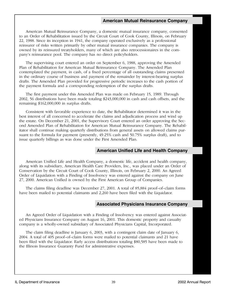#### **American Mutual Reinsurance Company**

American Mutual Reinsurance Company, a domestic mutual insurance company, consented to an Order of Rehabilitation issued by the Circuit Court of Cook County, Illinois, on February 22, 1988. Since its inception in 1941, the company operated exclusively as a professional reinsurer of risks written primarily by other mutual insurance companies. The company is owned by its reinsured treatyholders, many of which are also retrocessionaires in the company's reinsurance pool. The company has no direct policyholders.

The supervising court entered an order on September 6, 1988, approving the Amended Plan of Rehabilitation for American Mutual Reinsurance Company. The Amended Plan contemplated the payment, in cash, of a fixed percentage of all outstanding claims presented in the ordinary course of business and payment of the remainder by interest-bearing surplus drafts. The Amended Plan provided for progressive periodic increases to the cash portion of the payment formula and a corresponding redemption of the surplus drafts.

The first payment under this Amended Plan was made on February 15, 1989. Through 2002, 56 distributions have been made totaling \$243,000,000 in cash and cash offsets, and the remaining \$162,000,000 in surplus drafts.

Consistent with favorable experience to date, the Rehabilitator determined it was in the best interest of all concerned to accelerate the claims and adjudication process and wind up the estate. On December 21, 2001, the Supervisory Court entered an order approving the Second Amended Plan of Rehabilitation for American Mutual Reinsurance Company. The Rehabilitator shall continue making quarterly distributions from general assets on allowed claims pursuant to the formula for payment (presently, 49.25% cash and 50.75% surplus draft), and to issue quarterly billings as was done under the First Amended Plan.

#### **American Unified Life and Health Company**

American Unified Life and Health Company, a domestic life, accident and health company, along with its subsidiary, American Health Care Providers, Inc., was placed under an Order of Conservation by the Circuit Court of Cook County, Illinois, on February 2, 2000. An Agreed Order of Liquidation with a Finding of Insolvency was entered against the company on June 27, 2000. American Unified is owned by the First American Group of Companies.

The claims filing deadline was December 27, 2001. A total of 85,884 proof-of-claim forms have been mailed to potential claimants and 2,260 have been filed with the Liquidator.

#### **Associated Physicians Insurance Company**

An Agreed Order of Liquidation with a Finding of Insolvency was entered against Associated Physicians Insurance Company on August 16, 2001. This domestic property and casualty company is a wholly-owned subsidiary of Associated Physicians Capital, Incorporated.

The claim filing deadline is January 6, 2003, with a contingent claim date of January 6, 2004. A total of 405 proof-of-claim forms were mailed to potential claimants and 21 have been filed with the Liquidator. Early access distributions totaling \$80,585 have been made to the Illinois Insurance Guaranty Fund for administrative expenses.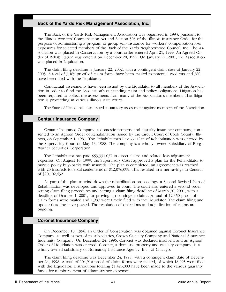#### Back of the Yards Risk Management Association, Inc.

The Back of the Yards Risk Management Association was organized in 1993, pursuant to the Illinois Workers' Compensation Act and Section 305 of the Illinois Insurance Code, for the purpose of administering a program of group self-insurance for workers' compensation loss exposures for selected members of the Back of the Yards Neighborhood Council, Inc. The Association was placed in Conservation by a court order entered April 21, 1999. An Agreed Order of Rehabilitation was entered on December 20, 1999. On January 22, 2001, the Association was placed in Liquidation.

The claim filing deadline is January 22, 2002, with a contingent claim date of January 22, 2003. A total of 3,485 proof-of-claim forms have been mailed to potential creditors and 380 have been filed with the Liquidator.

Contractual assessments have been issued by the Liquidator to all members of the Association in order to fund the Association's outstanding claim and policy obligations. Litigation has been required to collect the assessments from many of the Association's members. That litigation is proceeding in various Illinois state courts.

The State of Illinois has also issued a statutory assessment against members of the Association.

#### **Centaur Insurance Company**

Centaur Insurance Company, a domestic property and casualty insurance company, consented to an Agreed Order of Rehabilitation issued by the Circuit Court of Cook County, Illinois, on September 4, 1987. The Rehabilitator's Revised Plan of Rehabilitation was entered by the Supervising Court on May 13, 1988. The company is a wholly-owned subsidiary of Borg-Warner Securities Corporation.

The Rehabilitator has paid  $$53,331,037$  in direct claims and related loss adjustment expenses. On August 16, 1999, the Supervisory Court approved a plan for the Rehabilitator to pursue policy buy-backs with insureds. The plan is completed; an agreement was reached with 20 insureds for total settlements of  $$12,076,099$ . This resulted in a net savings to Centaur of \$20,102,432.

As part of the plan to wind down the rehabilitation proceedings, a Second Revised Plan of Rehabilitation was developed and approved in court. The court also entered a second order setting claim filing procedures and setting a claim filing deadline of March 30, 2001, with a deadline of October 1, 2001, for proving-up contingent claims. A total of 12,350 proof-ofclaim forms were mailed and 1,987 were timely filed with the Liquidator. The claim filing and update deadline have passed. The resolution of objections and adjudication of claims are ongoing.

#### **Coronet Insurance Company**

On December 10, 1996, an Order of Conservation was obtained against Coronet Insurance Company, as well as two of its subsidiaries, Crown Casualty Company and National Assurance Indemnity Company. On December 24, 1996, Coronet was declared insolvent and an Agreed Order of Liquidation was entered. Coronet, a domestic property and casualty company, is a wholly-owned subsidiary of Normandy Insurance Agency, Inc., of Chicago.

The claim filing deadline was December 24, 1997, with a contingent claim date of December 24, 1998. A total of 104,916 proof-of-claim forms were mailed, of which 18,995 were filed with the Liquidator. Distributions totaling \$1,425,000 have been made to the various guaranty funds for reimbursement of administrative expenses.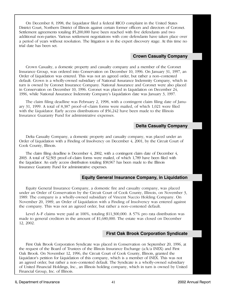On December 8, 1998, the Liquidator filed a federal RICO complaint in the United States District Court, Northern District of Illinois against certain former officers and directors of Coronet. Settlement agreements totaling \$5,200,000 have been reached with five defendants and two additional non-parties. Various settlement negotiations with core defendants have taken place over a period of years without resolution. The litigation is in the expert discovery stage. At this time no trial date has been set.

#### **Crown Casualty Company**

Crown Casualty, a domestic property and casualty company and a member of the Coronet Insurance Group, was ordered into Conservation on December 10, 1996. On January 31, 1997, an Order of Liquidation was entered. This was not an agreed order, but rather a non-contested default. Crown is a wholly-owned subsidiary of National Assurance Indemnity Company, which in turn is owned by Coronet Insurance Company. National Assurance and Coronet were also placed in Conservation on December 10, 1996. Coronet was placed in Liquidation on December 24, 1996, while National Assurance Indemnity Company's Liquidation date was January 3, 1997.

The claim filing deadline was February 2, 1998, with a contingent claim filing date of January 31, 1999. A total of 8,387 proof-of-claim forms were mailed, of which 1,021 were filed with the Liquidator. Early access distributions of  $$56,242$  have been made to the Illinois Insurance Guaranty Fund for administrative expenses.

#### **Delta Casualty Company**

Delta Casualty Company, a domestic property and casualty company, was placed under an Order of Liquidation with a Finding of Insolvency on December 4, 2001, by the Circuit Court of Cook County, Illinois.

The claim filing deadline is December 4, 2002, with a contingent claim date of December 4, 2003. A total of 52,503 proof-of-claim forms were mailed, of which 1,789 have been filed with the Liquidator. An early access distribution totaling \$38,967 has been made to the Illinois Insurance Guaranty Fund for administrative expenses.

#### **Equity General Insurance Company, in Liquidation**

Equity General Insurance Company, a domestic fire and casualty company, was placed under an Order of Conservation by the Circuit Court of Cook County, Illinois, on November 3, 1989. The company is a wholly-owned subsidiary of Vincent Nuccio Holding Company. On November 20, 1989, an Order of Liquidation with a Finding of Insolvency was entered against the company. This was not an agreed order, but rather a non-contested default.

Level A-F claims were paid at 100%, totaling \$11,300,000. A 57% pro rata distribution was made to general creditors in the amount of \$1,680,000. The estate was closed on December 12, 2002.

#### **First Oak Brook Corporation Syndicate**

First Oak Brook Corporation Syndicate was placed in Conservation on September 20, 1996, at the request of the Board of Trustees of the Illinois Insurance Exchange  $(a/k/a \text{ INEX})$  and First Oak Brook. On November 12, 1996, the Circuit Court of Cook County, Illinois, granted the Liquidator's petition for Liquidation of this company, which is a member of INEX. This was not an agreed order, but rather a non-contested default. The Syndicate is a wholly-owned subsidiary of United Financial Holdings, Inc., an Illinois holding company, which in turn is owned by United Financial Group, Inc. of Illinois.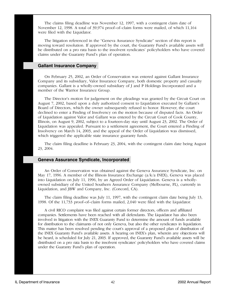The claims filing deadline was November 12, 1997, with a contingent claim date of November 12, 1998. A total of 39,974 proof-of-claim forms were mailed, of which 11,164 were filed with the Liquidator.

The litigation referenced in the "Geneva Assurance Syndicate" section of this report is moving toward resolution. If approved by the court, the Guaranty Fund's available assets will be distributed on a pro rata basis to the insolvent syndicates' policyholders who have covered claims under the Guaranty Fund's plan of operation.

#### **Gallant Insurance Company**

On February 25, 2002, an Order of Conservation was entered against Gallant Insurance Company and its subsidiary, Valor Insurance Company, both domestic property and casualty companies. Gallant is a wholly-owned subsidiary of J and P Holdings Incorporated and a member of the Warrior Insurance Group.

The Director's motion for judgement on the pleadings was granted by the Circuit Court on August 7, 2002, based upon a duly authorized consent to Liquidation executed by Gallant's Board of Directors, which the owner subsequently refused to honor. However, the court declined to enter a Finding of Insolvency on the motion because of disputed facts. An Order of Liquidation against Valor and Gallant was entered by the Circuit Court of Cook County, Illinois, on August 9, 2002, subject to a fourteen-day stay until August 23, 2002. The Order of Liquidation was appealed. Pursuant to a settlement agreement, the Court entered a Finding of Insolvency on March 14, 2003, and the appeal of the Order of Liquidation was dismissed, which triggered the applicable state insurance guaranty funds.

The claim filing deadline is February 23, 2004, with the contingent claim date being August 23, 2004.

#### Geneva Assurance Syndicate, Incorporated

An Order of Conservation was obtained against the Geneva Assurance Syndicate, Inc. on May 17, 1996. A member of the Illinois Insurance Exchange  $(a/k/a \text{ INEX})$ , Geneva was placed into Liquidation on July 11, 1996, by an Agreed Order of Liquidation. Geneva is a whollyowned subsidiary of the United Southern Assurance Company (Melbourne, FL), currently in Liquidation, and JBW and Company, Inc. (Concord, CA).

The claim filing deadline was July 11, 1997, with the contingent claim date being July 13, 1998. Of the 11,733 proof-of-claim forms mailed, 2,040 were filed with the Liquidator.

A civil RICO complaint was filed against certain former directors, officers and affiliated companies. Settlements have been reached with all defendants. The Liquidator has also been involved in litigation with the INEX Guaranty Fund to determine the amount of funds available for distribution to the claimants of not only Geneva, but also the other syndicates in liquidation. This matter has been resolved pending the court's approval of a proposed plan of distribution of the INEX Guaranty Fund's available assets. A hearing on INEX's plan, wherein any objections will be heard, is scheduled for July 21, 2003. If approved, the Guaranty Fund's available assets will be distributed on a pro rata basis to the insolvent syndicates' policyholders who have covered claims under the Guaranty Fund's plan of operation.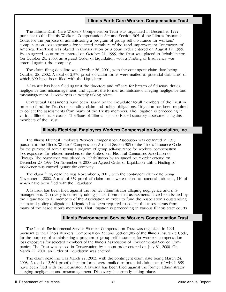#### **Illinois Earth Care Workers Compensation Trust**

The Illinois Earth Care Workers Compensation Trust was organized in December 1992, pursuant to the Illinois Workers' Compensation Act and Section 305 of the Illinois Insurance Code, for the purpose of administering a program of group self-insurance for workers' compensation loss exposures for selected members of the Land Improvement Contractors of America. The Trust was placed in Conservation by a court order entered on August 19, 1999. By an agreed court order entered on October 21, 1999, the Trust was placed in Rehabilitation. On October 26, 2000, an Agreed Order of Liquidation with a Finding of Insolvency was entered against the company.

The claim filing deadline was October 26, 2001, with the contingent claim date being October 28, 2002. A total of 2,370 proof-of-claim forms were mailed to potential claimants, of which 690 have been filed with the Liquidator.

A lawsuit has been filed against the directors and officers for breach of fiduciary duties, negligence and mismanagement, and against the former administrator alleging negligence and mismanagement. Discovery is currently taking place.

Contractual assessments have been issued by the Liquidator to all members of the Trust in order to fund the Trust's outstanding claim and policy obligations. Litigation has been required to collect the assessments from many of the Trust's members. The litigation is proceeding in various Illinois state courts. The State of Illinois has also issued statutory assessments against members of the Trust.

#### Illinois Electrical Employers Workers Compensation Association, Inc.

The Illinois Electrical Employers Workers Compensation Association was organized in 1995, pursuant to the Illinois Workers' Compensation Act and Section 305 of the Illinois Insurance Code, for the purpose of administering a program of group self-insurance for workers' compensation loss exposures for selected members of the Professional Electrical Contractors Association of Chicago. The Association was placed in Rehabilitation by an agreed court order entered on December 20, 1999. On November 3, 2000, an Agreed Order of Liquidation with a Finding of Insolvency was entered against the company.

The claim filing deadline was November 5, 2001, with the contingent claim date being November 4, 2002. A total of 359 proof-of-claim forms were mailed to potential claimants, 110 of which have been filed with the Liquidator.

A lawsuit has been filed against the former administrator alleging negligence and mismanagement. Discovery is currently taking place. Contractual assessments have been issued by the Liquidator to all members of the Association in order to fund the Association's outstanding claim and policy obligations. Litigation has been required to collect the assessments from many of the Association's members. That litigation is proceeding in various Illinois state courts.

#### **Illinois Environmental Service Workers Compensation Trust**

The Illinois Environmental Service Workers Compensation Trust was organized in 1991, pursuant to the Illinois Workers' Compensation Act and Section 305 of the Illinois Insurance Code, for the purpose of administering a program of group self-insurance for workers' compensation loss exposures for selected members of the Illinois Association of Environmental Service Companies. The Trust was placed in Conservation by a court order entered on July 31, 2000. On March 22, 2001, an Order of Liquidation was entered.

The claim deadline was March 22, 2002, with the contingent claim date being March 24, 2003. A total of 2,504 proof-of-claim forms were mailed to potential claimants, of which 358 have been filed with the Liquidator. A lawsuit has been filed against the former administrator alleging negligence and mismanagement. Discovery is currently taking place.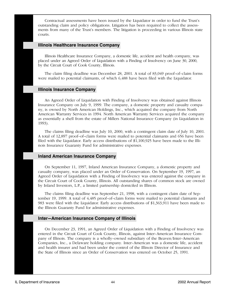Contractual assessments have been issued by the Liquidator in order to fund the Trust's outstanding claim and policy obligations. Litigation has been required to collect the assessments from many of the Trust's members. The litigation is proceeding in various Illinois state courts.

#### Illinois Healthcare Insurance Company

Illinois Healthcare Insurance Company, a domestic life, accident and health company, was placed under an Agreed Order of Liquidation with a Finding of Insolvency on June 30, 2000, by the Circuit Court of Cook County, Illinois.

The claim filing deadline was December 28, 2001. A total of 83,049 proof-of-claim forms were mailed to potential claimants, of which 6,488 have been filed with the Liquidator.

#### **Illinois Insurance Company**

An Agreed Order of Liquidation with Finding of Insolvency was obtained against Illinois Insurance Company on July 9, 1999. The company, a domestic property and casualty company, is owned by North American Holdings, Inc., which acquired the company from North American Warranty Services in 1994. North American Warranty Services acquired the company as essentially a shell from the estate of Millers National Insurance Company (in Liquidation in 1993).

The claims filing deadline was July 10, 2000, with a contingent claim date of July 10, 2001. A total of 12,897 proof-of-claim forms were mailed to potential claimants and 656 have been filed with the Liquidator. Early access distributions of \$1,100,925 have been made to the Illinois Insurance Guaranty Fund for administrative expenses.

#### **Inland American Insurance Company**

On September 11, 1997, Inland American Insurance Company, a domestic property and casualty company, was placed under an Order of Conservation. On September 19, 1997, an Agreed Order of Liquidation with a Finding of Insolvency was entered against the company in the Circuit Court of Cook County, Illinois. All outstanding shares of common stock are owned by Inland Investors, L.P., a limited partnership domiciled in Illinois.

The claims filing deadline was September 21, 1998, with a contingent claim date of September 19, 1999. A total of 4,485 proof-of-claim forms were mailed to potential claimants and 983 were filed with the Liquidator. Early access distributions of \$1,363,911 have been made to the Illinois Guaranty Fund for administrative expenses.

#### Inter-American Insurance Company of Illinois

On December 23, 1991, an Agreed Order of Liquidation with a Finding of Insolvency was entered in the Circuit Court of Cook County, Illinois, against Inter-American Insurance Company of Illinois. The company is a wholly-owned subsidiary of the Beaven/Inter-American Companies, Inc., a Delaware holding company. Inter-American was a domestic life, accident and health insurer and had been under the control of the Illinois Director of Insurance and the State of Illinois since an Order of Conservation was entered on October 25, 1991.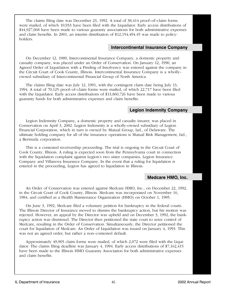The claims filing date was December 23, 1992. A total of 38,414 proof-of-claim forms were mailed, of which 10.933 have been filed with the Liquidator. Early access distributions of  $$44,927,068$  have been made to various guaranty associations for both administrative expenses and claim benefits. In 2001, an interim distribution of \$12,154,494.45 was made to policyholders.

#### **Intercontinental Insurance Company**

On December 12, 1989, Intercontinental Insurance Company, a domestic property and casualty company, was placed under an Order of Conservation. On January 12, 1990, an Agreed Order of Liquidation with a Finding of Insolvency was entered against the company in the Circuit Court of Cook County, Illinois. Intercontinental Insurance Company is a whollyowned subsidiary of Intercontinental Financial Group of North America.

The claims filing date was July 12, 1991, with the contingent claim date being July 13, 1994. A total of 70,125 proof-of-claim forms were mailed, of which 22,717 have been filed with the Liquidator. Early access distributions of \$13,860,726 have been made to various guaranty funds for both administrative expenses and claim benefits.

#### **Legion Indemnity Company**

Legion Indemnity Company, a domestic property and casualty insurer, was placed in Conservation on April 3, 2002. Legion Indemnity is a wholly-owned subsidiary of Legion Financial Corporation, which in turn is owned by Mutual Group, Ltd., of Delaware. The ultimate holding company for all of the insurance operations is Mutual Risk Management, Ltd., a Bermuda corporation.

This is a contested receivership proceeding. The trial is ongoing in the Circuit Court of Cook County, Illinois. A ruling is expected soon from the Pennsylvania court in connection with the liquidation complaint against Legion's two sister companies, Legion Insurance Company and Villanova Insurance Company. In the event that a ruling for liquidation is entered in the proceeding, Legion has agreed to liquidation in Illinois.

#### **Medcare HMO, Inc.**

An Order of Conservation was entered against Medcare HMO, Inc., on December 22, 1992, in the Circuit Court of Cook County, Illinois. Medcare was incorporated on November 16, 1984, and certified as a Health Maintenance Organization (HMO) on October 1, 1985.

On June 3, 1992, Medcare filed a voluntary petition for bankruptcy in the federal courts. The Illinois Director of Insurance moved to dismiss the bankruptcy action, but his motion was rejected. However, an appeal by the Director was upheld and on December 3, 1992, the bankruptcy action was dismissed. The Director then petitioned the state court to seize control of Medcare, resulting in the Order of Conservation. Simultaneously, the Director petitioned the court for liquidation of Medcare. An Order of Liquidation was issued on January 4, 1993. This was not an agreed order, but rather a non-contested default.

Approximately 49,905 claim forms were mailed, of which 2,072 were filed with the Liquidator. The claims filing deadline was January 4, 1994. Early access distributions of  $\frac{1}{2}$ , 162, 415 have been made to the Illinois HMO Guaranty Association for both administrative expenses and claim benefits.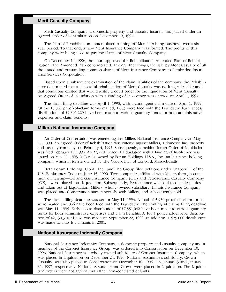#### **Merit Casualty Company**

Merit Casualty Company, a domestic property and casualty insurer, was placed under an Agreed Order of Rehabilitation on December 19, 1994.

The Plan of Rehabilitation contemplated running off Merit's existing business over a sixyear period. To that end, a new Merit Insurance Company was formed. The profits of this company were being used to pay the claims of Merit Casualty Company.

On December 14, 1996, the court approved the Rehabilitator's Amended Plan of Rehabilitation. The Amended Plan contemplated, among other things, the sale by Merit Casualty of all the issued and outstanding common shares of Merit Insurance Company to Pembridge Insurance Services Corporation.

Based upon a subsequent examination of the claim liabilities of the company, the Rehabilitator determined that a successful rehabilitation of Merit Casualty was no longer feasible and that conditions existed that would justify a court order for the liquidation of Merit Casualty. An Agreed Order of Liquidation with a Finding of Insolvency was entered on April 1, 1997.

The claim filing deadline was April 1, 1998, with a contingent claim date of April 1, 1999. Of the 10,863 proof-of-claim forms mailed, 1,663 were filed with the Liquidator. Early access distributions of  $$2,391,229$  have been made to various guaranty funds for both administrative expenses and claim benefits.

#### **Millers National Insurance Company**

An Order of Conservation was entered against Millers National Insurance Company on May 17, 1990. An Agreed Order of Rehabilitation was entered against Millers, a domestic fire, property and casualty company, on February 4, 1992. Subsequently, a petition for an Order of Liquidation was filed February 17, 1993. An Agreed Order of Liquidation with a Finding of Insolvency was issued on May 11, 1993. Millers is owned by Forum Holdings, U.S.A., Inc., an insurance holding company, which in turn is owned by The Group, Inc., of Concord, Massachusetts.

Both Forum Holdings, U.S.A., Inc., and The Group filed petitions under Chapter 11 of the U.S. Bankruptcy Code on June 15, 1990. Two companies affiliated with Millers through common ownership—Oil and Gas Insurance Company (OH) and Petrosurance Casualty Company (OK)—were placed into Liquidation. Subsequently, Petrosurance was sold to outside parties and taken out of Liquidation. Millers' wholly-owned subsidiary, Illinois Insurance Company, was placed into Conservation simultaneously with Millers, and subsequently sold.

The claims filing deadline was set for May 11, 1994. A total of 5,930 proof-of-claim forms were mailed and 836 have been filed with the Liquidator. The contingent claims filing deadline was May 11, 1995. Early access distributions of \$7,551,042 have been made to various guaranty funds for both administrative expenses and claim benefits. A 100% policyholder level distribution of \$2,130,310.74 also was made on September 22, 1999. In addition, a \$25,000 distribution was made to class E claimants in 2001.

#### **National Assurance Indemnity Company**

National Assurance Indemnity Company, a domestic property and casualty company and a member of the Coronet Insurance Group, was ordered into Conservation on December 10, 1996. National Assurance is a wholly-owned subsidiary of Coronet Insurance Company, which was placed in Liquidation on December 24, 1996. National Assurance's subsidiary, Crown Casualty, was also placed in Conservation on December 10, 1996. On January 3 and January 31, 1997, respectively, National Assurance and Crown were placed in Liquidation. The Liquidation orders were not agreed, but rather non-contested defaults.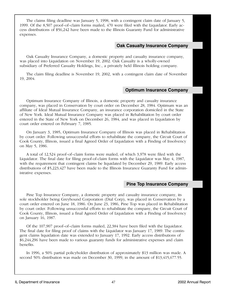The claims filing deadline was January 5, 1998, with a contingent claim date of January 5, 1999. Of the 8,507 proof-of-claim forms mailed, 470 were filed with the Liquidator. Early access distributions of \$56,242 have been made to the Illinois Guaranty Fund for administrative expenses.

#### **Oak Casualty Insurance Company**

Oak Casualty Insurance Company, a domestic property and casualty insurance company, was placed into Liquidation on November 19, 2002. Oak Casualty is a wholly-owned subsidiary of Preferred Casualty Holdings, Inc., a privately held Illinois holding company.

The claim filing deadline is November 19, 2002, with a contingent claim date of November 19, 2004.

#### **Optimum Insurance Company**

Optimum Insurance Company of Illinois, a domestic property and casualty insurance company, was placed in Conservation by court order on December 28, 1984. Optimum was an affiliate of Ideal Mutual Insurance Company, an insurance corporation domiciled in the State of New York. Ideal Mutual Insurance Company was placed in Rehabilitation by court order entered in the State of New York on December 26, 1984, and was placed in Liquidation by court order entered on February 7, 1985.

On January 3, 1985, Optimum Insurance Company of Illinois was placed in Rehabilitation by court order. Following unsuccessful efforts to rehabilitate the company, the Circuit Court of Cook County, Illinois, issued a final Agreed Order of Liquidation with a Finding of Insolvency on May 5, 1986.

A total of 12,524 proof-of-claim forms were mailed, of which 3,978 were filed with the Liquidator. The final date for filing proof-of-claim forms with the Liquidator was May 4, 1987, with the requirement that contingent claims be liquidated by December 29, 1989. Early access distributions of  $$5,223,427$  have been made to the Illinois Insurance Guaranty Fund for administrative expenses.

#### **Pine Top Insurance Company**

Pine Top Insurance Company, a domestic property and casualty insurance company, its sole stockholder being Greyhound Corporation (Dial Corp), was placed in Conservation by a court order entered on June 18, 1986. On June 23, 1986, Pine Top was placed in Rehabilitation by court order. Following unsuccessful efforts to rehabilitate the company, the Circuit Court of Cook County, Illinois, issued a final Agreed Order of Liquidation with a Finding of Insolvency on January 16, 1987.

Of the 107,907 proof-of-claim forms mailed, 22,384 have been filed with the Liquidator. The final date for filing proof of claims with the Liquidator was January 17, 1989. The contingent claims liquidation date was extended to January 17, 1992. Early access distributions of \$6,244,296 have been made to various guaranty funds for administrative expenses and claim benefits.

In 1996, a 50% partial policyholder distribution of approximately \$13 million was made. A second 50% distribution was made on December 30, 1999, in the amount of \$13,415,677.55.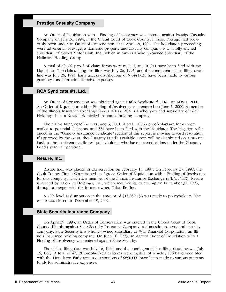#### **Prestige Casualty Company**

An Order of Liquidation with a Finding of Insolvency was entered against Prestige Casualty Company on July 26, 1994, in the Circuit Court of Cook County, Illinois. Prestige had previously been under an Order of Conservation since April 18, 1994. The liquidation proceedings were adversarial. Prestige, a domestic property and casualty company, is a wholly-owned subsidiary of Comet Motor Club, Inc., which in turn is a wholly-owned subsidiary of the Hallmark Holding Group.

A total of 50,602 proof-of-claim forms were mailed, and 10,341 have been filed with the Liquidator. The claims filing deadline was July 26, 1995, and the contingent claims filing deadline was July 26, 1996. Early access distributions of  $\frac{2}{3}$ , 441,038 have been made to various guaranty funds for administrative expenses.

#### RCA Syndicate #1, Ltd.

An Order of Conservation was obtained against RCA Syndicate #1, Ltd., on May 1, 2000. An Order of Liquidation with a Finding of Insolvency was entered on June 5, 2000. A member of the Illinois Insurance Exchange ( $a/k/a$  INEX), RCA is a wholly-owned subsidiary of L&W Holdings, Inc., a Nevada domiciled insurance holding company.

The claims filing deadline was June 5, 2001. A total of 733 proof-of-claim forms were mailed to potential claimants, and 221 have been filed with the Liquidator. The litigation referenced in the "Geneva Assurance Syndicate" section of this report is moving toward resolution. If approved by the court, the Guaranty Fund's available assets will be distributed on a pro rata basis to the insolvent syndicates' policyholders who have covered claims under the Guaranty Fund's plan of operation.

#### Resure, Inc.

Resure Inc., was placed in Conservation on February 18, 1997. On February 27, 1997, the Cook County Circuit Court issued an Agreed Order of Liquidation with a Finding of Insolvency for this company, which is a member of the Illinois Insurance Exchange  $(a/k/a$  INEX). Resure is owned by Talon Re Holdings, Inc., which acquired its ownership on December 31, 1993, through a merger with the former owner, Talon Re, Inc.

A 70% level D distribution in the amount of \$13,030,138 was made to policyholders. The estate was closed on December 19, 2002.

#### **State Security Insurance Company**

On April 29, 1993, an Order of Conservation was entered in the Circuit Court of Cook County, Illinois, against State Security Insurance Company, a domestic property and casualty company. State Security is a wholly-owned subsidiary of W.F. Financial Corporation, an Illinois insurance holding company. On June 16, 1993, an Agreed Order of Liquidation with a Finding of Insolvency was entered against State Security.

The claims filing date was July 16, 1994, and the contingent claims filing deadline was July 16, 1995. A total of 47,120 proof-of-claim forms were mailed, of which 5,176 have been filed with the Liquidator. Early access distributions of \$850,000 have been made to various guaranty funds for administrative expenses.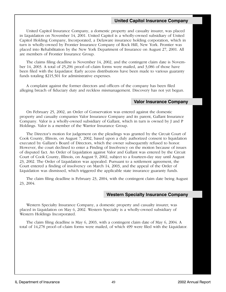#### **United Capitol Insurance Company**

United Capitol Insurance Company, a domestic property and casualty insurer, was placed in Liquidation on November 14, 2001. United Capitol is a wholly-owned subsidiary of United Capitol Holding Company, Incorporated, a Delaware insurance holding corporation, which in turn is wholly-owned by Frontier Insurance Company of Rock Hill, New York. Frontier was placed into Rehabilitation by the New York Department of Insurance on August 27, 2001. All are members of Frontier Insurance Group.

The claims filing deadline is November 14, 2002, and the contingent claim date is November 14, 2003. A total of 25,296 proof-of-claim forms were mailed, and 3,086 of those have been filed with the Liquidator. Early access distributions have been made to various guaranty funds totaling \$215,501 for administrative expenses.

A complaint against the former directors and officers of the company has been filed alleging breach of fiduciary duty and reckless mismanagement. Discovery has not yet begun.

#### **Valor Insurance Company**

On February 25, 2002, an Order of Conservation was entered against the domestic property and casualty companies Valor Insurance Company and its parent, Gallant Insurance Company. Valor is a wholly-owned subsidiary of Gallant, which in turn is owned by J and P Holdings. Valor is a member of the Warrior Insurance Group.

The Director's motion for judgement on the pleadings was granted by the Circuit Court of Cook County, Illinois, on August 7, 2002, based upon a duly authorized consent to liquidation executed by Gallant's Board of Directors, which the owner subsequently refused to honor. However, the court declined to enter a Finding of Insolvency on the motion because of issues of disputed fact. An Order of Liquidation against Valor and Gallant was entered by the Circuit Court of Cook County, Illinois, on August 9, 2002, subject to a fourteen-day stay until August 23, 2002. The Order of Liquidation was appealed. Pursuant to a settlement agreement, the Court entered a finding of insolvency on March 14, 2003, and the appeal of the Order of Liquidation was dismissed, which triggered the applicable state insurance guaranty funds.

The claim filing deadline is February 23, 2004, with the contingent claim date being August 23, 2004.

#### **Western Specialty Insurance Company**

Western Specialty Insurance Company, a domestic property and casualty insurer, was placed in Liquidation on May 6, 2002. Western Specialty is a wholly-owned subsidiary of Western Holdings Incorporated.

The claim filing deadline is May 6, 2003, with a contingent claim date of May 6, 2004. A total of 14,278 proof-of-claim forms were mailed, of which 499 were filed with the Liquidator.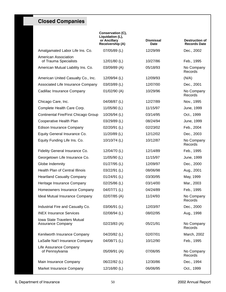## **Closed Companies**

|                                                         | Conservation (C),<br>Liquidation (L),<br>or Ancillary<br>Receivership (A) | <b>Dismissal</b><br><b>Date</b> | <b>Destruction of</b><br><b>Records Date</b> |
|---------------------------------------------------------|---------------------------------------------------------------------------|---------------------------------|----------------------------------------------|
| Amalgamated Labor Life Ins. Co.                         | 07/05/89 (L)                                                              | 12/29/99                        | Dec., 2002                                   |
| American Association<br>of Trauma Specialists           | 12/01/80 (L)                                                              | 10/27/86                        | Feb., 1995                                   |
| American Mutual Liability Ins. Co.                      | 03/09/89 (A)                                                              | 05/18/93                        | No Company<br>Records                        |
| American United Casualty Co., Inc.                      | 12/09/94 (L)                                                              | 12/09/93                        | (N/A)                                        |
| Associated Life Insurance Company                       | 03/03/89 (L)                                                              | 12/07/00                        | Dec., 2001                                   |
| Cadillac Insurance Company                              | 01/02/90 (A)                                                              | 10/29/96                        | No Company<br>Records                        |
| Chicago Care, Inc.                                      | 04/08/87 (L)                                                              | 12/27/89                        | Nov., 1995                                   |
| Complete Health Care Corp.                              | 11/05/90 (L)                                                              | 11/15/97                        | June, 1999                                   |
| Continental Fire/First Chicago Group                    | 10/26/94 (L)                                                              | 03/14/95                        | Oct., 1999                                   |
| Cooperative Health Plan                                 | 03/29/89 (L)                                                              | 08/24/94                        | June, 1999                                   |
| <b>Edison Insurance Company</b>                         | 02/20/91 (L)                                                              | 02/23/02                        | Feb., 2004                                   |
| Equity General Insurance Co.                            | 11/20/89 (L)                                                              | 12/12/02                        | Dec., 2003                                   |
| Equity Funding Life Ins. Co.                            | 10/10/74 (L)                                                              | 10/12/87                        | No Company<br>Records                        |
| Fidelity General Insurance Co.                          | 12/04/70 (L)                                                              | 12/14/89                        | Feb., 1995                                   |
| Georgetown Life Insurance Co.                           | 11/05/90 (L)                                                              | 11/15/97                        | June, 1999                                   |
| Globe Indemnity                                         | 01/27/95 (L)                                                              | 12/09/97                        | Dec., 2000                                   |
| Health Plan of Central Illinois                         | 03/22/91 (L)                                                              | 08/06/98                        | Aug., 2001                                   |
| <b>Heartland Casualty Company</b>                       | 01/24/91 (L)                                                              | 03/30/95                        | May, 1999                                    |
| Heritage Insurance Company                              | 02/25/86 (L)                                                              | 03/14/00                        | Mar., 2003                                   |
| Homeowners Insurance Company                            | 04/07/71 (L)                                                              | 04/24/89                        | Feb., 1995                                   |
| Ideal Mutual Insurance Company                          | 02/07/85 (A)                                                              | 11/24/93                        | No Company<br>Records                        |
| Industrial Fire and Casualty Co.                        | 03/06/91 (L)                                                              | 12/03/97                        | Dec., 2000                                   |
| <b>INEX Insurance Services</b>                          | 02/08/94 (L)                                                              | 08/02/95                        | Aug., 1998                                   |
| Iowa State Travelers Mutual<br><b>Assurance Company</b> | 02/23/83 (A)                                                              | 05/21/91                        | No Company<br>Records                        |
| Kenilworth Insurance Company                            | 04/20/82 (L)                                                              | 02/07/01                        | March, 2002                                  |
| LaSalle Nat'l Insurance Company                         | 04/08/71 (L)                                                              | 10/12/90                        | Feb., 1995                                   |
| Life Assurance Company<br>of Pennsylvania               | 05/09/91 (A)                                                              | 07/06/95                        | No Company<br>Records                        |
| Main Insurance Company                                  | 06/22/82 (L)                                                              | 12/30/86                        | Dec., 1994                                   |
| Market Insurance Company                                | 12/16/80 (L)                                                              | 06/06/95                        | Oct., 1999                                   |
|                                                         |                                                                           |                                 |                                              |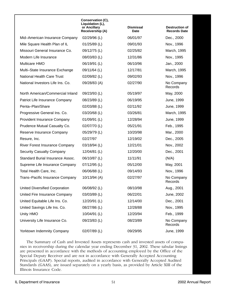|                                       | Conservation (C),<br>Liquidation (L),<br>or Ancillary<br>Receivership (A) | <b>Dismissal</b><br><b>Date</b> | <b>Destruction of</b><br><b>Records Date</b> |
|---------------------------------------|---------------------------------------------------------------------------|---------------------------------|----------------------------------------------|
| Mid-American Insurance Company        | 02/29/96 (L)                                                              | 06/01/97                        | Dec., 2000                                   |
| Mile Square Health Plan of IL         | 01/25/89 (L)                                                              | 09/01/93                        | Nov., 1996                                   |
| Missouri General Insurance Co.        | 09/12/75 (L)                                                              | 02/25/82                        | March, 1995                                  |
| Modern Life Insurance                 | 08/03/83 (L)                                                              | 12/31/86                        | Nov., 1995                                   |
| <b>Multicare HMO</b>                  | 06/19/91 (L)                                                              | 06/10/96                        | Jan., 2000                                   |
| Multi-State Insurance Exchange        | 09/11/64 (L)                                                              | 12/17/81                        | March, 1995                                  |
| <b>National Health Care Trust</b>     | 02/09/82 (L)                                                              | 09/02/93                        | Nov., 1996                                   |
| National Investors Life Ins. Co.      | 09/28/83 (A)                                                              | 02/27/90                        | No Company<br>Records                        |
| North American/Commercial Inland      | 09/23/93 (L)                                                              | 05/19/97                        | May, 2000                                    |
| Patriot Life Insurance Company        | 08/23/89 (L)                                                              | 06/19/95                        | June, 1999                                   |
| Penta-Plan/Share                      | 02/03/88 (L)                                                              | 02/11/92                        | June, 1999                                   |
| Progressive General Ins. Co.          | 03/20/68 (L)                                                              | 03/26/81                        | March, 1995                                  |
| Provident Insurance Company           | 01/09/91 (L)                                                              | 12/28/94                        | June, 1999                                   |
| Prudence Mutual Casualty Co.          | 02/07/70 (L)                                                              | 05/21/91                        | Feb., 1995                                   |
| Reserve Insurance Company             | 05/29/79 (L)                                                              | 10/20/98                        | Mar., 2000                                   |
| Resure, Inc.                          | 02/27/97                                                                  | 12/19/02                        | Dec., 2005                                   |
| <b>River Forest Insurance Company</b> | 03/18/94 (L)                                                              | 12/21/01                        | Nov., 2002                                   |
| Security Casualty Company             | 12/04/81 (L)                                                              | 12/20/00                        | Dec., 2001                                   |
| Standard Burial Insurance Assoc.      | 06/10/87 (L)                                                              | 11/11/91                        | (N/A)                                        |
| Supreme Life Insurance Company        | 07/12/95 (L)                                                              | 05/12/00                        | May, 2001                                    |
| Total Health Care, Inc.               | 06/06/88 (L)                                                              | 09/14/93                        | Nov., 1996                                   |
| Trans-Pacific Insurance Company       | 10/13/94 (A)                                                              | 02/27/97                        | No Company<br>Records                        |
| United Diversified Corporation        | 06/08/92 (L)                                                              | 08/10/98                        | Aug., 2001                                   |
| United Fire Insurance Company         | 03/03/89 (L)                                                              | 06/22/01                        | June, 2002                                   |
| United Equitable Life Ins. Co.        | 12/20/91 (L)                                                              | 12/14/00                        | Dec., 2001                                   |
| United Savings Life Ins. Co.          | 08/27/86 (L)                                                              | 12/28/88                        | Nov., 1995                                   |
| Unity HMO                             | 10/04/91 (L)                                                              | 12/20/94                        | Feb., 1999                                   |
| University Life Insurance Co.         | 09/23/83 (L)                                                              | 08/23/89                        | No Company<br>Records                        |
| Yorktown Indemnity Company            | 02/07/89 (L)                                                              | 09/29/95                        | June, 1999                                   |

The Summary of Cash and Invested Assets represents cash and invested assets of companies in receivership during the calendar year ending December 31, 2002. These tabular listings are presented in accordance with the methods of accounting employed by the Office of the Special Deputy Receiver and are not in accordance with Generally Accepted Accounting Principals (GAAP). Special reports, audited in accordance with Generally Accepted Audited Standards (GAAS), are issued separately on a yearly basis, as provided by Article XIII of the Illinois Insurance Code.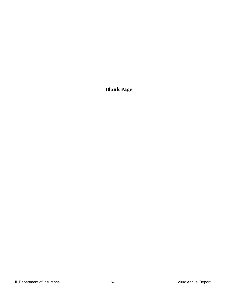**Blank Page**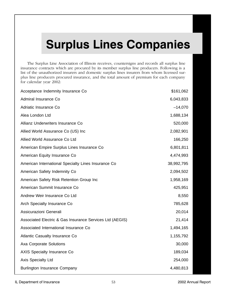# **Surplus Lines Companies**

The Surplus Line Association of Illinois receives, countersigns and records all surplus line insurance contracts which are procured by its member surplus line producers. Following is a list of the unauthorized insurers and domestic surplus lines insurers from whom licensed surplus line producers procured insurance, and the total amount of premium for each company for calendar year 2002:

| Acceptance Indemnity Insurance Co                        | \$161,062  |
|----------------------------------------------------------|------------|
| Admiral Insurance Co                                     | 6,043,833  |
| Adriatic Insurance Co                                    | $-14,070$  |
| Alea London Ltd                                          | 1,688,134  |
| Allianz Underwriters Insurance Co                        | 520,000    |
| Allied World Assurance Co (US) Inc                       | 2,082,901  |
| Allied World Assurance Co Ltd                            | 166,250    |
| American Empire Surplus Lines Insurance Co               | 6,801,811  |
| American Equity Insurance Co                             | 4,474,993  |
| American International Specialty Lines Insurance Co      | 38,992,795 |
| American Safety Indemnity Co                             | 2,094,502  |
| American Safety Risk Retention Group Inc                 | 1,958,169  |
| American Summit Insurance Co                             | 425,951    |
| Andrew Weir Insurance Co Ltd                             | 8,550      |
| Arch Specialty Insurance Co                              | 785,628    |
| Assicurazioni Generali                                   | 20,014     |
| Associated Electric & Gas Insurance Services Ltd (AEGIS) | 21,414     |
| Associated International Insurance Co                    | 1,494,165  |
| <b>Atlantic Casualty Insurance Co</b>                    | 1,155,792  |
| Axa Corporate Solutions                                  | 30,000     |
| <b>AXIS Specialty Insurance Co</b>                       | 189,034    |
| <b>Axis Specialty Ltd</b>                                | 254,000    |
| <b>Burlington Insurance Company</b>                      | 4,480,813  |
|                                                          |            |

IL Departm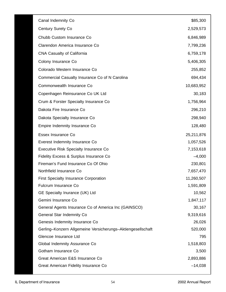| Canal Indemnity Co                                                             | \$85,300               |
|--------------------------------------------------------------------------------|------------------------|
| <b>Century Surety Co</b>                                                       | 2,529,573              |
| Chubb Custom Insurance Co                                                      | 6,846,989              |
| Clarendon America Insurance Co                                                 | 7,799,236              |
| <b>CNA Casualty of California</b>                                              | 6,759,178              |
| Colony Insurance Co                                                            | 5,406,305              |
| Colorado Western Insurance Co                                                  | 255,852                |
| Commercial Casualty Insurance Co of N Carolina                                 | 694,434                |
| Commonwealth Insurance Co                                                      | 10,683,952             |
| Copenhagen Reinsurance Co UK Ltd                                               | 30,183                 |
| Crum & Forster Specialty Insurance Co                                          | 1,756,964              |
| Dakota Fire Insurance Co                                                       | 296,210                |
| Dakota Specialty Insurance Co                                                  | 298,940                |
| Empire Indemnity Insurance Co                                                  | 128,480                |
|                                                                                |                        |
| Essex Insurance Co                                                             | 25,211,876             |
| Everest Indemnity Insurance Co<br><b>Executive Risk Specialty Insurance Co</b> | 1,057,526<br>7,153,618 |
| Fidelity Excess & Surplus Insurance Co                                         | $-4,000$               |
| Fireman's Fund Insurance Co Of Ohio                                            | 230,801                |
| Northfield Insurance Co                                                        | 7,657,470              |
| <b>First Specialty Insurance Corporation</b>                                   | 11,260,507             |
| Fulcrum Insurance Co                                                           | 1,591,809              |
| GE Specialty Inurance (UK) Ltd                                                 | 10,562                 |
| Gemini Insurance Co                                                            | 1,847,117              |
| General Agents Insurance Co of America Inc (GAINSCO)                           | 30,167                 |
| <b>General Star Indemnity Co</b>                                               | 9,319,616              |
| Genesis Indemnity Insurance Co                                                 | 26,026                 |
| Gerling-Konzern Allgemeine Versicherungs-Aktiengesellschaft                    | 520,000                |
| Glencoe Insurance Ltd                                                          | 795                    |
|                                                                                |                        |
| Global Indemnity Assurance Co<br>Gotham Insurance Co                           | 1,518,803              |
| Great American E&S Insurance Co                                                | 3,500                  |
|                                                                                | 2,893,886              |
| Great American Fidelity Insurance Co                                           | $-14,038$              |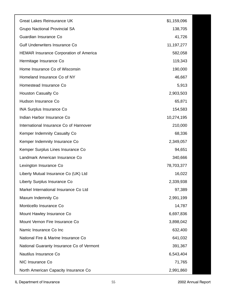| <b>Great Lakes Reinsurance UK</b>             | \$1,159,096  |
|-----------------------------------------------|--------------|
| <b>Grupo Nactional Provincial SA</b>          | 138,705      |
| Guardian Insurance Co                         | 41,726       |
| <b>Gulf Underwriters Insurance Co</b>         | 11, 197, 277 |
| <b>HEMAR Insurance Corporation of America</b> | 582,058      |
| Hermitage Insurance Co                        | 119,343      |
| Home Insurance Co of Wisconsin                | 190,000      |
| Homeland Insurance Co of NY                   | 46,667       |
| Homestead Insurance Co                        | 5,913        |
| <b>Houston Casualty Co</b>                    | 2,903,503    |
| Hudson Insurance Co                           | 65,871       |
| <b>INA Surplus Insurance Co</b>               | 154,583      |
| Indian Harbor Insurance Co                    | 10,274,195   |
| International Insurance Co of Hannover        | 210,000      |
| Kemper Indemnity Casualty Co                  | 68,336       |
| Kemper Indemnity Insurance Co                 | 2,349,057    |
| Kemper Surplus Lines Insurance Co             | 94,651       |
| Landmark American Insurance Co                | 340,666      |
| Lexington Insurance Co                        | 78,703,377   |
| Liberty Mutual Insurance Co (UK) Ltd          | 16,022       |
| Liberty Surplus Insurance Co                  | 2,339,938    |
| Markel International Insurance Co Ltd         | 97,389       |
| Maxum Indemnity Co                            | 2,991,199    |
| Monticello Insurance Co                       | 14,787       |
| Mount Hawley Insurance Co                     | 6,697,836    |
| Mount Vernon Fire Insurance Co                | 3,898,042    |
| Namic Insurance Co Inc                        | 632,400      |
| National Fire & Marine Insurance Co           | 641,032      |
| National Guaranty Insurance Co of Vermont     | 391,367      |
| Nautilus Insurance Co                         | 6,543,404    |
| NIC Insurance Co                              | 71,765       |
| North American Capacity Insurance Co          | 2,991,860    |

IL Departm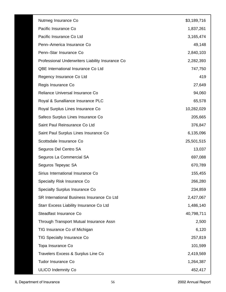| Nutmeg Insurance Co                              | \$3,189,716 |
|--------------------------------------------------|-------------|
| Pacific Insurance Co                             | 1,837,261   |
| Pacific Insurance Co Ltd                         | 3,165,474   |
| Penn-America Insurance Co                        | 49,148      |
| Penn-Star Insurance Co                           | 2,840,103   |
| Professional Underwriters Liability Insurance Co | 2,282,393   |
| QBE International Insurance Co Ltd               | 747,750     |
| Regency Insurance Co Ltd                         | 419         |
| Regis Insurance Co                               | 27,649      |
| Reliance Universal Insurance Co                  | 94,060      |
| Royal & Sunalliance Insurance PLC                | 65,578      |
| Royal Surplus Lines Insurance Co                 | 10,282,029  |
| Safeco Surplus Lines Insurance Co                | 205,665     |
| Saint Paul Reinsurance Co Ltd                    | 376,847     |
| Saint Paul Surplus Lines Insurance Co            | 6,135,096   |
| Scottsdale Insurance Co                          | 25,501,515  |
| Seguros Del Centro SA                            | 13,037      |
| Seguros La Commercial SA                         | 697,088     |
| Seguros Tepeyac SA                               | 670,789     |
| Sirius International Insurance Co                | 155,455     |
| Specialty Risk Insurance Co                      | 266,280     |
| Specialty Surplus Insurance Co                   | 234,859     |
| SR International Business Insurance Co Ltd       | 2,427,067   |
| Starr Excess Liability Insurance Co Ltd          | 1,486,140   |
| Steadfast Insurance Co                           | 40,798,711  |
| Through Transport Mutual Insurance Assn          | 2,500       |
| TIG Insurance Co of Michigan                     | 6,120       |
| TIG Specialty Insurance Co                       | 257,819     |
| Topa Insurance Co                                | 101,599     |
| Travelers Excess & Surplus Line Co               | 2,419,569   |
| Tudor Insurance Co                               | 1,264,387   |
| <b>ULICO Indemnity Co</b>                        | 452,417     |

IL Departm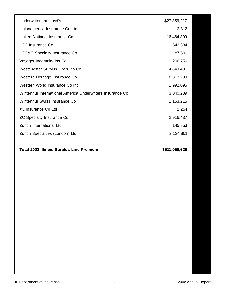| Underwriters at Lloyd's                                    | \$27,356,217 |
|------------------------------------------------------------|--------------|
| Unionamerica Insurance Co Ltd                              | 2,812        |
| United National Insurance Co                               | 16,464,309   |
| <b>USF Insurance Co</b>                                    | 642,384      |
| <b>USF&amp;G Specialty Insurance Co</b>                    | 87,500       |
| Voyager Indemnity Ins Co                                   | 206,756      |
| Westchester Surplus Lines Ins Co                           | 14,849,481   |
| Western Heritage Insurance Co                              | 8,313,290    |
| Western World Insurance Co Inc                             | 1,992,095    |
| Winterthur International America Underwriters Insurance Co | 3,040,239    |
| Winterthur Swiss Insurance Co                              | 1,153,215    |
| XL Insurance Co Ltd                                        | 1,254        |
| <b>ZC Specialty Insurance Co</b>                           | 2,916,437    |
| Zurich International Ltd                                   | 145,853      |
| Zurich Specialties (London) Ltd                            | 2,134,801    |

### **Total 2002 Illinois Surplus Line Premium \$511,056,626**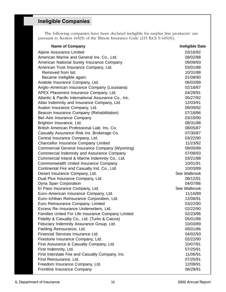### **Ineligible Companies**

The following companies have been declared ineligible for surplus line producers' use pursuant to Section  $445(9)$  of the Illinois Insurance Code  $(215$  ILCS  $5/445(9)$ ).

| <b>Name of Company</b>                               | <b>Ineligible Date</b> |
|------------------------------------------------------|------------------------|
| Alpine Assurance Limited                             | 03/16/92               |
| American Marine and General Ins. Co., Ltd.           | 08/02/88               |
| American National Surety Insurance Company           | 09/09/93               |
| American Trust Insurance Company, Ltd.               | 03/01/88               |
| Removed from list:                                   | 10/31/88               |
| Became Ineligible again:                             | 01/08/90               |
| Anatole Insurance Company, Ltd.                      | 06/02/89               |
| Anglo-American Insurance Company (Louisiana)         | 02/18/87               |
| APEX Placement Insurance Company, Ltd.               | 04/29/91               |
| Atlantic & Pacific International Assurance Co., Inc. | 05/27/92               |
| Atlas Indemnity and Insurance Company, Ltd.          | 12/03/91               |
| Avalon Insurance Company, Ltd.                       | 09/09/92               |
| Beacon Insurance Company (Rehabilitation)            | 07/18/86               |
| Bel-Aire Insurance Company                           | 03/19/90               |
| Brighton Insurance, Ltd.                             | 08/31/88               |
| British American Professional Liab. Ins. Co.         | 08/05/87               |
| Casualty Assurance Risk Ins. Brokerage Co.           | 07/30/87               |
| Central Insurance Company, Ltd.                      | 03/22/90               |
| <b>Chancellor Insurance Company Limited</b>          | 11/23/92               |
| Commercial General Insurance Company (Wyoming)       | 09/05/89               |
| Commercial Indemnity and Assurance Company           | 07/08/93               |
| Commercial Inland & Marine Indemnity Co., Ltd.       | 03/21/88               |
| Commonwealth United Insurance Company                | 10/01/91               |
| Continental Fire and Casualty Ind. Co., Ltd.         | 10/03/89               |
| Desert Insurance Company, Ltd.                       | See Walbrook           |
| Dual Plus Insurance Company, Ltd.                    | 08/12/91               |
| Dyna Span Corporation                                | 04/07/86               |
| El Paso Insurance Company, Ltd.                      | See Walbrook           |
| Euro-American Insurance Company, Ltd.                | 11/16/89               |
| Euro-Ichiban Reinsurance Corporation, Ltd.           | 12/06/91               |
| Euro Reinsurance Company, Limited                    | 03/22/90               |
| Excess Re-Insurance Underwriters, Ltd.               | 02/22/90               |
| Families United For Life Insurance Company Limited   | 02/23/96               |
| Fidelity & Casualty Co., Ltd. (Turks & Caicos)       | 05/01/86               |
| Fiduciary Indemnity Assurance Group, Ltd.            | 10/03/89               |
| Fielding Reinsurance, Ltd.                           | 05/01/86               |
| Financial Services Insurance Ltd.                    | 04/02/93               |
| Firestone Insurance Company, Ltd.                    | 02/22/90               |
| First Assurance & Casualty Company, Ltd.             | 10/07/91               |
| First Indemnity, Ltd.                                | 07/25/91               |
| First Interstate Fire and Casualty Company, Inc.     | 11/06/91               |
| First Reinsurance, Ltd.                              | 07/25/91               |
| Freedom Insurance Company, Ltd.                      | 12/09/91               |
| Frontline Insurance Company                          | 08/28/91               |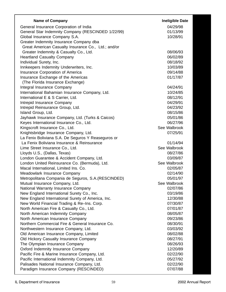| <b>Name of Company</b>                              | <b>Ineligible Date</b> |
|-----------------------------------------------------|------------------------|
| General Insurance Corporation of India              | 04/29/98               |
| General Star Indemnity Company (RESCINDED 1/22/99)  | 01/13/99               |
| Global Insurance Company S.A.                       | 10/28/91               |
| Greater Indemnity Insurance Company dba             |                        |
| Great American Casualty Insurance Co., Ltd.; and/or |                        |
| Greater Indemnity & Casualty Co., Ltd.              | 08/06/93               |
| <b>Heartland Casualty Company</b>                   | 06/02/89               |
| Individual Surety, Inc.                             | 08/18/92               |
| Innkeepers Indemnity Underwriters, Inc.             | 10/03/89               |
| Insurance Corporation of America                    | 09/14/88               |
| Insurance Exchange of the Americas                  | 01/17/87               |
| (The Florida Insurance Exchange)                    |                        |
| Integral Insurance Company                          | 04/24/91               |
| International Bahamian Insurance Company, Ltd.      | 10/24/85               |
| International E & S Carrier, Ltd.                   | 08/12/91               |
| Intrepid Insurance Company                          | 04/29/91               |
| Intrepid Reinsurance Group, Ltd.                    | 04/23/92               |
| Island Group, Ltd.                                  | 08/15/86               |
| Jayhawk Insurance Company, Ltd. (Turks & Caicos)    | 05/01/86               |
| Keyes International Insurance Co., Ltd.             | 06/27/96               |
| Kingscroft Insurance Co., Ltd.                      | See Walbrook           |
| Knightsbridge Insurance Company, Ltd.               | 07/25/91               |
| La Fenix Boliviana S.A. De Seguros Y Reaseguros or  |                        |
| La Fenix Boliviana Insurance & Reinsurance          | 01/14/94               |
| Lime Street Insurance Co., Ltd.                     | See Walbrook           |
| Lloyds U.S., (Dallas, Texas)                        | 08/27/86               |
| London Guarantee & Accident Company, Ltd.           | 03/09/87               |
| London United Reinsurance Co. (Bermuda), Ltd.       | See Walbrook           |
| Macal International, Limited Ins. Co.               | 02/05/87               |
| Meadowlark Insurance Company                        | 02/14/90               |
| Metropolitana Compania de Seguros, S.A. (RESCINDED) | 05/01/97               |
| Mutual Insurance Company, Ltd.                      | See Walbrook           |
| National Warranty Insurance Company                 | 02/07/86               |
| New England International Surety Co., Inc.          | 03/19/86               |
| New England International Surety of America, Inc.   | 12/30/88               |
| New World Financial Trading & Re-Ins. Corp.         | 07/30/87               |
| North American Fire & Casualty Co., Ltd.            | 07/01/87               |
| North American Indemnity Company                    | 08/05/87               |
| North American Insurance Company                    | 09/23/86               |
| Northern Commercial Fire & General Insurance Co.    | 08/30/91               |
| Northwestern Insurance Company, Ltd.                | 03/03/92               |
| Old American Insurance Company, Limited             | 08/02/88               |
| Old Hickory Casualty Insurance Company              | 08/27/91               |
| The Olympian Insurance Company                      | 08/26/93               |
| Oxford Indemnity Insurance Company                  | 12/20/89               |
| Pacific Fire & Marine Insurance Company, Ltd.       | 02/22/90               |
| Pacific International Indemnity Company, Ltd.       | 05/27/92               |
| Palisades National Insurance Company, Ltd.          | 02/22/90               |
| Paradigm Insurance Company (RESCINDED)              | 07/07/88               |
|                                                     |                        |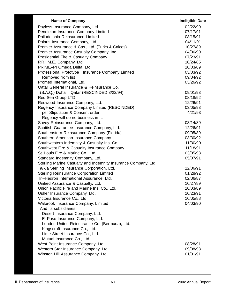| <b>Name of Company</b>                                            | <b>Ineligible Date</b> |
|-------------------------------------------------------------------|------------------------|
| Payless Insurance Company, Ltd.                                   | 02/22/90               |
| Pendleton Insurance Company Limited                               | 07/17/91               |
| Philadelphia Reinsurance Limited                                  | 08/15/91               |
| Polaris Insurance Company, Ltd.                                   | 04/11/91               |
| Premier Assurance & Cas., Ltd. (Turks & Caicos)                   | 10/27/89               |
| Premier Assurance Casualty Company, Inc.                          | 04/06/90               |
| Presidential Fire & Casualty Company                              | 07/23/91               |
| P.R.I.M.E. Company, Ltd.                                          | 10/24/85               |
| PRIME-PI Omega Delta, Ltd.                                        | 10/03/89               |
| Professional Prototype I Insurance Company Limited                | 03/03/92               |
| Removed from list                                                 | 09/04/92               |
| Promed International, Ltd.                                        | 03/26/92               |
| Qatar General Insurance & Reinsurance Co.                         |                        |
| (S.A.Q.) Doha - Qatar (RESCINDED 3/22/94)                         | 09/01/93               |
| Red Sea Group LTD                                                 | 08/18/92               |
| Redwood Insurance Company, Ltd.                                   | 12/26/91               |
| Regency Insurance Company Limited (RESCINDED)                     | 03/05/93               |
| per Stipulation & Consent order                                   | 4/21/93                |
| Regency will do no business in IL                                 |                        |
| Savoy Reinsurance Company, Ltd.                                   | 03/14/89               |
| Scottish Guarantee Insurance Company, Ltd.                        | 12/26/91               |
| Southeastern Reinsurance Company (Florida)                        | 09/05/89               |
| Southern American Insurance Company                               | 03/30/92               |
| Southwestern Indemnity & Casualty Ins. Co.                        | 11/30/90               |
| Southwest Fire & Casualty Insurance Company                       | 11/18/91               |
| St. Louis Fire & Marine Co., Ltd.                                 | 03/05/93               |
| Standard Indemnity Company, Ltd.                                  | 05/07/91               |
| Sterling Marine Casualty and Indemnity Insurance Company, Ltd.    |                        |
| a/k/a Sterling Insurance Corporation, Ltd.                        | 12/06/91               |
| <b>Sterling Reinsurance Corporation Limited</b>                   | 01/28/92               |
| Tri-Hedron International Assurance, Ltd.                          | 02/06/87               |
| Unified Assurance & Casualty, Ltd.                                | 10/27/89               |
| Union Pacific Fire and Marine Ins. Co., Ltd.                      | 10/03/89               |
| Usher Insurance Company, Ltd.                                     | 10/23/91               |
| Victoria Insurance Co., Ltd.                                      | 10/05/88               |
| Walbrook Insurance Company, Limited                               | 04/03/90               |
| And its subsidiaries:                                             |                        |
| Desert Insurance Company, Ltd.                                    |                        |
| El Paso Insurance Company, Ltd.                                   |                        |
| London United Reinsurance Co. (Bermuda), Ltd.                     |                        |
| Kingscroft Insurance Co., Ltd.<br>Lime Street Insurance Co., Ltd. |                        |
| Mutual Insurance Co., Ltd.                                        |                        |
| West Point Insurance Company, Ltd.                                | 08/28/91               |
| Western Star Insurance Company, Ltd.                              | 09/08/93               |
| Winston Hill Assurance Company, Ltd.                              | 01/01/91               |
|                                                                   |                        |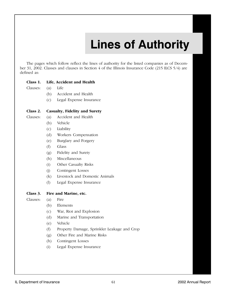# **Lines of Authority**

The pages which follow reflect the lines of authority for the listed companies as of December 31, 2002. Classes and clauses in Section 4 of the Illinois Insurance Code (215 ILCS 5/4) are defined as:

#### $Class 1.$ Life, Accident and Health

- Clauses: Life  $(a)$ 
	- Accident and Health  $(b)$
	- Legal Expense Insurance  $(c)$

#### Class 2. **Casualty, Fidelity and Surety**

- Clauses: Accident and Health  $(a)$ 
	- $(b)$ Vehicle
	- Liability  $(c)$
	- $(d)$ Workers Compensation
	- $(e)$ Burglary and Forgery
	- $(f)$ Glass
	- Fidelity and Surety  $(g)$
	- $(h)$ Miscellaneous
	- $(i)$ Other Casualty Risks
	- Contingent Losses  $(i)$
	- Livestock and Domestic Animals  $(k)$
	- Legal Expense Insurance  $\left( \begin{matrix} 1 \end{matrix} \right)$

#### Class 3. Fire and Marine, etc.

Clauses:  $(a)$ 

- Fire  $(b)$ Elements
- $(c)$ War, Riot and Explosion
- $(d)$ Marine and Transportation
- $(e)$ Vehicle
- Property Damage, Sprinkler Leakage and Crop  $(f)$
- $(g)$ Other Fire and Marine Risks
- $(h)$ Contingent Losses
- $(i)$ Legal Expense Insurance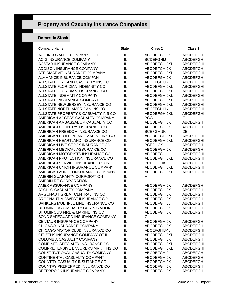### **Property and Casualty Insurance Companies**

#### **Domestic Stock**

| IL<br>ACE INSURANCE COMPANY OF IL<br><b>ABCDEFGHIJK</b><br><b>ABCDEFGH</b><br>ACIG INSURANCE COMPANY<br>IL<br><b>BCDEFGHIJ</b><br><b>ABCDEFGH</b><br><b>ACSTAR INSURANCE COMPANY</b><br>IL<br>ABCDEFGHIJKL<br><b>ABCDEFGHI</b><br>ADDISON INSURANCE COMPANY<br>IL<br><b>ABCDEFGHIJK</b><br><b>ABCDEFGH</b><br>IL<br>AFFIRMATIVE INSURANCE COMPANY<br><b>ABCDEFGHIJKL</b><br><b>ABCDEFGHI</b><br>IL<br>ALAMANCE INSURANCE COMPANY<br><b>ABCDEFGHIJK</b><br><b>ABCDEFGH</b><br>IL<br>ALLSTATE FIRE AND CASUALTY INS CO<br><b>ABCEFGHIJKL</b><br><b>ABCDEFGHI</b><br>IL<br>ALLSTATE FLORIDIAN INDEMNITY CO<br>ABCDEFGHIJKL<br><b>ABCDEFGHI</b><br>IL<br>ALLSTATE FLORIDIAN INSURANCE CO<br>ABCDEFGHIJKL<br><b>ABCDEFGHI</b><br>IL<br>ALLSTATE INDEMNITY COMPANY<br>ABCDEFGHIJKL<br><b>ABCDEFGHI</b><br>ALLSTATE INSURANCE COMPANY<br>IL<br>ABCDEFGHIJKL<br><b>ABCDEFGHI</b><br>ALLSTATE NEW JERSEY INSURANCE CO<br>IL<br>ABCDEFGHIJKL<br><b>ABCDEFGHI</b><br>ALLSTATE NORTH AMERICAN INS CO<br>IL<br><b>ABCEFGHIJKL</b><br><b>ABCDEFGHI</b><br>ALLSTATE PROPERTY & CASUALTY INS CO<br>IL<br><b>ABCDEFGHI</b><br>ABCDEFGHIJKL<br>IL<br>AMERICAN ACCESS CASUALTY COMPANY<br>E<br><b>BCG</b><br>IL<br>AMERICAN AMBASSADOR CASUALTY CO<br><b>ABCDEFGHIJK</b><br><b>ABCDEFGH</b><br>AMERICAN COUNTRY INSURANCE CO<br>IL<br><b>ABCDEFGH</b><br><b>ABCDEFGHIJK</b><br>IL<br>AMERICAN FREEDOM INSURANCE CO<br><b>BCEFGHIJK</b><br>DE<br>AMERICAN FUJI FIRE AND MARINE INS CO<br>IL<br>ABCDEFGHIJKL<br><b>ABCDEFGHI</b><br>IL<br>AMERICAN HEARTLAND INSURANCE CO<br>ABCDEFGHIJKL<br><b>ABCDEFGHI</b><br>AMERICAN LIVE STOCK INSURANCE CO<br>IL<br><b>BCEFHIJK</b><br><b>ABCDEFGH</b><br>AMERICAN MEDICAL ASSURANCE CO<br>IL<br><b>ABCDEFGHIJK</b><br><b>ABCDEFGH</b><br>AMERICAN MOTORISTS INSURANCE CO<br>IL<br><b>ABCDEFGHIL</b><br><b>ABCDEFGHI</b><br>IL<br>AMERICAN PROTECTION INSURANCE CO<br>ABCDEFGHIJKL<br><b>ABCDEFGHI</b><br>IL<br>AMERICAN SERVICE INSURANCE CO INC<br><b>BCEFGHIJK</b><br><b>ABCDEFGH</b><br>IL<br>AMERICAN UNION INSURANCE COMPANY<br>ABCDEFGHIJKL<br><b>ABCDEFGHI</b><br>IL<br>AMERICAN ZURICH INSURANCE COMPANY<br>ABCDEFGHIJKL<br><b>ABCDEFGHI</b><br>IL<br>AMERIN GUARANTY CORPORATION<br>H<br>IL<br>AMERIN RE CORPORATION<br>H<br>AMEX ASSURANCE COMPANY<br>IL<br><b>ABCDEFGHIJK</b><br><b>ABCDEFGH</b><br>APOLLO CASUALTY COMPANY<br>IL<br><b>ABCDEFGHIJK</b><br><b>ABCDEFGH</b><br>ARGONAUT GREAT CENTRAL INS CO<br>IL<br><b>ABCDEFGHIJK</b><br><b>ABCDEFGH</b><br>ARGONAUT MIDWEST INSURANCE CO<br>IL<br><b>ABCDEFGHIJK</b><br><b>ABCDEFGH</b><br>BANKERS MULTIPLE LINE INSURANCE CO<br>IL<br><b>ABCDEFGHIJL</b><br><b>ABCDEFGH</b><br><b>BITUMINOUS CASUALTY CORPORATION</b><br>IL<br><b>ABCDEFGHIJK</b><br><b>ABCDEFGH</b><br>BITUMINOUS FIRE & MARINE INS CO<br><b>ABCDEFGHIJK</b><br><b>ABCDEFGH</b><br>IL<br>BOND SAFEGUARD INSURANCE COMPANY<br>IL<br>G<br>CENTAUR INSURANCE COMPANY<br>IL<br><b>ABCDEFGHIJK</b><br><b>ABCDEFGH</b><br>CHICAGO INSURANCE COMPANY<br>IL<br><b>ABCDEFGHIJK</b><br><b>ABCDEFGH</b><br>CHICAGO MOTOR CLUB INSURANCE CO<br>IL<br><b>ABCEFGHIJKL</b><br><b>ABCDEFGHI</b><br>CITIZENS INSURANCE COMPANY OF IL<br>IL<br><b>ABCDEFGHIJKL</b><br><b>ABCDEFGHI</b><br><b>COLUMBIA CASUALTY COMPANY</b><br>IL<br><b>ABCDEFGHIJK</b><br>ABCDEFGH<br>COMBINED SPECIALTY INSURANCE CO<br>IL<br>ABCDEFGHIJKL<br><b>ABCDEFGHI</b><br>IL<br><b>COMPREHENSIVE ENSURERS MRKT INS CO</b><br>ABCDEFGHIJKL<br><b>ABCDEFGHI</b><br>CONSTITUTIONAL CASUALTY COMPANY<br>IL<br><b>ABCDEFGHIJ</b><br><b>ABCDEFGH</b><br>IL<br>CONTINENTAL CASUALTY COMPANY<br><b>ABCDEFGHIJK</b><br><b>ABCDEFGH</b><br>IL<br>COUNTRY CASUALTY INSURANCE CO<br><b>ABCDEFGHIJK</b><br><b>ABCDEFGH</b><br>COUNTRY PREFERRED INSURANCE CO<br>IL<br><b>ABCDEFGHIJK</b><br><b>ABCDEFGH</b><br>DEERBROOK INSURANCE COMPANY<br>IL<br><b>ABCDEFGHIJK</b><br><b>ABCDEFGH</b> | <b>Company Name</b> | <b>State</b> | Class 2 | Class 3 |
|----------------------------------------------------------------------------------------------------------------------------------------------------------------------------------------------------------------------------------------------------------------------------------------------------------------------------------------------------------------------------------------------------------------------------------------------------------------------------------------------------------------------------------------------------------------------------------------------------------------------------------------------------------------------------------------------------------------------------------------------------------------------------------------------------------------------------------------------------------------------------------------------------------------------------------------------------------------------------------------------------------------------------------------------------------------------------------------------------------------------------------------------------------------------------------------------------------------------------------------------------------------------------------------------------------------------------------------------------------------------------------------------------------------------------------------------------------------------------------------------------------------------------------------------------------------------------------------------------------------------------------------------------------------------------------------------------------------------------------------------------------------------------------------------------------------------------------------------------------------------------------------------------------------------------------------------------------------------------------------------------------------------------------------------------------------------------------------------------------------------------------------------------------------------------------------------------------------------------------------------------------------------------------------------------------------------------------------------------------------------------------------------------------------------------------------------------------------------------------------------------------------------------------------------------------------------------------------------------------------------------------------------------------------------------------------------------------------------------------------------------------------------------------------------------------------------------------------------------------------------------------------------------------------------------------------------------------------------------------------------------------------------------------------------------------------------------------------------------------------------------------------------------------------------------------------------------------------------------------------------------------------------------------------------------------------------------------------------------------------------------------------------------------------------------------------------------------------------------------------------------------------------------------------------------------------------------------------------------------------------------------------------------------------------------------------------------------------------------------------------------------------------------------------------------------------------------------------------------------------------------------------|---------------------|--------------|---------|---------|
|                                                                                                                                                                                                                                                                                                                                                                                                                                                                                                                                                                                                                                                                                                                                                                                                                                                                                                                                                                                                                                                                                                                                                                                                                                                                                                                                                                                                                                                                                                                                                                                                                                                                                                                                                                                                                                                                                                                                                                                                                                                                                                                                                                                                                                                                                                                                                                                                                                                                                                                                                                                                                                                                                                                                                                                                                                                                                                                                                                                                                                                                                                                                                                                                                                                                                                                                                                                                                                                                                                                                                                                                                                                                                                                                                                                                                                                                                        |                     |              |         |         |
|                                                                                                                                                                                                                                                                                                                                                                                                                                                                                                                                                                                                                                                                                                                                                                                                                                                                                                                                                                                                                                                                                                                                                                                                                                                                                                                                                                                                                                                                                                                                                                                                                                                                                                                                                                                                                                                                                                                                                                                                                                                                                                                                                                                                                                                                                                                                                                                                                                                                                                                                                                                                                                                                                                                                                                                                                                                                                                                                                                                                                                                                                                                                                                                                                                                                                                                                                                                                                                                                                                                                                                                                                                                                                                                                                                                                                                                                                        |                     |              |         |         |
|                                                                                                                                                                                                                                                                                                                                                                                                                                                                                                                                                                                                                                                                                                                                                                                                                                                                                                                                                                                                                                                                                                                                                                                                                                                                                                                                                                                                                                                                                                                                                                                                                                                                                                                                                                                                                                                                                                                                                                                                                                                                                                                                                                                                                                                                                                                                                                                                                                                                                                                                                                                                                                                                                                                                                                                                                                                                                                                                                                                                                                                                                                                                                                                                                                                                                                                                                                                                                                                                                                                                                                                                                                                                                                                                                                                                                                                                                        |                     |              |         |         |
|                                                                                                                                                                                                                                                                                                                                                                                                                                                                                                                                                                                                                                                                                                                                                                                                                                                                                                                                                                                                                                                                                                                                                                                                                                                                                                                                                                                                                                                                                                                                                                                                                                                                                                                                                                                                                                                                                                                                                                                                                                                                                                                                                                                                                                                                                                                                                                                                                                                                                                                                                                                                                                                                                                                                                                                                                                                                                                                                                                                                                                                                                                                                                                                                                                                                                                                                                                                                                                                                                                                                                                                                                                                                                                                                                                                                                                                                                        |                     |              |         |         |
|                                                                                                                                                                                                                                                                                                                                                                                                                                                                                                                                                                                                                                                                                                                                                                                                                                                                                                                                                                                                                                                                                                                                                                                                                                                                                                                                                                                                                                                                                                                                                                                                                                                                                                                                                                                                                                                                                                                                                                                                                                                                                                                                                                                                                                                                                                                                                                                                                                                                                                                                                                                                                                                                                                                                                                                                                                                                                                                                                                                                                                                                                                                                                                                                                                                                                                                                                                                                                                                                                                                                                                                                                                                                                                                                                                                                                                                                                        |                     |              |         |         |
|                                                                                                                                                                                                                                                                                                                                                                                                                                                                                                                                                                                                                                                                                                                                                                                                                                                                                                                                                                                                                                                                                                                                                                                                                                                                                                                                                                                                                                                                                                                                                                                                                                                                                                                                                                                                                                                                                                                                                                                                                                                                                                                                                                                                                                                                                                                                                                                                                                                                                                                                                                                                                                                                                                                                                                                                                                                                                                                                                                                                                                                                                                                                                                                                                                                                                                                                                                                                                                                                                                                                                                                                                                                                                                                                                                                                                                                                                        |                     |              |         |         |
|                                                                                                                                                                                                                                                                                                                                                                                                                                                                                                                                                                                                                                                                                                                                                                                                                                                                                                                                                                                                                                                                                                                                                                                                                                                                                                                                                                                                                                                                                                                                                                                                                                                                                                                                                                                                                                                                                                                                                                                                                                                                                                                                                                                                                                                                                                                                                                                                                                                                                                                                                                                                                                                                                                                                                                                                                                                                                                                                                                                                                                                                                                                                                                                                                                                                                                                                                                                                                                                                                                                                                                                                                                                                                                                                                                                                                                                                                        |                     |              |         |         |
|                                                                                                                                                                                                                                                                                                                                                                                                                                                                                                                                                                                                                                                                                                                                                                                                                                                                                                                                                                                                                                                                                                                                                                                                                                                                                                                                                                                                                                                                                                                                                                                                                                                                                                                                                                                                                                                                                                                                                                                                                                                                                                                                                                                                                                                                                                                                                                                                                                                                                                                                                                                                                                                                                                                                                                                                                                                                                                                                                                                                                                                                                                                                                                                                                                                                                                                                                                                                                                                                                                                                                                                                                                                                                                                                                                                                                                                                                        |                     |              |         |         |
|                                                                                                                                                                                                                                                                                                                                                                                                                                                                                                                                                                                                                                                                                                                                                                                                                                                                                                                                                                                                                                                                                                                                                                                                                                                                                                                                                                                                                                                                                                                                                                                                                                                                                                                                                                                                                                                                                                                                                                                                                                                                                                                                                                                                                                                                                                                                                                                                                                                                                                                                                                                                                                                                                                                                                                                                                                                                                                                                                                                                                                                                                                                                                                                                                                                                                                                                                                                                                                                                                                                                                                                                                                                                                                                                                                                                                                                                                        |                     |              |         |         |
|                                                                                                                                                                                                                                                                                                                                                                                                                                                                                                                                                                                                                                                                                                                                                                                                                                                                                                                                                                                                                                                                                                                                                                                                                                                                                                                                                                                                                                                                                                                                                                                                                                                                                                                                                                                                                                                                                                                                                                                                                                                                                                                                                                                                                                                                                                                                                                                                                                                                                                                                                                                                                                                                                                                                                                                                                                                                                                                                                                                                                                                                                                                                                                                                                                                                                                                                                                                                                                                                                                                                                                                                                                                                                                                                                                                                                                                                                        |                     |              |         |         |
|                                                                                                                                                                                                                                                                                                                                                                                                                                                                                                                                                                                                                                                                                                                                                                                                                                                                                                                                                                                                                                                                                                                                                                                                                                                                                                                                                                                                                                                                                                                                                                                                                                                                                                                                                                                                                                                                                                                                                                                                                                                                                                                                                                                                                                                                                                                                                                                                                                                                                                                                                                                                                                                                                                                                                                                                                                                                                                                                                                                                                                                                                                                                                                                                                                                                                                                                                                                                                                                                                                                                                                                                                                                                                                                                                                                                                                                                                        |                     |              |         |         |
|                                                                                                                                                                                                                                                                                                                                                                                                                                                                                                                                                                                                                                                                                                                                                                                                                                                                                                                                                                                                                                                                                                                                                                                                                                                                                                                                                                                                                                                                                                                                                                                                                                                                                                                                                                                                                                                                                                                                                                                                                                                                                                                                                                                                                                                                                                                                                                                                                                                                                                                                                                                                                                                                                                                                                                                                                                                                                                                                                                                                                                                                                                                                                                                                                                                                                                                                                                                                                                                                                                                                                                                                                                                                                                                                                                                                                                                                                        |                     |              |         |         |
|                                                                                                                                                                                                                                                                                                                                                                                                                                                                                                                                                                                                                                                                                                                                                                                                                                                                                                                                                                                                                                                                                                                                                                                                                                                                                                                                                                                                                                                                                                                                                                                                                                                                                                                                                                                                                                                                                                                                                                                                                                                                                                                                                                                                                                                                                                                                                                                                                                                                                                                                                                                                                                                                                                                                                                                                                                                                                                                                                                                                                                                                                                                                                                                                                                                                                                                                                                                                                                                                                                                                                                                                                                                                                                                                                                                                                                                                                        |                     |              |         |         |
|                                                                                                                                                                                                                                                                                                                                                                                                                                                                                                                                                                                                                                                                                                                                                                                                                                                                                                                                                                                                                                                                                                                                                                                                                                                                                                                                                                                                                                                                                                                                                                                                                                                                                                                                                                                                                                                                                                                                                                                                                                                                                                                                                                                                                                                                                                                                                                                                                                                                                                                                                                                                                                                                                                                                                                                                                                                                                                                                                                                                                                                                                                                                                                                                                                                                                                                                                                                                                                                                                                                                                                                                                                                                                                                                                                                                                                                                                        |                     |              |         |         |
|                                                                                                                                                                                                                                                                                                                                                                                                                                                                                                                                                                                                                                                                                                                                                                                                                                                                                                                                                                                                                                                                                                                                                                                                                                                                                                                                                                                                                                                                                                                                                                                                                                                                                                                                                                                                                                                                                                                                                                                                                                                                                                                                                                                                                                                                                                                                                                                                                                                                                                                                                                                                                                                                                                                                                                                                                                                                                                                                                                                                                                                                                                                                                                                                                                                                                                                                                                                                                                                                                                                                                                                                                                                                                                                                                                                                                                                                                        |                     |              |         |         |
|                                                                                                                                                                                                                                                                                                                                                                                                                                                                                                                                                                                                                                                                                                                                                                                                                                                                                                                                                                                                                                                                                                                                                                                                                                                                                                                                                                                                                                                                                                                                                                                                                                                                                                                                                                                                                                                                                                                                                                                                                                                                                                                                                                                                                                                                                                                                                                                                                                                                                                                                                                                                                                                                                                                                                                                                                                                                                                                                                                                                                                                                                                                                                                                                                                                                                                                                                                                                                                                                                                                                                                                                                                                                                                                                                                                                                                                                                        |                     |              |         |         |
|                                                                                                                                                                                                                                                                                                                                                                                                                                                                                                                                                                                                                                                                                                                                                                                                                                                                                                                                                                                                                                                                                                                                                                                                                                                                                                                                                                                                                                                                                                                                                                                                                                                                                                                                                                                                                                                                                                                                                                                                                                                                                                                                                                                                                                                                                                                                                                                                                                                                                                                                                                                                                                                                                                                                                                                                                                                                                                                                                                                                                                                                                                                                                                                                                                                                                                                                                                                                                                                                                                                                                                                                                                                                                                                                                                                                                                                                                        |                     |              |         |         |
|                                                                                                                                                                                                                                                                                                                                                                                                                                                                                                                                                                                                                                                                                                                                                                                                                                                                                                                                                                                                                                                                                                                                                                                                                                                                                                                                                                                                                                                                                                                                                                                                                                                                                                                                                                                                                                                                                                                                                                                                                                                                                                                                                                                                                                                                                                                                                                                                                                                                                                                                                                                                                                                                                                                                                                                                                                                                                                                                                                                                                                                                                                                                                                                                                                                                                                                                                                                                                                                                                                                                                                                                                                                                                                                                                                                                                                                                                        |                     |              |         |         |
|                                                                                                                                                                                                                                                                                                                                                                                                                                                                                                                                                                                                                                                                                                                                                                                                                                                                                                                                                                                                                                                                                                                                                                                                                                                                                                                                                                                                                                                                                                                                                                                                                                                                                                                                                                                                                                                                                                                                                                                                                                                                                                                                                                                                                                                                                                                                                                                                                                                                                                                                                                                                                                                                                                                                                                                                                                                                                                                                                                                                                                                                                                                                                                                                                                                                                                                                                                                                                                                                                                                                                                                                                                                                                                                                                                                                                                                                                        |                     |              |         |         |
|                                                                                                                                                                                                                                                                                                                                                                                                                                                                                                                                                                                                                                                                                                                                                                                                                                                                                                                                                                                                                                                                                                                                                                                                                                                                                                                                                                                                                                                                                                                                                                                                                                                                                                                                                                                                                                                                                                                                                                                                                                                                                                                                                                                                                                                                                                                                                                                                                                                                                                                                                                                                                                                                                                                                                                                                                                                                                                                                                                                                                                                                                                                                                                                                                                                                                                                                                                                                                                                                                                                                                                                                                                                                                                                                                                                                                                                                                        |                     |              |         |         |
|                                                                                                                                                                                                                                                                                                                                                                                                                                                                                                                                                                                                                                                                                                                                                                                                                                                                                                                                                                                                                                                                                                                                                                                                                                                                                                                                                                                                                                                                                                                                                                                                                                                                                                                                                                                                                                                                                                                                                                                                                                                                                                                                                                                                                                                                                                                                                                                                                                                                                                                                                                                                                                                                                                                                                                                                                                                                                                                                                                                                                                                                                                                                                                                                                                                                                                                                                                                                                                                                                                                                                                                                                                                                                                                                                                                                                                                                                        |                     |              |         |         |
|                                                                                                                                                                                                                                                                                                                                                                                                                                                                                                                                                                                                                                                                                                                                                                                                                                                                                                                                                                                                                                                                                                                                                                                                                                                                                                                                                                                                                                                                                                                                                                                                                                                                                                                                                                                                                                                                                                                                                                                                                                                                                                                                                                                                                                                                                                                                                                                                                                                                                                                                                                                                                                                                                                                                                                                                                                                                                                                                                                                                                                                                                                                                                                                                                                                                                                                                                                                                                                                                                                                                                                                                                                                                                                                                                                                                                                                                                        |                     |              |         |         |
|                                                                                                                                                                                                                                                                                                                                                                                                                                                                                                                                                                                                                                                                                                                                                                                                                                                                                                                                                                                                                                                                                                                                                                                                                                                                                                                                                                                                                                                                                                                                                                                                                                                                                                                                                                                                                                                                                                                                                                                                                                                                                                                                                                                                                                                                                                                                                                                                                                                                                                                                                                                                                                                                                                                                                                                                                                                                                                                                                                                                                                                                                                                                                                                                                                                                                                                                                                                                                                                                                                                                                                                                                                                                                                                                                                                                                                                                                        |                     |              |         |         |
|                                                                                                                                                                                                                                                                                                                                                                                                                                                                                                                                                                                                                                                                                                                                                                                                                                                                                                                                                                                                                                                                                                                                                                                                                                                                                                                                                                                                                                                                                                                                                                                                                                                                                                                                                                                                                                                                                                                                                                                                                                                                                                                                                                                                                                                                                                                                                                                                                                                                                                                                                                                                                                                                                                                                                                                                                                                                                                                                                                                                                                                                                                                                                                                                                                                                                                                                                                                                                                                                                                                                                                                                                                                                                                                                                                                                                                                                                        |                     |              |         |         |
|                                                                                                                                                                                                                                                                                                                                                                                                                                                                                                                                                                                                                                                                                                                                                                                                                                                                                                                                                                                                                                                                                                                                                                                                                                                                                                                                                                                                                                                                                                                                                                                                                                                                                                                                                                                                                                                                                                                                                                                                                                                                                                                                                                                                                                                                                                                                                                                                                                                                                                                                                                                                                                                                                                                                                                                                                                                                                                                                                                                                                                                                                                                                                                                                                                                                                                                                                                                                                                                                                                                                                                                                                                                                                                                                                                                                                                                                                        |                     |              |         |         |
|                                                                                                                                                                                                                                                                                                                                                                                                                                                                                                                                                                                                                                                                                                                                                                                                                                                                                                                                                                                                                                                                                                                                                                                                                                                                                                                                                                                                                                                                                                                                                                                                                                                                                                                                                                                                                                                                                                                                                                                                                                                                                                                                                                                                                                                                                                                                                                                                                                                                                                                                                                                                                                                                                                                                                                                                                                                                                                                                                                                                                                                                                                                                                                                                                                                                                                                                                                                                                                                                                                                                                                                                                                                                                                                                                                                                                                                                                        |                     |              |         |         |
|                                                                                                                                                                                                                                                                                                                                                                                                                                                                                                                                                                                                                                                                                                                                                                                                                                                                                                                                                                                                                                                                                                                                                                                                                                                                                                                                                                                                                                                                                                                                                                                                                                                                                                                                                                                                                                                                                                                                                                                                                                                                                                                                                                                                                                                                                                                                                                                                                                                                                                                                                                                                                                                                                                                                                                                                                                                                                                                                                                                                                                                                                                                                                                                                                                                                                                                                                                                                                                                                                                                                                                                                                                                                                                                                                                                                                                                                                        |                     |              |         |         |
|                                                                                                                                                                                                                                                                                                                                                                                                                                                                                                                                                                                                                                                                                                                                                                                                                                                                                                                                                                                                                                                                                                                                                                                                                                                                                                                                                                                                                                                                                                                                                                                                                                                                                                                                                                                                                                                                                                                                                                                                                                                                                                                                                                                                                                                                                                                                                                                                                                                                                                                                                                                                                                                                                                                                                                                                                                                                                                                                                                                                                                                                                                                                                                                                                                                                                                                                                                                                                                                                                                                                                                                                                                                                                                                                                                                                                                                                                        |                     |              |         |         |
|                                                                                                                                                                                                                                                                                                                                                                                                                                                                                                                                                                                                                                                                                                                                                                                                                                                                                                                                                                                                                                                                                                                                                                                                                                                                                                                                                                                                                                                                                                                                                                                                                                                                                                                                                                                                                                                                                                                                                                                                                                                                                                                                                                                                                                                                                                                                                                                                                                                                                                                                                                                                                                                                                                                                                                                                                                                                                                                                                                                                                                                                                                                                                                                                                                                                                                                                                                                                                                                                                                                                                                                                                                                                                                                                                                                                                                                                                        |                     |              |         |         |
|                                                                                                                                                                                                                                                                                                                                                                                                                                                                                                                                                                                                                                                                                                                                                                                                                                                                                                                                                                                                                                                                                                                                                                                                                                                                                                                                                                                                                                                                                                                                                                                                                                                                                                                                                                                                                                                                                                                                                                                                                                                                                                                                                                                                                                                                                                                                                                                                                                                                                                                                                                                                                                                                                                                                                                                                                                                                                                                                                                                                                                                                                                                                                                                                                                                                                                                                                                                                                                                                                                                                                                                                                                                                                                                                                                                                                                                                                        |                     |              |         |         |
|                                                                                                                                                                                                                                                                                                                                                                                                                                                                                                                                                                                                                                                                                                                                                                                                                                                                                                                                                                                                                                                                                                                                                                                                                                                                                                                                                                                                                                                                                                                                                                                                                                                                                                                                                                                                                                                                                                                                                                                                                                                                                                                                                                                                                                                                                                                                                                                                                                                                                                                                                                                                                                                                                                                                                                                                                                                                                                                                                                                                                                                                                                                                                                                                                                                                                                                                                                                                                                                                                                                                                                                                                                                                                                                                                                                                                                                                                        |                     |              |         |         |
|                                                                                                                                                                                                                                                                                                                                                                                                                                                                                                                                                                                                                                                                                                                                                                                                                                                                                                                                                                                                                                                                                                                                                                                                                                                                                                                                                                                                                                                                                                                                                                                                                                                                                                                                                                                                                                                                                                                                                                                                                                                                                                                                                                                                                                                                                                                                                                                                                                                                                                                                                                                                                                                                                                                                                                                                                                                                                                                                                                                                                                                                                                                                                                                                                                                                                                                                                                                                                                                                                                                                                                                                                                                                                                                                                                                                                                                                                        |                     |              |         |         |
|                                                                                                                                                                                                                                                                                                                                                                                                                                                                                                                                                                                                                                                                                                                                                                                                                                                                                                                                                                                                                                                                                                                                                                                                                                                                                                                                                                                                                                                                                                                                                                                                                                                                                                                                                                                                                                                                                                                                                                                                                                                                                                                                                                                                                                                                                                                                                                                                                                                                                                                                                                                                                                                                                                                                                                                                                                                                                                                                                                                                                                                                                                                                                                                                                                                                                                                                                                                                                                                                                                                                                                                                                                                                                                                                                                                                                                                                                        |                     |              |         |         |
|                                                                                                                                                                                                                                                                                                                                                                                                                                                                                                                                                                                                                                                                                                                                                                                                                                                                                                                                                                                                                                                                                                                                                                                                                                                                                                                                                                                                                                                                                                                                                                                                                                                                                                                                                                                                                                                                                                                                                                                                                                                                                                                                                                                                                                                                                                                                                                                                                                                                                                                                                                                                                                                                                                                                                                                                                                                                                                                                                                                                                                                                                                                                                                                                                                                                                                                                                                                                                                                                                                                                                                                                                                                                                                                                                                                                                                                                                        |                     |              |         |         |
|                                                                                                                                                                                                                                                                                                                                                                                                                                                                                                                                                                                                                                                                                                                                                                                                                                                                                                                                                                                                                                                                                                                                                                                                                                                                                                                                                                                                                                                                                                                                                                                                                                                                                                                                                                                                                                                                                                                                                                                                                                                                                                                                                                                                                                                                                                                                                                                                                                                                                                                                                                                                                                                                                                                                                                                                                                                                                                                                                                                                                                                                                                                                                                                                                                                                                                                                                                                                                                                                                                                                                                                                                                                                                                                                                                                                                                                                                        |                     |              |         |         |
|                                                                                                                                                                                                                                                                                                                                                                                                                                                                                                                                                                                                                                                                                                                                                                                                                                                                                                                                                                                                                                                                                                                                                                                                                                                                                                                                                                                                                                                                                                                                                                                                                                                                                                                                                                                                                                                                                                                                                                                                                                                                                                                                                                                                                                                                                                                                                                                                                                                                                                                                                                                                                                                                                                                                                                                                                                                                                                                                                                                                                                                                                                                                                                                                                                                                                                                                                                                                                                                                                                                                                                                                                                                                                                                                                                                                                                                                                        |                     |              |         |         |
|                                                                                                                                                                                                                                                                                                                                                                                                                                                                                                                                                                                                                                                                                                                                                                                                                                                                                                                                                                                                                                                                                                                                                                                                                                                                                                                                                                                                                                                                                                                                                                                                                                                                                                                                                                                                                                                                                                                                                                                                                                                                                                                                                                                                                                                                                                                                                                                                                                                                                                                                                                                                                                                                                                                                                                                                                                                                                                                                                                                                                                                                                                                                                                                                                                                                                                                                                                                                                                                                                                                                                                                                                                                                                                                                                                                                                                                                                        |                     |              |         |         |
|                                                                                                                                                                                                                                                                                                                                                                                                                                                                                                                                                                                                                                                                                                                                                                                                                                                                                                                                                                                                                                                                                                                                                                                                                                                                                                                                                                                                                                                                                                                                                                                                                                                                                                                                                                                                                                                                                                                                                                                                                                                                                                                                                                                                                                                                                                                                                                                                                                                                                                                                                                                                                                                                                                                                                                                                                                                                                                                                                                                                                                                                                                                                                                                                                                                                                                                                                                                                                                                                                                                                                                                                                                                                                                                                                                                                                                                                                        |                     |              |         |         |
|                                                                                                                                                                                                                                                                                                                                                                                                                                                                                                                                                                                                                                                                                                                                                                                                                                                                                                                                                                                                                                                                                                                                                                                                                                                                                                                                                                                                                                                                                                                                                                                                                                                                                                                                                                                                                                                                                                                                                                                                                                                                                                                                                                                                                                                                                                                                                                                                                                                                                                                                                                                                                                                                                                                                                                                                                                                                                                                                                                                                                                                                                                                                                                                                                                                                                                                                                                                                                                                                                                                                                                                                                                                                                                                                                                                                                                                                                        |                     |              |         |         |
|                                                                                                                                                                                                                                                                                                                                                                                                                                                                                                                                                                                                                                                                                                                                                                                                                                                                                                                                                                                                                                                                                                                                                                                                                                                                                                                                                                                                                                                                                                                                                                                                                                                                                                                                                                                                                                                                                                                                                                                                                                                                                                                                                                                                                                                                                                                                                                                                                                                                                                                                                                                                                                                                                                                                                                                                                                                                                                                                                                                                                                                                                                                                                                                                                                                                                                                                                                                                                                                                                                                                                                                                                                                                                                                                                                                                                                                                                        |                     |              |         |         |
|                                                                                                                                                                                                                                                                                                                                                                                                                                                                                                                                                                                                                                                                                                                                                                                                                                                                                                                                                                                                                                                                                                                                                                                                                                                                                                                                                                                                                                                                                                                                                                                                                                                                                                                                                                                                                                                                                                                                                                                                                                                                                                                                                                                                                                                                                                                                                                                                                                                                                                                                                                                                                                                                                                                                                                                                                                                                                                                                                                                                                                                                                                                                                                                                                                                                                                                                                                                                                                                                                                                                                                                                                                                                                                                                                                                                                                                                                        |                     |              |         |         |
|                                                                                                                                                                                                                                                                                                                                                                                                                                                                                                                                                                                                                                                                                                                                                                                                                                                                                                                                                                                                                                                                                                                                                                                                                                                                                                                                                                                                                                                                                                                                                                                                                                                                                                                                                                                                                                                                                                                                                                                                                                                                                                                                                                                                                                                                                                                                                                                                                                                                                                                                                                                                                                                                                                                                                                                                                                                                                                                                                                                                                                                                                                                                                                                                                                                                                                                                                                                                                                                                                                                                                                                                                                                                                                                                                                                                                                                                                        |                     |              |         |         |
|                                                                                                                                                                                                                                                                                                                                                                                                                                                                                                                                                                                                                                                                                                                                                                                                                                                                                                                                                                                                                                                                                                                                                                                                                                                                                                                                                                                                                                                                                                                                                                                                                                                                                                                                                                                                                                                                                                                                                                                                                                                                                                                                                                                                                                                                                                                                                                                                                                                                                                                                                                                                                                                                                                                                                                                                                                                                                                                                                                                                                                                                                                                                                                                                                                                                                                                                                                                                                                                                                                                                                                                                                                                                                                                                                                                                                                                                                        |                     |              |         |         |
|                                                                                                                                                                                                                                                                                                                                                                                                                                                                                                                                                                                                                                                                                                                                                                                                                                                                                                                                                                                                                                                                                                                                                                                                                                                                                                                                                                                                                                                                                                                                                                                                                                                                                                                                                                                                                                                                                                                                                                                                                                                                                                                                                                                                                                                                                                                                                                                                                                                                                                                                                                                                                                                                                                                                                                                                                                                                                                                                                                                                                                                                                                                                                                                                                                                                                                                                                                                                                                                                                                                                                                                                                                                                                                                                                                                                                                                                                        |                     |              |         |         |
|                                                                                                                                                                                                                                                                                                                                                                                                                                                                                                                                                                                                                                                                                                                                                                                                                                                                                                                                                                                                                                                                                                                                                                                                                                                                                                                                                                                                                                                                                                                                                                                                                                                                                                                                                                                                                                                                                                                                                                                                                                                                                                                                                                                                                                                                                                                                                                                                                                                                                                                                                                                                                                                                                                                                                                                                                                                                                                                                                                                                                                                                                                                                                                                                                                                                                                                                                                                                                                                                                                                                                                                                                                                                                                                                                                                                                                                                                        |                     |              |         |         |
|                                                                                                                                                                                                                                                                                                                                                                                                                                                                                                                                                                                                                                                                                                                                                                                                                                                                                                                                                                                                                                                                                                                                                                                                                                                                                                                                                                                                                                                                                                                                                                                                                                                                                                                                                                                                                                                                                                                                                                                                                                                                                                                                                                                                                                                                                                                                                                                                                                                                                                                                                                                                                                                                                                                                                                                                                                                                                                                                                                                                                                                                                                                                                                                                                                                                                                                                                                                                                                                                                                                                                                                                                                                                                                                                                                                                                                                                                        |                     |              |         |         |
|                                                                                                                                                                                                                                                                                                                                                                                                                                                                                                                                                                                                                                                                                                                                                                                                                                                                                                                                                                                                                                                                                                                                                                                                                                                                                                                                                                                                                                                                                                                                                                                                                                                                                                                                                                                                                                                                                                                                                                                                                                                                                                                                                                                                                                                                                                                                                                                                                                                                                                                                                                                                                                                                                                                                                                                                                                                                                                                                                                                                                                                                                                                                                                                                                                                                                                                                                                                                                                                                                                                                                                                                                                                                                                                                                                                                                                                                                        |                     |              |         |         |
|                                                                                                                                                                                                                                                                                                                                                                                                                                                                                                                                                                                                                                                                                                                                                                                                                                                                                                                                                                                                                                                                                                                                                                                                                                                                                                                                                                                                                                                                                                                                                                                                                                                                                                                                                                                                                                                                                                                                                                                                                                                                                                                                                                                                                                                                                                                                                                                                                                                                                                                                                                                                                                                                                                                                                                                                                                                                                                                                                                                                                                                                                                                                                                                                                                                                                                                                                                                                                                                                                                                                                                                                                                                                                                                                                                                                                                                                                        |                     |              |         |         |
|                                                                                                                                                                                                                                                                                                                                                                                                                                                                                                                                                                                                                                                                                                                                                                                                                                                                                                                                                                                                                                                                                                                                                                                                                                                                                                                                                                                                                                                                                                                                                                                                                                                                                                                                                                                                                                                                                                                                                                                                                                                                                                                                                                                                                                                                                                                                                                                                                                                                                                                                                                                                                                                                                                                                                                                                                                                                                                                                                                                                                                                                                                                                                                                                                                                                                                                                                                                                                                                                                                                                                                                                                                                                                                                                                                                                                                                                                        |                     |              |         |         |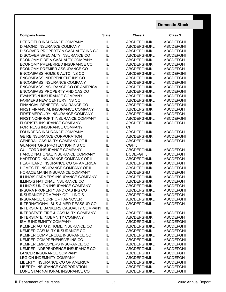#### **Domestic Stock**

| <b>Company Name</b>                           | <b>State</b> | <b>Class 2</b>      | Class 3          |
|-----------------------------------------------|--------------|---------------------|------------------|
| DEERFIELD INSURANCE COMPANY                   | IL           | ABCDEFGHIJKL        | <b>ABCDEFGHI</b> |
| DIAMOND INSURANCE COMPANY                     | IL           | ABCDEFGHIJKL        | <b>ABCDEFGHI</b> |
| DISCOVER PROPERTY & CASUALTY INS CO           | IL           | ABCDEFGHIJKL        | <b>ABCDEFGHI</b> |
| DISCOVER SPECIALTY INSURANCE CO               | IL           | ABCDEFGHIJKL        | <b>ABCDEFGHI</b> |
| ECONOMY FIRE & CASUALTY COMPANY               | IL           | <b>ABCDEFGHIJK</b>  | <b>ABCDEFGH</b>  |
| ECONOMY PREFERRED INSURANCE CO                | IL           | <b>ABCDEFGHIJK</b>  | <b>ABCDEFGH</b>  |
| ECONOMY PREMIER ASSURANCE CO                  | IL           | <b>ABCDEFGHIJK</b>  | <b>ABCDEFGH</b>  |
| ENCOMPASS HOME & AUTO INS CO                  | IL           | ABCDEFGHIJKL        | <b>ABCDEFGHI</b> |
| ENCOMPASS INDEPENDENT INS CO                  | IL           | ABCDEFGHIJKL        | <b>ABCDEFGHI</b> |
| <b>ENCOMPASS INSURANCE COMPANY</b>            | IL           | ABCDEFGHIJKL        | <b>ABCDEFGHI</b> |
| ENCOMPASS INSURANCE CO OF AMERICA             | IL           | <b>ABCDEFGHIJKL</b> | <b>ABCDEFGHI</b> |
| ENCOMPASS PROPERTY AND CAS CO                 | IL           | <b>ABCDEFGHIJKL</b> | <b>ABCDEFGHI</b> |
| <b>EVANSTON INSURANCE COMPANY</b>             | IL           | ABCDEFGHIJKL        | <b>ABCDEFGHI</b> |
| <b>FARMERS NEW CENTURY INS CO</b>             | IL           | ABCDEFGHIJKL        | <b>ABCDEFGHI</b> |
| <b>FINANCIAL BENEFITS INSURANCE CO</b>        | IL           | ABCDEFGHIJKL        | <b>ABCDEFGHI</b> |
| FIRST FINANCIAL INSURANCE COMPANY             | IL           | <b>ABCDEFGHIJK</b>  | <b>ABCDEFGH</b>  |
| FIRST MERCURY INSURANCE COMPANY               | IL           | <b>ABCDEFGHIJK</b>  | <b>ABCDEFGH</b>  |
| FIRST NONPROFIT INSURANCE COMPANY             | IL           | <b>ABCDEFGHIJKL</b> | <b>ABCDEFGHI</b> |
| <b>FLORISTS INSURANCE COMPANY</b>             | IL           | <b>ABCDEFGHIJK</b>  | <b>ABCDEFGH</b>  |
| FORTRESS INSURANCE COMPANY                    | IL           | CI                  |                  |
| FOUNDERS INSURANCE COMPANY                    | IL           | <b>ABCDEFGHIJK</b>  | <b>ABCDEFGH</b>  |
| <b>GE REINSURANCE CORPORATION</b>             | IL           | <b>ABCDEFGHIJK</b>  | <b>ABCDEFGHI</b> |
| GENERAL CASUALTY COMPANY OF IL                | IL           | <b>ABCDEFGHIJK</b>  | <b>ABCDEFGH</b>  |
| <b>GUARANTORS PROTECTION INS CO</b>           | IL           | <b>CGHIJ</b>        |                  |
| <b>GUILFORD INSURANCE COMPANY</b>             | IL           | <b>ABCDEFGHIJK</b>  | <b>ABCDEFGH</b>  |
| HARCO NATIONAL INSURANCE COMPANY              | IL           | <b>BCDEFGHIJ</b>    | <b>ABCDEFGH</b>  |
| HARTFORD INSURANCE COMPANY OF IL              | IL           | <b>ABCDEFGHIJK</b>  | <b>ABCDEFGH</b>  |
| HEARTLAND INSURANCE CO OF AMERICA             | IL           | <b>ABCDEFGHIJK</b>  | <b>ABCDEFGH</b>  |
| HOMESITE INSURANCE COMPANY OF IL              | IL           | ABCDEFGHIJKL        | <b>ABCDEFGHI</b> |
| HORACE MANN INSURANCE COMPANY                 | IL           | <b>ABCDEFGHIJ</b>   | <b>ABCDEFGH</b>  |
| ILLINOIS FARMERS INSURANCE COMPANY            | IL           | <b>ABCDEFGHIJK</b>  | <b>ABCDEFGH</b>  |
| ILLINOIS NATIONAL INSURANCE CO                | IL           | <b>ABCDEFGHIJK</b>  | <b>ABCDEFGH</b>  |
| ILLINOIS UNION INSURANCE COMPANY              | IL           | <b>ABCDEFGHIJK</b>  | <b>ABCDEFGH</b>  |
| INSURA PROPERTY AND CAS INS CO                | IL           | ABCDEFGHIJKL        | <b>ABCDEFGHI</b> |
| <b>INSURANCE COMPANY OF ILLINOIS</b>          | IL           | <b>ABCDEFGHIJK</b>  | <b>ABCDEFGH</b>  |
| INSURANCE CORP OF HANNOVER                    | IL           | ABCDEFGHIJKL        | <b>ABCDEFGHI</b> |
| <b>INTERNATIONAL BUS &amp; MER REASSUR CO</b> | IL           | <b>ABCDEFGHIJK</b>  | <b>ABCDEFGH</b>  |
| <b>INTERSTATE BANKERS CASUALTY COMPANY</b>    | IL           | B                   |                  |
| <b>INTERSTATE FIRE &amp; CASUALTY COMPANY</b> | IL           | <b>ABCDEFGHIJK</b>  | <b>ABCDEFGH</b>  |
| INTERSTATE INDEMNITY COMPANY                  | IL           | <b>ABCDEFGHIJK</b>  | <b>ABCDEFGH</b>  |
| <b>ISMIE INDEMNITY COMPANY</b>                | IL           | ABCDEFGHIJKL        | <b>ABCDEFGHI</b> |
| KEMPER AUTO & HOME INSURANCE CO               | IL           | <b>ABCDEFGHIJKL</b> | <b>ABCDEFGHI</b> |
| KEMPER CASUALTY INSURANCE CO                  | IL           | <b>ABCDEFGHIJKL</b> | <b>ABCDEFGHI</b> |
| KEMPER COMMERCIAL INSURANCE CO                | IL           | ABCDEFGHIJKL        | <b>ABCDEFGHI</b> |
| KEMPER COMPREHENSIVE INS CO                   | IL           | <b>ABCDEFGHIJKL</b> | <b>ABCDEFGHI</b> |
| KEMPER EMPLOYERS INSURANCE CO                 | IL           | ABCDEFGHIJKL        | <b>ABCDEFGHI</b> |
| KEMPER INDEPENDENCE INSURANCE CO              | IL           | <b>ABCDEFGHIJKL</b> | <b>ABCDEFGHI</b> |
| LANCER INSURANCE COMPANY                      | IL           | <b>ABCDEFGHIJ</b>   | ABCDEFGH         |
| <b>LEGION INDEMNITY COMPANY</b>               | IL           | <b>ABCDEFGHIJK</b>  | <b>ABCDEFGH</b>  |
| LIBERTY INSURANCE CO OF AMERICA               | IL           | ABCDEFGHIJKL        | <b>ABCDEFGHI</b> |
| LIBERTY INSURANCE CORPORATION                 | IL           | ABCDEFGHIJKL        | <b>ABCDEFGHI</b> |
| LONE STAR NATIONAL INSURANCE CO               | IL           | ABCDEFGHIJKL        | <b>ABCDEFGHI</b> |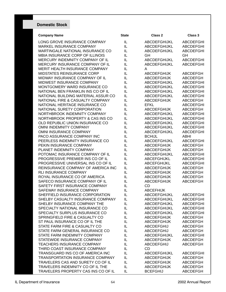#### **Domestic Stock**

| <b>Company Name</b>                 | <b>State</b> | Class 2             | Class 3          |
|-------------------------------------|--------------|---------------------|------------------|
| LONG GROVE INSURANCE COMPANY        | IL           | <b>ABCDEFGHIJKL</b> | <b>ABCDEFGHI</b> |
| <b>MARKEL INSURANCE COMPANY</b>     | IL           | ABCDEFGHIJKL        | ABCDEFGHI        |
| MARTINGALE NATIONAL INSURANCE CO    | IL           | ABCDEFGHIJKL        | <b>ABCDEFGHI</b> |
| MBIA INSURANCE CORP OF ILLINOIS     | IL           | GH                  | GH               |
| MERCURY INDEMNITY COMPANY OF IL     | IL           | <b>ABCDEFGHIJKL</b> | <b>ABCDEFGHI</b> |
| MERCURY INSURANCE COMPANY OF IL     | IL           | ABCDEFGHIJKL        | <b>ABCDEFGHI</b> |
| MERIT HEALTH INSURANCE COMPANY      | IL           | A                   |                  |
| MIDSTATES REINSURANCE CORP          | IL           | <b>ABCDEFGHIJK</b>  | <b>ABCDEFGH</b>  |
| MIDWAY INSURANCE COMPANY OF IL      | IL           | <b>ABCDEFGHIJK</b>  | <b>ABCDEFGH</b>  |
| MIDWEST INSURANCE COMPANY           | IL           | ABCDEFGHIJKL        | <b>ABCDEFGHI</b> |
| MONTGOMERY WARD INSURANCE CO        | IL           | <b>ABCDEFGHIJKL</b> | <b>ABCDEFGHI</b> |
| NATIONAL BEN FRANKLIN INS CO OF IL  | IL           | <b>ABCDEFGHIJKL</b> | <b>ABCDEFGHI</b> |
| NATIONAL BUILDING MATERIAL ASSUR CO | IL           | <b>ABCDEFGHIJKL</b> | <b>ABCDEFGHI</b> |
| NATIONAL FIRE & CASUALTY COMPANY    | IL           | <b>ABCDEFGHIJK</b>  | <b>ABCDEFGH</b>  |
| NATIONAL HERITAGE INSURANCE CO      | IL           | <b>EFKL</b>         |                  |
| NATIONAL SURETY CORPORATION         |              |                     | <b>ABCDEFGHI</b> |
|                                     | IL           | <b>ABCDEFGHIJK</b>  | <b>ABCDEFGH</b>  |
| NORTHBROOK INDEMNITY COMPANY        | IL           | ABCDEFGHIJKL        | <b>ABCDEFGHI</b> |
| NORTHBROOK PROPERTY & CAS INS CO    | IL           | ABCDEFGHIJKL        | <b>ABCDEFGHI</b> |
| OLD REPUBLIC UNION INSURANCE CO     | IL           | <b>ABCDEFGHIJKL</b> | <b>ABCDEFGHI</b> |
| OMNI INDEMNITY COMPANY              | IL           | ABCDEFGHIJKL        | <b>ABCDEFGHI</b> |
| OMNI INSURANCE COMPANY              | IL           | ABCDEFGHIJKL        | <b>ABCDEFGHI</b> |
| PACO ASSURANCE COMPANY INC          | IL           | <b>BCHIJL</b>       | <b>ABHI</b>      |
| PEERLESS INDEMNITY INSURANCE CO     | IL           | <b>ABCDEFGHIJKL</b> | <b>ABCDEFGHI</b> |
| PEKIN INSURANCE COMPANY             | IL           | <b>ABCDEFGHIJK</b>  | <b>ABCDEFGH</b>  |
| PLANET INDEMNITY COMPANY            | IL           | <b>ABCDEFGHIJK</b>  | <b>ABCDEFGH</b>  |
| POTOMAC INSURANCE COMPANY OF IL     | IL           | ABCDEFGHIJKL        | <b>ABCDEFGHI</b> |
| PROGRESSIVE PREMIER INS CO OF IL    | IL           | ABCEFGHIJKL         | <b>ABCDEFGHI</b> |
| PROGRESSIVE UNIVERSAL INS CO OF IL  | IL           | <b>ABCEFGHIJKL</b>  | <b>ABCDEFGHI</b> |
| REINSURANCE COMPANY OF AMERICA INC  | IL           | <b>ABCDEFGHIJK</b>  | <b>ABCDEFGH</b>  |
| RLI INSURANCE COMPANY               | IL           | <b>ABCDEFGHIJK</b>  | <b>ABCDEFGH</b>  |
| ROYAL INSURANCE CO OF AMERICA       | IL           | <b>ABCDEFGHIJK</b>  | <b>ABCDEFGH</b>  |
| SAFECO INSURANCE COMPANY OF IL      | IL           | <b>ABCDEFGHIJK</b>  | <b>ABCDEFGH</b>  |
| SAFETY FIRST INSURANCE COMPANY      | IL           | <b>CD</b>           |                  |
| SAFEWAY INSURANCE COMPANY           | IL           | <b>ABCEFHIJK</b>    |                  |
| SHEFFIELD INSURANCE CORPORATION     | IL           | <b>ABCDEFGHIJKL</b> | <b>ABCDEFGHI</b> |
| SHELBY CASUALTY INSURANCE COMPANY   | IL           | <b>ABCDEFGHIJKL</b> | ABCDEFGHI        |
| SHELBY INSURANCE COMPANY THE        | IL           | ABCDEFGHIJKL        | <b>ABCDEFGHI</b> |
| SPECIALTY NATIONAL INSURANCE CO     | IL           | ABCDEFGHIJKL        | <b>ABCDEFGHI</b> |
| SPECIALTY SURPLUS INSURANCE CO      | IL           | ABCDEFGHIJKL        | <b>ABCDEFGHI</b> |
| SPRINGFIELD FIRE & CASUALTY CO      | IL           | <b>ABCDEFGHIJK</b>  | <b>ABCDEFGH</b>  |
| ST PAUL INSURANCE CO OF IL THE      | IL           | <b>ABCDEFGHIJK</b>  | ABCDEFGH         |
| STATE FARM FIRE & CASUALTY CO       | IL           | ABCDEFGHIJ          | <b>ABCDEFGH</b>  |
| STATE FARM GENERAL INSURANCE CO     | IL           | <b>ABCDEFGHIJ</b>   | <b>ABCDEFGH</b>  |
| STATE FARM INDEMNITY COMPANY        | IL           | ABCDEFGHIJKL        | <b>ABCDEFGHI</b> |
| STATEWIDE INSURANCE COMPANY         | IL           | <b>ABCDEFGHIJK</b>  | <b>ABCDEFGH</b>  |
| TEACHERS INSURANCE COMPANY          | IL           | <b>ABCDEFGHIJ</b>   | <b>ABCDEFGH</b>  |
| THIRD COAST INSURANCE COMPANY       | IL           | CD                  |                  |
| TRANSGUARD INS CO OF AMERICA INC    | IL           | ABCDEFGHIJKL        | <b>ABCDEFGHI</b> |
| TRANSPORTATION INSURANCE COMPANY    | IL           | <b>ABCDEFGHIJK</b>  | <b>ABCDEFGH</b>  |
| TRAVELERS CAS AND SURETY CO OF IL   | IL           | <b>ABCDEFGHIJK</b>  | <b>ABCDEFGH</b>  |
| TRAVELERS INDEMNITY CO OF IL THE    | IL           | <b>ABCDEFGHIJK</b>  | ABCDEFGH         |
| TRAVELERS PROPERTY CAS INS CO OF IL | IL           | <b>BCEFGHIJ</b>     | <b>ABCDEFGH</b>  |
|                                     |              |                     |                  |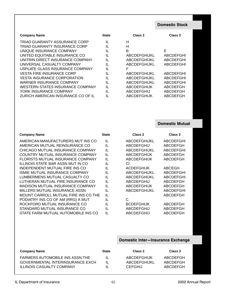#### **Domestic Stock**

| <b>Company Name</b>                | <b>State</b> | Class 2             | Class 3          |
|------------------------------------|--------------|---------------------|------------------|
| TRIAD GUARANTY ASSURANCE CORP      | IL           | н                   |                  |
| TRIAD GUARANTY INSURANCE CORP      | IL           | н                   |                  |
| UNIQUE INSURANCE COMPANY           | IL           | B                   | E                |
| UNITED EQUITABLE INSURANCE CO      | IL           | <b>ABCDEFGHIJKL</b> | <b>ABCDEFGHI</b> |
| UNITRIN DIRECT INSURANCE COMPANY   | IL           | ABCDEFGHIJKL        | ABCDEFGHI        |
| UNIVERSAL CASUALTY COMPANY         | IL           | <b>ABCDEFGHIJKL</b> | <b>ABCDEFGHI</b> |
| USPLATE GLASS INSURANCE COMPANY    | IL           | F                   |                  |
| <b>VESTA FIRE INSURANCE CORP</b>   | IL           | <b>ABCDEFGHIJKL</b> | <b>ABCDEFGHI</b> |
| <b>VESTA INSURANCE CORPORATION</b> | IL           | <b>ABCDEFGHIJKL</b> | <b>ABCDEFGHI</b> |
| <b>WARNER INSURANCE COMPANY</b>    | IL           | <b>ABCDEFGHIJKL</b> | <b>ABCDEFGHI</b> |
| WESTERN STATES INSURANCE COMPANY   | IL           | <b>ABCDEFGHIJK</b>  | ABCDEFGH         |
| YORK INSURANCE COMPANY             | IL           | <b>ABCDEFGHIJ</b>   | ABCDEFGH         |
| ZURICH AMERICAN INSURANCE CO OF IL | IL           | ABCDEFGHIJK         | ABCDEFGH         |

#### **Domestic Mutual**

| <b>Company Name</b>                  | <b>State</b> | Class 2             | Class 3          |
|--------------------------------------|--------------|---------------------|------------------|
| AMERICAN MANUFACTURERS MUT INS CO    | IL           | <b>ABCDEFGHIJKL</b> | <b>ABCDEFGHI</b> |
| AMERICAN MUTUAL REINSURANCE CO       | IL           | <b>ABCDEFGHIJ</b>   | <b>ABCDEFGH</b>  |
| CHICAGO MUTUAL INSURANCE COMPANY     | IL           | <b>ABCDEFGHIJKL</b> | <b>ABCDEFGHI</b> |
| COUNTRY MUTUAL INSURANCE COMPANY     | IL           | <b>ABCDEFGHIJK</b>  | ABCDEFGH         |
| FLORISTS MUTUAL INSURANCE COMPANY    | IL           | <b>ABCDEFGHIJK</b>  | <b>ABCDEFGH</b>  |
| ILLINOIS STATE BAR ASSN MUT IN CO    | IL           | CI                  |                  |
| INDEPENDENT MUTUAL FIRE INS CO       | IL           | <b>ACDEFGHIJK</b>   | ABCEGH           |
| ISMIE MUTUAL INSURANCE COMPANY       | IL           | <b>ABCDEFGHIJKL</b> | <b>ABCDEFGHI</b> |
| LUMBERMENS MUTUAL CASUALTY CO        | IL           | <b>ABCDEFGHIJKL</b> | <b>ABCDEFGHI</b> |
| LUTHERAN MUTUAL FIRE INSURANCE CO    | IL           | <b>ABCDEFGHIJ</b>   | <b>ABCDEFGH</b>  |
| MADISON MUTUAL INSURANCE COMPANY     | IL           | <b>ABCDEFGHIJK</b>  | <b>ABCDEFGH</b>  |
| MILLERS MUTUAL INSURANCE ASSN        | IL           | <b>ABCDEFGHIJKL</b> | <b>ABCDEFGHI</b> |
| MOUNT CARROLL MUTUAL FIRE INS CO THE | IL           |                     | ABCDEFGH         |
| PODIATRY INS CO OF AM (RRG) A MUT    | IL           | C                   |                  |
| ROCKFORD MUTUAL INSURANCE CO         | IL           | <b>BCDEFGHIJK</b>   | ABCDEFGH         |
| STANDARD MUTUAL INSURANCE CO         | IL           | <b>ABCDEFGHIJ</b>   | <b>ABCDEFGH</b>  |
| STATE FARM MUTUAL AUTOMOBILE INS CO  | IL           | <b>ABCDEFGHIJ</b>   | ABCDEFGH         |
|                                      |              |                     |                  |

#### **Domestic Inter-Insurance Exchange**

| <b>Company Name</b>              | <b>State</b> | Class 2             | Class 3  |
|----------------------------------|--------------|---------------------|----------|
| FARMERS AUTOMOBILE INS ASSN THE  |              | <b>ABCDEFGHIJK</b>  | ABCDEFGH |
| GOVERNMENTAL INTERINSURANCE EXCH |              | <b>ABCDEFGHIJKL</b> | ABCDEFGH |
| ILLINOIS CASUALTY COMPANY        |              | <b>CEFGHIJ</b>      | ABCDEFGH |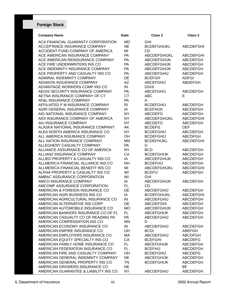| <b>Company Name</b>                   | <b>State</b>   | Class 2             | Class 3          |
|---------------------------------------|----------------|---------------------|------------------|
| ACA FINANCIAL GUARANTY CORPORATION    | <b>MD</b>      | <b>GHI</b>          |                  |
| <b>ACCEPTANCE INSURANCE COMPANY</b>   | <b>NE</b>      | <b>BCDEFGHIJKL</b>  | <b>ABCDEFGHI</b> |
| ACCIDENT FUND COMPANY OF AMERICA      | MI             | <b>CD</b>           |                  |
| ACE AMERICAN INSURANCE COMPANY        | PA             | <b>ABCDEFGHIJKL</b> | <b>ABCDEFGHI</b> |
| ACE AMERICAN REINSURANCE COMPANY      | PA             | <b>ABCDEFGHIJK</b>  | <b>ABCDEFGH</b>  |
| ACE FIRE UNDERWRITERS INS CO          | PA             | <b>ABCDEFGHIJK</b>  | <b>ABCDEFGH</b>  |
| ACE INDEMNITY INSURANCE COMPANY       | PA             | <b>ABCDEFGHIJK</b>  | <b>ABCDEFGH</b>  |
| ACE PROPERTY AND CASUALTY INS CO      | PA             | <b>ABCDEFGHIJ</b>   | <b>ABCDEFGH</b>  |
| ADMIRAL INDEMNITY COMPANY             | DE             | <b>BCEFGH</b>       | <b>ADFGI</b>     |
| ADVANTA INSURANCE COMPANY             | <b>AZ</b>      | <b>ABCEFGHIJ</b>    | <b>ABDEFGH</b>   |
| ADVANTAGE WORKERS COMP INS CO         | IN             | <b>DGHI</b>         |                  |
| AEGIS SECURITY INSURANCE COMPANY      | PA             | <b>ABCEFGHIJ</b>    | <b>ABCDEFGH</b>  |
| AETNA INSURANCE COMPANY OF CT         | <b>CT</b>      | <b>ABC</b>          | E                |
| AF&L INSURANCE COMPANY                | PA             | A                   |                  |
| AFFILIATED F M INSURANCE COMPANY      | R <sub>l</sub> | <b>BCDEFGHIJ</b>    | <b>ABCDEFGH</b>  |
| AGRI GENERAL INSURANCE COMPANY        | IA             | <b>BCEFHIJK</b>     | <b>ABCDEFGH</b>  |
| AIG NATIONAL INSURANCE COMPANY        | <b>NY</b>      | <b>ABCDEFG</b>      | <b>ABCDEFGH</b>  |
| AIOI INSURANCE COMPANY OF AMERICA     | <b>NY</b>      | ABCDEFGHIJKL        | <b>ABCDEFGHI</b> |
| AIU INSURANCE COMPANY                 | <b>NY</b>      | <b>ABCDEFG</b>      | <b>ABCDEFGH</b>  |
| ALASKA NATIONAL INSURANCE COMPANY     | AK             | <b>BCDEFG</b>       | <b>DEF</b>       |
| ALEA NORTH AMERICA INSURANCE CO       | <b>NY</b>      | <b>BCDEFGHIJ</b>    | <b>ABCDEFGH</b>  |
| ALL AMERICA INSURANCE COMPANY         | OH             | <b>BCDEFGHIJ</b>    | <b>ABCDFGH</b>   |
| ALL NATION INSURANCE COMPANY          | <b>MN</b>      | <b>BCDEFHIJKL</b>   | <b>ABCDEFGHI</b> |
| ALLEGHENY CASUALTY COMPANY            | PA             | G                   |                  |
| ALLIANCE ASSURANCE CO OF AMERICA      | <b>NY</b>      | <b>BCD</b>          | <b>ABCDEFGH</b>  |
| ALLIANZ INSURANCE COMPANY             | CA             | <b>BCDEFGHIJK</b>   | <b>ABCDEFGH</b>  |
| ALLIED PROPERTY & CASUALTY INS CO     | IA             | <b>ABCDEFGHIJK</b>  | <b>ABCDEFGH</b>  |
| ALLMERICA FINANCIAL ALLIANCE INS CO   | <b>NH</b>      | <b>BCDEFHIJ</b>     | <b>ABCDEFGH</b>  |
| ALLMERICA FINANCIAL BENEFIT INS CO    | MI             | <b>ABCDEFGHIJKL</b> | <b>ABCDEFGHI</b> |
| ALPHA PROPERTY & CASUALTY INS CO      | WI             | <b>BCEFIJ</b>       | <b>ABCDEFGH</b>  |
| AMBAC ASSURANCE CORPORATION           | WI             | <b>GHI</b>          |                  |
| AMCO INSURANCE COMPANY                | IA             | <b>ABCDEFGHIJK</b>  | <b>ABCDEFGH</b>  |
| AMCOMP ASSURANCE CORPORATION          | FL             | <b>CD</b>           |                  |
| AMERICAN & FOREIGN INSURANCE CO       | DE             | <b>ABCDEFGHIJ</b>   | <b>ABCDEFGH</b>  |
| AMERICAN AGRI BUSINESS INS CO         | IA             | <b>BCDEFGHIJKL</b>  | <b>ABCDEFGHI</b> |
| AMERICAN AGRICULTURAL INSURANCE CO    | IN             | <b>ABCDEFGHIJ</b>   | <b>ABCDEFGH</b>  |
| AMERICAN ALTERNATIVE INS CORP         | DE             | <b>ABCDEFGHI</b>    | <b>ABCDEFGH</b>  |
| AMERICAN AUTOMOBILE INSURANCE CO      | MO             | <b>ABCDEFGHIJK</b>  | <b>ABCDEFGH</b>  |
| AMERICAN BANKERS INSURANCE CO OF FL   | FL             | <b>ABCEFGHIJK</b>   | <b>ABCDEFGH</b>  |
| AMERICAN CASUALTY CO OF READING PA    | PA             | <b>ABCDEFGHIJ</b>   | <b>ABCDEFGH</b>  |
| AMERICAN COMPENSATION INS CO          | ΜN             | D                   |                  |
| AMERICAN ECONOMY INSURANCE CO         | IN             | <b>ABCDEFGHIJ</b>   | <b>ABCDEFGH</b>  |
| AMERICAN EMPIRE INSURANCE CO          | OH             | <b>BCDI</b>         | <b>ABEFGH</b>    |
| AMERICAN EMPLOYERS INSURANCE CO       | МA             | <b>ABCDEFGHIJ</b>   | <b>ABCDFGH</b>   |
| AMERICAN EQUITY SPECIALTY INS CO      | CA             | <b>BCEFGHI</b>      | <b>ABCDEFG</b>   |
| AMERICAN FAMILY HOME INSURANCE CO     | FL.            | <b>ABCEFGHIJK</b>   | <b>ABCDEFGH</b>  |
| AMERICAN FEDERATION INSURANCE CO      | FL.            | <b>BCEFHIJ</b>      | <b>ABCDEFGH</b>  |
| AMERICAN FIRE AND CASUALTY COMPANY    | <b>OH</b>      | <b>BCDEFGHIJ</b>    | <b>ABCDEFG</b>   |
| AMERICAN GENERAL INDEMNITY COMPANY    | <b>NE</b>      | <b>ABCEFGHIJK</b>   | <b>ABCDEFGH</b>  |
| AMERICAN GENERAL PROPERTY INS CO      | <b>TN</b>      | <b>BCDEFGHIJK</b>   | <b>ABCDEFGH</b>  |
| AMERICAN GROWERS INSURANCE CO         | <b>NE</b>      |                     | <b>BF</b>        |
| AMERICAN GUARANTEE & LIABILITY INS CO | NY.            | <b>ABCDEFGHIJ</b>   | <b>ABCDEFGH</b>  |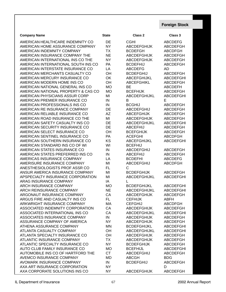| <b>Company Name</b>                 | <b>State</b> | Class 2             | Class 3          |
|-------------------------------------|--------------|---------------------|------------------|
| AMERICAN HEALTHCARE INDEMNITY CO    | DE           | <b>CGHI</b>         | <b>ABCDEFG</b>   |
| AMERICAN HOME ASSURANCE COMPANY     | <b>NY</b>    | <b>ABCDEFGHIJK</b>  | <b>ABCDEFGH</b>  |
| AMERICAN INDEMNITY COMPANY          | <b>TX</b>    | <b>BCDEFGH</b>      | <b>ABCDFGH</b>   |
| AMERICAN INSURANCE COMPANY THE      | <b>NE</b>    | <b>ABCDEFGHIJK</b>  | <b>ABCDEFGH</b>  |
| AMERICAN INTERNATIONAL INS CO THE   | <b>NY</b>    | <b>ABCDEFGHIJK</b>  | <b>ABCDEFGH</b>  |
| AMERICAN INTERNATIONAL SOUTH INS CO | PA           | <b>BCDEFHIJ</b>     | <b>ABCDEFGH</b>  |
| AMERICAN INTERSTATE INSURANCE CO    | LA           | <b>ABCDEFG</b>      | <b>AD</b>        |
| AMERICAN MERCHANTS CASUALTY CO      | OH           | <b>BCDEFGHIJ</b>    | <b>ABCDEFGH</b>  |
| AMERICAN MERCURY INSURANCE CO       | OK           | <b>ABCEFGHIJKL</b>  | <b>ABCDEFGHI</b> |
| AMERICAN MODERN HOME INS CO         | OH           | <b>ABCEFGHIKL</b>   | <b>ABCDEFGH</b>  |
| AMERICAN NATIONAL GENERAL INS CO    | <b>MO</b>    | <b>BE</b>           | <b>ABCDEFH</b>   |
| AMERICAN NATIONAL PROPERTY & CAS CO | <b>MO</b>    | <b>BCEFHIJK</b>     | <b>ABCDEFGH</b>  |
| AMERICAN PHYSICIANS ASSUR CORP      | MI           | <b>ABCDEFGHIJKL</b> | <b>ABCDEFGHI</b> |
| AMERICAN PREMIER INSURANCE CO       | IN           | B                   | E                |
| AMERICAN PROFESSIONALS INS CO       | IN           | <b>BCGHIJ</b>       | <b>ABCDEFGH</b>  |
| AMERICAN RE INSURANCE COMPANY       | DE           | <b>ABCDEFGHIJ</b>   | <b>ABCDEFGH</b>  |
| AMERICAN RELIABLE INSURANCE CO      | AΖ           | <b>ABCEFGHIJK</b>   | <b>ABCDEFGH</b>  |
| AMERICAN ROAD INSURANCE CO THE      | MI           | <b>ABCDEFGHIJK</b>  | <b>ABCDEFGH</b>  |
| AMERICAN SAFETY CASUALTY INS CO     | DE           | <b>ABCDEFGHIJKL</b> | <b>ABCDEFGHI</b> |
| AMERICAN SECURITY INSURANCE CO      | DE           | <b>ABCEFHIJ</b>     | <b>ABCDEFGH</b>  |
| AMERICAN SELECT INSURANCE CO        | OH           | <b>BCEFGHIJK</b>    | <b>ABCDEFGH</b>  |
| AMERICAN SENTINEL INSURANCE CO      | PA           | <b>ACEFGHI</b>      | <b>ABCDFGH</b>   |
| AMERICAN SOUTHERN INSURANCE CO      | KS           | <b>ABCEFGHIJKL</b>  | <b>ABCDEFGHI</b> |
| AMERICAN STANDARD INS CO OF WI      | WI           | <b>BCEFHIJ</b>      |                  |
| AMERICAN STATES INSURANCE CO        | IN           | <b>ABCDEFGHIJ</b>   | <b>ABCDEFGH</b>  |
| AMERICAN STATES PREFERRED INS CO    | IN           | <b>ABCEFHIJ</b>     | <b>ABCDEFGH</b>  |
| AMERICAS INSURANCE COMPANY          | LA           | <b>BCDEFHI</b>      | <b>ABCDEFG</b>   |
| AMERISURE INSURANCE COMPANY         | MI           | <b>ABCDEFGHIJ</b>   | <b>ABCDFGH</b>   |
| ANESTHESIOLOGISTS PROF ASSR CO      | <b>FL</b>    | C                   |                  |
| ANSUR AMERICA INSURANCE COMPANY     | MI           | <b>BCDEFGHIJK</b>   | <b>ABCDEFGH</b>  |
| APSPECIALTY INSURANCE CORPORATION   | MI           | <b>ABCDEFGHIJKL</b> | <b>ABCDEFGHI</b> |
| ARAG INSURANCE COMPANY              | IA           | L                   |                  |
| ARCH INSURANCE COMPANY              | <b>MO</b>    | <b>BCDEFGHIJKL</b>  | <b>ABCDEFGHI</b> |
| ARCH REINSURANCE COMPANY            | <b>NE</b>    | <b>ABCDEFGHIJKL</b> | <b>ABCDEFGHI</b> |
| ARGONAUT INSURANCE COMPANY          | CA           | <b>ABCDEFGHIJK</b>  | <b>ABCDEFGH</b>  |
| ARGUS FIRE AND CASUALTY INS CO      | <b>FL</b>    | <b>CEFHIJK</b>      | ABFH             |
| ARKWRIGHT INSURANCE COMPANY         | МA           | <b>CEFGHIJ</b>      | <b>ABCDFGH</b>   |
| ASSOCIATED INDEMNITY CORPORATION    | CA           | <b>ABCDEFGHIJK</b>  | <b>ABCDEFGH</b>  |
| ASSOCIATED INTERNATIONAL INS CO     | CA           | ABCDEFGHIJKL        | <b>ABCDEFGHI</b> |
| ASSOCIATES INSURANCE COMPANY        | $\sf IN$     | <b>ABCDEFGHIJK</b>  | <b>ABCDEFGH</b>  |
| ASSURANCE COMPANY OF AMERICA        | <b>NY</b>    | <b>ABCDEFGHIJK</b>  | <b>ABCDEFGH</b>  |
| ATHENA ASSURANCE COMPANY            | MN           | <b>BCDEFGHIJKL</b>  | <b>ABCDEFGHI</b> |
| ATLANTA CASUALTY COMPANY            | OH           | ABCDEFGHIJKL        | <b>ABCDEFGHI</b> |
| ATLANTA SPECIALTY INSURANCE CO      | OH           | <b>ABCDEFGHIJK</b>  | <b>ABCDEFGH</b>  |
| ATLANTIC INSURANCE COMPANY          | <b>TX</b>    | <b>ABCDEFGHIJK</b>  | <b>ABCDEFGH</b>  |
| ATLANTIC SPECIALTY INSURANCE CO     | <b>NY</b>    | <b>BCDEFGHIJK</b>   | <b>ABCDEFGH</b>  |
| AUTO CLUB FAMILY INSURANCE CO       | <b>MO</b>    | <b>BCEFHIJL</b>     | <b>ABCDEFGHI</b> |
| AUTOMOBILE INS CO OF HARTFORD THE   | <b>CT</b>    | ABCDEFGHIJ          | <b>ABCDEFGH</b>  |
| AVEMCO INSURANCE COMPANY            | <b>MD</b>    | <b>ABCGH</b>        | <b>BDG</b>       |
| AVOMARK INSURANCE COMPANY           | $\sf IN$     | <b>BCDEFGHIJ</b>    | <b>ABCDEFGH</b>  |
| AXA ART INSURANCE CORPORATION       | <b>NY</b>    |                     | D                |
| AXA CORPORATE SOLUTIONS INS CO      | <b>NY</b>    | <b>ABCDEFGHIJK</b>  | <b>ABCDEFGH</b>  |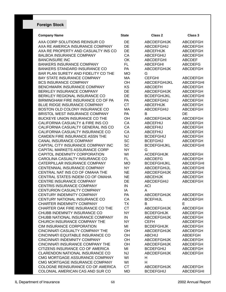| <b>Company Name</b>                     | <b>State</b> | Class 2             | Class 3          |
|-----------------------------------------|--------------|---------------------|------------------|
| AXA CORP SOLUTIONS REINSUR CO           | DE           | <b>ABCDEFGHIJK</b>  | <b>ABCDEFGH</b>  |
| AXA RE AMERICA INSURANCE COMPANY        | <b>DE</b>    | <b>ABCDEFGHIJ</b>   | <b>ABCDEFGH</b>  |
| AXA RE PROPERTY AND CASUALTY INS CO     | DE           | <b>ABCEFHIJK</b>    | <b>ABCDEFGH</b>  |
| <b>BALBOA INSURANCE COMPANY</b>         | CA           | <b>ABCEFGHIJ</b>    | <b>ABCDEFGH</b>  |
| <b>BANCINSURE INC</b>                   | OK           | <b>ABCDEFGHI</b>    | <b>ABCDEF</b>    |
| <b>BANKERS INSURANCE COMPANY</b>        | FL.          | <b>ABCEFGHI</b>     | <b>ABCDEFG</b>   |
| <b>BANKERS STANDARD INSURANCE CO</b>    | PA           | <b>ABCDEFGHIJK</b>  | <b>ABCDEFGH</b>  |
| BAR PLAN SURETY AND FIDELITY CO THE     | <b>MO</b>    | G                   |                  |
| <b>BAY STATE INSURANCE COMPANY</b>      | MA           | <b>CEFGHI</b>       | <b>ABCDEFGH</b>  |
| <b>BCS INSURANCE COMPANY</b>            | OH           | <b>ABCDEFGHIJKL</b> | <b>ABCDEFGHI</b> |
| <b>BENCHMARK INSURANCE COMPANY</b>      | KS           | <b>ABCDEFH</b>      | <b>ABCDEFGH</b>  |
| BERKLEY INSURANCE COMPANY               | DE           | <b>ABCDEFGHIJK</b>  | <b>ABCDEFGH</b>  |
| BERKLEY REGIONAL INSURANCE CO           | DE           | <b>BCDEFGHIJKL</b>  | <b>ABCDEFGHI</b> |
| BIRMINGHAM FIRE INSURANCE CO OF PA      | PA           | <b>ABCDEFGHIJ</b>   | <b>ABCDEFGH</b>  |
| BLUE RIDGE INSURANCE COMPANY            | <b>CT</b>    | <b>ABCEFHIJK</b>    | <b>ABCDEFGH</b>  |
| BOSTON OLD COLONY INSURANCE CO          | MA           | <b>ABCDEFGHIJ</b>   | <b>ABCDEFGH</b>  |
| <b>BRISTOL WEST INSURANCE COMPANY</b>   | PA           | B                   | <b>DE</b>        |
| <b>BUCKEYE UNION INSURANCE CO THE</b>   | OH           | <b>ABCDEFGHIJK</b>  | <b>ABCDEFGH</b>  |
| CALIFORNIA CASUALTY & FIRE INS CO       | CA           | <b>ABCEFHIJ</b>     | <b>ABCDEFGH</b>  |
| CALIFORNIA CASUALTY GENERAL INS CO      | CA           | <b>ABCEFHIJ</b>     | <b>ABCDEFGH</b>  |
| CALIFORNIA CASUALTY INSURANCE CO        | CA           | <b>ABCEFHIJ</b>     | <b>ABCDEFGH</b>  |
| <b>CAMDEN FIRE INSURANCE ASSN THE</b>   | <b>NJ</b>    | <b>BCDEFGHIJ</b>    | <b>ABCDEFGH</b>  |
| CANAL INSURANCE COMPANY                 | <b>SC</b>    | <b>BCEFGHIJ</b>     | <b>ABCDEFGH</b>  |
| CAPITAL CITY INSURANCE COMPANY INC      | <b>SC</b>    | <b>BCDEFGHIJKL</b>  | <b>ABCDEFGHI</b> |
| CAPITAL MARKETS ASSURANCE CORP          | <b>NY</b>    | G                   |                  |
| <b>CAPITOL INDEMNITY CORPORATION</b>    | WI           | <b>ACDEFGHIJK</b>   | <b>ABCDEFGH</b>  |
| CAROLINA CASUALTY INSURANCE CO          | <b>FL</b>    | <b>ABCDEFG</b>      | <b>ABCDEFGH</b>  |
| CATERPILLAR INSURANCE COMPANY           | <b>MO</b>    | <b>BCDEFGHIJKL</b>  | <b>ABCDEFGHI</b> |
| CENTENNIAL INSURANCE COMPANY            | <b>NY</b>    | <b>ABCDEFGHIJL</b>  | <b>ABCDEFGHI</b> |
| CENTRAL NAT INS CO OF OMAHA THE         | <b>NE</b>    | <b>ABCDEFGHIJK</b>  | <b>ABCDEFGH</b>  |
| CENTRAL STATES INDEM CO OF OMAHA        | <b>NE</b>    | <b>ABCEHIJK</b>     | <b>ABCDEFGH</b>  |
| <b>CENTRE INSURANCE COMPANY</b>         | DE           | <b>ABCDEFGHIJ</b>   | <b>ABCDEFGH</b>  |
| <b>CENTRIS INSURANCE COMPANY</b>        | IN           | <b>ACI</b>          |                  |
| <b>CENTURION CASUALTY COMPANY</b>       | ΙA           | A                   |                  |
| <b>CENTURY INDEMNITY COMPANY</b>        | PA           | <b>ABCDEFGHIJK</b>  | <b>ABCDEFGH</b>  |
| CENTURY NATIONAL INSURANCE CO           | СA           | <b>BCEFHIJL</b>     | <b>ABCDEFGH</b>  |
| <b>CHARTER INDEMNITY COMPANY</b>        | TX           | B                   | Е                |
| CHARTER OAK FIRE INSURANCE CO THE       | <b>CT</b>    | <b>ABCDEFGHIJK</b>  | <b>ABCDEFGH</b>  |
| CHUBB INDEMNITY INSURANCE CO            | NY.          | <b>BCDEFGHIJK</b>   | <b>ABCDEFGH</b>  |
| CHUBB NATIONAL INSURANCE COMPANY        | IN           | <b>ABCDEFGHIJK</b>  | <b>ABCDEFGH</b>  |
| CHURCH INSURANCE COMPANY THE            | NY.          | <b>CEFH</b>         | <b>ABCDEFGH</b>  |
| CIM INSURANCE CORPORATION               | MI           | <b>BCDEFGHIJK</b>   | <b>ABCDEFGH</b>  |
| CINCINNATI CASUALTY COMPANY THE         | OН           | <b>ABCDEFGHIJK</b>  | <b>ABCDEFGH</b>  |
| CINCINNATI EQUITABLE INSURANCE CO       | OH           | <b>ABCHIJ</b>       | ABDEFGH          |
| <b>CINCINNATI INDEMNITY COMPANY</b>     | OH           | <b>ABCDEFGHIJK</b>  | <b>ABCDEFGH</b>  |
| <b>CINCINNATI INSURANCE COMPANY THE</b> | OH           | <b>ABCDEFGHIJK</b>  | <b>ABCDEFGH</b>  |
| CITIZENS INSURANCE CO OF AMERICA        | MI           | <b>BCDEFGHIJ</b>    | <b>ABCDEFGH</b>  |
| CLARENDON NATIONAL INSURANCE CO         | <b>NJ</b>    | <b>ABCDEFGHIJK</b>  | <b>ABCDEFGH</b>  |
| CMG MORTGAGE ASSURANCE COMPANY          | WI           | н                   |                  |
| CMG MORTGAGE INSURANCE COMPANY          | WI           | Н                   |                  |
| COLOGNE REINSURANCE CO OF AMERICA       | <b>CT</b>    | <b>ABCDEFGHIJK</b>  | <b>ABCDEFGH</b>  |
| COLONIAL AMERICAN CAS AND SUR CO        | MD           | <b>BCDEFGHIJ</b>    | <b>ABCDEFGHI</b> |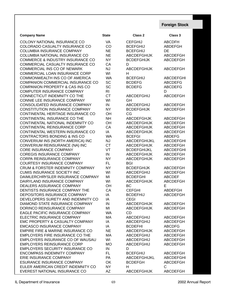| <b>Company Name</b>                          | <b>State</b>   | Class 2             | <b>Class 3</b>   |
|----------------------------------------------|----------------|---------------------|------------------|
| COLONY NATIONAL INSURANCE CO                 | VA             | <b>CEFGHIJ</b>      | <b>ABCDFH</b>    |
| COLORADO CASUALTY INSURANCE CO               | CO             | <b>BCEFGHIJ</b>     | <b>ABDEFGH</b>   |
| <b>COLUMBIA INSURANCE COMPANY</b>            | <b>NE</b>      | <b>BCEFGHIJ</b>     | DE               |
| <b>COLUMBIA NATIONAL INSURANCE CO</b>        | <b>NE</b>      | <b>ABCDEFGHIJK</b>  | <b>ABCDEFGH</b>  |
| <b>COMMERCE &amp; INDUSTRY INSURANCE CO</b>  | <b>NY</b>      | <b>BCDEFGHIJK</b>   | <b>ABCDEFGH</b>  |
| COMMERCIAL CASUALTY INSURANCE CO             | CA             | D                   |                  |
| COMMERCIAL INS CO OF NEWARK                  | <b>NJ</b>      | <b>ABCDEFGHIJK</b>  | <b>ABCDEFGH</b>  |
| COMMERCIAL LOAN INSURANCE CORP               | WI             | Н                   |                  |
| COMMONWEALTH INS CO OF AMERICA               | <b>WA</b>      | <b>BCEFGHIJ</b>     | <b>ABCDEFGHI</b> |
| <b>COMPANION COMMERCIAL INSURANCE CO</b>     | <b>SC</b>      | <b>BCDEFG</b>       | <b>ABCDEFG</b>   |
| <b>COMPANION PROPERTY &amp; CAS INS CO</b>   | <b>SC</b>      | <b>BCDEFG</b>       | <b>ABCDEFG</b>   |
| <b>COMPUTER INSURANCE COMPANY</b>            | R <sub>l</sub> |                     | D                |
| CONNECTICUT INDEMNITY CO THE                 | <b>CT</b>      | <b>ABCDEFGHIJ</b>   | <b>ABCDEFGH</b>  |
| CONNIE LEE INSURANCE COMPANY                 | WI             | GH                  |                  |
| CONSOLIDATED INSURANCE COMPANY               | IN             | <b>ABCDEFGHIJ</b>   | <b>ABCDEFGH</b>  |
| <b>CONSTITUTION INSURANCE COMPANY</b>        | <b>NY</b>      | <b>BCDEFGHIJK</b>   | <b>ABCDEFGH</b>  |
| CONTINENTAL HERITAGE INSURANCE CO            | OH             | CG                  |                  |
| CONTINENTAL INSURANCE CO THE                 | <b>NH</b>      | <b>ABCDEFGHJK</b>   | <b>ABCDEFGH</b>  |
| CONTINENTAL NATIONAL INDEMNITY CO            | OH             | <b>ABCDEFGHIJK</b>  | <b>ABCDEFGH</b>  |
| CONTINENTAL REINSURANCE CORP                 | CA             | <b>ABCDEFGHIJK</b>  | <b>ABCDEFGH</b>  |
| CONTINENTAL WESTERN INSURANCE CO             | IA             | <b>ABCDEFGHIJK</b>  | <b>ABCDEFGH</b>  |
| CONTRACTORS BONDING & INS CO                 | <b>WA</b>      | <b>BCEFGI</b>       | <b>ABDEFG</b>    |
| CONVERIUM INS (NORTH AMERICA) INC            | <b>NJ</b>      | <b>ABCDEFGHIJKL</b> | <b>ABCDEFGHI</b> |
| CONVERIUM REINSURANCE (NA) INC               | <b>CT</b>      | <b>ABCDEFGHIJK</b>  | <b>ABCDEFGH</b>  |
| <b>CORE INSURANCE COMPANY</b>                | VT             | <b>BCDEFGHIJKL</b>  | <b>ABCDEFGHI</b> |
| <b>COREGIS INSURANCE COMPANY</b>             | IN             | <b>ABCDEFGHIJK</b>  | <b>ABCDEFGH</b>  |
| CORPA REINSURANCE COMPANY                    | <b>NY</b>      | <b>ABCDEFGHIJK</b>  | <b>ABCDEFGH</b>  |
| <b>COURTESY INSURANCE COMPANY</b>            | <b>FL</b>      | <b>BGI</b>          |                  |
| <b>CRUM &amp; FORSTER INDEMNITY COMPANY</b>  | <b>NY</b>      | <b>BCDEFGHIJK</b>   | <b>ABCDEFGH</b>  |
| <b>CUMIS INSURANCE SOCIETY INC</b>           | WI             | <b>ABCDEFGHIJ</b>   | <b>ABCDEFGH</b>  |
| DAIMLERCHRYSLER INSURANCE COMPANY            | MI             | <b>BCDEFGHI</b>     | <b>ABCDEF</b>    |
| DAIRYLAND INSURANCE COMPANY                  | WI             | <b>ABCDEFGHIJK</b>  | <b>ABCDEFGH</b>  |
| DEALERS ASSURANCE COMPANY                    | OH             | <b>BC</b>           | Е                |
| <b>DENTISTS INSURANCE COMPANY THE</b>        | CA             | <b>CEFGHI</b>       | <b>ABDEFGH</b>   |
| DEPOSITORS INSURANCE COMPANY                 | IA             | <b>BCDEFHIJ</b>     | <b>ABCDEFGH</b>  |
| DEVELOPERS SURETY AND INDEMNITY CO           | ΙA             | <b>CEGI</b>         |                  |
| DIAMOND STATE INSURANCE COMPANY              | IN             | <b>ABCDEFGHIJK</b>  | <b>ABCDEFGH</b>  |
| DORINCO REINSURANCE COMPANY                  | MI             | <b>ABCDEFGHIJK</b>  | <b>ABCDEFGH</b>  |
| <b>EAGLE PACIFIC INSURANCE COMPANY</b>       | <b>WA</b>      | <b>CD</b>           |                  |
| ELECTRIC INSURANCE COMPANY                   | МA             | <b>ABCDEFGHIJ</b>   | <b>ABCDEFGH</b>  |
| EMC PROPERTY & CASUALTY COMPANY              | IA             | <b>ABCDEFGHIJ</b>   | <b>ABCDEFGH</b>  |
| <b>EMCASCO INSURANCE COMPANY</b>             | ΙA             | <b>BCDEFHI</b>      | <b>ABCDFG</b>    |
| <b>EMPIRE FIRE &amp; MARINE INSURANCE CO</b> | <b>NE</b>      | <b>ABCDEFGHIJK</b>  | <b>ABCDEFGH</b>  |
| <b>EMPLOYERS FIRE INSURANCE CO THE</b>       | MA             | <b>ABCDEFGHIJ</b>   | <b>ABCDEFGH</b>  |
| EMPLOYERS INSURANCE CO OF WAUSAU             | WI             | <b>ABCDEFGHIJ</b>   | <b>ABCDEFGH</b>  |
| <b>EMPLOYERS REINSURANCE CORP</b>            | <b>MO</b>      | <b>ABCDEFGHIJ</b>   | <b>ABCDEFGH</b>  |
| <b>EMPLOYERS SECURITY INSURANCE CO</b>       | IN             | D                   |                  |
| <b>ENCOMPASS INDEMNITY COMPANY</b>           | <b>FL</b>      | <b>BCEFGHIJ</b>     | <b>ABCDEFGH</b>  |
| ERIE INSURANCE COMPANY                       | PA             | ABCDEFGHIJKL        | <b>ABCDEFGHI</b> |
| <b>ESURANCE INSURANCE COMPANY</b>            | OK             | <b>BCDEFGH</b>      | <b>ABCDEFGH</b>  |
| EULER AMERICAN CREDIT INDEMNITY CO           | <b>NY</b>      | H                   | $\mathsf{C}$     |
| EVEREST NATIONAL INSURANCE CO                | AZ             | <b>ABCDEFGHIJK</b>  | <b>ABCDEFGH</b>  |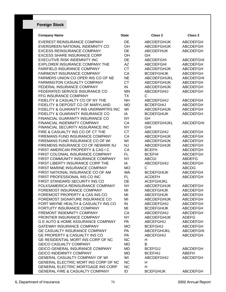| <b>Company Name</b>                          | <b>State</b> | Class <sub>2</sub>  | Class 3          |
|----------------------------------------------|--------------|---------------------|------------------|
| EVEREST REINSURANCE COMPANY                  | DE           | <b>ABCDEFGHIJK</b>  | <b>ABCDEFGH</b>  |
| EVERGREEN NATIONAL INDEMNITY CO              | OH           | <b>ABCDEFGHIJK</b>  | <b>ABCDEFGH</b>  |
| <b>EXCESS REINSURANCE COMPANY</b>            | DE           | <b>ABCDEFHIJK</b>   | <b>ABCDEFGH</b>  |
| <b>EXCESS SHARE INSURANCE CORP</b>           | OH           | GH                  |                  |
| <b>EXECUTIVE RISK INDEMNITY INC</b>          | DE           | <b>ABCDEFGHI</b>    | <b>ABCDEFGHI</b> |
| <b>EXPLORER INSURANCE COMPANY THE</b>        | <b>AZ</b>    | <b>ABCDEFGHI</b>    | <b>ABCDEFGH</b>  |
| <b>FAIRFIELD INSURANCE COMPANY</b>           | <b>CT</b>    | <b>ABCDEFGHIJK</b>  | <b>ABCDEFGH</b>  |
| <b>FAIRMONT INSURANCE COMPANY</b>            | CA           | <b>BCDEFGHIJK</b>   | <b>ABCDEFGH</b>  |
| FARMERS UNION CO OPER INS CO OF NE           | <b>NE</b>    | ABCDEFGHIJKL        | <b>ABCDEFGHI</b> |
| FARMINGTON CASUALTY COMPANY                  | <b>CT</b>    | <b>ABCDEFGHIJK</b>  | <b>ABCDEFGH</b>  |
| FEDERAL INSURANCE COMPANY                    | IN           | <b>ABCDEFGHIJK</b>  | <b>ABCDEFGH</b>  |
| FEDERATED SERVICE INSURANCE CO               | <b>MN</b>    | <b>ABCDEFGHIJ</b>   | <b>ABCDEFGH</b>  |
| FFG INSURANCE COMPANY                        | <b>TX</b>    | $\mathsf{C}$        |                  |
| FIDELITY & CASUALTY CO OF NY THE             | <b>NH</b>    | <b>ABCDEFGHIJ</b>   | <b>ABCDEFGH</b>  |
| FIDELITY & DEPOSIT CO OF MARYLAND            | MD           | <b>BCDEFGHIJ</b>    | <b>ABCDEFGH</b>  |
| FIDELITY & GUARANTY INS UNDRWRTRS INC        | WI           | <b>ABCDEFGHIJK</b>  | <b>ABCDEFGH</b>  |
| <b>FIDELITY &amp; GUARANTY INSURANCE CO</b>  | IA           | <b>BCDEFGHIJK</b>   | <b>ABCDEFGH</b>  |
| FINANCIAL GUARANTY INSURANCE CO              | <b>NY</b>    | <b>GH</b>           |                  |
| FINANCIAL INDEMNITY COMPANY                  | CA           | <b>ABCDEFGHIJKL</b> | <b>ABCDEFGHI</b> |
| FINANCIAL SECURITY ASSURANCE INC             | <b>NY</b>    | <b>GHI</b>          |                  |
| FIRE & CASUALTY INS CO OF CT THE             | <b>CT</b>    | <b>ABCDEFGHIJ</b>   | <b>ABCDEFGH</b>  |
| FIREMANS FUND INSURANCE COMPANY              | CA           | <b>ABCDEFGHIJK</b>  | <b>ABCDEFGH</b>  |
| FIREMANS FUND INSURANCE CO OF WI             | WI           | <b>ABCDEFGHIJK</b>  | <b>ABCDEFGH</b>  |
| FIREMENS INSURANCE CO OF NEWARK NJ           | <b>NJ</b>    | <b>ABCDEFGHIJK</b>  | <b>ABCDEFGH</b>  |
| FIRST AMERICAN PROPERTY & CAS I C            | CA           | <b>BCEFH</b>        | <b>ABCDEFGH</b>  |
| FIRST COLONIAL INSURANCE COMPANY             | FL.          | <b>BCEFHI</b>       | <b>ABCDEFGH</b>  |
| FIRST COMMUNITY INSURANCE COMPANY            | <b>NY</b>    | <b>ABCGI</b>        | <b>ABDEFG</b>    |
| FIRST LIBERTY INSURANCE CORP THE             | IA           | <b>ABCDEFGHIJ</b>   | <b>ABCDEFGH</b>  |
| FIRST MARINE INSURANCE COMPANY               | <b>MO</b>    | C                   | <b>ABCDG</b>     |
| FIRST NATIONAL INSURANCE CO OF AM            | <b>WA</b>    | <b>BCDEFGHIJK</b>   | <b>ABCDEFGH</b>  |
| FIRST PROFESSIONAL INS CO INC                | FL           | <b>ACDEFH</b>       | <b>ABCDEFGH</b>  |
| FIRST STANDARD SECURITY INS CO               | DE           | <b>ACEFGHIJKL</b>   |                  |
| FOLKSAMERICA REINSURANCE COMPANY             | <b>NY</b>    | <b>ABCDEFGHIJK</b>  | <b>ABCDEFGH</b>  |
| FOREMOST INSURANCE COMPANY                   | MI           | <b>ABCEFGHIJK</b>   | <b>ABCDEFGH</b>  |
| FOREMOST PROPERTY & CAS INS CO               | MI           | <b>ABCEFGHIJK</b>   | <b>ABCDEFGH</b>  |
| FOREMOST SIGNATURE INSURANCE CO              | MI           | <b>ABCDEFGHIJK</b>  | <b>ABCDEFGH</b>  |
| FORT WAYNE HEALTH & CASUALTY INS CO          | IN           | <b>ABCDEFGHIJ</b>   | <b>ABCDEFGH</b>  |
| FORTUITY INSURANCE COMPANY                   | MI           | <b>BCDEFGHIJK</b>   | ABCDEFGH         |
| <b>FREMONT INDEMNITY COMPANY</b>             | СA           | ABCDEFGHIJ          | <b>ABCDEFGH</b>  |
| <b>FRONTIER INSURANCE COMPANY</b>            | NY           | <b>ABCDEFGHIJK</b>  | <b>ADEFG</b>     |
| <b>G E AUTO &amp; HOME ASSURANCE COMPANY</b> | <b>PA</b>    | <b>ABCEFGHIJ</b>    | <b>ABCDEFGH</b>  |
| <b>GATEWAY INSURANCE COMPANY</b>             | <b>MO</b>    | <b>BCEFGHIJ</b>     | <b>ABCDEFGH</b>  |
| GE CASUALTY INSURANCE COMPANY                | <b>PA</b>    | <b>ABCEFGHIJKL</b>  | <b>ABCDEFGHI</b> |
| GE PROPERTY & CASUALTY INS CO                | PA           | <b>ABCEFGHIJ</b>    | <b>ABCDEFGH</b>  |
| GE RESIDENTIAL MORT INS CORP OF NC           | <b>NC</b>    | H                   |                  |
| <b>GEICO CASUALTY COMPANY</b>                | MD           | B                   |                  |
| <b>GEICO GENERAL INSURANCE COMPANY</b>       | MD           | <b>BCEFGIJ</b>      | ABCDEFGH         |
| <b>GEICO INDEMNITY COMPANY</b>               | MD           | <b>BCEFHIJ</b>      | <b>ABEFH</b>     |
| <b>GENERAL CASUALTY COMPANY OF WI</b>        | WI           | ABCDEFGHIJ          | <b>ABCDEFGH</b>  |
| GENERAL ELECTRIC MORT INS CORP OF NC         | <b>NC</b>    | H                   |                  |
| GENERAL ELECTRIC MORTGAGE INS CORP           | <b>NC</b>    | H                   |                  |
| <b>GENERAL FIRE &amp; CASUALTY COMPANY</b>   | ID           | <b>BCEFGHIJK</b>    | <b>ABCDEFGH</b>  |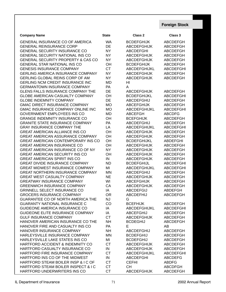| <b>Company Name</b>                                                          | <b>State</b> | Class 2                                  | Class 3                            |
|------------------------------------------------------------------------------|--------------|------------------------------------------|------------------------------------|
| <b>GENERAL INSURANCE CO OF AMERICA</b>                                       | <b>WA</b>    | <b>BCDEFGHIJK</b>                        | <b>ABCDEFGH</b>                    |
| <b>GENERAL REINSURANCE CORP</b>                                              | DE           | <b>ABCDEFGHIJK</b>                       | <b>ABCDEFGH</b>                    |
| <b>GENERAL SECURITY INSURANCE CO</b>                                         | <b>NY</b>    | <b>ABCDEFGHI</b>                         | <b>ABCDEFGH</b>                    |
| <b>GENERAL SECURITY NATIONAL INS CO</b>                                      | <b>NY</b>    | <b>ABCDEFGHIJK</b>                       | <b>ABCDEFGH</b>                    |
| <b>GENERAL SECURITY PROPERTY &amp; CAS CO</b>                                | <b>NY</b>    | <b>ABCDEFGHIJK</b>                       | <b>ABCDEFGH</b>                    |
| <b>GENERAL STAR NATIONAL INS CO</b>                                          | OH           | <b>BCDEFGHIJK</b>                        | <b>ABCDEFGH</b>                    |
| <b>GENESIS INSURANCE COMPANY</b>                                             | <b>CT</b>    | <b>ABCDEFGHIJKL</b>                      | <b>ABCDEFGHI</b>                   |
| <b>GERLING AMERICA INSURANCE COMPANY</b>                                     | <b>NY</b>    | <b>ABCDEFGHIJK</b>                       | <b>ABCDEFGH</b>                    |
| GERLING GLOBAL REINS CORP OF AM                                              | <b>NY</b>    | <b>ABCDEFGHIJK</b>                       | <b>ABCDEFGH</b>                    |
| <b>GERLING NCM CREDIT INSURANCE INC</b>                                      | <b>MD</b>    | HI                                       |                                    |
| <b>GERMANTOWN INSURANCE COMPANY</b>                                          | PA           | A                                        |                                    |
| <b>GLENS FALLS INSURANCE COMPANY THE</b>                                     | DE           | <b>ABCDEFGHIJK</b>                       | <b>ABCDEFGH</b>                    |
| <b>GLOBE AMERICAN CASUALTY COMPANY</b>                                       | OH           | <b>BCDEFGHIJKL</b>                       | <b>ABCDEFGHI</b>                   |
| <b>GLOBE INDEMNITY COMPANY</b>                                               | DE           | <b>ABCDEFGHIJ</b>                        | <b>ABCDEFGH</b>                    |
| <b>GMAC DIRECT INSURANCE COMPANY</b>                                         | <b>MO</b>    | <b>ABCEFGHIJK</b>                        | <b>ABCDEFGH</b>                    |
| GMAC INSURANCE COMPANY ONLINE INC                                            | <b>MO</b>    | <b>ABCDEFGHIJKL</b>                      | <b>ABCDEFGHI</b>                   |
| <b>GOVERNMENT EMPLOYEES INS CO</b>                                           | <b>MD</b>    | <b>ABCEFGH</b>                           | <b>ABCDFG</b>                      |
| <b>GRANGE INDEMNITY INSURANCE CO</b>                                         | OH           | <b>BCEFGHIJK</b>                         | <b>ABCDEFGH</b>                    |
| <b>GRANITE STATE INSURANCE COMPANY</b>                                       | PA           | <b>ABCDEFGHIJ</b>                        | <b>ABCDEFGH</b>                    |
| <b>GRAY INSURANCE COMPANY THE</b>                                            | LA           | <b>ABCDEFGHIJKL</b>                      | <b>ABCDEFGHI</b>                   |
| <b>GREAT AMERICAN ALLIANCE INS CO</b>                                        | OH           | <b>ABCDEFGHIJK</b>                       | <b>ABCDEFGH</b>                    |
| <b>GREAT AMERICAN ASSURANCE COMPANY</b>                                      | OH           | <b>ABCDEFGHIJK</b>                       | <b>ABCDEFGH</b>                    |
| <b>GREAT AMERICAN CONTEMPORARY INS CO</b>                                    | OH           | <b>BCDEFGHIJKL</b>                       | <b>ABDEFGHI</b>                    |
| <b>GREAT AMERICAN INSURANCE CO</b>                                           | OH           | <b>ABCDEFGHIJK</b>                       | <b>ABCDEFGH</b>                    |
| <b>GREAT AMERICAN INSURANCE CO OF NY</b>                                     | <b>NY</b>    | <b>ABCDEFGHIJK</b>                       | <b>ABCDEFGH</b>                    |
| <b>GREAT AMERICAN SECURITY INS CO</b><br><b>GREAT AMERICAN SPIRIT INS CO</b> | OH<br>IN     | <b>ABCDEFGHIJK</b><br><b>ABCDEFGHIJK</b> | <b>ABCDEFGH</b><br><b>ABCDEFGH</b> |
| <b>GREAT DIVIDE INSURANCE COMPANY</b>                                        | <b>ND</b>    | <b>BCDEFGHIJL</b>                        | <b>ABCDEFGHI</b>                   |
| <b>GREAT MIDWEST INSURANCE COMPANY</b>                                       | MI           | <b>ABCDEFGHIJKL</b>                      | <b>ABCDEFGHI</b>                   |
| <b>GREAT NORTHERN INSURANCE COMPANY</b>                                      | <b>MN</b>    | <b>ABCDEFGHIJ</b>                        | <b>ABCDEFGH</b>                    |
| <b>GREAT WEST CASUALTY COMPANY</b>                                           | <b>NE</b>    | <b>ABCDEFGHIJK</b>                       | <b>ABCDEFGH</b>                    |
| <b>GREATWAY INSURANCE COMPANY</b>                                            | WI           | <b>ABCEFGHIJK</b>                        | <b>ABCDEFGH</b>                    |
| <b>GREENWICH INSURANCE COMPANY</b>                                           | CA           | <b>ABCDEFGHIJK</b>                       | <b>ABCDEFGH</b>                    |
| <b>GRINNELL SELECT INSURANCE CO</b>                                          | ΙA           | <b>ABCDEFGIJ</b>                         | <b>ABDEFGH</b>                     |
| <b>GROCERS INSURANCE COMPANY</b>                                             | <b>OR</b>    | <b>ABCDEFHIJ</b>                         | <b>ABCDEFGH</b>                    |
| GUARANTEE CO OF NORTH AMERICA THE                                            | <b>NJ</b>    | G                                        |                                    |
| <b>GUARANTY NATIONAL INSURANCE C</b>                                         | CO           | <b>BCEFHIJK</b>                          | ABCDEFGH                           |
| <b>GUIDEONE AMERICA INSURANCE CO</b>                                         | ΙA           | ABCDEFGHIJKL                             | <b>ABCDEFGHI</b>                   |
| <b>GUIDEONE ELITE INSURANCE COMPANY</b>                                      | ΙA           | <b>ABCEFGHIJ</b>                         | <b>ABCDEFGH</b>                    |
| <b>GULF INSURANCE COMPANY</b>                                                | <b>CT</b>    | <b>ABCDEFGHIJK</b>                       | <b>ABCDEFGH</b>                    |
| HANOVER AMERICAN INSURANCE CO THE                                            | <b>NH</b>    | <b>BCDEGHIJ</b>                          | <b>ABCDEFGH</b>                    |
| HANOVER FIRE AND CASUALTY INS CO                                             | PA           | E                                        | AB                                 |
| HANOVER INSURANCE COMPANY                                                    | <b>NH</b>    | <b>ABCDEFGHIJ</b>                        | <b>ABCDEFGH</b>                    |
| HARLEYSVILLE INSURANCE COMPANY                                               | <b>MN</b>    | <b>BCDEFGHIJ</b>                         | <b>ABCDEFGH</b>                    |
| HARLEYSVILLE LAKE STATES INS CO                                              | MI           | <b>BCDEFGHIJ</b>                         | <b>ABCDEFGH</b>                    |
| HARTFORD ACCIDENT & INDEMNITY CO                                             | <b>CT</b>    | <b>ABCDEFGHIJK</b>                       | <b>ABCDEFGH</b>                    |
| HARTFORD CASUALTY INSURANCE CO                                               | IN           | <b>ABCDEFGHIJK</b>                       | <b>ABCDEFGH</b>                    |
| HARTFORD FIRE INSURANCE COMPANY                                              | <b>CT</b>    | <b>ABCDEFGHIJKL</b>                      | <b>ABCDEFGHI</b>                   |
| HARTFORD INS CO OF THE MIDWEST                                               | IN           | <b>ABCDEFGHI</b>                         | <b>ABCDEFG</b>                     |
| HARTFORD STEAM BOILER INSP & I C OF                                          | <b>CT</b>    | <b>CEFHI</b>                             | <b>ABDFG</b>                       |
| HARTFORD STEAM BOILER INSPECT & IC                                           | <b>CT</b>    | СH                                       | <b>ABCDFGH</b>                     |
| HARTFORD UNDERWRITERS INS CO                                                 | <b>CT</b>    | <b>ABCDEFGHIJK</b>                       | <b>ABCDEFGH</b>                    |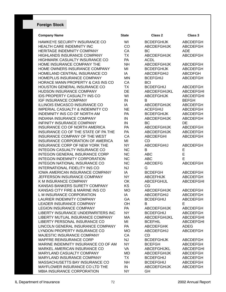| HAWKEYE SECURITY INSURANCE CO<br>WI<br>ABCDEFGH<br><b>BCDEFGHIJK</b><br>HEALTH CARE INDEMNITY INC<br>CO<br><b>ABCDEFGHIJK</b><br><b>ABCDEFGH</b><br>HERITAGE INDEMNITY COMPANY<br>CA<br><b>BC</b><br><b>ADE</b><br><b>HIGHLANDS INSURANCE COMPANY</b><br>TX<br><b>ABCDEFGHIJK</b><br><b>ABCDEFGH</b><br>HIGHMARK CASUALTY INSURANCE CO<br>PA<br><b>ACDL</b><br>HOME INSURANCE COMPANY THE<br><b>NH</b><br><b>ABCDEFGHIJK</b><br><b>ABCDEFGH</b><br>HOME OWNERS INSURANCE COMPANY<br>MI<br><b>BCDEFGHIJK</b><br><b>ABCDEFGH</b><br>HOMELAND CENTRAL INSURANCE CO<br>IA<br><b>ABCDFGH</b><br><b>ABCDEFGHIJ</b><br>HOMEPLUS INSURANCE COMPANY<br>MN<br><b>BCEFGHIJ</b><br><b>ABCDEFGH</b><br>HORACE MANN PROPERTY & CAS INS CO<br>CA<br><b>BCI</b><br>HOUSTON GENERAL INSURANCE CO<br>TX<br><b>BCDEFGHIJ</b><br><b>ABCDEFGH</b><br>HUDSON INSURANCE COMPANY<br><b>DE</b><br><b>ABCDEFGHIJKL</b><br><b>ABCDEFGHI</b><br>WI<br><b>IDS PROPERTY CASUALTY INS CO</b><br><b>ABCEFGHIJK</b><br><b>ABCDEFGHI</b><br><b>IGF INSURANCE COMPANY</b><br>IN<br><b>BEFGH</b><br>B<br>ILLINOIS EMCASCO INSURANCE CO<br><b>ABCDEFGH</b><br>IA<br><b>ABCDEFGHIJK</b><br><b>IMPERIAL CASUALTY &amp; INDEMNITY CO</b><br><b>ABCDEFGH</b><br><b>NE</b><br><b>ACEFGHIJ</b><br>INDEMNITY INS CO OF NORTH AM<br>PA<br><b>BCDEFGHIJK</b><br><b>ABCDEFGH</b><br>INDIANA INSURANCE COMPANY<br>IN<br><b>ABCDEFGHIJK</b><br><b>ABCDEFGH</b><br><b>INFINITY INSURANCE COMPANY</b><br><b>DE</b><br>IN<br>BC<br>INSURANCE CO OF NORTH AMERICA<br>PA<br><b>ABCDEFGHIJK</b><br><b>ABCDEFGH</b><br>INSURANCE CO OF THE STATE OF PA THE<br>PA<br><b>ABCDEFGHIJK</b><br><b>ABCDEFGH</b><br>INSURANCE COMPANY OF THE WEST<br>CA<br><b>ABCDEFGHI</b><br><b>ABCDEFGH</b><br>INSURANCE CORPORATION OF AMERICA<br>MI<br>CD<br>INSURANCE CORP OF NEW YORK THE<br><b>ABCDEFGHIJ</b><br><b>NY</b><br><b>ABCDEFGH</b><br><b>NC</b><br><b>INTEGON CASUALTY INSURANCE CO</b><br>B<br>E<br>E<br><b>NC</b><br><b>INTEGON GENERAL INSURANCE CORP</b><br><b>ABC</b><br>E<br><b>NC</b><br>INTEGON INDEMNITY CORPORATION<br><b>ABC</b><br><b>NC</b><br>INTEGON NATIONAL INSURANCE CO<br><b>ABCDEFG</b><br><b>ABCDEFGH</b><br><b>INTERNATIONAL FIDELITY INS CO</b><br><b>NJ</b><br>G<br>IOWA AMERICAN INSURANCE COMPANY<br>IA<br><b>BCDEFGH</b><br><b>ABCDEFGH</b><br><b>ABCDEFGH</b><br>JEFFERSON INSURANCE COMPANY<br>NY.<br><b>ABCEFHIJK</b><br>K M INSURANCE COMPANY<br>OK<br><b>ABCEFGHIJL</b><br><b>ABCDEFGHI</b><br>KANSAS BANKERS SURETY COMPANY<br><b>KS</b><br>CG<br>KANSAS CITY FIRE & MARINE INS CO<br><b>MO</b><br><b>ABCDEFGHIJK</b><br>ABCDEFGH<br>L M INSURANCE CORPORATION<br>ΙA<br><b>ABCDEFGHIJ</b><br><b>ABCDEFGH</b><br>LAURIER INDEMNITY COMPANY<br>GA<br><b>BCDEFGHIJ</b><br>ABCDEFGH<br><b>LEADER INSURANCE COMPANY</b><br>OH<br>E.<br>В<br>PA<br><b>LEGION INSURANCE COMPANY</b><br><b>ABCDEFGHIJK</b><br><b>ABCDEFGH</b><br>LIBERTY INSURANCE UNDERWRITERS INC<br>NY.<br><b>BCDEFGHIJ</b><br><b>ABCDEFGH</b><br>LIBERTY MUTUAL INSURANCE COMPANY<br>МA<br>ABCDEFGHIJKL<br><b>ABCDEFGHI</b><br>LIBERTY PERSONAL INSURANCE CO<br>MI<br><b>ABCDEFGHI</b><br><b>BCEFHIL</b><br>LINCOLN GENERAL INSURANCE COMPANY<br><b>PA</b><br><b>ABCDEFGHK</b><br>ADEG<br>LYNDON PROPERTY INSURANCE CO<br><b>MO</b><br><b>ABCDEFGHIJ</b><br><b>ABCDEFGH</b><br>MAJESTIC INSURANCE COMPANY<br>CA<br>CD<br>MAPFRE REINSURANCE CORP<br>NJ<br><b>BCDEFGHIJK</b><br><b>ABCDEFGH</b><br>MARINE INDEMNITY INSURANCE CO OF AM<br><b>NY</b><br><b>BCEFGH</b><br><b>ABCDEFGH</b><br>MARKEL AMERICAN INSURANCE CO<br><b>ABCEFGHIJKL</b><br><b>ABCDEFGHI</b><br>VA<br>MARYLAND CASUALTY COMPANY<br><b>ABCDEFGH</b><br>MD<br><b>ABCDEFGHIJK</b><br>MARYLAND INSURANCE COMPANY<br><b>BCDEFGHIJ</b><br><b>ABCDEFGH</b><br>TX<br>MASSACHUSETTS BAY INSURANCE CO<br><b>NH</b><br><b>BCDEFGHIJ</b><br><b>ABCDEFGH</b><br>MAYFLOWER INSURANCE CO LTD THE<br>IN<br><b>ABCDEFGHIJK</b><br><b>ABCDEFGH</b><br>MBIA INSURANCE CORPORATION<br>NY<br>GH | <b>Company Name</b> | <b>State</b> | Class 2 | Class 3 |
|---------------------------------------------------------------------------------------------------------------------------------------------------------------------------------------------------------------------------------------------------------------------------------------------------------------------------------------------------------------------------------------------------------------------------------------------------------------------------------------------------------------------------------------------------------------------------------------------------------------------------------------------------------------------------------------------------------------------------------------------------------------------------------------------------------------------------------------------------------------------------------------------------------------------------------------------------------------------------------------------------------------------------------------------------------------------------------------------------------------------------------------------------------------------------------------------------------------------------------------------------------------------------------------------------------------------------------------------------------------------------------------------------------------------------------------------------------------------------------------------------------------------------------------------------------------------------------------------------------------------------------------------------------------------------------------------------------------------------------------------------------------------------------------------------------------------------------------------------------------------------------------------------------------------------------------------------------------------------------------------------------------------------------------------------------------------------------------------------------------------------------------------------------------------------------------------------------------------------------------------------------------------------------------------------------------------------------------------------------------------------------------------------------------------------------------------------------------------------------------------------------------------------------------------------------------------------------------------------------------------------------------------------------------------------------------------------------------------------------------------------------------------------------------------------------------------------------------------------------------------------------------------------------------------------------------------------------------------------------------------------------------------------------------------------------------------------------------------------------------------------------------------------------------------------------------------------------------------------------------------------------------------------------------------------------------------------------------------------------------------------------------------------------------------------------------------------------------------------------------------------------------------------------------------------------------------------------------------------------------------------------------------------------------------------------------------------------------------------------------------------------------------------------------------------------------------------------------------------------------------------------------------------------------------------------------------------------------------------------|---------------------|--------------|---------|---------|
|                                                                                                                                                                                                                                                                                                                                                                                                                                                                                                                                                                                                                                                                                                                                                                                                                                                                                                                                                                                                                                                                                                                                                                                                                                                                                                                                                                                                                                                                                                                                                                                                                                                                                                                                                                                                                                                                                                                                                                                                                                                                                                                                                                                                                                                                                                                                                                                                                                                                                                                                                                                                                                                                                                                                                                                                                                                                                                                                                                                                                                                                                                                                                                                                                                                                                                                                                                                                                                                                                                                                                                                                                                                                                                                                                                                                                                                                                                                                                                                 |                     |              |         |         |
|                                                                                                                                                                                                                                                                                                                                                                                                                                                                                                                                                                                                                                                                                                                                                                                                                                                                                                                                                                                                                                                                                                                                                                                                                                                                                                                                                                                                                                                                                                                                                                                                                                                                                                                                                                                                                                                                                                                                                                                                                                                                                                                                                                                                                                                                                                                                                                                                                                                                                                                                                                                                                                                                                                                                                                                                                                                                                                                                                                                                                                                                                                                                                                                                                                                                                                                                                                                                                                                                                                                                                                                                                                                                                                                                                                                                                                                                                                                                                                                 |                     |              |         |         |
|                                                                                                                                                                                                                                                                                                                                                                                                                                                                                                                                                                                                                                                                                                                                                                                                                                                                                                                                                                                                                                                                                                                                                                                                                                                                                                                                                                                                                                                                                                                                                                                                                                                                                                                                                                                                                                                                                                                                                                                                                                                                                                                                                                                                                                                                                                                                                                                                                                                                                                                                                                                                                                                                                                                                                                                                                                                                                                                                                                                                                                                                                                                                                                                                                                                                                                                                                                                                                                                                                                                                                                                                                                                                                                                                                                                                                                                                                                                                                                                 |                     |              |         |         |
|                                                                                                                                                                                                                                                                                                                                                                                                                                                                                                                                                                                                                                                                                                                                                                                                                                                                                                                                                                                                                                                                                                                                                                                                                                                                                                                                                                                                                                                                                                                                                                                                                                                                                                                                                                                                                                                                                                                                                                                                                                                                                                                                                                                                                                                                                                                                                                                                                                                                                                                                                                                                                                                                                                                                                                                                                                                                                                                                                                                                                                                                                                                                                                                                                                                                                                                                                                                                                                                                                                                                                                                                                                                                                                                                                                                                                                                                                                                                                                                 |                     |              |         |         |
|                                                                                                                                                                                                                                                                                                                                                                                                                                                                                                                                                                                                                                                                                                                                                                                                                                                                                                                                                                                                                                                                                                                                                                                                                                                                                                                                                                                                                                                                                                                                                                                                                                                                                                                                                                                                                                                                                                                                                                                                                                                                                                                                                                                                                                                                                                                                                                                                                                                                                                                                                                                                                                                                                                                                                                                                                                                                                                                                                                                                                                                                                                                                                                                                                                                                                                                                                                                                                                                                                                                                                                                                                                                                                                                                                                                                                                                                                                                                                                                 |                     |              |         |         |
|                                                                                                                                                                                                                                                                                                                                                                                                                                                                                                                                                                                                                                                                                                                                                                                                                                                                                                                                                                                                                                                                                                                                                                                                                                                                                                                                                                                                                                                                                                                                                                                                                                                                                                                                                                                                                                                                                                                                                                                                                                                                                                                                                                                                                                                                                                                                                                                                                                                                                                                                                                                                                                                                                                                                                                                                                                                                                                                                                                                                                                                                                                                                                                                                                                                                                                                                                                                                                                                                                                                                                                                                                                                                                                                                                                                                                                                                                                                                                                                 |                     |              |         |         |
|                                                                                                                                                                                                                                                                                                                                                                                                                                                                                                                                                                                                                                                                                                                                                                                                                                                                                                                                                                                                                                                                                                                                                                                                                                                                                                                                                                                                                                                                                                                                                                                                                                                                                                                                                                                                                                                                                                                                                                                                                                                                                                                                                                                                                                                                                                                                                                                                                                                                                                                                                                                                                                                                                                                                                                                                                                                                                                                                                                                                                                                                                                                                                                                                                                                                                                                                                                                                                                                                                                                                                                                                                                                                                                                                                                                                                                                                                                                                                                                 |                     |              |         |         |
|                                                                                                                                                                                                                                                                                                                                                                                                                                                                                                                                                                                                                                                                                                                                                                                                                                                                                                                                                                                                                                                                                                                                                                                                                                                                                                                                                                                                                                                                                                                                                                                                                                                                                                                                                                                                                                                                                                                                                                                                                                                                                                                                                                                                                                                                                                                                                                                                                                                                                                                                                                                                                                                                                                                                                                                                                                                                                                                                                                                                                                                                                                                                                                                                                                                                                                                                                                                                                                                                                                                                                                                                                                                                                                                                                                                                                                                                                                                                                                                 |                     |              |         |         |
|                                                                                                                                                                                                                                                                                                                                                                                                                                                                                                                                                                                                                                                                                                                                                                                                                                                                                                                                                                                                                                                                                                                                                                                                                                                                                                                                                                                                                                                                                                                                                                                                                                                                                                                                                                                                                                                                                                                                                                                                                                                                                                                                                                                                                                                                                                                                                                                                                                                                                                                                                                                                                                                                                                                                                                                                                                                                                                                                                                                                                                                                                                                                                                                                                                                                                                                                                                                                                                                                                                                                                                                                                                                                                                                                                                                                                                                                                                                                                                                 |                     |              |         |         |
|                                                                                                                                                                                                                                                                                                                                                                                                                                                                                                                                                                                                                                                                                                                                                                                                                                                                                                                                                                                                                                                                                                                                                                                                                                                                                                                                                                                                                                                                                                                                                                                                                                                                                                                                                                                                                                                                                                                                                                                                                                                                                                                                                                                                                                                                                                                                                                                                                                                                                                                                                                                                                                                                                                                                                                                                                                                                                                                                                                                                                                                                                                                                                                                                                                                                                                                                                                                                                                                                                                                                                                                                                                                                                                                                                                                                                                                                                                                                                                                 |                     |              |         |         |
|                                                                                                                                                                                                                                                                                                                                                                                                                                                                                                                                                                                                                                                                                                                                                                                                                                                                                                                                                                                                                                                                                                                                                                                                                                                                                                                                                                                                                                                                                                                                                                                                                                                                                                                                                                                                                                                                                                                                                                                                                                                                                                                                                                                                                                                                                                                                                                                                                                                                                                                                                                                                                                                                                                                                                                                                                                                                                                                                                                                                                                                                                                                                                                                                                                                                                                                                                                                                                                                                                                                                                                                                                                                                                                                                                                                                                                                                                                                                                                                 |                     |              |         |         |
|                                                                                                                                                                                                                                                                                                                                                                                                                                                                                                                                                                                                                                                                                                                                                                                                                                                                                                                                                                                                                                                                                                                                                                                                                                                                                                                                                                                                                                                                                                                                                                                                                                                                                                                                                                                                                                                                                                                                                                                                                                                                                                                                                                                                                                                                                                                                                                                                                                                                                                                                                                                                                                                                                                                                                                                                                                                                                                                                                                                                                                                                                                                                                                                                                                                                                                                                                                                                                                                                                                                                                                                                                                                                                                                                                                                                                                                                                                                                                                                 |                     |              |         |         |
|                                                                                                                                                                                                                                                                                                                                                                                                                                                                                                                                                                                                                                                                                                                                                                                                                                                                                                                                                                                                                                                                                                                                                                                                                                                                                                                                                                                                                                                                                                                                                                                                                                                                                                                                                                                                                                                                                                                                                                                                                                                                                                                                                                                                                                                                                                                                                                                                                                                                                                                                                                                                                                                                                                                                                                                                                                                                                                                                                                                                                                                                                                                                                                                                                                                                                                                                                                                                                                                                                                                                                                                                                                                                                                                                                                                                                                                                                                                                                                                 |                     |              |         |         |
|                                                                                                                                                                                                                                                                                                                                                                                                                                                                                                                                                                                                                                                                                                                                                                                                                                                                                                                                                                                                                                                                                                                                                                                                                                                                                                                                                                                                                                                                                                                                                                                                                                                                                                                                                                                                                                                                                                                                                                                                                                                                                                                                                                                                                                                                                                                                                                                                                                                                                                                                                                                                                                                                                                                                                                                                                                                                                                                                                                                                                                                                                                                                                                                                                                                                                                                                                                                                                                                                                                                                                                                                                                                                                                                                                                                                                                                                                                                                                                                 |                     |              |         |         |
|                                                                                                                                                                                                                                                                                                                                                                                                                                                                                                                                                                                                                                                                                                                                                                                                                                                                                                                                                                                                                                                                                                                                                                                                                                                                                                                                                                                                                                                                                                                                                                                                                                                                                                                                                                                                                                                                                                                                                                                                                                                                                                                                                                                                                                                                                                                                                                                                                                                                                                                                                                                                                                                                                                                                                                                                                                                                                                                                                                                                                                                                                                                                                                                                                                                                                                                                                                                                                                                                                                                                                                                                                                                                                                                                                                                                                                                                                                                                                                                 |                     |              |         |         |
|                                                                                                                                                                                                                                                                                                                                                                                                                                                                                                                                                                                                                                                                                                                                                                                                                                                                                                                                                                                                                                                                                                                                                                                                                                                                                                                                                                                                                                                                                                                                                                                                                                                                                                                                                                                                                                                                                                                                                                                                                                                                                                                                                                                                                                                                                                                                                                                                                                                                                                                                                                                                                                                                                                                                                                                                                                                                                                                                                                                                                                                                                                                                                                                                                                                                                                                                                                                                                                                                                                                                                                                                                                                                                                                                                                                                                                                                                                                                                                                 |                     |              |         |         |
|                                                                                                                                                                                                                                                                                                                                                                                                                                                                                                                                                                                                                                                                                                                                                                                                                                                                                                                                                                                                                                                                                                                                                                                                                                                                                                                                                                                                                                                                                                                                                                                                                                                                                                                                                                                                                                                                                                                                                                                                                                                                                                                                                                                                                                                                                                                                                                                                                                                                                                                                                                                                                                                                                                                                                                                                                                                                                                                                                                                                                                                                                                                                                                                                                                                                                                                                                                                                                                                                                                                                                                                                                                                                                                                                                                                                                                                                                                                                                                                 |                     |              |         |         |
|                                                                                                                                                                                                                                                                                                                                                                                                                                                                                                                                                                                                                                                                                                                                                                                                                                                                                                                                                                                                                                                                                                                                                                                                                                                                                                                                                                                                                                                                                                                                                                                                                                                                                                                                                                                                                                                                                                                                                                                                                                                                                                                                                                                                                                                                                                                                                                                                                                                                                                                                                                                                                                                                                                                                                                                                                                                                                                                                                                                                                                                                                                                                                                                                                                                                                                                                                                                                                                                                                                                                                                                                                                                                                                                                                                                                                                                                                                                                                                                 |                     |              |         |         |
|                                                                                                                                                                                                                                                                                                                                                                                                                                                                                                                                                                                                                                                                                                                                                                                                                                                                                                                                                                                                                                                                                                                                                                                                                                                                                                                                                                                                                                                                                                                                                                                                                                                                                                                                                                                                                                                                                                                                                                                                                                                                                                                                                                                                                                                                                                                                                                                                                                                                                                                                                                                                                                                                                                                                                                                                                                                                                                                                                                                                                                                                                                                                                                                                                                                                                                                                                                                                                                                                                                                                                                                                                                                                                                                                                                                                                                                                                                                                                                                 |                     |              |         |         |
|                                                                                                                                                                                                                                                                                                                                                                                                                                                                                                                                                                                                                                                                                                                                                                                                                                                                                                                                                                                                                                                                                                                                                                                                                                                                                                                                                                                                                                                                                                                                                                                                                                                                                                                                                                                                                                                                                                                                                                                                                                                                                                                                                                                                                                                                                                                                                                                                                                                                                                                                                                                                                                                                                                                                                                                                                                                                                                                                                                                                                                                                                                                                                                                                                                                                                                                                                                                                                                                                                                                                                                                                                                                                                                                                                                                                                                                                                                                                                                                 |                     |              |         |         |
|                                                                                                                                                                                                                                                                                                                                                                                                                                                                                                                                                                                                                                                                                                                                                                                                                                                                                                                                                                                                                                                                                                                                                                                                                                                                                                                                                                                                                                                                                                                                                                                                                                                                                                                                                                                                                                                                                                                                                                                                                                                                                                                                                                                                                                                                                                                                                                                                                                                                                                                                                                                                                                                                                                                                                                                                                                                                                                                                                                                                                                                                                                                                                                                                                                                                                                                                                                                                                                                                                                                                                                                                                                                                                                                                                                                                                                                                                                                                                                                 |                     |              |         |         |
|                                                                                                                                                                                                                                                                                                                                                                                                                                                                                                                                                                                                                                                                                                                                                                                                                                                                                                                                                                                                                                                                                                                                                                                                                                                                                                                                                                                                                                                                                                                                                                                                                                                                                                                                                                                                                                                                                                                                                                                                                                                                                                                                                                                                                                                                                                                                                                                                                                                                                                                                                                                                                                                                                                                                                                                                                                                                                                                                                                                                                                                                                                                                                                                                                                                                                                                                                                                                                                                                                                                                                                                                                                                                                                                                                                                                                                                                                                                                                                                 |                     |              |         |         |
|                                                                                                                                                                                                                                                                                                                                                                                                                                                                                                                                                                                                                                                                                                                                                                                                                                                                                                                                                                                                                                                                                                                                                                                                                                                                                                                                                                                                                                                                                                                                                                                                                                                                                                                                                                                                                                                                                                                                                                                                                                                                                                                                                                                                                                                                                                                                                                                                                                                                                                                                                                                                                                                                                                                                                                                                                                                                                                                                                                                                                                                                                                                                                                                                                                                                                                                                                                                                                                                                                                                                                                                                                                                                                                                                                                                                                                                                                                                                                                                 |                     |              |         |         |
|                                                                                                                                                                                                                                                                                                                                                                                                                                                                                                                                                                                                                                                                                                                                                                                                                                                                                                                                                                                                                                                                                                                                                                                                                                                                                                                                                                                                                                                                                                                                                                                                                                                                                                                                                                                                                                                                                                                                                                                                                                                                                                                                                                                                                                                                                                                                                                                                                                                                                                                                                                                                                                                                                                                                                                                                                                                                                                                                                                                                                                                                                                                                                                                                                                                                                                                                                                                                                                                                                                                                                                                                                                                                                                                                                                                                                                                                                                                                                                                 |                     |              |         |         |
|                                                                                                                                                                                                                                                                                                                                                                                                                                                                                                                                                                                                                                                                                                                                                                                                                                                                                                                                                                                                                                                                                                                                                                                                                                                                                                                                                                                                                                                                                                                                                                                                                                                                                                                                                                                                                                                                                                                                                                                                                                                                                                                                                                                                                                                                                                                                                                                                                                                                                                                                                                                                                                                                                                                                                                                                                                                                                                                                                                                                                                                                                                                                                                                                                                                                                                                                                                                                                                                                                                                                                                                                                                                                                                                                                                                                                                                                                                                                                                                 |                     |              |         |         |
|                                                                                                                                                                                                                                                                                                                                                                                                                                                                                                                                                                                                                                                                                                                                                                                                                                                                                                                                                                                                                                                                                                                                                                                                                                                                                                                                                                                                                                                                                                                                                                                                                                                                                                                                                                                                                                                                                                                                                                                                                                                                                                                                                                                                                                                                                                                                                                                                                                                                                                                                                                                                                                                                                                                                                                                                                                                                                                                                                                                                                                                                                                                                                                                                                                                                                                                                                                                                                                                                                                                                                                                                                                                                                                                                                                                                                                                                                                                                                                                 |                     |              |         |         |
|                                                                                                                                                                                                                                                                                                                                                                                                                                                                                                                                                                                                                                                                                                                                                                                                                                                                                                                                                                                                                                                                                                                                                                                                                                                                                                                                                                                                                                                                                                                                                                                                                                                                                                                                                                                                                                                                                                                                                                                                                                                                                                                                                                                                                                                                                                                                                                                                                                                                                                                                                                                                                                                                                                                                                                                                                                                                                                                                                                                                                                                                                                                                                                                                                                                                                                                                                                                                                                                                                                                                                                                                                                                                                                                                                                                                                                                                                                                                                                                 |                     |              |         |         |
|                                                                                                                                                                                                                                                                                                                                                                                                                                                                                                                                                                                                                                                                                                                                                                                                                                                                                                                                                                                                                                                                                                                                                                                                                                                                                                                                                                                                                                                                                                                                                                                                                                                                                                                                                                                                                                                                                                                                                                                                                                                                                                                                                                                                                                                                                                                                                                                                                                                                                                                                                                                                                                                                                                                                                                                                                                                                                                                                                                                                                                                                                                                                                                                                                                                                                                                                                                                                                                                                                                                                                                                                                                                                                                                                                                                                                                                                                                                                                                                 |                     |              |         |         |
|                                                                                                                                                                                                                                                                                                                                                                                                                                                                                                                                                                                                                                                                                                                                                                                                                                                                                                                                                                                                                                                                                                                                                                                                                                                                                                                                                                                                                                                                                                                                                                                                                                                                                                                                                                                                                                                                                                                                                                                                                                                                                                                                                                                                                                                                                                                                                                                                                                                                                                                                                                                                                                                                                                                                                                                                                                                                                                                                                                                                                                                                                                                                                                                                                                                                                                                                                                                                                                                                                                                                                                                                                                                                                                                                                                                                                                                                                                                                                                                 |                     |              |         |         |
|                                                                                                                                                                                                                                                                                                                                                                                                                                                                                                                                                                                                                                                                                                                                                                                                                                                                                                                                                                                                                                                                                                                                                                                                                                                                                                                                                                                                                                                                                                                                                                                                                                                                                                                                                                                                                                                                                                                                                                                                                                                                                                                                                                                                                                                                                                                                                                                                                                                                                                                                                                                                                                                                                                                                                                                                                                                                                                                                                                                                                                                                                                                                                                                                                                                                                                                                                                                                                                                                                                                                                                                                                                                                                                                                                                                                                                                                                                                                                                                 |                     |              |         |         |
|                                                                                                                                                                                                                                                                                                                                                                                                                                                                                                                                                                                                                                                                                                                                                                                                                                                                                                                                                                                                                                                                                                                                                                                                                                                                                                                                                                                                                                                                                                                                                                                                                                                                                                                                                                                                                                                                                                                                                                                                                                                                                                                                                                                                                                                                                                                                                                                                                                                                                                                                                                                                                                                                                                                                                                                                                                                                                                                                                                                                                                                                                                                                                                                                                                                                                                                                                                                                                                                                                                                                                                                                                                                                                                                                                                                                                                                                                                                                                                                 |                     |              |         |         |
|                                                                                                                                                                                                                                                                                                                                                                                                                                                                                                                                                                                                                                                                                                                                                                                                                                                                                                                                                                                                                                                                                                                                                                                                                                                                                                                                                                                                                                                                                                                                                                                                                                                                                                                                                                                                                                                                                                                                                                                                                                                                                                                                                                                                                                                                                                                                                                                                                                                                                                                                                                                                                                                                                                                                                                                                                                                                                                                                                                                                                                                                                                                                                                                                                                                                                                                                                                                                                                                                                                                                                                                                                                                                                                                                                                                                                                                                                                                                                                                 |                     |              |         |         |
|                                                                                                                                                                                                                                                                                                                                                                                                                                                                                                                                                                                                                                                                                                                                                                                                                                                                                                                                                                                                                                                                                                                                                                                                                                                                                                                                                                                                                                                                                                                                                                                                                                                                                                                                                                                                                                                                                                                                                                                                                                                                                                                                                                                                                                                                                                                                                                                                                                                                                                                                                                                                                                                                                                                                                                                                                                                                                                                                                                                                                                                                                                                                                                                                                                                                                                                                                                                                                                                                                                                                                                                                                                                                                                                                                                                                                                                                                                                                                                                 |                     |              |         |         |
|                                                                                                                                                                                                                                                                                                                                                                                                                                                                                                                                                                                                                                                                                                                                                                                                                                                                                                                                                                                                                                                                                                                                                                                                                                                                                                                                                                                                                                                                                                                                                                                                                                                                                                                                                                                                                                                                                                                                                                                                                                                                                                                                                                                                                                                                                                                                                                                                                                                                                                                                                                                                                                                                                                                                                                                                                                                                                                                                                                                                                                                                                                                                                                                                                                                                                                                                                                                                                                                                                                                                                                                                                                                                                                                                                                                                                                                                                                                                                                                 |                     |              |         |         |
|                                                                                                                                                                                                                                                                                                                                                                                                                                                                                                                                                                                                                                                                                                                                                                                                                                                                                                                                                                                                                                                                                                                                                                                                                                                                                                                                                                                                                                                                                                                                                                                                                                                                                                                                                                                                                                                                                                                                                                                                                                                                                                                                                                                                                                                                                                                                                                                                                                                                                                                                                                                                                                                                                                                                                                                                                                                                                                                                                                                                                                                                                                                                                                                                                                                                                                                                                                                                                                                                                                                                                                                                                                                                                                                                                                                                                                                                                                                                                                                 |                     |              |         |         |
|                                                                                                                                                                                                                                                                                                                                                                                                                                                                                                                                                                                                                                                                                                                                                                                                                                                                                                                                                                                                                                                                                                                                                                                                                                                                                                                                                                                                                                                                                                                                                                                                                                                                                                                                                                                                                                                                                                                                                                                                                                                                                                                                                                                                                                                                                                                                                                                                                                                                                                                                                                                                                                                                                                                                                                                                                                                                                                                                                                                                                                                                                                                                                                                                                                                                                                                                                                                                                                                                                                                                                                                                                                                                                                                                                                                                                                                                                                                                                                                 |                     |              |         |         |
|                                                                                                                                                                                                                                                                                                                                                                                                                                                                                                                                                                                                                                                                                                                                                                                                                                                                                                                                                                                                                                                                                                                                                                                                                                                                                                                                                                                                                                                                                                                                                                                                                                                                                                                                                                                                                                                                                                                                                                                                                                                                                                                                                                                                                                                                                                                                                                                                                                                                                                                                                                                                                                                                                                                                                                                                                                                                                                                                                                                                                                                                                                                                                                                                                                                                                                                                                                                                                                                                                                                                                                                                                                                                                                                                                                                                                                                                                                                                                                                 |                     |              |         |         |
|                                                                                                                                                                                                                                                                                                                                                                                                                                                                                                                                                                                                                                                                                                                                                                                                                                                                                                                                                                                                                                                                                                                                                                                                                                                                                                                                                                                                                                                                                                                                                                                                                                                                                                                                                                                                                                                                                                                                                                                                                                                                                                                                                                                                                                                                                                                                                                                                                                                                                                                                                                                                                                                                                                                                                                                                                                                                                                                                                                                                                                                                                                                                                                                                                                                                                                                                                                                                                                                                                                                                                                                                                                                                                                                                                                                                                                                                                                                                                                                 |                     |              |         |         |
|                                                                                                                                                                                                                                                                                                                                                                                                                                                                                                                                                                                                                                                                                                                                                                                                                                                                                                                                                                                                                                                                                                                                                                                                                                                                                                                                                                                                                                                                                                                                                                                                                                                                                                                                                                                                                                                                                                                                                                                                                                                                                                                                                                                                                                                                                                                                                                                                                                                                                                                                                                                                                                                                                                                                                                                                                                                                                                                                                                                                                                                                                                                                                                                                                                                                                                                                                                                                                                                                                                                                                                                                                                                                                                                                                                                                                                                                                                                                                                                 |                     |              |         |         |
|                                                                                                                                                                                                                                                                                                                                                                                                                                                                                                                                                                                                                                                                                                                                                                                                                                                                                                                                                                                                                                                                                                                                                                                                                                                                                                                                                                                                                                                                                                                                                                                                                                                                                                                                                                                                                                                                                                                                                                                                                                                                                                                                                                                                                                                                                                                                                                                                                                                                                                                                                                                                                                                                                                                                                                                                                                                                                                                                                                                                                                                                                                                                                                                                                                                                                                                                                                                                                                                                                                                                                                                                                                                                                                                                                                                                                                                                                                                                                                                 |                     |              |         |         |
|                                                                                                                                                                                                                                                                                                                                                                                                                                                                                                                                                                                                                                                                                                                                                                                                                                                                                                                                                                                                                                                                                                                                                                                                                                                                                                                                                                                                                                                                                                                                                                                                                                                                                                                                                                                                                                                                                                                                                                                                                                                                                                                                                                                                                                                                                                                                                                                                                                                                                                                                                                                                                                                                                                                                                                                                                                                                                                                                                                                                                                                                                                                                                                                                                                                                                                                                                                                                                                                                                                                                                                                                                                                                                                                                                                                                                                                                                                                                                                                 |                     |              |         |         |
|                                                                                                                                                                                                                                                                                                                                                                                                                                                                                                                                                                                                                                                                                                                                                                                                                                                                                                                                                                                                                                                                                                                                                                                                                                                                                                                                                                                                                                                                                                                                                                                                                                                                                                                                                                                                                                                                                                                                                                                                                                                                                                                                                                                                                                                                                                                                                                                                                                                                                                                                                                                                                                                                                                                                                                                                                                                                                                                                                                                                                                                                                                                                                                                                                                                                                                                                                                                                                                                                                                                                                                                                                                                                                                                                                                                                                                                                                                                                                                                 |                     |              |         |         |
|                                                                                                                                                                                                                                                                                                                                                                                                                                                                                                                                                                                                                                                                                                                                                                                                                                                                                                                                                                                                                                                                                                                                                                                                                                                                                                                                                                                                                                                                                                                                                                                                                                                                                                                                                                                                                                                                                                                                                                                                                                                                                                                                                                                                                                                                                                                                                                                                                                                                                                                                                                                                                                                                                                                                                                                                                                                                                                                                                                                                                                                                                                                                                                                                                                                                                                                                                                                                                                                                                                                                                                                                                                                                                                                                                                                                                                                                                                                                                                                 |                     |              |         |         |
|                                                                                                                                                                                                                                                                                                                                                                                                                                                                                                                                                                                                                                                                                                                                                                                                                                                                                                                                                                                                                                                                                                                                                                                                                                                                                                                                                                                                                                                                                                                                                                                                                                                                                                                                                                                                                                                                                                                                                                                                                                                                                                                                                                                                                                                                                                                                                                                                                                                                                                                                                                                                                                                                                                                                                                                                                                                                                                                                                                                                                                                                                                                                                                                                                                                                                                                                                                                                                                                                                                                                                                                                                                                                                                                                                                                                                                                                                                                                                                                 |                     |              |         |         |
|                                                                                                                                                                                                                                                                                                                                                                                                                                                                                                                                                                                                                                                                                                                                                                                                                                                                                                                                                                                                                                                                                                                                                                                                                                                                                                                                                                                                                                                                                                                                                                                                                                                                                                                                                                                                                                                                                                                                                                                                                                                                                                                                                                                                                                                                                                                                                                                                                                                                                                                                                                                                                                                                                                                                                                                                                                                                                                                                                                                                                                                                                                                                                                                                                                                                                                                                                                                                                                                                                                                                                                                                                                                                                                                                                                                                                                                                                                                                                                                 |                     |              |         |         |
|                                                                                                                                                                                                                                                                                                                                                                                                                                                                                                                                                                                                                                                                                                                                                                                                                                                                                                                                                                                                                                                                                                                                                                                                                                                                                                                                                                                                                                                                                                                                                                                                                                                                                                                                                                                                                                                                                                                                                                                                                                                                                                                                                                                                                                                                                                                                                                                                                                                                                                                                                                                                                                                                                                                                                                                                                                                                                                                                                                                                                                                                                                                                                                                                                                                                                                                                                                                                                                                                                                                                                                                                                                                                                                                                                                                                                                                                                                                                                                                 |                     |              |         |         |
|                                                                                                                                                                                                                                                                                                                                                                                                                                                                                                                                                                                                                                                                                                                                                                                                                                                                                                                                                                                                                                                                                                                                                                                                                                                                                                                                                                                                                                                                                                                                                                                                                                                                                                                                                                                                                                                                                                                                                                                                                                                                                                                                                                                                                                                                                                                                                                                                                                                                                                                                                                                                                                                                                                                                                                                                                                                                                                                                                                                                                                                                                                                                                                                                                                                                                                                                                                                                                                                                                                                                                                                                                                                                                                                                                                                                                                                                                                                                                                                 |                     |              |         |         |
|                                                                                                                                                                                                                                                                                                                                                                                                                                                                                                                                                                                                                                                                                                                                                                                                                                                                                                                                                                                                                                                                                                                                                                                                                                                                                                                                                                                                                                                                                                                                                                                                                                                                                                                                                                                                                                                                                                                                                                                                                                                                                                                                                                                                                                                                                                                                                                                                                                                                                                                                                                                                                                                                                                                                                                                                                                                                                                                                                                                                                                                                                                                                                                                                                                                                                                                                                                                                                                                                                                                                                                                                                                                                                                                                                                                                                                                                                                                                                                                 |                     |              |         |         |
|                                                                                                                                                                                                                                                                                                                                                                                                                                                                                                                                                                                                                                                                                                                                                                                                                                                                                                                                                                                                                                                                                                                                                                                                                                                                                                                                                                                                                                                                                                                                                                                                                                                                                                                                                                                                                                                                                                                                                                                                                                                                                                                                                                                                                                                                                                                                                                                                                                                                                                                                                                                                                                                                                                                                                                                                                                                                                                                                                                                                                                                                                                                                                                                                                                                                                                                                                                                                                                                                                                                                                                                                                                                                                                                                                                                                                                                                                                                                                                                 |                     |              |         |         |
|                                                                                                                                                                                                                                                                                                                                                                                                                                                                                                                                                                                                                                                                                                                                                                                                                                                                                                                                                                                                                                                                                                                                                                                                                                                                                                                                                                                                                                                                                                                                                                                                                                                                                                                                                                                                                                                                                                                                                                                                                                                                                                                                                                                                                                                                                                                                                                                                                                                                                                                                                                                                                                                                                                                                                                                                                                                                                                                                                                                                                                                                                                                                                                                                                                                                                                                                                                                                                                                                                                                                                                                                                                                                                                                                                                                                                                                                                                                                                                                 |                     |              |         |         |
|                                                                                                                                                                                                                                                                                                                                                                                                                                                                                                                                                                                                                                                                                                                                                                                                                                                                                                                                                                                                                                                                                                                                                                                                                                                                                                                                                                                                                                                                                                                                                                                                                                                                                                                                                                                                                                                                                                                                                                                                                                                                                                                                                                                                                                                                                                                                                                                                                                                                                                                                                                                                                                                                                                                                                                                                                                                                                                                                                                                                                                                                                                                                                                                                                                                                                                                                                                                                                                                                                                                                                                                                                                                                                                                                                                                                                                                                                                                                                                                 |                     |              |         |         |
|                                                                                                                                                                                                                                                                                                                                                                                                                                                                                                                                                                                                                                                                                                                                                                                                                                                                                                                                                                                                                                                                                                                                                                                                                                                                                                                                                                                                                                                                                                                                                                                                                                                                                                                                                                                                                                                                                                                                                                                                                                                                                                                                                                                                                                                                                                                                                                                                                                                                                                                                                                                                                                                                                                                                                                                                                                                                                                                                                                                                                                                                                                                                                                                                                                                                                                                                                                                                                                                                                                                                                                                                                                                                                                                                                                                                                                                                                                                                                                                 |                     |              |         |         |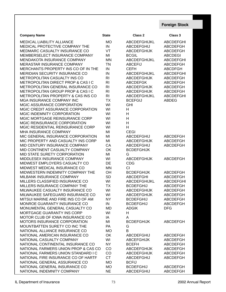| <b>Company Name</b>                                           | <b>State</b>    | Class 2                               | Class 3                            |
|---------------------------------------------------------------|-----------------|---------------------------------------|------------------------------------|
| <b>MEDICAL LIABILITY ALLIANCE</b>                             | <b>MO</b>       | ABCDEFGHIJKL                          | <b>ABCDEFGHI</b>                   |
| MEDICAL PROTECTIVE COMPANY THE                                | IN              | <b>ABCDEFGHIJ</b>                     | <b>ABCDEFGH</b>                    |
| MEDMARC CASUALTY INSURANCE CO                                 | VT              | <b>ABCDEFGHIJK</b>                    | <b>ABCDEFGH</b>                    |
| MEMBERSELECT INSURANCE COMPANY                                | MI              | <b>BCGIL</b>                          | <b>ABCDEGI</b>                     |
| MENDAKOTA INSURANCE COMPANY                                   | <b>MN</b>       | <b>ABCDEFGHIJKL</b>                   | <b>ABCDEFGHI</b>                   |
| <b>MERASTAR INSURANCE COMPANY</b>                             | <b>TN</b>       | <b>ABCEFIJ</b>                        | <b>ABCDEFGH</b>                    |
| MERCHANTS PROPERTY INS CO OF IN THE                           | IN              | <b>CEFH</b>                           | <b>ABCDFGH</b>                     |
| <b>MERIDIAN SECURITY INSURANCE CO</b>                         | IN              | <b>ABCDEFGHIJKL</b>                   | <b>ABCDEFGHI</b>                   |
| METROPOLITAN CASUALTY INS CO                                  | R <sub>l</sub>  | <b>ABCDEFGHIJK</b>                    | <b>ABCDEFGH</b>                    |
| METROPOLITAN DIRECT PROP & CAS I C                            | R <sub>l</sub>  | <b>ABCDEFGK</b>                       | <b>ABCDEFGH</b>                    |
| METROPOLITAN GENERAL INSURANCE CO                             | R <sub>l</sub>  | <b>ABCDEFGHIJK</b>                    | <b>ABCDEFGH</b>                    |
| METROPOLITAN GROUP PROP & CAS I C                             | R <sub>l</sub>  | <b>ABCDEFGHIJK</b>                    | <b>ABCDEFGH</b>                    |
| <b>METROPOLITAN PROPERTY &amp; CAS INS CO</b>                 | R <sub>l</sub>  | <b>ABCDEFGHIJKL</b>                   | <b>ABCDEFGHI</b>                   |
| MGA INSURANCE COMPANY INC                                     | <b>TX</b>       | <b>BCEFGIJ</b>                        | <b>ABDEG</b>                       |
| MGIC ASSURANCE CORPORATION                                    | WI              | <b>GHI</b>                            |                                    |
| MGIC CREDIT ASSURANCE CORPORATION                             | WI              | н                                     |                                    |
| <b>MGIC INDEMNITY CORPORATION</b>                             | WI              | Η                                     |                                    |
| MGIC MORTGAGE REINSURANCE CORP                                | WI              | Н                                     |                                    |
| <b>MGIC REINSURANCE CORPORATION</b>                           | WI              | Η                                     |                                    |
| MGIC RESIDENTIAL REINSURANCE CORP                             | WI              | н                                     |                                    |
| <b>MHA INSURANCE COMPANY</b>                                  | MI              | <b>CEGI</b>                           |                                    |
| MIC GENERAL INSURANCE CORPORATION                             | MI              | <b>ABCDEFGHIJ</b>                     | <b>ABCDEFGH</b>                    |
| MIC PROPERTY AND CASUALTY INS CORP                            | MI              | <b>ABCDEFGHIJK</b>                    | <b>ABCDEFGH</b>                    |
| MID CENTURY INSURANCE COMPANY                                 | CA              | <b>ABCDEFGHIJ</b>                     | <b>ABCDEFGH</b>                    |
| MID CONTINENT CASUALTY COMPANY                                | OK              | <b>BCDEFGHIJK</b>                     |                                    |
| MID STATE SURETY CORPORATION                                  | MI              | G                                     |                                    |
| MIDDLESEX INSURANCE COMPANY                                   | WI              | <b>ABCDEFGHIJK</b>                    | <b>ABCDEFGH</b>                    |
| MIDWEST EMPLOYERS CASUALTY CO                                 | <b>DE</b>       | <b>CDG</b>                            |                                    |
| MIDWEST MEDICAL INSURANCE CO                                  | <b>MN</b>       | <b>CI</b>                             |                                    |
| MIDWESTERN INDEMNITY COMPANY THE<br>MILBANK INSURANCE COMPANY | OH<br><b>SD</b> | <b>BCDEFGHIJK</b><br><b>ABCDEFGHI</b> | <b>ABCDEFGH</b><br><b>ABCDEFGH</b> |
| MILLERS CLASSIFIED INSURANCE CO                               | WI              | <b>ABCDEFGHIJKL</b>                   | <b>ABCDEFGHI</b>                   |
| MILLERS INSURANCE COMPANY THE                                 | <b>TX</b>       | <b>BCDEFGHIJ</b>                      | <b>ABCDEFGH</b>                    |
| MILWAUKEE CASUALTY INSURANCE CO                               | WI              | <b>ABCDEFGHIJK</b>                    | <b>ABCDEFGH</b>                    |
| MILWAUKEE SAFEGUARD INSURANCE CO                              | WI              | <b>ABCDEFGHIJK</b>                    | <b>ABCDEFGH</b>                    |
| MITSUI MARINE AND FIRE INS CO OF AM                           | <b>NY</b>       | <b>BCDEFGHIJ</b>                      | <b>ABCDEFGH</b>                    |
| MONROE GUARANTY INSURANCE CO                                  | IN.             | <b>BCDEFGHIJ</b>                      | <b>ABCDEFGH</b>                    |
| MONUMENTAL GENERAL CASUALTY CO                                | MD              | <b>ADGIK</b>                          | <b>DFG</b>                         |
| MORTGAGE GUARANTY INS CORP                                    | WI              | н                                     |                                    |
| MOTOR CLUB OF IOWA INSURANCE CO                               | IA              | Α                                     |                                    |
| MOTORS INSURANCE CORPORATION                                  | MI              | <b>BCDEFGHIJK</b>                     | <b>ABCDEFGH</b>                    |
| MOUNTBATTEN SURETY CO INC THE                                 | PA              | G                                     |                                    |
| NATIONAL ALLIANCE INSURANCE CO                                | <b>MO</b>       | B                                     |                                    |
| NATIONAL AMERICAN INSURANCE CO                                | <b>OK</b>       | <b>ABCDEFGHIJ</b>                     | <b>ABCDEFGH</b>                    |
| NATIONAL CASUALTY COMPANY                                     | WI              | <b>ABCEFGHIJK</b>                     | <b>ABCDEFGH</b>                    |
| NATIONAL CONTINENTAL INSURANCE CO                             | NY              | <b>BCEFH</b>                          | <b>ABCDEFGH</b>                    |
| NATIONAL FARMERS UNION PROP & CAS CO                          | CO              | <b>ABCDEFGHIJK</b>                    | <b>ABCDEFGH</b>                    |
| NATIONAL FARMERS UNION STANDARD I C                           | CO              | <b>ABCDEFGHIJK</b>                    | <b>ABCDEFGH</b>                    |
| NATIONAL FIRE INSURANCE CO OF HARTF                           | <b>CT</b>       | <b>ABCDEFGHIJ</b>                     | <b>ABCDEFGH</b>                    |
| NATIONAL GENERAL ASSURANCE CO                                 | <b>MO</b>       | <b>BCFIJ</b>                          |                                    |
| NATIONAL GENERAL INSURANCE CO                                 | <b>MO</b>       | <b>BCDEFGHIJ</b>                      | <b>ABCDEFGH</b>                    |
| NATIONAL INDEMNITY COMPANY                                    | <b>NE</b>       | <b>ABCDEFGHIJ</b>                     | <b>ABCDEFGH</b>                    |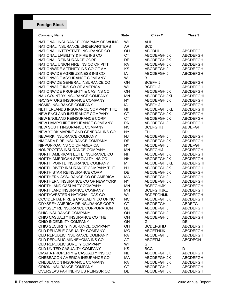| <b>Company Name</b>                  | <b>State</b> | Class 2             | Class 3          |
|--------------------------------------|--------------|---------------------|------------------|
| NATIONAL INSURANCE COMPANY OF WI INC | WI           | AHI                 |                  |
| NATIONAL INSURANCE UNDERWRITERS      | AR           | <b>BCD</b>          |                  |
| NATIONAL INTERSTATE INSURANCE CO     | OH           | <b>ABCDHI</b>       | <b>ABCDEFG</b>   |
| NATIONAL LIABILITY & FIRE INS CO     | <b>CT</b>    | <b>ABCDEFGHIJK</b>  | <b>ABCDEFGH</b>  |
| NATIONAL REINSURANCE CORP            | DE           | <b>ABCDEFGHIJK</b>  | <b>ABCDEFGH</b>  |
| NATIONAL UNION FIRE INS CO OF PITT   | PA           | <b>ABCDEFGHIJK</b>  | <b>ABCDEFGH</b>  |
| NATIONWIDE AFFINITY INS CO OF AM     | KS           | <b>ABCDEFGHIJ</b>   | <b>ABCDEFGH</b>  |
| NATIONWIDE AGRIBUSINESS INS CO       | ΙA           | <b>ABCDEFGHIJ</b>   | <b>ABCDEFGH</b>  |
| NATIONWIDE ASSURANCE COMPANY         | WI           | B                   |                  |
| NATIONWIDE GENERAL INSURANCE CO      | OH           | <b>BCEFHIJ</b>      | <b>ABCDEFGH</b>  |
| NATIONWIDE INS CO OF AMERICA         | WI           | <b>BCEFHIJ</b>      | <b>ABCDEFGH</b>  |
| NATIONWIDE PROPERTY & CAS INS CO     | OH           | <b>ABCDEFGHIJK</b>  | <b>ABCDEFGH</b>  |
| NAU COUNTRY INSURANCE COMPANY        | MN           | <b>ABCDEFGHIJKL</b> | <b>ABCDEFGHI</b> |
| NAVIGATORS INSURANCE COMPANY         | <b>NY</b>    | <b>ABCDEFGHIJK</b>  | <b>ABCDEFGH</b>  |
| <b>NCMIC INSURANCE COMPANY</b>       | IA           | <b>BCEFHIJ</b>      | <b>ABCDEFGH</b>  |
| NETHERLANDS INSURANCE COMPANY THE    | <b>NH</b>    | <b>ABCDEFGHIJKL</b> | <b>ABCDEFGHI</b> |
| NEW ENGLAND INSURANCE COMPANY        | <b>CT</b>    | <b>ABCDEFGHIJK</b>  | <b>ABCDEFGH</b>  |
| <b>NEW ENGLAND REINSURANCE CORP</b>  | <b>CT</b>    | <b>ABCDEFGHIJK</b>  | <b>ABCDEFGH</b>  |
| NEW HAMPSHIRE INSURANCE COMPANY      | PA           | <b>ABCDEFGHIJ</b>   | <b>ABCDEFGH</b>  |
| NEW SOUTH INSURANCE COMPANY          | <b>NC</b>    | <b>BCEFGHIJ</b>     | <b>ABDEFGH</b>   |
| NEW YORK MARINE AND GENERAL INS CO   | <b>NY</b>    | <b>FHI</b>          | <b>BD</b>        |
| NEWARK INSURANCE COMPANY             | <b>NJ</b>    | <b>ABCDEFGHIJ</b>   | <b>ABCDEFGH</b>  |
| NIAGARA FIRE INSURANCE COMPANY       | DE           | <b>ABCDEFGHIJK</b>  | <b>ABCDEFGH</b>  |
| NIPPONKOA INS CO OF AMERICA          | <b>NY</b>    | <b>ABCDEFGHIJ</b>   | <b>ABDEFGH</b>   |
| NONPROFITS INSURANCE COMPANY         | <b>MN</b>    | <b>BCEFGHIJ</b>     | <b>ABCDEFGH</b>  |
| NORTH AMERICAN ELITE INSURANCE CO    | <b>NH</b>    | <b>ABCDEFGHIJK</b>  | <b>ABCDEFGH</b>  |
| NORTH AMERICAN SPECIALTY INS CO      | <b>NH</b>    | <b>ABCDEFGHIJK</b>  | <b>ABCDEFGH</b>  |
| NORTH POINTE INSURANCE COMPANY       | MI           | <b>ABCDEFGHIJKL</b> | <b>ABCDEFGHI</b> |
| NORTH RIVER INSURANCE COMPANY THE    | <b>NJ</b>    | <b>ABCDEFGHIJK</b>  | <b>ABCDEFGH</b>  |
| <b>NORTH STAR REINSURANCE CORP</b>   | DE           | <b>ABCDEFGHIJK</b>  | <b>ABCDEFGH</b>  |
| NORTHERN ASSURANCE CO OF AMERICA     | MA           | <b>ABCDEFGHIJ</b>   | <b>ABCDEFGH</b>  |
| NORTHERN INSURANCE CO OF NEW YORK    | <b>NY</b>    | <b>ABCDEFGHIJK</b>  | <b>ABCDEFGH</b>  |
| NORTHLAND CASUALTY COMPANY           | <b>MN</b>    | <b>BCEFGHIJK</b>    | <b>ABCDEFGH</b>  |
| NORTHLAND INSURANCE COMPANY          | MN           | <b>BCEFGHIJKL</b>   | <b>ABCDEFGH</b>  |
| NORTHWESTERN NATIONAL CAS CO         | WI           | <b>BCDEFGHIJK</b>   | <b>ABCDEFGH</b>  |
| OCCIDENTAL FIRE & CASUALTY CO OF NC  | NC.          | ABCDEFGHIJK         | <b>ABCDEFGH</b>  |
| ODYSSEY AMERICA REINSURANCE CORP     | <b>CT</b>    | <b>ABCDEFGH</b>     | <b>ABDEFG</b>    |
| ODYSSEY REINSURANCE CORPORATION      | DE           | <b>ABCDEFGHIJ</b>   | <b>ABCDEFGH</b>  |
| OHIC INSURANCE COMPANY               | OH           | <b>ABCDEFGHIJ</b>   | <b>ABCDEFGH</b>  |
| OHIO CASUALTY INSURANCE CO THE       | OH           | <b>ABCDEFGHIJ</b>   | <b>ABCDEFGH</b>  |
| OHIO INDEMNITY COMPANY               | OH           | G                   | DE               |
| OHIO SECURITY INSURANCE COMPANY      | OH           | <b>BCDEFGHIJ</b>    | <b>ABCDEFGH</b>  |
| OLD RELIABLE CASUALTY COMPANY        | <b>MO</b>    | <b>ABCEFHIJK</b>    | <b>ABCDEFGH</b>  |
| OLD REPUBLIC INSURANCE COMPANY       | PA           | <b>ABCDEFGHIJ</b>   | <b>ABCDEFGH</b>  |
| OLD REPUBLIC MINNEHOMA INS CO        | AZ           | <b>ABCEFIJ</b>      | <b>ABCDEGH</b>   |
| OLD REPUBLIC SURETY COMPANY          | WI           | G                   |                  |
| OLD UNITED CASUALTY COMPANY          | <b>KS</b>    | <b>BCG</b>          | D                |
| OMAHA PROPERTY & CASUALTY INS CO     | <b>NE</b>    | <b>ABCDEFGHIJK</b>  | <b>ABCDEFGH</b>  |
| ONEBEACON AMERICA INSURANCE CO       | МA           | <b>ABCDEFGHIJK</b>  | <b>ABCDEFGH</b>  |
| ONEBEACON INSURANCE COMPANY          | <b>PA</b>    | <b>ABCDEFGHIJK</b>  | <b>ABCDEFGH</b>  |
| ORION INSURANCE COMPANY              | <b>CT</b>    | ABCDEFGHIJ          | <b>ABCDEFGH</b>  |
| OVERSEAS PARTNERS US REINSUR CO      | DE           | <b>ABCDEFGHIJK</b>  | <b>ABCDEFGH</b>  |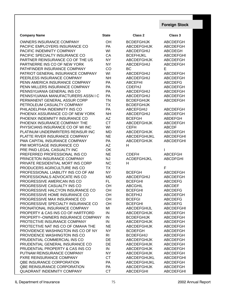| <b>Company Name</b>                                                | <b>State</b>   | Class 2                         | Class 3                          |
|--------------------------------------------------------------------|----------------|---------------------------------|----------------------------------|
| OWNERS INSURANCE COMPANY                                           | OH             | <b>BCDEFGHIJK</b>               | <b>ABCDEFGH</b>                  |
| PACIFIC EMPLOYERS INSURANCE CO                                     | PA             | <b>ABCDEFGHIJK</b>              | <b>ABCDEFGH</b>                  |
| PACIFIC INDEMNITY COMPANY                                          | WI             | <b>ABCDEFGHIJ</b>               | <b>ABCDEGH</b>                   |
| PACIFIC SPECIALTY INSURANCE CO                                     | CA             | <b>BCEFHIJKL</b>                | <b>ABCDEFGHI</b>                 |
| PARTNER REINSURANCE CO OF THE US                                   | <b>NY</b>      | <b>ABCDEFGHIJK</b>              | <b>ABCDEFGH</b>                  |
| PARTNERRE INS CO OF NEW YORK                                       | <b>NY</b>      | <b>ABCDEFGHIJ</b>               | <b>ABCDEFGH</b>                  |
| PATHFINDER INSURANCE COMPANY                                       | CO             | <b>BC</b>                       | E                                |
| PATRIOT GENERAL INSURANCE COMPANY                                  | WI             | <b>ABCDEFGHIJ</b>               | <b>ABCDEFGH</b>                  |
| PEERLESS INSURANCE COMPANY                                         | <b>NH</b>      | <b>ABCDEFGHIJ</b>               | <b>ABCDEFGH</b>                  |
| PENN AMERICA INSURANCE COMPANY                                     | PA             | <b>ABCEFHI</b>                  | <b>ABCDEFG</b>                   |
| PENN MILLERS INSURANCE COMPANY                                     | PA             | <b>CDEFHJ</b>                   | <b>ABCDEFGH</b>                  |
| PENNSYLVANIA GENERAL INS CO                                        | PA             | <b>ABCDEFGHIJ</b>               | <b>ABCDEFGH</b>                  |
| PENNSYLVANIA MANUFACTURERS ASSN I C                                | PA             | <b>ABCDEFGHIJ</b>               | <b>ABCDEFGH</b>                  |
| PERMANENT GENERAL ASSUR CORP                                       | <b>TN</b>      | <b>BCDEFGHIJK</b>               | <b>ABCDEFGH</b>                  |
| PETROLEUM CASUALTY COMPANY                                         | <b>TX</b>      | <b>BCDEFGHIJK</b>               |                                  |
| PHILADELPHIA INDEMNITY INS CO                                      | PA             | <b>ABCEFGHIJ</b>                | <b>ABCDEFGH</b>                  |
| PHOENIX ASSURANCE CO OF NEW YORK                                   | <b>NH</b>      | <b>ABCDEFGHIJ</b>               | <b>ABCDEFGH</b>                  |
| PHOENIX INDEMNITY INSURANCE CO                                     | AΖ             | <b>BCEFGH</b>                   | <b>ABDEFGH</b>                   |
| PHOENIX INSURANCE COMPANY THE                                      | <b>CT</b>      | <b>ABCDEFGHIJK</b>              | <b>ABCDEFGH</b>                  |
| PHYSICIANS INSURANCE CO OF WI INC                                  | WI             | <b>CEFH</b>                     | <b>ABCDF</b>                     |
| PLATINUM UNDERWRITERS REINSUR INC                                  | <b>MD</b>      | <b>ABCDEFGHIJK</b>              | <b>ABCDEFGH</b>                  |
| PLATTE RIVER INSURANCE COMPANY                                     | <b>NE</b>      | <b>ABCDEFGHIJKL</b>             | <b>ABCDEFGHI</b>                 |
| PMA CAPITAL INSURANCE COMPANY                                      | PA             | <b>ABCDEFGHIJK</b>              | <b>ABCDEFGHI</b>                 |
| PMI MORTGAGE INSURANCE CO                                          | <b>AZ</b>      | H                               |                                  |
| PRE PAID LEGAL CASUALTY INC                                        | OK             |                                 |                                  |
| PREFERRED PROFESSIONAL INS CO                                      | <b>NE</b>      | <b>CDEFH</b>                    | <b>ABCEFGH</b>                   |
| PRINCETON INSURANCE COMPANY                                        | <b>NJ</b>      | <b>ACDEFGHIJKL</b>              | <b>ABCDFGHI</b>                  |
| PRIVATE RESIDENTIAL MORT INS CORP                                  | <b>NC</b>      | H                               |                                  |
| PRODUCERS AGRICULTURE INS CO                                       | <b>TX</b>      |                                 | F                                |
| PROFESSIONAL LIABILITY INS CO OF AM                                | <b>NY</b>      | <b>BCEFGH</b>                   | <b>ABCDEFGH</b>                  |
| PROFESSIONALS ADVOCATE INS CO                                      | <b>MD</b>      | <b>ABCDEFGHIJ</b>               | <b>ABCDEFGH</b>                  |
| PROGRESSIVE AMERICAN INS CO                                        | FL.            | <b>BCEFGHI</b>                  | <b>ABCDEFG</b>                   |
| PROGRESSIVE CASUALTY INS CO                                        | OH             | <b>ABCGHIL</b>                  | <b>ABCDEF</b>                    |
| PROGRESSIVE HALCYON INSURANCE CO                                   | OH             | <b>BCEFGHI</b>                  | <b>ABCDEFG</b>                   |
| PROGRESSIVE HOME INSURANCE CO                                      | OH             | <b>BCEFHIJ</b>                  | <b>ABCDEFGH</b>                  |
|                                                                    |                |                                 |                                  |
| PROGRESSIVE MAX INSURANCE CO<br>PROGRESSIVE SPECIALTY INSURANCE CO | OН<br>OH       | <b>BCEFGI</b><br><b>BCEFGHI</b> | <b>ABCDEFG</b><br><b>ABCDEFG</b> |
| PRONATIONAL INSURANCE COMPANY                                      | MI             | <b>ABCDEFGHIJL</b>              | <b>ABCDEFGHI</b>                 |
| PROPERTY & CAS INS CO OF HARTFORD                                  | IN             | <b>ABCDEFGHIJK</b>              | <b>ABCDEFGH</b>                  |
| PROPERTY-OWNERS INSURANCE COMPANY                                  | IN             | <b>BCDEFGHIJK</b>               | <b>ABCDEFGH</b>                  |
| PROTECTIVE INSURANCE COMPANY                                       | IN             | <b>ABCDEFGHIJK</b>              | <b>ABCDEFGH</b>                  |
| PROTECTIVE NAT INS CO OF OMAHA THE                                 | <b>NE</b>      | <b>ABCDEFGHIJK</b>              | <b>ABCDEFGH</b>                  |
| PROVIDENCE WASHINGTON INS CO OF NY                                 | <b>NY</b>      | <b>BCDEFGH</b>                  | <b>ABCDEFGH</b>                  |
| PROVIDENCE WASHINGTON INS CO                                       | R <sub>l</sub> | <b>BCDEFGHIJ</b>                | <b>ABCDEFGH</b>                  |
| PRUDENTIAL COMMERCIAL INS CO                                       | DE             | <b>ABCDEFGHIJK</b>              | <b>ABCDEFGH</b>                  |
| PRUDENTIAL GENERAL INSURANCE CO                                    | DE             | <b>ABCDEFGHIJK</b>              | <b>ABCDEFGH</b>                  |
| PRUDENTIAL PROPERTY & CAS INS CO                                   | IN             | <b>ABCDEFGHIJK</b>              | <b>ABCDEFGH</b>                  |
| PUTNAM REINSURANCE COMPANY                                         | <b>NY</b>      | <b>ABCDEFGHIJK</b>              | <b>ABCDEFGH</b>                  |
| PXRE REINSURANCE COMPANY                                           | <b>CT</b>      | ABCDEFGHIJKL                    | <b>ABCDEFGHI</b>                 |
| QBE INSURANCE CORPORATION                                          | PA             | ABCDEFGHIJKL                    | <b>ABCDEFGH</b>                  |
| <b>QBE REINSURANCE CORPORATION</b>                                 | PA             | <b>ABCDEFGHIJK</b>              | <b>ABCDEFGH</b>                  |
| <b>QUADRANT INDEMNITY COMPANY</b>                                  | <b>CT</b>      | <b>ABCDEFGHI</b>                | <b>ABCDEFGHI</b>                 |
|                                                                    |                |                                 |                                  |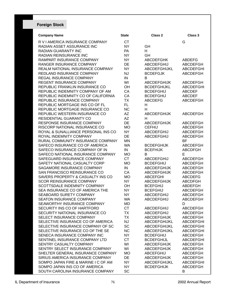| <b>Company Name</b>                                                  | <b>State</b> | Class 2                               | Class 3                           |
|----------------------------------------------------------------------|--------------|---------------------------------------|-----------------------------------|
| R V I AMERICA INSURANCE COMPANY                                      | <b>CT</b>    |                                       | G                                 |
| RADIAN ASSET ASSURANCE INC                                           | <b>NY</b>    | GH                                    |                                   |
| <b>RADIAN GUARANTY INC</b>                                           | <b>PA</b>    | H.                                    |                                   |
| <b>RADIAN REINSURANCE INC</b>                                        | <b>NY</b>    | GH                                    |                                   |
| RAMPART INSURANCE COMPANY                                            | <b>NY</b>    | <b>ABCDEFGHK</b>                      | <b>ABDEFG</b>                     |
| RANGER INSURANCE COMPANY                                             | DE           | <b>ABCDEFGHIJ</b>                     | <b>ABCDEFGH</b>                   |
| REALM NATIONAL INSURANCE COMPANY                                     | <b>NY</b>    | <b>ABCDEFGHIJKL</b>                   | <b>ABCDEFGHI</b>                  |
| REDLAND INSURANCE COMPANY                                            | <b>NJ</b>    | <b>BCDEFGJK</b>                       | <b>ABCDEFGH</b>                   |
| <b>REGAL INSURANCE COMPANY</b>                                       | IN           | B                                     |                                   |
| REGENT INSURANCE COMPANY                                             | WI           | <b>ABCDEFGHIJK</b>                    | <b>ABCDEFGH</b>                   |
| REPUBLIC FRANKLIN INSURANCE CO                                       | OH           | <b>BCDEFGHIJKL</b>                    | <b>ABCDEFGHI</b>                  |
| REPUBLIC INDEMNITY COMPANY OF AM                                     | CA           | <b>BCDEFGHIJ</b>                      | <b>ABCDEF</b>                     |
| REPUBLIC INDEMNITY CO OF CALIFORNIA                                  | CA           | <b>BCDEFGHIJ</b>                      | <b>ABCDEF</b>                     |
| REPUBLIC INSURANCE COMPANY                                           | <b>TX</b>    | <b>ABCDEFG</b>                        | <b>ABCDEFGH</b>                   |
| REPUBLIC MORTGAGE INS CO OF FL                                       | FL.          | н                                     |                                   |
| REPUBLIC MORTGAGE INSURANCE CO                                       | <b>NC</b>    | H                                     |                                   |
| REPUBLIC WESTERN INSURANCE CO                                        | AZ           | <b>ABCDEFGHIJK</b>                    | <b>ABCDEFGH</b>                   |
| <b>RESIDENTIAL GUARANTY CO</b>                                       | <b>AZ</b>    | H                                     |                                   |
| <b>RESPONSE INSURANCE COMPANY</b>                                    | <b>DE</b>    | <b>ABCDEFGHIJK</b>                    | <b>ABCDEFGH</b>                   |
| RISCORP NATIONAL INSURANCE CO                                        | <b>MO</b>    | <b>CEFHIJ</b>                         | <b>ABCDEFGH</b>                   |
| ROYAL & SUNALLIANCE PERSONAL INS CO                                  | <b>NY</b>    | <b>ABCDEFGHIJ</b>                     | <b>ABCDEFGH</b>                   |
| ROYAL INDEMNITY COMPANY                                              | DE           | <b>ABCDEFGHIJ</b>                     | <b>ABCDEFGH</b>                   |
| RURAL COMMUNITY INSURANCE COMPANY                                    | <b>MN</b>    |                                       | <b>BF</b>                         |
| SAFECO INSURANCE CO OF AMERICA                                       | <b>WA</b>    | <b>BCDEFGHIJK</b>                     | <b>ABCDEFGH</b>                   |
| SAFECO INSURANCE COMPANY OF IN                                       | IN           | <b>BCEFHIJK</b>                       | <b>ABCDFGH</b>                    |
| SAFECO NATIONAL INSURANCE COMPANY                                    | <b>MO</b>    | B                                     | E                                 |
| SAFEGUARD INSURANCE COMPANY                                          | <b>CT</b>    | <b>ABCDEFGHIJ</b>                     | <b>ABCDEFGH</b>                   |
| SAFETY NATIONAL CASUALTY CORP                                        | <b>MO</b>    | <b>BCDEFGHIJ</b>                      | <b>ABCDEFGH</b>                   |
| SAGAMORE INSURANCE COMPANY                                           | IN           | <b>ABCDEFGHIJK</b>                    | <b>ABCDEFGH</b>                   |
| SAN FRANCISCO REINSURANCE CO                                         | CA           | <b>ABCDEFGHIJK</b><br><b>ABCEFGHI</b> | <b>ABCDEFGH</b>                   |
| SAVERS PROPERTY & CASUALTY INS CO<br><b>SCOR REINSURANCE COMPANY</b> | <b>MO</b>    |                                       | <b>ABCDEFG</b>                    |
| SCOTTSDALE INDEMNITY COMPANY                                         | NY           | <b>ABCDEFGHIJK</b>                    | <b>ABCDFGH</b>                    |
| SEA INSURANCE CO OF AMERICA THE                                      | OH<br>NY.    | <b>BCEFGHIJ</b><br><b>BCEFGHIJ</b>    | <b>ABDEFGH</b><br><b>ABCDEFGH</b> |
| <b>SEABOARD SURETY COMPANY</b>                                       | <b>NY</b>    | <b>ABCDEFGHIJ</b>                     | <b>ABCDEFGH</b>                   |
| <b>SEATON INSURANCE COMPANY</b>                                      | WA           | <b>ABCDEFGHIJ</b>                     | <b>ABCDEFGH</b>                   |
| SEAWORTHY INSURANCE COMPANY                                          | MD           |                                       | D                                 |
| SECURITY INS CO OF HARTFORD                                          | <b>CT</b>    | ABCDEFGHIJ                            | <b>ABCDEFGH</b>                   |
| SECURITY NATIONAL INSURANCE CO                                       | <b>TX</b>    | <b>ABCDEFGHIJ</b>                     | <b>ABCDEFGH</b>                   |
| SELECT INSURANCE COMPANY                                             | <b>TX</b>    | <b>ABCDEFGHIJK</b>                    | <b>ABCDEFGH</b>                   |
| SELECTIVE INSURANCE CO OF AMERICA                                    | <b>NJ</b>    | ABCDEFGHIJKL                          | <b>ABCDEFGHI</b>                  |
| SELECTIVE INSURANCE COMPANY OF SC                                    | <b>SC</b>    | ABCDEFGHIJKL                          | <b>ABCDEFGHI</b>                  |
| SELECTIVE INSURANCE CO OF THE SE                                     | <b>NC</b>    | <b>ABCDEFGHIJKL</b>                   | <b>ABCDEFGHI</b>                  |
| SENECA INSURANCE COMPANY INC                                         | NY           | <b>BCDEFGHIJ</b>                      | <b>ABCDEFGH</b>                   |
| SENTINEL INSURANCE COMPANY LTD                                       | <b>CT</b>    | <b>BCDEFGHIJL</b>                     | <b>ABCDEFGHI</b>                  |
| SENTRY CASUALTY COMPANY                                              | WI           | <b>ABCDEFGHIJK</b>                    | <b>ABCDEFGH</b>                   |
| SENTRY SELECT INSURANCE COMPANY                                      | WI           | <b>ABCDEFGHIJK</b>                    | <b>ABCDEFGH</b>                   |
| SHELTER GENERAL INSURANCE COMPANY                                    | МO           | <b>ABCEFGHIJ</b>                      | <b>ABCDEFGH</b>                   |
| SIRIUS AMERICA INSURANCE COMPANY                                     | DE           | <b>ABCDEFGHIJK</b>                    | <b>ABCDEFGH</b>                   |
| SOMPO JAPAN FIRE & MARINE I C OF AM                                  | NY           | <b>ABCDEFGHIJKL</b>                   | <b>ABCDEFGHI</b>                  |
| SOMPO JAPAN INS CO OF AMERICA                                        | NY           | <b>BCDEFGHIJK</b>                     | <b>ABCDEFGH</b>                   |
| SOUTH CAROLINA INSURANCE COMPANY                                     | <b>SC</b>    |                                       | В                                 |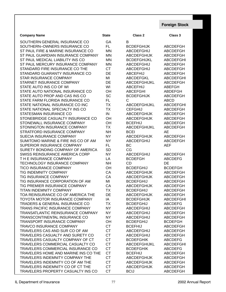| <b>Company Name</b>                                          | <b>State</b>    | Class 2                                 | Class 3                             |
|--------------------------------------------------------------|-----------------|-----------------------------------------|-------------------------------------|
| SOUTHERN GENERAL INSURANCE CO                                | GA              | B                                       |                                     |
| SOUTHERN-OWNERS INSURANCE CO                                 | FL.             | <b>BCDEFGHIJK</b>                       | <b>ABCDEFGH</b>                     |
| ST PAUL FIRE & MARINE INSURANCE CO                           | <b>MN</b>       | <b>ABCDEFGHIJ</b>                       | <b>ABCDEFGH</b>                     |
| ST PAUL GUARDIAN INSURANCE COMPANY                           | <b>MN</b>       | <b>ABCDEFGHIJK</b>                      | <b>ABCDEFGH</b>                     |
| ST PAUL MEDICAL LIABILITY INS CO                             | <b>MN</b>       | <b>BCDEFGHIJKL</b>                      | <b>ABCDEFGHI</b>                    |
| ST PAUL MERCURY INSURANCE COMPANY                            | <b>MN</b>       | <b>ABCDEFGHIJ</b>                       | <b>ABCDEFGH</b>                     |
| STANDARD FIRE INSURANCE CO THE                               | <b>CT</b>       | <b>ABCDEFGHIJ</b>                       | <b>ABCDEFGH</b>                     |
| STANDARD GUARANTY INSURANCE CO                               | DE              | <b>ABCEFHIJ</b>                         | <b>ABCDEFGH</b>                     |
| STAR INSURANCE COMPANY                                       | MI              | <b>ABCDEFGKL</b>                        | <b>ABCDEFGHI</b>                    |
| STARNET INSURANCE COMPANY                                    | DE              | <b>ABCDEFGHIJKL</b>                     | <b>ABCDEFGH</b>                     |
| STATE AUTO INS CO OF WI                                      | WI              | <b>ABCEFHIJ</b>                         | <b>ABEFGH</b>                       |
| STATE AUTO NATIONAL INSURANCE CO                             | OH              | <b>ABCEFGHI</b>                         | <b>ABDEFGH</b>                      |
| STATE AUTO PROP AND CAS INS CO                               | <b>SC</b>       | <b>BCDEFGHIJK</b>                       | <b>ABCDEFGH</b>                     |
| STATE FARM FLORIDA INSURANCE CO                              | <b>FL</b>       | $\mathsf{C}$                            | <b>ABCD</b>                         |
| STATE NATIONAL INSURANCE CO INC                              | <b>TX</b>       | <b>ABCDEFGHIJKL</b>                     | <b>ABCDEFGHI</b>                    |
| STATE NATIONAL SPECIALTY INS CO                              | <b>TX</b>       | <b>CEFGHIJ</b>                          | <b>ABCDEFGH</b>                     |
| STATESMAN INSURANCE CO                                       | IN              | <b>ABCDEFGHIJK</b>                      | <b>ABCDEFGH</b>                     |
| STONEBRIDGE CASUALTY INSURANCE CO                            | OH              | <b>ABCDEFGHIJK</b>                      | <b>ABCDEFGH</b>                     |
| STONEWALL INSURANCE COMPANY                                  | OH              | <b>BCEFHIJ</b>                          | <b>ABCDEFGH</b>                     |
| STONINGTON INSURANCE COMPANY                                 | <b>TX</b>       | ABCDEFGHIJKL                            | <b>ABCDEFGH</b>                     |
| STRATFORD INSURANCE COMPANY                                  | <b>NH</b>       | <b>BCEI</b>                             | <b>AE</b>                           |
| <b>SUECIA INSURANCE COMPANY</b>                              | <b>NY</b>       | <b>ABCDEFGHIJK</b>                      | <b>ABCDEFGH</b>                     |
| SUMITOMO MARINE & FIRE INS CO OF AM                          | <b>NY</b>       | <b>ABCDEFGHIJ</b>                       | <b>ABCDEFGH</b>                     |
| SUPERIOR INSURANCE COMPANY                                   | FL.             | <b>BC</b>                               | <b>AEF</b>                          |
| SURETY BONDING COMPANY OF AMERICA                            | <b>SD</b>       | CG                                      |                                     |
| SWISS REINSURANCE AMERICA CORP                               | <b>NY</b>       | <b>ABCDEFGHIJ</b>                       | <b>ABCDEFGH</b>                     |
| THE INSURANCE COMPANY                                        | LA              | <b>BCDEFGH</b>                          | <b>ABCDEFG</b>                      |
| TECHNOLOGY INSURANCE COMPANY                                 | <b>NH</b>       | <b>CD</b>                               | DE                                  |
| <b>TICO INSURANCE COMPANY</b>                                | OH              | <b>BCDEFGHIJ</b>                        | <b>BCDEFGH</b>                      |
| TIG INDEMNITY COMPANY                                        | CA              | <b>ABCDEFGHIJK</b>                      | <b>ABCDEFGH</b>                     |
| TIG INSURANCE COMPANY                                        | CA              | <b>ABCDEFGHIJK</b>                      | <b>ABCDEFGH</b>                     |
| TIG INSURANCE CORPORATION OF AM                              | MI              | <b>BCDEFGHIJ</b>                        | <b>ABCDEFGH</b>                     |
| TIG PREMIER INSURANCE COMPANY                                | CA              | <b>ABCDEFGHIJK</b>                      | <b>ABCDEFGH</b>                     |
| TITAN INDEMNITY COMPANY<br>TOA REINSURANCE CO OF AMERICA THE | TX              | <b>BCDEFGHIJ</b>                        | <b>ABCDEFGH</b>                     |
| TOYOTA MOTOR INSURANCE COMPANY                               | DE              | <b>ABCDEFGHIJK</b><br><b>BCDEFGHIJK</b> | <b>ABCDEFGH</b><br><b>ABCDEFGHI</b> |
| TRADERS & GENERAL INSURANCE CO                               | ΙA<br><b>TX</b> | <b>BCDEFGHIJ</b>                        | <b>ABCDEFG</b>                      |
| <b>TRANS PACIFIC INSURANCE COMPANY</b>                       | <b>NY</b>       | <b>ABCDEFGHIJ</b>                       | <b>ABCDEFGH</b>                     |
| TRANSATLANTIC REINSURANCE COMPANY                            | <b>NY</b>       | <b>ABCDEFGHIJ</b>                       | <b>ABCDEFGH</b>                     |
| TRANSCONTINENTAL INSURANCE CO                                | <b>NY</b>       | <b>ABCDEFGHIJ</b>                       | <b>ABCDEFGH</b>                     |
| TRANSPORT INSURANCE COMPANY                                  | OH              | <b>BCDEFGHIJ</b>                        | <b>BCDEFGH</b>                      |
| <b>TRAVCO INSURANCE COMPANY</b>                              | <b>CT</b>       | <b>BCEFHIJ</b>                          | <b>ABCDEFGH</b>                     |
| TRAVELERS CAS AND SUR CO OF AM                               | <b>CT</b>       | <b>ABCDEFGHIJ</b>                       | <b>ABCDEFGH</b>                     |
| TRAVELERS CASUALTY AND SURETY CO                             | <b>CT</b>       | <b>ABCDEFGHIJ</b>                       | <b>ABCDEFGH</b>                     |
| TRAVELERS CASUALTY COMPANY OF CT                             | <b>CT</b>       | <b>BCDEFGHIK</b>                        | <b>ABCDEFG</b>                      |
| TRAVELERS COMMERCIAL CASUALTY CO                             | <b>CT</b>       | <b>ABCDEFGHIJKL</b>                     | <b>ABCDEFGHI</b>                    |
| TRAVELERS COMMERCIAL INSURANCE CO                            | <b>CT</b>       | <b>BCDEFGHIK</b>                        | <b>ABCDEFG</b>                      |
| TRAVELERS HOME AND MARINE INS CO THE                         | <b>CT</b>       | <b>BCEFHIJ</b>                          | <b>ABCDEFGH</b>                     |
| TRAVELERS INDEMNITY COMPANY THE                              | <b>CT</b>       | <b>ABCDEFGHIJK</b>                      | <b>ABCDEFGH</b>                     |
| TRAVELERS INDEMNITY CO OF AM THE                             | <b>CT</b>       | <b>ABCDEFGHIJK</b>                      | <b>ABCDEFGH</b>                     |
| TRAVELERS INDEMNITY CO OF CT THE                             | <b>CT</b>       | <b>ABCDEFGHIJK</b>                      | <b>ABCDEFGH</b>                     |
| TRAVELERS PROPERTY CASUALTY INS CO                           | <b>CT</b>       | <b>BCIJ</b>                             | <b>ABCDEFGH</b>                     |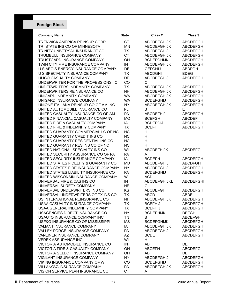| <b>Company Name</b>                         | <b>State</b> | Class <sub>2</sub>  | Class 3          |
|---------------------------------------------|--------------|---------------------|------------------|
| <b>TRENWICK AMERICA REINSUR CORP</b>        | <b>CT</b>    | <b>ABCDEFGHIJK</b>  | <b>ABCDEFGH</b>  |
| TRI STATE INS CO OF MINNESOTA               | <b>MN</b>    | <b>ABCDEFGHIJK</b>  | <b>ABCDEFGH</b>  |
| TRINITY UNIVERSAL INSURANCE CO              | TX           | <b>ABCDEFGHIJ</b>   | <b>ABCDEFGH</b>  |
| TRUMBULL INSURANCE COMPANY                  | <b>CT</b>    | <b>ABCDEFGHIJK</b>  | <b>ABCDEFGH</b>  |
| TRUSTGARD INSURANCE COMPANY                 | OH           | <b>BCDEFGHIJK</b>   | <b>ABCDEFGH</b>  |
| TWIN CITY FIRE INSURANCE COMPANY            | IN           | <b>ABCDEFGHIJK</b>  | <b>ABCDEFGH</b>  |
| U S AEGIS ENERGY INSURANCE COMPANY          | DE           | <b>CEFGHIJ</b>      | <b>ABDFGH</b>    |
| U S SPECIALTY INSURANCE COMPANY             | <b>TX</b>    | <b>ABCDGHI</b>      | <b>BDEG</b>      |
| ULICO CASUALTY COMPANY                      | DE           | <b>ABCDEFGHIJ</b>   | <b>ABCDEFGH</b>  |
| UNDERWRITER FOR THE PROFESSIONS I C         | CO           | C                   |                  |
| UNDERWRITERS INDEMNITY COMPANY              | <b>TX</b>    | <b>ABCDEFGHIJK</b>  | <b>ABCDEFGH</b>  |
| UNDERWRITERS REINSURANCE CO                 | <b>NH</b>    | <b>ABCDEFGHIJK</b>  | <b>ABCDEFGH</b>  |
| UNIGARD INDEMNITY COMPANY                   | <b>WA</b>    | <b>ABCDEFGHIJK</b>  | <b>ABCDEFGH</b>  |
| UNIGARD INSURANCE COMPANY                   | <b>WA</b>    | <b>BCDEFGHIJ</b>    | <b>ABCDEFGH</b>  |
| UNIONE ITALIANA REINSUR CO OF AM INC        | <b>NY</b>    | <b>ABCDEFGHIJK</b>  | <b>ABCDEFGH</b>  |
| UNITED AUTOMOBILE INSURANCE CO              | FL.          | B                   | E                |
| UNITED CASUALTY INSURANCE CO OF AM          | PA           | <b>ABCDEFHIJ</b>    | <b>ABCDEFGH</b>  |
| UNITED FINANCIAL CASUALTY COMPANY           | <b>MO</b>    | <b>BCEFGH</b>       | <b>ABCDEF</b>    |
| UNITED FIRE & CASUALTY COMPANY              | IA           | <b>BCDEFGIJ</b>     | <b>ABCDEFGH</b>  |
| UNITED FIRE & INDEMNITY COMPANY             | ТX           | <b>BCEFHI</b>       | <b>ABCDEFGH</b>  |
| UNITED GUARANTY COMMERCIAL I C OF NC        | <b>NC</b>    | Н                   |                  |
| UNITED GUARANTY CREDIT INS CO               | <b>NC</b>    | Η                   |                  |
| UNITED GUARANTY RESIDENTIAL INS CO          | <b>NC</b>    | Η                   |                  |
| UNITED GUARANTY RES INS CO OF NC            | <b>NC</b>    | H                   |                  |
| UNITED NATIONAL SPECIALTY INS CO            | WI           | <b>ABCDEFHIJK</b>   | <b>ABCDEFG</b>   |
| UNITED SECURITY ASSURANCE CO OF PA          | PA           | A                   |                  |
| UNITED SECURITY INSURANCE COMPANY           | IA           | <b>BCDEFH</b>       | <b>ABCDEFGH</b>  |
| UNITED STATES FIDELITY & GUARANTY CO        | <b>MD</b>    | <b>ABCDEFGHIJ</b>   | <b>ABCDFGH</b>   |
| UNITED STATES FIRE INSURANCE COMPANY        | <b>NY</b>    | <b>ABCDEFGHIJ</b>   | <b>ABCDEFGH</b>  |
| UNITED STATES LIABILITY INSURANCE CO        | PA           | <b>BCDEFGHIJ</b>    | <b>ABCDEFGH</b>  |
| UNITED WISCONSIN INSURANCE COMPANY          | WI           | <b>ACD</b>          |                  |
| UNIVERSAL FIRE & CAS INS CO                 | IN           | <b>ABCDEFGHIJKL</b> | <b>ABCDEFGHI</b> |
| UNIVERSAL SURETY COMPANY                    | <b>NE</b>    | G                   |                  |
| UNIVERSAL UNDERWRITERS INS CO               | KS           | <b>ABCDEFGH</b>     | <b>ABCDEFGH</b>  |
| UNIVERSAL UNDERWRITERS OF TX INS CO         | <b>TX</b>    | <b>ABCD</b>         | <b>ABDE</b>      |
| US INTERNATIONAL REINSURANCE CO             | NH           | <b>ABCDEFGHIJK</b>  | <b>ABCDEFGH</b>  |
| USAA CASUALTY INSURANCE COMPANY             | TX           | <b>BCEFHIJ</b>      | <b>ABCDEFGH</b>  |
| USAA GENERAL INDEMNITY COMPANY              | TX           | <b>BCEFHIJ</b>      | <b>ABCDEFGH</b>  |
| USAGENCIES DIRECT INSURANCE CO              | NY.          | <b>BCDEFHIJKL</b>   | <b>DEFGH</b>     |
| USAUTO INSURANCE COMPANY INC                | <b>TN</b>    | В                   | <b>ABCEFGH</b>   |
| USF&G INSURANCE CO OF MISSISSIPPI           | MS           | <b>BCDEFGHIJK</b>   | <b>ABCDEFGH</b>  |
| <b>VALIANT INSURANCE COMPANY</b>            | IA.          | <b>ABCDEFGHIJK</b>  | <b>ABCDEFGH</b>  |
| <b>VALLEY FORGE INSURANCE COMPANY</b>       | <b>PA</b>    | <b>ABCDEFGHIJ</b>   | <b>ABCDEFGH</b>  |
| VANLINER INSURANCE COMPANY                  | AZ           | <b>BCDE</b>         | <b>ABCDEFGH</b>  |
| <b>VEREX ASSURANCE INC</b>                  | WI           | H                   |                  |
| VICTORIA AUTOMOBILE INSURANCE CO            | IN           | AB                  | DE               |
| <b>VICTORIA FIRE &amp; CASUALTY COMPANY</b> | OH           | <b>ABCEFH</b>       | <b>ABCDEFG</b>   |
| VICTORIA SELECT INSURANCE COMPANY           | OH           | AB                  | DE               |
| VIGILANT INSURANCE COMPANY                  | NY.          | <b>ABCDEFGHIJ</b>   | <b>ABCDEFGH</b>  |
| VIKING INSURANCE COMPANY OF WI              | CO           | <b>BCDEFGHIJ</b>    | <b>ABCDEFGH</b>  |
| VILLANOVA INSURANCE COMPANY                 | <b>PA</b>    | <b>ABCDEFGHIJK</b>  | <b>ABCDEFGH</b>  |
| VISION SERVICE PLAN INSURANCE CO            | <b>CT</b>    | A                   |                  |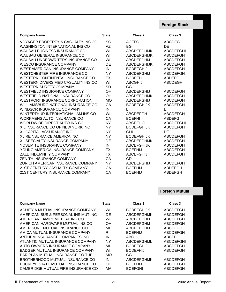| <b>Company Name</b>                           | <b>State</b> | <b>Class 2</b>     | Class 3          |
|-----------------------------------------------|--------------|--------------------|------------------|
| <b>VOYAGER PROPERTY &amp; CASUALTY INS CO</b> | <b>SC</b>    | <b>ACEFG</b>       | <b>ABCDEG</b>    |
| <b>WASHINGTON INTERNATIONAL INS CO</b>        | <b>AZ</b>    | BG                 | DE               |
| <b>WAUSAU BUSINESS INSURANCE CO</b>           | WI           | ABCDEFGHIJKL       | <b>ABCDEFGHI</b> |
| <b>WAUSAU GENERAL INSURANCE CO</b>            | WI           | <b>ABCDEFGHIJK</b> | <b>ABCDEFGH</b>  |
| WAUSAU UNDERWRITERS INSURANCE CO              | WI           | <b>ABCDEFGHIJ</b>  | <b>ABCDEFGH</b>  |
| <b>WESCO INSURANCE COMPANY</b>                | DE           | <b>ABCDEFGHIJK</b> | <b>ABCDEFGH</b>  |
| <b>WEST AMERICAN INSURANCE COMPANY</b>        | IN           | <b>BCDEFGHIJ</b>   | <b>ABCDEFGH</b>  |
| <b>WESTCHESTER FIRE INSURANCE CO</b>          | <b>NY</b>    | <b>ABCDEFGHIJ</b>  | <b>ABCDEFGH</b>  |
| WESTERN CONTINENTAL INSURANCE CO              | TX           | <b>BCDEFH</b>      | <b>ABDEFG</b>    |
| WESTERN DIVERSIFIED CASUALTY INS CO           | WI           | <b>ABCGHIJ</b>     | <b>ABCDEGH</b>   |
| <b>WESTERN SURETY COMPANY</b>                 | <b>SD</b>    | CG                 |                  |
| <b>WESTFIELD INSURANCE COMPANY</b>            | OH           | <b>ABCDEFGHIJ</b>  | <b>ABCDEFGH</b>  |
| <b>WESTFIELD NATIONAL INSURANCE CO</b>        | OH           | <b>ABCDEFGHIJK</b> | <b>ABCDEFGH</b>  |
| <b>WESTPORT INSURANCE CORPORATION</b>         | <b>MO</b>    | <b>ABCDEFGHIJ</b>  | <b>ABCDEFGH</b>  |
| WILLIAMSBURG NATIONAL INSURANCE CO            | CA           | <b>BCDEFGHIJK</b>  | <b>ABCDEFGH</b>  |
| WINDSOR INSURANCE COMPANY                     | IN           | B                  | E                |
| WINTERTHUR INTERNATIONAL AM INS CO            | WI           | <b>ABCDEFGH</b>    | <b>ABCDEFGH</b>  |
| WORKMENS AUTO INSURANCE CO                    | CA           | <b>BCEFHI</b>      | <b>ABDEFG</b>    |
| <b>WORLDWIDE DIRECT AUTO INS CO</b>           | <b>KY</b>    | <b>ABCEFHIJL</b>   | <b>ABCDEFGHI</b> |
| X L INSURANCE CO OF NEW YORK INC              | <b>NY</b>    | <b>BCDEFGHIJK</b>  | <b>ABCDEFGH</b>  |
| <b>XL CAPITAL ASSURANCE INC</b>               | <b>NY</b>    | <b>GHI</b>         | DE               |
| <b>XL REINSURANCE AMERICA INC</b>             | <b>NY</b>    | <b>BCDEFGHIJK</b>  | <b>ABCDEFGH</b>  |
| XL SPECIALTY INSURANCE COMPANY                | DE           | <b>ABCDEFGHIJK</b> | <b>ABCDEFGH</b>  |
| YOSEMITE INSURANCE COMPANY                    | IN           | <b>ABCEFGHIJK</b>  | <b>ABCDEFGH</b>  |
| YOUNG AMERICA INSURANCE COMPANY               | <b>TX</b>    | <b>BCEFHIJ</b>     | <b>ABCDEFGH</b>  |
| ZALE INDEMNITY COMPANY                        | TX           | <b>ABCEFGHIJ</b>   | <b>ABCDEFGH</b>  |
| ZENITH INSURANCE COMPANY                      | CA           | CD                 |                  |
| ZURICH AMERICAN INSURANCE COMPANY             | <b>NY</b>    | <b>ABCDEFGHIJ</b>  | <b>ABCDEFGH</b>  |
| 21ST CENTURY CASUALTY COMPANY                 | CA           | <b>BCEFHIJ</b>     | <b>ABDEFGH</b>   |
| 21ST CENTURY INSURANCE COMPANY                | CА           | <b>BCEFHIJ</b>     | <b>ABDEFGH</b>   |

#### **Foreign Mutual**

| <b>Company Name</b>                      | <b>State</b> | Class 2            | Class 3          |
|------------------------------------------|--------------|--------------------|------------------|
| ACUITY A MUTUAL INSURANCE COMPANY        | WI           | <b>BCDEFGHIJK</b>  | ABCDEFGH         |
| AMERICAN BUS & PERSONAL INS MUT INC      | DE           | <b>ABCDEFGHIJK</b> | ABCDEFGH         |
| AMERICAN FAMILY MUTUAL INS CO            | WI           | <b>ABCDEFGHIJ</b>  | ABCDEFGH         |
| AMERICAN HARDWARE MUTUAL INS CO          | <b>OH</b>    | <b>ABCDEFGHIJ</b>  | <b>ABCDEFGH</b>  |
| AMERISURE MUTUAL INSURANCE CO            | MI           | <b>ABCDEFGHIJ</b>  | <b>ABCDFGH</b>   |
| AMICA MUTUAL INSURANCE COMPANY           | RI           | <b>BCEFHIJ</b>     | ABCDEFGH         |
| ANTHEM INSURANCE COMPANIES INC           | IN           | ABC                | <b>ABCEFG</b>    |
| ATLANTIC MUTUAL INSURANCE COMPANY        | ΝY           | <b>ABCDEFGHIJL</b> | <b>ABCDEFGHI</b> |
| AUTO OWNERS INSURANCE COMPANY            | MI           | <b>BCDEFGHIJ</b>   | ABCDEFGH         |
| BADGER MUTUAL INSURANCE COMPANY          | WI           | <b>BCDEFHIJ</b>    | ABCDEFGH         |
| <b>BAR PLAN MUTUAL INSURANCE CO THE</b>  | <b>MO</b>    | CG                 |                  |
| BROTHERHOOD MUTUAL INSURANCE CO          | IN           | <b>ABCDEFGHIJK</b> | ABCDEFGH         |
| <b>BUCKEYE STATE MUTUAL INSURANCE CO</b> | <b>OH</b>    | <b>BCEFHIJ</b>     | ABCDEFGH         |
| CAMBRIDGE MUTUAL FIRE INSURANCE CO       | МA           | <b>BCEFGHI</b>     | <b>ABCDEFGH</b>  |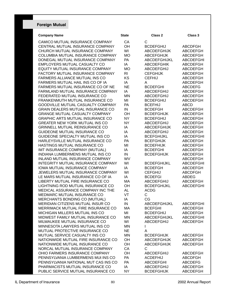#### **Foreign Mutual**

| <b>Company Name</b>                                              | <b>State</b>    | Class <sub>2</sub>                      | Class 3                            |
|------------------------------------------------------------------|-----------------|-----------------------------------------|------------------------------------|
| CAMICO MUTUAL INSURANCE COMPANY                                  | CA              | C                                       |                                    |
| CENTRAL MUTUAL INSURANCE COMPANY                                 | OH              | <b>BCDEFGHIJ</b>                        | <b>ABCDFGH</b>                     |
| CHURCH MUTUAL INSURANCE COMPANY                                  | WI              | <b>ABCDEFGHIJK</b>                      | <b>ABCDEFGH</b>                    |
| COLUMBIA MUTUAL INSURANCE COMPANY                                | <b>MO</b>       | <b>ABCEFGHIJK</b>                       | <b>ABCDEFGH</b>                    |
| DONEGAL MUTUAL INSURANCE COMPANY                                 | PA              | <b>ABCDEFGHIJKL</b>                     | <b>ABCDEFGHI</b>                   |
| <b>EMPLOYERS MUTUAL CASUALTY CO</b>                              | IA              | <b>ABCDEFGHIK</b>                       | <b>ABCDEFGH</b>                    |
| EQUITY MUTUAL INSURANCE COMPANY                                  | <b>MO</b>       | <b>ABCDEFGHIJ</b>                       | <b>ABCDEFGH</b>                    |
| FACTORY MUTUAL INSURANCE COMPANY                                 | R <sub>l</sub>  | <b>CEFGHIJK</b>                         | <b>ABCDEFGH</b>                    |
| <b>FARMERS ALLIANCE MUTUAL INS CO</b>                            | KS              | <b>CEFHIJ</b>                           | <b>ABCDEFGH</b>                    |
| FARMERS MUTUAL HAIL INS CO OF IA                                 | ΙA              | A                                       | <b>ABCDEFGH</b>                    |
| FARMERS MUTUAL INSURANCE CO OF NE                                | <b>NE</b>       | <b>BCDEFGHI</b>                         | <b>ABCDEFG</b>                     |
| FARMLAND MUTUAL INSURANCE COMPANY                                | IA              | <b>ABCDEFGHIJ</b>                       | <b>ABCDEFGH</b>                    |
| FEDERATED MUTUAL INSURANCE CO                                    | <b>MN</b>       | <b>ABCDEFGHIJ</b>                       | <b>ABCDEFGH</b>                    |
| FRANKENMUTH MUTUAL INSURANCE CO                                  | MI              | <b>BCDEFGHIJ</b>                        | <b>ABCDEFGH</b>                    |
| GOODVILLE MUTUAL CASUALTY COMPANY                                | PA              | <b>BCEFHIJ</b>                          | <b>ABCD</b>                        |
| <b>GRAIN DEALERS MUTUAL INSURANCE CO</b>                         | IN              | <b>BCDEFGH</b>                          | <b>ABCDEFGH</b>                    |
| <b>GRANGE MUTUAL CASUALTY COMPANY</b>                            | OH              | <b>BCDEFGHIJK</b>                       | <b>ABCDEFGH</b>                    |
| <b>GRAPHIC ARTS MUTUAL INSURANCE CO</b>                          | <b>NY</b>       | <b>BCDEFGHIJ</b>                        | <b>ABCDEFGH</b>                    |
| <b>GREATER NEW YORK MUTUAL INS CO</b>                            | <b>NY</b>       | <b>ABCDEFGHIJ</b>                       | <b>ABCDEFGH</b>                    |
| <b>GRINNELL MUTUAL REINSURANCE CO</b>                            | ΙA              | <b>ABCDEFGHIJK</b>                      | <b>ABCDEFGH</b>                    |
| <b>GUIDEONE MUTUAL INSURANCE CO</b>                              | ΙA              | <b>ABCDEFGHIJ</b>                       | <b>ABCDEFGH</b>                    |
| <b>GUIDEONE SPECIALTY MUTUAL INS CO</b>                          | IA              | <b>BCEFGHIJKL</b>                       | <b>ABCDEFGHI</b>                   |
| HARLEYSVILLE MUTUAL INSURANCE CO                                 | PA              | <b>BCEFGHIJK</b>                        | <b>ABCDEFGH</b>                    |
| HASTINGS MUTUAL INSURANCE CO                                     | MI              | <b>BCDEFHIJK</b>                        | <b>ABCDEFGH</b>                    |
| IMT INSURANCE COMPANY (MUTUAL)                                   | IA              | <b>BCDEFGHI</b>                         | <b>ABCDEFGH</b>                    |
| <b>INDIANA LUMBERMENS MUTUAL INS CO</b>                          | IN              | <b>BCDEFGHIJK</b>                       | <b>ABCDEFGH</b>                    |
| <b>INLAND MUTUAL INSURANCE COMPANY</b>                           | WV              |                                         | <b>ABCDEFGH</b>                    |
| INTEGRITY MUTUAL INSURANCE COMPANY                               | WI              | <b>BCDEFGHIJKL</b>                      | <b>ABCDEFGHI</b>                   |
| <b>IOWA MUTUAL INSURANCE COMPANY</b>                             | IA              | <b>BCDEFGH</b>                          | <b>ABCDEFGH</b>                    |
| JEWELERS MUTUAL INSURANCE COMPANY                                | WI              | <b>CEFGHIJ</b>                          | <b>ABCDFGH</b>                     |
| LE MARS MUTUAL INSURANCE CO OF IA                                | IA              | <b>BCDEFGI</b>                          | <b>ABDEG</b>                       |
| LIBERTY MUTUAL FIRE INSURANCE CO                                 | МA              | <b>ABCDEFGHIJ</b>                       | <b>ABCDEFGH</b>                    |
| LIGHTNING ROD MUTUAL INSURANCE CO                                | OH              | <b>BCDEFGHIJKL</b>                      | <b>ABCDEFGHI</b>                   |
| MEDICAL ASSURANCE COMPANY INC THE                                | AL              | <b>ACDG</b>                             |                                    |
| MEDMARC MUTUAL INSURANCE CO                                      | VT              | C                                       |                                    |
| MERCHANTS BONDING CO (MUTUAL)                                    | IA              | CG                                      |                                    |
| MERIDIAN CITIZENS MUTUAL INSUR CO                                | IN              | ABCDEFGHIJKL                            | <b>ABCDEFGHI</b>                   |
| MERRIMACK MUTUAL FIRE INSURANCE CO                               | МA              | <b>BCEFGHI</b>                          | <b>ABCDEFGH</b>                    |
| MICHIGAN MILLERS MUTUAL INS CO                                   | MI              | <b>BCDEFGHIJ</b>                        | <b>ABCDEFGH</b>                    |
| MIDWEST FAMILY MUTUAL INSURANCE CO                               | ΜN              | ABCDEFGHIJKL                            | <b>ABCDEFGHI</b>                   |
| MILWAUKEE MUTUAL INSURANCE CO<br>MINNESOTA LAWYERS MUTUAL INS CO | WI              | <b>ABCDEFGHIJ</b>                       | <b>ABCDEFGH</b>                    |
| MUTUAL PROTECTIVE INSURANCE CO                                   | MN              |                                         |                                    |
| MUTUAL SERVICE CASUALTY INS CO                                   | <b>NE</b><br>MN | A                                       |                                    |
| NATIONWIDE MUTUAL FIRE INSURANCE CO                              | OH              | <b>BCDEFGHIJK</b><br><b>ABCDEFGHIJK</b> | <b>ABCDEFGH</b><br><b>ABCDEFGH</b> |
| NATIONWIDE MUTUAL INSURANCE CO                                   | OH              | <b>ABCDEFGHIJK</b>                      | <b>ABCDEFGH</b>                    |
| NORCAL MUTUAL INSURANCE COMPANY                                  | CA              | C                                       |                                    |
| OHIO FARMERS INSURANCE COMPANY                                   | OH              | <b>ABCDEFGHIJ</b>                       | <b>ABCDEFGH</b>                    |
| PENNSYLVANIA LUMBERMENS MUt INS CO                               | <b>PA</b>       | <b>ACDEFHIJ</b>                         | <b>ABCDFGH</b>                     |
| PENNSYLVANIA NATIONAL MUT CAS INS CO                             | PA              | <b>ABCDEFGHI</b>                        | <b>ABCDEFG</b>                     |
| PHARMACISTS MUTUAL INSURANCE CO                                  | IA              | <b>ABCDEFGHIJ</b>                       | <b>ABCDEFGH</b>                    |
| PUBLIC SERVICE MUTUAL INSURANCE CO                               | <b>NY</b>       | <b>BCDEFGHIJK</b>                       | <b>ABCDEFGH</b>                    |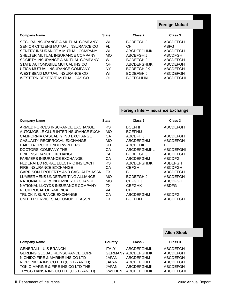#### **Foreign Mutual**

| <b>Company Name</b>                 | <b>State</b> | Class 2            | Class 3          |
|-------------------------------------|--------------|--------------------|------------------|
| SECURA INSURANCE A MUTUAL COMPANY   | WI           | <b>BCDEFGHIJ</b>   | ABCDEFGH         |
| SENIOR CITIZENS MUTUAL INSURANCE CO | FL           | CН                 | ABFG             |
| SENTRY INSURANCE A MUTUAL COMPANY   | WI           | <b>ABCDEFGHIJK</b> | ABCDEFGH         |
| SHELTER MUTUAL INSURANCE COMPANY    | <b>MO</b>    | <b>ABCEFGHIJ</b>   | <b>ABCDFGH</b>   |
| SOCIETY INSURANCE A MUTUAL COMPANY  | WI           | <b>BCDEFGHIJ</b>   | ABCDEFGH         |
| STATE AUTOMOBILE MUTUAL INS CO      | OН           | <b>ABCDEFGHIJK</b> | ABCDEFGH         |
| UTICA MUTUAL INSURANCE COMPANY      | ΝY           | <b>BCDEFGHIJK</b>  | ABCDEFGH         |
| WEST BEND MUTUAL INSURANCE CO       | WI           | <b>BCDEFGHIJ</b>   | ABCDEFGH         |
| WESTERN RESERVE MUTUAL CAS CO       | OН           | <b>BCEFGHIJKL</b>  | <b>ABCDEFGHI</b> |

#### Foreign Inter-Insurance Exchange

| <b>Company Name</b>                 | <b>State</b> | Class 2             | Class 3        |
|-------------------------------------|--------------|---------------------|----------------|
| ARMED FORCES INSURANCE EXCHANGE     | ΚS           | <b>BCEFHI</b>       | ABCDEFGH       |
| AUTOMOBILE CLUB INTERINSURANCE EXCH | <b>MO</b>    | <b>BCEFHIJ</b>      |                |
| CALIFORNIA CASUALTY IND EXCHANGE    | CA           | <b>ABCEFHIJ</b>     | ABCDEFGH       |
| CASUALTY RECIPROCAL EXCHANGE        | <b>MO</b>    | <b>ABCDEFGHIJ</b>   | ABCDEFGH       |
| DAKOTA TRUCK UNDERWRITERS           | <b>SD</b>    | <b>ABCDEIJKL</b>    | DE             |
| DOCTORS' COMPANY THE                | CА           | <b>ABCDEFGHIJKL</b> | ABCDEFGHI      |
| ERIE INSURANCE EXCHANGE             | <b>PA</b>    | <b>BCDEFGHIJ</b>    | ABCDEFGH       |
| <b>FARMERS INSURANCE EXCHANGE</b>   | СA           | <b>ABCDEFGHIJ</b>   | <b>ABCDFG</b>  |
| FEDERATED RURAL ELECTRIC INS EXCH   | ΚS           | <b>ABCDEFGHIJK</b>  | ABDEFGH        |
| <b>FIRE INSURANCE EXCHANGE</b>      | CА           | <b>CEFGHI</b>       | ABCDFGH        |
| GARRISON PROPERTY AND CASUALTY ASSN | ТX           | в                   | ABCDEFGH       |
| LUMBERMENS UNDERWRITING ALLIANCE    | <b>MO</b>    | <b>BCDEFGHIJ</b>    | ABCDEFGH       |
| NATIONAL FIRE & INDEMNITY EXCHANGE  | <b>MO</b>    | <b>CEFGHIJ</b>      | <b>ABCDFGH</b> |
| NATIONAL LLOYDS INSURANCE COMPANY   | ТX           | <b>CEFGHK</b>       | ABDFG          |
| RECIPROCAL OF AMERICA               | VA           | CD                  |                |
| TRUCK INSURANCE EXCHANGE            | CА           | <b>ABCDEFGHIJ</b>   | <b>ABCDFG</b>  |
| UNITED SERVICES AUTOMOBILE ASSN     | ТX           | <b>BCEFHIJ</b>      | ABCDEFGH       |

| Class <sub>2</sub>  | Class 3         |
|---------------------|-----------------|
| <b>BCEFHI</b>       | <b>ABCDEFGH</b> |
| BCEFHIJ             |                 |
| <b>ABCEFHIJ</b>     | ABCDEFGH        |
| <b>ABCDEFGHIJ</b>   | ABCDEFGH        |
| <b>ABCDEIJKL</b>    | DE              |
| <b>ABCDEFGHIJKL</b> | ABCDEFGH        |
| <b>BCDEFGHIJ</b>    | ABCDEFGH        |
| <b>ABCDEFGHIJ</b>   | <b>ABCDFG</b>   |
| <b>ABCDEFGHIJK</b>  | <b>ABDEFGH</b>  |
| <b>CEFGHI</b>       | <b>ABCDFGH</b>  |
| в                   | <b>ABCDEFGH</b> |
| BCDEFGHIJ           | ABCDEFGH        |
| CEFGHIJ             | <b>ABCDFGH</b>  |
| <b>CEFGHK</b>       | <b>ABDFG</b>    |
| CD                  |                 |
| ABCDEFGHIJ          | ABCDFG          |
| BCEFHIJ             | ABCDEFGH        |
|                     |                 |

|                                        |               |                            | <b>Alien Stock</b> |
|----------------------------------------|---------------|----------------------------|--------------------|
| <b>Company Name</b>                    | Country       | Class 2                    | Class 3            |
| <b>GENERALI-US BRANCH</b>              | <b>ITALY</b>  | <b>ABCDEFGHIJK</b>         | ABCDEFGH           |
| <b>GERLING GLOBAL REINSURANCE CORP</b> |               | <b>GERMANY ABCDEFGHIJK</b> | ABCDEFGH           |
| NICHIDO FIRE & MARINE INS CO LTD       | <b>JAPAN</b>  | ABCDEFGHIJ                 | ABCDEFGH           |
| NIPPONKOA INS CO LTD (U S BRANCH)      | <b>JAPAN</b>  | ABCDEFGHIJ                 | ABCDEFGH           |
| TOKIO MARINE & FIRE INS CO LTD THE     | <b>JAPAN</b>  | <b>ABCDEFGHIJK</b>         | ABCDEFGH           |
| TRYGG HANSA INS CO LTD (U S BRANCH)    | <b>SWEDEN</b> | <b>ABCDEFGHIJKL</b>        | <b>ABCDEFGHI</b>   |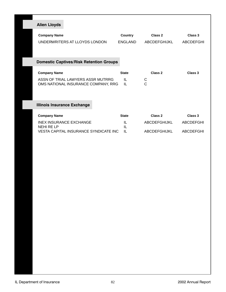#### **Alien Lloyds**

| <b>Company Name</b><br>UNDERWRITERS AT LLOYDS LONDON                                            | <b>Country</b><br><b>ENGLAND</b> | Class 2<br><b>ABCDEFGHIJKL</b> | Class 3<br>ABCDEFGHI                   |
|-------------------------------------------------------------------------------------------------|----------------------------------|--------------------------------|----------------------------------------|
| <b>Domestic Captives/Risk Retention Groups</b>                                                  |                                  |                                |                                        |
| <b>Company Name</b><br>ASSN OF TRIAL LAWYERS ASSR MUTRRG<br>OMS NATIONAL INSURANCE COMPANY, RRG | <b>State</b><br>IL<br>IL         | Class 2<br>С<br>C              | Class 3                                |
| <b>Illinois Insurance Exchange</b>                                                              |                                  |                                |                                        |
| <b>Company Name</b><br><b>INEX INSURANCE EXCHANGE</b><br>NEHI RE LP                             | <b>State</b><br>IL<br>IL         | Class 2<br>ABCDEFGHIJKL        | Class <sub>3</sub><br><b>ABCDEFGHI</b> |

VESTA CAPITAL INSURANCE SYNDICATE INC IL ABCDEFGHIJKL ABCDEFGHI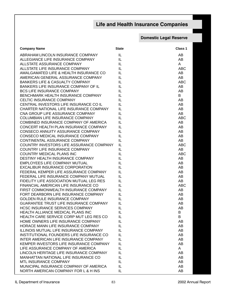### Life and Health Insurance Companies

#### **Domestic Legal Reserve**

| <b>Company Name</b>                        | <b>State</b> | Class 1    |
|--------------------------------------------|--------------|------------|
| ABRAHAM LINCOLN INSURANCE COMPANY          | IL.          | AB         |
| ALLEGIANCE LIFE INSURANCE COMPANY          | IL.          | AB         |
| ALLSTATE ASSURANCE COMPANY                 | IL.          | A          |
| ALLSTATE LIFE INSURANCE COMPANY            | IL.          | <b>ABC</b> |
| AMALGAMATED LIFE & HEALTH INSURANCE CO     | IL.          | AB         |
| AMERICAN GENERAL ASSURANCE COMPANY         | IL.          | AB         |
| <b>BANKERS LIFE &amp; CASUALTY COMPANY</b> | IL.          | <b>ABC</b> |
| BANKERS LIFE INSURANCE COMPANY OF IL       | IL.          | AB         |
| <b>BCS LIFE INSURANCE COMPANY</b>          | IL           | AB         |
| BENCHMARK HEALTH INSURANCE COMPANY         | IL.          | B          |
| CELTIC INSURANCE COMPANY                   | IL.          | AB         |
| CENTRAL INVESTORS LIFE INSURANCE CO IL     | IL           | AB         |
| CHARTER NATIONAL LIFE INSURANCE COMPANY    | IL.          | AB         |
| CNA GROUP LIFE ASSURANCE COMPANY           | IL           | AB         |
| COLUMBIAN LIFE INSURANCE COMPANY           | IL.          | <b>ABC</b> |
| COMBINED INSURANCE COMPANY OF AMERICA      | IL.          | AB         |
| CONCERT HEALTH PLAN INSURANCE COMPANY      | IL.          | AB         |
| CONSECO ANNUITY ASSURANCE COMPANY          | IL.          | AB         |
| CONSECO MEDICAL INSURANCE COMPANY          | IL.          | AB         |
| CONTINENTAL ASSURANCE COMPANY              | IL.          | AB         |
| COUNTRY INVESTORS LIFE ASSURANCE COMPANY   | IL           | <b>ABC</b> |
|                                            |              |            |
| COUNTRY LIFE INSURANCE COMPANY             | IL           | AB         |
| COUNTRY MEDICAL PLANS INC                  | IL.          | <b>ABC</b> |
| DESTINY HEALTH INSURANCE COMPANY           | IL           | AB         |
| <b>EMPLOYEES LIFE COMPANY MUTUAL</b>       | IL           | AB         |
| EXCALIBUR INSURANCE CORPORATION            | IL           | AB         |
| FEDERAL KEMPER LIFE ASSURANCE COMPANY      | IL.          | AB         |
| FEDERAL LIFE INSURANCE COMPANY MUTUAL      | IL.          | AB         |
| FIDELITY LIFE ASSOCIATION MUTUAL LEG RES   | IL.          | <b>AB</b>  |
| FINANCIAL AMERICAN LIFE INSURANCE CO       | IL           | <b>ABC</b> |
| FIRST COMMONWEALTH INSURANCE COMPANY       | IL.          | AB         |
| FORT DEARBORN LIFE INSURANCE COMPANY       | IL.          | AB         |
| <b>GOLDEN RULE INSURANCE COMPANY</b>       | IL           | AB         |
| GUARANTEE TRUST LIFE INSURANCE COMPANY     | IL           | AB         |
| <b>HCSC INSURANCE SERVICES COMPANY</b>     | IL           | AB         |
| <b>HEALTH ALLIANCE MEDICAL PLANS INC</b>   | IL           | B          |
| HEALTH CARE SERVICE CORP MUT LEG RES CO    | IL.          | B          |
| HOME OWNERS LIFE INSURANCE COMPANY         | IL           | AB         |
| HORACE MANN LIFE INSURANCE COMPANY         | IL           | AB         |
| ILLINOIS MUTUAL LIFE INSURANCE COMPANY     | IL.          | AB         |
| INSTITUTIONAL FOUNDERS LIFE INSURANCE CO   | IL           | AB         |
| INTER AMERICAN LIFE INSURANCE COMPANY      | IL.          | AB         |
| KEMPER INVESTORS LIFE INSURANCE COMPANY    | IL           | AB         |
| LIFE ASSURANCE COMPANY OF AMERICA          | IL.          | A          |
| LINCOLN HERITAGE LIFE INSURANCE COMPANY    | IL.          | AB         |
| MANHATTAN NATIONAL LIFE INSURANCE CO       | IL.          | AB         |
| MTL INSURANCE COMPANY                      | IL           | AB         |
| MUNICIPAL INSURANCE COMPANY OF AMERICA     | IL.          | AB         |
| NORTH AMERICAN COMPANY FOR L & H INS       | IL           | AB         |
|                                            |              |            |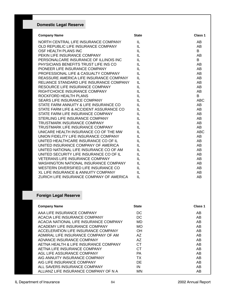#### **Domestic Legal Reserve**

| <b>Company Name</b>                            | <b>State</b> | Class 1    |
|------------------------------------------------|--------------|------------|
| NORTH CENTRAL LIFE INSURANCE COMPANY           | IL           | AB         |
| OLD REPUBLIC LIFE INSURANCE COMPANY            | IL.          | AB         |
| OSF HEALTH PLANS INC                           | IL.          | B          |
| PEKIN LIFE INSURANCE COMPANY                   | IL           | AB         |
| PERSONALCARE INSURANCE OF ILLINOIS INC         | IL           | B          |
| PHYSICIANS BENEFITS TRUST LIFE INS CO          | IL           | AB         |
| PIONEER LIFE INSURANCE COMPANY                 | IL           | AB         |
| PROFESSIONAL LIFE & CASUALTY COMPANY           | IL           | <b>AB</b>  |
| REASSURE AMERICA LIFE INSURANCE COMPANY        | IL           | AB         |
| RELIANCE STANDARD LIFE INSURANCE COMPANY       | IL           | <b>AB</b>  |
| RESOURCE LIFE INSURANCE COMPANY                | IL           | <b>AB</b>  |
| RIGHTCHOICE INSURANCE COMPANY                  | IL           | AB         |
| ROCKFORD HEALTH PLANS                          | IL           | B          |
| SEARS LIFE INSURANCE COMPANY                   | IL           | <b>ABC</b> |
| STATE FARM ANNUITY & LIFE INSURANCE CO         | IL           | AB         |
| STATE FARM LIFE & ACCIDENT ASSURANCE CO        | IL.          | <b>AB</b>  |
| STATE FARM LIFE INSURANCE COMPANY              | IL           | AB         |
| STERLING LIFE INSURANCE COMPANY                | IL           | AB         |
| <b>TRUSTMARK INSURANCE COMPANY</b>             | IL           | AB         |
| TRUSTMARK LIFE INSURANCE COMPANY               | IL           | <b>AB</b>  |
| UNICARE HEALTH INSURANCE CO OF THE MW          | IL           | <b>ABC</b> |
| UNION FIDELITY LIFE INSURANCE COMPANY          | IL           | AB         |
| UNITED HEALTHCARE INSURANCE CO OF IL           | IL.          | <b>AB</b>  |
| UNITED INSURANCE COMPANY OF AMERICA            | IL.          | <b>AB</b>  |
| UNITED NATIONAL LIFE INSURANCE CO OF AM        | IL.          | AB         |
| UNITED SECURITY LIFE INSURANCE CO OF IL        | IL           | AB         |
| <b>VETERANS LIFE INSURANCE COMPANY</b>         | IL           | AB         |
| WASHINGTON NATIONAL INSURANCE COMPANY          | IL           | <b>AB</b>  |
| WESTERN DIVERSIFIED LIFE INSURANCE CO          | IL.          | AB         |
| <b>XL LIFE INSURANCE &amp; ANNUITY COMPANY</b> | IL           | AB         |
| ZURICH LIFE INSURANCE COMPANY OF AMERICA       | IL           | AB         |

| <b>Company Name</b>                    | <b>State</b> | Class 1 |
|----------------------------------------|--------------|---------|
| AAA LIFE INSURANCE COMPANY             | DC           | AB      |
| ACACIA LIFE INSURANCE COMPANY          | DC           | AB      |
| ACACIA NATIONAL LIFE INSURANCE COMPANY | MD           | AB      |
| ACADEMY LIFE INSURANCE COMPANY         | <b>MO</b>    | AB      |
| ACCELERATION LIFE INSURANCE COMPANY    | OН           | AB      |
| ADMIRAL LIFE INSURANCE COMPANY OF AM   | AZ           | AB      |
| ADVANCE INSURANCE COMPANY              | AZ           | AB      |
| AETNA HEALTH & LIFE INSURANCE COMPANY  | CТ           | AB      |
| AETNA LIFE INSURANCE COMPANY           | CТ           | AB      |
| AGL LIFE ASSURANCE COMPANY             | <b>PA</b>    | AB      |
| AIG ANNUITY INSURANCE COMPANY          | ТX           | AB      |
| AIG LIFE INSURANCE COMPANY             | DE           | AB      |
| ALL SAVERS INSURANCE COMPANY           | IN           | AB      |
| ALLIANZ LIFE INSURANCE COMPANY OF N A  | ΜN           | AB      |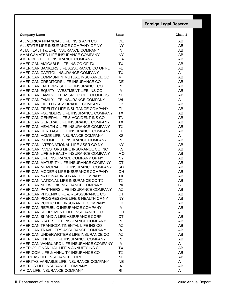|                                          |                | <b>Foreign Legal Reserve</b> |
|------------------------------------------|----------------|------------------------------|
| <b>Company Name</b>                      | <b>State</b>   | Class 1                      |
| ALLMERICA FINANCIAL LIFE INS & ANN CO    | DE             | AB                           |
| ALLSTATE LIFE INSURANCE COMPANY OF NY    | <b>NY</b>      | AB                           |
| ALTA HEALTH & LIFE INSURANCE COMPANY     | IN             | AB                           |
| AMALGAMATED LIFE INSURANCE COMPANY       | <b>NY</b>      | AB                           |
| AMERIBEST LIFE INSURANCE COMPANY         | GA             | AB                           |
| AMERICAN AMICABLE LIFE INS CO OF TX      | <b>TX</b>      | AB                           |
| AMERICAN BANKERS LIFE ASSURANCE CO OF FL | <b>FL</b>      | AB                           |
| AMERICAN CAPITOL INSURANCE COMPANY       | <b>TX</b>      | A                            |
| AMERICAN COMMUNITY MUTUAL INSURANCE CO   | MI             | AB                           |
| AMERICAN CREDITORS LIFE INSURANCE CO     | DE             | AB                           |
| AMERICAN ENTERPRISE LIFE INSURANCE CO    | IN             | AB                           |
| AMERICAN EQUITY INVESTMENT LIFE INS CO   | IA             | AB                           |
| AMERICAN FAMILY LIFE ASSR CO OF COLUMBUS | <b>NE</b>      | AB                           |
| AMERICAN FAMILY LIFE INSURANCE COMPANY   | WI             | A                            |
| AMERICAN FIDELITY ASSURANCE COMPANY      | OK             | AB                           |
| AMERICAN FIDELITY LIFE INSURANCE COMPANY | <b>FL</b>      | AB                           |
| AMERICAN FOUNDERS LIFE INSURANCE COMPANY | <b>TX</b>      | AB                           |
| AMERICAN GENERAL LIFE & ACCIDENT INS CO  | <b>TN</b>      | AB                           |
| AMERICAN GENERAL LIFE INSURANCE COMPANY  | <b>TX</b>      | AB                           |
| AMERICAN HEALTH & LIFE INSURANCE COMPANY | <b>TX</b>      | AB                           |
| AMERICAN HERITAGE LIFE INSURANCE COMPANY | <b>FL</b>      | AB                           |
| AMERICAN HOME LIFE INSURANCE COMPANY     | KS             | A                            |
| AMERICAN INCOME LIFE INSURANCE COMPANY   | IN             | AB                           |
| AMERICAN INTERNATIONAL LIFE ASSR CO NY   | <b>NY</b>      | AB                           |
| AMERICAN INVESTORS LIFE INSURANCE CO INC | <b>KS</b>      | AB                           |
| AMERICAN LIFE & HEALTH INSURANCE COMPANY | <b>MO</b>      | AB                           |
| AMERICAN LIFE INSURANCE COMPANY OF NY    | <b>NY</b>      | AB                           |
| AMERICAN MATURITY LIFE INSURANCE COMPANY | <b>CT</b>      | AB                           |
| AMERICAN MEMORIAL LIFE INSURANCE COMPANY | <b>SD</b>      | AB                           |
| AMERICAN MODERN LIFE INSURANCE COMPANY   | OH             | AB                           |
| AMERICAN NATIONAL INSURANCE COMPANY      | <b>TX</b>      | AB                           |
| AMERICAN NATIONAL LIFE INSURANCE CO TX   | <b>TX</b>      | AB                           |
| AMERICAN NETWORK INSURANCE COMPANY       | PA             | B                            |
| AMERICAN PARTNERS LIFE INSURANCE COMPANY | AΖ             | AB                           |
| AMERICAN PHOENIX LIFE & REASSURANCE CO   | <b>CT</b>      | AB                           |
| AMERICAN PROGRESSIVE LIFE & HEALTH OF NY | <b>NY</b>      | AB                           |
| AMERICAN PUBLIC LIFE INSURANCE COMPANY   | OK             | AB                           |
| AMERICAN REPUBLIC INSURANCE COMPANY      | IA             | AB                           |
| AMERICAN RETIREMENT LIFE INSURANCE CO    | OH             | A                            |
| AMERICAN SKANDIA LIFE ASSURANCE CORP     | <b>CT</b>      | AB                           |
| AMERICAN STATES LIFE INSURANCE COMPANY   | IN.            | AB                           |
| AMERICAN TRANSCONTINENTAL LIFE INS CO    | AΖ             | AB                           |
| AMERICAN TRAVELERS ASSURANCE COMPANY     | IA             | AB                           |
| AMERICAN UNDERWRITERS LIFE INSURANCE CO  | <b>AZ</b>      | AB                           |
| AMERICAN UNITED LIFE INSURANCE COMPANY   | IN             | AB                           |
| AMERICAN VANGUARD LIFE INSURANCE COMPANY | IA             | A                            |
| AMERICO FINANCIAL LIFE & ANNUITY INS CO  | <b>TX</b>      | AB                           |
| AMERICOM LIFE & ANNUITY INSURANCE CO     | <b>TX</b>      | AB                           |
| AMERITAS LIFE INSURANCE CORP             | <b>NE</b>      | AB                           |
| AMERITAS VARIABLE LIFE INSURANCE COMPANY | <b>NE</b>      | A                            |
| AMERUS LIFE INSURANCE COMPANY            | IA             | AB                           |
| AMICA LIFE INSURANCE COMPANY             | R <sub>l</sub> | A                            |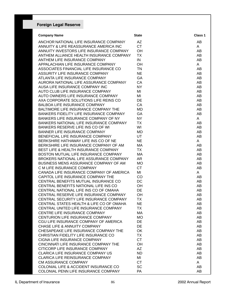| <b>Company Name</b>                             | <b>State</b> | Class 1 |
|-------------------------------------------------|--------------|---------|
| ANCHOR NATIONAL LIFE INSURANCE COMPANY          | AZ           | AB      |
| ANNUITY & LIFE REASSURANCE AMERICA INC          | <b>CT</b>    | A       |
| ANNUITY INVESTORS LIFE INSURANCE COMPANY        | OH           | AB      |
| ANTHEM ALLIANCE HEALTH INSURANCE COMPANY        | <b>TX</b>    | AB      |
| ANTHEM LIFE INSURANCE COMPANY                   | IN           | AB      |
| APPALACHIAN LIFE INSURANCE COMPANY              | OH           | A       |
| ASSOCIATES FINANCIAL LIFE INSURANCE CO          | <b>TN</b>    | AB      |
| ASSURITY LIFE INSURANCE COMPANY                 | <b>NE</b>    | AB      |
| ATLANTA LIFE INSURANCE COMPANY                  | GA           | AB      |
| AURORA NATIONAL LIFE ASSURANCE COMPANY          | CA           | AB      |
| AUSA LIFE INSURANCE COMPANY INC                 | <b>NY</b>    | AB      |
| AUTO CLUB LIFE INSURANCE COMPANY                | MI           | AB      |
| AUTO OWNERS LIFE INSURANCE COMPANY              | MI           | AB      |
| AXA CORPORATE SOLUTIONS LIFE REINS CO           | <b>DE</b>    | AB      |
| <b>BALBOA LIFE INSURANCE COMPANY</b>            | CA           | AB      |
| BALTIMORE LIFE INSURANCE COMPANY THE            | <b>MD</b>    | AB      |
| BANKERS FIDELITY LIFE INSURANCE COMPANY         | GA           | AB      |
| BANKERS LIFE INSURANCE COMPANY OF NY            | NY           | A       |
| BANKERS NATIONAL LIFE INSURANCE COMPANY         | <b>TX</b>    | AB      |
| BANKERS RESERVE LIFE INS CO OF WI               | WI           | AB      |
| <b>BANNER LIFE INSURANCE COMPANY</b>            | <b>MD</b>    | AB      |
| BENEFICIAL LIFE INSURANCE COMPANY               | UT           | AB      |
| BERKSHIRE HATHAWAY LIFE INS CO OF NE            | <b>NE</b>    | A       |
| BERKSHIRE LIFE INSURANCE COMPANY OF AM          | MA.          | AB      |
| <b>BEST LIFE &amp; HEALTH INSURANCE COMPANY</b> | <b>TX</b>    | AB      |
| BOSTON MUTUAL LIFE INSURANCE COMPANY            | МA           | AB      |
| BROKERS NATIONAL LIFE ASSURANCE COMPANY         | AR           | AB      |
| BUSINESS MENS ASSURANCE COMPANY OF AM           | <b>MO</b>    | AB      |
| C M LIFE INSURANCE COMPANY                      | <b>CT</b>    | AB      |
| CANADA LIFE INSURANCE COMPANY OF AMERICA        | MI           | A       |
| CAPITOL LIFE INSURANCE COMPANY THE              | CO           | AB      |
| CENTRAL BENEFITS MUTUAL INSURANCE CO            | <b>DC</b>    | AB      |
| CENTRAL BENEFITS NATIONAL LIFE INS CO           | OH           | AB      |
| CENTRAL NATIONAL LIFE INS CO OF OMAHA           | <b>DE</b>    | AB      |
| CENTRAL RESERVE LIFE INSURANCE COMPANY          | OH           | AB      |
| CENTRAL SECURITY LIFE INSURANCE COMPANY         | TХ           | AВ      |
| CENTRAL STATES HEALTH & LIFE CO OF OMAHA        | <b>NE</b>    | AB      |
| CENTRAL UNITED LIFE INSURANCE COMPANY           | <b>TX</b>    | AB      |
| CENTRE LIFE INSURANCE COMPANY                   | МA           | AB      |
| CENTURION LIFE INSURANCE COMPANY                | <b>MO</b>    | AB      |
| CGU LIFE INSURANCE COMPANY OF AMERICA           | <b>DE</b>    | AB      |
| <b>CHASE LIFE &amp; ANNUITY COMPANY</b>         | <b>DE</b>    | AB      |
| CHESAPEAKE LIFE INSURANCE COMPANY THE           | OK           | AB      |
| CHRISTIAN FIDELITY LIFE INSURANCE CO            | TX           | AB      |
| CIGNA LIFE INSURANCE COMPANY                    | <b>CT</b>    | AB      |
| CINCINNATI LIFE INSURANCE COMPANY THE           | OH           | AB      |
| CITICORP LIFE INSURANCE COMPANY                 | AZ           | AB      |
| CLARICA LIFE INSURANCE COMPANY US               | <b>ND</b>    | AB      |
| CLARICA LIFE REINSURANCE COMPANY                | MI           | AB      |
| CM ASSURANCE COMPANY                            | <b>CT</b>    | A       |
| COLONIAL LIFE & ACCIDENT INSURANCE CO           | <b>SC</b>    | AB      |
| COLONIAL PENN LIFE INSURANCE COMPANY            | PA           | AB      |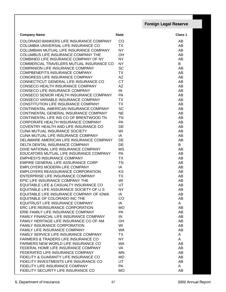|                                                 |              | <b>Foreign Legal Reserve</b> |
|-------------------------------------------------|--------------|------------------------------|
| <b>Company Name</b>                             | <b>State</b> | Class 1                      |
| COLORADO BANKERS LIFE INSURANCE COMPANY         | CO           | AB                           |
| COLUMBIA UNIVERSAL LIFE INSURANCE CO            | <b>TX</b>    | AB                           |
| COLUMBIAN MUTUAL LIFE INSURANCE COMPANY         | <b>NY</b>    | AB                           |
| COLUMBUS LIFE INSURANCE COMPANY THE             | OH           | AB                           |
| COMBINED LIFE INSURANCE COMPANY OF NY           | <b>NY</b>    | AB                           |
| COMMERCIAL TRAVELERS MUTUAL INSURANCE CO        | <b>NY</b>    | B                            |
| COMPANION LIFE INSURANCE COMPANY                | <b>SC</b>    | AB                           |
| <b>COMPBENEFITS INSURANCE COMPANY</b>           | <b>TX</b>    | AB                           |
| CONGRESS LIFE INSURANCE COMPANY                 | <b>AZ</b>    | AB                           |
| CONNECTICUT GENERAL LIFE INSURANCE CO           | <b>CT</b>    | AB                           |
| CONSECO HEALTH INSURANCE COMPANY                | AZ           | AB                           |
| CONSECO LIFE INSURANCE COMPANY                  | IN           | AB                           |
| CONSECO SENIOR HEALTH INSURANCE COMPANY         | PA           | AB                           |
| CONSECO VARIABLE INSURANCE COMPANY              | <b>TX</b>    | AB                           |
| CONSTITUTION LIFE INSURANCE COMPANY             | <b>TX</b>    | AB                           |
| CONTINENTAL AMERICAN INSURANCE COMPANY          | SC           | AB                           |
| CONTINENTAL GENERAL INSURANCE COMPANY           | <b>NE</b>    | AB                           |
| CONTINENTAL LIFE INS CO OF BRENTWOOD TN         | <b>TN</b>    | AB                           |
| CORPORATE HEALTH INSURANCE COMPANY              | PA           | AB                           |
| COVENTRY HEALTH AND LIFE INSURANCE CO           | DE           | AB                           |
| <b>CUNA MUTUAL INSURANCE SOCIETY</b>            | WI           | AB                           |
| CUNA MUTUAL LIFE INSURANCE COMPANY              | IA           | AB                           |
| DELAWARE AMERICAN LIFE INSURANCE COMPANY        | DE           | AB                           |
| DELTA DENTAL INSURANCE COMPANY                  | DE           | B                            |
| DIXIE NATIONAL LIFE INSURANCE COMPANY           | <b>MS</b>    | AB                           |
| EDUCATORS MUTUAL LIFE INSURANCE COMPANY         | PA           | AB                           |
| <b>EMPHESYS INSURANCE COMPANY</b>               | <b>TX</b>    | AB                           |
| EMPIRE GENERAL LIFE ASSURANCE CORP              | <b>TN</b>    | AB                           |
| EMPLOYERS MODERN LIFE COMPANY                   | IA           | AB                           |
| <b>EMPLOYERS REASSURANCE CORPORATION</b>        | KS           | AB                           |
| ENTERPRISE LIFE INSURANCE COMPANY               | <b>TX</b>    | AB                           |
| EPIC LIFE INSURANCE COMPANY THE                 | WI           | AB                           |
| EQUITABLE LIFE & CASUALTY INSURANCE CO          | UT           | AB                           |
| EQUITABLE LIFE ASSURANCE SOCIETY OF U S         | NY.          | AB                           |
| EQUITABLE LIFE INSURANCE COMPANY OF IOWA        | IA           | AB                           |
| EQUITABLE OF COLORADO INC THE                   | CO           | AB                           |
| EQUITRUST LIFE INSURANCE COMPANY                | IA           | A                            |
| ERC LIFE REINSURANCE CORPORATION                | <b>MO</b>    | AB                           |
| ERIE FAMILY LIFE INSURANCE COMPANY              | PA           | AB                           |
| FAMILY FINANCIAL LIFE INSURANCE COMPANY         | IN           | AB                           |
| FAMILY HERITAGE LIFE INSURANCE CO OF AM         | OH           | AB                           |
| FAMILY INSURANCE CORPORATION                    | WI           | AB                           |
| <b>FAMILY LIFE INSURANCE COMPANY</b>            | <b>WA</b>    | AB                           |
| FAMILY SERVICE LIFE INSURANCE COMPANY           | <b>TX</b>    | A                            |
| <b>FARMERS &amp; TRADERS LIFE INSURANCE CO.</b> | <b>NY</b>    | A                            |
| FARMERS NEW WORLD LIFE INSURANCE CO             | <b>WA</b>    | AB                           |
| FEDERAL HOME LIFE INSURANCE COMPANY             | VA           | AB                           |
| FEDERATED LIFE INSURANCE COMPANY                | MN           | AB                           |
| FIDELITY & GUARANTY LIFE INSURANCE CO           | MD           | AB                           |
| FIDELITY INVESTMENTS LIFE INSURANCE CO          | UT           | AB                           |
| FIDELITY LIFE INSURANCE COMPANY                 | PA           | A                            |
| FIDELITY SECURITY LIFE INSURANCE CO             | <b>MO</b>    | AB                           |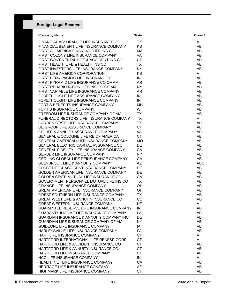| FINANCIAL ASSURANCE LIFE INSURANCE CO<br><b>TX</b><br>A<br><b>KS</b><br>FINANCIAL BENEFIT LIFE INSURANCE COMPANY<br>AB<br>FIRST ALLMERICA FINANCIAL LIFE INS CO<br>МA<br>AB<br>FIRST COLONY LIFE INSURANCE COMPANY<br>VA<br>AB<br>FIRST CONTINENTAL LIFE & ACCIDENT INS CO<br>UT<br>AB<br>FIRST HEALTH LIFE & HEALTH INS CO<br><b>TX</b><br>AB<br>FIRST INVESTORS LIFE INSURANCE COMPANY<br><b>NY</b><br>AB<br>FIRST LIFE AMERICA CORPORATION<br><b>KS</b><br>A<br>FIRST PENN PACIFIC LIFE INSURANCE CO<br>IN<br>AB<br>FIRST PYRAMID LIFE INSURANCE CO OF AM<br><b>AR</b><br>AB<br>FIRST REHABILITATION LIFE INS CO OF AM<br>AB<br><b>NY</b><br>FIRST VARIABLE LIFE INSURANCE COMPANY<br>AB<br><b>AR</b><br>FORETHOUGHT LIFE ASSURANCE COMPANY<br>IN<br>AB<br>FORETHOUGHT LIFE INSURANCE COMPANY<br>AB<br>IN<br>FORTIS BENEFITS INSURANCE COMPANY<br>AB<br>MN<br><b>FORTIS INSURANCE COMPANY</b><br>WI<br>AB<br><b>TX</b><br>AB<br>FREEDOM LIFE INSURANCE COMPANY OF AM<br>FUNERAL DIRECTORS LIFE INSURANCE COMPANY<br>$\mathsf{A}$<br><b>TX</b><br><b>GARDEN STATE LIFE INSURANCE COMPANY</b><br><b>TX</b><br>AB<br><b>CT</b><br>GE GROUP LIFE ASSURANCE COMPANY<br>AB<br><b>GE LIFE &amp; ANNUITY ASSURANCE COMPANY</b><br>AB<br>VA<br><b>GENERAL &amp; COLOGNE LIFE RE OF AMERICA</b><br><b>CT</b><br>AB<br><b>GENERAL AMERICAN LIFE INSURANCE COMPANY</b><br><b>MO</b><br>AB<br>GENERAL ELECTRIC CAPITAL ASSURANCE CO<br>DE<br>AB<br>GENERAL FIDELITY LIFE INSURANCE COMPANY<br>CA<br>AB<br>NY<br>AB<br><b>GERBER LIFE INSURANCE COMPANY</b><br>CA<br>AB<br>GERLING GLOBAL LIFE REINSURANCE COMPANY<br><b>GLENBROOK LIFE &amp; ANNUITY COMPANY</b><br><b>AZ</b><br><b>ABC</b><br><b>GLOBE LIFE &amp; ACCIDENT INSURANCE COMPANY</b><br>DE<br>AB<br>DE<br>AB<br>GOLDEN AMERICAN LIFE INSURANCE COMPANY<br>AB<br>GOLDEN STATE MUTUAL LIFE INSURANCE CO<br>CA<br>AB<br>GOVERNMENT PERSONNEL MUTUAL LIFE INS CO<br>TX<br><b>GRANGE LIFE INSURANCE COMPANY</b><br>OH<br>AB<br><b>GREAT AMERICAN LIFE INSURANCE COMPANY</b><br>OH<br>AB<br>AB<br><b>GREAT SOUTHERN LIFE INSURANCE COMPANY</b><br><b>TX</b><br><b>GREAT WEST LIFE &amp; ANNUITY INSURANCE CO</b><br>CO<br>AB<br><b>GREAT WESTERN INSURANCE COMPANY</b><br>UT<br>A<br><b>GUARANTEE RESERVE LIFE INSURANCE COMPANY</b><br>IN<br>AB<br>GUARANTY INCOME LIFE INSURANCE COMPANY<br>LA<br>AB<br><b>GUARDIAN INSURANCE &amp; ANNUITY COMPANY INC</b><br>DE<br>AB<br>GUARDIAN LIFE INSURANCE COMPANY OF AM<br><b>NY</b><br>AB<br>GUIDEONE LIFE INSURANCE COMPANY<br>AB<br>IA<br>AB<br>HARLEYSVILLE LIFE INSURANCE COMPANY<br><b>PA</b><br><b>CT</b><br>HART LIFE INSURANCE COMPANY<br>A<br><b>CT</b><br>HARTFORD INTERNATIONAL LIFE REASSR CORP<br>A<br>HARTFORD LIFE & ACCIDENT INSURANCE CO<br><b>CT</b><br>AB<br><b>CT</b><br>HARTFORD LIFE & ANNUITY INSURANCE CO<br>AB<br><b>CT</b><br>AB<br>HARTFORD LIFE INSURANCE COMPANY<br><b>HCC LIFE INSURANCE COMPANY</b><br>IN<br>A<br>HEALTH NET LIFE INSURANCE COMPANY<br>CA<br>AB<br>HERITAGE LIFE INSURANCE COMPANY<br>AZ<br>AB<br>HIGHMARK LIFE INSURANCE COMPANY<br><b>CT</b><br>AB | <b>Company Name</b> | <b>State</b> | Class 1 |
|----------------------------------------------------------------------------------------------------------------------------------------------------------------------------------------------------------------------------------------------------------------------------------------------------------------------------------------------------------------------------------------------------------------------------------------------------------------------------------------------------------------------------------------------------------------------------------------------------------------------------------------------------------------------------------------------------------------------------------------------------------------------------------------------------------------------------------------------------------------------------------------------------------------------------------------------------------------------------------------------------------------------------------------------------------------------------------------------------------------------------------------------------------------------------------------------------------------------------------------------------------------------------------------------------------------------------------------------------------------------------------------------------------------------------------------------------------------------------------------------------------------------------------------------------------------------------------------------------------------------------------------------------------------------------------------------------------------------------------------------------------------------------------------------------------------------------------------------------------------------------------------------------------------------------------------------------------------------------------------------------------------------------------------------------------------------------------------------------------------------------------------------------------------------------------------------------------------------------------------------------------------------------------------------------------------------------------------------------------------------------------------------------------------------------------------------------------------------------------------------------------------------------------------------------------------------------------------------------------------------------------------------------------------------------------------------------------------------------------------------------------------------------------------------------------------------------------------------------------------------------------------------------------------------------------------------------------------------------------------------------------------------------------------------------------------------------------------------|---------------------|--------------|---------|
|                                                                                                                                                                                                                                                                                                                                                                                                                                                                                                                                                                                                                                                                                                                                                                                                                                                                                                                                                                                                                                                                                                                                                                                                                                                                                                                                                                                                                                                                                                                                                                                                                                                                                                                                                                                                                                                                                                                                                                                                                                                                                                                                                                                                                                                                                                                                                                                                                                                                                                                                                                                                                                                                                                                                                                                                                                                                                                                                                                                                                                                                                              |                     |              |         |
|                                                                                                                                                                                                                                                                                                                                                                                                                                                                                                                                                                                                                                                                                                                                                                                                                                                                                                                                                                                                                                                                                                                                                                                                                                                                                                                                                                                                                                                                                                                                                                                                                                                                                                                                                                                                                                                                                                                                                                                                                                                                                                                                                                                                                                                                                                                                                                                                                                                                                                                                                                                                                                                                                                                                                                                                                                                                                                                                                                                                                                                                                              |                     |              |         |
|                                                                                                                                                                                                                                                                                                                                                                                                                                                                                                                                                                                                                                                                                                                                                                                                                                                                                                                                                                                                                                                                                                                                                                                                                                                                                                                                                                                                                                                                                                                                                                                                                                                                                                                                                                                                                                                                                                                                                                                                                                                                                                                                                                                                                                                                                                                                                                                                                                                                                                                                                                                                                                                                                                                                                                                                                                                                                                                                                                                                                                                                                              |                     |              |         |
|                                                                                                                                                                                                                                                                                                                                                                                                                                                                                                                                                                                                                                                                                                                                                                                                                                                                                                                                                                                                                                                                                                                                                                                                                                                                                                                                                                                                                                                                                                                                                                                                                                                                                                                                                                                                                                                                                                                                                                                                                                                                                                                                                                                                                                                                                                                                                                                                                                                                                                                                                                                                                                                                                                                                                                                                                                                                                                                                                                                                                                                                                              |                     |              |         |
|                                                                                                                                                                                                                                                                                                                                                                                                                                                                                                                                                                                                                                                                                                                                                                                                                                                                                                                                                                                                                                                                                                                                                                                                                                                                                                                                                                                                                                                                                                                                                                                                                                                                                                                                                                                                                                                                                                                                                                                                                                                                                                                                                                                                                                                                                                                                                                                                                                                                                                                                                                                                                                                                                                                                                                                                                                                                                                                                                                                                                                                                                              |                     |              |         |
|                                                                                                                                                                                                                                                                                                                                                                                                                                                                                                                                                                                                                                                                                                                                                                                                                                                                                                                                                                                                                                                                                                                                                                                                                                                                                                                                                                                                                                                                                                                                                                                                                                                                                                                                                                                                                                                                                                                                                                                                                                                                                                                                                                                                                                                                                                                                                                                                                                                                                                                                                                                                                                                                                                                                                                                                                                                                                                                                                                                                                                                                                              |                     |              |         |
|                                                                                                                                                                                                                                                                                                                                                                                                                                                                                                                                                                                                                                                                                                                                                                                                                                                                                                                                                                                                                                                                                                                                                                                                                                                                                                                                                                                                                                                                                                                                                                                                                                                                                                                                                                                                                                                                                                                                                                                                                                                                                                                                                                                                                                                                                                                                                                                                                                                                                                                                                                                                                                                                                                                                                                                                                                                                                                                                                                                                                                                                                              |                     |              |         |
|                                                                                                                                                                                                                                                                                                                                                                                                                                                                                                                                                                                                                                                                                                                                                                                                                                                                                                                                                                                                                                                                                                                                                                                                                                                                                                                                                                                                                                                                                                                                                                                                                                                                                                                                                                                                                                                                                                                                                                                                                                                                                                                                                                                                                                                                                                                                                                                                                                                                                                                                                                                                                                                                                                                                                                                                                                                                                                                                                                                                                                                                                              |                     |              |         |
|                                                                                                                                                                                                                                                                                                                                                                                                                                                                                                                                                                                                                                                                                                                                                                                                                                                                                                                                                                                                                                                                                                                                                                                                                                                                                                                                                                                                                                                                                                                                                                                                                                                                                                                                                                                                                                                                                                                                                                                                                                                                                                                                                                                                                                                                                                                                                                                                                                                                                                                                                                                                                                                                                                                                                                                                                                                                                                                                                                                                                                                                                              |                     |              |         |
|                                                                                                                                                                                                                                                                                                                                                                                                                                                                                                                                                                                                                                                                                                                                                                                                                                                                                                                                                                                                                                                                                                                                                                                                                                                                                                                                                                                                                                                                                                                                                                                                                                                                                                                                                                                                                                                                                                                                                                                                                                                                                                                                                                                                                                                                                                                                                                                                                                                                                                                                                                                                                                                                                                                                                                                                                                                                                                                                                                                                                                                                                              |                     |              |         |
|                                                                                                                                                                                                                                                                                                                                                                                                                                                                                                                                                                                                                                                                                                                                                                                                                                                                                                                                                                                                                                                                                                                                                                                                                                                                                                                                                                                                                                                                                                                                                                                                                                                                                                                                                                                                                                                                                                                                                                                                                                                                                                                                                                                                                                                                                                                                                                                                                                                                                                                                                                                                                                                                                                                                                                                                                                                                                                                                                                                                                                                                                              |                     |              |         |
|                                                                                                                                                                                                                                                                                                                                                                                                                                                                                                                                                                                                                                                                                                                                                                                                                                                                                                                                                                                                                                                                                                                                                                                                                                                                                                                                                                                                                                                                                                                                                                                                                                                                                                                                                                                                                                                                                                                                                                                                                                                                                                                                                                                                                                                                                                                                                                                                                                                                                                                                                                                                                                                                                                                                                                                                                                                                                                                                                                                                                                                                                              |                     |              |         |
|                                                                                                                                                                                                                                                                                                                                                                                                                                                                                                                                                                                                                                                                                                                                                                                                                                                                                                                                                                                                                                                                                                                                                                                                                                                                                                                                                                                                                                                                                                                                                                                                                                                                                                                                                                                                                                                                                                                                                                                                                                                                                                                                                                                                                                                                                                                                                                                                                                                                                                                                                                                                                                                                                                                                                                                                                                                                                                                                                                                                                                                                                              |                     |              |         |
|                                                                                                                                                                                                                                                                                                                                                                                                                                                                                                                                                                                                                                                                                                                                                                                                                                                                                                                                                                                                                                                                                                                                                                                                                                                                                                                                                                                                                                                                                                                                                                                                                                                                                                                                                                                                                                                                                                                                                                                                                                                                                                                                                                                                                                                                                                                                                                                                                                                                                                                                                                                                                                                                                                                                                                                                                                                                                                                                                                                                                                                                                              |                     |              |         |
|                                                                                                                                                                                                                                                                                                                                                                                                                                                                                                                                                                                                                                                                                                                                                                                                                                                                                                                                                                                                                                                                                                                                                                                                                                                                                                                                                                                                                                                                                                                                                                                                                                                                                                                                                                                                                                                                                                                                                                                                                                                                                                                                                                                                                                                                                                                                                                                                                                                                                                                                                                                                                                                                                                                                                                                                                                                                                                                                                                                                                                                                                              |                     |              |         |
|                                                                                                                                                                                                                                                                                                                                                                                                                                                                                                                                                                                                                                                                                                                                                                                                                                                                                                                                                                                                                                                                                                                                                                                                                                                                                                                                                                                                                                                                                                                                                                                                                                                                                                                                                                                                                                                                                                                                                                                                                                                                                                                                                                                                                                                                                                                                                                                                                                                                                                                                                                                                                                                                                                                                                                                                                                                                                                                                                                                                                                                                                              |                     |              |         |
|                                                                                                                                                                                                                                                                                                                                                                                                                                                                                                                                                                                                                                                                                                                                                                                                                                                                                                                                                                                                                                                                                                                                                                                                                                                                                                                                                                                                                                                                                                                                                                                                                                                                                                                                                                                                                                                                                                                                                                                                                                                                                                                                                                                                                                                                                                                                                                                                                                                                                                                                                                                                                                                                                                                                                                                                                                                                                                                                                                                                                                                                                              |                     |              |         |
|                                                                                                                                                                                                                                                                                                                                                                                                                                                                                                                                                                                                                                                                                                                                                                                                                                                                                                                                                                                                                                                                                                                                                                                                                                                                                                                                                                                                                                                                                                                                                                                                                                                                                                                                                                                                                                                                                                                                                                                                                                                                                                                                                                                                                                                                                                                                                                                                                                                                                                                                                                                                                                                                                                                                                                                                                                                                                                                                                                                                                                                                                              |                     |              |         |
|                                                                                                                                                                                                                                                                                                                                                                                                                                                                                                                                                                                                                                                                                                                                                                                                                                                                                                                                                                                                                                                                                                                                                                                                                                                                                                                                                                                                                                                                                                                                                                                                                                                                                                                                                                                                                                                                                                                                                                                                                                                                                                                                                                                                                                                                                                                                                                                                                                                                                                                                                                                                                                                                                                                                                                                                                                                                                                                                                                                                                                                                                              |                     |              |         |
|                                                                                                                                                                                                                                                                                                                                                                                                                                                                                                                                                                                                                                                                                                                                                                                                                                                                                                                                                                                                                                                                                                                                                                                                                                                                                                                                                                                                                                                                                                                                                                                                                                                                                                                                                                                                                                                                                                                                                                                                                                                                                                                                                                                                                                                                                                                                                                                                                                                                                                                                                                                                                                                                                                                                                                                                                                                                                                                                                                                                                                                                                              |                     |              |         |
|                                                                                                                                                                                                                                                                                                                                                                                                                                                                                                                                                                                                                                                                                                                                                                                                                                                                                                                                                                                                                                                                                                                                                                                                                                                                                                                                                                                                                                                                                                                                                                                                                                                                                                                                                                                                                                                                                                                                                                                                                                                                                                                                                                                                                                                                                                                                                                                                                                                                                                                                                                                                                                                                                                                                                                                                                                                                                                                                                                                                                                                                                              |                     |              |         |
|                                                                                                                                                                                                                                                                                                                                                                                                                                                                                                                                                                                                                                                                                                                                                                                                                                                                                                                                                                                                                                                                                                                                                                                                                                                                                                                                                                                                                                                                                                                                                                                                                                                                                                                                                                                                                                                                                                                                                                                                                                                                                                                                                                                                                                                                                                                                                                                                                                                                                                                                                                                                                                                                                                                                                                                                                                                                                                                                                                                                                                                                                              |                     |              |         |
|                                                                                                                                                                                                                                                                                                                                                                                                                                                                                                                                                                                                                                                                                                                                                                                                                                                                                                                                                                                                                                                                                                                                                                                                                                                                                                                                                                                                                                                                                                                                                                                                                                                                                                                                                                                                                                                                                                                                                                                                                                                                                                                                                                                                                                                                                                                                                                                                                                                                                                                                                                                                                                                                                                                                                                                                                                                                                                                                                                                                                                                                                              |                     |              |         |
|                                                                                                                                                                                                                                                                                                                                                                                                                                                                                                                                                                                                                                                                                                                                                                                                                                                                                                                                                                                                                                                                                                                                                                                                                                                                                                                                                                                                                                                                                                                                                                                                                                                                                                                                                                                                                                                                                                                                                                                                                                                                                                                                                                                                                                                                                                                                                                                                                                                                                                                                                                                                                                                                                                                                                                                                                                                                                                                                                                                                                                                                                              |                     |              |         |
|                                                                                                                                                                                                                                                                                                                                                                                                                                                                                                                                                                                                                                                                                                                                                                                                                                                                                                                                                                                                                                                                                                                                                                                                                                                                                                                                                                                                                                                                                                                                                                                                                                                                                                                                                                                                                                                                                                                                                                                                                                                                                                                                                                                                                                                                                                                                                                                                                                                                                                                                                                                                                                                                                                                                                                                                                                                                                                                                                                                                                                                                                              |                     |              |         |
|                                                                                                                                                                                                                                                                                                                                                                                                                                                                                                                                                                                                                                                                                                                                                                                                                                                                                                                                                                                                                                                                                                                                                                                                                                                                                                                                                                                                                                                                                                                                                                                                                                                                                                                                                                                                                                                                                                                                                                                                                                                                                                                                                                                                                                                                                                                                                                                                                                                                                                                                                                                                                                                                                                                                                                                                                                                                                                                                                                                                                                                                                              |                     |              |         |
|                                                                                                                                                                                                                                                                                                                                                                                                                                                                                                                                                                                                                                                                                                                                                                                                                                                                                                                                                                                                                                                                                                                                                                                                                                                                                                                                                                                                                                                                                                                                                                                                                                                                                                                                                                                                                                                                                                                                                                                                                                                                                                                                                                                                                                                                                                                                                                                                                                                                                                                                                                                                                                                                                                                                                                                                                                                                                                                                                                                                                                                                                              |                     |              |         |
|                                                                                                                                                                                                                                                                                                                                                                                                                                                                                                                                                                                                                                                                                                                                                                                                                                                                                                                                                                                                                                                                                                                                                                                                                                                                                                                                                                                                                                                                                                                                                                                                                                                                                                                                                                                                                                                                                                                                                                                                                                                                                                                                                                                                                                                                                                                                                                                                                                                                                                                                                                                                                                                                                                                                                                                                                                                                                                                                                                                                                                                                                              |                     |              |         |
|                                                                                                                                                                                                                                                                                                                                                                                                                                                                                                                                                                                                                                                                                                                                                                                                                                                                                                                                                                                                                                                                                                                                                                                                                                                                                                                                                                                                                                                                                                                                                                                                                                                                                                                                                                                                                                                                                                                                                                                                                                                                                                                                                                                                                                                                                                                                                                                                                                                                                                                                                                                                                                                                                                                                                                                                                                                                                                                                                                                                                                                                                              |                     |              |         |
|                                                                                                                                                                                                                                                                                                                                                                                                                                                                                                                                                                                                                                                                                                                                                                                                                                                                                                                                                                                                                                                                                                                                                                                                                                                                                                                                                                                                                                                                                                                                                                                                                                                                                                                                                                                                                                                                                                                                                                                                                                                                                                                                                                                                                                                                                                                                                                                                                                                                                                                                                                                                                                                                                                                                                                                                                                                                                                                                                                                                                                                                                              |                     |              |         |
|                                                                                                                                                                                                                                                                                                                                                                                                                                                                                                                                                                                                                                                                                                                                                                                                                                                                                                                                                                                                                                                                                                                                                                                                                                                                                                                                                                                                                                                                                                                                                                                                                                                                                                                                                                                                                                                                                                                                                                                                                                                                                                                                                                                                                                                                                                                                                                                                                                                                                                                                                                                                                                                                                                                                                                                                                                                                                                                                                                                                                                                                                              |                     |              |         |
|                                                                                                                                                                                                                                                                                                                                                                                                                                                                                                                                                                                                                                                                                                                                                                                                                                                                                                                                                                                                                                                                                                                                                                                                                                                                                                                                                                                                                                                                                                                                                                                                                                                                                                                                                                                                                                                                                                                                                                                                                                                                                                                                                                                                                                                                                                                                                                                                                                                                                                                                                                                                                                                                                                                                                                                                                                                                                                                                                                                                                                                                                              |                     |              |         |
|                                                                                                                                                                                                                                                                                                                                                                                                                                                                                                                                                                                                                                                                                                                                                                                                                                                                                                                                                                                                                                                                                                                                                                                                                                                                                                                                                                                                                                                                                                                                                                                                                                                                                                                                                                                                                                                                                                                                                                                                                                                                                                                                                                                                                                                                                                                                                                                                                                                                                                                                                                                                                                                                                                                                                                                                                                                                                                                                                                                                                                                                                              |                     |              |         |
|                                                                                                                                                                                                                                                                                                                                                                                                                                                                                                                                                                                                                                                                                                                                                                                                                                                                                                                                                                                                                                                                                                                                                                                                                                                                                                                                                                                                                                                                                                                                                                                                                                                                                                                                                                                                                                                                                                                                                                                                                                                                                                                                                                                                                                                                                                                                                                                                                                                                                                                                                                                                                                                                                                                                                                                                                                                                                                                                                                                                                                                                                              |                     |              |         |
|                                                                                                                                                                                                                                                                                                                                                                                                                                                                                                                                                                                                                                                                                                                                                                                                                                                                                                                                                                                                                                                                                                                                                                                                                                                                                                                                                                                                                                                                                                                                                                                                                                                                                                                                                                                                                                                                                                                                                                                                                                                                                                                                                                                                                                                                                                                                                                                                                                                                                                                                                                                                                                                                                                                                                                                                                                                                                                                                                                                                                                                                                              |                     |              |         |
|                                                                                                                                                                                                                                                                                                                                                                                                                                                                                                                                                                                                                                                                                                                                                                                                                                                                                                                                                                                                                                                                                                                                                                                                                                                                                                                                                                                                                                                                                                                                                                                                                                                                                                                                                                                                                                                                                                                                                                                                                                                                                                                                                                                                                                                                                                                                                                                                                                                                                                                                                                                                                                                                                                                                                                                                                                                                                                                                                                                                                                                                                              |                     |              |         |
|                                                                                                                                                                                                                                                                                                                                                                                                                                                                                                                                                                                                                                                                                                                                                                                                                                                                                                                                                                                                                                                                                                                                                                                                                                                                                                                                                                                                                                                                                                                                                                                                                                                                                                                                                                                                                                                                                                                                                                                                                                                                                                                                                                                                                                                                                                                                                                                                                                                                                                                                                                                                                                                                                                                                                                                                                                                                                                                                                                                                                                                                                              |                     |              |         |
|                                                                                                                                                                                                                                                                                                                                                                                                                                                                                                                                                                                                                                                                                                                                                                                                                                                                                                                                                                                                                                                                                                                                                                                                                                                                                                                                                                                                                                                                                                                                                                                                                                                                                                                                                                                                                                                                                                                                                                                                                                                                                                                                                                                                                                                                                                                                                                                                                                                                                                                                                                                                                                                                                                                                                                                                                                                                                                                                                                                                                                                                                              |                     |              |         |
|                                                                                                                                                                                                                                                                                                                                                                                                                                                                                                                                                                                                                                                                                                                                                                                                                                                                                                                                                                                                                                                                                                                                                                                                                                                                                                                                                                                                                                                                                                                                                                                                                                                                                                                                                                                                                                                                                                                                                                                                                                                                                                                                                                                                                                                                                                                                                                                                                                                                                                                                                                                                                                                                                                                                                                                                                                                                                                                                                                                                                                                                                              |                     |              |         |
|                                                                                                                                                                                                                                                                                                                                                                                                                                                                                                                                                                                                                                                                                                                                                                                                                                                                                                                                                                                                                                                                                                                                                                                                                                                                                                                                                                                                                                                                                                                                                                                                                                                                                                                                                                                                                                                                                                                                                                                                                                                                                                                                                                                                                                                                                                                                                                                                                                                                                                                                                                                                                                                                                                                                                                                                                                                                                                                                                                                                                                                                                              |                     |              |         |
|                                                                                                                                                                                                                                                                                                                                                                                                                                                                                                                                                                                                                                                                                                                                                                                                                                                                                                                                                                                                                                                                                                                                                                                                                                                                                                                                                                                                                                                                                                                                                                                                                                                                                                                                                                                                                                                                                                                                                                                                                                                                                                                                                                                                                                                                                                                                                                                                                                                                                                                                                                                                                                                                                                                                                                                                                                                                                                                                                                                                                                                                                              |                     |              |         |
|                                                                                                                                                                                                                                                                                                                                                                                                                                                                                                                                                                                                                                                                                                                                                                                                                                                                                                                                                                                                                                                                                                                                                                                                                                                                                                                                                                                                                                                                                                                                                                                                                                                                                                                                                                                                                                                                                                                                                                                                                                                                                                                                                                                                                                                                                                                                                                                                                                                                                                                                                                                                                                                                                                                                                                                                                                                                                                                                                                                                                                                                                              |                     |              |         |
|                                                                                                                                                                                                                                                                                                                                                                                                                                                                                                                                                                                                                                                                                                                                                                                                                                                                                                                                                                                                                                                                                                                                                                                                                                                                                                                                                                                                                                                                                                                                                                                                                                                                                                                                                                                                                                                                                                                                                                                                                                                                                                                                                                                                                                                                                                                                                                                                                                                                                                                                                                                                                                                                                                                                                                                                                                                                                                                                                                                                                                                                                              |                     |              |         |
|                                                                                                                                                                                                                                                                                                                                                                                                                                                                                                                                                                                                                                                                                                                                                                                                                                                                                                                                                                                                                                                                                                                                                                                                                                                                                                                                                                                                                                                                                                                                                                                                                                                                                                                                                                                                                                                                                                                                                                                                                                                                                                                                                                                                                                                                                                                                                                                                                                                                                                                                                                                                                                                                                                                                                                                                                                                                                                                                                                                                                                                                                              |                     |              |         |
|                                                                                                                                                                                                                                                                                                                                                                                                                                                                                                                                                                                                                                                                                                                                                                                                                                                                                                                                                                                                                                                                                                                                                                                                                                                                                                                                                                                                                                                                                                                                                                                                                                                                                                                                                                                                                                                                                                                                                                                                                                                                                                                                                                                                                                                                                                                                                                                                                                                                                                                                                                                                                                                                                                                                                                                                                                                                                                                                                                                                                                                                                              |                     |              |         |
|                                                                                                                                                                                                                                                                                                                                                                                                                                                                                                                                                                                                                                                                                                                                                                                                                                                                                                                                                                                                                                                                                                                                                                                                                                                                                                                                                                                                                                                                                                                                                                                                                                                                                                                                                                                                                                                                                                                                                                                                                                                                                                                                                                                                                                                                                                                                                                                                                                                                                                                                                                                                                                                                                                                                                                                                                                                                                                                                                                                                                                                                                              |                     |              |         |
|                                                                                                                                                                                                                                                                                                                                                                                                                                                                                                                                                                                                                                                                                                                                                                                                                                                                                                                                                                                                                                                                                                                                                                                                                                                                                                                                                                                                                                                                                                                                                                                                                                                                                                                                                                                                                                                                                                                                                                                                                                                                                                                                                                                                                                                                                                                                                                                                                                                                                                                                                                                                                                                                                                                                                                                                                                                                                                                                                                                                                                                                                              |                     |              |         |
|                                                                                                                                                                                                                                                                                                                                                                                                                                                                                                                                                                                                                                                                                                                                                                                                                                                                                                                                                                                                                                                                                                                                                                                                                                                                                                                                                                                                                                                                                                                                                                                                                                                                                                                                                                                                                                                                                                                                                                                                                                                                                                                                                                                                                                                                                                                                                                                                                                                                                                                                                                                                                                                                                                                                                                                                                                                                                                                                                                                                                                                                                              |                     |              |         |
|                                                                                                                                                                                                                                                                                                                                                                                                                                                                                                                                                                                                                                                                                                                                                                                                                                                                                                                                                                                                                                                                                                                                                                                                                                                                                                                                                                                                                                                                                                                                                                                                                                                                                                                                                                                                                                                                                                                                                                                                                                                                                                                                                                                                                                                                                                                                                                                                                                                                                                                                                                                                                                                                                                                                                                                                                                                                                                                                                                                                                                                                                              |                     |              |         |
|                                                                                                                                                                                                                                                                                                                                                                                                                                                                                                                                                                                                                                                                                                                                                                                                                                                                                                                                                                                                                                                                                                                                                                                                                                                                                                                                                                                                                                                                                                                                                                                                                                                                                                                                                                                                                                                                                                                                                                                                                                                                                                                                                                                                                                                                                                                                                                                                                                                                                                                                                                                                                                                                                                                                                                                                                                                                                                                                                                                                                                                                                              |                     |              |         |
|                                                                                                                                                                                                                                                                                                                                                                                                                                                                                                                                                                                                                                                                                                                                                                                                                                                                                                                                                                                                                                                                                                                                                                                                                                                                                                                                                                                                                                                                                                                                                                                                                                                                                                                                                                                                                                                                                                                                                                                                                                                                                                                                                                                                                                                                                                                                                                                                                                                                                                                                                                                                                                                                                                                                                                                                                                                                                                                                                                                                                                                                                              |                     |              |         |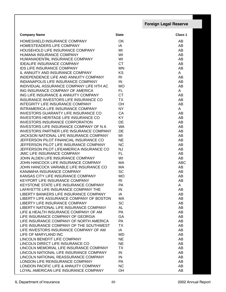| <b>Company Name</b>                             | <b>State</b>   | Class 1    |
|-------------------------------------------------|----------------|------------|
| HOMESHIELD INSURANCE COMPANY                    | OK             | AB         |
| HOMESTEADERS LIFE COMPANY                       | IA             | AB         |
| HOUSEHOLD LIFE INSURANCE COMPANY                | MI             | AB         |
| HUMANA INSURANCE COMPANY                        | WI             | AB         |
| HUMANADENTAL INSURANCE COMPANY                  | WI             | AB         |
| <b>IDEALIFE INSURANCE COMPANY</b>               | <b>CT</b>      | AB         |
| <b>IDS LIFE INSURANCE COMPANY</b>               | <b>MN</b>      | AB         |
| IL ANNUITY AND INSURANCE COMPANY                | KS             | A          |
| INDEPENDENCE LIFE AND ANNUITY COMPANY           | R <sub>1</sub> | AB         |
| INDIANAPOLIS LIFE INSURANCE COMPANY             | IN             | AB         |
| INDIVIDUAL ASSURANCE COMPANY LIFE HTH AC        | <b>MO</b>      | AB         |
| ING INSURANCE COMPANY OF AMERICA                | FL.            | A          |
| ING LIFE INSURANCE & ANNUITY COMPANY            | <b>CT</b>      | AB         |
| INSURANCE INVESTORS LIFE INSURANCE CO           | <b>TX</b>      | AB         |
| <b>INTEGRITY LIFE INSURANCE COMPANY</b>         | OH             | AB         |
| INTRAMERICA LIFE INSURANCE COMPANY              | <b>NY</b>      | A          |
| <b>INVESTORS GUARANTY LIFE INSURANCE CO</b>     | CA             | AB         |
| <b>INVESTORS HERITAGE LIFE INSURANCE CO.</b>    | KY             | AB         |
| <b>INVESTORS INSURANCE CORPORATION</b>          | <b>DE</b>      | AB         |
| <b>INVESTORS LIFE INSURANCE COMPANY OF N A</b>  | <b>WA</b>      | AB         |
| <b>INVESTORS PARTNER LIFE INSURANCE COMPANY</b> | DE             | AB         |
| JACKSON NATIONAL LIFE INSURANCE COMPANY         | MI             | AB         |
| JEFFERSON PILOT FINANCIAL INSURANCE CO          | <b>NE</b>      | AB         |
| JEFFERSON PILOT LIFE INSURANCE COMPANY          | <b>NC</b>      | AB         |
| JEFFERSON PILOT LIFEAMERICA INSURANCE CO        | <b>NJ</b>      | AB         |
| <b>JMIC LIFE INSURANCE COMPANY</b>              | <b>FL</b>      | AB         |
| JOHN ALDEN LIFE INSURANCE COMPANY               | WI             | AB         |
| JOHN HANCOCK LIFE INSURANCE COMPANY             | MA             | <b>ABC</b> |
| JOHN HANCOCK VARIABLE LIFE INSURANCE CO         | МA             | AB         |
| KANAWHA INSURANCE COMPANY                       | <b>SC</b>      | AB         |
| KANSAS CITY LIFE INSURANCE COMPANY              | <b>MO</b>      | AB         |
| KEYPORT LIFE INSURANCE COMPANY                  | R <sub>l</sub> | AB         |
| KEYSTONE STATE LIFE INSURANCE COMPANY           | <b>PA</b>      | A          |
| LAFAYETTE LIFE INSURANCE COMPANY THE            | IN             | AB         |
| LIBERTY BANKERS LIFE INSURANCE COMPANY          | IΑ             | AB         |
| LIBERTY LIFE ASSURANCE COMPANY OF BOSTON        | МA             | AB         |
| <b>LIBERTY LIFE INSURANCE COMPANY</b>           | <b>SC</b>      | AB         |
| LIBERTY NATIONAL LIFE INSURANCE COMPANY         | AL             | AB         |
| LIFE & HEALTH INSURANCE COMPANY OF AM           | <b>PA</b>      | AB         |
| LIFE INSURANCE COMPANY OF GEORGIA               | GA             | AB         |
| LIFE INSURANCE COMPANY OF NORTH AMERICA         | PA             | AB         |
| LIFE INSURANCE COMPANY OF THE SOUTHWEST         | <b>TX</b>      | AB         |
| LIFE INVESTORS INSURANCE COMPANY OF AM          | IA             | AB         |
| LIFE OF MARYLAND INC                            | <b>MD</b>      | AB         |
| LINCOLN BENEFIT LIFE COMPANY                    | <b>NE</b>      | AB         |
| LINCOLN DIRECT LIFE INSURANCE CO                | <b>NE</b>      | AB         |
| LINCOLN MEMORIAL LIFE INSURANCE COMPANY         | <b>TX</b>      | AB         |
| LINCOLN NATIONAL LIFE INSURANCE COMPANY         | IN             | AB         |
| LINCOLN NATIONAL REASSURANCE COMPANY            | IN             | AB         |
| LONDON LIFE REINSURANCE COMPANY                 | <b>PA</b>      | AB         |
| LONDON PACIFIC LIFE & ANNUITY COMPANY           | <b>NC</b>      | AB         |
| LOYAL AMERICAN LIFE INSURANCE COMPANY           | OH             | AB         |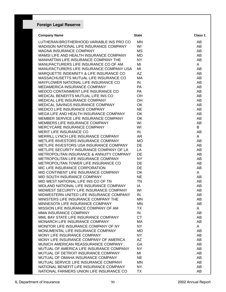| <b>Company Name</b>                         | <b>State</b> |              | Class 1 |
|---------------------------------------------|--------------|--------------|---------|
| LUTHERAN BROTHERHOOD VARIABLE INS PRO CO    | <b>MN</b>    |              | AB      |
| MADISON NATIONAL LIFE INSURANCE COMPANY     | WI           |              | AB      |
| <b>MAGNA INSURANCE COMPANY</b>              | <b>MS</b>    |              | AB      |
| MAMSI LIFE AND HEALTH INSURANCE COMPANY     | MD           |              | AB      |
| <b>MANHATTAN LIFE INSURANCE COMPANY THE</b> | NY.          |              | AB      |
| MANUFACTURERS LIFE INSURANCE CO OF AM       | MI           | $\mathsf{A}$ |         |
| MANUFACTURERS LIFE INSURANCE COMPANY USA    | MI           |              | AB      |
| MARQUETTE INDEMNITY & LIFE INSURANCE CO     | AZ           |              | AB      |
| MASSACHUSETTS MUTUAL LIFE INSURANCE CO      | МA           |              | AB      |
| MAYFLOWER NATIONAL LIFE INSURANCE CO        | IN           |              | AB      |
| MEDAMERICA INSURANCE COMPANY                | <b>PA</b>    |              | AB      |
| MEDCO CONTAINMENT LIFE INSURANCE CO         | PA           |              | AB      |
| MEDICAL BENEFITS MUTUAL LIFE INS CO         | OH           |              | AB      |
| MEDICAL LIFE INSURANCE COMPANY              | OH           |              | AB      |
| MEDICAL SAVINGS INSURANCE COMPANY           | OK           |              | AB      |
| <b>MEDICO LIFE INSURANCE COMPANY</b>        | <b>NE</b>    |              | AB      |
| MEGA LIFE AND HEALTH INSURANCE COMPANY      | OK           |              | AB      |
| MEMBER SERVICE LIFE INSURANCE COMPANY       | OK           |              | AB      |
| MEMBERS LIFE INSURANCE COMPANY              | WI           |              | AB      |
| MERCYCARE INSURANCE COMPANY                 | WI           | B            |         |
| MERIT LIFE INSURANCE CO                     | IN           |              | AB      |
| MERRILL LYNCH LIFE INSURANCE COMPANY        | <b>AR</b>    | A            |         |
| METLIFE INVESTORS INSURANCE COMPANY         | <b>MO</b>    |              | AB      |
| METLIFE INVESTORS USA INSURANCE COMPANY     | DE           |              | AB      |
| METLIFE SECURITY INSURANCE COMPANY OF LA    | LA           |              | AB      |
| METROPOLITAN INSURANCE & ANNUITY COMPANY    | DE           |              | AB      |
| METROPOLITAN LIFE INSURANCE COMPANY         | NY           |              | AB      |
| METROPOLITAN TOWER LIFE INSURANCE CO        | DE           |              | AB      |
| MIC LIFE INSURANCE CORPORATION              | DE           |              | AB      |
| MID CONTINENT LIFE INSURANCE COMPANY        | OK           | $\mathsf{A}$ |         |
| MID SOUTH INSURANCE COMPANY                 | <b>NE</b>    |              | AB      |
| MID WEST NATIONAL LIFE INS CO OF TN         | <b>TN</b>    |              | AB      |
| MIDLAND NATIONAL LIFE INSURANCE COMPANY     | ΙA           |              | AB      |
| MIDWEST SECURITY LIFE INSURANCE COMPANY     | WI           |              | AB      |
| MIDWESTERN UNITED LIFE INSURANCE COMPANY    | IN           |              | AB      |
| MINISTERS LIFE INSURANCE COMPANY THE        | <b>MN</b>    |              | AB      |
| MINNESOTA LIFE INSURANCE COMPANY            | MN           |              | AB      |
| MISSION LIFE INSURANCE COMPANY OF AM        | <b>TX</b>    | A            |         |
| MMA INSURANCE COMPANY                       | IN           |              | AB      |
| MML BAY STATE LIFE INSURANCE COMPANY        | <b>CT</b>    |              | AB      |
| MONARCH LIFE INSURANCE COMPANY              | МA           |              | AB      |
| MONITOR LIFE INSURANCE COMPANY OF NY        | NY           | A            |         |
| MONUMENTAL LIFE INSURANCE COMPANY           | <b>MD</b>    |              | AB      |
| MONY LIFE INSURANCE COMPANY                 | NY.          |              | AB      |
| MONY LIFE INSURANCE COMPANY OF AMERICA      | AZ           |              | AB      |
| MUNICH AMERICAN REASSURANCE COMPANY         | GA           |              | AB      |
| MUTUAL OF AMERICA LIFE INSURANCE COMPANY    | NY           |              | AB      |
| MUTUAL OF DETROIT INSURANCE COMPANY         | ΜI           |              | AB      |
| MUTUAL OF OMAHA INSURANCE COMPANY           | <b>NE</b>    |              | AB      |
| MUTUAL SERVICE LIFE INSURANCE COMPANY       | MN           |              | AB      |
| NATIONAL BENEFIT LIFE INSURANCE COMPANY     | NY           |              | AB      |
| NATIONAL FARMERS UNION LIFE INSURANCE CO    | <b>TX</b>    |              | AB      |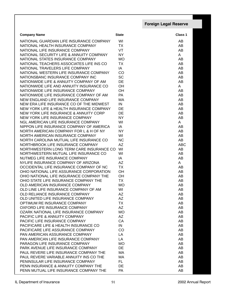|                                          |              | <b>Foreign Legal Reserve</b> |
|------------------------------------------|--------------|------------------------------|
| <b>Company Name</b>                      | <b>State</b> | Class 1                      |
| NATIONAL GUARDIAN LIFE INSURANCE COMPANY | WI           | AB                           |
| NATIONAL HEALTH INSURANCE COMPANY        | <b>TX</b>    | AB                           |
| NATIONAL LIFE INSURANCE COMPANY          | VT           | AB                           |
| NATIONAL SECURITY LIFE & ANNUITY COMPANY | <b>NY</b>    | A                            |
| NATIONAL STATES INSURANCE COMPANY        | <b>MO</b>    | AB                           |
| NATIONAL TEACHERS ASSOCIATES LIFE INS CO | <b>TX</b>    | AB                           |
| NATIONAL TRAVELERS LIFE COMPANY          | IA           | AB                           |
| NATIONAL WESTERN LIFE INSURANCE COMPANY  | CO           | AB                           |
| NATIONSBANC INSURANCE COMPANY INC        | SC           | AB                           |
| NATIONWIDE LIFE & ANNUITY COMPANY OF AM  | DE           | AB                           |
| NATIONWIDE LIFE AND ANNUITY INSURANCE CO | OH           | A                            |
| NATIONWIDE LIFE INSURANCE COMPANY        | OH           | AB                           |
| NATIONWIDE LIFE INSURANCE COMPANY OF AM  | PA           | AB                           |
| NEW ENGLAND LIFE INSURANCE COMPANY       | MA           | AB                           |
| NEW ERA LIFE INSURANCE CO OF THE MIDWEST | IN           | AB                           |
| NEW YORK LIFE & HEALTH INSURANCE COMPANY | DE           | AB                           |
| NEW YORK LIFE INSURANCE & ANNUITY CORP   | DE           | AB                           |
| NEW YORK LIFE INSURANCE COMPANY          | <b>NY</b>    | AB                           |
| NGL AMERICAN LIFE INSURANCE COMPANY      | WI           | A                            |
| NIPPON LIFE INSURANCE COMPANY OF AMERICA | ΙA           | AB                           |
| NORTH AMERICAN COMPANY FOR L & H OF NY   | <b>NY</b>    | AB                           |
| NORTH AMERICAN INSURANCE COMPANY         | WI           | AB                           |
| NORTH CAROLINA MUTUAL LIFE INSURANCE CO  | <b>NC</b>    | AB                           |
| NORTHBROOK LIFE INSURANCE COMPANY        | AZ           | <b>ABC</b>                   |
| NORTHWESTERN LONG TERM CARE INSURANCE CO | WI           | AB                           |
| NORTHWESTERN MUTUAL LIFE INSURANCE CO    | WI           | AB                           |
| NUTMEG LIFE INSURANCE COMPANY            | IA           | AB                           |
| NYLIFE INSURANCE COMPANY OF ARIZONA      | AΖ           | A                            |
| OCCIDENTAL LIFE INSURANCE COMPANY OF NC  | <b>TX</b>    | AB                           |
| OHIO NATIONAL LIFE ASSURANCE CORPORATION | OH           | AB                           |
| OHIO NATIONAL LIFE INSURANCE COMPANY THE | OH           | AB                           |
| OHIO STATE LIFE INSURANCE COMPANY THE    | <b>TX</b>    | AB                           |
| OLD AMERICAN INSURANCE COMPANY           | MO           | AB                           |
| OLD LINE LIFE INSURANCE COMPANY OF AM    | WI           | AB                           |
| OLD RELIANCE INSURANCE COMPANY           | AZ           | AB                           |
| OLD UNITED LIFE INSURANCE COMPANY        | AZ           | AB                           |
| OPTIMUM RE INSURANCE COMPANY             | <b>TX</b>    | AB                           |
| OXFORD LIFE INSURANCE COMPANY            | AZ           | AB                           |
| OZARK NATIONAL LIFE INSURANCE COMPANY    | <b>MO</b>    | AB                           |
| PACIFIC LIFE & ANNUITY COMPANY           | AZ           | AB                           |
| PACIFIC LIFE INSURANCE COMPANY           | CA           | AB                           |
| PACIFICARE LIFE & HEALTH INSURANCE CO    | IN           | AB                           |
| PACIFICARE LIFE ASSURANCE COMPANY        | CO           | AB                           |
| PAN AMERICAN ASSURANCE COMPANY           | LA           | AB                           |
| PAN AMERICAN LIFE INSURANCE COMPANY      | LA           | AB                           |
| PARAGON LIFE INSURANCE COMPANY           | <b>MO</b>    | AB                           |
| PARK AVENUE LIFE INSURANCE COMPANY       | DE           | AB                           |
| PAUL REVERE LIFE INSURANCE COMPANY THE   | МA           | AB                           |
| PAUL REVERE VARIABLE ANNUITY INS CO THE  | МA           | AB                           |
| PENINSULAR LIFE INSURANCE COMPANY        | FL.          |                              |
|                                          |              | AB                           |
| PENN INSURANCE & ANNUITY COMPANY THE     | DE           | AB                           |
| PENN MUTUAL LIFE INSURANCE COMPANY THE   | PA           | AB                           |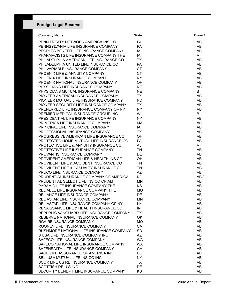| <b>Company Name</b>                      | <b>State</b> | Class 1    |
|------------------------------------------|--------------|------------|
| PENN TREATY NETWORK AMERICA INS CO       | PA           | AB         |
| PENNSYLVANIA LIFE INSURANCE COMPANY      | <b>PA</b>    | AB         |
| PEOPLES BENEFIT LIFE INSURANCE COMPANY   | IA           | AB         |
| PHARMACISTS LIFE INSURANCE COMPANY THE   | IA           | A          |
| PHILADELPHIA AMERICAN LIFE INSURANCE CO  | <b>TX</b>    | AB         |
| PHILADELPHIA UNITED LIFE INSURANCE CO    | PA           | AB         |
| PHL VARIABLE INSURANCE COMPANY           | <b>CT</b>    | AB         |
| PHOENIX LIFE & ANNUITY COMPANY           | <b>CT</b>    | AB         |
| PHOENIX LIFE INSURANCE COMPANY           | <b>NY</b>    | AB         |
| PHOENIX NATIONAL INSURANCE COMPANY       | OH           | AB         |
| PHYSICIANS LIFE INSURANCE COMPANY        | <b>NE</b>    | AB         |
| PHYSICIANS MUTUAL INSURANCE COMPANY      | <b>NE</b>    | B          |
| PIONEER AMERICAN INSURANCE COMPANY       | <b>TX</b>    | AB         |
| PIONEER MUTUAL LIFE INSURANCE COMPANY    | <b>ND</b>    | AB         |
| PIONEER SECURITY LIFE INSURANCE COMPANY  | <b>TX</b>    | AB         |
| PREFERRED LIFE INSURANCE COMPANY OF NY   | <b>NY</b>    | AB         |
| PREMIER MEDICAL INSURANCE GROUP INC      | WI           | B          |
| PRESIDENTIAL LIFE INSURANCE COMPANY      | <b>NY</b>    | AB         |
| PRIMERICA LIFE INSURANCE COMPANY         | MA           | AB         |
| PRINCIPAL LIFE INSURANCE COMPANY         | IA           | AB         |
| PROFESSIONAL INSURANCE COMPANY           | <b>TX</b>    | AB         |
| PROGRESSIVE AMERICAN LIFE INSURANCE CO   | OH           | AB         |
| PROTECTED HOME MUTUAL LIFE INSURANCE CO  | PA           | AB         |
| PROTECTIVE LIFE & ANNUITY INSURANCE CO   | <b>AL</b>    | A          |
| PROTECTIVE LIFE INSURANCE COMPANY        | <b>TN</b>    | AB         |
| PROVANTIS INSURANCE COMPANY              | DE           | AB         |
| PROVIDENT AMERICAN LIFE & HEALTH INS CO  | OH           | AB         |
| PROVIDENT LIFE & ACCIDENT INSURANCE CO   | <b>TN</b>    | AB         |
| PROVIDENT LIFE & CASUALTY INSURANCE CO   | <b>TN</b>    | AB         |
| PRUCO LIFE INSURANCE COMPANY             | AZ           | AB         |
| PRUDENTIAL INSURANCE COMPANY OF AMERICA  | <b>NJ</b>    | <b>ABC</b> |
| PRUDENTIAL SELECT LIFE INS CO OF AM      | <b>MN</b>    | AB         |
| PYRAMID LIFE INSURANCE COMPANY THE       | <b>KS</b>    | AB         |
| RELIABLE LIFE INSURANCE COMPANY THE      | <b>MO</b>    | AB         |
| RELIANCE LIFE INSURANCE COMPANY          | DE           | AB         |
| RELIASTAR LIFE INSURANCE COMPANY         | <b>MN</b>    | AB         |
| RELIASTAR LIFE INSURANCE COMPANY OF NY   | NY           | AВ         |
| RENAISSANCE LIFE & HEALTH INSURANCE CO   | IN           | AB         |
| REPUBLIC VANGUARD LIFE INSURANCE COMPANY | <b>TX</b>    | AB         |
| RESERVE NATIONAL INSURANCE COMPANY       | OK           | AB         |
| <b>RGA REINSURANCE COMPANY</b>           | <b>MO</b>    | AB         |
| ROONEY LIFE INSURANCE COMPANY            | CA           | AB         |
| RUSHMORE NATIONAL LIFE INSURANCE COMPANY | <b>SD</b>    | AB         |
| SUSA LIFE INSURANCE COMPANY INC          | AZ           | AB         |
| SAFECO LIFE INSURANCE COMPANY            | <b>WA</b>    | AB         |
| SAFECO NATIONAL LIFE INSURANCE COMPANY   | <b>WA</b>    | AB         |
| SAFEHEALTH LIFE INSURANCE COMPANY        | CA           | AB         |
| SAGE LIFE ASSURANCE OF AMERICA INC       | <b>DE</b>    | AB         |
| SBLI USA MUTUAL LIFE INS CO INC          | NY           | AB         |
| SCOR LIFE US RE INSURANCE COMPANY        | <b>TX</b>    | AB         |
| SCOTTISH RE U S INC                      | <b>DE</b>    | AB         |
| SECURITY BENEFIT LIFE INSURANCE COMPANY  | <b>KS</b>    | <b>AB</b>  |
|                                          |              |            |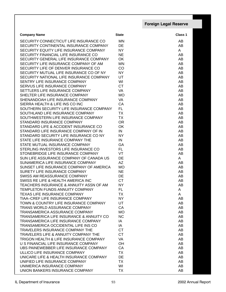|                                          |              | <b>Foreign Legal Reserve</b> |
|------------------------------------------|--------------|------------------------------|
| <b>Company Name</b>                      | <b>State</b> | Class 1                      |
| SECURITY CONNECTICUT LIFE INSURANCE CO   | <b>MN</b>    | AB                           |
| SECURITY CONTINENTAL INSURANCE COMPANY   | DE           | AB                           |
| SECURITY EQUITY LIFE INSURANCE COMPANY   | <b>NY</b>    | A                            |
| SECURITY FINANCIAL LIFE INSURANCE CO     | <b>NE</b>    | AB                           |
| SECURITY GENERAL LIFE INSURANCE COMPANY  | OK           | AB                           |
| SECURITY LIFE INSURANCE COMPANY OF AM    | <b>MN</b>    | AB                           |
| SECURITY LIFE OF DENVER INSURANCE CO     | CO           | AB                           |
| SECURITY MUTUAL LIFE INSURANCE CO OF NY  | <b>NY</b>    | AB                           |
| SECURITY NATIONAL LIFE INSURANCE COMPANY | UT           | AB                           |
| SENTRY LIFE INSURANCE COMPANY            | WI           | AB                           |
| SERVUS LIFE INSURANCE COMPANY            | <b>CT</b>    | AB                           |
| SETTLERS LIFE INSURANCE COMPANY          | VA           | AB                           |
| SHELTER LIFE INSURANCE COMPANY           | <b>MO</b>    | AB                           |
| SHENANDOAH LIFE INSURANCE COMPANY        | VA           | AB                           |
| SIERRA HEALTH & LIFE INS CO INC          | CA           | AB                           |
| SOUTHERN SECURITY LIFE INSURANCE COMPANY | FL.          | AB                           |
| SOUTHLAND LIFE INSURANCE COMPANY         | <b>TX</b>    | AB                           |
| SOUTHWESTERN LIFE INSURANCE COMPANY      | <b>TX</b>    | AB                           |
| STANDARD INSURANCE COMPANY               | <b>OR</b>    | AB                           |
| STANDARD LIFE & ACCIDENT INSURANCE CO    | OK           | AB                           |
| STANDARD LIFE INSURANCE COMPANY OF IN    | IN           | AB                           |
| STANDARD SECURITY LIFE INSURANCE CO NY   | <b>NY</b>    | AB                           |
| STATE LIFE INSURANCE COMPANY THE         | IN           | AB                           |
| STATE MUTUAL INSURANCE COMPANY           | GA           | AB                           |
| STERLING INVESTORS LIFE INSURANCE CO     | FL.          | AB                           |
| STONEBRIDGE LIFE INSURANCE COMPANY       | VT           | AB                           |
| SUN LIFE ASSURANCE COMPANY OF CANADA US  | DE           | A                            |
| SUNAMERICA LIFE INSURANCE COMPANY        | ΑZ           | AB                           |
| SUNSET LIFE INSURANCE COMPANY OF AMERICA | <b>MO</b>    | AB                           |
| SURETY LIFE INSURANCE COMPANY            | <b>NE</b>    | AB                           |
| SWISS AM REASSURANCE COMPANY             | DE           | AB                           |
| SWISS RE LIFE & HEALTH AMERICA INC       | <b>CT</b>    | AB                           |
| TEACHERS INSURANCE & ANNUITY ASSN OF AM  | <b>NY</b>    | AB                           |
| TEMPLETON FUNDS ANNUITY COMPANY          | FL           | A                            |
| <b>TEXAS LIFE INSURANCE COMPANY</b>      | <b>TX</b>    | A                            |
| TIAA-CREF LIFE INSURANCE COMPANY         | NY           | AB                           |
| TOWN & COUNTRY LIFE INSURANCE COMPANY    | UT           | AB                           |
| TRANS WORLD ASSURANCE COMPANY            | CA           | AB                           |
| TRANSAMERICA ASSURANCE COMPANY           | <b>MO</b>    | AB                           |
| TRANSAMERICA LIFE INSURANCE & ANNUITY CO |              | AB                           |
| TRANSAMERICA LIFE INSURANCE COMPANY      | <b>NC</b>    | AB                           |
|                                          | IA           |                              |
| TRANSAMERICA OCCIDENTAL LIFE INS CO      | IA           | AB                           |
| <b>TRAVELERS INSURANCE COMPANY THE</b>   | <b>CT</b>    | AB                           |
| TRAVELERS LIFE & ANNUITY COMPANY THE     | <b>CT</b>    | AB                           |
| TRIGON HEALTH & LIFE INSURANCE COMPANY   | VA           | AB                           |
| U S FINANCIAL LIFE INSURANCE COMPANY     | OH           | AB                           |
| UBS PAINEWEBBER LIFE INSURANCE COMPANY   | CA           | AB                           |
| ULLICO LIFE INSURANCE COMPANY            | TX           | AB                           |
| UNICARE LIFE & HEALTH INSURANCE COMPANY  | DE           | AB                           |
| UNIFIED LIFE INSURANCE COMPANY           | <b>TX</b>    | AB                           |
| UNIMERICA INSURANCE COMPANY              | WI           | AB                           |
| UNION BANKERS INSURANCE COMPANY          | <b>TX</b>    | AB                           |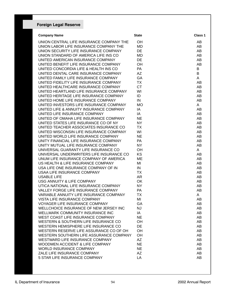| <b>Company Name</b>                      | <b>State</b> | Class 1      |
|------------------------------------------|--------------|--------------|
| UNION CENTRAL LIFE INSURANCE COMPANY THE | OH           | AB           |
| UNION LABOR LIFE INSURANCE COMPANY THE   | MD           | AB           |
| UNION SECURITY LIFE INSURANCE COMPANY    | <b>DE</b>    | AB           |
| UNION STANDARD OF AMERICA LIFE INS CO    | MD           | AB           |
| UNITED AMERICAN INSURANCE COMPANY        | <b>DE</b>    | AB           |
| UNITED BENEFIT LIFE INSURANCE COMPANY    | OH           | AB           |
| UNITED CONCORDIA LIFE & HEALTH INS CO    | PA           | B            |
| UNITED DENTAL CARE INSURANCE COMPANY     | AZ           | B            |
| UNITED FAMILY LIFE INSURANCE COMPANY     | GA           | A            |
| UNITED FIDELITY LIFE INSURANCE COMPANY   | TX           | AB           |
| UNITED HEALTHCARE INSURANCE COMPANY      | <b>CT</b>    | AB           |
| UNITED HEARTLAND LIFE INSURANCE COMPANY  | WI           | AB           |
| UNITED HERITAGE LIFE INSURANCE COMPANY   | ID           | AB           |
| UNITED HOME LIFE INSURANCE COMPANY       | IN           | AB           |
| UNITED INVESTORS LIFE INSURANCE COMPANY  | <b>MO</b>    | $\mathsf{A}$ |
| UNITED LIFE & ANNUITY INSURANCE COMPANY  | IA           | AB           |
| UNITED LIFE INSURANCE COMPANY            | IA.          | AB           |
| UNITED OF OMAHA LIFE INSURANCE COMPANY   | <b>NE</b>    | AB           |
| UNITED STATES LIFE INSURANCE CO OF NY    | NY           | AB           |
| UNITED TEACHER ASSOCIATES INSURANCE CO   | <b>TX</b>    | AB           |
| UNITED WISCONSIN LIFE INSURANCE COMPANY  | WI           | AB           |
| UNITED WORLD LIFE INSURANCE COMPANY      | <b>NE</b>    | AB           |
| UNITY FINANCIAL LIFE INSURANCE COMPANY   | <b>PA</b>    | AB           |
| UNITY MUTUAL LIFE INSURANCE COMPANY      | NY           | AB           |
| UNIVERSAL GUARANTY LIFE INSURANCE CO     | OH           | $\mathsf{A}$ |
| UNIVERSAL UNDERWRITERS LIFE INSURANCE CO | <b>KS</b>    | AB           |
| UNUM LIFE INSURANCE COMPANY OF AMERICA   | ME           | AB           |
| US HEALTH & LIFE INSURANCE COMPANY       | MI           | AB           |
| USA LIFE ONE INSURANCE COMPANY OF IN     | IN           | AB           |
| USAA LIFE INSURANCE COMPANY              | <b>TX</b>    | AB           |
| <b>USABLE LIFE</b>                       | AR           | AB           |
| USG ANNUITY & LIFE COMPANY               | OK           | AB           |
| UTICA NATIONAL LIFE INSURANCE COMPANY    | NY           | AB           |
| VALLEY FORGE LIFE INSURANCE COMPANY      | PA           | AB           |
| VARIABLE ANNUITY LIFE INSURANCE COMPANY  | <b>TX</b>    | A            |
| VISTA LIFE INSURANCE COMPANY             | MI           | AB           |
| <b>VOYAGER LIFE INSURANCE COMPANY</b>    | GA           | AB           |
| WELLCHOICE INSURANCE OF NEW JERSEY INC   | <b>NJ</b>    | AB           |
| WELLMARK COMMUNITY INSURANCE INC         | IA           | AB           |
| WEST COAST LIFE INSURANCE COMPANY        | <b>NE</b>    | AB           |
| WESTERN & SOUTHERN LIFE INSURANCE CO     | OH           | AB           |
| WESTERN HEMISPHERE LIFE INSURANCE CO     | DE           | AB           |
| WESTERN RESERVE LIFE ASSURANCE CO OF OH  | OH           | AB           |
| WESTERN SOUTHERN LIFE ASSURANCE COMPANY  | OH           | AB           |
| WESTWARD LIFE INSURANCE COMPANY          | AΖ           | AB           |
| WOODMEN ACCIDENT & LIFE COMPANY          | <b>NE</b>    | AB           |
| <b>WORLD INSURANCE COMPANY</b>           | <b>NE</b>    | AB           |
| ZALE LIFE INSURANCE COMPANY              | AZ           | AB           |
| 5 STAR LIFE INSURANCE COMPANY            | LA           | AB           |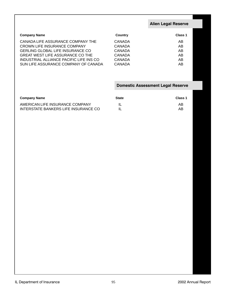#### Alien Legal Reserve

| <b>Company Name</b>                     | Country | Class 1 |
|-----------------------------------------|---------|---------|
| CANADA LIFE ASSURANCE COMPANY THE       | CANADA  | AB      |
| CROWN LIFE INSURANCE COMPANY            | CANADA  | AB      |
| <b>GERLING GLOBAL LIFE INSURANCE CO</b> | CANADA  | AB      |
| <b>GREAT WEST LIFE ASSURANCE CO THE</b> | CANADA  | AB      |
| INDUSTRIAL ALLIANCE PACIFIC LIFE INS CO | CANADA  | AB      |
| SUN LIFE ASSURANCE COMPANY OF CANADA    | CANADA  | AB      |

#### Domestic Assessment Legal Reserve

| Company Name                         | <b>State</b> | Class 1 |
|--------------------------------------|--------------|---------|
| AMERICAN LIFE INSURANCE COMPANY      |              | AB      |
| INTERSTATE BANKERS LIFE INSURANCE CO |              | AВ      |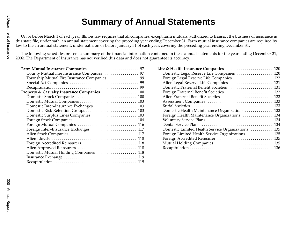# **Summary of Annual Statements**

On or before March 1 of each year, Illinois law requires that all companies, except farm mutuals, authorized to transact the business of insurance in this state file, under oath, an annual statement covering the preceding year ending December 31. Farm mutual insurance companies are required by law to file an annual statement, under oath, on or before January 31 of each year, covering the preceding year ending December 31.

The following schedules present a summary of the financial information contained in these annual statements for the year ending December 31, 2002. The Department of Insurance has not verified this data and does not guarantee its accuracy.

| County Mutual Fire Insurance Companies  97   |     |
|----------------------------------------------|-----|
| Township Mutual Fire Insurance Companies  99 |     |
|                                              |     |
|                                              |     |
| Property & Casualty Insurance Companies  100 |     |
|                                              |     |
|                                              |     |
| Domestic Inter-Insurance Exchanges  103      |     |
| Domestic Risk Retention Groups  103          |     |
| Domestic Surplus Lines Companies  103        |     |
|                                              |     |
|                                              |     |
| Foreign Inter-Insurance Exchanges  117       |     |
|                                              |     |
|                                              |     |
| Foreign Accredited Reinsurers                | 118 |
|                                              | 118 |
| Domestic Mutual Holding Companies  118       |     |
|                                              |     |
|                                              |     |

| Domestic Legal Reserve Life Companies  120         |     |
|----------------------------------------------------|-----|
| Foreign Legal Reserve Life Companies  122          |     |
| Alien Legal Reserve Life Companies  131            |     |
| Domestic Fraternal Benefit Societies  131          |     |
| Foreign Fraternal Benefit Societies  132           |     |
| Alien Fraternal Benefit Societies  133             |     |
|                                                    |     |
|                                                    |     |
| Domestic Health Maintenance Organizations  133     |     |
| Foreign Health Maintenance Organizations  134      |     |
|                                                    |     |
|                                                    | 134 |
| Domestic Limited Health Service Organizations  135 |     |
| Foreign Limited Health Service Organizations  135  |     |
| Foreign Accredited Reinsurer  135                  |     |
|                                                    |     |
|                                                    |     |
|                                                    |     |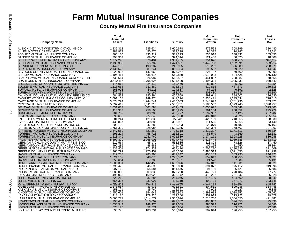## **Farm Mutual Insurance Companies**

## **County Mutual Fire Insurance Companies**

|                                                                             | <b>Total</b><br>Admitted |                        |                        | Gross<br>Premiums      | <b>Net</b><br><b>Premiums</b> | <b>Net</b><br>Losses |
|-----------------------------------------------------------------------------|--------------------------|------------------------|------------------------|------------------------|-------------------------------|----------------------|
| <b>Company Name</b>                                                         | <b>Assets</b>            | Liabilities            | <b>Surplus</b>         | Written                | Written                       | Paid                 |
| ALBION DIST MUT WNDSTRM & CYCL INS CO                                       | 1,836,312                | 235,634                | 1,600,678              | 472,598                | 308,199                       | 380,480              |
| ALLEN & OTTER CREEK MUT INS CO                                              | 383,973                  | 50,575                 | 333,398                | 98,377                 | 74,247                        | 22,611               |
| ASBURY MUTUAL INSURANCE COMPANY                                             | 865,130                  | 333,917                | 531,213                | 535,018                | 348,331                       | 165,853              |
| BANNER MUTUAL INSURANCE COMPANY                                             | 393,969                  | 69,655                 | 324,314                | 121,408                | 80,625                        | 18,308               |
| BELLE PRAIRIE MUTUAL INSURANCE COMPANY                                      | 1,972,246                | 670,481                | 1,301,765              | 954,676                | 630,716                       | 340,114              |
| BELLEVILLE MUTUAL INSURANCE COMPANY<br>BELVIDERE FARMERS MUTUAL INS CO      | 2,130,333<br>442,192     | 655,702<br>193,287     | 1,474,631<br>248,905   | 1,449,708<br>516,252   | 1,132,691<br>326,080          | 563,214<br>228,279   |
| BERLIN MUTUAL INSURANCE COMPANY                                             | 2,136,625                | 81,241                 | 2,055,384              | 193,502                | 69,220                        | 14,247               |
| BIG ROCK COUNTY MUTUAL FIRE INSURANCE CO                                    | 1,022,935                | 147,668                | 875,267                | 224,797                | 69,460                        | 66,090               |
| <b>BISHOP MUTUAL INSURANCE COMPANY</b>                                      | 1.196.464                | 535.615                | 660.849                | 1.018.098              | 804.628                       | 575,130              |
| BLACK HAWK MUTUAL INSURANCE COMPANY THE                                     | 739,514                  | 226,987                | 512,527                | 441,807                | 298,987                       | 178,655              |
| <b>BRADFORD MUTUAL INSURANCE COMPANY</b>                                    | 3.410.116                | 1,795,626              | 1.614.490              | 2,495,321              | 2,025,231                     | 949,442              |
| BREESE CLINTON COUNTY MUTUAL FIRE INS CO                                    | 174,968                  | 24,518                 | 150,450                | 89,897                 | 45,993                        | 71,054               |
| <b>BUCKEYE MUTUAL INSURANCE COMPANY</b><br>BUFFALO MUTUAL INSURANCE COMPANY | 1,118,664<br>163,998     | 311.860<br>39,111      | 806.804<br>124,887     | 619.815<br>67,275      | 487,873<br>46,392             | 269,515<br>2,128     |
| BUREAU COUNTY & WYANET MUTUAL INS CO                                        | 379,169                  | 91,162                 | 288,007                | 308,480                | 134,687                       | 84,190               |
| CALHOUN COUNTY MUTUAL COUNTY FIRE INS CO                                    | 684,833                  | 280,264                | 404,569                | 491,641                | 384,002                       |                      |
| CAMP PT MT STERLING CASS COUNTY MUT I C                                     | 2,091,168                | 1,149,874              | 941,294                | 1,836,421              | 1,335,034                     | 196,530<br>728,615   |
| CARTHAGE MUTUAL INSURANCE COMPANY                                           | 3,674,794                | 1,244,741              | 2,430,053              | 2,548,672              | 1,781,736                     | 753,371              |
| CENTRAL ILLINOIS MUT INS CO                                                 | 5,392,417                | 2,811,716              | 2,580,701              | 5,185,562              | 4,379,745                     | 2,390,957            |
| DELAVAN MUTUAL INSURANCE COMPANY                                            | 1,031,037                | 561,584                | 469,453                | 1,055,675              | 609,548                       | 323,805              |
| DENVER MUTUAL INSURANCE COMPANY                                             | 1,113,333                | 258,108                | 855,225                | 361,154                | 268,352                       | 275,779<br>287,982   |
| DUNHAM & CHEMUNG MUTUAL INS CO<br>ELMIRA MUTUAL INSURANCE COMPANY           | 984,757<br>698,636       | 583,980<br>277,646     | 400,777<br>420,990     | 1,192,387<br>489,048   | 867,123<br>364,026            | 235,054              |
| ENFIELD FARMERS MUT INS CO OF ENFIELD WH                                    | 281,244                  | 121,833                | 159,411                | 425,199                | 248,855                       | 188,330              |
| EVANS MUTUAL INSURANCE COMPANY                                              | 433,867                  | 49,886                 | 383,981                | 111,525                | 86,265                        | 63,140               |
| FARM RIDGE & DEER PARK MUTUAL INS CO                                        | 200.192                  | 47,289                 | 152.903                | 120.076                | 40.482                        | 75,163               |
| FARMERS ALBION MUTUAL COUNTY FIRE INS CO                                    | 1,751,329                | 228,984                | 1,522,345              | 334,336                | 258,607                       | 127,967              |
| FARMERS PIONEER MUTUAL INSURANCE COMPANY                                    | 3,547,580                | 821,262                | 2,726,318              | 1,312,397              | 1,171,513                     | 650,334              |
| FORREST MUTUAL INSURANCE COMPANY                                            | 295,224                  | 58,723                 | 236,501                | 65,549                 | 43,669                        | 12,531               |
| FORRESTON MUTUAL INSURANCE COMPANY<br>FRONTIER MUTUAL INSURANCE COMPANY     | 2,213,349<br>5,590,379   | 1,211,760<br>2,065,901 | 1,001,589<br>3.524.478 | 2,174,171<br>3,616,444 | 1,398,225<br>3,089,885        | 836,048<br>1,733,719 |
| GERMAN RICHLAND COUNTY MUT FIRE INS CO                                      | 619,564                  | 65,979                 | 553,585                | 113,804                | 78,326                        | 37,450               |
| <b>GERMANTOWN MUTUAL INSURANCE COMPANY</b>                                  | 490,286                  | 48,581                 | 441,705                | 106,255                | 81,650                        | 15,864               |
| GREEN GARDEN MUTUAL INSURANCE COMPANY                                       | 1,832,401                | 1,174,931              | 657,470                | 1,706,270              | 1,130,835                     | 371,609              |
| GREENE COUNTY MUTUAL INSURANCE CO                                           | 1,460,799                | 975,459                | 485,340                | 1,486,519              | 1,091,055                     | 821,998              |
| HAMEL MUTUAL INSURANCE COMPANY                                              | 917,238                  | 285,396                | 631,842                | 455,103                | 353,795                       | 246,425<br>329,827   |
| HAMLET MUTUAL INSURANCE COMPANY                                             | 1,821,167                | 548,075                | 1,273,092              | 859,613                | 668,250                       |                      |
| HARVEL MUTUAL INSURANCE COMPANY<br>HOME FARMERS MUTUAL INSURANCE COMPANY    | 256,664<br>1,800,331     | 17,703<br>142,455      | 238,961<br>1,657,876   | 21,578<br>367,042      | 7,309<br>141,031              | 5,131<br>70,529      |
| HORSE PRAIRIE MUTUAL INSURANCE COMPANY                                      | 1,799,428                | 845,598                | 953,830                | 1,394,872              | 975,412                       | 919,596              |
| INDEPENDENT FARMERS MUTUAL INS CO                                           | 907,160                  | 55,584                 | 851,576                | 94,106                 | 26,421                        | 35,586               |
| INDUSTRY MUTUAL INSURANCE COMPANY                                           | 1,089,089                | 209,839                | 879,250                | 440,721                | 270,484                       | 77,777               |
| IUKA MUTUAL INSURANCE COMPANY                                               | 496.065                  | 169,923                | 326.142                | 410,222                | 251.247                       | 86,028               |
| JEFFERSON COUNTY MUTUAL INS CO                                              | 622,262                  | 337,286                | 284,976                | 615,439                | 404,660                       | 198,949              |
| JERSEYVILLE MUTUAL INS CO                                                   | 666,326                  | 232.007                | 434,319                | 490,721                | 377,273                       | 203,745              |
| JO DAVIESS STRONGHURST MUT INS CO                                           | 1,702,345                | 601,375                | 1,100,970              | 1,013,454              | 851,657                       | 348,634              |
| KANE COUNTY MUTUAL INSURANCE CO<br>KASKASKIA MUTUAL INSURANCE COMPANY       | 1,175,557<br>158,121     | 483.936<br>35,760      | 691.621<br>122,361     | 804.551<br>72,902      | 599.936<br>42,027             | 354,445<br>5,345     |
| KINGSTON MUTUAL INSURANCE COMPANY                                           | 3,450,601                | 854,648                | 2,595,953              | 1,393,633              | 1,038,252                     | 405,062              |
| LANARK MUTUAL INSURANCE COMPANY                                             | 418,185                  | 178,825                | 239,360                | 357,919                | 213,723                       | 79,678               |
| LAPRAIRIE MUTUAL INSURANCE COMPANY                                          | 3.665.271                | 1,114,577              | 2.550.694              | 1,716,706              | 1,504,550                     | 421,381              |
| LEWISTOWN MUTUAL INSURANCE COMPANY                                          | 990,489                  | 310,607                | 679,882                | 498,862                | 394,053                       | 95,330               |
| LOOKKINGGLASS MUTUAL INSURANCE COMPANY                                      | 1,030,544                | 148,475                | 882,069                | 286,572                | 216,972                       | 64,540               |
| LORAN MUTUAL INSURANCE COMPANY                                              | 678,175                  | 52.571                 | 625.604                | 108.163                | 63.656                        | 22.086               |
| LOUISVILLE CLAY COUNTY FARMERS MUT F I C                                    | 696,778                  | 183,734                | 513,044                | 307,614                | 196,253                       | 137,255              |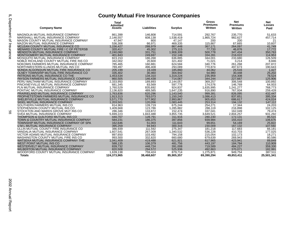### **County Mutual Fire Insurance Companies**

|                                           | <b>Total</b><br><b>Admitted</b> |                    |                | Gross<br><b>Premiums</b> | <b>Net</b><br><b>Premiums</b> | <b>Net</b><br><b>Losses</b> |
|-------------------------------------------|---------------------------------|--------------------|----------------|--------------------------|-------------------------------|-----------------------------|
| <b>Company Name</b>                       | <b>Assets</b>                   | <b>Liabilities</b> | <b>Surplus</b> | Written                  | Written                       | Paid                        |
| MAGNOLIA MUTUAL INSURANCE COMPANY         | 861.399                         | 146.808            | 714.591        | 292.767                  | 235.770                       | 51,633                      |
| MARSHALL MUTUAL INSURANCE COMPANY         | 2,146,557                       | 608,138            | 1,538,419      | 1,865,724                | 982,627                       | 457,714                     |
| MASON COUNTY MUTUAL INSURANCE COMPANY     | 47,947                          | 800                | 47,147         | 200                      | 200                           | 21                          |
| MAZON MUTUAL INSURANCE COMPANY            | 536,306                         | 66,971             | 469.335        | 115,867                  | 67,665                        | 10,607                      |
| MCLEAN COUNTY MUTUAL INSURANCE CO         | 1,156,427                       | 288,979            | 867,448        | 367,171                  | 264,097                       | 41,749                      |
| MENARD COUNTY MUTUAL FIRE I C OF PETERSB  | 320.417                         | 45,302             | 275.115        | 77,733                   | 46,876                        | 17.772                      |
| MENDOTA MUTUAL INSURANCE COMPANY          | 2,240,060                       | 331,751            | 1,908,309      | 500,778                  | 347,434                       | 350,763                     |
| MONTGOMERY MUTUAL INSURANCE COMPANY       | 401,843                         | 249,697            | 152.146        | 334,281                  | 216.022                       | 114,953                     |
| MOSQUITO MUTUAL INSURANCE COMPANY         | 823,153                         | 186,268            | 636,885        | 344,001                  | 233,680                       | 126,509                     |
| NOBLE RICHLAND COUNTY MUTUAL FIRE INS CO  | 342.002                         | 20,600             | 321.402        | 71.021                   | 3,214                         | 8,846                       |
| NOKOMIS FARMERS MUTUAL INSURANCE COMPANY  | 785,465                         | 160,881            | 624,584        | 340,776                  | 261,268                       | 207,872                     |
| NORTHWESTERN ILLINOIS MUTUAL INS CO       | 789.497                         | 496.408            | 293.089        | 770.874                  | 497,673                       | 190.643                     |
| NUNDA ALGONQUIN MUTUAL FIRE INSURANCE CO  | 205,199                         | 19,339             | 185,860        | 44,062                   | 25,516                        | 1,427                       |
| OLNEY TOWNSHIP MUTUAL FIRE INSURANCE CO   | 335,402                         | 30,460             | 304,942        | 54,980                   | 30,448                        | 25,202                      |
| PATRONS MUTUAL INSURANCE CO THE           | 1,453,534                       | 134,310            | 1.319.224      | 235,959                  | 154,308                       | 78,524                      |
| PAYSON FARMERS MUTUAL INSURANCE COMPANY   | 860,505                         | 146,438            | 714,067        | 344,244                  | 227,667                       | 125,906                     |
| PERU WALTHAM MUTUAL INSURANCE COMPANY     | 2,333,950                       | 189,893            | 2.144.057      | 369,257                  | 306.548                       | 100.892                     |
| PINCKNEYVILLE MUTUAL INSURANCE COMPANY    | 681,345                         | 83,569             | 597,776        | 174,576                  | 146,769                       | 64,933                      |
| PLN MUTUAL INSURANCE COMPANY              | 1,760,529                       | 835,692            | 924.837        | 1,635,995                | 1,241,277                     | 768,773                     |
| PONTIAC MUTUAL INSURANCE COMPANY          | 2,136,820                       | 489,585            | 1.647.235      | 916.890                  | 767,934                       | 259,428                     |
| PRAIRIELAND MUTUAL INSURANCE COMPANY      | 1,763,836                       | 620,296            | 1,143,540      | 999,381                  | 826,095                       | 432,447                     |
| PROPHETSTOWN FARMERS MUTUAL INSURANCE CO  | 1,913,313                       | 763,073            | 1.150.240      | 1,086,413                | 837,651                       | 395,334                     |
| SHELBYVILLE MUTUAL INSURANCE COMPANY      | 3,571,770                       | 577,902            | 2,993,867      | 905,653                  | 686,617                       | 424,024                     |
| SIGEL MUTUAL INSURANCE COMPANY            | 1,203,501                       | 120,056            | 1,083,445      | 253,314                  | 194,132                       | 147,112                     |
| SOUTHERN FARMERS MUTUAL INS CO            | 814.963                         | 139,719            | 675.244        | 254,271                  | 17,344                        | 24,203                      |
| STEPHENSON COUNTY MUTUAL INS CO           | 1,409,668                       | 123,786            | 1,285,882      | 286,119                  | 216,898                       | 102,125                     |
| STOCKTON AND WARDS GROVE MUT INS CO       | 286,346                         | 133,872            | 152,474        | 337,041                  | 162,049                       | 79,474                      |
| SVEA MUTUAL INSURANCE COMPANY             | 5,699,223                       | 1,843,488          | 3,855,735      | 3,649,521                | 2,804,257                     | 931,292                     |
| THOMPSON & GUILFORD MUTUAL INS CO         | 440,707                         | 128,791            | 311,916        | 280,230                  | 172,131                       | 85,515                      |
| TOWN & COUNTRY MUTUAL INSURANCE COMPANY   | 584,231                         | 186,375            | 397,856        | 939,984                  | 155,410                       | 106,676                     |
| TOWNSHIP MUTUAL INSURANCE COMPANY OF SPA  | 162,646                         | 51,003             | 111.643        | 99,651                   | 54,169                        | 25,822                      |
| U M L MUTUAL INSURANCE COMPANY            | 395,259                         | 94,943             | 300,316        | 230,009                  | 167,132                       | 107,592                     |
| ULLIN MUTUAL COUNTY FIRE INSURANCE CO     | 386,939                         | 111,592            | 275,347        | 181,218                  | 117,683                       | 66,181                      |
| VANDALIA MUTUAL INSURANCE COMPANY         | 1,607,541                       | 267,009            | 1.340.532      | 536,228                  | 410,703                       | 177,025                     |
| VICTOR ADAMS MUTUAL INSURANCE COMPANY     | 897,650                         | 103,492            | 794,158        | 215,054                  | 102,173                       | 18,271                      |
| WASHINGTON COUNTY MUTUAL FIRE INS CO      | 993.500                         | 332.820            | 660.680        | 679,639                  | 269.943                       | 80,586                      |
| WATSEKA MUTUAL INSURANCE COMPANY THE      | 1,041,409                       | 419,488            | 621,921        | 617,965                  | 423,941                       | 89,849                      |
| WEST POINT MUTUAL INS CO                  | 588,135                         | 106,379            | 481,756        | 443,197                  | 184,784                       | 110,909                     |
| WESTERVELT MUTUAL INSURANCE COMPANY       | 839,732                         | 448,724            | 391,008        | 719,589                  | 484,227                       | 359,330                     |
| <b>WILBERTON MUTUAL INSURANCE COMPANY</b> | 820,508                         | 294.572            | 525,936        | 492,863                  | 370,071                       | 182,991                     |
| WOODFORD COUNTY MUTUAL INSURANCE COMPANY  | 1,639,138                       | 759.424            | 879.714        | 1,275,871                | 949,754                       | 387,511                     |
| <b>Totals</b>                             | 124,373,965                     | 38,468,607         | 85,905,357     | 69,390,294               | 49,853,411                    | 25,501,341                  |

86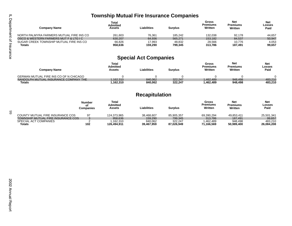### **Township Mutual Fire Insurance Companies**

| Company Name                                             | Total<br>Admitted<br>Assets | Liabilities       | Surplus           | Gross<br>Premiums<br>Written | <b>Net</b><br><b>Premiums</b><br>Written | <b>Net</b><br><b>Losses</b><br>Paid |
|----------------------------------------------------------|-----------------------------|-------------------|-------------------|------------------------------|------------------------------------------|-------------------------------------|
| NORTH PALMYRA FARMERS MUTUAL FIRE INS CO                 | 261.603                     | 76.361            | 185.242           | 132.038                      | 92.178                                   | 44.657                              |
| OSCO & WESTERN FARMERS MUT F & LTG I C                   | 630.207                     | 64.936            | 565.271           | 153.182                      | 84.537                                   | 50.947                              |
| SUGAR CREEK TOWNSHIP MUTUAL FIRE INS CO<br><b>Totals</b> | 66.826<br>958.636           | 17.993<br>159.290 | 48.832<br>799.345 | 28.566<br>313.786            | 10.776<br>187.491                        | 4.053<br>99.657                     |

### **Special Act Companies**

| <b>Company Name</b>                           | <b>Total</b><br>Admitted<br>Assets | Liabilities | Surplus | Gross<br>Premiums<br>Written | Net<br>Premiums<br>Written | <b>Net</b><br>Losses<br>Paid |
|-----------------------------------------------|------------------------------------|-------------|---------|------------------------------|----------------------------|------------------------------|
| <b>GERMAN MUTUAL FIRE INS CO OF N CHICAGO</b> |                                    |             |         |                              |                            |                              |
| RANDOLPH MUTUAL INSURANCE COMPANY THE         | .162.310                           | 840.062     | 322.247 | 1.462.489                    | 948.498                    | 483.210                      |
| Totals                                        | ,162,310                           | 840.062     | 322.247 | 1.462.489                    | 948,498                    | 483.210                      |

### **Recapitulation**

| $\circ$ |                                    | Number<br>οf<br><b>Companies</b> | Total<br>Admitted<br>Assets | Liabilities | Surplus    | Gross<br>Premiums<br>Written | <b>Net</b><br><b>Premiums</b><br>Written | <b>Net</b><br><b>Losses</b><br>Paid |
|---------|------------------------------------|----------------------------------|-----------------------------|-------------|------------|------------------------------|------------------------------------------|-------------------------------------|
| ७       | COUNTY MUTUAL FIRE INSURANCE COS   | 97                               | 124.373.965                 | 38.468.607  | 85.905.357 | 69.390.294                   | 49.853.411                               | 25.501.341                          |
|         | TOWNSHIP MUTUAL FIRE INSURANCE COS |                                  | 958.636                     | 159.290     | 799.345    | 313.786                      | 187.491                                  | 99.657                              |
|         | SPECIAL ACT COMPANIES              |                                  | .162.310                    | 840.062     | 322.247    | .462.489                     | 948.498                                  | 483.210                             |
|         | Totals                             | 102                              | 126.494.911                 | 39.467.959  | 87,026,949 | 71.166.569                   | 50.989.400                               | 26.084.208                          |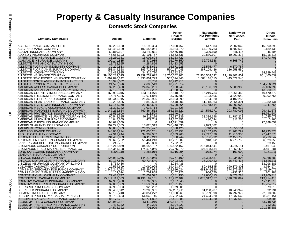ent of Insurance

## **Property & Casualty Insurance Companies**

### **Domestic Stock Companies**

| <b>Company Name/State</b>                                                     | Assets                                   | Liabilities                  | <b>Policy</b><br><b>Holders</b><br><b>Surplus</b> | <b>Nationwide</b><br><b>Net Premiums</b><br>Written | <b>Nationwide</b><br><b>Net Losses</b><br>Paid | <b>Direct</b><br><b>Illinois</b><br>Premiums |
|-------------------------------------------------------------------------------|------------------------------------------|------------------------------|---------------------------------------------------|-----------------------------------------------------|------------------------------------------------|----------------------------------------------|
| ACE INSURANCE COMPANY OF IL                                                   | IL.<br>82,200,150                        | 15,199,384                   | 67,000,757                                        | 647,883                                             | 2,302,049                                      | 15,990,393                                   |
| ACIG INSURANCE COMPANY                                                        | IL.<br>138,489,129                       | 102,555,061                  | 35,934,070                                        | 64,739,763                                          | 8,582,533                                      | 1,189,438                                    |
| <b>ACSTAR INSURANCE COMPANY</b>                                               | IL<br>59,810,107                         | 33,343,911                   | 26,466,196                                        | 4,326,190                                           | 855,115                                        | 45,404                                       |
| ADDISON INSURANCE COMPANY<br>AFFIRMATIVE INSURANCE COMPANY                    | 46,665,393<br>IL.                        | 32,101,757                   | 14,563,636                                        | 20,830,107                                          | 10,002,378                                     | 15,916,315                                   |
| ALAMANCE INSURANCE COMPANY                                                    | IL<br>33,260,351<br>102,141,835<br>IL    | 15,006,624<br>35,870,985     | 18,253,727<br>66,270,850                          | 32,724,588                                          | 6,868,742                                      | 67,973,701                                   |
| ALLSTATE FIRE AND CASUALTY INS CO                                             | IL<br>18,718,555                         | 4,284,896                    | 14,433,659                                        |                                                     |                                                |                                              |
| ALLSTATE FLORIDIAN INDEMNITY COMPANY                                          | 39,209,883<br>$\mathbf{II}$              | 22,538,661                   | 16,671,225                                        | 25,575,477                                          | 6.370.787                                      |                                              |
| ALLSTATE FLORIDIAN INSURANCE COMPANY                                          | 953,844,528<br>IL                        | 393,717,482                  | 560,127,045                                       | 367,109,436                                         | 136,958,550                                    |                                              |
| ALLSTATE INDEMNITY COMPANY                                                    | 128,498,935<br>IL                        | 34,316,710                   | 94,182,224                                        |                                                     |                                                | 94.189.448                                   |
| ALLSTATE INSURANCE COMPANY                                                    | 39,100,282,525<br>IL                     | 25,339,739,625               | 13,760,542,901                                    | 21,906,568,592                                      | 13,420,302,801                                 | 651,465,639                                  |
| ALLSTATE NEW JERSEY INSURANCE COMPANY<br>ALLSTATE NORTH AMERICAN INSURANCE CO | 1,897,896,142<br>IL<br>10.991.682        | 1,330,801,799                | 567,094,343                                       | 1,008,163,115                                       | 445,522,540                                    |                                              |
| ALLSTATE PROPERTY & CASUALTY INS CO                                           | IL<br>IL<br>21,597,026                   | 78,766<br>2,605,513          | 10,912,916<br>18,991,514                          |                                                     |                                                | 134,256,221                                  |
| AMERICAN ACCESS CASUALTY COMPANY                                              | IL<br>32,256,480                         | 24,348,231                   | 7,908,249                                         | 25,106,399                                          | 5,500,985                                      | 25,106,399                                   |
| AMERICAN AMBASSADOR CASUALTY COMPANY                                          | 37,125,899                               | 12,217,232                   | 24,908,667                                        |                                                     |                                                | 43,930,076                                   |
| AMERICAN COUNTRY INSURANCE COMPANY                                            | 169,930,046<br>IL.                       | 153,811,976                  | 16,118,070                                        | $-16,219,734$                                       | 37,251,443                                     | 40,470,372                                   |
| AMERICAN FREEDOM INSURANCE COMPANY                                            | IL<br>16,717,335                         | 12,971,846                   | 3,745,489                                         | 9,123,506                                           | 3,429,040                                      | 9,292,756                                    |
| AMERICAN FUJI FIRE AND MARINE INS CO                                          | IL<br>103,443,915                        | 25,349,925                   | 78,093,990                                        | 3,764,320                                           | 3,102,256                                      |                                              |
| AMERICAN HEARTLAND INSURANCE COMPANY                                          | IL<br>12,298,436                         | 9,849,528                    | 2,448,906                                         | 11,718,063                                          | 2,354,391                                      | 11,280,431                                   |
| AMERICAN LIVE STOCK INSURANCE COMPANY<br>AMERICAN MEDICAL ASSURANCE COMPANY   | IL<br>57,165,370<br>IL<br>11,325,242     | 20,464,506<br>2,033,714      | 36,700,864<br>9,291,528                           | 27,748,614                                          | 16,402,000<br>157,922                          | 1,047,764                                    |
| AMERICAN MOTORISTS INSURANCE COMPANY                                          | IL<br>1,147,232,834                      | 760,864,512                  | 386,368,322                                       | 134,575,771                                         | 203,780,098                                    | 29,431,678                                   |
| AMERICAN PROTECTION INSURANCE COMPANY                                         | 11,559,600<br>IL                         | 213,529                      | 11,346,071                                        |                                                     |                                                | 16,761,649                                   |
| AMERICAN SERVICE INSURANCE COMPANY INC                                        | 60.548.615<br>IL                         | 46,211,276                   | 14,337,339                                        | 33,336,148                                          | 11,787,233                                     | 61,045,078                                   |
| AMERICAN UNION INSURANCE COMPANY                                              | IL<br>14,847,605                         | 479,749                      | 14,367,856                                        | 430,094                                             | 311,255                                        | 3,160                                        |
| AMERICAN ZURICH INSURANCE COMPANY                                             | 94,621,659<br>IL                         |                              | 94,621,659                                        | ∩                                                   | O                                              | 77,388,052                                   |
| AMERIN GUARANTY CORPORATION                                                   | 307,272,355<br>IL                        | 10,826,319                   | 296,446,036                                       | 2,873,062                                           |                                                |                                              |
| AMERIN RE CORPORATION<br>AMEX ASSURANCE COMPANY                               | IL<br>63,888,853<br>IL<br>348,068,214    | 26,350,427<br>171,630,261    | 37,538,426<br>176,437,953                         | 3,740,798<br>197,102,985                            | 1,856,104<br>71,763,792                        | 16,233,573                                   |
| APOLLO CASUALTY COMPANY                                                       | IL<br>42,919,244                         | 34,309,982                   | 8,609,263                                         | 27,747,570                                          | 11,216,335                                     | 27,747,570                                   |
| ARGONAUT GREAT CENTRAL INS CO                                                 | 131,469,963                              | 96,119,219                   | 35,350,744                                        | 60,766,992                                          | 22,458,753                                     | 6,710,547                                    |
| ARGONAUT MIDWEST INSURANCE COMPANY                                            | 98,692,752<br>IL                         | 55,461,243                   | 43,231,509                                        | 8,918,552                                           | 6,778,788                                      | 6,829,653                                    |
| BANKERS MULTIPLE LINE INSURANCE COMPANY                                       | 8,246,751<br>IL.                         | 453,830                      | 7,792,921                                         |                                                     |                                                | 29,159                                       |
| BITUMINOUS CASUALTY CORPORATION                                               | IL<br>575,218,869                        | 384,656,707                  | 190,562,162                                       | 215,044,541                                         | 84,265,011                                     | 31,467,049                                   |
| BITUMINOUS FIRE & MARINE INSURANCE CO                                         | IL<br>245,351,128                        | 174,576,050                  | 70,775,079                                        | 107,438,134                                         | 47,859,426                                     | 3,657,281                                    |
| BOND SAFEGUARD INSURANCE COMPANY<br>CENTAUR INSURANCE COMPANY                 | IL<br>8,303,110<br>IL                    | 3,287,016                    | 5,016,094                                         | 4,078,974                                           | 103,600                                        | 4,151,911                                    |
| CHICAGO INSURANCE COMPANY                                                     | IL<br>224,982,055                        | 144,214,955                  | 80,767,100                                        | 37,398,587                                          | 41,934,804                                     | 30,968,883                                   |
| CHICAGO MOTOR CLUB INSURANCE COMPANY                                          | 80,137,866                               | 60,734,540                   | 19,403,326                                        | 26,209,422                                          | 16,743,435                                     | 31,535,711                                   |
| CITIZENS INSURANCE COMPANY OF ILLINOIS                                        | IL<br>3,734,436                          | ∩                            | 3,734,436                                         | ∩                                                   |                                                | 33,998,386                                   |
| COLUMBIA CASUALTY COMPANY                                                     | 29,554,699<br>IL                         | 10,090,925                   | 19,463,774                                        | $-89,415,845$                                       | 290.879.808                                    | 3,754,974                                    |
| COMBINED SPECIALTY INSURANCE COMPANY                                          | IL<br>1,449,247,022                      | 1,146,260,998                | 302,986,024                                       | 681,949,328                                         | 374,375,956                                    | 541,919,075                                  |
| <b>COMPREHENSIVE ENSURERS MARKET INS CO</b>                                   | IL<br>4,109,594                          | 1,701,868                    | 2,407,726                                         | 966,670                                             | $-732,326$                                     | 201,288                                      |
| CONSTITUTIONAL CASUALTY COMPANY<br>CONTINENTAL CASUALTY COMPANY               | IL<br>27,438,747<br>25,312,119,583<br>IL | 20,657,597<br>20,196,187,101 | 6,781,150<br>5,115,932,482                        | 19,660,813<br>7,073,312,357                         | 9,678,284<br>1,598,592,897                     | 23,760,818<br>219,414,418                    |
| COUNTRY CASUALTY INSURANCE COMPANY                                            | 62,932,408<br>IL                         | 10,765,365                   | 52,167,043                                        | $\Omega$                                            | $\Omega$                                       | 17, 111, 515                                 |
| COUNTRY PREFERRED INSURANCE COMPANY                                           | 32.052.359                               | 18.530.904                   | 13.521.455                                        | $\Omega$                                            |                                                | 45.234.612                                   |
| DEERBROOK INSURANCE COMPANY                                                   | 32,905,033<br>IL                         | 925,232                      | 31,979,801                                        | $\Omega$                                            |                                                | 79,615                                       |
| DEERFIELD INSURANCE COMPANY                                                   | IL<br>105,438,812                        | 73,200,901                   | 32,237,911                                        | 31,280,987                                          | 10,248,942                                     | 392,231                                      |
| DIAMOND INSURANCE COMPANY                                                     | 60,135,240<br>IL                         | 49,054,272                   | 11,080,968                                        | 36,759,098                                          | 16,797,979                                     | 22,310,809                                   |
| DISCOVER PROPERTY & CASUALTY INS CO                                           | 90,795,493                               | 64,042,746                   | 26,752,747                                        | 24,424,220                                          | 17,837,649                                     | 8,231,151                                    |
| DISCOVER SPECIALTY INSURANCE COMPANY<br>ECONOMY FIRE & CASUALTY COMPANY       | 86,173,707<br>IL<br>IL<br>423,960,187    | 63,771,822<br>43,112,910     | 22,401,885<br>380,847,275                         | 24,424,220                                          | 17,837,649                                     | 309,305<br>43,748,734                        |
| ECONOMY PREFERRED INSURANCE COMPANY                                           | IL<br>9,436,232                          | 442,209                      | 8,994,022                                         | $\Omega$                                            |                                                | $-712,959$                                   |
| ECONOMY PREMIER ASSURANCE COMPANY                                             | 34,593,322                               | 701.929                      | 33,891,393                                        | $\Omega$                                            |                                                | 121,745,386                                  |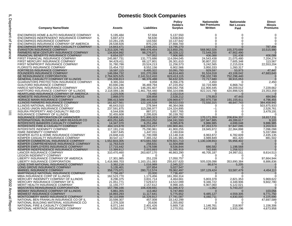### **Domestic Stock Companies**

| <b>Company Name/State</b>                                                         | <b>Assets</b>                                 | Liabilities                 | <b>Policy</b><br><b>Holders</b><br><b>Surplus</b> | Nationwide<br><b>Net Premiums</b><br>Written | <b>Nationwide</b><br><b>Net Losses</b><br>Paid | <b>Direct</b><br><b>Illinois</b><br>Premiums |
|-----------------------------------------------------------------------------------|-----------------------------------------------|-----------------------------|---------------------------------------------------|----------------------------------------------|------------------------------------------------|----------------------------------------------|
| ENCOMPASS HOME & AUTO INSURANCE COMPANY                                           | IL.<br>5,195,484                              | 57,934                      | 5,137,550                                         | 0                                            | 0                                              | 0                                            |
| ENCOMPASS INDEPENDENT INSURANCE COMPANY                                           | IL<br>5,697,473                               | 58,630                      | 5,638,843                                         | 0                                            | $\mathbf 0$                                    | O                                            |
| ENCOMPASS INSURANCE COMPANY                                                       | 10,281,235<br>IL                              | 143,592                     | 10,137,642                                        | 0<br>$\Omega$                                | 0<br>O                                         |                                              |
| ENCOMPASS INSURANCE COMPANY OF AMERICA<br>ENCOMPASS PROPERTY AND CASUALTY COMPANY | IL<br>28,538,926<br>IL<br>14,843,471          | 870,226<br>1,048,201        | 27,668,700<br>13,795,270                          | U                                            | O                                              | 787,494                                      |
| EVANSTON INSURANCE COMPANY                                                        | IL<br>1,313,326,745                           | 999,476,454                 | 313,850,291                                       | 568,962,026                                  | 155,370,689                                    | 10,515,980                                   |
| FARMERS NEW CENTURY INSURANCE COMPANY                                             | IL.<br>134,604,992                            | 98,276,871                  | 36,328,122                                        | 72,549,200                                   | 47,902,490                                     |                                              |
| FINANCIAL BENEFITS INSURANCE COMPANY                                              | $\mathbf{I}$<br>8,654,037                     | 747,052                     | 7,906,985                                         | 406,088                                      | 191,438                                        | 406,088                                      |
| FIRST FINANCIAL INSURANCE COMPANY<br>FIRST MERCURY INSURANCE COMPANY              | IL<br>245,867,731<br>IL<br>94,429,411         | 131,773,686<br>68,127,801   | 114,094,045<br>26,301,610                         | 24,543,438<br>30,807,202                     | 21,075,480<br>7,605,348                        | 7,204,274<br>113,567                         |
| FIRST NONPROFIT INSURANCE COMPANY                                                 | IL<br>31,780,786                              | 20,524,213                  | 11,256,573                                        | 5,242,565                                    | 2,215,024                                      | 22,553,204                                   |
| FLORISTS INSURANCE COMPANY                                                        | IL<br>15,454,722                              | 8,552,156                   | 6,902,566                                         | 3,950,333                                    | 1,260,317                                      | 3                                            |
| FORTRESS INSURANCE COMPANY                                                        | IL<br>16,587,115                              | 6,495,322                   | 10,091,793                                        | 929,597                                      | 53,973                                         | 47,447                                       |
| FOUNDERS INSURANCE COMPANY                                                        | IL<br>146,084,732                             | 101,270,269                 | 44,814,463                                        | 91,524,018                                   | 43,108,042                                     | 47,683,643                                   |
| <b>GE REINSURANCE CORPORATION</b><br>GENERAL CASUALTY COMPANY OF ILLINOIS         | $\mathsf{II}$<br>2,764,925,525<br>155,008,813 | 2,141,512,410<br>98,376,488 | 623,413,115<br>56,632,325                         | 736,102,749<br>72,717,680                    | 752,298,440<br>38,915,053                      |                                              |
| <b>GUARANTORS PROTECTION INSURANCE COMPANY</b>                                    | IL<br>8,365,334                               | 9,058                       | 8,356,276                                         | 2,450                                        | ŋ                                              | 2,450                                        |
| GUILFORD INSURANCE COMPANY                                                        | IL<br>83,690,246                              | 36,469,794                  | 47,220,452                                        | 32,724,589                                   | 6,868,742                                      |                                              |
| HARCO NATIONAL INSURANCE COMPANY                                                  | 252,324,363<br>IL                             | 146,281,607                 | 106,042,756                                       | 111,900,445                                  | 34,209,012                                     | 7,229,662                                    |
| HARTFORD INSURANCE COMPANY OF ILLINOIS                                            | IL<br>2,118,089,136                           | 1,461,764,440               | 656,324,696                                       | 822,315,790                                  | 420,898,526                                    | 23,353,359                                   |
| HEARTLAND INSURANCE COMPANY OF AMERICA<br>HOMESITE INSURANCE COMPANY OF ILLINOIS  | IL<br>2,225,506<br>IL<br>2,868,070            | 73,492<br>339,858           | 2,152,014<br>2,528,212                            | 0<br>178,853                                 | 0<br>47,443                                    | 484,940                                      |
| HORACE MANN INSURANCE COMPANY                                                     | IL<br>398,413,569                             | 288,443,892                 | 109,969,677                                       | 282,970,738                                  | 191,155,611                                    | 4,796,455                                    |
| <b>ILLINOIS FARMERS INSURANCE COMPANY</b>                                         | 161,627,561                                   | 122,105,528                 | 39,522,033                                        | 72,550,315                                   | 48,647,743                                     | 384,458,942                                  |
| ILLINOIS NATIONAL INSURANCE CO                                                    | IL<br>46,643,010                              | 278,944                     | 46,364,066                                        | 0                                            | 0                                              | 503,875,933                                  |
| ILLINOIS UNION INSURANCE COMPANY                                                  | IL<br>237,591,875                             | 113,266,977                 | 124,324,895                                       | -1                                           | 0                                              | 2,526,761                                    |
| INSURA PROPERTY AND CASUALTY INS CO<br>INSURANCE COMPANY OF ILLINOIS              | IL<br>6,544,836<br>IL<br>32,455,608           | 887,071<br>2,295,826        | 5,657,765<br>30,159,782                           | 0<br>0                                       | 0                                              | 3,479,191<br>$\Omega$                        |
| <b>INSURANCE CORPORATION OF HANNOVER</b>                                          | IL<br>718,808,121                             | 571,800,323                 | 147,007,799                                       | 170,171,359                                  | 206,834,337                                    | 16,817,211                                   |
| <b>INTERNATIONAL BUSINESS &amp; MER REASSUR CO</b>                                | IL.<br>403,251,845                            | 299,010,252                 | 104,241,593                                       | 107,947,885                                  | 49,289,617                                     | 9,103                                        |
| INTERSTATE BANKERS CASUALTY COMPANY                                               | IL<br>14,347,370                              | 6,251,494                   | 8,095,876                                         | 9,886,985                                    | 4,699,048                                      | 9,886,985                                    |
| <b>INTERSTATE FIRE &amp; CASUALTY COMPANY</b>                                     | IL.<br>464,115,678                            | 308,215,217                 | 155,900,461                                       | 87,263,570                                   | 97,847,095                                     | 3,203,513                                    |
| INTERSTATE INDEMNITY COMPANY<br>ISMIE INDEMNITY COMPANY                           | IL<br>117, 191, 216<br>IL<br>3,607,645        | 75,290,961<br>1,447,011     | 41,900,255<br>2,160,634                           | 19,945,972<br>∩                              | 22,364,898<br>0                                | 7,096,098<br>5,337,884                       |
| KEMPER AUTO & HOME INSURANCE COMPANY                                              | IL<br>24,848,416                              | 11,700,098                  | 13,148,318                                        | 6,963,872                                    | 6,782,609                                      | 2,435,135                                    |
| KEMPER CASUALTY INSURANCE COMPANY                                                 | IL<br>30,547,117                              | 7,365,152                   | 23,181,965                                        | 3,989,849                                    | 461,420                                        | 881,502                                      |
| KEMPER COMMERCIAL INSURANCE COMPANY                                               | IL<br>1,552,603,305                           | 873,681,592                 | 678,921,713                                       | 1,130,108,653                                | 55,956,402                                     |                                              |
| KEMPER COMPREHENSIVE INSURANCE COMPANY<br>KEMPER EMPLOYERS INSURANCE COMPANY      | IL<br>11,763,519<br>IL.<br>17,715,442         | 258,631<br>8,178,598        | 11,504,888                                        | O                                            |                                                |                                              |
| KEMPER INDEPENDENCE INSURANCE COMPANY                                             | IL<br>13,399,812                              | 2,003,893                   | 9,536,844<br>11,395,919                           | 686,582<br>742,695                           | 1,198,568<br>1,258,522                         | $\Omega$                                     |
| LANCER INSURANCE COMPANY                                                          | IL<br>310,470,460                             | 263,607,170                 | 46,863,290                                        | 46,705,187                                   | 24,997,011                                     | 8,614,513                                    |
| <b>LEGION INDEMNITY COMPANY</b>                                                   | IL                                            | ŋ                           |                                                   | 0                                            | 0                                              |                                              |
| LIBERTY INSURANCE COMPANY OF AMERICA                                              | IL<br>17,301,985                              | 251,228                     | 17,050,757                                        | 0                                            | 0                                              | 97,664,944                                   |
| LIBERTY INSURANCE CORPORATION<br>LONE STAR NATIONAL INSURANCE COMPANY             | IL<br>1,418,988,703<br>IL                     | 1,163,151,083               | 255,837,620<br>2,345,227                          | 505,028,098                                  | 353,890,384<br>5,205                           | 8,886,836                                    |
| LONG GROVE INSURANCE COMPANY                                                      | 3,362,216<br>IL<br>5,135,401                  | 1,016,989<br>107,854        | 5,027,547                                         | 86,674<br>O                                  | $\Omega$                                       |                                              |
| MARKEL INSURANCE COMPANY                                                          | IL<br>358,775,071                             | 280,712,574                 | 78,062,497                                        | 197,129,424                                  | 53,587,479                                     | 4,454,113                                    |
| MARTINGALE NATIONAL INSURANCE COMPANY                                             | 7,756,497                                     | 20,000                      | 7,736,497                                         |                                              |                                                |                                              |
| MBIA INSURANCE CORP OF ILLINOIS                                                   | IL<br>162,523,770                             | 1,173,456                   | 161,350,314                                       | n                                            | O                                              |                                              |
| MERCURY INDEMNITY COMPANY OF ILLINOIS<br>MERCURY INSURANCE COMPANY OF IL          | IL<br>8,296,375<br>21,051,771<br>IL           | 3,831,714<br>7,529,672      | 4,464,661<br>13,522,099                           | 5,803,378<br>9,346,722                       | 2.821.353<br>4,348,906                         | 5.969.622<br>9,602,780                       |
| MERIT HEALTH INSURANCE COMPANY                                                    | IL<br>11,155,777                              | 2,157,612                   | 8,998,165                                         | 6,907,060                                    | 5,122,021                                      | 0                                            |
| <b>MIDSTATES REINSURANCE CORPORATION</b>                                          | IL<br>157,786,166                             | 106,439,691                 | 51,346,472                                        | $-1,062$                                     | 5,743,237                                      | $\Omega$                                     |
| MIDWAY INSURANCE COMPANY OF ILLINOIS                                              | IL<br>5,861,355                               | 113,462                     | 5,747,893                                         |                                              | O                                              | 103,056                                      |
| MIDWEST INSURANCE COMPANY                                                         | IL<br>16,893,293                              | 11,117,641                  | 5,775,652                                         | 9,485,127                                    | 4,559,305                                      | 9,771,750                                    |
| MONTGOMERY WARD INSURANCE COMPANY<br>NATIONAL BEN FRANKLIN INSURANCE CO OF IL     | IL<br>34,110,899<br>33,599,307<br>IL          | 16,329,812<br>457,008       | 17,781,087<br>33,142,299                          | 6,060,711<br>0                               | 4,830,000<br>0                                 | 4,225,690<br>47,697,589                      |
| NATIONAL BUILDING MATERIAL ASSURANCE CO                                           | IL<br>2,376,328                               | 20,636                      | 2,355,692                                         | U                                            | 0                                              | $\Omega$                                     |
| NATIONAL FIRE & CASUALTY COMPANY                                                  | IL<br>8,071,144                               | 2,401,426                   | 5,669,718                                         | 1,146,761                                    | 218,907                                        | 1,156,306                                    |
| NATIONAL HERITAGE INSURANCE COMPANY                                               | IL<br>5,050,016                               | 2,779,465                   | 2,270,551                                         | 4,673,958                                    | 1,933,196                                      | 4,673,958                                    |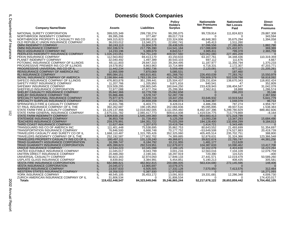### **Domestic Stock Companies**

| <b>Company Name/State</b>                                                         | <b>Assets</b>                            | <b>Liabilities</b>           | <b>Policy</b><br><b>Holders</b><br><b>Surplus</b> | <b>Nationwide</b><br><b>Net Premiums</b><br>Written | <b>Nationwide</b><br><b>Net Losses</b><br>Paid | <b>Direct</b><br><b>Illinois</b><br><b>Premiums</b> |
|-----------------------------------------------------------------------------------|------------------------------------------|------------------------------|---------------------------------------------------|-----------------------------------------------------|------------------------------------------------|-----------------------------------------------------|
| NATIONAL SURETY CORPORATION                                                       | 399.025.349<br>IL.                       | 299.730.274                  | 99.295.075                                        | 99,729,914                                          | 111,824,823                                    | 29,887,308                                          |
| NORTHBROOK INDEMNITY COMPANY                                                      | 89,395,206<br>IL                         | 377,487                      | 89,017,719                                        | 0                                                   |                                                | 343,594                                             |
| NORTHBROOK PROPERTY & CASUALTY INS CO                                             | IL<br>349.315.823                        | 128.991.818                  | 220,324,006                                       | 48.848.383                                          | 35.675.294                                     | 1,394,058                                           |
| OLD REPUBLIC UNION INSURANCE COMPANY                                              | 36,033,012<br>IL                         | 13,340,271                   | 22,692,741                                        | 145,413                                             | 1.511.260                                      | n                                                   |
| <b>OMNI INDEMNITY COMPANY</b>                                                     | 60,243,113<br>IL                         | 31,804,578                   | 28,438,535                                        | 37,096,556                                          | 27,265,805                                     | 1,882,790                                           |
| OMNI INSURANCE COMPANY                                                            | IL<br>332,336,574                        | 217,795,390                  | 114,541,184                                       | 217,088,609                                         | 121,432,971                                    | 369,369                                             |
| PACO ASSURANCE COMPANY INC                                                        | 14,233,196<br>IL                         | 5,389,679                    | 8,843,517                                         | 3,985,811                                           | 799.378                                        | 2,365,759                                           |
| PEERLESS INDEMNITY INSURANCE COMPANY                                              | 1,026,243,051                            | 754.751.249                  | 409,557,560                                       | 520.062.080                                         | 227.465.209                                    |                                                     |
| PEKIN INSURANCE COMPANY                                                           | 112,563,802<br>IL                        | 69,413,170                   | 43,150,633                                        | 63,167,761                                          | 34,348,436                                     | 110,319,359                                         |
| PLANET INDEMNITY COMPANY<br>POTOMAC INSURANCE COMPANY OF ILLINOIS                 | IL<br>32,040,492<br>69,111,803<br>IL     | 1,497,389<br>29,847,310      | 30,543,103<br>39,264,495                          | 697,112<br>11,187,977                               | 111,676<br>11,356,794                          | 4,667<br>1,370,233                                  |
| PROGRESSIVE PREMIER INS CO OF ILLINOIS                                            | 19,578,952<br>IL                         | 8,863,963                    | 10,714,989                                        | 4,718,331                                           | 2,172,307                                      | 47,203,771                                          |
| PROGRESSIVE UNIVERSAL INS CO OF IL                                                | 11,442,234<br>IL                         | 5,882,736                    | 5,559,498                                         | 2,120,081                                           | 677,117                                        | 21,205,261                                          |
| REINSURANCE COMPANY OF AMERICA INC                                                | IL<br>12,955,599                         | 7,870,069                    | 5,085,531                                         | $\Omega$                                            | 187,460                                        |                                                     |
| <b>RLI INSURANCE COMPANY</b>                                                      | 895,084,151<br>IL                        | 493,815,401                  | 401,268,750                                       | 226,450,039                                         | 77,283,762                                     | 15,550,979                                          |
| ROYAL INSURANCE COMPANY OF AMERICA                                                | 2,198,884,446                            | 1,783,139,154                | 415,745,292                                       | 709,909,379                                         | 502,539,798                                    | 58,818,092                                          |
| SAFECO INSURANCE COMPANY OF ILLINOIS                                              | 476,803,878<br>IL                        | 351,299,441                  | 125,504,437                                       | 229,231,634                                         | 138,670,343                                    | 118,802,424                                         |
| SAFETY FIRST INSURANCE COMPANY                                                    | 11,207,766<br>IL                         | 1,335,950                    | 9,871,816                                         | 840,541                                             | 47                                             | 352,809                                             |
| SAFEWAY INSURANCE COMPANY                                                         | 319,509,295                              | 158,865,045                  | 160,644,250                                       | 233,428,943                                         | 106,404,547                                    | 31,042,078                                          |
| SHEFFIELD INSURANCE CORPORATION                                                   | 72,977,088                               | 47,677,704                   | 25,299,384                                        | 2,562,611                                           | 18,888                                         | 1,286,574                                           |
| SHELBY CASUALTY INSURANCE COMPANY                                                 | IL<br>35,842,366                         | 10,779,708                   | 25,062,658                                        | ∩                                                   | 266,203                                        | 35,146                                              |
| SHELBY INSURANCE COMPANY THE                                                      | 55,866,486                               | 3,578,747                    | 52,287,739                                        | ∩                                                   |                                                | 2,367,650                                           |
| SPECIALTY NATIONAL INSURANCE COMPANY                                              | IL<br>75,977,975                         | 56,530,719                   | 19,447,256                                        | 33,646,932                                          | 10,919,544                                     | 5,641,779                                           |
| SPECIALTY SURPLUS INSURANCE COMPANY                                               | 47.015.281                               | 20.659.208                   | 26.356.073                                        | 5.344.387                                           | 1.048.079                                      | 96.714                                              |
| SPRINGFIELD FIRE & CASUALTY COMPANY                                               | 15,831,786<br>IL                         | 6,403,771                    | 9,428,014                                         | 4,486,206                                           | 787.274                                        | 4,959,797                                           |
| ST PAUL INSURANCE COMPANY OF IL THE                                               | 392,262,687<br>IL                        | 190,195,850                  | 202,066,836                                       | 95,095,895                                          | 49,937,516                                     | 1,538,383                                           |
| STATE FARM FIRE & CASUALTY COMPANY                                                | 15,129,137,466                           | 12,018,082,005               | 3,111,055,460                                     | 8,492,187,396                                       | 5,299,780,829                                  | 889,482,606                                         |
| STATE FARM GENERAL INSURANCE COMPANY                                              | 2,675,031,782<br>IL                      | 2,065,417,773                | 609,614,008                                       | 1,419,534,775                                       | 713,779,869                                    | -8,164                                              |
| STATE FARM INDEMNITY COMPANY                                                      | 1,909,839,156<br>IL                      | 1,545,349,360                | 364,489,796                                       | 854,683,413                                         | 571,318,799                                    |                                                     |
| STATEWIDE INSURANCE COMPANY                                                       | 36,853,708<br>IL                         | 31,728,450                   | 5,125,258                                         | 13,093,238                                          | 13,347,293                                     | 15,684,490                                          |
| <b>TEACHERS INSURANCE COMPANY</b>                                                 | IL<br>259.376.991                        | 184, 351, 722                | 75,025,269                                        | 194,128,400                                         | 132.658.299                                    | 9,184,013                                           |
| THIRD COAST INSURANCE COMPANY                                                     | $\mathbf{II}$<br>11,627,464              | 1,207,670                    | 10,419,794                                        | 1,414,721                                           | 5,343,495                                      |                                                     |
| TRANSGUARD INS CO OF AMERICA INC                                                  | 111,401,448<br>IL                        | 75,538,695                   | 35,862,753                                        | 80,643,552                                          | 21,493,699                                     | 51,354,697                                          |
| <b>TRANSPORTATION INSURANCE COMPANY</b><br>TRAVELERS CASUALTY AND SURETY CO OF IL | 76,846,500<br>IL                         | 6,668,748                    | 70,177,752<br>352,325,060                         | $-53,649,508$<br>405,405,514                        | 174,527,883<br>235,702,751                     | 20,419,739                                          |
| TRAVELERS INDEMNITY COMPANY OF IL THE                                             | IL<br>1,668,110,487<br>252,192,587<br>IL | 1,315,785,426<br>177,802,702 | 74.389.885                                        | 52,878,631                                          | 31,324,366                                     | 388,800<br>123,366,548                              |
| TRAVELERS PROPERTY CASUALTY INS CO OF IL                                          | 180,497,111<br>IL                        | 131,128,240                  | 49,368,871                                        | 39,822,674                                          | 22,765,747                                     | 44,381,250                                          |
| TRIAD GUARANTY ASSURANCE CORPORATION                                              | IL<br>16,396,747                         | 6,184,792                    | 10,211,955                                        | 1,481,177                                           | 212,628                                        |                                                     |
| TRIAD GUARANTY INSURANCE CORPORATION                                              | IL<br>405,399,823                        | 292,519,951                  | 112,879,872                                       | 104,387,633                                         | 10.090.462                                     | 13,417,708                                          |
| UNIQUE INSURANCE COMPANY                                                          | 12,534,223                               | 10,345,098                   | 2,189,125                                         | 10,162,078                                          | 4,403,838                                      | 16,223,264                                          |
| UNITED EQUITABLE INSURANCE COMPANY                                                | 11.045.017<br>IL                         | 8.043.799                    | 3,001,216                                         | 12,563,016                                          | 7.104.109                                      | 12,079,759                                          |
| UNITRIN DIRECT INSURANCE COMPANY                                                  | IL<br>20,488,260                         | 2,190,341                    | 18,297,919                                        | 720,390                                             | 115,515                                        | $-400$                                              |
| UNIVERSAL CASUALTY COMPANY                                                        | 50.823.183<br>IL                         | 32.974.050                   | 17.849.133                                        | 27.441.571                                          | 12.019.479                                     | 50.589.260                                          |
| USPLATE GLASS INSURANCE COMPANY                                                   | 8,839,842                                | 3,384,991                    | 5,454,851                                         | 5,190,213                                           | 408,435                                        | 305,581                                             |
| VESTA FIRE INSURANCE CORPORATION                                                  | 682.888.821                              | 482,802,815                  | 200.086.005                                       | 563,434,680                                         | 272,145,596                                    | 148,406                                             |
| VESTA INSURANCE CORPORATION                                                       | 24,045,072                               | 13,965,697                   | 10,079,375                                        | $\Omega$                                            | $\Omega$                                       |                                                     |
| <b>WARNER INSURANCE COMPANY</b>                                                   | 23,837,633                               | 6,505,505                    | 17,332,128                                        | 7,570,950                                           | 7,413,576                                      | 312,464                                             |
| WESTERN STATES INSURANCE COMPANY                                                  | 18,358,533                               | 5,387,930                    | 12,970,603                                        |                                                     |                                                | 16,271,093                                          |
| YORK INSURANCE COMPANY                                                            | 48,545,105<br>IL                         | 35,453,172                   | 13,091,933                                        | 19,331,681                                          | 12,286,348                                     | 4,009,730                                           |
| ZURICH AMERICAN INSURANCE COMPANY OF IL                                           | 31,806,534<br>IL                         | 0                            | 31.806.534                                        |                                                     |                                                | 174,420,017                                         |
| <b>Totals</b>                                                                     | 119,432,448,547                          | 84,323,649,046               | 35,246,865,244                                    | 52,217,678,122                                      | 28,653,859,442                                 | 5,704,492,105                                       |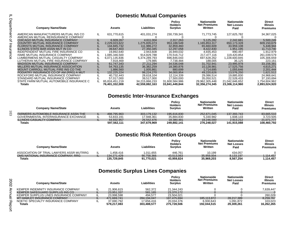### **Domestic Mutual Companies**

|                                          |     |                |                | <b>Policy</b><br><b>Holders</b> | Nationwide<br><b>Net Premiums</b> | <b>Nationwide</b><br><b>Net Losses</b> | Direct<br>Illinois |
|------------------------------------------|-----|----------------|----------------|---------------------------------|-----------------------------------|----------------------------------------|--------------------|
| <b>Company Name/State</b>                |     | <b>Assets</b>  | Liabilities    | <b>Surplus</b>                  | Written                           | Paid                                   | <b>Premiums</b>    |
| AMERICAN MANUFACTURERS MUTUAL INS CO     | IL. | 631.770.615    | 401.031.274    | 230,739,341                     | 71,773,745                        | 127,625,782                            | 34,367,025         |
| AMERICAN MUTUAL REINSURANCE COMPANY      |     |                |                |                                 |                                   |                                        |                    |
| CHICAGO MUTUAL INSURANCE COMPANY         | IL  | 6.928.267      | 4.611.004      | 2.317.263                       | 5,125,282                         | 2.242.681                              | 5,500,249          |
| COUNTRY MUTUAL INSURANCE COMPANY         |     | 2,229,023,622  | 1.275.835.073  | 953.188.549                     | 1.165.853.317                     | 650.173.328                            | 609,150,679        |
| FLORISTS MUTUAL INSURANCE COMPANY        |     | 144.845.732    | 111.986.272    | 32,859,460                      | 65,660,609                        | 33,959,108                             | 5,448,944          |
| ILLINOIS STATE BAR ASSN MUT IN CO        |     | 39.647.403     | 27.350.345     | 12.297.058                      | 8.422.830                         | 1.951.195                              | 11.713.740         |
| INDEPENDENT MUTUAL FIRE INSURANCE CO     |     | 19.892.640     | 2.943.608      | 16.949.032                      | 4.935.453                         | 890.497                                | 1.912.979          |
| ISMIE MUTUAL INSURANCE COMPANY           |     | 1.085.346.500  | 914.829.788    | 170.516.712                     | 217.477.116                       | 119.420.854                            | 261,039,579        |
| LUMBERMENS MUTUAL CASUALTY COMPANY       |     | 6,071,135,836  | 5,374,289,793  | 696,846,043                     | 697,628,262                       | 1,228,600,845                          | 105,306,659        |
| LUTHERAN MUTUAL FIRE INSURANCE COMPANY   | IL  | 7.918.469      | 179.985        | 7.738.484                       | 188.005                           | 36.125                                 | 223,161            |
| MADISON MUTUAL INSURANCE COMPANY         |     | 61.747.343     | 27.211.294     | 34.536.048                      | 31.702.941                        | 23.995.978                             | 33,156,381         |
| MILLERS MUTUAL INSURANCE ASSOCIATION     |     | 54,763,135     | 36,382,259     | 18,380,876                      | 10,128,981                        | 17,525,756                             | 4,615,271          |
| MOUNT CARROLL MUTUAL FIRE INS CO THE     |     | 1,886,560      | 1.005.861      | 880.699                         | 1.714.695                         | 1,055,646                              | 2,201,444          |
| PODIATRY INSURANCE CO OF AM (RRG) A MUT  |     | 132.225.224    | 98.224.270     | 34.000.954                      | 49.220.626                        | 13.576.250                             | 1.621.512          |
| ROCKFORD MUTUAL INSURANCE COMPANY        |     | 40.732.443     | 28.618.104     | 12,114,339                      | 29,086,514                        | 19,885,830                             | 24,968,641         |
| STANDARD MUTUAL INSURANCE COMPANY        |     | 57.017.000     | 39.517.000     | 17.500.000                      | 35.050.521                        | 22.528.433                             | 37,193,694         |
| STATE FARM MUTUAL AUTOMOBILE INSURANCE C | ΙL  | 65,816,451,219 | 34.215.866.233 | 31.600.584.986                  | 29,962,305,448                    | 21,042,646,652                         | 1,754,604,962      |
| Totals                                   |     | 76,401,332,008 | 42,559,882,163 | 33,841,449,844                  | 32,356,274,345                    | 23,306,114,960                         | 2,893,024,920      |

### **Domestic Inter-Insurance Exchanges**

| $\overline{\phantom{0}}$ | <b>Company Name/State</b>             | Assets      | <b>Liabilities</b> | <b>Policy</b><br><b>Holders</b><br><b>Surplus</b> | <b>Nationwide</b><br><b>Net Premiums</b><br>Written | <b>Nationwide</b><br><b>Net Losses</b><br>Paid | <b>Direct</b><br><b>Illinois</b><br>Premiums |
|--------------------------|---------------------------------------|-------------|--------------------|---------------------------------------------------|-----------------------------------------------------|------------------------------------------------|----------------------------------------------|
| ⊂<br>ω                   | FARMERS AUTOMOBILE INSURANCE ASSN THE | 498.795.963 | 303.179.132        | 195.616.830                                       | 252.671.045                                         | 137.393.743                                    | 83.665.510                                   |
|                          | GOVERNMENTAL INTERINSURANCE EXCHANGE  | 53.833.191  | 17.948.361         | 35.884.830                                        | 5.330.982                                           | 1.608.133                                      | 3.723.505                                    |
|                          | <b>ILLINOIS CASUALTY COMPANY</b>      | 44.932.957  | 26.552.476         | 18.380.481                                        | 18.246.000                                          | 2.913.212                                      | 21.071.777                                   |
|                          | Totals                                | 597.562.111 | 347.679.969        | 249.882.141                                       | 276.248.027                                         | 141.915.088                                    | 108.460.792                                  |

### **Domestic Risk Retention Groups**

| <b>Company Name/State</b>                                                       | Assets                  | iabilities             | <b>Policy</b><br><b>Holders</b><br>Surplus | <b>Nationwide</b><br><b>Net Premiums</b><br>Written | <b>Nationwide</b><br><b>Net Losses</b><br>Paid | <b>Direct</b><br><b>Illinois</b><br>Premiums |
|---------------------------------------------------------------------------------|-------------------------|------------------------|--------------------------------------------|-----------------------------------------------------|------------------------------------------------|----------------------------------------------|
| ASSOCIATION OF TRIAL LAWYERS ASSR MUTRRG<br>OMS NATIONAL INSURANCE COMPANY, RRG | .458.416<br>134.271.429 | .011.655<br>90.758.366 | 446.761<br>43.513.063                      | 10.199<br>35.959.004                                | 434.057<br>8.133.197                           | .114.457                                     |
| Totals                                                                          | 135.729.845             | 91.770.021             | 43.959.824                                 | 35.969.203                                          | 8.567.254                                      | .114,457,،                                   |

### **Domestic Surplus Lines Companies**

| <b>Company Name/State</b>              | Assets      | iabilities. | <b>Policy</b><br><b>Holders</b><br>Surplus | <b>Nationwide</b><br><b>Net Premiums</b><br>Written | <b>Nationwide</b><br><b>Net Losses</b><br>Paid | <b>Direct</b><br><b>Illinois</b><br><b>Premiums</b> |
|----------------------------------------|-------------|-------------|--------------------------------------------|-----------------------------------------------------|------------------------------------------------|-----------------------------------------------------|
| KEMPER INDEMNITY INSURANCE COMPANY     | 21.906.615  | 562.372     | 21.344.243                                 |                                                     |                                                | 7.639.447                                           |
| KEMPER SAFEGUARD SURPLUS INS CO        | 23.951.337  | 581.165     | 23.370.172                                 |                                                     |                                                |                                                     |
| KEMPER SURPLUS LINES INSURANCE COMPANY | 23.998.598  | 494.577     | 23.504.021                                 |                                                     |                                                | 260.028                                             |
| MT HAWLEY INSURANCE COMPANY            | 471.669.741 | 284.194.047 | 187.475.694                                | 185.113.872                                         | 28.217.389                                     | 8.259.767                                           |
| NOETIC SPECIALTY INSURANCE COMPANY     | 37.690.792  | 17.656.416  | 20.034.376                                 | 6.930.643                                           | 1.091.872                                      | 103.023                                             |
| Totals                                 | 579.217.083 | 303.488.577 | 275.728.506                                | 192.044.515                                         | 29.309.261                                     | 16.262.265                                          |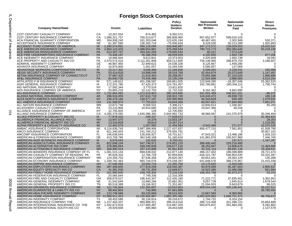| <b>Company Name/State</b>                                                           |                      | <b>Assets</b>               | <b>Liabilities</b>          | <b>Policy</b><br><b>Holders</b><br><b>Surplus</b> | Nationwide<br><b>Net Premiums</b><br>Written | <b>Nationwide</b><br><b>Net Losses</b><br>Paid | <b>Direct</b><br>Illinois<br>Premiums |
|-------------------------------------------------------------------------------------|----------------------|-----------------------------|-----------------------------|---------------------------------------------------|----------------------------------------------|------------------------------------------------|---------------------------------------|
| 21ST CENTURY CASUALTY COMPANY                                                       | CA                   | 10,267,054                  | 874,482                     | 9,392,572                                         | $\Omega$                                     | n                                              |                                       |
| 21ST CENTURY INSURANCE COMPANY                                                      | CA                   | 1,086,321,737               | 700,513,677                 | 385,808,060                                       | 957,652,977                                  | 599,016,103                                    |                                       |
| ACA FINANCIAL GUARANTY CORPORATION<br>ACCEPTANCE INSURANCE COMPANY                  | <b>MD</b><br>NE.     | 304,938,240<br>61.387.090   | 181,303,046<br>136.393.718  | 123,635,194<br>$-75,006,628$                      | 49.487.491<br>9,329,530                      | 2,302,949<br>50,213,289                        | 530,371<br>1,925,893                  |
| <b>ACCIDENT FUND COMPANY OF AMERICA</b>                                             | MI                   | 1,280,074,991               | 936,126,094                 | 343,948,897                                       | 347, 172, 572                                | 139,029,503                                    | 23,422,510                            |
| ACE AMERICAN INSURANCE COMPANY                                                      | PA                   | 2,964,123,425               | 2,488,654,881               | 475,468,544                                       | 790,715,773                                  | 302,084,640                                    | 50,218,199                            |
| ACE AMERICAN REINSURANCE COMPANY                                                    | PA                   | 513,187,747                 | 333, 342, 204               | 179,845,543                                       | 60,221                                       | 7,373,229                                      |                                       |
| ACE FIRE UNDERWRITERS INSURANCE COMPANY                                             | PA                   | 74,446,187                  | 26,386,259                  | 48,059,929                                        | 4,320,850                                    | 1,650,738                                      | 877,208                               |
| ACE INDEMNITY INSURANCE COMPANY                                                     | PA                   | 19,986,844                  | 9,613,841                   | 10,373,003                                        | 4,320,849                                    | 1,650,738                                      | 18,092                                |
| ACE PROPERTY AND CASUALTY INS CO<br>ADMIRAL INDEMNITY COMPANY                       | PA<br>DE             | 2,570,574,410<br>46,987,950 | 2,111,361,808<br>22,949,622 | 459,212,605<br>24,038,328                         | 756,148,965<br>8,125,667                     | 288,878,754<br>1,459,280                       | 3,186,607                             |
| ADVANTA INSURANCE COMPANY                                                           | AZ                   | 16,875,606                  | 1.591.057                   | 15,284,549                                        | 5.585.657                                    | 137,069                                        |                                       |
| ADVANTAGE WORKERS COMPENSATION INS CO                                               | IN                   | 15,217,302                  | 3,048,466                   | 12,168,836                                        | 5,598,063                                    | 4,228,031                                      | 165,988                               |
| AEGIS SECURITY INSURANCE COMPANY                                                    | PA                   | 53,414,818                  | 24,898,049                  | 28,516,769                                        | 42,454,874                                   | 20,073,840                                     | 1,147,497                             |
| AETNA INSURANCE COMPANY OF CONNECTICUT                                              | <b>CT</b>            | 37,887,420                  | 11,619,363                  | 26,268,057                                        | 79,955,086                                   | 57,220,020                                     | 1,990,896                             |
| AF&L INSURANCE COMPANY                                                              | PA                   | 84,640,735                  | 74,445,486                  | 10,195,249                                        | 12,504,989                                   | 3,988,565                                      | 4,010,254                             |
| AFFILIATED F M INSURANCE COMPANY<br>AGRI GENERAL INSURANCE COMPANY                  | R <sub>l</sub><br>IA | 571,149,612<br>172,201,780  | 401,298,587<br>47,420,373   | 169,851,025<br>124,781,407                        | 123,949,285<br>192,780,861                   | $-18,307,046$<br>180,346,115                   | 25,362,520<br>1,790,744               |
| AIG NATIONAL INSURANCE COMPANY                                                      | NY                   | 17,582,344                  | 3,770,524                   | 13,811,820                                        | ∩                                            | n                                              |                                       |
| AIOI INSURANCE COMPANY OF AMERICA                                                   | NY                   | 33,865,233                  | 22,132,703                  | 11,732,530                                        | 8,162,362                                    | 4.662.990                                      |                                       |
| AIU INSURANCE COMPANY                                                               | <b>NY</b>            | 1,752,964,583               | 1,372,619,903               | 380,344,680                                       | 531,091,489                                  | 248,921,031                                    | $-86,375$                             |
| ALASKA NATIONAL INSURANCE COMPANY                                                   | AK                   | 396,533,459                 | 237,610,719                 | 158,922,740                                       | 124,440,472                                  | 49,838,733                                     | 189,138                               |
| ALEA NORTH AMERICA INSURANCE COMPANY                                                | <b>NY</b>            | 236,478,166                 | 130,577,197                 | 105,900,969                                       | 46,504,628                                   | 646,495                                        | 1,079,635                             |
| ALL AMERICA INSURANCE COMPANY<br>ALL NATION INSURANCE COMPANY                       | OH<br><b>MN</b>      | 131,599,974<br>13,872,748   | 77,755,615<br>8,566,531     | 53,844,359<br>5,306,217                           | 60,007,621<br>10,840,614                     | 27,694,960<br>1,336,307                        | 7,681,071<br>65,280                   |
| ALLEGHENY CASUALTY COMPANY                                                          | PA                   | 23,210,908                  | 10,910,680                  | 12,300,228                                        | 19,047,366                                   | 46,318                                         |                                       |
| ALLIANCE ASSURANCE COMPANY OF AMERICA                                               | NY                   | 12,705,820                  | 128                         | 12,705,692                                        |                                              |                                                |                                       |
| ALLIANZ INSURANCE COMPANY                                                           | CA                   | 4,285,379,092               | 1,640,386,360               | 2,644,992,732                                     | 48,966,067                                   | 141,375,979                                    | 30,346,494                            |
| ALLIED PROPERTY & CASUALTY INS CO                                                   | IA                   | 77,876,410                  | 248,337                     | 77,628,072                                        |                                              |                                                | 31,364,833                            |
| ALLMERICA FINANCIAL ALLIANCE INS CO                                                 | <b>NH</b>            | 13,947,575                  | 14,378                      | 13,933,197                                        | $\Omega$                                     | ∩                                              | 28,353                                |
| ALLMERICA FINANCIAL BENEFIT INS CO<br>ALPHA PROPERTY & CASUALTY INSURANCE CO        | MI<br>WI             | 13,316,828<br>12,462,576    | 49,614<br>1,057,992         | 13,267,214<br>11,404,584                          | $-3,543,494$                                 | 271,577                                        | 1,216,091<br>10,375,526               |
| AMBAC ASSURANCE CORPORATION                                                         | WI                   | 6,114,836,743               | 3,887,398,906               | 2,227,437,837                                     | 806,477,210                                  | 7,581,852                                      | 41,939,786                            |
| AMCO INSURANCE COMPANY                                                              | IA                   | 621,340,003                 | 241,784,212                 | 379,555,791                                       |                                              |                                                | 30,957,102                            |
| AMCOMP ASSURANCE CORPORATION                                                        | <b>FL</b>            | 146,638,544                 | 126,936,927                 | 19,701,617                                        | 47,543,321                                   | 13,486,186                                     | 1,926,310                             |
| AMERICAN & FOREIGN INSURANCE COMPANY                                                | DE                   | 413,709,785                 | 362,549,169                 | 51,160,616                                        | 141,981,876                                  | 100,507,960                                    | 7,446,765                             |
| AMERICAN AGRI BUSINESS INSURANCE COMPANY<br>AMERICAN AGRICULTURAL INSURANCE COMPANY | IA<br>IN             | 6,976,043<br>822,698,104    | 192,632<br>547,746,971      | 6,783,411<br>274,951,133                          | 389,400,442                                  | 137,571<br>229,218,480                         | 1,167,287                             |
| AMERICAN ALTERNATIVE INS CORF                                                       | <b>DE</b>            | 378,968,054                 | 269,290,838                 | 109,677,216                                       | 36,253,947                                   | 14,606,676                                     | 11,464,900                            |
| AMERICAN AUTOMOBILE INSURANCE COMPANY                                               | <b>MO</b>            | 268,995,524                 | 187,143,889                 | 81,851,635                                        | 62,331,116                                   | 69,891,126                                     | 16,458,611                            |
| AMERICAN BANKERS INSURANCE COMPANY OF FL                                            | FL                   | 1,081,515,143               | 868,638,002                 | 212,877,140                                       | 496, 157, 402                                | 186,098,889                                    | 29,721,474                            |
| AMERICAN CASUALTY COMPANY OF READING PA                                             | PA                   | 95,626,333                  | 12,766,729                  | 82,859,605                                        | $-168, 101, 787$                             | 546,854,035                                    | 33,331,397                            |
| AMERICAN COMPENSATION INSURANCE COMPANY                                             | <b>MN</b>            | 124,356,753                 | 97,536,356                  | 26,820,397                                        | 60,651,441                                   | 29,063,129                                     | 135,396                               |
| AMERICAN ECONOMY INSURANCE COMPANY<br>AMERICAN EMPIRE INSURANCE COMPANY             | IN<br>OH             | 1,339,782,363<br>47,046,493 | 965,744,076<br>24,650,724   | 374,038,287<br>22,395,769                         | 641,848,576<br>14,170,645                    | 388,276,967<br>$-3,450,590$                    | 21,415,338                            |
| AMERICAN EMPLOYERS INSURANCE COMPANY                                                | <b>MA</b>            | 397,469,605                 | 277,919,208                 | 119,550,397                                       | 93,979,089                                   | 95,397,003                                     | 2,905,537                             |
| AMERICAN EQUITY SPECIALTY INS CO                                                    | <b>CA</b>            | 41.381.030                  | 28,731,359                  | 12,649,671                                        | 16,922,385                                   | 10,480,096                                     | 821,994                               |
| AMERICAN FAMILY HOME INSURANCE COMPANY                                              | <b>FL</b>            | 321,995,840                 | 248,769,304                 | 73,226,536                                        | 168,454,768                                  | 85,973,372                                     | 53,103                                |
| AMERICAN FEDERATION INSURANCE COMPANY                                               | FL                   | 20,065,644                  | 7,749,336                   | 12,316,308                                        | ∩                                            | <sup>n</sup>                                   |                                       |
| AMERICAN FIRE AND CASUALTY COMPANY<br>AMERICAN GENERAL INDEMNITY COMPANY            | OH<br><b>NE</b>      | 308,878,527<br>21,542,645   | 196,443,347<br>10,880,284   | 112,435,180                                       | 71,222,771                                   | 37,835,401                                     | 3,302,952<br>1,678,544                |
| AMERICAN GENERAL PROPERTY INS CO                                                    | TN                   | 90,518,389                  | 19,166,922                  | 10,662,361<br>71,351,467                          | 9,057,739<br>21.594.933                      | 1,845,614<br>9,643,879                         | 86,025                                |
| AMERICAN GROWERS INSURANCE COMPANY                                                  | <b>NE</b>            | 121,744,844                 | 132,355,697                 | $-10,610,853$                                     | 409,044,164                                  | 420,136,441                                    | 35,222,512                            |
| AMERICAN GUARANTEE & LIABILITY INS CO                                               | <b>NY</b>            | 88,402,853                  | 740,985                     | 87,661,868                                        | $\Omega$                                     | $\cap$                                         | 35,785,454                            |
| AMERICAN HEALTHCARE INDEMNITY COMPANY                                               | <b>DE</b>            | 122,749,589                 | 83,233,669                  | 39,515,920                                        | 12,667,584                                   | 9,383,884                                      |                                       |
| AMERICAN HOME ASSURANCE COMPANY                                                     | <b>NY</b>            | 12,988,912,453              | 10,105,606,987              | 2,883,305,466                                     | 4,583,929,993                                | 2,696,731,472                                  | 96,756,613                            |
| AMERICAN INDEMNITY COMPANY<br>AMERICAN INSURANCE COMPANY THE                        | ТX<br><b>NE</b>      | 69,453,586<br>1,157,403,337 | 30,134,914<br>860,989,321   | 39,318,672<br>296,414,016                         | 1,744,732<br>286,723,458                     | 6,324,154<br>321,496,722                       | 20,854,699                            |
| AMERICAN INTERNATIONAL INSURANCE CO THE                                             | ΝY                   | 1,342,672,816               | 1,127,985,487               | 214,687,329                                       | 583,875,837                                  | 291,864,292                                    | 9,282,802                             |
| AMERICAN INTERNATIONAL SOUTH INS CO                                                 | PA                   | 29,929,608                  | 485,960                     | 29,443,648                                        | ∩                                            |                                                | 1,137,579                             |

 $104\,$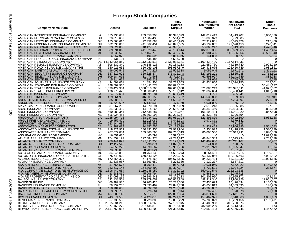| <b>Company Name/State</b>                                                      |                        | <b>Assets</b>                | <b>Liabilities</b>           | <b>Policy</b><br><b>Holders</b><br>Surplus | <b>Nationwide</b><br><b>Net Premiums</b><br>Written | <b>Nationwide</b><br><b>Net Losses</b><br>Paid | <b>Direct</b><br><b>Illinois</b><br>Premiums |
|--------------------------------------------------------------------------------|------------------------|------------------------------|------------------------------|--------------------------------------------|-----------------------------------------------------|------------------------------------------------|----------------------------------------------|
| AMERICAN INTERSTATE INSURANCE COMPANY                                          | LA                     | 355,936,632                  | 269,558,303                  | 86,378,329                                 | 142,019,413                                         | 54,419,707                                     | 6,060,836                                    |
| AMERICAN MERCHANTS CASUALTY COMPANY                                            | OH                     | 28,018,689                   | 17,504,436                   | 10,514,252                                 | 13,880,029                                          | 5,799,805                                      |                                              |
| AMERICAN MERCURY INSURANCE COMPANY<br>AMERICAN MODERN HOME INSURANCE COMPANY   | OK<br>OH               | 155,868,610<br>582,535,036   | 92,452,684<br>441,662,451    | 63,415,925<br>140,872,585                  | 77,917,801<br>348,139,855                           | 48,595,478<br>177,678,453                      | 217,460<br>6,220,341                         |
| AMERICAN NATIONAL GENERAL INSURANCE CO                                         | <b>MO</b>              | 93,521,056                   | 48, 127, 575                 | 45,393,481                                 | 58,063,247                                          | 39,919,500                                     | 1,470,946                                    |
| AMERICAN NATIONAL PROPERTY & CASUALTY CO                                       | <b>MO</b>              | 689,694,060                  | 441,529,446                  | 248,164,614                                | 482,373,386                                         | 302,699,665                                    | 11,467,474                                   |
| AMERICAN PHYSICIANS ASSURANCE CORP                                             | MI                     | 820,633,526                  | 657, 167, 770                | 163,465,756                                | 231,981,485                                         | 140,366,664                                    | 35,550,540                                   |
| AMERICAN PREMIER INSURANCE COMPANY<br>AMERICAN PROFESSIONALS INSURANCE COMPANY | IN<br>IN               | 6,257,972<br>7,131,194       | 196,596<br>535,484           | 6,061,376<br>6,595,709                     | 141,888<br>∩                                        | 120,572<br>$\Omega$                            | 9,534                                        |
| AMERICAN RE INSURANCE COMPANY                                                  | DE                     | 14,342,065,859               | 12,112,033,518               | 2,230,032,341                              | 1,169,424,490                                       | 2,167,814,431                                  |                                              |
| AMERICAN RELIABLE INSURANCE COMPANY                                            | AZ                     | 306,332,340                  | 246,148,128                  | 60,184,213                                 | 111,652,730                                         | 44,319,740                                     | 2,994,210                                    |
| AMERICAN ROAD INSURANCE COMPANY THE                                            | MI                     | 650,926,652                  | 356,969,103                  | 293,957,549                                | 224,433,675                                         | 105,450,749                                    | 2,981,861                                    |
| AMERICAN SAFETY CASUALTY INS CO<br>AMERICAN SECURITY INSURANCE COMPANY         | DE<br>DE               | 96,002,545<br>537,517,622    | 66,477,227<br>360,625,374    | 29,525,318<br>176,892,248                  | 9,059,046<br>327, 195, 291                          | 9,671,572<br>73,855,985                        | 1,830,112<br>29,713,602                      |
| AMERICAN SELECT INSURANCE COMPANY                                              | OH                     | 109,184,095                  | 81,472,668                   | 27,711,427                                 | 62,598,997                                          | 34, 141, 749                                   | 4,884,738                                    |
| AMERICAN SENTINEL INSURANCE COMPANY                                            | PA                     | 15,814,664                   | 7,395,531                    | 8,419,133                                  | 14,151,626                                          | 6,758,009                                      | 6,275                                        |
| AMERICAN SOUTHERN INSURANCE COMPANY                                            | KS                     | 94,592,061                   | 61,854,408                   | 32,737,653                                 | 41,834,806                                          | 21,594,155                                     | 208,001                                      |
| AMERICAN STANDARD INSURANCE CO OF WI<br>AMERICAN STATES INSURANCE COMPANY      | WI<br>IN               | 328,509,935<br>1,838,429,934 | 135,411,773<br>1,368,810,266 | 193,098,162<br>469,619,668                 | 871,080,213                                         | n<br>526,947,311                               | 35,441,137<br>41,075,052                     |
| AMERICAN STATES PREFERRED INS CO                                               | IN                     | 196,778,426                  | 138,589,414                  | 58,189,012                                 | 91,692,654                                          | 55,468,141                                     | 1,042,718                                    |
| AMERICAS INSURANCE COMPANY                                                     | LA                     | 24,072,601                   | 10,391,181                   | 13,681,419                                 | 1,791                                               | 455,041                                        |                                              |
| AMERISURE INSURANCE COMPANY                                                    | MI                     | 429,064,905                  | 316,501,153                  | 112,563,752                                | 145,539,858                                         | 66,989,808                                     | 3,209,911                                    |
| ANESTHESIOLOGISTS PROFESSIONAL ASSR CO                                         | <b>FL</b><br>MI        | 85,285,160                   | 70,673,123                   | 14,612,037                                 | 19,988,321                                          | 7,234,997                                      | 271,089                                      |
| ANSUR AMERICA INSURANCE COMPANY<br>APSPECIALTY INSURANCE CORPORATION           | MI                     | 16,623,697<br>31,067,260     | 6,149,538<br>14,070,191      | 10,474,159<br>16,997,069                   | 4,031,080<br>2,512,213                              | 165,810<br>3,185,685                           | 45,225<br>8,127,087                          |
| ARAG INSURANCE COMPANY                                                         | IA                     | 34,830,439                   | 14,214,266                   | 20,616,173                                 | 35,340,469                                          | 19,824,247                                     | 3,835,699                                    |
| ARCH INSURANCE COMPANY                                                         | <b>MO</b>              | 460,288,344                  | 212,538,287                  | 247,750,057                                | 105,193,434                                         | 14,981,029                                     | 8,847,598                                    |
| ARCH REINSURANCE COMPANY                                                       | <b>NE</b>              | 516,024,454                  | 156,802,198                  | 359,222,257                                | 33,839,765                                          | 1,996,794                                      |                                              |
| ARGONAUT INSURANCE COMPANY<br>ARGUS FIRE AND CASUALTY INS CO                   | CA<br>FL.              | 1,025,994,713<br>19,457,479  | 768,034,919<br>12,015,086    | 257,959,794<br>7,442,393                   | 123,395,879<br>9,979,871                            | 94,492,190<br>4,379,842                        | 1,938,158                                    |
| ARKWRIGHT INSURANCE COMPANY                                                    | <b>MA</b>              | 233,144,686                  | 15,758,691                   | 217,385,995                                | –867                                                | 271,893                                        |                                              |
| ASSOCIATED INDEMNITY CORPORATION                                               | CА                     | 114,989,084                  | 74,857,555                   | 40,131,529                                 | 24,932,458                                          | 27,956,395                                     | 3,501,083                                    |
| ASSOCIATED INTERNATIONAL INSURANCE CO                                          | CА                     | 218,321,919                  | 140,391,955                  | 77,929,964                                 | 3,958,922                                           | 19,418,958                                     | 1,530,739                                    |
| ASSOCIATES INSURANCE COMPANY<br>ASSURANCE COMPANY OF AMERICA                   | IN<br>NY               | 267,077,084<br>16,651,635    | 159,360,765<br>60,793        | 107,716,319<br>16,590,842                  | 86,000,556                                          | 76,919,911<br>∩                                | 3,840,560<br>21,698,838                      |
| ATHENA ASSURANCE COMPANY                                                       | <b>MN</b>              | 174,859,192                  | 127,584,374                  | 47,274,817                                 | 48,848,383                                          | 35,675,294                                     | 2,703,578                                    |
| ATLANTA CASUALTY COMPANY                                                       | OH                     | 268,441,829                  | 193,311,956                  | 75,129,873                                 | 141,462,686                                         | 120,211,167                                    | 36,987                                       |
| ATLANTA SPECIALTY INSURANCE COMPANY                                            | OH                     | 12,112,542                   | 236,874                      | 11,875,667                                 | 141,888                                             | 120,572                                        | 659                                          |
| ATLANTIC INSURANCE COMPANY<br>ATLANTIC SPECIALTY INSURANCE COMPANY             | <b>TX</b><br><b>NY</b> | 64,358,273                   | 44,390,567                   | 19,967,706                                 | 25,913,979                                          | 10,925,047                                     | 12,074                                       |
| AUTO CLUB FAMILY INSURANCE COMPANY                                             | <b>MO</b>              | 78,399,896<br>34,345,882     | 28,789,021<br>19,753,639     | 49,610,875<br>14,592,243                   | 13, 152, 723<br>28,964,511                          | 7,337,703<br>16,307,715                        | $-170$<br>1,739,587                          |
| AUTOMOBILE INSURANCE CO OF HARTFORD THE                                        | СT                     | 875,743,922                  | 660,543,126                  | 215,200,796                                | 203,137,956                                         | 118,136,663                                    | 5,991,822                                    |
| AVEMCO INSURANCE COMPANY                                                       | <b>MD</b>              | 172,854,399                  | 67,175,864                   | 105,678,535                                | 84,238,434                                          | 52,231,039                                     | 19,004,185                                   |
| AVOMARK INSURANCE COMPANY                                                      | IN<br><b>NY</b>        | 21,638,987                   | 13,363,659                   | 8,275,330                                  | 7,122,277                                           | 3,667,312                                      |                                              |
| AXA ART INSURANCE CORPORATION<br>AXA CORPORATE SOLUTIONS INS CO                | <b>NY</b>              | 57,766,575<br>253,617,146    | 38,799,412<br>164,309,899    | 18,967,163<br>89,307,247                   | 19,031,949<br>8,732,501                             | 7,552,322<br>21,924,024                        | 1,159,562<br>233,577                         |
| AXA CORPORATE SOLUTIONS REINSURANCE CO                                         | DE                     | 1,396,442,654                | 1,119,045,952                | 277,396,702                                | 550,039,549                                         | 222,693,635                                    |                                              |
| AXA RE AMERICA INSURANCE COMPANY                                               | DF                     | 83,683,469                   | 45,906,794                   | 37,776,675                                 | 32,563,241                                          | 6,045,715                                      |                                              |
| AXA RE PROPERTY AND CASUALTY INS CO                                            | DE                     | 233,098,156                  | 156,896,943                  | 76,201,213                                 | 101,808,950                                         | 10,995,172                                     | 308,191                                      |
| <b>BALBOA INSURANCE COMPANY</b><br><b>BANCINSURE INC</b>                       | CA<br>OK               | 692,138,501<br>66,482,985    | 385,279,652<br>46,205,425    | 306,858,849<br>20,277,560                  | 498,917,340<br>27,435,693                           | 189,950,926<br>15,420,034                      | 12,961,507<br>1,166,868                      |
| <b>BANKERS INSURANCE COMPANY</b>                                               | <b>FL</b>              | 78,737,256                   | 53,893,469                   | 24,843,788                                 | 40,658,813                                          | 34,559,536                                     | 148,200                                      |
| BANKERS STANDARD INSURANCE COMPANY                                             | PA                     | 118,181,682                  | 96,892,784                   | 21,288,898                                 | 45,368,862                                          | 17,332,724                                     | 745,453                                      |
| BAR PLAN SURETY AND FIDELITY COMPANY THE                                       | <b>MO</b>              | 3,290,705                    | 226,861                      | 3,063,844                                  | 202,405                                             | 70,370                                         | 21,198                                       |
| <b>BAY STATE INSURANCE COMPANY</b><br><b>BCS INSURANCE COMPANY</b>             | <b>MA</b><br>OH        | 187,905,142<br>243,671,535   | 65,017,818<br>134,429,873    | 122,887,324<br>109,241,662                 | 46,871,650<br>157,467,321                           | 17,611,075<br>89,518,368                       | 4,801,189                                    |
| BENCHMARK INSURANCE COMPANY                                                    | KS                     | 57,730,582                   | 38,728,303                   | 19,002,279                                 | 24,780,829                                          | 15,259,456                                     | 1,159,471                                    |
| BERKLEY INSURANCE COMPANY                                                      | DE                     | 2,615,384,210                | 1,858,214,265                | 757,169,945                                | 940,483,988                                         | 312,290,976                                    | ∩                                            |
| BERKLEY REGIONAL INSURANCE COMPANY                                             | DE                     | 1,377,168,270                | 987,435,812                  | 389,732,458                                | 782,906,299                                         | 386,613,545                                    | 173                                          |
| BIRMINGHAM FIRE INSURANCE COMPANY OF PA                                        | PA                     | 2,151,759,015                | 1,630,443,200                | 521,315,815                                | 610,559,483                                         | 367, 165, 745                                  | 1,467,562                                    |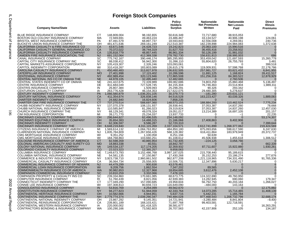| <b>Company Name/State</b>                                                      |                 | <b>Assets</b>                | <b>Liabilities</b>          | Policy<br><b>Holders</b><br><b>Surplus</b> | <b>Nationwide</b><br><b>Net Premiums</b><br>Written | <b>Nationwide</b><br><b>Net Losses</b><br>Paid | <b>Direct</b><br><b>Illinois</b><br>Premiums |
|--------------------------------------------------------------------------------|-----------------|------------------------------|-----------------------------|--------------------------------------------|-----------------------------------------------------|------------------------------------------------|----------------------------------------------|
| BLUE RIDGE INSURANCE COMPANY                                                   | СT              | 148,809,004                  | 98,192,655                  | 50,616,349                                 | 72,717,680                                          | 38,915,053                                     | $\Omega$                                     |
| BOSTON OLD COLONY INSURANCE COMPANY                                            | MA              | 72,949,691                   | 49,463,224                  | 23,486,467                                 | 33,134,527                                          | 40,906,198                                     | 124,061                                      |
| BRISTOL WEST INSURANCE COMPANY                                                 | <b>PA</b>       | 87.491.579                   | 68,897,737                  | 18.593.843                                 | 42,556,008                                          | 4,269,061                                      | 240,736                                      |
| BUCKEYE UNION INSURANCE COMPANY THE<br>CALIFORNIA CASUALTY & FIRE INSURANCE CO | OН<br>CA        | 481,671,636<br>43,671,546    | 269, 161, 249<br>24,428,723 | 212,510,387<br>19,242,823                  | 182,239,898                                         | 224,984,083<br>15,990,516                      | 1,372,638                                    |
| CALIFORNIA CASUALTY GENERAL INSURANCE CO                                       | CA              | 70.372.022                   | 38,744,319                  | 31,627,703                                 | 25,063,100<br>36,455,416                            | 23,258,932                                     |                                              |
| CALIFORNIA CASUALTY INSURANCE COMPANY                                          | CA              | 135,818,779                  | 48,857,445                  | 86,961,334                                 | 50,126,199                                          | 31,981,032                                     |                                              |
| CAMDEN FIRE INSURANCE ASSOCIATION, THE                                         | <b>NJ</b>       | 691,152,064                  | 412,369,338                 | 278,782,730                                | 156,631,813                                         | 158,995,003                                    | 686                                          |
| CANAL INSURANCE COMPANY                                                        | SC              | 775,742,167                  | 390,446,174                 | 385,295,993                                | 353,459,042                                         | 121,697,593                                    | 15,260,778                                   |
| CAPITAL CITY INSURANCE COMPANY INC                                             | SC              | 88,038,412                   | 56,942,300                  | 31,096,110                                 | 55,804,620                                          | 26,755,793                                     | 3,481                                        |
| CAPITAL MARKETS ASSURANCE CORPORATION<br>CAPITOL INDEMNITY CORPORATION         | <b>NY</b><br>WI | 105,419,307                  | 2,326,246                   | 103,093,061                                |                                                     | 0                                              | 399,518                                      |
| CAROLINA CASUALTY INSURANCE COMPANY                                            | FL              | 310,418,267<br>450,460,483   | 183,803,089<br>313,827,978  | 126,615,178<br>136,632,505                 | 119,009,931<br>257,981,727                          | 57,598,768<br>83,621,432                       | 22,178,786<br>6,841,955                      |
| CATERPILLAR INSURANCE COMPANY                                                  | <b>MO</b>       | 27,401,998                   | 17,115,402                  | 10,286,596                                 | 11,691,125                                          | 1,168,824                                      | 26,411,517                                   |
| CENTENNIAL INSURANCE COMPANY                                                   | <b>NY</b>       | 492,989,454                  | 320,123,946                 | 172,865,508                                | 151,256,316                                         | 84,383,522                                     | 12,878,929                                   |
| CENTRAL NATIONAL INS CO OF OMAHA THE                                           | <b>NE</b>       | 44,978,105                   | 32,495,440                  | 12,482,665                                 | $\Omega$                                            | 2,760,506                                      |                                              |
| CENTRAL STATES INDEMNITY CO OF OMAHA                                           | NE              | 241,422,675                  | 72,339,989                  | 169,082,686                                | 74,803,259                                          | 15,860,468                                     | 5,136,497                                    |
| CENTRE INSURANCE COMPANY                                                       | DE              | 811,684,049                  | 727,528,745                 | 84,155,304                                 | 76,746,463                                          | 23,514,904                                     | 1,989,311                                    |
| CENTRIS INSURANCE COMPANY                                                      | IN              | 26,807,384                   | 1,509,093                   | 25,298,291                                 | 90,326                                              | 293,342                                        |                                              |
| <b>CENTURION CASUALTY COMPANY</b><br>CENTURY INDEMNITY COMPANY                 | IA<br>PA        | 263,776,428<br>1,066,580,879 | 46,154,353<br>1,036,201,105 | 217,622,075<br>30,379,773                  | 29,480,305<br>$-181,280$                            | 5,278,637<br>220,631,121                       |                                              |
| CENTURY NATIONAL INSURANCE COMPANY                                             | CA              | 411,354,674                  | 326,838,146                 | 84,516,528                                 | 163,223,427                                         | 83,039,326                                     | 1,889,063                                    |
| CHARTER INDEMNITY COMPANY                                                      | ТX              | 24,682,840                   | 16,824,606                  | 7,858,235                                  | $\Omega$                                            | U                                              |                                              |
| CHARTER OAK FIRE INSURANCE COMPANY THE                                         | <b>CT</b>       | 737,270,514                  | 588,697,360                 | 148,573,155                                | 188,884,200                                         | 110,462,524                                    | 7,775,234                                    |
| CHUBB INDEMNITY INSURANCE COMPANY                                              | NY              | 137,070,378                  | 108,131,937                 | 28,938,441                                 | 37,053,387                                          | 14,837,260                                     | 78,668                                       |
| CHUBB NATIONAL INSURANCE COMPANY                                               | IN              | 110,585,847                  | 81,266,023                  | 29,319,824                                 | 37,053,387                                          | 14,837,260                                     | 12,457,030                                   |
| CHURCH INSURANCE COMPANY THE                                                   | <b>NY</b>       | 68,129,341                   | 49,078,324                  | 19.051.017                                 | 13,214,389                                          | 16,697,105                                     | 201,157                                      |
| CIM INSURANCE CORPORATION<br>CINCINNATI CASUALTY COMPANY THE                   | MI<br>OН        | 39,171,770<br>296,644,627    | 25,234,037<br>62,496,535    | 13,937,733<br>234,148,092                  | $\Omega$                                            | $-1$<br>ი                                      | 22,235<br>53,174,307                         |
| CINCINNATI EQUITABLE INSURANCE COMPANY                                         | OH              | 35,654,383                   | 14,488,315                  | 21,166,068                                 | 17,408,863                                          | 9,402,908                                      |                                              |
| CINCINNATI INDEMNITY COMPANY                                                   | OН              | 62,306,597                   | 9,586,287                   | 52,720,310                                 |                                                     |                                                | 7,399,644                                    |
| CINCINNATI INSURANCE COMPANY THE                                               | OH              | 6,648,219,840                | 4,311,115,269               | 2,337,104,571                              | 2,612,741,899                                       | 1,268,377,062                                  | 219,424,569                                  |
| CITIZENS INSURANCE COMPANY OF AMERICA                                          | MI              | 1,569,614,132                | 1,084,763,952               | 484,850,180                                | 875,093,656                                         | 598,617,590                                    | 6,247,630                                    |
| CLARENDON NATIONAL INSURANCE COMPANY                                           | NJ              | 1,835,784,809                | 1,267,656,426               | 568,128,382                                | 616,411,864                                         | 183,979,949                                    | 20,372,737                                   |
| CMG MORTGAGE ASSURANCE COMPANY<br>CMG MORTGAGE INSURANCE COMPANY               | WI<br>WI        | 9,351,252                    | 1,100,058                   | 8,251,194                                  | 50.639                                              | $\Omega$                                       |                                              |
| COLOGNE REINSURANCE COMPANY OF AMERICA                                         | <b>CT</b>       | 184,768,863<br>82,598,359    | 103,660,251<br>40,865,954   | 81,108,612<br>41,732,405                   | 45,506,938<br>–224,125                              | 1,455,618<br>3,058,766                         | 1,306,512                                    |
| COLONIAL AMERICAN CASUALTY AND SURETY CO                                       | <b>MD</b>       | 18,883,338                   | 40,551                      | 18,842,787                                 |                                                     | O                                              | 662,339                                      |
| COLONY NATIONAL INSURANCE COMPANY                                              | <b>VA</b>       | 149,534,137                  | 117, 174, 205               | 32,359,932                                 | 87,711,607                                          | 15,922,880                                     | 1,930,261                                    |
| COLORADO CASUALTY INSURANCE COMPANY                                            | CO              | 22,023,323                   | 12,365,257                  | 9,658,063                                  |                                                     |                                                |                                              |
| COLUMBIA INSURANCE COMPANY                                                     | <b>NE</b>       | 7,149,673,793                | 3,152,486,768               | 3,997,187,025                              | 215,708,440                                         | 95,189,615                                     | C                                            |
| COLUMBIA NATIONAL INSURANCE COMPANY                                            | NE              | 54,581,135                   | 37,150,867                  | 17,430,268                                 | 35,152,253                                          | 23,186,274                                     | 277,676                                      |
| COMMERCE & INDUSTRY INSURANCE COMPANY<br>COMMERCIAL CASUALTY INSURANCE COMPANY | <b>NY</b><br>СA | 3,923,738,710<br>36,064,734  | 2,960,861,502<br>25,558,005 | 962,877,208<br>10,506,731                  | 1,221,118,965<br>12,347,896                         | 734,331,490<br>5,630,217                       | 91,765,336                                   |
| COMMERCIAL INSURANCE COMPANY OF NEWARK                                         | <b>NJ</b>       | 44,479,299                   | 900,838                     | 43,578,461                                 |                                                     | 0                                              |                                              |
| COMMERCIAL LOAN INSURANCE CORPORATION                                          | WI              | 9,209,756                    | 1,862,554                   | 7,347,202                                  | 89,565                                              | $\Omega$                                       |                                              |
| COMMONWEALTH INSURANCE CO OF AMERICA                                           | WA              | 30,982,653                   | 12,327,968                  | 18,654,685                                 | 3,612,476                                           | 2,452,108                                      |                                              |
| COMPANION COMMERCIAL INSURANCE COMPANY                                         | <b>SC</b>       | 10,810,259                   | 3,332,066                   | 7,478,193                                  | $\Omega$                                            | $\Omega$                                       |                                              |
| COMPANION PROPERTY & CASUALTY INS CO                                           | SC              | 239,334,860                  | 170,661,085                 | 68,673,775                                 | 124,322,690                                         | 49,760,950                                     |                                              |
| COMPUTER INSURANCE COMPANY                                                     | RI              | 51,760,439                   | 8,821,056                   | 42,939,383                                 | 13,282,945                                          | 690,060                                        | 179,347                                      |
| CONNECTICUT INDEMNITY COMPANY THE<br>CONNIE LEE INSURANCE COMPANY              | <b>CT</b><br>WI | 177,049,290<br>197,308,813   | 157,090,685<br>80,659,723   | 19,958,604<br>116,649,090                  | 56,792,750<br>–484.000                              | 40,203,184<br>143,163                          | 1,266,027                                    |
| CONSOLIDATED INSURANCE COMPANY                                                 | IN              | 53,816,769                   | 4,254,099                   | 49,562,670                                 |                                                     | ი                                              | 12,175,882                                   |
| CONSTITUTION INSURANCE COMPANY                                                 | <b>NY</b>       | 94,277,823                   | 51,944,059                  | 42,333,764                                 | 14,073,285                                          | 15,714,465                                     | 11,408,139                                   |
| CONTINENTAL HERITAGE INSURANCE COMPANY                                         | OH              | 10,582,666                   | 4,944,951                   | 5,637,715                                  | 5,442,231                                           | 1,165,784                                      |                                              |
| CONTINENTAL INSURANCE COMPANY THE                                              | <b>NH</b>       | 2,779,774,374                | 2,039,290,347               | 740,484,028                                | 977,468,543                                         | 1,206,732,799                                  | 32,688,174                                   |
| CONTINENTAL NATIONAL INDEMNITY COMPANY                                         | OΗ              | 23,867,292                   | 9,145,351                   | 14,721,941                                 | $-3,280,484$                                        | 8,841,804                                      | $-9,400$                                     |
| CONTINENTAL REINSURANCE CORPORATION<br>CONTINENTAL WESTERN INSURANCE COMPANY   | CА<br>ΙA        | 239,801,189<br>220,000,002   | 168,103,421<br>181,418,325  | 71,697,768<br>38,581,677                   | 99,403,581<br>n                                     | 122,718,591<br>0                               | 16,263,291                                   |
| CONTRACTORS BONDING & INSURANCE COMPANY                                        | <b>WA</b>       | 100,290,166                  | 73,582,603                  | 26,707,563                                 | 42,157,906                                          | 252,105                                        | 134,187                                      |
|                                                                                |                 |                              |                             |                                            |                                                     |                                                |                                              |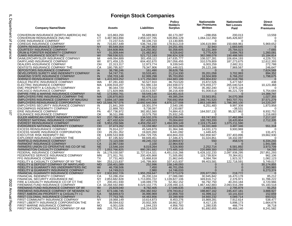**Policy**

**Nationwide**

**Direct**

| - T UCTAI-I-T II SI II SI II G<br>I<br>I |
|------------------------------------------|
|                                          |
|                                          |
|                                          |
|                                          |
|                                          |
|                                          |
|                                          |
| ١                                        |
|                                          |
|                                          |
|                                          |
|                                          |
|                                          |
|                                          |
|                                          |
|                                          |
|                                          |
|                                          |
|                                          |
|                                          |
| l                                        |

 $101\,$ 

| <b>Company Name/State</b>                                                                           |                       | <b>Assets</b>                 | <b>Liabilities</b>          | <b>Policy</b><br><b>Holders</b><br><b>Surplus</b> | <b>Nationwide</b><br><b>Net Premiums</b><br>Written | <b>Nationwide</b><br><b>Net Losses</b><br>Paid | <b>Direct</b><br><b>Illinois</b><br><b>Premiums</b> |
|-----------------------------------------------------------------------------------------------------|-----------------------|-------------------------------|-----------------------------|---------------------------------------------------|-----------------------------------------------------|------------------------------------------------|-----------------------------------------------------|
| CONVERIUM INSURANCE (NORTH AMERICA) INC<br>CONVERIUM REINSURANCE (NA) INC<br>CORE INSURANCE COMPANY | <b>NJ</b><br>СT<br>VT | 115,863,250<br>3,487,963,894  | 55,689,963<br>2,859,107,765 | 60,173,287<br>628,856,129                         | $-288,656$<br>1,064,112,350                         | 200,013<br>645,426,607<br>∩                    | 13,559                                              |
| <b>COREGIS INSURANCE COMPANY</b>                                                                    | IN                    | 72,237,515<br>715,657,449     | 59,106,710<br>536,744,230   | 13,130,805<br>178,913,219                         | ∩<br>106,619,984                                    | 150,668,961                                    | 5,969,652                                           |
| <b>CORPA REINSURANCE COMPANY</b>                                                                    | <b>NY</b>             | 65,549,354                    | 41,297,863                  | 24,251,491                                        | 32,943                                              | 1,683,645                                      | $-7,665$                                            |
| COURTESY INSURANCE COMPANY                                                                          | <b>FL</b>             | 164,608,906                   | 114,250,302                 | 50,358,605                                        | 52,231,369                                          | 25,784,023                                     |                                                     |
| CRUM & FORSTER INDEMNITY COMPANY                                                                    | <b>NY</b>             | 31,009,444                    | 21,482,802                  | 9,526,642                                         | 5,775,429                                           | 3,694,763                                      | 1,260,081                                           |
| <b>CUMIS INSURANCE SOCIETY INC</b>                                                                  | WI                    | 788,536,521                   | 521,712,193                 | 266,824,328                                       | 382,088,078                                         | 190,488,565                                    | 15,184,814                                          |
| DAIMLERCHRYSLER INSURANCE COMPANY                                                                   | MI                    | 449,094,889                   | 301,459,112                 | 147,635,777                                       | 108,027,281                                         | 106,604,193                                    | 4,229,731                                           |
| DAIRYLAND INSURANCE COMPANY                                                                         | WI                    | 871,459,125                   | 604,402,670                 | 267,056,455                                       | 310,579,809                                         | 187,273,675                                    | 12,612,393                                          |
| DEALERS ASSURANCE COMPANY                                                                           | OH                    | 22,313,317                    | 12,973,774                  | 9,339,543                                         | 6,003,259                                           | 2,682,311                                      | 272,788                                             |
| DENTISTS INSURANCE COMPANY THE                                                                      | CA                    | 180,795,927                   | 79,347,906                  | 101,448,021                                       | 26,123,166                                          | 7,969,567                                      | 246,647                                             |
| DEPOSITORS INSURANCE COMPANY                                                                        | IA                    | 38,790,246                    | 161,490                     | 38,628,756                                        | 35,201,058                                          | $\Omega$                                       | 7,624,569                                           |
| DEVELOPERS SURETY AND INDEMNITY COMPANY                                                             | IA                    | 54,747,731                    | 33,533,401                  | 21,214,330                                        |                                                     | 3.702.993                                      | 894,352                                             |
| DIAMOND STATE INSURANCE COMPANY                                                                     | IN                    | 158,703,148                   | 62,999,298                  | 95,703,850                                        | 18,504,909                                          | 6,766,202                                      | 1,798,675                                           |
| DORINCO REINSURANCE COMPANY                                                                         | MI                    | 1,415,933,252                 | 1,171,250,063               | 244,683,189                                       | 293,804,832                                         | 111.618.766                                    |                                                     |
| <b>EAGLE PACIFIC INSURANCE COMPANY</b>                                                              | <b>WA</b>             | 87,281,430                    | 50,527,910                  | 36,753,520                                        | 15,872,526                                          | 5,477,567                                      | 438                                                 |
| ELECTRIC INSURANCE COMPANY                                                                          | MA                    | 1,006,918,207                 | 761,980,134                 | 244,938,072                                       | 379,459,277                                         | 265,040,524                                    | 10,123,368                                          |
| EMC PROPERTY & CASUALTY COMPANY                                                                     | IA                    | 90,344,720                    | 52,579,102                  | 37,765,618                                        | 35,392,240                                          | 17,975,118                                     | 5,754,684                                           |
| <b>EMCASCO INSURANCE COMPANY</b>                                                                    | IA                    | 171,829,966                   | 133,613,557                 | 38,216,409                                        | 91,008,614                                          | 46,221,729                                     |                                                     |
| <b>EMPIRE FIRE &amp; MARINE INSURANCE COMPANY</b>                                                   | <b>NE</b>             | 173,950,761                   | 59,549,146                  | 114,401,615                                       | $\Omega$                                            |                                                | 14,388,747                                          |
| EMPLOYERS FIRE INSURANCE COMPANY THE                                                                | <b>MA</b>             | 135,870,803                   | 86,475,510                  | 49,395,294                                        | 33,563,951                                          | 34,070,368                                     | 1,027,355                                           |
| EMPLOYERS INSURANCE COMPANY OF WAUSAU                                                               | WI                    | 3,694,167,088                 | 2,993,474,130               | 700,692,958                                       | 1,346,741,520                                       | 943,707,701                                    | 37,571,279                                          |
| EMPLOYERS REINSURANCE CORPORATION                                                                   | <b>MO</b>             | 15,568,767,076                | 10,692,640,068              | 4,876,127,008                                     | 2,853,169,865                                       | 1,786,365,100                                  | 14,220,247                                          |
| <b>EMPLOYERS SECURITY INSURANCE COMPANY</b>                                                         | IN                    | 21,841,269                    | 19.301.074                  | 2,540,195                                         | 6,251,483                                           | 9,997,308                                      | 1,873,958                                           |
| <b>ENCOMPASS INDEMNITY COMPANY</b>                                                                  | <b>FL</b>             | 22,888,783                    | 5,738,097                   | 17,150,687                                        | ∩                                                   | $-38,531$                                      | 8,932,752                                           |
| ERIE INSURANCE COMPANY                                                                              | PA                    | 457,736,972                   | 382,852,560                 | 74,884,413                                        | 164,557,132                                         | 95,327,962                                     |                                                     |
| ESURANCE INSURANCE COMPANY                                                                          | OK                    | 36,511,996                    | 10,579,750                  | 25,932,245                                        | ∩                                                   | 17,462,884                                     | 1,216,683                                           |
| EULER AMERICAN CREDIT INDEMNITY COMPANY                                                             | <b>NY</b>             | 237,790,420                   | 134,532,376                 | 103,258,044                                       | 63,747,932                                          |                                                | 7,217,107                                           |
| EVEREST NATIONAL INSURANCE COMPANY                                                                  | <b>AZ</b>             | 427,432,624                   | 357,428,023                 | 70,004,602                                        | 100,783,200                                         | 18,420,804                                     | 2,712,335                                           |
| EVEREST REINSURANCE COMPANY                                                                         | <b>DE</b>             | 5,953,259,586                 | 4,459,250,437               | 1,494,009,149                                     | 2,119,175,440                                       | 1,075,211,590                                  |                                                     |
| EVERGREEN NATIONAL INDEMNITY COMPANY                                                                | OH                    | 37,473,262                    | 15,159,982                  | 22,313,280                                        | 16,331,669                                          | 3,497,346                                      | 551,318                                             |
| EXCESS REINSURANCE COMPANY                                                                          | DE                    | 76,914,227                    | 45,549,879                  | 31,364,346                                        | 14,031,173                                          | 9.900.969                                      |                                                     |
| <b>EXCESS SHARE INSURANCE CORPORATION</b>                                                           | OH                    | 29,261,352                    | 19,820,260                  | 9,441,092                                         | 1,449,425                                           | $\Omega$                                       | 131,471                                             |
| EXECUTIVE RISK INDEMNITY INC                                                                        | DE                    | 1,699,533,908                 | 1,294,729,705               | 404,804,203                                       | 592,858,947                                         | 237,403,896                                    | 19,662,930                                          |
| EXPLORER INSURANCE COMPANY THE                                                                      | AZ                    | 87,195,922                    | 69,849,451                  | 17,346,471                                        | 31,024,851                                          | 18,332,097                                     | 6,334,243                                           |
| FAIRFIELD INSURANCE COMPANY                                                                         | <b>CT</b>             | 72,115,594                    | 49.245.722                  | 22,869,872                                        | 550                                                 | 458,576                                        |                                                     |
| <b>FAIRMONT INSURANCE COMPANY</b>                                                                   | CA                    | 22,967,030                    | 2,100                       | 22,964,930                                        | $\Omega$                                            | 6,581,892                                      | 1,941,585                                           |
| FARMERS UNION CO OPERATIVE INS CO OF NE                                                             | <b>NE</b>             | 13,546,164                    | 8,019,264                   | 5,526,900                                         | 2,252,714                                           |                                                | 3,973,709                                           |
| <b>FARMINGTON CASUALTY COMPANY</b>                                                                  | <b>CT</b>             | 1,053,766,825                 | 880,281,682                 | 173,485,143                                       | 220,889,300                                         | 128,093,100                                    | 54,283                                              |
| FEDERAL INSURANCE COMPANY                                                                           | IN                    | 16,178,030,587                | 11,727,014,321              | 4,451,016,266                                     | 5,428,102,233                                       | 2,097,938,295                                  | 257,951,293                                         |
| FEDERATED SERVICE INSURANCE COMPANY                                                                 | <b>MN</b>             | 271,911,761                   | 200,405,868                 | 71,505,892                                        | 115,739,924                                         | 70,364,811                                     | 962,106                                             |
| FFG INSURANCE COMPANY                                                                               | TX                    | 37,731,463                    | 15,868,818                  | 21,862,645                                        | 9,084,784                                           | 1,923,317                                      | 1,082,123                                           |
| FIDELITY & CASUALTY COMPANY OF NY THE                                                               | <b>NH</b>             | 253,215,837                   | 145,799,900                 | 107,415,937                                       | 99,403,581                                          | 122,718,591                                    | 5,749,017                                           |
| FIDELITY & DEPOSIT COMPANY OF MARYLAND                                                              | <b>MD</b>             | 158,401,089                   | 252,996                     | 158,148,093                                       | ∩                                                   |                                                | 30,174,855                                          |
| FIDELITY & GUARANTY INS UNDERWRITERS INC                                                            | WI                    | 46,708,506                    | 7,450                       | 46,701,056                                        | $\Omega$                                            |                                                | 2,393,983                                           |
| FIDELITY & GUARANTY INSURANCE COMPANY                                                               | IA                    | 14,749,013                    | 2,980                       | 14,746,033                                        | ∩                                                   |                                                | 6,273,374                                           |
| FINANCIAL GUARANTY INSURANCE COMPANY                                                                | <b>NY</b>             | 2,932,832,726                 | 1,955,259,647               | 977,573,079                                       | 205,977,093                                         | 218,772                                        | 85,212                                              |
| FINANCIAL INDEMNITY COMPANY                                                                         | CA                    | 53,286,204                    | 26,200,124                  | 27,086,080                                        | 30,945,842                                          | 16,470,178                                     |                                                     |
| FINANCIAL SECURITY ASSURANCE INC                                                                    | <b>NY</b>             | 2,853,682,828                 | 1,713,855,722               | 1,139,827,106                                     | 349,816,712                                         | 2,376,971                                      | 11,786,222                                          |
| FIRE & CASUALTY INSURANCE CO OF CT THE                                                              | <b>CT</b>             | 200,451,930<br>10,268,592,890 | 148,089,779                 | 52,362,152                                        | 56,792,750                                          | 40,203,184                                     | 4,720,966                                           |
| FIREMANS FUND INSURANCE COMPANY                                                                     | СA                    | 25,829,040                    | 8,029,102,775               | 2,239,490,115                                     | 1,867,442,883                                       | 2,093,916,289                                  | 55,183,518                                          |
| FIREMANS FUND INSURANCE COMPANY OF WI                                                               | WI                    |                               | 8,782,405                   | 17,046,635                                        | 2,493,231                                           | 2,795,879                                      | 91,253                                              |
| FIREMENS INSURANCE COMPANY OF NEWARK NJ                                                             | <b>NJ</b>             | 673,166,745                   | 294,382,932                 | 378,783,812                                       | 198,807,162                                         | 245,437,181                                    | 3,888,927<br>152,659                                |
| FIRST AMERICAN PROPERTY & CASUALTY I C                                                              | CA                    | 58,849,673                    | 35,990,969                  | 22,858,703                                        | 41,999,112                                          | 10,141,610                                     |                                                     |
| FIRST COLONIAL INSURANCE COMPANY                                                                    | <b>FL</b>             | 77,753,765                    | 44,463,856                  | 33,289,909                                        | 34,660,232                                          | 4,089,714                                      | 693,522                                             |
| FIRST COMMUNITY INSURANCE COMPANY                                                                   | <b>NY</b>             | 19,068,149                    | 10,614,873                  | 8,453,276                                         | 15,869,281                                          | 7,912,614                                      | 538,477                                             |
| FIRST LIBERTY INSURANCE CORPORATION THE                                                             | IA                    | 39,594,632                    | 20,932,305                  | 18,662,327                                        | 8,417,135                                           | 5,898,173                                      | 1,664,678                                           |
| FIRST MARINE INSURANCE COMPANY                                                                      | <b>MO</b>             | 6,001,026                     | 1,044,233                   | 4,956,793                                         | 1,280,535                                           | 466,774                                        | 38,718                                              |
| FIRST NATIONAL INSURANCE COMPANY OF AM                                                              | <b>WA</b>             | 215,752,445                   | 158,314,029                 | 57,438,416                                        | 91,692,655                                          | 55,468,140                                     | 8,241,582                                           |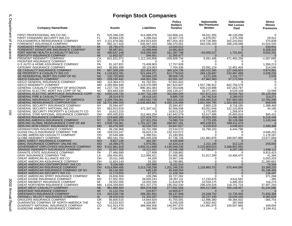| i<br>I                                                                   |
|--------------------------------------------------------------------------|
| )<br>i                                                                   |
|                                                                          |
| קמות והפוור חו וו וסחומו והפלי<br>;<br>3)<br>3<br>)                      |
|                                                                          |
|                                                                          |
| ĵ<br>$\overline{\phantom{a}}$<br>١<br>×<br>$\overline{\phantom{a}}$<br>J |

| <b>Company Name/State</b>                                                           |                 | <b>Assets</b>                | <b>Liabilities</b>          | <b>Policy</b><br><b>Holders</b><br><b>Surplus</b> | <b>Nationwide</b><br><b>Net Premiums</b><br>Written | <b>Nationwide</b><br><b>Net Losses</b><br>Paid | <b>Direct</b><br><b>Illinois</b><br>Premiums |
|-------------------------------------------------------------------------------------|-----------------|------------------------------|-----------------------------|---------------------------------------------------|-----------------------------------------------------|------------------------------------------------|----------------------------------------------|
| FIRST PROFESSIONAL INS CO INC                                                       | FL              | 525.346.220                  | 414.488.079                 | 110,858,141                                       | 94,011,355                                          | 48,130,056                                     | $\mathbf C$                                  |
| FIRST STANDARD SECURITY INS CO                                                      | FL              | 26,694,125                   | 4,286,410                   | 22,407,715                                        | 6,876,057                                           | 1,375,336                                      | 29,912                                       |
| FOLKSAMERICA REINSURANCE COMPANY                                                    | NY              | 2,211,878,082                | 1,354,823,920               | 857,054,163                                       | 678,728,380                                         | 202,243,842                                    | 370,839                                      |
| FOREMOST INSURANCE COMPANY                                                          | MI              | 982,317,425                  | 635,947,424                 | 346,370,001                                       | 663,036,349                                         | 288,249,089<br>O                               | 10,524,545                                   |
| FOREMOST PROPERTY & CASUALTY INS CO                                                 | MI<br>MI        | 28,790,075<br>56,087,651     | 15,770,063<br>41,095,848    | 13,020,012<br>14,991,803                          | 0<br>$\Omega$                                       | ∩                                              | 939,831<br>6,328,342                         |
| FOREMOST SIGNATURE INSURANCE COMPANY<br>FORT WAYNE HEALTH & CASUALTY INS CO         | IN              | 480,547,148                  | 319,259,400                 | 161,287,748                                       | $-93,000,227$                                       | 1,731,841                                      | 9,502,291                                    |
| FORTUITY INSURANCE COMPANY                                                          | MI              | 11,652,027                   | 346,551                     | 11,305,477                                        |                                                     |                                                |                                              |
| FREMONT INDEMNITY COMPANY                                                           | CA              | 821,631,072                  | 1,112,240,806               | $-209,609,734$                                    | 9,391,406                                           | 471,483,258                                    | –1,007,695                                   |
| FRONTIER INSURANCE COMPANY<br><b>G E AUTO &amp; HOME ASSURANCE COMPANY</b>          | NY<br>PA        | C<br>91.167.831              | C<br>73.409.903             | 17.757.928                                        | $\Omega$<br>∩                                       |                                                | 1,356,213                                    |
| GATEWAY INSURANCE COMPANY                                                           | <b>MO</b>       | 36,883,499                   | 29,119,063                  | 7,764,436                                         | 23,091,124                                          | 12,461,404                                     | 214,546                                      |
| <b>GE CASUALTY INSURANCE COMPANY</b>                                                | PA              | 687,509,298                  | 322,404,562                 | 365,104,736                                       | 180,415,345                                         | 127,046,803                                    | 4,974,991                                    |
| GE PROPERTY & CASUALTY INS CO                                                       | PA              | 1,133,823,781                | 521,044,271                 | 612,779,510                                       | 294,126,697                                         | 232,497,489                                    | 2,038,233                                    |
| GE RESIDENTIAL MORT INS CORP OF NC                                                  | <b>NC</b>       | 132,725,850                  | 33,666,125                  | 99,059,725                                        | 3,171,335                                           | 1,311,777                                      | 2,576                                        |
| <b>GEICO CASUALTY COMPANY</b><br>GEICO GENERAL INSURANCE COMPANY                    | <b>MD</b><br>MD | 228,192,442<br>119,364,473   | 164,931,294<br>61,762,551   | 63,261,147<br>57,601,922                          | 67,962,363<br>$\Omega$                              | 37,172,550<br>$\Omega$                         | O                                            |
| <b>GEICO INDEMNITY COMPANY</b>                                                      | <b>MD</b>       | 2.266.994.946                | 1,319,370,099               | 947.624.847                                       | 1,557,786,912                                       | 842.756.579                                    |                                              |
| GENERAL CASUALTY COMPANY OF WISCONSIN                                               | WI              | 1,237,734,729                | 890, 381, 083               | 347,353,646                                       | 630,219,888                                         | 337,263,797                                    |                                              |
| GENERAL ELECTRIC MORT INS CORP OF NC                                                | <b>NC</b>       | 303,683,530                  | 94,554,303                  | 209,129,227                                       | 16,071,483                                          | 6,529,109                                      | 13,558                                       |
| GENERAL ELECTRIC MORTGAGE INSURANCE CORP                                            | <b>NC</b>       | 3,650,416,735                | 3,347,732,190               | 302,684,545                                       | 507,872,214                                         | 78,034,763                                     | 30.129.444                                   |
| GENERAL FIRE & CASUALTY COMPANY<br>GENERAL INSURANCE COMPANY OF AMERICA             | ID<br><b>WA</b> | 28,314,870<br>2,206,764,061  | 18,419,142<br>1,653,562,728 | 9,895,728<br>553,201,333                          | 18,745,518<br>1,054,465,518                         | 5,289,433<br>637,883,585                       | 114,271<br>12,783,290                        |
| <b>GENERAL REINSURANCE CORPORATION</b>                                              | <b>DE</b>       | 18,731,990,353               | 14,636,863,662              | 4,095,126,689                                     | 3,631,594,785                                       | 2,303,469,323                                  | 658,545                                      |
| GENERAL SECURITY INSURANCE COMPANY                                                  | NY              | 25,594,407                   | ∩                           | 25,594,407                                        | 3,965,129                                           | 8,716,195                                      | 1,398,468                                    |
| GENERAL SECURITY NATIONAL INS CO                                                    | NY              | 563,915,919                  | 471,347,411                 | 92,568,508                                        | 83,051,648                                          | 122,103,804                                    | 44,185                                       |
| GENERAL SECURITY PROPERTY & CASUALTY CO                                             | NY              | 10,613,210                   | C                           | 10,613,210                                        | 1,772,405                                           | 1,268,974                                      | O                                            |
| GENERAL STAR NATIONAL INSURANCE COMPANY<br><b>GENESIS INSURANCE COMPANY</b>         | OH<br><b>CT</b> | 455,405,833<br>219,660,386   | 312,463,254<br>127,619,772  | 142,942,579<br>92,040,614                         | 53,417,486<br>30,803,350                            | 25,893,819<br>14,496,389                       | 945,431<br>6,216,446                         |
| GERLING AMERICA INSURANCE COMPANY                                                   | <b>NY</b>       | 201,991,978                  | 127,911,254                 | 74,080,724                                        | 2,775,195                                           | 30,128,268                                     | 1,143,144                                    |
| GERLING GLOBAL REINSURANCE CORP OF AM                                               | <b>NY</b>       | 2,049,734,361                | 1,761,227,180               | 288,507,181                                       | 465,228,921                                         | 598,411,479                                    |                                              |
| GERLING NCM CREDIT INSURANCE INC                                                    | <b>MD</b>       | 65,478,350                   | 30,530,723                  | 34,947,627                                        | 9,418,819                                           | 4,048,923                                      | 2,389,308                                    |
| <b>GERMANTOWN INSURANCE COMPANY</b>                                                 | <b>PA</b>       | 39,236,968                   | 15,702,398                  | 23,534,570                                        | 16,798,150                                          | 6,444,798                                      |                                              |
| GLENS FALLS INSURANCE COMPANY THE<br>GLOBE AMERICAN CASUALTY COMPANY                | DE<br>OH        | 159,033,247<br>20,549,486    | 26,623,176                  | 132,410,072<br>15,180,955                         | $\Omega$<br>$\Omega$                                | ∩<br>∩                                         | 4,646,253<br>1,178,187                       |
| <b>GLOBE INDEMNITY COMPANY</b>                                                      | DE              | 450,181,754                  | 5,368,531<br>382,445,028    | 67,736,726                                        | 141,981,876                                         | 100,507,960                                    | 13,677,069                                   |
| <b>GMAC DIRECT INSURANCE COMPANY</b>                                                | <b>MO</b>       | 8,827,136                    | 391,287                     | 8,435,849                                         |                                                     |                                                |                                              |
| GMAC INSURANCE COMPANY ONLINE INC                                                   | <b>MO</b>       | 16,399,275                   | 5,975,061                   | 10,424,214                                        | 1,311,108                                           | 312,134                                        | 259,093                                      |
| GOVERNMENT EMPLOYEES INSURANCE COMPANY                                              | <b>MD</b>       | 9,101,981,918                | 4,955,412,689               | 4,146,569,230                                     | 5,225,809,624                                       | 3,368,801,055                                  |                                              |
| <b>GRANGE INDEMNITY INSURANCE COMPANY</b><br><b>GRANITE STATE INSURANCE COMPANY</b> | OH<br><b>PA</b> | 32,557,209<br>27,466,690     | 16,511,041<br>127,808       | 16,046,168<br>27,338,882                          | 17.780.677<br>$\Omega$                              | 9,297,180<br>0                                 | 1,698,112<br>9,815,423                       |
| <b>GRAY INSURANCE COMPANY THE</b>                                                   | LA              | 166,454,801                  | 112,969,421                 | 53,485,380                                        | 51,917,299                                          | 14,456,475                                     | 41,394                                       |
| GREAT AMERICAN ALLIANCE INS CO                                                      | OH              | 20,011,349                   | 44,200                      | 19,967,149                                        | ∩                                                   | ∩                                              | 5,053,203                                    |
| <b>GREAT AMERICAN ASSURANCE COMPANY</b>                                             | OH              | 11,824,143                   | 33,262                      | 11,790,881                                        | $\Omega$                                            | ∩                                              | 21,280,681                                   |
| GREAT AMERICAN CONTEMPORARY INS CO                                                  | OH              | 9,206,480                    | 104,966                     | 9,101,514                                         | $\Omega$                                            |                                                | 74,344                                       |
| GREAT AMERICAN INSURANCE COMPANY<br>GREAT AMERICAN INSURANCE COMPANY OF NY          | OH<br><b>NY</b> | 4,514,994,485<br>46,134,383  | 3,313,748,256<br>695,130    | 1,201,246,230<br>45,439,254                       | 1,118,863,702                                       | 675,444,585                                    | 33,388,220<br>45,198,405                     |
| GREAT AMERICAN SECURITY INS CO                                                      | OH              | 11,173,555                   | 67,371                      | 11,106,184                                        | $\Omega$                                            |                                                | 136,267                                      |
| <b>GREAT AMERICAN SPIRIT INSURANCE COMPANY</b>                                      | IN              | 16,836,559                   | 109,296                     | 16,727,262                                        | $\Omega$                                            | 0                                              | 371,268                                      |
| <b>GREAT DIVIDE INSURANCE COMPANY</b>                                               | <b>ND</b>       | 57,002,353                   | 28,605,243                  | 28,397,111                                        | 17,233,676                                          | 4,611,562                                      | $-395$                                       |
| GREAT MIDWEST INSURANCE COMPANY                                                     | MI              | 28,552,005                   | 16,933,326                  | 11,618,679                                        | 10,559,175                                          | 5,495,353                                      | 116,274                                      |
| <b>GREAT NORTHERN INSURANCE COMPANY</b><br><b>GREAT WEST CASUALTY COMPANY</b>       | MN<br><b>NE</b> | 1,016,339,800<br>961,668,493 | 821,337,270<br>684,076,938  | 195,002,530<br>277,591,558                        | 296,429,526<br>365,517,595                          | 118,701,724<br>194,148,407                     | 37,407,293<br>41,244,095                     |
| GREATWAY INSURANCE COMPANY                                                          | WI              | 11,122,754                   | 216,877                     | 10,905,877                                        | $\cap$                                              | ∩                                              | $\Omega$                                     |
| <b>GREENWICH INSURANCE COMPANY</b>                                                  | CA              | 344.529.739                  | 286,391,831                 | 58,137,908                                        | 24,348,752                                          | 22,735,926                                     | 71,930,358                                   |
| GRINNELL SELECT INSURANCE COMPANY                                                   | IA              | 38,420,019                   | 21,320,207                  | 17,099,812                                        | 30,237,430                                          | 16,035,445                                     | 8,365,628                                    |
| <b>GROCERS INSURANCE COMPANY</b>                                                    | <b>OR</b>       | 56,600,515                   | 14,844,924                  | 41,755,591                                        | $-12,896,360$                                       | 59,384,832                                     | $-365,754$                                   |
| GUARANTEE COMPANY OF NORTH AMERICA THE<br>GUARANTY NATIONAL INSURANCE COMPANY       | <b>NJ</b><br>CO | 10,533,923<br>511,914,476    | 4,328,897<br>366,066,506    | 6,205,026<br>145,847,970                          | 3,602,402<br>141,981,876                            | 287,669<br>100,507,960                         | O<br>169,054                                 |
| GUIDEONE AMERICA INSURANCE COMPANY                                                  | IA              | 7,467,604                    | 362,946                     | 7,104,658                                         | ∩                                                   | ∩                                              | 3,194,411                                    |
|                                                                                     |                 |                              |                             |                                                   |                                                     |                                                |                                              |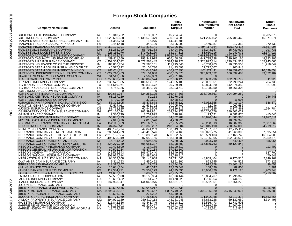| <b>Company Name/State</b>                                                         |                        | Assets                          | <b>Liabilities</b>           | <b>Policy</b><br><b>Holders</b><br><b>Surplus</b> | Nationwide<br><b>Net Premiums</b><br>Written | Nationwide<br><b>Net Losses</b><br>Paid | <b>Direct</b><br><b>Illinois</b><br>Premiums |
|-----------------------------------------------------------------------------------|------------------------|---------------------------------|------------------------------|---------------------------------------------------|----------------------------------------------|-----------------------------------------|----------------------------------------------|
| GUIDEONE ELITE INSURANCE COMPANY                                                  | IA                     | 16,340,252                      | 1,136,007                    | 15,204,245                                        | 0                                            |                                         | 6,205,673                                    |
| GULF INSURANCE COMPANY                                                            | <b>CT</b>              | 1.629.660.668                   | 1.138.676.379                | 490.984.289                                       | 521,226,152                                  | 205,405,442                             | 45,871,671                                   |
| HANOVER AMERICAN INSURANCE COMPANY THE<br>HANOVER FIRE AND CASUALTY INS CO        | NH<br><b>PA</b>        | 14,358,763<br>2,454,418         | 16,975<br>348.120            | 14,341,788<br>2,106,299                           | 2.459.087                                    | 217.352                                 | 270,433                                      |
| HANOVER INSURANCE COMPANY                                                         | <b>NH</b>              | 3, 150, 121, 291                | 2,319,815,141                | 830,306,150                                       | 1,394,117,164                                | 875,373,116                             | 25,657,995                                   |
| HARLEYSVILLE INSURANCE COMPANY                                                    | <b>MN</b>              | 81,285,990                      | 56,791,383                   | 24,494,607                                        | 33,243,757                                   | 15,730,902                              | 297,731                                      |
| HARLEYSVILLE LAKE STATES INS CO                                                   | MI                     | 226,116,076                     | 172,918,260                  | 53,197,816                                        | 88,650,016                                   | 41,949,072                              | 22,677,027                                   |
| HARTFORD ACCIDENT & INDEMNITY COMPANY<br>HARTFORD CASUALTY INSURANCE COMPANY      | <b>CT</b><br>IN        | 6,436,872,733                   | 4,921,608,238                | 1,515,264,495                                     | 2,661,534,975                                | 1,362,294,335                           | 7,085,599                                    |
| HARTFORD FIRE INSURANCE COMPANY                                                   | <b>CT</b>              | 1,459,811,559<br>14,902,354,572 | 793,342,975<br>8,577,564,445 | 666,468,584<br>6,324,790,127                      | 447,795,728<br>3,378,822,314                 | 229,202,166<br>1,729,434,533            | 48,883,905<br>105,943,066                    |
| HARTFORD INSURANCE CO OF THE MIDWEST                                              | IN                     | 183,800,704                     | 72,585,161                   | 111,215,543                                       | 40,708,703                                   | 20,836,558                              | 61,718,049                                   |
| HARTFORD STEAM BOILER INSP & INS CO OF CT                                         | СT                     | 46,577,822                      | 25,104,730                   | 21,473,093                                        | 27,772,507                                   | 1,900,948                               |                                              |
| HARTFORD STEAM BOILER INSPECT & INS CO<br>HARTFORD UNDERWRITERS INSURANCE COMPANY | <b>CT</b><br><b>CT</b> | 981,011,771<br>1,027,710,463    | 524,044,376<br>577,154,888   | 456,967,395<br>450, 555, 575                      | 461,321,111<br>325,669,622                   | 126,859,036<br>166,692,483              | 10,599,054<br>39,872,187                     |
| HAWKEYE SECURITY INSURANCE COMPANY                                                | WI                     | 31,549,056                      | 2,567,889                    | 28,981,167                                        | $\Omega$                                     |                                         |                                              |
| HEALTH CARE INDEMNITY INC                                                         | CO                     | 1,750,603,703                   | 1,268,067,574                | 482,536,129                                       | 318,633,296                                  | 182,698,799                             | 11,928                                       |
| HERITAGE INDEMNITY COMPANY                                                        | CA                     | 230,572,935                     | 106,517,752                  | 124,055,183                                       | 25,081,051                                   | 22,790,244                              | 1,764,733                                    |
| <b>HIGHLANDS INSURANCE COMPANY</b><br>HIGHMARK CASUALTY INSURANCE COMPANY         | <b>TX</b><br><b>PA</b> | 614,619,971<br>74,762,386       | 593,830,472<br>46,458,776    | 20,789,499<br>28,303,610                          | 40,824,920<br>50,728,250                     | 142,374,350<br>19,466,303               | 827,093                                      |
| HOME INSURANCE COMPANY THE                                                        | <b>NH</b>              | $\Omega$                        | $\Omega$                     | 0                                                 | 0                                            |                                         |                                              |
| HOME OWNERS INSURANCE COMPANY                                                     | MI                     | 490,681,057                     | 324.253.195                  | 166,427,863                                       | 236,709,861                                  | 104,994,280                             |                                              |
| HOMELAND CENTRAL INSURANCE COMPANY                                                | IA                     | 68,137,239                      | 60,253                       | 68,076,985                                        | $\Omega$                                     |                                         | 246,448                                      |
| HOMEPLUS INSURANCE COMPANY<br>HORACE MANN PROPERTY & CASUALTY INS CO              | <b>MN</b><br>CA        | 8,799,239<br>55,323,805         | 370,621<br>36,478,678        | 8,428,618<br>18,845,127                           | 46,032,355                                   | 11,995<br>25,419,137                    | 546,870                                      |
| HOUSTON GENERAL INSURANCE COMPANY                                                 | TX                     | 42,537,011                      | 22,531,302                   | 20,005,709                                        | 62,046                                       | 1,060,586                               |                                              |
| HUDSON INSURANCE COMPANY                                                          | DE                     | 81,768,825                      | 60,942,506                   | 20,826,319                                        | 35,297,325                                   | 8,177,461                               | 1,254,784                                    |
| <b>IDS PROPERTY CASUALTY INSURANCE COMPANY</b>                                    | WI                     | 470,166,024                     | 205,391,851                  | 264,774,173                                       | 250,200,576                                  | 149,506,027                             |                                              |
| IGF INSURANCE COMPANY<br>ILLINOIS EMCASCO INSURANCE COMPANY                       | IN<br>IA               | 9,380,799<br>155,837,773        | 8,751,895<br>121,035,486     | 628,904<br>34,802,287                             | 73,621<br>80,896,544                         | 6,682,870<br>41,085,980                 | –15.645<br>31,997,511                        |
| IMPERIAL CASUALTY & INDEMNITY COMPANY                                             | <b>NE</b>              | 7,041,496                       | 2,810,576                    | 4,230,921                                         |                                              | 10,697,948                              |                                              |
| INDEMNITY INSURANCE COMPANY OF NORTH AM                                           | PA                     | 152,115,909                     | 129,160,185                  | 22,955,724                                        | 43,208,513                                   | 16,507,360                              | 2,687,569                                    |
| <b>INDIANA INSURANCE COMPANY</b>                                                  | IN                     | 934,349,511                     | 715,365,207                  | 218,984,304                                       | 528,045,490                                  | 230,957,000                             | 94,219,512                                   |
| <b>INFINITY INSURANCE COMPANY</b>                                                 | IN<br>PA               | 480,190,794                     | 349,841,239                  | 130,349,555                                       | 219,167,067                                  | 112,715,117                             |                                              |
| INSURANCE COMPANY OF NORTH AMERICA<br>INSURANCE COMPANY OF THE STATE OF PA THE    | PA                     | 286,544,739<br>2,210,185,534    | 248,410,576<br>1,519,883,178 | 38,134,163<br>690,302,356                         | 108,021,275<br>610,559,483                   | 41,268,396<br>367, 165, 745             | 7,595,654<br>16,054,000                      |
| INSURANCE COMPANY OF THE WEST                                                     | CA                     | 495,688,949                     | 307,058,165                  | 188,630,783                                       | 172,705,005                                  | 102,048,677                             | 2,259,579                                    |
| <b>INSURANCE CORPORATION OF AMERICA</b>                                           | MI                     | 16,784,492                      | 8,995,455                    | 7,789,037                                         | 3,923,749                                    | 540,426                                 | 855,064                                      |
| INSURANCE CORPORATION OF NEW YORK THE<br>INTEGON CASUALTY INSURANCE COMPANY       | <b>NY</b><br><b>NC</b> | 524,279,739                     | 505,981,337                  | 18,298,402<br>12,290,612                          | 165,889,763<br>$\Omega$                      | 59,129,848                              |                                              |
| <b>INTEGON GENERAL INSURANCE CORPORATION</b>                                      | <b>NC</b>              | 19,424,800<br>80,502,234        | 7,134,189<br>43,470,134      | 37,032,100                                        | $\Omega$                                     |                                         | 113,407                                      |
| INTEGON INDEMNITY CORPORATION                                                     | <b>NC</b>              | 145,525,543                     | 106,976,440                  | 38,549,103                                        | 0                                            |                                         | 187,700                                      |
| INTEGON NATIONAL INSURANCE COMPANY                                                | <b>NC</b>              | 203,915,514                     | 124,886,604                  | 79,028,910                                        |                                              |                                         | 470,548                                      |
| INTERNATIONAL FIDELITY INSURANCE COMPANY<br>IOWA AMERICAN INSURANCE COMPANY       | NJ<br>IA               | 64,358,208<br>5,311,753         | 33,146,668<br>1,450,452      | 31,211,541                                        | 48,809,404<br>863,745                        | 6,170,515<br>494.522                    | 2,346,262                                    |
| JEFFERSON INSURANCE COMPANY                                                       | <b>NY</b>              | 213,317,307                     | 142, 172, 753                | 3,861,301<br>71,144,554                           | 14,912,778                                   | 53,805,180                              | 173,129<br>36,053                            |
| K M INSURANCE COMPANY                                                             | OK                     | 15,681,354                      | 426,312                      | 15,255,042                                        | 108,026                                      | 89,808                                  | 1,381                                        |
| KANSAS BANKERS SURETY COMPANY                                                     | KS                     | 119,334,771                     | 24,509,179                   | 94,825,591                                        | 20,656,320                                   | 8,171,126                               | 1,903,348                                    |
| KANSAS CITY FIRE & MARINE INSURANCE CO                                            | <b>MO</b><br>IA        | 24,657,127                      | 3,682,103                    | 20,975,024                                        |                                              |                                         | 2,718,382                                    |
| L M INSURANCE CORPORATION<br>LAURIER INDEMNITY COMPANY                            | GA                     | 52,532,098<br>18,632,422        | 36,155,954<br>8,161,497      | 16,376,144<br>10,470,925                          | 16,834,267<br>1,706,954                      | 11,796,346<br>444,165                   |                                              |
| LEADER INSURANCE COMPANY                                                          | OH                     | 187,928,947                     | 144,046,976                  | 43,881,971                                        | 90,562,851                                   | 57,764,278                              |                                              |
| <b>LEGION INSURANCE COMPANY</b>                                                   | PA                     | $\Omega$                        | $\Omega$                     | ∩                                                 | $\Omega$                                     |                                         |                                              |
| LIBERTY INSURANCE UNDERWRITERS INC                                                | <b>NY</b>              | 69,537,555                      | 63,045,917                   | 6,491,638                                         |                                              |                                         | 8,015,793                                    |
| LIBERTY MUTUAL INSURANCE COMPANY<br>LIBERTY PERSONAL INSURANCE COMPANY            | MA<br>MI               | 19,296,498,887<br>43,526,225    | 15,288,749,667<br>277,222    | 4,007,749,220<br>43,249,003                       | 5,302,795,020                                | 3,715,849,077                           | 60,935,389                                   |
| LINCOLN GENERAL INSURANCE COMPANY                                                 | PA                     | 459,774,969                     | 371,265,820                  | 88,509,149                                        | 171,992,958                                  | 53,213,378                              | 19,653,865                                   |
| LYNDON PROPERTY INSURANCE COMPANY                                                 | MO                     | 394,071,159                     | 250,310,113                  | 143,761,046                                       | 68,653,728                                   | 69,132,650                              | 4,314,498                                    |
| MAJESTIC INSURANCE COMPANY<br>MAPFRE REINSURANCE CORPORATION                      | CA<br>NJ               | 115,842,556<br>173,168,902      | 89,443,746<br>63,227,497     | 26,398,810<br>109,941,405                         | 56,556,473<br>37,919,939                     | 32,732,503<br>21,600,642                |                                              |
| MARINE INDEMNITY INSURANCE COMPANY OF AM                                          | ΝY                     | 19,752,528                      | 338,206                      | 19,414,322                                        | $-192,161$                                   | 1,513,535                               |                                              |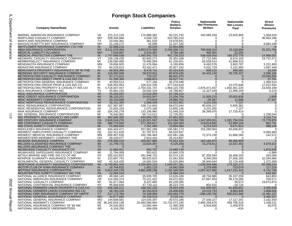| <b>Company Name/State</b>                                                       |                             | <b>Assets</b>                | Liabilities                  | <b>Policy</b><br><b>Holders</b><br><b>Surplus</b> | <b>Nationwide</b><br><b>Net Premiums</b><br>Written | <b>Nationwide</b><br><b>Net Losses</b><br>Paid | <b>Direct</b><br>Illinois<br><b>Premiums</b> |
|---------------------------------------------------------------------------------|-----------------------------|------------------------------|------------------------------|---------------------------------------------------|-----------------------------------------------------|------------------------------------------------|----------------------------------------------|
| MARKEL AMERICAN INSURANCE COMPANY                                               | <b>VA</b>                   | 221, 211, 124                | 170,989,382                  | 50,221,742                                        | 100,085,259                                         | 23,925,905                                     | 1,504,016                                    |
| MARYLAND CASUALTY COMPANY                                                       | MD                          | 328,344,940                  | 4,559,730                    | 323,785,210                                       | ი                                                   | ∩                                              | 36,063,186                                   |
| MARYLAND INSURANCE COMPANY                                                      | <b>TX</b><br>NΗ             | 20.040.361                   | 361.520<br>42.090            | 19.678.841                                        | $\Omega$<br>O                                       | $\Omega$<br>∩                                  |                                              |
| MASSACHUSETTS BAY INSURANCE COMPANY<br>MAYFLOWER INSURANCE COMPANY LTD THE      | IN                          | 21,149,272<br>22,988,210     | 43,324                       | 21,107,182<br>22,944,886                          | O                                                   |                                                | 9,083,198<br>-ĥ                              |
| <b>MBIA INSURANCE CORPORATION</b>                                               | <b>NY</b>                   | 9,211,579,304                | 6.053.570.589                | 3,158,008,715                                     | 706.848.310                                         | 10.119.684                                     | 25,321,766                                   |
| <b>MEDICAL LIABILITY ALLIANCE</b>                                               | <b>MO</b>                   | 7,010,667                    | 3,216,487                    | 3,794,180                                         | 465,901                                             | 52,250                                         |                                              |
| MEDICAL PROTECTIVE COMPANY THE<br>MEDMARC CASUALTY INSURANCE COMPANY            | IN<br>VT                    | 1,747,668,038                | 1,345,941,715                | 401,726,323                                       | 538,435,916                                         | 190,370,776                                    | 14,968,053                                   |
| MEMBERSELECT INSURANCE COMPANY                                                  | MI                          | 108,108,439<br>138,090,990   | 82,805,271<br>76,990,069     | 25,303,168<br>61,100,921                          | 27,722,565<br>65,559,514                            | 8,074,100<br>41,898,510                        | 19,752,572                                   |
| MENDAKOTA INSURANCE COMPANY                                                     | MN                          | 18,656,920                   | 12,476,064                   | 6,180,856                                         | 8,492,576                                           | 3,903,797                                      | 3,221,993                                    |
| MERASTAR INSURANCE COMPANY                                                      | <b>TN</b>                   | 64,229,813                   | 43,302,471                   | 20,927,342                                        | 5,031,729                                           | 3,101,950                                      | 1,867,449                                    |
| MERCHANTS PROPERTY INSURANCE C OF IN THE<br>MERIDIAN SECURITY INSURANCE COMPANY | IN<br>IN                    | 40,903,366<br>119,650,946    | 8,478,731<br>58,974,911      | 32,424,635<br>60,676,035                          | 508,215                                             | 396,062                                        | 10,259<br>2,095,166                          |
| METROPOLITAN CASUALTY INSURANCE COMPANY                                         | R <sub>1</sub>              | 67,171,611                   | 770,137                      | 66,401,474                                        | 34,402,140<br>$\Omega$                              | 25,735,337<br>$\Omega$                         | 15,634,935                                   |
| METROPOLITAN DIRECT PROP & CAS INS CO                                           | R <sub>l</sub>              | 41,206,364                   | 1.698.623                    | 39,507,741                                        | $\Omega$                                            | $\Omega$                                       | 37,761                                       |
| METROPOLITAN GENERAL INSURANCE COMPANY                                          | RI                          | 40,956,513                   | 677,166                      | 40,279,346                                        | 0                                                   | ∩                                              | 1,390,514                                    |
| METROPOLITAN GROUP PROP & CAS INS CO<br>METROPOLITAN PROPERTY & CASUALTY INS CO | R <sub>l</sub><br><b>RI</b> | 536,055,954<br>4,718,447,447 | 158,522,335                  | 377,533,619                                       | n<br>2,876,471,437                                  | 10,275,636<br>1,692,401,220                    | 17,612,554<br>23,934,189                     |
| MGA INSURANCE COMPANY INC                                                       | TX                          | 45,892,192                   | 2,754,331,747<br>29,092,334  | 1,964,115,700<br>16,799,857                       | 11,327,549                                          | 12,996,244                                     | 9,124                                        |
| <b>MGIC ASSURANCE CORPORATION</b>                                               | WI                          | 35,284,592                   | 12,516,380                   | 22,768,212                                        | $\Omega$                                            | ∩                                              |                                              |
| MGIC CREDIT ASSURANCE CORPORATION                                               | WI                          | 36,120,251                   | 14,915,547                   | 21,204,704                                        | 11,505,215                                          | 20,003,836                                     | 1,659                                        |
| <b>MGIC INDEMNITY CORPORATION</b><br>MGIC MORTGAGE REINSURANCE CORPORATION      | WI<br>WI                    | 20,154,586                   | 273,834                      | 19,880,752                                        | $-56,887$                                           | 11,989                                         | 37,327                                       |
| MGIC REINSURANCE CORPORATION                                                    | WI                          | 16,101,360<br>167,387,887    | 2,088,409<br>108.714.843     | 14,012,951<br>58.673.044                          | 3,231,055<br>60.639.237                             | 7,157<br>5.605.362                             |                                              |
| MGIC RESIDENTIAL REINSURANCE CORPORATION                                        | WI                          | 15,925,334                   | 2,070,188                    | 13,855,146                                        | 3,231,055                                           | 7,157                                          |                                              |
| MHA INSURANCE COMPANY                                                           | MI                          | 184,245,278                  | 133,196,960                  | 51,048,318                                        | 36,349,976                                          | 17,720,414                                     |                                              |
| MIC GENERAL INSURANCE CORPORATION                                               | MI                          | 79,440,962                   | 66.714.012                   | 12,726,951                                        | $\Omega$                                            | $\Omega$                                       | 1.338.044                                    |
| MIC PROPERTY AND CASUALTY INS CORP<br>MID CENTURY INSURANCE COMPANY             | MI<br>CA                    | 492,585,305<br>2,634,516,276 | 444,683,750<br>2,120,921,567 | 47,901,555<br>513,594,708                         | 0<br>1,547,650,911                                  | 1,281,754,034                                  | 3,118,714<br>72,778,978                      |
| MID CONTINENT CASUALTY COMPANY                                                  | OK                          | 388,774,920                  | 277,354,617                  | 111,420,303                                       | 219,814,802                                         | 52,994,103                                     | 862,751                                      |
| <b>MID STATE SURETY CORPORATION</b>                                             | MI                          | 21,065,834                   | 7,261,450                    | 13,804,384                                        | 6,215,533                                           | 9,671,913                                      | 588,149                                      |
| MIDDLESEX INSURANCE COMPANY                                                     | WI                          | 444,443,471                  | 307,962,299                  | 136,481,173                                       | 155,289,904                                         | 93,636,837                                     |                                              |
| MIDWEST EMPLOYERS CASUALTY COMPANY<br>MIDWEST MEDICAL INSURANCE COMPANY         | DE<br>MN                    | 192.321.620<br>268,467,630   | 97,787,673<br>165,786,464    | 94.533.947<br>102,681,166                         | n                                                   | O                                              | 6,083,483<br>142,572                         |
| MIDWESTERN INDEMNITY COMPANY THE                                                | OH                          | 28,329,077                   | 2,914,410                    | 25,414,667                                        | 72,373,150<br>0                                     | 31,806,284                                     |                                              |
| MILBANK INSURANCE COMPANY                                                       | <b>SD</b>                   | 276,580,419                  | 200,667,985                  | 75,912,434                                        | 183, 184, 975                                       | 96,356,859                                     |                                              |
| MILLERS CLASSIFIED INSURANCE COMPANY                                            | WI                          | 21,749,715                   | 13,624,357                   | 8,125,358                                         | 15,278,813                                          | 10,537,462                                     | 4,579,314                                    |
| MILLERS INSURANCE COMPANY THE                                                   | <b>TX</b>                   | n                            | <sup>0</sup>                 | ∩                                                 |                                                     |                                                |                                              |
| MILWAUKEE CASUALTY INSURANCE CO<br>MILWAUKEE SAFEGUARD INSURANCE COMPANY        | WI<br>WI                    | 11,680,451<br>11,794,009     | 994,702<br>953,631           | 10,685,749<br>10,840,378                          | $\Omega$<br>0                                       | $\Omega$<br>$\Omega$                           | 1,876,636<br>$-2,969$                        |
| MITSUI MARINE AND FIRE INS CO OF AM                                             | NY                          | 355,520,822                  | 291,946,702                  | 63,574,120                                        | 87,205,584                                          | 26,409,253                                     | 293,099                                      |
| MONROE GUARANTY INSURANCE COMPANY                                               | IN                          | 120,687,741                  | 99,625,815                   | 21,061,926                                        | 9,440,359                                           | 27,556,160                                     | 10,294,866                                   |
| MONUMENTAL GENERAL CASUALTY COMPANY                                             | <b>MD</b>                   | 42,318,428                   | 16,692,534                   | 25,625,894                                        | 26,940,644                                          | 15,719,448                                     | 1,372,069                                    |
| MORTGAGE GUARANTY INSURANCE CORPORATION<br>MOTOR CLUB OF IOWA INSURANCE COMPANY | WI<br>ΙA                    | 5,748,861,544<br>16,744,632  | 4,200,854,153<br>1,902,123   | 1,548,007,391<br>14,842,509                       | 1,038,504,890<br>2,279,456                          | 179,320,272<br>723,074                         | 62,599,243<br>117,216                        |
| <b>MOTORS INSURANCE CORPORATION</b>                                             | MI                          | 5,814,245,278                | 4,681,899,188                | 1,132,346,090                                     | 2,557,427,892                                       | 1,517,231,415                                  | 6,742,746                                    |
| MOUNTBATTEN SURETY COMPANY INC THE                                              | <b>PA</b>                   | 12,494,154                   |                              | 12,494,154                                        |                                                     |                                                | 643,367                                      |
| NATIONAL ALLIANCE INSURANCE COMPANY                                             | <b>MO</b>                   | 49,566,143                   | 35,939,705                   | 13,626,438                                        | 48,704,880                                          | 35,107,259                                     | 643,863                                      |
| NATIONAL AMERICAN INSURANCE COMPANY<br>NATIONAL CASUALTY COMPANY                | OK<br>WI                    | 114,294,374<br>91,677,060    | 70.221.422<br>6,437,665      | 44,072,952<br>85,239,395                          | 67,667,454<br>∩                                     | 36,179,265<br>38,573                           | 238,571<br>19,673,874                        |
| NATIONAL CONTINENTAL INSURANCE COMPANY                                          | NY                          | 95,956,836                   | 57,733,112                   | 38,223,724                                        | 802,531                                             | $-18,724$                                      |                                              |
| NATIONAL FARMERS UNION PROPERTY & CAS CO                                        | CO                          | 246,266,212                  | 169,342,103                  | 76,924,109                                        | 141,000,831                                         | 81,928,852                                     | 3,355,638                                    |
| NATIONAL FARMERS UNION STANDARD INS CO                                          | CO                          | 59,760,316                   | 30,353,623                   | 29,406,693                                        | 24,519,753                                          | 9,983,845                                      | 1,868,005                                    |
| NATIONAL FIRE INSURANCE COMPANY OF HARTF                                        | <b>CT</b><br><b>MO</b>      | 217, 173, 764                | 74,169,994<br>26,159,518     | 143,003,770                                       | –286,130,700                                        | 930,815,380                                    | 11,481,127                                   |
| NATIONAL GENERAL ASSURANCE COMPANY<br>NATIONAL GENERAL INSURANCE COMPANY        | <b>MO</b>                   | 34,677,680<br>144,608,581    | 114,035,397                  | 8,518,161<br>30,573,185                           | 27,030,227                                          | 17,117,201                                     | 3,460,227<br>2,162,550                       |
| NATIONAL INDEMNITY COMPANY                                                      | NE                          | 36, 192, 654, 148            | 20,460,580,963               | 15,732,073,185                                    | 2,666,258,676                                       | 458,795,516                                    | 1,508,511                                    |
| NATIONAL INSURANCE COMPANY OF WI INC                                            | WI                          | 24,545,803                   | 13,065,494                   | 11,480,308                                        | 6,918,600                                           | 2,458,976                                      | 40,076                                       |
| NATIONAL INSURANCE UNDERWRITERS                                                 | AR                          | 6,104,256                    | 494,059                      | 5,610,197                                         | 0                                                   | $-424$                                         |                                              |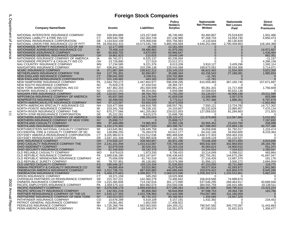| i,                      |
|-------------------------|
|                         |
|                         |
|                         |
|                         |
|                         |
|                         |
|                         |
| המונחות ונו הן והחווחות |
|                         |
|                         |
|                         |
| )<br>S                  |
|                         |
|                         |
|                         |
|                         |
|                         |
|                         |
|                         |
|                         |
|                         |
|                         |
|                         |
|                         |
|                         |
|                         |
|                         |
|                         |
|                         |
|                         |
|                         |
|                         |
|                         |
| j                       |
| Ï                       |

 $\Xi$ 

| NATIONAL INTERSTATE INSURANCE COMPANY<br>OН<br>159,904,889<br>123,157,949<br>36,746,940<br>83,483,807<br>25,519,620<br>1,931,466<br>NATIONAL LIABILITY & FIRE INS CO<br>СT<br>409,540,708<br>242,303,728<br>167,236,980<br>97,269,733<br>14,554,740<br>5,950,473<br>NATIONAL REINSURANCE CORPORATION<br><b>DE</b><br>1,134,824,109<br>479,068,046<br>655,756,063<br>$-4, 133, 644$<br>80,130,829<br>NATIONAL UNION FIRE INSURANCE CO OF PITT<br>PA<br>16,458,602,415<br>5,885,056,669<br>10,573,545,746<br>4,640,252,068<br>2,790,459,663<br>118,184,388<br>NATIONWIDE AFFINITY INSURANCE CO OF AM<br>ΚS<br>12,177,699<br>16,265<br>12,161,434<br>$\Omega$<br>0<br>NATIONWIDE AGRIBUSINESS INSURANCE CO<br>28,480,862<br>41,975,260<br>IA<br>70,456,118<br>$\Omega$<br>$\overline{0}$<br>14,971,607<br>NATIONWIDE ASSURANCE COMPANY<br>WI<br>65,836,705<br>4,870,060<br>60,966,647<br>1,436,464<br>$\Omega$<br>$\Omega$<br>NATIONWIDE GENERAL INSURANCE COMPANY<br>OH<br>19,861,823<br>215,625<br>19,646,199<br>$\Omega$<br>882,351<br>0<br>NATIONWIDE INSURANCE COMPANY OF AMERICA<br>66,762,071<br>6,525,137<br>60,236,934<br>$-11,157$<br>IA<br>0<br>0<br>NATIONWIDE PROPERTY & CASUALTY INS CO<br>OH<br>23,729,890<br>217,519<br>23,512,371<br>4,396,158<br>C<br>U<br>NAU COUNTRY INSURANCE COMPANY<br><b>MN</b><br>17.234.585<br>3,429,296<br>9.221.376<br>8,013,209<br>3,910,127<br>1,592,114<br>NAVIGATORS INSURANCE COMPANY<br>438,842,206<br>310,299,138<br>189,673,052<br>38,534,306<br>3,714,071<br>NY<br>128,543,069<br>NCMIC INSURANCE COMPANY<br>66,822,462<br>11,554,305<br>IA<br>371,967,364<br>238,822,212<br>133, 145, 153<br>3,822,350<br>NETHERLANDS INSURANCE COMPANY THE<br><b>NH</b><br>127,781,301<br>92,694,957<br>35,086,344<br>62,156,543<br>1,985,653<br>27,186,081<br><b>NEW ENGLAND INSURANCE COMPANY</b><br><b>CT</b><br>238,041,500<br>3,338,511<br>234,702,989<br>$-11,781$<br>0<br>NEW ENGLAND REINSURANCE CORPORATION<br><b>CT</b><br>101.100.482<br>100,657,300<br>443,182<br>$-11,781$<br>$\Omega$<br>NEW HAMPSHIRE INSURANCE COMPANY<br><b>PA</b><br>2,044,793,272<br>1,447,854,977<br>596,938,295<br>610,559,483<br>367, 165, 745<br>157,671,687<br>NEW SOUTH INSURANCE COMPANY<br><b>NC</b><br>75,829,278<br>47,434,532<br>28,394,747<br>n<br>NEW YORK MARINE AND GENERAL INS CO<br>165,961,254<br>447,462,203<br>281,500,949<br>90,261,331<br>NY<br>21,717,408<br>NEWARK INSURANCE COMPANY<br>105,013,152<br>99,354,062<br>NJ<br>5,659,088<br>24,508,634<br>85,632,138<br>NIAGARA FIRE INSURANCE COMPANY<br>DE<br>120,557,043<br>48,764,793<br>71,792,250<br>33,134,527<br>40,906,198<br>29,511,585<br>NIPPONKOA INSURANCE COMPANY OF AMERICA<br>NONPROFITS INSURANCE COMPANY<br>24,178,549<br>41,659,036<br>13,308,989<br>5,937,078<br>NY<br>65,837,585<br>603,988<br><b>MN</b><br>26,499,592<br>20,724,580<br>5,775,012<br>6,797,679<br>5,767,366<br>1,968,352<br>NORTH AMERICAN ELITE INSURANCE COMPANY<br>NH<br>97,123,587<br>63,650,529<br>33,473,058<br>$-1,652,662$<br>NORTH AMERICAN SPECIALTY INSURANCE CO<br>318,477,566<br>149,919,785<br>168,557,781<br>14,717,302<br>NΗ<br>7,550,121<br>13,724,782<br>NORTH POINTE INSURANCE COMPANY<br>103,341,709<br>79,238,102<br>24,103,607<br>50,232,628<br>23,980,957<br>7,470,134<br>МI<br>670,277,066<br>NORTH RIVER INSURANCE COMPANY THE<br><b>NJ</b><br>441,255,063<br>229,022,003<br>127,059,533<br>271,925<br>81,284,663<br>NORTH STAR REINSURANCE CORPORATION<br>25,222,281<br>15,606,706<br>DE<br>9,615,575<br>0<br>∩<br>0<br>NORTHERN ASSURANCE COMPANY OF AMERICA<br>437,383,496<br><b>MA</b><br>298,263,024<br>139,120,472<br>5,010,852<br>111,879,868<br>113,567,866<br>NORTHERN INSURANCE COMPANY OF NEW YORK<br>25,808,717<br>25,808,717<br><b>NY</b><br>7,197,832<br>$\Omega$<br>∩<br>NORTHLAND CASUALTY COMPANY<br>97,448,089<br>22,482,136<br>438,998<br><b>MN</b><br>74,965,953<br>50,955,452<br>23,422,784<br>NORTHLAND INSURANCE COMPANY<br>1,152,274,300<br>40,707,396<br>768,877,533<br>383,396,767<br>467,098,893<br>215,894,138<br><b>MN</b><br>NORTHWESTERN NATIONAL CASUALTY COMPANY<br>WI<br>143,645,961<br>4,196,203<br>1,216,474<br>139,449,758<br>16,656,606<br>61,792,017<br>OCCIDENTAL FIRE & CASUALTY COMPANY OF NC<br>139,896,255<br>76,284,078<br>63,612,177<br>64,242,146<br>34,650,600<br>8,233,363<br>NС<br>ODYSSEY AMERICA REINSURANCE CORPORATION<br><b>CT</b><br>3,205,980,674<br>2,215,512,036<br>990,468,638<br>1,439,172,303<br>559,463,318<br>ODYSSEY REINSURANCE CORPORATION<br>DE<br>1,047,101,328<br>559,985,628<br>487,115,700<br>18,649,129<br>131,233,527<br>OHIC INSURANCE COMPANY<br>OH<br>270,505,147<br>209,583,857<br>60,921,290<br>70,046,449<br>46,071,655<br>4,810,699<br>OHIO CASUALTY INSURANCE COMPANY THE<br>2,141,161,494<br>1,415,413,067<br>725,748,429<br>665,932,930<br>28,164,760<br>OH<br>342,893,654<br>OHIO INDEMNITY COMPANY<br>62,879,549<br>30,526,331<br>32,353,218<br>45,064,614<br>24,900,010<br>551,374<br>OH<br>OHIO SECURITY INSURANCE COMPANY<br>OH<br>62,346,600<br>34, 164, 223<br>14,244,554<br>7,334,623<br>2,280,047<br>28,182,376<br>OLD RELIABLE CASUALTY COMPANY<br>8,679,615<br>1,973,200<br>6,706,415<br>10,214,049<br>483,864<br>МO<br>5,098,012<br>OLD REPUBLIC INSURANCE COMPANY<br>PA<br>536,438,643<br>282,755,291<br>144,675,294<br>41,697,047<br>1,589,636,290<br>1,053,197,647<br>OLD REPUBLIC MINNEHOMA INSURANCE COMPANY<br>AZ<br>75,606,009<br>61,742,518<br>13,863,491<br>27,216,426<br>13,987,370<br>181,176<br>OLD REPUBLIC SURETY COMPANY<br>WI<br>45,128,582<br>33,579,369<br>2,694,959<br>78,707,951<br>31,956,121<br>3,500,272<br>OLD UNITED CASUALTY COMPANY<br>KS<br>186,646,167<br>155,110,334<br>31,535,833<br>67,153,050<br>35,721,990<br>119,775<br>OMAHA PROPERTY & CASUALTY INSURANCE CO<br><b>NE</b><br>94,695,454<br>41,679,492<br>42,593,972<br>1,941,963<br>53,015,962<br>59,577,824<br>ONEBEACON AMERICA INSURANCE COMPANY<br>1,312,736,731<br>867,650,882<br>445,085,849<br>319,976,422<br>324,804,076<br>8,945,288<br><b>MA</b><br>ONEBEACON INSURANCE COMPANY<br>3,399,852,771<br>2,068,523,098<br>5,882,933<br>5,468,375,863<br>1,208,302,574<br><b>PA</b><br>1,226,532,861<br>ORION INSURANCE COMPANY<br>19,025,908<br>СT<br>19,371,158<br>345,250<br>$\Omega$<br>∩<br>OVERSEAS PARTNERS US REINSURANCE COMPANY<br>DE<br>215,767,221<br>142,360,279<br>73,406,942<br>156,819,566<br>74,999,674<br><b>OWNERS INSURANCE COMPANY</b><br>OН<br>1,015,365,606<br>301,172,990<br>537,646,295<br>269,464,917<br>40,689,946<br>714,192,616<br>PACIFIC EMPLOYERS INSURANCE COMPANY<br>254,593,036<br>19,139,511<br>PA<br>1,059,575,110<br>804,982,074<br>384,555,759<br>146,915,480<br>PACIFIC INDEMNITY COMPANY<br>WI<br>3,376,936,179<br>2,699,649,915<br>677,286,264<br>1,260,367,690<br>506,795,914<br>13,423,224<br>PACIFIC SPECIALTY INSURANCE COMPANY<br>85,856,360<br>142,501,218<br>56,644,858<br>97,598,753<br>28,364,738<br>163,766<br>CA<br>PARTNER REINSURANCE COMPANY OF THE US<br><b>NY</b><br>1,022,706,963<br>512,420,390<br>1,535,127,353<br>754,007,965<br>311, 165, 059<br>PARTNERRE INSURANCE COMPANY OF NEW YORK<br>145,023,053<br>99,288,954<br>NY<br>45,734,102<br>1,308,686<br>24,947,329<br>PATHFINDER INSURANCE COMPANY<br>5,157,191<br>CO<br>10,676,299<br>5,519,108<br>1,432,392<br>0<br>PATRIOT GENERAL INSURANCE COMPANY<br>WI<br>1,652,559<br>19,061,481<br>17,408,922<br>O<br>O<br>PEERLESS INSURANCE COMPANY<br><b>NH</b><br>1,726,268,794<br>164,205,211<br>790.547.582<br>345.770.397<br>11,443,863<br>1,562,063,583<br>PENN AMERICA INSURANCE COMPANY<br><b>PA</b><br>228,807,949<br>118,546,074<br>110,261,875<br>87,530,510<br>31,631,513<br>1,306,477 | <b>Company Name/State</b> | <b>Assets</b> | Liabilities | <b>Policy</b><br><b>Holders</b><br><b>Surplus</b> | Nationwide<br><b>Net Premiums</b><br><b>Written</b> | Nationwide<br><b>Net Losses</b><br>Paid | Direct<br><b>Illinois</b><br><b>Premiums</b> |
|-------------------------------------------------------------------------------------------------------------------------------------------------------------------------------------------------------------------------------------------------------------------------------------------------------------------------------------------------------------------------------------------------------------------------------------------------------------------------------------------------------------------------------------------------------------------------------------------------------------------------------------------------------------------------------------------------------------------------------------------------------------------------------------------------------------------------------------------------------------------------------------------------------------------------------------------------------------------------------------------------------------------------------------------------------------------------------------------------------------------------------------------------------------------------------------------------------------------------------------------------------------------------------------------------------------------------------------------------------------------------------------------------------------------------------------------------------------------------------------------------------------------------------------------------------------------------------------------------------------------------------------------------------------------------------------------------------------------------------------------------------------------------------------------------------------------------------------------------------------------------------------------------------------------------------------------------------------------------------------------------------------------------------------------------------------------------------------------------------------------------------------------------------------------------------------------------------------------------------------------------------------------------------------------------------------------------------------------------------------------------------------------------------------------------------------------------------------------------------------------------------------------------------------------------------------------------------------------------------------------------------------------------------------------------------------------------------------------------------------------------------------------------------------------------------------------------------------------------------------------------------------------------------------------------------------------------------------------------------------------------------------------------------------------------------------------------------------------------------------------------------------------------------------------------------------------------------------------------------------------------------------------------------------------------------------------------------------------------------------------------------------------------------------------------------------------------------------------------------------------------------------------------------------------------------------------------------------------------------------------------------------------------------------------------------------------------------------------------------------------------------------------------------------------------------------------------------------------------------------------------------------------------------------------------------------------------------------------------------------------------------------------------------------------------------------------------------------------------------------------------------------------------------------------------------------------------------------------------------------------------------------------------------------------------------------------------------------------------------------------------------------------------------------------------------------------------------------------------------------------------------------------------------------------------------------------------------------------------------------------------------------------------------------------------------------------------------------------------------------------------------------------------------------------------------------------------------------------------------------------------------------------------------------------------------------------------------------------------------------------------------------------------------------------------------------------------------------------------------------------------------------------------------------------------------------------------------------------------------------------------------------------------------------------------------------------------------------------------------------------------------------------------------------------------------------------------------------------------------------------------------------------------------------------------------------------------------------------------------------------------------------------------------------------------------------------------------------------------------------------------------------------------------------------------------------------------------------------------------------------------------------------------------------------------------------------------------------------------------------------------------------------------------------------------------------------------------------------------------------------------------------------------------------------------------------------------------------------------------------------------------------------------------------------------------------------------------------------------------------------------------------------------------------------------------------------------------------------------------------------------------------------------------------------------------------------------------------------------------------------------------------------------------------------------------------------------------------------------------------------------------------------------------------------------------------------------------------------------------------------------------------------------------------------------------------------------------------------------------------------------------------------------------------------------------------------------------------------------------------------------------------------------------------------------------------------------------------------------------------------------------------------------------------------------------------------------------------------------------------------------------------------------------------------------------------------------------------------------------------------------------------------------------------------------------------------------------------------------------------------------------------------------------------------------------------------------------------------|---------------------------|---------------|-------------|---------------------------------------------------|-----------------------------------------------------|-----------------------------------------|----------------------------------------------|
| 1,756,609<br>234,453                                                                                                                                                                                                                                                                                                                                                                                                                                                                                                                                                                                                                                                                                                                                                                                                                                                                                                                                                                                                                                                                                                                                                                                                                                                                                                                                                                                                                                                                                                                                                                                                                                                                                                                                                                                                                                                                                                                                                                                                                                                                                                                                                                                                                                                                                                                                                                                                                                                                                                                                                                                                                                                                                                                                                                                                                                                                                                                                                                                                                                                                                                                                                                                                                                                                                                                                                                                                                                                                                                                                                                                                                                                                                                                                                                                                                                                                                                                                                                                                                                                                                                                                                                                                                                                                                                                                                                                                                                                                                                                                                                                                                                                                                                                                                                                                                                                                                                                                                                                                                                                                                                                                                                                                                                                                                                                                                                                                                                                                                                                                                                                                                                                                                                                                                                                                                                                                                                                                                                                                                                                                                                                                                                                                                                                                                                                                                                                                                                                                                                                                                                                                                                                                                                                                                                                                                                                                                                                                                                                                                                                                                                                                                                                                                                                                                                                                                                                                                                                                                                                                                                                                                                                                                              |                           |               |             |                                                   |                                                     |                                         |                                              |
|                                                                                                                                                                                                                                                                                                                                                                                                                                                                                                                                                                                                                                                                                                                                                                                                                                                                                                                                                                                                                                                                                                                                                                                                                                                                                                                                                                                                                                                                                                                                                                                                                                                                                                                                                                                                                                                                                                                                                                                                                                                                                                                                                                                                                                                                                                                                                                                                                                                                                                                                                                                                                                                                                                                                                                                                                                                                                                                                                                                                                                                                                                                                                                                                                                                                                                                                                                                                                                                                                                                                                                                                                                                                                                                                                                                                                                                                                                                                                                                                                                                                                                                                                                                                                                                                                                                                                                                                                                                                                                                                                                                                                                                                                                                                                                                                                                                                                                                                                                                                                                                                                                                                                                                                                                                                                                                                                                                                                                                                                                                                                                                                                                                                                                                                                                                                                                                                                                                                                                                                                                                                                                                                                                                                                                                                                                                                                                                                                                                                                                                                                                                                                                                                                                                                                                                                                                                                                                                                                                                                                                                                                                                                                                                                                                                                                                                                                                                                                                                                                                                                                                                                                                                                                                                   |                           |               |             |                                                   |                                                     |                                         |                                              |
|                                                                                                                                                                                                                                                                                                                                                                                                                                                                                                                                                                                                                                                                                                                                                                                                                                                                                                                                                                                                                                                                                                                                                                                                                                                                                                                                                                                                                                                                                                                                                                                                                                                                                                                                                                                                                                                                                                                                                                                                                                                                                                                                                                                                                                                                                                                                                                                                                                                                                                                                                                                                                                                                                                                                                                                                                                                                                                                                                                                                                                                                                                                                                                                                                                                                                                                                                                                                                                                                                                                                                                                                                                                                                                                                                                                                                                                                                                                                                                                                                                                                                                                                                                                                                                                                                                                                                                                                                                                                                                                                                                                                                                                                                                                                                                                                                                                                                                                                                                                                                                                                                                                                                                                                                                                                                                                                                                                                                                                                                                                                                                                                                                                                                                                                                                                                                                                                                                                                                                                                                                                                                                                                                                                                                                                                                                                                                                                                                                                                                                                                                                                                                                                                                                                                                                                                                                                                                                                                                                                                                                                                                                                                                                                                                                                                                                                                                                                                                                                                                                                                                                                                                                                                                                                   |                           |               |             |                                                   |                                                     |                                         |                                              |
|                                                                                                                                                                                                                                                                                                                                                                                                                                                                                                                                                                                                                                                                                                                                                                                                                                                                                                                                                                                                                                                                                                                                                                                                                                                                                                                                                                                                                                                                                                                                                                                                                                                                                                                                                                                                                                                                                                                                                                                                                                                                                                                                                                                                                                                                                                                                                                                                                                                                                                                                                                                                                                                                                                                                                                                                                                                                                                                                                                                                                                                                                                                                                                                                                                                                                                                                                                                                                                                                                                                                                                                                                                                                                                                                                                                                                                                                                                                                                                                                                                                                                                                                                                                                                                                                                                                                                                                                                                                                                                                                                                                                                                                                                                                                                                                                                                                                                                                                                                                                                                                                                                                                                                                                                                                                                                                                                                                                                                                                                                                                                                                                                                                                                                                                                                                                                                                                                                                                                                                                                                                                                                                                                                                                                                                                                                                                                                                                                                                                                                                                                                                                                                                                                                                                                                                                                                                                                                                                                                                                                                                                                                                                                                                                                                                                                                                                                                                                                                                                                                                                                                                                                                                                                                                   |                           |               |             |                                                   |                                                     |                                         |                                              |
|                                                                                                                                                                                                                                                                                                                                                                                                                                                                                                                                                                                                                                                                                                                                                                                                                                                                                                                                                                                                                                                                                                                                                                                                                                                                                                                                                                                                                                                                                                                                                                                                                                                                                                                                                                                                                                                                                                                                                                                                                                                                                                                                                                                                                                                                                                                                                                                                                                                                                                                                                                                                                                                                                                                                                                                                                                                                                                                                                                                                                                                                                                                                                                                                                                                                                                                                                                                                                                                                                                                                                                                                                                                                                                                                                                                                                                                                                                                                                                                                                                                                                                                                                                                                                                                                                                                                                                                                                                                                                                                                                                                                                                                                                                                                                                                                                                                                                                                                                                                                                                                                                                                                                                                                                                                                                                                                                                                                                                                                                                                                                                                                                                                                                                                                                                                                                                                                                                                                                                                                                                                                                                                                                                                                                                                                                                                                                                                                                                                                                                                                                                                                                                                                                                                                                                                                                                                                                                                                                                                                                                                                                                                                                                                                                                                                                                                                                                                                                                                                                                                                                                                                                                                                                                                   |                           |               |             |                                                   |                                                     |                                         |                                              |
|                                                                                                                                                                                                                                                                                                                                                                                                                                                                                                                                                                                                                                                                                                                                                                                                                                                                                                                                                                                                                                                                                                                                                                                                                                                                                                                                                                                                                                                                                                                                                                                                                                                                                                                                                                                                                                                                                                                                                                                                                                                                                                                                                                                                                                                                                                                                                                                                                                                                                                                                                                                                                                                                                                                                                                                                                                                                                                                                                                                                                                                                                                                                                                                                                                                                                                                                                                                                                                                                                                                                                                                                                                                                                                                                                                                                                                                                                                                                                                                                                                                                                                                                                                                                                                                                                                                                                                                                                                                                                                                                                                                                                                                                                                                                                                                                                                                                                                                                                                                                                                                                                                                                                                                                                                                                                                                                                                                                                                                                                                                                                                                                                                                                                                                                                                                                                                                                                                                                                                                                                                                                                                                                                                                                                                                                                                                                                                                                                                                                                                                                                                                                                                                                                                                                                                                                                                                                                                                                                                                                                                                                                                                                                                                                                                                                                                                                                                                                                                                                                                                                                                                                                                                                                                                   |                           |               |             |                                                   |                                                     |                                         |                                              |
|                                                                                                                                                                                                                                                                                                                                                                                                                                                                                                                                                                                                                                                                                                                                                                                                                                                                                                                                                                                                                                                                                                                                                                                                                                                                                                                                                                                                                                                                                                                                                                                                                                                                                                                                                                                                                                                                                                                                                                                                                                                                                                                                                                                                                                                                                                                                                                                                                                                                                                                                                                                                                                                                                                                                                                                                                                                                                                                                                                                                                                                                                                                                                                                                                                                                                                                                                                                                                                                                                                                                                                                                                                                                                                                                                                                                                                                                                                                                                                                                                                                                                                                                                                                                                                                                                                                                                                                                                                                                                                                                                                                                                                                                                                                                                                                                                                                                                                                                                                                                                                                                                                                                                                                                                                                                                                                                                                                                                                                                                                                                                                                                                                                                                                                                                                                                                                                                                                                                                                                                                                                                                                                                                                                                                                                                                                                                                                                                                                                                                                                                                                                                                                                                                                                                                                                                                                                                                                                                                                                                                                                                                                                                                                                                                                                                                                                                                                                                                                                                                                                                                                                                                                                                                                                   |                           |               |             |                                                   |                                                     |                                         |                                              |
|                                                                                                                                                                                                                                                                                                                                                                                                                                                                                                                                                                                                                                                                                                                                                                                                                                                                                                                                                                                                                                                                                                                                                                                                                                                                                                                                                                                                                                                                                                                                                                                                                                                                                                                                                                                                                                                                                                                                                                                                                                                                                                                                                                                                                                                                                                                                                                                                                                                                                                                                                                                                                                                                                                                                                                                                                                                                                                                                                                                                                                                                                                                                                                                                                                                                                                                                                                                                                                                                                                                                                                                                                                                                                                                                                                                                                                                                                                                                                                                                                                                                                                                                                                                                                                                                                                                                                                                                                                                                                                                                                                                                                                                                                                                                                                                                                                                                                                                                                                                                                                                                                                                                                                                                                                                                                                                                                                                                                                                                                                                                                                                                                                                                                                                                                                                                                                                                                                                                                                                                                                                                                                                                                                                                                                                                                                                                                                                                                                                                                                                                                                                                                                                                                                                                                                                                                                                                                                                                                                                                                                                                                                                                                                                                                                                                                                                                                                                                                                                                                                                                                                                                                                                                                                                   |                           |               |             |                                                   |                                                     |                                         |                                              |
|                                                                                                                                                                                                                                                                                                                                                                                                                                                                                                                                                                                                                                                                                                                                                                                                                                                                                                                                                                                                                                                                                                                                                                                                                                                                                                                                                                                                                                                                                                                                                                                                                                                                                                                                                                                                                                                                                                                                                                                                                                                                                                                                                                                                                                                                                                                                                                                                                                                                                                                                                                                                                                                                                                                                                                                                                                                                                                                                                                                                                                                                                                                                                                                                                                                                                                                                                                                                                                                                                                                                                                                                                                                                                                                                                                                                                                                                                                                                                                                                                                                                                                                                                                                                                                                                                                                                                                                                                                                                                                                                                                                                                                                                                                                                                                                                                                                                                                                                                                                                                                                                                                                                                                                                                                                                                                                                                                                                                                                                                                                                                                                                                                                                                                                                                                                                                                                                                                                                                                                                                                                                                                                                                                                                                                                                                                                                                                                                                                                                                                                                                                                                                                                                                                                                                                                                                                                                                                                                                                                                                                                                                                                                                                                                                                                                                                                                                                                                                                                                                                                                                                                                                                                                                                                   |                           |               |             |                                                   |                                                     |                                         |                                              |
|                                                                                                                                                                                                                                                                                                                                                                                                                                                                                                                                                                                                                                                                                                                                                                                                                                                                                                                                                                                                                                                                                                                                                                                                                                                                                                                                                                                                                                                                                                                                                                                                                                                                                                                                                                                                                                                                                                                                                                                                                                                                                                                                                                                                                                                                                                                                                                                                                                                                                                                                                                                                                                                                                                                                                                                                                                                                                                                                                                                                                                                                                                                                                                                                                                                                                                                                                                                                                                                                                                                                                                                                                                                                                                                                                                                                                                                                                                                                                                                                                                                                                                                                                                                                                                                                                                                                                                                                                                                                                                                                                                                                                                                                                                                                                                                                                                                                                                                                                                                                                                                                                                                                                                                                                                                                                                                                                                                                                                                                                                                                                                                                                                                                                                                                                                                                                                                                                                                                                                                                                                                                                                                                                                                                                                                                                                                                                                                                                                                                                                                                                                                                                                                                                                                                                                                                                                                                                                                                                                                                                                                                                                                                                                                                                                                                                                                                                                                                                                                                                                                                                                                                                                                                                                                   |                           |               |             |                                                   |                                                     |                                         |                                              |
|                                                                                                                                                                                                                                                                                                                                                                                                                                                                                                                                                                                                                                                                                                                                                                                                                                                                                                                                                                                                                                                                                                                                                                                                                                                                                                                                                                                                                                                                                                                                                                                                                                                                                                                                                                                                                                                                                                                                                                                                                                                                                                                                                                                                                                                                                                                                                                                                                                                                                                                                                                                                                                                                                                                                                                                                                                                                                                                                                                                                                                                                                                                                                                                                                                                                                                                                                                                                                                                                                                                                                                                                                                                                                                                                                                                                                                                                                                                                                                                                                                                                                                                                                                                                                                                                                                                                                                                                                                                                                                                                                                                                                                                                                                                                                                                                                                                                                                                                                                                                                                                                                                                                                                                                                                                                                                                                                                                                                                                                                                                                                                                                                                                                                                                                                                                                                                                                                                                                                                                                                                                                                                                                                                                                                                                                                                                                                                                                                                                                                                                                                                                                                                                                                                                                                                                                                                                                                                                                                                                                                                                                                                                                                                                                                                                                                                                                                                                                                                                                                                                                                                                                                                                                                                                   |                           |               |             |                                                   |                                                     |                                         |                                              |
|                                                                                                                                                                                                                                                                                                                                                                                                                                                                                                                                                                                                                                                                                                                                                                                                                                                                                                                                                                                                                                                                                                                                                                                                                                                                                                                                                                                                                                                                                                                                                                                                                                                                                                                                                                                                                                                                                                                                                                                                                                                                                                                                                                                                                                                                                                                                                                                                                                                                                                                                                                                                                                                                                                                                                                                                                                                                                                                                                                                                                                                                                                                                                                                                                                                                                                                                                                                                                                                                                                                                                                                                                                                                                                                                                                                                                                                                                                                                                                                                                                                                                                                                                                                                                                                                                                                                                                                                                                                                                                                                                                                                                                                                                                                                                                                                                                                                                                                                                                                                                                                                                                                                                                                                                                                                                                                                                                                                                                                                                                                                                                                                                                                                                                                                                                                                                                                                                                                                                                                                                                                                                                                                                                                                                                                                                                                                                                                                                                                                                                                                                                                                                                                                                                                                                                                                                                                                                                                                                                                                                                                                                                                                                                                                                                                                                                                                                                                                                                                                                                                                                                                                                                                                                                                   |                           |               |             |                                                   |                                                     |                                         |                                              |
|                                                                                                                                                                                                                                                                                                                                                                                                                                                                                                                                                                                                                                                                                                                                                                                                                                                                                                                                                                                                                                                                                                                                                                                                                                                                                                                                                                                                                                                                                                                                                                                                                                                                                                                                                                                                                                                                                                                                                                                                                                                                                                                                                                                                                                                                                                                                                                                                                                                                                                                                                                                                                                                                                                                                                                                                                                                                                                                                                                                                                                                                                                                                                                                                                                                                                                                                                                                                                                                                                                                                                                                                                                                                                                                                                                                                                                                                                                                                                                                                                                                                                                                                                                                                                                                                                                                                                                                                                                                                                                                                                                                                                                                                                                                                                                                                                                                                                                                                                                                                                                                                                                                                                                                                                                                                                                                                                                                                                                                                                                                                                                                                                                                                                                                                                                                                                                                                                                                                                                                                                                                                                                                                                                                                                                                                                                                                                                                                                                                                                                                                                                                                                                                                                                                                                                                                                                                                                                                                                                                                                                                                                                                                                                                                                                                                                                                                                                                                                                                                                                                                                                                                                                                                                                                   |                           |               |             |                                                   |                                                     |                                         |                                              |
|                                                                                                                                                                                                                                                                                                                                                                                                                                                                                                                                                                                                                                                                                                                                                                                                                                                                                                                                                                                                                                                                                                                                                                                                                                                                                                                                                                                                                                                                                                                                                                                                                                                                                                                                                                                                                                                                                                                                                                                                                                                                                                                                                                                                                                                                                                                                                                                                                                                                                                                                                                                                                                                                                                                                                                                                                                                                                                                                                                                                                                                                                                                                                                                                                                                                                                                                                                                                                                                                                                                                                                                                                                                                                                                                                                                                                                                                                                                                                                                                                                                                                                                                                                                                                                                                                                                                                                                                                                                                                                                                                                                                                                                                                                                                                                                                                                                                                                                                                                                                                                                                                                                                                                                                                                                                                                                                                                                                                                                                                                                                                                                                                                                                                                                                                                                                                                                                                                                                                                                                                                                                                                                                                                                                                                                                                                                                                                                                                                                                                                                                                                                                                                                                                                                                                                                                                                                                                                                                                                                                                                                                                                                                                                                                                                                                                                                                                                                                                                                                                                                                                                                                                                                                                                                   |                           |               |             |                                                   |                                                     |                                         |                                              |
|                                                                                                                                                                                                                                                                                                                                                                                                                                                                                                                                                                                                                                                                                                                                                                                                                                                                                                                                                                                                                                                                                                                                                                                                                                                                                                                                                                                                                                                                                                                                                                                                                                                                                                                                                                                                                                                                                                                                                                                                                                                                                                                                                                                                                                                                                                                                                                                                                                                                                                                                                                                                                                                                                                                                                                                                                                                                                                                                                                                                                                                                                                                                                                                                                                                                                                                                                                                                                                                                                                                                                                                                                                                                                                                                                                                                                                                                                                                                                                                                                                                                                                                                                                                                                                                                                                                                                                                                                                                                                                                                                                                                                                                                                                                                                                                                                                                                                                                                                                                                                                                                                                                                                                                                                                                                                                                                                                                                                                                                                                                                                                                                                                                                                                                                                                                                                                                                                                                                                                                                                                                                                                                                                                                                                                                                                                                                                                                                                                                                                                                                                                                                                                                                                                                                                                                                                                                                                                                                                                                                                                                                                                                                                                                                                                                                                                                                                                                                                                                                                                                                                                                                                                                                                                                   |                           |               |             |                                                   |                                                     |                                         |                                              |
|                                                                                                                                                                                                                                                                                                                                                                                                                                                                                                                                                                                                                                                                                                                                                                                                                                                                                                                                                                                                                                                                                                                                                                                                                                                                                                                                                                                                                                                                                                                                                                                                                                                                                                                                                                                                                                                                                                                                                                                                                                                                                                                                                                                                                                                                                                                                                                                                                                                                                                                                                                                                                                                                                                                                                                                                                                                                                                                                                                                                                                                                                                                                                                                                                                                                                                                                                                                                                                                                                                                                                                                                                                                                                                                                                                                                                                                                                                                                                                                                                                                                                                                                                                                                                                                                                                                                                                                                                                                                                                                                                                                                                                                                                                                                                                                                                                                                                                                                                                                                                                                                                                                                                                                                                                                                                                                                                                                                                                                                                                                                                                                                                                                                                                                                                                                                                                                                                                                                                                                                                                                                                                                                                                                                                                                                                                                                                                                                                                                                                                                                                                                                                                                                                                                                                                                                                                                                                                                                                                                                                                                                                                                                                                                                                                                                                                                                                                                                                                                                                                                                                                                                                                                                                                                   |                           |               |             |                                                   |                                                     |                                         |                                              |
|                                                                                                                                                                                                                                                                                                                                                                                                                                                                                                                                                                                                                                                                                                                                                                                                                                                                                                                                                                                                                                                                                                                                                                                                                                                                                                                                                                                                                                                                                                                                                                                                                                                                                                                                                                                                                                                                                                                                                                                                                                                                                                                                                                                                                                                                                                                                                                                                                                                                                                                                                                                                                                                                                                                                                                                                                                                                                                                                                                                                                                                                                                                                                                                                                                                                                                                                                                                                                                                                                                                                                                                                                                                                                                                                                                                                                                                                                                                                                                                                                                                                                                                                                                                                                                                                                                                                                                                                                                                                                                                                                                                                                                                                                                                                                                                                                                                                                                                                                                                                                                                                                                                                                                                                                                                                                                                                                                                                                                                                                                                                                                                                                                                                                                                                                                                                                                                                                                                                                                                                                                                                                                                                                                                                                                                                                                                                                                                                                                                                                                                                                                                                                                                                                                                                                                                                                                                                                                                                                                                                                                                                                                                                                                                                                                                                                                                                                                                                                                                                                                                                                                                                                                                                                                                   |                           |               |             |                                                   |                                                     |                                         |                                              |
|                                                                                                                                                                                                                                                                                                                                                                                                                                                                                                                                                                                                                                                                                                                                                                                                                                                                                                                                                                                                                                                                                                                                                                                                                                                                                                                                                                                                                                                                                                                                                                                                                                                                                                                                                                                                                                                                                                                                                                                                                                                                                                                                                                                                                                                                                                                                                                                                                                                                                                                                                                                                                                                                                                                                                                                                                                                                                                                                                                                                                                                                                                                                                                                                                                                                                                                                                                                                                                                                                                                                                                                                                                                                                                                                                                                                                                                                                                                                                                                                                                                                                                                                                                                                                                                                                                                                                                                                                                                                                                                                                                                                                                                                                                                                                                                                                                                                                                                                                                                                                                                                                                                                                                                                                                                                                                                                                                                                                                                                                                                                                                                                                                                                                                                                                                                                                                                                                                                                                                                                                                                                                                                                                                                                                                                                                                                                                                                                                                                                                                                                                                                                                                                                                                                                                                                                                                                                                                                                                                                                                                                                                                                                                                                                                                                                                                                                                                                                                                                                                                                                                                                                                                                                                                                   |                           |               |             |                                                   |                                                     |                                         |                                              |
|                                                                                                                                                                                                                                                                                                                                                                                                                                                                                                                                                                                                                                                                                                                                                                                                                                                                                                                                                                                                                                                                                                                                                                                                                                                                                                                                                                                                                                                                                                                                                                                                                                                                                                                                                                                                                                                                                                                                                                                                                                                                                                                                                                                                                                                                                                                                                                                                                                                                                                                                                                                                                                                                                                                                                                                                                                                                                                                                                                                                                                                                                                                                                                                                                                                                                                                                                                                                                                                                                                                                                                                                                                                                                                                                                                                                                                                                                                                                                                                                                                                                                                                                                                                                                                                                                                                                                                                                                                                                                                                                                                                                                                                                                                                                                                                                                                                                                                                                                                                                                                                                                                                                                                                                                                                                                                                                                                                                                                                                                                                                                                                                                                                                                                                                                                                                                                                                                                                                                                                                                                                                                                                                                                                                                                                                                                                                                                                                                                                                                                                                                                                                                                                                                                                                                                                                                                                                                                                                                                                                                                                                                                                                                                                                                                                                                                                                                                                                                                                                                                                                                                                                                                                                                                                   |                           |               |             |                                                   |                                                     |                                         |                                              |
|                                                                                                                                                                                                                                                                                                                                                                                                                                                                                                                                                                                                                                                                                                                                                                                                                                                                                                                                                                                                                                                                                                                                                                                                                                                                                                                                                                                                                                                                                                                                                                                                                                                                                                                                                                                                                                                                                                                                                                                                                                                                                                                                                                                                                                                                                                                                                                                                                                                                                                                                                                                                                                                                                                                                                                                                                                                                                                                                                                                                                                                                                                                                                                                                                                                                                                                                                                                                                                                                                                                                                                                                                                                                                                                                                                                                                                                                                                                                                                                                                                                                                                                                                                                                                                                                                                                                                                                                                                                                                                                                                                                                                                                                                                                                                                                                                                                                                                                                                                                                                                                                                                                                                                                                                                                                                                                                                                                                                                                                                                                                                                                                                                                                                                                                                                                                                                                                                                                                                                                                                                                                                                                                                                                                                                                                                                                                                                                                                                                                                                                                                                                                                                                                                                                                                                                                                                                                                                                                                                                                                                                                                                                                                                                                                                                                                                                                                                                                                                                                                                                                                                                                                                                                                                                   |                           |               |             |                                                   |                                                     |                                         |                                              |
|                                                                                                                                                                                                                                                                                                                                                                                                                                                                                                                                                                                                                                                                                                                                                                                                                                                                                                                                                                                                                                                                                                                                                                                                                                                                                                                                                                                                                                                                                                                                                                                                                                                                                                                                                                                                                                                                                                                                                                                                                                                                                                                                                                                                                                                                                                                                                                                                                                                                                                                                                                                                                                                                                                                                                                                                                                                                                                                                                                                                                                                                                                                                                                                                                                                                                                                                                                                                                                                                                                                                                                                                                                                                                                                                                                                                                                                                                                                                                                                                                                                                                                                                                                                                                                                                                                                                                                                                                                                                                                                                                                                                                                                                                                                                                                                                                                                                                                                                                                                                                                                                                                                                                                                                                                                                                                                                                                                                                                                                                                                                                                                                                                                                                                                                                                                                                                                                                                                                                                                                                                                                                                                                                                                                                                                                                                                                                                                                                                                                                                                                                                                                                                                                                                                                                                                                                                                                                                                                                                                                                                                                                                                                                                                                                                                                                                                                                                                                                                                                                                                                                                                                                                                                                                                   |                           |               |             |                                                   |                                                     |                                         |                                              |
|                                                                                                                                                                                                                                                                                                                                                                                                                                                                                                                                                                                                                                                                                                                                                                                                                                                                                                                                                                                                                                                                                                                                                                                                                                                                                                                                                                                                                                                                                                                                                                                                                                                                                                                                                                                                                                                                                                                                                                                                                                                                                                                                                                                                                                                                                                                                                                                                                                                                                                                                                                                                                                                                                                                                                                                                                                                                                                                                                                                                                                                                                                                                                                                                                                                                                                                                                                                                                                                                                                                                                                                                                                                                                                                                                                                                                                                                                                                                                                                                                                                                                                                                                                                                                                                                                                                                                                                                                                                                                                                                                                                                                                                                                                                                                                                                                                                                                                                                                                                                                                                                                                                                                                                                                                                                                                                                                                                                                                                                                                                                                                                                                                                                                                                                                                                                                                                                                                                                                                                                                                                                                                                                                                                                                                                                                                                                                                                                                                                                                                                                                                                                                                                                                                                                                                                                                                                                                                                                                                                                                                                                                                                                                                                                                                                                                                                                                                                                                                                                                                                                                                                                                                                                                                                   |                           |               |             |                                                   |                                                     |                                         |                                              |
|                                                                                                                                                                                                                                                                                                                                                                                                                                                                                                                                                                                                                                                                                                                                                                                                                                                                                                                                                                                                                                                                                                                                                                                                                                                                                                                                                                                                                                                                                                                                                                                                                                                                                                                                                                                                                                                                                                                                                                                                                                                                                                                                                                                                                                                                                                                                                                                                                                                                                                                                                                                                                                                                                                                                                                                                                                                                                                                                                                                                                                                                                                                                                                                                                                                                                                                                                                                                                                                                                                                                                                                                                                                                                                                                                                                                                                                                                                                                                                                                                                                                                                                                                                                                                                                                                                                                                                                                                                                                                                                                                                                                                                                                                                                                                                                                                                                                                                                                                                                                                                                                                                                                                                                                                                                                                                                                                                                                                                                                                                                                                                                                                                                                                                                                                                                                                                                                                                                                                                                                                                                                                                                                                                                                                                                                                                                                                                                                                                                                                                                                                                                                                                                                                                                                                                                                                                                                                                                                                                                                                                                                                                                                                                                                                                                                                                                                                                                                                                                                                                                                                                                                                                                                                                                   |                           |               |             |                                                   |                                                     |                                         |                                              |
|                                                                                                                                                                                                                                                                                                                                                                                                                                                                                                                                                                                                                                                                                                                                                                                                                                                                                                                                                                                                                                                                                                                                                                                                                                                                                                                                                                                                                                                                                                                                                                                                                                                                                                                                                                                                                                                                                                                                                                                                                                                                                                                                                                                                                                                                                                                                                                                                                                                                                                                                                                                                                                                                                                                                                                                                                                                                                                                                                                                                                                                                                                                                                                                                                                                                                                                                                                                                                                                                                                                                                                                                                                                                                                                                                                                                                                                                                                                                                                                                                                                                                                                                                                                                                                                                                                                                                                                                                                                                                                                                                                                                                                                                                                                                                                                                                                                                                                                                                                                                                                                                                                                                                                                                                                                                                                                                                                                                                                                                                                                                                                                                                                                                                                                                                                                                                                                                                                                                                                                                                                                                                                                                                                                                                                                                                                                                                                                                                                                                                                                                                                                                                                                                                                                                                                                                                                                                                                                                                                                                                                                                                                                                                                                                                                                                                                                                                                                                                                                                                                                                                                                                                                                                                                                   |                           |               |             |                                                   |                                                     |                                         |                                              |
|                                                                                                                                                                                                                                                                                                                                                                                                                                                                                                                                                                                                                                                                                                                                                                                                                                                                                                                                                                                                                                                                                                                                                                                                                                                                                                                                                                                                                                                                                                                                                                                                                                                                                                                                                                                                                                                                                                                                                                                                                                                                                                                                                                                                                                                                                                                                                                                                                                                                                                                                                                                                                                                                                                                                                                                                                                                                                                                                                                                                                                                                                                                                                                                                                                                                                                                                                                                                                                                                                                                                                                                                                                                                                                                                                                                                                                                                                                                                                                                                                                                                                                                                                                                                                                                                                                                                                                                                                                                                                                                                                                                                                                                                                                                                                                                                                                                                                                                                                                                                                                                                                                                                                                                                                                                                                                                                                                                                                                                                                                                                                                                                                                                                                                                                                                                                                                                                                                                                                                                                                                                                                                                                                                                                                                                                                                                                                                                                                                                                                                                                                                                                                                                                                                                                                                                                                                                                                                                                                                                                                                                                                                                                                                                                                                                                                                                                                                                                                                                                                                                                                                                                                                                                                                                   |                           |               |             |                                                   |                                                     |                                         |                                              |
|                                                                                                                                                                                                                                                                                                                                                                                                                                                                                                                                                                                                                                                                                                                                                                                                                                                                                                                                                                                                                                                                                                                                                                                                                                                                                                                                                                                                                                                                                                                                                                                                                                                                                                                                                                                                                                                                                                                                                                                                                                                                                                                                                                                                                                                                                                                                                                                                                                                                                                                                                                                                                                                                                                                                                                                                                                                                                                                                                                                                                                                                                                                                                                                                                                                                                                                                                                                                                                                                                                                                                                                                                                                                                                                                                                                                                                                                                                                                                                                                                                                                                                                                                                                                                                                                                                                                                                                                                                                                                                                                                                                                                                                                                                                                                                                                                                                                                                                                                                                                                                                                                                                                                                                                                                                                                                                                                                                                                                                                                                                                                                                                                                                                                                                                                                                                                                                                                                                                                                                                                                                                                                                                                                                                                                                                                                                                                                                                                                                                                                                                                                                                                                                                                                                                                                                                                                                                                                                                                                                                                                                                                                                                                                                                                                                                                                                                                                                                                                                                                                                                                                                                                                                                                                                   |                           |               |             |                                                   |                                                     |                                         |                                              |
|                                                                                                                                                                                                                                                                                                                                                                                                                                                                                                                                                                                                                                                                                                                                                                                                                                                                                                                                                                                                                                                                                                                                                                                                                                                                                                                                                                                                                                                                                                                                                                                                                                                                                                                                                                                                                                                                                                                                                                                                                                                                                                                                                                                                                                                                                                                                                                                                                                                                                                                                                                                                                                                                                                                                                                                                                                                                                                                                                                                                                                                                                                                                                                                                                                                                                                                                                                                                                                                                                                                                                                                                                                                                                                                                                                                                                                                                                                                                                                                                                                                                                                                                                                                                                                                                                                                                                                                                                                                                                                                                                                                                                                                                                                                                                                                                                                                                                                                                                                                                                                                                                                                                                                                                                                                                                                                                                                                                                                                                                                                                                                                                                                                                                                                                                                                                                                                                                                                                                                                                                                                                                                                                                                                                                                                                                                                                                                                                                                                                                                                                                                                                                                                                                                                                                                                                                                                                                                                                                                                                                                                                                                                                                                                                                                                                                                                                                                                                                                                                                                                                                                                                                                                                                                                   |                           |               |             |                                                   |                                                     |                                         |                                              |
|                                                                                                                                                                                                                                                                                                                                                                                                                                                                                                                                                                                                                                                                                                                                                                                                                                                                                                                                                                                                                                                                                                                                                                                                                                                                                                                                                                                                                                                                                                                                                                                                                                                                                                                                                                                                                                                                                                                                                                                                                                                                                                                                                                                                                                                                                                                                                                                                                                                                                                                                                                                                                                                                                                                                                                                                                                                                                                                                                                                                                                                                                                                                                                                                                                                                                                                                                                                                                                                                                                                                                                                                                                                                                                                                                                                                                                                                                                                                                                                                                                                                                                                                                                                                                                                                                                                                                                                                                                                                                                                                                                                                                                                                                                                                                                                                                                                                                                                                                                                                                                                                                                                                                                                                                                                                                                                                                                                                                                                                                                                                                                                                                                                                                                                                                                                                                                                                                                                                                                                                                                                                                                                                                                                                                                                                                                                                                                                                                                                                                                                                                                                                                                                                                                                                                                                                                                                                                                                                                                                                                                                                                                                                                                                                                                                                                                                                                                                                                                                                                                                                                                                                                                                                                                                   |                           |               |             |                                                   |                                                     |                                         |                                              |
|                                                                                                                                                                                                                                                                                                                                                                                                                                                                                                                                                                                                                                                                                                                                                                                                                                                                                                                                                                                                                                                                                                                                                                                                                                                                                                                                                                                                                                                                                                                                                                                                                                                                                                                                                                                                                                                                                                                                                                                                                                                                                                                                                                                                                                                                                                                                                                                                                                                                                                                                                                                                                                                                                                                                                                                                                                                                                                                                                                                                                                                                                                                                                                                                                                                                                                                                                                                                                                                                                                                                                                                                                                                                                                                                                                                                                                                                                                                                                                                                                                                                                                                                                                                                                                                                                                                                                                                                                                                                                                                                                                                                                                                                                                                                                                                                                                                                                                                                                                                                                                                                                                                                                                                                                                                                                                                                                                                                                                                                                                                                                                                                                                                                                                                                                                                                                                                                                                                                                                                                                                                                                                                                                                                                                                                                                                                                                                                                                                                                                                                                                                                                                                                                                                                                                                                                                                                                                                                                                                                                                                                                                                                                                                                                                                                                                                                                                                                                                                                                                                                                                                                                                                                                                                                   |                           |               |             |                                                   |                                                     |                                         |                                              |
|                                                                                                                                                                                                                                                                                                                                                                                                                                                                                                                                                                                                                                                                                                                                                                                                                                                                                                                                                                                                                                                                                                                                                                                                                                                                                                                                                                                                                                                                                                                                                                                                                                                                                                                                                                                                                                                                                                                                                                                                                                                                                                                                                                                                                                                                                                                                                                                                                                                                                                                                                                                                                                                                                                                                                                                                                                                                                                                                                                                                                                                                                                                                                                                                                                                                                                                                                                                                                                                                                                                                                                                                                                                                                                                                                                                                                                                                                                                                                                                                                                                                                                                                                                                                                                                                                                                                                                                                                                                                                                                                                                                                                                                                                                                                                                                                                                                                                                                                                                                                                                                                                                                                                                                                                                                                                                                                                                                                                                                                                                                                                                                                                                                                                                                                                                                                                                                                                                                                                                                                                                                                                                                                                                                                                                                                                                                                                                                                                                                                                                                                                                                                                                                                                                                                                                                                                                                                                                                                                                                                                                                                                                                                                                                                                                                                                                                                                                                                                                                                                                                                                                                                                                                                                                                   |                           |               |             |                                                   |                                                     |                                         |                                              |
|                                                                                                                                                                                                                                                                                                                                                                                                                                                                                                                                                                                                                                                                                                                                                                                                                                                                                                                                                                                                                                                                                                                                                                                                                                                                                                                                                                                                                                                                                                                                                                                                                                                                                                                                                                                                                                                                                                                                                                                                                                                                                                                                                                                                                                                                                                                                                                                                                                                                                                                                                                                                                                                                                                                                                                                                                                                                                                                                                                                                                                                                                                                                                                                                                                                                                                                                                                                                                                                                                                                                                                                                                                                                                                                                                                                                                                                                                                                                                                                                                                                                                                                                                                                                                                                                                                                                                                                                                                                                                                                                                                                                                                                                                                                                                                                                                                                                                                                                                                                                                                                                                                                                                                                                                                                                                                                                                                                                                                                                                                                                                                                                                                                                                                                                                                                                                                                                                                                                                                                                                                                                                                                                                                                                                                                                                                                                                                                                                                                                                                                                                                                                                                                                                                                                                                                                                                                                                                                                                                                                                                                                                                                                                                                                                                                                                                                                                                                                                                                                                                                                                                                                                                                                                                                   |                           |               |             |                                                   |                                                     |                                         |                                              |
|                                                                                                                                                                                                                                                                                                                                                                                                                                                                                                                                                                                                                                                                                                                                                                                                                                                                                                                                                                                                                                                                                                                                                                                                                                                                                                                                                                                                                                                                                                                                                                                                                                                                                                                                                                                                                                                                                                                                                                                                                                                                                                                                                                                                                                                                                                                                                                                                                                                                                                                                                                                                                                                                                                                                                                                                                                                                                                                                                                                                                                                                                                                                                                                                                                                                                                                                                                                                                                                                                                                                                                                                                                                                                                                                                                                                                                                                                                                                                                                                                                                                                                                                                                                                                                                                                                                                                                                                                                                                                                                                                                                                                                                                                                                                                                                                                                                                                                                                                                                                                                                                                                                                                                                                                                                                                                                                                                                                                                                                                                                                                                                                                                                                                                                                                                                                                                                                                                                                                                                                                                                                                                                                                                                                                                                                                                                                                                                                                                                                                                                                                                                                                                                                                                                                                                                                                                                                                                                                                                                                                                                                                                                                                                                                                                                                                                                                                                                                                                                                                                                                                                                                                                                                                                                   |                           |               |             |                                                   |                                                     |                                         |                                              |
|                                                                                                                                                                                                                                                                                                                                                                                                                                                                                                                                                                                                                                                                                                                                                                                                                                                                                                                                                                                                                                                                                                                                                                                                                                                                                                                                                                                                                                                                                                                                                                                                                                                                                                                                                                                                                                                                                                                                                                                                                                                                                                                                                                                                                                                                                                                                                                                                                                                                                                                                                                                                                                                                                                                                                                                                                                                                                                                                                                                                                                                                                                                                                                                                                                                                                                                                                                                                                                                                                                                                                                                                                                                                                                                                                                                                                                                                                                                                                                                                                                                                                                                                                                                                                                                                                                                                                                                                                                                                                                                                                                                                                                                                                                                                                                                                                                                                                                                                                                                                                                                                                                                                                                                                                                                                                                                                                                                                                                                                                                                                                                                                                                                                                                                                                                                                                                                                                                                                                                                                                                                                                                                                                                                                                                                                                                                                                                                                                                                                                                                                                                                                                                                                                                                                                                                                                                                                                                                                                                                                                                                                                                                                                                                                                                                                                                                                                                                                                                                                                                                                                                                                                                                                                                                   |                           |               |             |                                                   |                                                     |                                         |                                              |
|                                                                                                                                                                                                                                                                                                                                                                                                                                                                                                                                                                                                                                                                                                                                                                                                                                                                                                                                                                                                                                                                                                                                                                                                                                                                                                                                                                                                                                                                                                                                                                                                                                                                                                                                                                                                                                                                                                                                                                                                                                                                                                                                                                                                                                                                                                                                                                                                                                                                                                                                                                                                                                                                                                                                                                                                                                                                                                                                                                                                                                                                                                                                                                                                                                                                                                                                                                                                                                                                                                                                                                                                                                                                                                                                                                                                                                                                                                                                                                                                                                                                                                                                                                                                                                                                                                                                                                                                                                                                                                                                                                                                                                                                                                                                                                                                                                                                                                                                                                                                                                                                                                                                                                                                                                                                                                                                                                                                                                                                                                                                                                                                                                                                                                                                                                                                                                                                                                                                                                                                                                                                                                                                                                                                                                                                                                                                                                                                                                                                                                                                                                                                                                                                                                                                                                                                                                                                                                                                                                                                                                                                                                                                                                                                                                                                                                                                                                                                                                                                                                                                                                                                                                                                                                                   |                           |               |             |                                                   |                                                     |                                         |                                              |
|                                                                                                                                                                                                                                                                                                                                                                                                                                                                                                                                                                                                                                                                                                                                                                                                                                                                                                                                                                                                                                                                                                                                                                                                                                                                                                                                                                                                                                                                                                                                                                                                                                                                                                                                                                                                                                                                                                                                                                                                                                                                                                                                                                                                                                                                                                                                                                                                                                                                                                                                                                                                                                                                                                                                                                                                                                                                                                                                                                                                                                                                                                                                                                                                                                                                                                                                                                                                                                                                                                                                                                                                                                                                                                                                                                                                                                                                                                                                                                                                                                                                                                                                                                                                                                                                                                                                                                                                                                                                                                                                                                                                                                                                                                                                                                                                                                                                                                                                                                                                                                                                                                                                                                                                                                                                                                                                                                                                                                                                                                                                                                                                                                                                                                                                                                                                                                                                                                                                                                                                                                                                                                                                                                                                                                                                                                                                                                                                                                                                                                                                                                                                                                                                                                                                                                                                                                                                                                                                                                                                                                                                                                                                                                                                                                                                                                                                                                                                                                                                                                                                                                                                                                                                                                                   |                           |               |             |                                                   |                                                     |                                         |                                              |
|                                                                                                                                                                                                                                                                                                                                                                                                                                                                                                                                                                                                                                                                                                                                                                                                                                                                                                                                                                                                                                                                                                                                                                                                                                                                                                                                                                                                                                                                                                                                                                                                                                                                                                                                                                                                                                                                                                                                                                                                                                                                                                                                                                                                                                                                                                                                                                                                                                                                                                                                                                                                                                                                                                                                                                                                                                                                                                                                                                                                                                                                                                                                                                                                                                                                                                                                                                                                                                                                                                                                                                                                                                                                                                                                                                                                                                                                                                                                                                                                                                                                                                                                                                                                                                                                                                                                                                                                                                                                                                                                                                                                                                                                                                                                                                                                                                                                                                                                                                                                                                                                                                                                                                                                                                                                                                                                                                                                                                                                                                                                                                                                                                                                                                                                                                                                                                                                                                                                                                                                                                                                                                                                                                                                                                                                                                                                                                                                                                                                                                                                                                                                                                                                                                                                                                                                                                                                                                                                                                                                                                                                                                                                                                                                                                                                                                                                                                                                                                                                                                                                                                                                                                                                                                                   |                           |               |             |                                                   |                                                     |                                         |                                              |
|                                                                                                                                                                                                                                                                                                                                                                                                                                                                                                                                                                                                                                                                                                                                                                                                                                                                                                                                                                                                                                                                                                                                                                                                                                                                                                                                                                                                                                                                                                                                                                                                                                                                                                                                                                                                                                                                                                                                                                                                                                                                                                                                                                                                                                                                                                                                                                                                                                                                                                                                                                                                                                                                                                                                                                                                                                                                                                                                                                                                                                                                                                                                                                                                                                                                                                                                                                                                                                                                                                                                                                                                                                                                                                                                                                                                                                                                                                                                                                                                                                                                                                                                                                                                                                                                                                                                                                                                                                                                                                                                                                                                                                                                                                                                                                                                                                                                                                                                                                                                                                                                                                                                                                                                                                                                                                                                                                                                                                                                                                                                                                                                                                                                                                                                                                                                                                                                                                                                                                                                                                                                                                                                                                                                                                                                                                                                                                                                                                                                                                                                                                                                                                                                                                                                                                                                                                                                                                                                                                                                                                                                                                                                                                                                                                                                                                                                                                                                                                                                                                                                                                                                                                                                                                                   |                           |               |             |                                                   |                                                     |                                         |                                              |
|                                                                                                                                                                                                                                                                                                                                                                                                                                                                                                                                                                                                                                                                                                                                                                                                                                                                                                                                                                                                                                                                                                                                                                                                                                                                                                                                                                                                                                                                                                                                                                                                                                                                                                                                                                                                                                                                                                                                                                                                                                                                                                                                                                                                                                                                                                                                                                                                                                                                                                                                                                                                                                                                                                                                                                                                                                                                                                                                                                                                                                                                                                                                                                                                                                                                                                                                                                                                                                                                                                                                                                                                                                                                                                                                                                                                                                                                                                                                                                                                                                                                                                                                                                                                                                                                                                                                                                                                                                                                                                                                                                                                                                                                                                                                                                                                                                                                                                                                                                                                                                                                                                                                                                                                                                                                                                                                                                                                                                                                                                                                                                                                                                                                                                                                                                                                                                                                                                                                                                                                                                                                                                                                                                                                                                                                                                                                                                                                                                                                                                                                                                                                                                                                                                                                                                                                                                                                                                                                                                                                                                                                                                                                                                                                                                                                                                                                                                                                                                                                                                                                                                                                                                                                                                                   |                           |               |             |                                                   |                                                     |                                         |                                              |
|                                                                                                                                                                                                                                                                                                                                                                                                                                                                                                                                                                                                                                                                                                                                                                                                                                                                                                                                                                                                                                                                                                                                                                                                                                                                                                                                                                                                                                                                                                                                                                                                                                                                                                                                                                                                                                                                                                                                                                                                                                                                                                                                                                                                                                                                                                                                                                                                                                                                                                                                                                                                                                                                                                                                                                                                                                                                                                                                                                                                                                                                                                                                                                                                                                                                                                                                                                                                                                                                                                                                                                                                                                                                                                                                                                                                                                                                                                                                                                                                                                                                                                                                                                                                                                                                                                                                                                                                                                                                                                                                                                                                                                                                                                                                                                                                                                                                                                                                                                                                                                                                                                                                                                                                                                                                                                                                                                                                                                                                                                                                                                                                                                                                                                                                                                                                                                                                                                                                                                                                                                                                                                                                                                                                                                                                                                                                                                                                                                                                                                                                                                                                                                                                                                                                                                                                                                                                                                                                                                                                                                                                                                                                                                                                                                                                                                                                                                                                                                                                                                                                                                                                                                                                                                                   |                           |               |             |                                                   |                                                     |                                         |                                              |
|                                                                                                                                                                                                                                                                                                                                                                                                                                                                                                                                                                                                                                                                                                                                                                                                                                                                                                                                                                                                                                                                                                                                                                                                                                                                                                                                                                                                                                                                                                                                                                                                                                                                                                                                                                                                                                                                                                                                                                                                                                                                                                                                                                                                                                                                                                                                                                                                                                                                                                                                                                                                                                                                                                                                                                                                                                                                                                                                                                                                                                                                                                                                                                                                                                                                                                                                                                                                                                                                                                                                                                                                                                                                                                                                                                                                                                                                                                                                                                                                                                                                                                                                                                                                                                                                                                                                                                                                                                                                                                                                                                                                                                                                                                                                                                                                                                                                                                                                                                                                                                                                                                                                                                                                                                                                                                                                                                                                                                                                                                                                                                                                                                                                                                                                                                                                                                                                                                                                                                                                                                                                                                                                                                                                                                                                                                                                                                                                                                                                                                                                                                                                                                                                                                                                                                                                                                                                                                                                                                                                                                                                                                                                                                                                                                                                                                                                                                                                                                                                                                                                                                                                                                                                                                                   |                           |               |             |                                                   |                                                     |                                         |                                              |
|                                                                                                                                                                                                                                                                                                                                                                                                                                                                                                                                                                                                                                                                                                                                                                                                                                                                                                                                                                                                                                                                                                                                                                                                                                                                                                                                                                                                                                                                                                                                                                                                                                                                                                                                                                                                                                                                                                                                                                                                                                                                                                                                                                                                                                                                                                                                                                                                                                                                                                                                                                                                                                                                                                                                                                                                                                                                                                                                                                                                                                                                                                                                                                                                                                                                                                                                                                                                                                                                                                                                                                                                                                                                                                                                                                                                                                                                                                                                                                                                                                                                                                                                                                                                                                                                                                                                                                                                                                                                                                                                                                                                                                                                                                                                                                                                                                                                                                                                                                                                                                                                                                                                                                                                                                                                                                                                                                                                                                                                                                                                                                                                                                                                                                                                                                                                                                                                                                                                                                                                                                                                                                                                                                                                                                                                                                                                                                                                                                                                                                                                                                                                                                                                                                                                                                                                                                                                                                                                                                                                                                                                                                                                                                                                                                                                                                                                                                                                                                                                                                                                                                                                                                                                                                                   |                           |               |             |                                                   |                                                     |                                         |                                              |
|                                                                                                                                                                                                                                                                                                                                                                                                                                                                                                                                                                                                                                                                                                                                                                                                                                                                                                                                                                                                                                                                                                                                                                                                                                                                                                                                                                                                                                                                                                                                                                                                                                                                                                                                                                                                                                                                                                                                                                                                                                                                                                                                                                                                                                                                                                                                                                                                                                                                                                                                                                                                                                                                                                                                                                                                                                                                                                                                                                                                                                                                                                                                                                                                                                                                                                                                                                                                                                                                                                                                                                                                                                                                                                                                                                                                                                                                                                                                                                                                                                                                                                                                                                                                                                                                                                                                                                                                                                                                                                                                                                                                                                                                                                                                                                                                                                                                                                                                                                                                                                                                                                                                                                                                                                                                                                                                                                                                                                                                                                                                                                                                                                                                                                                                                                                                                                                                                                                                                                                                                                                                                                                                                                                                                                                                                                                                                                                                                                                                                                                                                                                                                                                                                                                                                                                                                                                                                                                                                                                                                                                                                                                                                                                                                                                                                                                                                                                                                                                                                                                                                                                                                                                                                                                   |                           |               |             |                                                   |                                                     |                                         |                                              |
|                                                                                                                                                                                                                                                                                                                                                                                                                                                                                                                                                                                                                                                                                                                                                                                                                                                                                                                                                                                                                                                                                                                                                                                                                                                                                                                                                                                                                                                                                                                                                                                                                                                                                                                                                                                                                                                                                                                                                                                                                                                                                                                                                                                                                                                                                                                                                                                                                                                                                                                                                                                                                                                                                                                                                                                                                                                                                                                                                                                                                                                                                                                                                                                                                                                                                                                                                                                                                                                                                                                                                                                                                                                                                                                                                                                                                                                                                                                                                                                                                                                                                                                                                                                                                                                                                                                                                                                                                                                                                                                                                                                                                                                                                                                                                                                                                                                                                                                                                                                                                                                                                                                                                                                                                                                                                                                                                                                                                                                                                                                                                                                                                                                                                                                                                                                                                                                                                                                                                                                                                                                                                                                                                                                                                                                                                                                                                                                                                                                                                                                                                                                                                                                                                                                                                                                                                                                                                                                                                                                                                                                                                                                                                                                                                                                                                                                                                                                                                                                                                                                                                                                                                                                                                                                   |                           |               |             |                                                   |                                                     |                                         |                                              |
|                                                                                                                                                                                                                                                                                                                                                                                                                                                                                                                                                                                                                                                                                                                                                                                                                                                                                                                                                                                                                                                                                                                                                                                                                                                                                                                                                                                                                                                                                                                                                                                                                                                                                                                                                                                                                                                                                                                                                                                                                                                                                                                                                                                                                                                                                                                                                                                                                                                                                                                                                                                                                                                                                                                                                                                                                                                                                                                                                                                                                                                                                                                                                                                                                                                                                                                                                                                                                                                                                                                                                                                                                                                                                                                                                                                                                                                                                                                                                                                                                                                                                                                                                                                                                                                                                                                                                                                                                                                                                                                                                                                                                                                                                                                                                                                                                                                                                                                                                                                                                                                                                                                                                                                                                                                                                                                                                                                                                                                                                                                                                                                                                                                                                                                                                                                                                                                                                                                                                                                                                                                                                                                                                                                                                                                                                                                                                                                                                                                                                                                                                                                                                                                                                                                                                                                                                                                                                                                                                                                                                                                                                                                                                                                                                                                                                                                                                                                                                                                                                                                                                                                                                                                                                                                   |                           |               |             |                                                   |                                                     |                                         |                                              |
|                                                                                                                                                                                                                                                                                                                                                                                                                                                                                                                                                                                                                                                                                                                                                                                                                                                                                                                                                                                                                                                                                                                                                                                                                                                                                                                                                                                                                                                                                                                                                                                                                                                                                                                                                                                                                                                                                                                                                                                                                                                                                                                                                                                                                                                                                                                                                                                                                                                                                                                                                                                                                                                                                                                                                                                                                                                                                                                                                                                                                                                                                                                                                                                                                                                                                                                                                                                                                                                                                                                                                                                                                                                                                                                                                                                                                                                                                                                                                                                                                                                                                                                                                                                                                                                                                                                                                                                                                                                                                                                                                                                                                                                                                                                                                                                                                                                                                                                                                                                                                                                                                                                                                                                                                                                                                                                                                                                                                                                                                                                                                                                                                                                                                                                                                                                                                                                                                                                                                                                                                                                                                                                                                                                                                                                                                                                                                                                                                                                                                                                                                                                                                                                                                                                                                                                                                                                                                                                                                                                                                                                                                                                                                                                                                                                                                                                                                                                                                                                                                                                                                                                                                                                                                                                   |                           |               |             |                                                   |                                                     |                                         |                                              |
|                                                                                                                                                                                                                                                                                                                                                                                                                                                                                                                                                                                                                                                                                                                                                                                                                                                                                                                                                                                                                                                                                                                                                                                                                                                                                                                                                                                                                                                                                                                                                                                                                                                                                                                                                                                                                                                                                                                                                                                                                                                                                                                                                                                                                                                                                                                                                                                                                                                                                                                                                                                                                                                                                                                                                                                                                                                                                                                                                                                                                                                                                                                                                                                                                                                                                                                                                                                                                                                                                                                                                                                                                                                                                                                                                                                                                                                                                                                                                                                                                                                                                                                                                                                                                                                                                                                                                                                                                                                                                                                                                                                                                                                                                                                                                                                                                                                                                                                                                                                                                                                                                                                                                                                                                                                                                                                                                                                                                                                                                                                                                                                                                                                                                                                                                                                                                                                                                                                                                                                                                                                                                                                                                                                                                                                                                                                                                                                                                                                                                                                                                                                                                                                                                                                                                                                                                                                                                                                                                                                                                                                                                                                                                                                                                                                                                                                                                                                                                                                                                                                                                                                                                                                                                                                   |                           |               |             |                                                   |                                                     |                                         |                                              |
|                                                                                                                                                                                                                                                                                                                                                                                                                                                                                                                                                                                                                                                                                                                                                                                                                                                                                                                                                                                                                                                                                                                                                                                                                                                                                                                                                                                                                                                                                                                                                                                                                                                                                                                                                                                                                                                                                                                                                                                                                                                                                                                                                                                                                                                                                                                                                                                                                                                                                                                                                                                                                                                                                                                                                                                                                                                                                                                                                                                                                                                                                                                                                                                                                                                                                                                                                                                                                                                                                                                                                                                                                                                                                                                                                                                                                                                                                                                                                                                                                                                                                                                                                                                                                                                                                                                                                                                                                                                                                                                                                                                                                                                                                                                                                                                                                                                                                                                                                                                                                                                                                                                                                                                                                                                                                                                                                                                                                                                                                                                                                                                                                                                                                                                                                                                                                                                                                                                                                                                                                                                                                                                                                                                                                                                                                                                                                                                                                                                                                                                                                                                                                                                                                                                                                                                                                                                                                                                                                                                                                                                                                                                                                                                                                                                                                                                                                                                                                                                                                                                                                                                                                                                                                                                   |                           |               |             |                                                   |                                                     |                                         |                                              |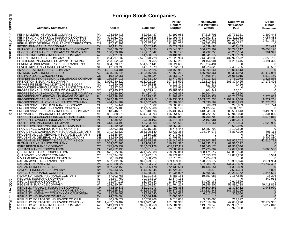| <b>Company Name/State</b>                                                       |                        | <b>Assets</b>                | <b>Liabilities</b>           | Policy<br><b>Holders</b><br><b>Surplus</b> | <b>Nationwide</b><br><b>Net Premiums</b><br>Written | <b>Nationwide</b><br><b>Net Losses</b><br>Paid | <b>Direct</b><br><b>Illinois</b><br>Premiums |
|---------------------------------------------------------------------------------|------------------------|------------------------------|------------------------------|--------------------------------------------|-----------------------------------------------------|------------------------------------------------|----------------------------------------------|
| PENN MILLERS INSURANCE COMPANY                                                  | PA                     | 124,160,418                  | 82,962,437                   | 41,197,981                                 | 57,315,701                                          | 27,731,351                                     | 2,390,448                                    |
| PENNSYLVANIA GENERAL INSURANCE COMPANY                                          | PA                     | 472,011,789                  | 280,020,348                  | 191,991,441                                | 100,691,872                                         | 102,211,082                                    | 4,057,483                                    |
| PENNSYLVANIA MANUFACTURERS ASSN INS CO                                          | PA                     | 610,771,209                  | 417,662,170                  | 193,109,039                                | 246,570,088                                         | 164,677,368                                    | 3,514,331                                    |
| PERMANENT GENERAL ASSURANCE CORPORATION                                         | ΤN                     | 117,532,391                  | 86,147,691                   | 31,384,700                                 | 88,653,677                                          | 51,090,201                                     |                                              |
| PETROLEUM CASUALTY COMPANY<br>PHILADELPHIA INDEMNITY INSURANCE COMPANY          | TХ<br>PA               | 20,131,534<br>796,026,635    | 4,502,243                    | 15,629,291<br>253,643,300                  | 4,639,188                                           | 653,463                                        | 528,493                                      |
| PHOENIX ASSURANCE COMPANY OF NEW YORK                                           | <b>NH</b>              | 168,920,187                  | 542,383,335<br>142,237,042   | 26,683,145                                 | 366,773,307<br>56,792,750                           | 90,226,217<br>40,203,184                       | 26,653,176<br>301,941                        |
| PHOENIX INDEMNITY INSURANCE COMPANY                                             | AZ                     | 25,131,833                   | 14,650,518                   | 10,481,315                                 | 18,041,172                                          | 12,953,189                                     |                                              |
| PHOENIX INSURANCE COMPANY THE                                                   | CT                     | 3,294,297,632                | 2,522,970,728                | 771,326,904                                | 744,549,038                                         | 432,977,572                                    | 7,656,755                                    |
| PHYSICIANS INSURANCE COMPANY OF WI INC                                          | WI                     | 203,552,041                  | 138,189,755                  | 65,362,288                                 | 49,154,901                                          | 11,297,445                                     | 13,191,320                                   |
| PLATINUM UNDERWRITERS REINSURANCE INC                                           | <b>MD</b>              | 854,878,773                  | 554,657,141                  | 300,221,632                                | 298,114,491                                         |                                                |                                              |
| PLATTE RIVER INSURANCE COMPANY                                                  | NE                     | 42,089,790                   | 14,197,279                   | 27,892,511                                 | 13,223,326                                          | 2,495,735                                      | 38,562                                       |
| PMA CAPITAL INSURANCE COMPANY                                                   | <b>PA</b>              | 1,791,903,484                | 1,211,752,526                | 580,150,958                                | 636,399,664                                         | 370,014,513                                    |                                              |
| PMI MORTGAGE INSURANCE CO<br>PRE PAID LEGAL CASUALTY INC                        | <b>AZ</b><br>OK        | 2,688,035,845<br>19,610,951  | 2,410,476,635<br>4,259,824   | 277,559,210<br>15,351,127                  | 546,500,561<br>67,668,348                           | 99,331,963<br>26,065,015                       | 31,417,986<br>8,519,159                      |
| PREFERRED PROFESSIONAL INSURANCE COMPANY                                        | <b>NE</b>              | 130,554,015                  | 96,783,080                   | 33,770,935                                 | 24,213,537                                          | 7,769,078                                      | 1,825,886                                    |
| PRINCETON INSURANCE COMPANY                                                     | NJ                     | 1,025,240,820                | 918,002,224                  | 107,238,596                                | 122,810,535                                         | 205,374,425                                    | 17,176,425                                   |
| PRIVATE RESIDENTIAL MORTGAGE INS CORP                                           | <b>NC</b>              | 91,340,493                   | 19,425,148                   | 71,915,345                                 | 317,539                                             | 9,456                                          |                                              |
| PRODUCERS AGRICULTURE INSURANCE COMPANY                                         | ТX                     | 2,837,647                    | 11,716                       | 2,825,931                                  | 75,000                                              | $\Omega$                                       |                                              |
| PROFESSIONAL LIABILITY INS CO OF AMERICA                                        | <b>NY</b>              | 27,985,221                   | 2,603,714                    | 25,381,507                                 | 1,204,242                                           | 125,141                                        |                                              |
| PROFESSIONALS ADVOCATE INSURANCE COMPANY                                        | <b>MD</b>              | 68,126,390                   | 54,117,493                   | 14,008,897                                 | 10,604,714                                          | 4,649,850                                      |                                              |
| PROGRESSIVE AMERICAN INSURANCE COMPANY                                          | FL.<br><b>OH</b>       | 226,298,158                  | 164,515,083                  | 61,783,075                                 | 175,240,439                                         | 86,714,755                                     | 2,575,868                                    |
| PROGRESSIVE CASUALTY INSURANCE COMPANY<br>PROGRESSIVE HALCYON INSURANCE COMPANY | OH                     | 6,092,398,526<br>434,734,789 | 4,472,960,217<br>342,052,209 | 1,619,438,309<br>92,682,580                | 4,643,871,638<br>83,630,569                         | 2,297,941,008<br>33,887,229                    | 18,727,201<br>31,776,701                     |
| PROGRESSIVE HOME INSURANCE COMPANY                                              | OH                     | 37,374,441                   | 7,767,802                    | 29,606,639                                 | 569,821                                             | 276,963                                        | 273,724                                      |
| PROGRESSIVE MAX INSURANCE COMPANY                                               | OΗ                     | 148,975,185                  | 111,635,986                  | 37,339,199                                 | 29,427,840                                          | 18,385,711                                     |                                              |
| PROGRESSIVE SPECIALTY INSURANCE COMPANY                                         | OΗ                     | 718,246,570                  | 502,810,696                  | 215,435,874                                | 613,341,538                                         | 303,501,643                                    | 19,496,951                                   |
| PRONATIONAL INSURANCE COMPANY                                                   | MI                     | 801,688,578                  | 604,733,993                  | 196.954.585                                | 148,722,256                                         | 60,946,078                                     | 17,334,860                                   |
| PROPERTY & CASUALTY INS CO OF HARTFORD                                          | IN                     | 110,652,238                  | 72,191,396                   | 38,460,842                                 | 40,708,703                                          | 20,836,558                                     | 18,575,815                                   |
| PROPERTY-OWNERS INSURANCE COMPANY                                               | IN                     | 44,838,628                   | 29,590,163                   | 15,248,465                                 | 22,102,981                                          | 7,860,894                                      |                                              |
| PROTECTIVE INSURANCE COMPANY<br>PROTECTIVE NATIONAL INS CO OF OMAHA THE         | IN<br><b>NE</b>        | 413,953,490<br>24,059,634    | 146,223,908<br>54,311,946    | 267,729,582<br>$-30,252,312$               | 61,415,164                                          | 28,715,924<br>610,966                          | 7,629,930                                    |
| PROVIDENCE WASHINGTON INS CO OF NY                                              | NY                     | 32,492,281                   | 23,715,835                   | 8,776,446                                  | 12,887,790                                          | 8,190,899                                      |                                              |
| PROVIDENCE WASHINGTON INSURANCE COMPANY                                         | RI                     | 341,432,529                  | 258,695,140                  | 82,737,388                                 | 124,044,977                                         | 78,837,399                                     | 796,113                                      |
| PRUDENTIAL COMMERCIAL INSURANCE COMPANY                                         | DE                     | 23,588,604                   | 9,510,929                    | 14,077,675                                 | ∩                                                   | $\Omega$                                       | 340,807                                      |
| PRUDENTIAL GENERAL INSURANCE COMPANY                                            | DE                     | 33,550,696                   | 19,842,177                   | 13,708,519                                 | $\Omega$                                            | 0                                              | 9,402,880                                    |
| PRUDENTIAL PROPERTY & CASUALTY INS CO                                           | IN                     | 2,007,441,955                | 1,488,895,888                | 518,546,067                                | 1,298,703,982                                       | 748,924,762                                    | 42,516,719                                   |
| PUTNAM REINSURANCE COMPANY                                                      | <b>NY</b>              | 309,302,766                  | 198,968,381                  | 110,334,385                                | 116,832,519                                         | 62,530,172                                     |                                              |
| PXRE REINSURANCE COMPANY<br><b>QBE INSURANCE CORPORATION</b>                    | <b>CT</b><br>PA        | 795,900,237<br>178,952,195   | 338,683,128<br>105,351,514   | 457,217,111<br>73,600,681                  | 210,640,178<br>42,725,802                           | 61,902,546<br>12,679,808                       | 13,866,556                                   |
| QBE REINSURANCE CORPORATION                                                     | PA                     | 671,815,369                  | 421,575,508                  | 250,239,861                                | 330, 171, 517                                       | 143,802,598                                    |                                              |
| <b>QUADRANT INDEMNITY COMPANY</b>                                               | <b>CT</b>              | 105,694,693                  | 76,922,813                   | 28,771,880                                 | 37,053,374                                          | 14,837,260                                     | 3,534                                        |
| R V I AMERICA INSURANCE COMPANY                                                 | CT                     | 50,618,434                   | 33,008,226                   | 17,610,208                                 | 7,224,871                                           | ი                                              |                                              |
| RADIAN ASSET ASSURANCE INC                                                      | NY                     | 657,382,632                  | 347,923,517                  | 309,459,115                                | 170,913,577                                         | 18,309,376                                     | 2,671,934                                    |
| <b>RADIAN GUARANTY INC</b>                                                      | <b>PA</b>              | 2,406,500,022                | 2,242,954,712                | 163,545,310                                | 587,683,290                                         | 144,453,629                                    | 23,737,487                                   |
| RADIAN REINSURANCE INC                                                          | <b>NY</b>              | 967,232,159                  | 695,096,478                  | 272,135,681                                | 110,136,554                                         | 11,395,829                                     |                                              |
| RAMPART INSURANCE COMPANY<br>RANGER INSURANCE COMPANY                           | <b>NY</b><br><b>DE</b> | 156,233,327<br>229,325,278   | 111,506,845<br>184,388,281   | 44.726.482<br>44,936,997                   | 18,373<br>95,405,968                                | 7,504,304<br>29,213,162                        | $-5,826$<br>2,845,591                        |
| REALM NATIONAL INSURANCE COMPANY                                                | NY                     | 57,702,766                   | 51,221,615                   | 6,481,151                                  | 19,357,983                                          | 7,167,555                                      | 16,326                                       |
| REDLAND INSURANCE COMPANY                                                       | NJ                     | 93,597,750                   | 70,723,619                   | 22,874,131                                 | n                                                   | O                                              | 349,913                                      |
| REGAL INSURANCE COMPANY                                                         | IN                     | 32,077,211                   | 18,729,244                   | 13,347,967                                 | 13,063,186                                          | 9,619,569                                      | O                                            |
| REGENT INSURANCE COMPANY                                                        | WI                     | 234,020,564                  | 132,256,347                  | 101,764,217                                | 96,956,906                                          | 51,886,738                                     | 49,411,854                                   |
| REPUBLIC FRANKLIN INSURANCE COMPANY                                             | OH                     | 73,899,836                   | 52,103,973                   | 21,795,863                                 | 19,300,265                                          | 11,373,412                                     | 2,941,970                                    |
| REPUBLIC INDEMNITY COMPANY OF AMERICA                                           | CA                     | 630,325,317                  | 443,953,055                  | 186,372,262                                | 213,822,848                                         | 141,363,266                                    |                                              |
| REPUBLIC INDEMNITY COMPANY OF CALIFORNIA                                        | CA                     | 32,656,695                   | 22,656,040                   | 10,000,655                                 | 6,613,077                                           | 4,372,060                                      |                                              |
| REPUBLIC INSURANCE COMPANY<br>REPUBLIC MORTGAGE INSURANCE CO OF FL              | <b>TX</b><br>FL        | 74,676,694<br>30,269,022     | 62,586,189<br>20,750,968     | 12,090,505<br>9,518,053                    | 5,090,096                                           | 0<br>717,897                                   |                                              |
| REPUBLIC MORTGAGE INSURANCE COMPANY                                             | <b>NC</b>              | 1,482,663,407                | 1,321,072,041                | 161,591,366                                | 297,016,007                                         | 42,689,290                                     | 32,172,365                                   |
| REPUBLIC WESTERN INSURANCE COMPANY                                              | ΑZ                     | 513,493,171                  | 347,908,259                  | 165,584,912                                | 119,670,043                                         | 155,952,161                                    | 5,017,840                                    |
| RESIDENTIAL GUARANTY CO                                                         | AZ                     | 267,411,260                  | 183, 135, 347                | 84,275,913                                 | 68,988,770                                          | 9,926,858                                      | ∩                                            |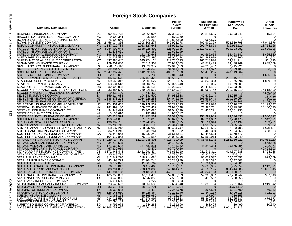| ֖֚֚֚֚֚֚֚֚֚֚֚֚֬֕֡֡֡֡֡֡֡֡           |
|-----------------------------------|
| יר האנונפונו המווובחוו האלפה<br>1 |
| ,                                 |
| j                                 |
|                                   |
|                                   |
|                                   |
|                                   |
| <br> 2011<br> 2012                |
|                                   |
|                                   |
|                                   |
|                                   |
|                                   |
|                                   |
|                                   |
|                                   |
|                                   |
|                                   |
|                                   |
|                                   |
| ١                                 |
| رَ<br>į                           |

 $113$ 

| <b>Company Name/State</b>                                                                                         | Assets                                              | <b>Liabilities</b>             | <b>Policy</b><br><b>Holders</b><br><b>Surplus</b> | <b>Nationwide</b><br><b>Net Premiums</b><br>Written | Nationwide<br><b>Net Losses</b><br>Paid | <b>Direct</b><br>Illinois<br>Premiums |
|-------------------------------------------------------------------------------------------------------------------|-----------------------------------------------------|--------------------------------|---------------------------------------------------|-----------------------------------------------------|-----------------------------------------|---------------------------------------|
| RESPONSE INSURANCE COMPANY                                                                                        | DE<br>90,257,772                                    | 52,864,904                     | 37,392,867                                        | 29,244,685                                          | 29,093,549                              | $-15,104$                             |
| RISCORP NATIONAL INSURANCE COMPANY                                                                                | <b>MO</b><br>9,908,354                              | 37,585                         | 9,870,769                                         | ∩                                                   | O                                       | C                                     |
| ROYAL & SUNALLIANCE PERSONAL INS CO                                                                               | NY<br>375,603,060                                   | 2,776,260                      | 372,826,800                                       | 967,575                                             |                                         |                                       |
| ROYAL INDEMNITY COMPANY<br>RURAL COMMUNITY INSURANCE COMPANY                                                      | DE<br>2,456,034,355<br><b>MN</b><br>1,147,029,784   | 1,908,106,277                  | 547,928,078<br>83,902,141                         | 709.909.379<br>292,741,878                          | 502,539,798<br>432,915,110              | 47,043,376<br>18,754,166              |
| SAFECO INSURANCE COMPANY OF AMERICA                                                                               | 3,384,999,048<br><b>WA</b>                          | 1,063,127,643<br>2,558,928,393 | 826,070,655                                       | 1,512,928,787                                       | 915,223,281                             | 18,535,925                            |
| SAFECO INSURANCE COMPANY OF IN                                                                                    | 11,438,061<br>IN                                    | 814.862                        | 10,623,199                                        | $\Omega$                                            | ∩                                       |                                       |
| SAFECO NATIONAL INSURANCE COMPANY                                                                                 | <b>MO</b><br>196,406,291                            | 142,443,648                    | 53.962.643                                        | 91.692.654                                          | 55.468.141                              | 1,665,330                             |
| SAFEGUARD INSURANCE COMPANY                                                                                       | 424,632,522<br>СT                                   | 355,576,398                    | 69,056,124                                        | 141,981,876                                         | 100,507,960                             | 4,511,364                             |
| SAFETY NATIONAL CASUALTY CORPORATION                                                                              | <b>MO</b><br>837,980,447                            | 625,274,124                    | 212,706,323                                       | 161,718,820                                         | 64,831,914                              | 14,511,296                            |
| SAGAMORE INSURANCE COMPANY<br>SAN FRANCISCO REINSURANCE COMPANY                                                   | IN<br>129,601,006<br>CA<br>270,875,116              | 52,616,303<br>43,829,977       | 76,984,703<br>227.045.139                         | 47,517,438<br>$-4,230,407$                          | 23,488,269<br>7,715,921                 | 1,685,669<br>C                        |
| SAVERS PROPERTY & CASUALTY INS CO                                                                                 | <b>MO</b><br>62,384,563                             | 31,042,640                     | 31,341,923                                        | 17,564,927                                          | 7,023,105                               | 66,808                                |
| SCOR REINSURANCE COMPANY                                                                                          | <b>NY</b><br>2,047,897,471                          | 1,642,099,568                  | 405,797,903                                       | 551,470,205                                         | 448,619,064                             |                                       |
| <b>SCOTTSDALE INDEMNITY COMPANY</b>                                                                               | 12,818,082<br>OH                                    | 2,739                          | 12,815,343                                        |                                                     |                                         | 1,665,856                             |
| SEA INSURANCE COMPANY OF AMERICA THE                                                                              | <b>NY</b><br>806,048,676                            | 716,463,425                    | 89,585,251                                        | 283,963,752                                         | 201,015,919                             |                                       |
| SEABOARD SURETY COMPANY                                                                                           | NY<br>259,568,312                                   | 132,801,627                    | 126,766,685                                       | 48,848,383                                          | 35,675,294                              | 1,829,609                             |
| SEATON INSURANCE COMPANY<br>SEAWORTHY INSURANCE COMPANY                                                           | <b>WA</b><br>63,534,513<br>MD<br>30,095,892         | 10,504,769<br>16,832,135       | 53,029,748<br>13,263,757                          | 36,095<br>25,471,131                                | 10,379,501<br>15,063,602                |                                       |
| SECURITY INSURANCE COMPANY OF HARTFORD                                                                            | CT<br>933,886,500                                   | 789,225,577                    | 144,660,924                                       | 283,963,752                                         | 201,015,919                             | 26,618,899                            |
| SECURITY NATIONAL INSURANCE COMPANY                                                                               | ТX<br>19,832,120                                    | 643,433                        | 19,188,687                                        |                                                     | ∩                                       | 5,850,440                             |
| SELECT INSURANCE COMPANY                                                                                          | <b>TX</b><br>159,314,088                            | 104,381,500                    | 54,932,588                                        | 49,536,143                                          | 32,035,483                              | $-27,492$                             |
| SELECTIVE INSURANCE COMPANY OF AMERICA                                                                            | <b>NJ</b><br>1,388,273,204                          | 1,084,226,258                  | 304,046,946                                       | 596,685,448                                         | 290,269,954                             | 760,191                               |
| SELECTIVE INSURANCE COMPANY OF SC                                                                                 | <b>SC</b><br>233,964,918                            | 179,541,588                    | 54,423,330                                        | 96,759,803                                          | 47,070,805                              | 16,295,140                            |
| SELECTIVE INSURANCE COMPANY OF THE SE<br>SENECA INSURANCE COMPANY INC                                             | <b>NC</b><br>174,351,655<br>NY<br>181,499,180       | 139,129,532<br>109,572,432     | 35,222,123<br>71,926,748                          | 75,257,620<br>77,964,751                            | 36,610,623<br>15,819,881                | 16,199,747<br>14,140,075              |
| SENTINEL INSURANCE COMPANY LTD                                                                                    | СT<br>94,343,424                                    | 43,300,685                     | 51,042,739                                        | 24,425,221                                          | 12,501,935                              | C                                     |
| SENTRY CASUALTY COMPANY                                                                                           | WI<br>15,155,616                                    | 197,899                        | 14,957,717                                        | $\Omega$                                            | ∩                                       |                                       |
| SENTRY SELECT INSURANCE COMPANY                                                                                   | WI<br>463,523,574                                   | 331,951,561                    | 131,572,009                                       | 155,289,905                                         | 93,636,837                              | 41,500,327                            |
| SHELTER GENERAL INSURANCE COMPANY                                                                                 | <b>MO</b><br>150,544,851                            | 81,873,816                     | 68,671,035                                        | 89,754,082                                          | 60,290,478                              | 10,342,171                            |
| SIRIUS AMERICA INSURANCE COMPANY                                                                                  | <b>DE</b><br>196,992,751                            | 122,943,056                    | 74,049,695                                        | 96,514,014                                          | 11,947,199                              | 3,239,201                             |
| SOMPO JAPAN FIRE & MARINE INS CO OF AM<br>SOMPO JAPAN INSURANCE COMPANY OF AMERICA                                | <b>NY</b><br>25,782,716<br>ΝY                       | 3,468,106<br>280,042,966       | 22,314,610<br>80,494,247                          | 4,998,506<br>62,800,665                             | 5,485,642<br>68,603,405                 | 139,662                               |
| SOUTH CAROLINA INSURANCE COMPANY                                                                                  | 360,537,213<br>SC<br>34,774,246                     | 27,780,264                     | 6,993,982                                         | 9,468,360                                           | 7,984,066                               | 4,570,421<br>258,363                  |
| SOUTHERN GENERAL INSURANCE COMPANY                                                                                | GA<br>76,848,063                                    | 45,233,242                     | 31,614,821                                        | 53,445,523                                          | 35,979,577                              | ſ                                     |
| SOUTHERN-OWNERS INSURANCE COMPANY                                                                                 | FL<br>104,917,853                                   | 76,912,555                     | 28,005,298                                        | 67,599,913                                          | 23,983,949                              |                                       |
| ST PAUL FIRE & MARINE INSURANCE COMPANY<br>ST PAUL GUARDIAN INSURANCE COMPANY<br>ST PAUL MEDICAL LIABILITY INS CO | 7,029,714,710<br><b>MN</b>                          | 12,103,935,301                 | 4,925,779,409                                     | 4,483,981,142                                       | 3,282,126,922                           | 240,666,110                           |
|                                                                                                                   | <b>MN</b><br>34,213,525                             | 16,819                         | 34,196,706                                        |                                                     | ∩                                       | 9,658,888                             |
| ST PAUL MERCURY INSURANCE COMPANY                                                                                 | <b>MN</b><br>171,064,582<br><b>MN</b><br>67,830,919 | 127,582,831<br>33,470          | 43,481,752<br>67,797,450                          | 48,848,383                                          | 35,675,294                              | 322,977<br>40,428,593                 |
| STANDARD FIRE INSURANCE COMPANY THE                                                                               | 3,172,943,444<br>СT                                 | 2,431,291,434                  | 741,652,010                                       | 721,641,311                                         | 419,597,688                             | 1,724,236                             |
| STANDARD GUARANTY INSURANCE COMPANY                                                                               | DE<br>95,943,772                                    | 65,222,675                     | 30,721,097                                        | 32,976,369                                          | 14,533,111                              | 189,452                               |
| STAR INSURANCE COMPANY                                                                                            | 312,547,226<br>MI                                   | 218,714,684                    | 93,832,543                                        | 97,677,537                                          | 62,107,653                              | 929,659                               |
| STARNET INSURANCE COMPANY                                                                                         | DE<br>43,193,723                                    | 22,904,744                     | 20,288,979                                        | 8,265,392                                           | 2,042,003                               | C                                     |
| STATE AUTO INS CO OF WI<br>STATE AUTO NATIONAL INSURANCE COMPANY                                                  | WI<br>19,272,822<br>OH                              | 11,807,769                     | 7,465,053                                         | 10,724,804                                          | 5,854,881                               |                                       |
| STATE AUTO PROP AND CAS INS CO                                                                                    | 76,175,817<br><b>SC</b><br>983,791,096              | 59,414,466<br>738,176,835      | 16,761,351<br>245,614,261                         | 74,096,955<br>640,199,125                           | 35,795,357<br>334,414,985               | 1,212,071<br>16,051,645               |
| STATE FARM FLORIDA INSURANCE COMPANY                                                                              | <b>FL</b><br>1,447,884,198                          | 999,183,314                    | 448,700,884                                       | 730,344,198                                         | 361,100,279                             |                                       |
| STATE NATIONAL INSURANCE COMPANY INC                                                                              | ТX<br>105,950,839                                   | 46,112,476                     | 59,838,363                                        | 59,328,857                                          | 23,238,242                              | 3,387,648                             |
| STATE NATIONAL SPECIALTY INS CO                                                                                   | 13,542,855<br>ТX                                    | 6,042,855                      | 7,500,000                                         | 3,416,537                                           | $-728,058$                              |                                       |
| STATESMAN INSURANCE COMPANY                                                                                       | IN<br>6,014,630                                     | 214,227                        | 5,800,403                                         |                                                     | U                                       |                                       |
| STONEBRIDGE CASUALTY INSURANCE COMPANY<br>STONEWALL INSURANCE COMPANY                                             | OH<br>23,540,622<br>OH<br>83,010,495                | 10,856,582<br>18,817,791       | 12,684,040<br>64,192,704                          | 19,398,794<br>$\Omega$                              | 6.221.164<br>$-11,374,110$              | 1,919,942                             |
| STONINGTON INSURANCE COMPANY                                                                                      | ТX<br>18,064,088                                    | 815,410                        | 17,248,678                                        | 805,529                                             | 6,101,700                               | 56,242                                |
| STRATFORD INSURANCE COMPANY                                                                                       | <b>NH</b><br>126,148,510                            | 85,926,364                     | 40,222,146                                        | 17,344,269                                          | 4,496,016                               | 892,093                               |
| SUECIA INSURANCE COMPANY                                                                                          | <b>NY</b><br>72.068.164                             | 39,365,980                     | 32.702.184                                        | 197,927                                             | 936.853                                 |                                       |
| SUMITOMO MARINE & FIRE INS CO OF AM                                                                               | NY<br>234,013,530                                   | 137,576,997                    | 96,436,533                                        | 58,860,505                                          | 34,265,587                              | 4,676,573                             |
| SUPERIOR INSURANCE COMPANY<br>SURETY BONDING COMPANY OF AMERICA                                                   | FL<br>57,094,183<br><b>SD</b><br>6,795,973          | 46,704,741<br>1,644,283        | 10,389,442<br>5,151,690                           | 22,658,474<br>468,495                               | 24,156,745<br>39,499                    | 1,313<br>10,640                       |
| SWISS REINSURANCE AMERICA CORPORATION                                                                             | NY 10,268,787,637                                   | 7,877,501,249                  | 2,391,286,388                                     | 1,283,005,817                                       | 1,661,422,213                           | $\Omega$                              |
|                                                                                                                   |                                                     |                                |                                                   |                                                     |                                         |                                       |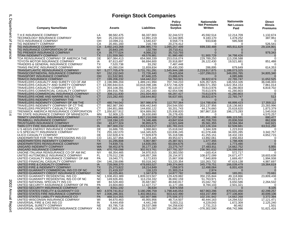| <b>Company Name/State</b>                                                      |                        | <b>Assets</b>                | <b>Liabilities</b>           | <b>Policy</b><br><b>Holders</b><br><b>Surplus</b> | <b>Nationwide</b><br><b>Net Premiums</b><br>Written | Nationwide<br><b>Net Losses</b><br>Paid | <b>Direct</b><br><b>Illinois</b><br>Premiums |
|--------------------------------------------------------------------------------|------------------------|------------------------------|------------------------------|---------------------------------------------------|-----------------------------------------------------|-----------------------------------------|----------------------------------------------|
| T H E INSURANCE COMPANY                                                        | LA                     | 98,582,475                   | 66,337,903                   | 32,244,572                                        | 45,592,514                                          | 12,214,709                              | 1,132,674                                    |
| TECHNOLOGY INSURANCE COMPANY                                                   | <b>NH</b>              | 25,234,023                   | 12,891,219                   | 12,342,805                                        | 9,183,170                                           | 1,478,252                               | 387,951                                      |
| TICO INSURANCE COMPANY                                                         | OН                     | 10,099,211                   | 1,540,437                    | 8,558,774                                         | 933,638                                             | 595,508                                 |                                              |
| TIG INDEMNITY COMPANY<br><b>TIG INSURANCE COMPANY</b>                          | СA<br><b>CA</b>        | 20,491,160<br>3,492,243,268  | 216,749<br>2,396,985,770     | 20,274,412<br>1,095,257,499                       | 699,330,488                                         | O<br>465,911,629                        | 526,541<br>29,104,80                         |
| TIG INSURANCE CORPORATION OF AM                                                | MI                     | 20,843,195                   | 132,784                      | 20,710,411                                        |                                                     | 0                                       |                                              |
| TIG PREMIER INSURANCE COMPANY                                                  | <b>CA</b>              | 39,777,024                   | 4,066,232                    | 35,710,793                                        |                                                     | O                                       | 979,343                                      |
| TITAN INDEMNITY COMPANY                                                        | <b>TX</b>              | 131,559,360                  | 49,578,881                   | 81,980,480                                        | 51,900,729                                          | 34,798,426                              |                                              |
| TOA REINSURANCE COMPANY OF AMERICA THE<br>TOYOTA MOTOR INSURANCE COMPANY       | DE                     | 907,084,413                  | 654,068,339                  | 253,016,074                                       | 229,789,250                                         | 113,208,588                             |                                              |
| TRADERS & GENERAL INSURANCE COMPANY                                            | IA<br>ТX               | 87,613,497<br>7,520,738      | 66,694,600<br>33,292         | 20,918,897<br>7,487,448                           | 26,122,430                                          | 19,521,681<br>∩                         | 851,488                                      |
| TRANS PACIFIC INSURANCE COMPANY                                                | NY                     | 42,090,034                   | 11,659,834                   | 30,430,200                                        | 286,895                                             | 679,649                                 | 614,353                                      |
| TRANSATLANTIC REINSURANCE COMPANY<br>TRANSCONTINENTAL INSURANCE COMPANY        | <b>NY</b>              | 5,277,705,479                | 3,731,761,291                | 1,545,944,188                                     | 2,219,817,875                                       | 1,188,073,325                           |                                              |
|                                                                                | NY                     | 152, 152, 043                | 72,726,440                   | 79,425,604                                        | $-107,299,013$                                      | 349,055,765                             | 34,805,340                                   |
| TRANSPORT INSURANCE COMPANY<br>TRAVCO INSURANCE COMPANY                        | OH<br>C <sub>T</sub>   | 111,532,901<br>199,206,232   | 87,646,225<br>144,442,312    | 23,886,676<br>54,763,921                          | $\Omega$<br>39,822,674                              | 4,085,686<br>22,765,747                 | 11,652,525                                   |
| TRAVELERS CASUALTY AND SURETY CO OF AM                                         | CT                     | 2,196,986,204                | 1,489,241,994                | 707,744,210                                       | 626,357,825                                         | 146,553,326                             | 36,046,003                                   |
| TRAVELERS CASUALTY AND SURETY COMPANY                                          | СT                     | 13,390,844,615               | 10,818,098,186               | 2,572,746,429                                     | 3,066,571,350                                       | 1,622,354,153                           | 7,861,014                                    |
| TRAVELERS CASUALTY COMPANY OF CT                                               | СT                     | 303,108,391                  | 242,975,319                  | 60,133,072                                        | 70,613,976                                          | 41,280,803                              | 6,819,702                                    |
| TRAVELERS COMMERCIAL CASUALTY COMPANY                                          | <b>CT</b>              | 284,916,756                  | 222,262,160                  | 62,654,596                                        | 70,613,976                                          | 41,280,803                              |                                              |
| TRAVELERS COMMERCIAL INSURANCE COMPANY<br>TRAVELERS HOME AND MARINE INS CO THE | <b>CT</b><br><b>CT</b> | 308,211,830<br>215,282,493   | 241,924,403<br>158,644,802   | 66,287,427<br>56,637,691                          | 70,613,976<br>39,822,674                            | 41,280,803<br>22,765,747                | 513                                          |
| TRAVELERS INDEMNITY COMPANY THE                                                | <b>CT</b>              |                              |                              | $\Omega$                                          |                                                     | 0                                       |                                              |
| TRAVELERS INDEMNITY COMPANY OF AM THE                                          | <b>CT</b>              | 480,744,042                  | 367,986,678                  | 112,757,364                                       | 114,788,636                                         | 66,899,423                              | 17,359,112                                   |
| TRAVELERS INDEMNITY COMPANY OF CT THE                                          | CT                     | 862,987,390                  | 608,442,840                  | 254,544,550                                       | 203, 137, 956                                       | 118,136,663                             | 23,283,996                                   |
| TRAVELERS PROPERTY CASUALTY INS CO<br>TRENWICK AMERICA REINSURANCE CORPORATION | CT                     | 194,851,866                  | 144,650,122                  | 50,201,743                                        | 44,174,660                                          | 25.618.620                              | 1,873,379                                    |
| TRI STATE INSURANCE COMPANY OF MINNESOTA                                       | <b>CT</b><br><b>MN</b> | 1,050,827,912<br>52,909,125  | 924,889,092<br>26,630,690    | 125,938,820<br>26,278,435                         | 387,867,318<br>$\Omega$                             | 196,173,283<br>0                        | 1,540,918<br>4,570,257                       |
| TRINITY UNIVERSAL INSURANCE COMPANY                                            | ТX                     | 2,344,468,140                | 1,827,210,558                | 517,257,582                                       | 1,591,851,198                                       | 686,115,591                             | 880,477                                      |
| TRUMBULL INSURANCE COMPANY                                                     | <b>CT</b>              | 118,194,120                  | 74,346,486                   | 43,847,634                                        | 40,708,703                                          | 20,836,558                              | 862,838                                      |
| TRUSTGARD INSURANCE COMPANY                                                    | OH                     | 43,477,324                   | 30,855,675                   | 12,621,649                                        | 35,561,355                                          | 18,594,364                              | 642,62                                       |
| TWIN CITY FIRE INSURANCE COMPANY<br>U S AEGIS ENERGY INSURANCE COMPANY         | IN<br>DE               | 397,300,232                  | 215,519,217                  | 181,781,015<br>15,618,042                         | 122,126,104                                         | 62,509,681<br>1,223,918                 | 63,511,250<br>n                              |
| U S SPECIALTY INSURANCE COMPANY                                                | TX                     | 16,686,705<br>255,182,070    | 1,068,663<br>144,345,825     | 110,836,245                                       | 1,344,328<br>61,078,446                             | 34,005,285                              | 3,342,757                                    |
| ULICO CASUALTY COMPANY                                                         | DE                     | 132,928,474                  | 77,609,879                   | 55,318,596                                        | 41,255,151                                          | 18,432,193                              | 4,652,715                                    |
| UNDERWRITER FOR THE PROFESSIONS INS CO.                                        | CO                     | 141,327,856                  | 91,374,185                   | 49,953,671                                        | 13,892,061                                          | 2,956,653                               |                                              |
| UNDERWRITERS INDEMNITY COMPANY                                                 | TX                     | 31,295,808                   | 5,907,887                    | 25,387,921                                        | 1,377,355                                           | 1,788,406                               |                                              |
| UNDERWRITERS REINSURANCE COMPANY<br>UNIGARD INDEMNITY COMPANY                  | <b>NH</b><br><b>WA</b> | 74,839,731<br>58,452,876     | 14,835,055<br>35, 177, 130   | 60,004,676<br>23,275,747                          | –53,454<br>27,483,911                               | 1,773,490<br>14,662,752                 | 6,955                                        |
| UNIGARD INSURANCE COMPANY                                                      | <b>WA</b>              | 470,705,098                  | 302,913,761                  | 167,791,337                                       | 236,361,632                                         | 126,099,664                             | 2.134                                        |
| UNIONE ITALIANA REINSURANCE CO OF AM INC                                       | NY                     | 68,354,465                   | 34,970,915                   | 33,383,550                                        | –163,414                                            | 572,717                                 |                                              |
| UNITED AUTOMOBILE INSURANCE COMPANY                                            | FL                     | 178,012,238                  | 149,857,266                  | 28,154,972                                        | 108,672,099                                         | 24,671,477                              | 18,603,638                                   |
| UNITED CASUALTY INSURANCE COMPANY OF AM                                        | <b>PA</b><br>OH        | 19,040,771<br>146,238,696    | 3,172,833                    | 15,867,938<br>53,220,354                          | 7,940,809                                           | 1,669,457                               | 1,994,938<br>4,987,697                       |
| UNITED FINANCIAL CASUALTY COMPANY<br>UNITED FIRE & CASUALTY COMPANY            | IA                     | 728,068,370                  | 93,018,342<br>478,693,527    | 249,374,843                                       | 110,263,732<br>345,779,751                          | 47,619,138<br>166,039,479               | 19,364,619                                   |
| UNITED FIRE & INDEMNITY COMPANY                                                | <b>TX</b>              | 25,273,822                   | 18,214,849                   | 7,058,973                                         | 12,498,064                                          | 6,001,428                               |                                              |
| UNITED GUARANTY COMMERCIAL INS CO OF NC                                        | <b>NC</b>              | 21,419,337                   | 116,123                      | 21,303,214                                        | 2,974                                               | $\Omega$                                |                                              |
| UNITED GUARANTY CREDIT INSURANCE COMPANY                                       | <b>NC</b>              | 16,225,461                   | 1,347,679                    | 14,877,782                                        | 503,468                                             | 165,051                                 | 70,661                                       |
| UNITED GUARANTY RESIDENTIAL INS CO<br>UNITED GUARANTY RESIDENTIAL INS CO OF NC | <b>NC</b><br><b>NC</b> | 1,938,453,389<br>149,926,491 | 1,809,023,507<br>113,234,332 | 129,429,882<br>36,692,159                         | 350, 155, 844<br>51,763,971                         | 49.118.866<br>25,021,871                | 23,809,438                                   |
| UNITED NATIONAL SPECIALTY INS CO                                               | WI                     | 84,528,483                   | 35,687,667                   | 48,840,817                                        | 15,042,792                                          | 6,650,586                               | 2,264,532                                    |
| UNITED SECURITY ASSURANCE COMPANY OF PA                                        | PA                     | 23,604,883                   | 12,427,717                   | 11,177,166                                        | 8,784,103                                           | 2,501,321                               |                                              |
| UNITED SECURITY INSURANCE COMPANY                                              | IA                     | 8,911,192                    | 36,634                       | 8,874,558                                         | $\Omega$                                            | $\Omega$                                | 8,105                                        |
| UNITED STATES FIDELITY & GUARANTY CO                                           | <b>MD</b>              | 4,978,741,812                | 3,180,296,759                | 1,798,445,053                                     | 667,963,296                                         | 870,631,450                             | 42,299,257                                   |
| UNITED STATES FIRE INSURANCE COMPANY<br>UNITED STATES LIABILITY INSURANCE CO   | <b>NY</b><br><b>PA</b> | 2,006,286,301<br>468,314,355 | 1,402,863,811<br>192,807,986 | 603,422,490<br>275,506,372                        | 433, 157, 499<br>102,191,942                        | 277,106,800<br>14,662,268               | 30,699,106<br>3,372,394                      |
| UNITED WISCONSIN INSURANCE COMPANY                                             | WI                     | 94,670,463                   | 45.955.956                   | 48.714.507                                        | 40,444,163                                          | 14,294,532                              | 17,121,471                                   |
| UNIVERSAL FIRE & CAS INS CO                                                    | IN                     | 9,444,459                    | 4,441,248                    | 5,003,211                                         | 4,229,043                                           | 1,672,309                               | 2,125,240                                    |
| UNIVERSAL SURETY COMPANY                                                       | NΕ                     | 83,795,718                   | 29,537,088                   | 54,258,630                                        | 2,731,213                                           | 60,462                                  | 1,501                                        |
| UNIVERSAL UNDERWRITERS INSURANCE COMPANY                                       | KS                     | 317,805,145                  | 26,715,097                   | 291,090,047                                       | $-376,302,590$                                      | 456,742,986                             | 51,621,416                                   |

 $114$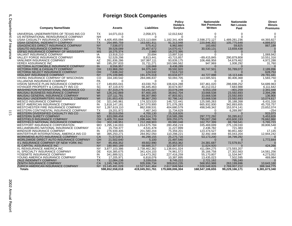| <b>Company Name/State</b>                                                    |                 | <b>Assets</b>                | Liabilities                 | <b>Policy</b><br><b>Holders</b><br><b>Surplus</b> | Nationwide<br><b>Net Premiums</b><br>Written | <b>Nationwide</b><br><b>Net Losses</b><br>Paid | <b>Direct</b><br><b>Illinois</b><br><b>Premiums</b> |
|------------------------------------------------------------------------------|-----------------|------------------------------|-----------------------------|---------------------------------------------------|----------------------------------------------|------------------------------------------------|-----------------------------------------------------|
| UNIVERSAL UNDERWRITERS OF TEXAS INS CO                                       | <b>TX</b>       | 14.071.013                   | 2,058,371                   | 12,012,642                                        |                                              |                                                |                                                     |
| US INTERNATIONAL REINSURANCE COMPANY                                         | <b>NH</b>       |                              | <sup>n</sup>                | n                                                 |                                              |                                                |                                                     |
| USAA CASUALTY INSURANCE COMPANY                                              | TX              | 4,405,455,094                | 3,223,113,684               | 1,182,341,409                                     | 2,598,272,127                                | 1,489,281,236                                  | 44,393,827                                          |
| USAA GENERAL INDEMNITY COMPANY<br>USAGENCIES DIRECT INSURANCE COMPANY        | ТX<br><b>NY</b> | 254,995,759<br>7,538,072     | 163,681,811<br>575.412      | 91,313,948<br>6,962,660                           | 220,846,302<br>183,692                       | 105,775,648<br>59,825                          | 4,889,872<br>867,199                                |
| USAUTO INSURANCE COMPANY INC                                                 | <b>TN</b>       | 39,528,089                   | 25,457,672                  | 14,070,417                                        | 30,530,131                                   | 13,659,438                                     |                                                     |
| USF&G INSURANCE COMPANY OF MISSISSIPPI                                       | <b>MS</b>       | 18,275,374                   | 2,980                       | 18,272,395                                        |                                              |                                                |                                                     |
| <b>VALIANT INSURANCE COMPANY</b>                                             | IA              | 13,918,210                   | 20.694                      | 13,897,516                                        | $\Omega$                                     | $\Omega$                                       | 1,069,942                                           |
| VALLEY FORGE INSURANCE COMPANY                                               | PA              | 52,529,298                   | 8,813,441                   | 43,715,857                                        | $-89,415,845$                                | 290,879,808                                    | 10,551,316                                          |
| VANLINER INSURANCE COMPANY                                                   | AZ              | 261,836,286                  | 167,997,111                 | 93,839,175                                        | 106,466,958                                  | 54.679.462                                     | 4,972,288                                           |
| <b>VEREX ASSURANCE INC</b>                                                   | WI              | 195,297,833                  | 31,711,271                  | 163,586,562                                       | 947.969                                      | 1,008,292                                      | 31.760                                              |
| VICTORIA AUTOMOBILE INSURANCE COMPANY                                        | IN              | 8,556,957                    | 118,668                     | 8,438,289                                         | $\Omega$                                     | $\Omega$                                       |                                                     |
| <b>VICTORIA FIRE &amp; CASUALTY COMPANY</b>                                  | OH              | 133,968,260                  | 94,375,340                  | 39,592,920                                        | 90,747,501                                   | 55,789,072                                     | 2,189,896                                           |
| <b>VICTORIA SELECT INSURANCE COMPANY</b>                                     | OH              | 7,638,242                    | 124,532                     | 7,513,710                                         |                                              |                                                | 628,753                                             |
| <b>VIGILANT INSURANCE COMPANY</b><br>VIKING INSURANCE COMPANY OF WISCONSIN   | <b>NY</b><br>CO | 275.109.895<br>334,180,542   | 191,475,018<br>284,086,837  | 83,634,877<br>50,093,705                          | 44.727.888<br>113,585,501                    | 16.113.446<br>80,406,368                       | 29,781,441<br>1,583,750                             |
| <b>VILLANOVA INSURANCE COMPANY</b>                                           | PA              |                              | ∩                           |                                                   | $\Omega$                                     |                                                |                                                     |
| VISION SERVICE PLAN INSURANCE COMPANY                                        | <b>CT</b>       | 149,655,041                  | 43,030,753                  | 106,624,288                                       | 337,461,020                                  | 286,698,252                                    | 54,689,963                                          |
| VOYAGER PROPERTY & CASUALTY INS CO                                           | <b>SC</b>       | 87,119,470                   | 56,445,463                  | 30,674,007                                        | 40,212,012                                   | 7,683,988                                      | 6,111,642                                           |
| <b>WASHINGTON INTERNATIONAL INSURANCE CO</b>                                 | AZ              | 87.319.276                   | 54,241,027                  | 33.078.249                                        | 6,553,159                                    | $-401,259$                                     | 2,341,448                                           |
| <b>WAUSAU BUSINESS INSURANCE COMPANY</b>                                     | WI              | 126,242,869                  | 87.400.165                  | 38,842,704                                        | 33.668.538                                   | 23,592,693                                     | 2,394,296                                           |
| WAUSAU GENERAL INSURANCE COMPANY                                             | <b>WI</b>       | 137, 111, 781                | 89.307.860                  | 47,803,921                                        | 33,668,538                                   | 23,592,693                                     | 136,900                                             |
| WAUSAU UNDERWRITERS INSURANCE COMPANY                                        | <b>WI</b>       | 191,653,435                  | 98.867.293                  | 92,786,142                                        | 33.668.538                                   | 23.592.693                                     | 10,074,617                                          |
| <b>WESCO INSURANCE COMPANY</b>                                               | DE              | 321.045.961                  | 174,323,520                 | 146.722.441                                       | 125.585.263                                  | 35.188.268                                     | 6.431.316                                           |
| WEST AMERICAN INSURANCE COMPANY                                              | IN              | 1,618,147,181                | 1,247,070,900               | 371,076,283                                       | 665,932,930                                  | 342,893,655                                    | 45,703,757                                          |
| WESTCHESTER FIRE INSURANCE COMPANY                                           | <b>NY</b>       | 1,267,619,110                | 862,938,531                 | 404,680,579                                       | 498,549,342                                  | 153,974,141                                    | 23,652,074                                          |
| WESTERN CONTINENTAL INSURANCE COMPANY<br>WESTERN DIVERSIFIED CASUALTY INS CO | ТX<br><b>WI</b> | 19.201.972                   | 7.467.343                   | 11,734,629                                        | $\Omega$<br>$\Omega$                         | 6,269,997                                      | $-254$<br>915.073                                   |
| <b>WESTERN SURETY COMPANY</b>                                                | <b>SD</b>       | 30,019,056<br>633,099,458    | 4.700.130<br>414.514.170    | 25,318,926<br>218,585,288                         | 297,772,292                                  | $\Omega$<br>55,285,612                         | 5,453,828                                           |
| <b>WESTFIELD INSURANCE COMPANY</b>                                           | OH              | 1,405,701,844                | 1,096,446,769               | 309,255,075                                       | 795,007,298                                  | 433,600,193                                    | 76,662,860                                          |
| WESTFIELD NATIONAL INSURANCE COMPANY                                         | OH              | 302,248,951                  | 212,268,903                 | 89,980,048                                        | 162,757,399                                  | 88,768,541                                     | 5,765,723                                           |
| WESTPORT INSURANCE CORPORATION                                               | <b>MO</b>       | 1,295,134,003                | 1,014,675,784               | 280,458,219                                       | 335,469,699                                  | 275,139,030                                    | 39,806,548                                          |
| WILLIAMSBURG NATIONAL INSURANCE COMPANY                                      | СA              | 15,759,377                   | 4,531,478                   | 11,227,899                                        | 2,436,782                                    | 721,383                                        |                                                     |
| WINDSOR INSURANCE COMPANY                                                    | IN              | 276,939,405                  | 201.580.204                 | 75,359,201                                        | 123.374.527                                  | 90.851.482                                     | 17,135                                              |
| WINTERTHUR INTERNATIONAL AMERICA INS CO                                      | WI              | 395,250,271                  | 284.952.050                 | 110,298,221                                       | 32.492.448                                   | 65,043,204                                     | 12,944,242                                          |
| <b>WORKMENS AUTO INSURANCE COMPANY</b>                                       | CA              | 71.573.871                   | 46.298.155                  | 25.275.716                                        | 53,173,200                                   | 34,799,292                                     |                                                     |
| WORLDWIDE DIRECT AUTO INSURANCE COMPANY                                      | OH              | 21,502,640                   | 5.100                       | 21,497,540                                        |                                              | $\Omega$                                       | 1,772,844                                           |
| X L INSURANCE COMPANY OF NEW YORK INC                                        | <b>NY</b>       | 85,456,352                   | 49.602.990                  | 35,853,362                                        | 24,381,687                                   | 72,579,917<br>$\Omega$                         |                                                     |
| <b>XL CAPITAL ASSURANCE INC</b><br><b>XL REINSURANCE AMERICA INC</b>         | <b>NY</b><br>NY | 180,993,189<br>3,877,103,386 | 58,685,217<br>2,738,462,362 | 122,307,972<br>1,138,641,024                      | 11,624,920<br>411.084.275                    |                                                | 424,266                                             |
| <b>XL SPECIALTY INSURANCE COMPANY</b>                                        | DE              | 416,385,675                  | 341,424,103                 | 74,961,572                                        | 35,166,758                                   | 173,593,207<br>27,302,563                      | 14,561,256                                          |
| YOSEMITE INSURANCE COMPANY                                                   | IN              | 341,889,521                  | 114,473,262                 | 227,416,259                                       | 55,170,807                                   | 11,534,947                                     | 4,273,052                                           |
| YOUNG AMERICA INSURANCE COMPANY                                              | <b>TX</b>       | 17,205,971                   | 6,818,076                   | 10,387,895                                        | 13,435,023                                   | 7,502,595                                      | 469,984                                             |
| ZALE INDEMNITY COMPANY                                                       | <b>TX</b>       | 12,084,238                   | 3,339,016                   | 8,745,222                                         | 2,721,162                                    | 795,240                                        |                                                     |
| <b>ZENITH INSURANCE COMPANY</b>                                              | <b>CA</b>       | 1.245.746.970                | 935.936.734                 | 309.810.235                                       | 568.953.988                                  | 263.199.696                                    | 10,643,160                                          |
| ZURICH AMERICAN INSURANCE COMPANY                                            |                 | NY 15.145.491.028            | 12.527.641.464              | 2,617,849,564                                     | 7.028.548.826                                | 2.769,007,212                                  | 388.344.775                                         |
| <b>Totals</b>                                                                |                 | 598,652,558,018              | 419,045,551,761             | 179,688,006,304                                   | 168,547,106,655                              | 99,229,166,171                                 | 6,381,673,340                                       |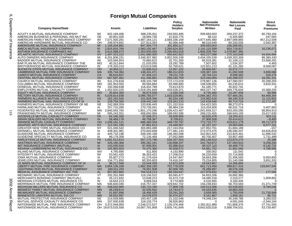## **Foreign Mutual Companies**

**Policy**

**Nationwide**

**Direct**

| I                          |
|----------------------------|
|                            |
| י<br>)                     |
|                            |
|                            |
|                            |
|                            |
|                            |
|                            |
| pusitiment of it buildings |
|                            |
|                            |
|                            |
|                            |
|                            |
|                            |
|                            |
|                            |
|                            |
|                            |
|                            |
|                            |
|                            |
|                            |
|                            |
|                            |
|                            |
|                            |
|                            |
|                            |
|                            |
|                            |
|                            |
|                            |
|                            |
| $\overline{1}$<br>¢        |
| ١                          |

116

| <b>Company Name/State</b>                                                            |                        | Assets                       | <b>Liabilities</b>           | Policy<br><b>Holders</b><br><b>Surplus</b> | Nationwide<br><b>Net Premiums</b><br>Written | <b>Nationwide</b><br><b>Net Losses</b><br>Paid | <b>Direct</b><br>Illinois<br><b>Premiums</b> |
|--------------------------------------------------------------------------------------|------------------------|------------------------------|------------------------------|--------------------------------------------|----------------------------------------------|------------------------------------------------|----------------------------------------------|
| ACUITY A MUTUAL INSURANCE COMPANY                                                    | WI                     | 832,169,406                  | 588.235.911                  | 243,933,495                                | 509,683,003                                  | 204,237,372                                    | 60,793,104                                   |
| AMERICAN BUSINESS & PERSONAL INS MUT INC<br>AMERICAN FAMILY MUTUAL INSURANCE COMPANY | DE<br>WI               | 40,801,505<br>7,071,500,281  | 18,984,730<br>4,987,164,121  | 21,816,775                                 | 68,110<br>4,877,645,480                      | -5,405,860<br>2,897,089,865                    | 247,065<br>457,212,509                       |
| AMERICAN HARDWARE MUTUAL INSURANCE CO                                                | OH                     | 209,979,801                  | 127,913,353                  | 2,084,336,159<br>82,066,448                | 86,516,949                                   | 60,333,035                                     | 2,042,397                                    |
| AMERISURE MUTUAL INSURANCE COMPANY                                                   | MI                     | 1,149,204,891                | 847, 354, 774                | 301,850,117                                | 339,593,003                                  | 156,309,551                                    |                                              |
| AMICA MUTUAL INSURANCE COMPANY                                                       | <b>RI</b>              | 2,825,816,769                | 1,560,192,467                | 1,265,624,302                              | 1,141,115,599                                | 603,719,837                                    | 16,236,072                                   |
| ANTHEM INSURANCE COMPANIES INC                                                       | IN                     | 3,614,588,074                | 1,353,935,055                | 2,260,653,018                              | 1,806,209,794                                | 1,478,867,385                                  | $\Omega$                                     |
| ATLANTIC MUTUAL INSURANCE COMPANY                                                    | <b>NY</b>              | 1,497,323,222                | 1,041,680,300                | 455.642.922                                | 493,227,098                                  | 275,163,648                                    | 34,934,994                                   |
| AUTO OWNERS INSURANCE COMPANY                                                        | MI                     | 6,201,808,231                | 3,349,307,982                | 2,852,500,249                              | 2,434,335,539                                | 1,439,203,358                                  | 98,380,430                                   |
| BADGER MUTUAL INSURANCE COMPANY<br>BAR PLAN MUTUAL INSURANCE COMPANY THE             | WI<br><b>MO</b>        | 103,584,924<br>40,312,844    | 70,883,622<br>21,020,055     | 32,701,300<br>19,292,789                   | 65,919,381<br>7,507,602                      | 31,108,122<br>1,534,337                        | 23,568,291<br>4,483                          |
| BROTHERHOOD MUTUAL INSURANCE COMPANY                                                 | IN                     | 176,320,210                  | 123,619,589                  | 52,700,621                                 | 122,601,213                                  | 61,131,260                                     | 8,568,067                                    |
| BUCKEYE STATE MUTUAL INSURANCE COMPANY                                               | OH                     | 34,963,117                   | 22,906,013                   | 12,057,102                                 | 26,600,947                                   | 16,972,777                                     | $\Omega$                                     |
| CAMBRIDGE MUTUAL FIRE INSURANCE COMPANY                                              | <b>MA</b>              | 335,744,304                  | 149,431,471                  | 186,312,833                                | 109,367,183                                  | 41,092,508                                     | 3,659,060                                    |
| CAMICO MUTUAL INSURANCE COMPANY                                                      | CA                     | 96,615,837                   | 67,404,121                   | 29,211,716                                 | 28,744,114                                   | 8,508,362                                      | 316,175                                      |
| CENTRAL MUTUAL INSURANCE COMPANY                                                     | OH                     | 667,587,452                  | 411,346,691                  | 256,240,759                                | 315,040,009                                  | 145,398,537                                    | 18,281,151                                   |
| CHURCH MUTUAL INSURANCE COMPANY                                                      | WI                     | 611,276,818                  | 439,103,799                  | 172,173,019                                | 278,967,136                                  | 147,590,057                                    | 20,289,255                                   |
| COLUMBIA MUTUAL INSURANCE COMPANY<br>DONEGAL MUTUAL INSURANCE COMPANY                | <b>MO</b><br><b>PA</b> | 181,953,555<br>192,066,638   | 99,584,884<br>116,452,768    | 83,488,600<br>75,613,870                   | 108,508,655                                  | 60,235,612<br>35,922,741                       | 3,620,331<br>0                               |
| EMPLOYERS MUTUAL CASUALTY COMPANY                                                    | IA                     | 1,452,820,220                | 1,019,291,849                | 433,528,371                                | 61,185,771<br>664,227,747                    | 349,776,654                                    | 10,368,205                                   |
| EQUITY MUTUAL INSURANCE COMPANY                                                      | <b>MO</b>              | 35,844,300                   | 36,874,558                   | $-1,030,258$                               | 8,745,480                                    | 10,287,458                                     | 80,986                                       |
| FACTORY MUTUAL INSURANCE COMPANY                                                     | R <sub>l</sub>         | 5,029,814,938                | 3,096,785,077                | 1,933,029,861                              | 2,084,382,703                                | 707,464,281                                    | 84,469,264                                   |
| FARMERS ALLIANCE MUTUAL INSURANCE CO                                                 | ΚS                     | 162, 162, 545                | 101,828,356                  | 60,334,190                                 | 125,862,616                                  | 89,190,318                                     | 11,115,603                                   |
| FARMERS MUTUAL HAIL INSURANCE CO OF IA                                               | IA                     | 228,704,355                  | 109,442,145                  | 119,262,210                                | 142,628,646                                  | 90,714,716                                     | 11,172,287                                   |
| FARMERS MUTUAL INSURANCE COMPANY OF NE                                               | <b>NE</b>              | 242,089,359                  | 120,936,443                  | 121,152,916                                | 154,422,303                                  | 98,273,074                                     | $\Omega$                                     |
| FARMLAND MUTUAL INSURANCE COMPANY                                                    | IA<br><b>MN</b>        | 257,710,280                  | 170,726,041                  | 86,984,234                                 | 115,204,600                                  | 66,531,715                                     | 5,407,963                                    |
| FEDERATED MUTUAL INSURANCE COMPANY<br>FRANKENMUTH MUTUAL INSURANCE COMPANY           | MI                     | 2,840,593,765<br>595,243,551 | 1,801,170,296<br>406,650,956 | 1,039,423,467<br>188,592,595               | 1,041,659,317<br>269,215,455                 | 633,283,295<br>168,943,150                     | 56,854,913<br>15,417,635                     |
| GOODVILLE MUTUAL CASUALTY COMPANY                                                    | PA                     | 64,185,326                   | 37,546,371                   | 26,638,955                                 | 40,620,478                                   | 19,250,411                                     | 910,111                                      |
| GRAIN DEALERS MUTUAL INSURANCE COMPANY                                               | IN.                    | 58,469,178                   | 48,759,367                   | 9,709,811                                  | 37,908,558                                   | 20,414,612                                     | $-9,493$                                     |
| <b>GRANGE MUTUAL CASUALTY COMPANY</b>                                                | OH                     | 1,036,181,121                | 686,460,334                  | 349,720,787                                | 772,715,777                                  | 419,812,179                                    | 39,717,573                                   |
| GRAPHIC ARTS MUTUAL INSURANCE COMPANY                                                | <b>NY</b>              | 112,341,180                  | 87,891,613                   | 24,449,567                                 | 32,167,107                                   | 18,955,684                                     | 6,577,101                                    |
| GREATER NEW YORK MUTUAL INSURANCE CO                                                 | NY                     | 521,046,542                  | 303,883,488                  | 217,163,054                                | 147,852,701                                  | 61,684,189                                     | $-157$                                       |
| GRINNELL MUTUAL REINSURANCE COMPANY                                                  | IA                     | 448,301,981                  | 270,820,838                  | 177,481,143                                | 273,373,475                                  | 136,590,347                                    | 44,626,819                                   |
| GUIDEONE MUTUAL INSURANCE COMPANY<br>GUIDEONE SPECIALTY MUTUAL INSURANCE CO          | IA<br>IA               | 445,732,196                  | 299,340,188                  | 146,392,008                                | 242,801,625<br>60,700,407                    | 210,825,481                                    | 11,996,532                                   |
| HARLEYSVILLE MUTUAL INSURANCE COMPANY                                                | PA                     | 99,179,358<br>1,091,512,814  | 72,126,469<br>557,175,790    | 27,052,889<br>534,337,024                  | 265,148,010                                  | 53,857,490<br>123,870,270                      | 1,731,489<br>25,388                          |
| HASTINGS MUTUAL INSURANCE COMPANY                                                    | MI                     | 426,180,368                  | 295,282,161                  | 130,898,207                                | 242,763,872                                  | 137,093,910                                    | 9,258,200                                    |
| IMT INSURANCE COMPANY (MUTUAL)                                                       | IA                     | 143,035,916                  | 87,939,001                   | 55,096,914                                 | 85,537,110                                   | 49,468,770                                     | 8,142,732                                    |
| INDIANA LUMBERMENS MUTUAL INSURANCE CO                                               | IN                     | 105,983,933                  | 70,475,360                   | 35,508,572                                 | 54,981,752                                   | 31,891,060                                     | 4,788,956                                    |
| INLAND MUTUAL INSURANCE COMPANY                                                      | <b>WV</b>              | 4,765,690                    | 611,800                      | 4,153,890                                  | 330,002                                      | 111,542                                        |                                              |
| INTEGRITY MUTUAL INSURANCE COMPANY                                                   | WI                     | 53.561.435                   | 36,353,422                   | 17,208,014                                 | 26,220,659                                   | 22,714,858                                     |                                              |
| <b>IOWA MUTUAL INSURANCE COMPANY</b>                                                 | IA                     | 55,827,273                   | 41,279,424                   | 14,547,847                                 | 34,843,266                                   | 21,356,583                                     | 6,053,850                                    |
| JEWELERS MUTUAL INSURANCE COMPANY<br>LE MARS MUTUAL INSURANCE COMPANY OF IA          | WI<br>IA               | 134,771,850<br>36,217,568    | 60,355,603<br>23,544,359     | 74,416,247<br>12,673,209                   | 75,224,805<br>19,043,867                     | 31,140,596<br>14,369,884                       | 3,651,332                                    |
| LIBERTY MUTUAL FIRE INSURANCE COMPANY                                                | <b>MA</b>              | 2,664,136,189                | 1,962,358,160                | 701,778,029                                | 841,713,450                                  | 589,817,315                                    | 133,847,545                                  |
| LIGHTNING ROD MUTUAL INSURANCE COMPANY                                               | OH                     | 160,011,293                  | 78,001,508                   | 82,009,785                                 | 76,289,997                                   | 48,078,106                                     |                                              |
| MEDICAL ASSURANCE COMPANY INC THE                                                    | AL                     | 957,852,860                  | 764,518,213                  | 193,334,647                                | 227,979,832                                  | 67,582,337                                     | 177,594                                      |
| MEDMARC MUTUAL INSURANCE COMPANY                                                     | VT                     | 202,201,999                  | 119,156,522                  | 83,045,477                                 | 34,653,206                                   | 16,892,366                                     |                                              |
| MERCHANTS BONDING COMPANY (MUTUAL)                                                   | IA                     | 45,121,932                   | 13,648,213                   | 31,473,719                                 | 18,480,318                                   | 2,319,277                                      | 1,009,802                                    |
| MERIDIAN CITIZENS MUTUAL INSURANCE CO                                                | IN                     | 19,644,213                   | 9,869,544                    | 9,774,669                                  | 4,516,565                                    | 4,183,435                                      |                                              |
| MERRIMACK MUTUAL FIRE INSURANCE COMPANY<br>MICHIGAN MILLERS MUTUAL INSURANCE CO      | MA<br>MI               | 546,600,040<br>208,632,885   | 216,757,337<br>130,723,180   | 329,842,702<br>77,909,706                  | 156,238,833<br>140,513,096                   | 58,703,583<br>63,539,552                       | 21,271,749<br>9,784,036                      |
| MIDWEST FAMILY MUTUAL INSURANCE COMPANY                                              | <b>MN</b>              | 46,249,614                   | 32,505,942                   | 13,743,672                                 | 34,043,635                                   | 18,863,209                                     |                                              |
| MILWAUKEE MUTUAL INSURANCE COMPANY                                                   | WI                     | 51,697,696                   | 18,406,429                   | 33,291,263                                 | 3,059,565                                    | 1,750,009                                      | 21,730,949                                   |
| MINNESOTA LAWYERS MUTUAL INS CO                                                      | <b>MN</b>              | 59,552,997                   | 24,078,670                   | 35,474,327                                 | 9,161,967                                    | 1,958,181                                      | 95,721                                       |
| MUTUAL PROTECTIVE INSURANCE COMPANY                                                  | <b>NE</b>              | 214,559,685                  | 193,457,136                  | 21,102,548                                 | 74,348,234                                   | 35,348,786                                     | 3,280,022                                    |
| MUTUAL SERVICE CASUALTY INSURANCE CO                                                 | MN                     | 157,930,638                  | 119,103,774                  | 38,826,863                                 | ∩                                            | 4,591,045                                      | $-2,344,104$                                 |
| NATIONWIDE MUTUAL FIRE INSURANCE COMPANY                                             | OН                     | 3,372,948,993                | 2,246,572,527                | 1,126,376,466                              | 1,301,811,980                                | 751,808,375                                    | 27,741,505                                   |
| NATIONWIDE MUTUAL INSURANCE COMPANY                                                  | OH                     | 19,673,533,558               | 14,067,791,909               | 5,605,741,649                              | 9,642,625,018                                | 5,568,704,531                                  | 53,729,487                                   |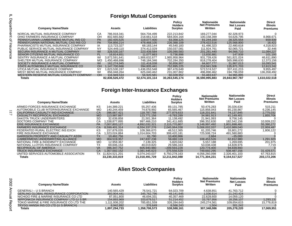#### **Foreign Mutual Companies**

|                                         |           |                |                    | <b>Policy</b>  | <b>Nationwide</b>              | <b>Nationwide</b> | <b>Direct</b>   |
|-----------------------------------------|-----------|----------------|--------------------|----------------|--------------------------------|-------------------|-----------------|
| <b>Company Name/State</b>               |           |                | <b>Liabilities</b> | <b>Holders</b> | <b>Net Premiums</b><br>Written | <b>Net Losses</b> | <b>Illinois</b> |
|                                         |           | Assets         |                    | <b>Surplus</b> |                                | Paid              | <b>Premiums</b> |
| NORCAL MUTUAL INSURANCE COMPANY         | СA        | 786.918.341    | 564.704.499        | 222.213.842    | 169.277.044                    | 82,328,973        | 0               |
| OHIO FARMERS INSURANCE COMPANY          | OН        | 802.665.682    | 218.661.518        | 584.004.164    | 100.158.399                    | 54.626.795        | 8,968,671       |
| PENNSYLVANIA LUMBERMENS MUTUAL INS CO   | <b>PA</b> | 182.435.525    | 119.077.400        | 63.358.125     | 81.244.160                     | 28.325.554        | 659,939         |
| PENNSYLVANIA NATIONAL MUTUAL CAS INS CO | <b>PA</b> | 704.856.214    | 478.468.105        | 226.388.109    | 278.422.516                    | 125.568.800       | 16,422          |
| PHARMACISTS MUTUAL INSURANCE COMPANY    | IA        | 113.723.327    | 68.183.144         | 45.540.183     | 61.486.323                     | 22.480.618        | 4,318,823       |
| PUBLIC SERVICE MUTUAL INSURANCE COMPANY | <b>NY</b> | 524.449.110    | 374.412.029        | 150.037.081    | 111.924.761                    | 92,065,721        | 32.446          |
| SECURA INSURANCE A MUTUAL COMPANY       | WI        | 328.530.167    | 223.439.584        | 105.090.583    | 201,281,440                    | 94,566,710        | 11,084,227      |
| SENIOR CITIZENS MUTUAL INSURANCE CO     | FL        | 16.814.651     | 11.077.663         | 5.736.898      | 13.830.881                     | 147.939           | 101.193         |
| SENTRY INSURANCE A MUTUAL COMPANY       | WI        | 3.872.591.641  | 1.906.632.677      | 1.965.958.964  | 931.739.426                    | 561.821.024       | 46.611.890      |
| SHELTER MUTUAL INSURANCE COMPANY        | <b>MO</b> | .450.468.696   | 748.184.346        | 702.284.350    | 818.278.404                    | 565.998.630       | 12,373,156      |
| SOCIETY INSURANCE A MUTUAL COMPANY      | WI        | 162.274.945    | 111.418.038        | 50,856,907     | 84.607.777                     | 31.967.013        | 16,093,541      |
| STATE AUTOMOBILE MUTUAL INSURANCE CO    | OH        | 1.147.700.666  | 394.805.441        | 752.895.225    | 216.941.506                    | 135.871.703       | 12.613.242      |
| UTICA MUTUAL INSURANCE COMPANY          | NY        | 1.823.530.197  | 1,436,053,548      | 387.476.649    | 572,574,527                    | 337.411.215       | 9,955,497       |
| WEST BEND MUTUAL INSURANCE COMPANY      | WI        | 856.048.264    | 625.040.462        | 231.007.802    | 496.890.462                    | 194.796.059       | 136,358,492     |
| WESTERN RESERVE MUTUAL CASUALTY COMPANY | <b>OH</b> | 116.949.533    | 56.920.581         | 60.028.952     | 55.483.637                     | 34.965.895        |                 |
| Totals                                  |           | 82.836.526.472 | 52.574.101.114     | 30.263.545.174 | 36.590.995.883                 | 20.843.967.787    | 1.610.022.518   |

#### **Foreign Inter-Insurance Exchanges**

|                          | <b>Company Name/State</b>               |           | Assets         | <b>Liabilities</b> | <b>Policy</b><br><b>Holders</b><br><b>Surplus</b> | <b>Nationwide</b><br><b>Net Premiums</b><br>Written | Nationwide<br><b>Net Losses</b><br>Paid | <b>Direct</b><br>Illinois<br>Premiums |
|--------------------------|-----------------------------------------|-----------|----------------|--------------------|---------------------------------------------------|-----------------------------------------------------|-----------------------------------------|---------------------------------------|
|                          | ARMED FORCES INSURANCE EXCHANGE         | ΚS        | 144.389.221    | 55,257,436         | 89,131,785                                        | 50,476,283                                          | 35.026.634                              | 515,211                               |
| $\overline{\phantom{0}}$ | AUTOMOBILE CLUB INTERINSURANCE EXCHANGE | MO.       | 140,244,459    | 74,678,992         | 65.565.467                                        | 115,858,043                                         | 65,230,867                              | 6,236,145                             |
| $\overline{L}$           | CALIFORNIA CASUALTY IND EXCHANGE        | CA        | 396.667.421    | 118,787,788        | 277.879.633                                       | 116.201.641                                         | 74.137.845                              | 2,775,032                             |
|                          | CASUALTY RECIPROCAL EXCHANGE            | <b>MO</b> | 113.987.867    | 123.771.156        | $-9.783.289$                                      | 34.981.913                                          | 41.149.401                              | 1,855,706                             |
|                          | DAKOTA TRUCK UNDERWRITERS               | <b>SD</b> | 32.639.858     | 21.501.364         | 11.138.492                                        | 21.941.093                                          | 9.756.145                               |                                       |
|                          | DOCTORS COMPANY THE                     | CA        | 1.338.877.895  | 997.466.210        | 341.411.685                                       | 396,352,630                                         | 182.542.156                             | 10,939,222                            |
|                          | ERIE INSURANCE EXCHANGE                 | <b>PA</b> | 7.007.803.127  | 4.892.032.321      | 2.115.770.807                                     | 3.148.997.492                                       | 1.801.698.481                           | 55,390,272                            |
|                          | <b>FARMERS INSURANCE EXCHANGE</b>       | <b>CA</b> | 8.599.401.314  | 6.554.337.276      | 2.045.064.038                                     | 5.006.002.037                                       | 3.410.989.040                           | 22,959,487                            |
|                          | FEDERATED RURAL ELECTRIC INS EXCH       | KS.       | 157.879.035    | 109.366.670        | 48.512.365                                        | 61,205,746                                          | 33.801.272                              | 1,806,122                             |
|                          | FIRE INSURANCE EXCHANGE                 | CA        | 1.323.024.884  | 1.014.604.703      | 308,420,181                                       | 725.508.724                                         | 491,580,883                             |                                       |
|                          | GARRISON PROPERTY AND CASUALTY ASSN     | <b>TX</b> | 10.462.756     | 61.790             | 10.400.966                                        | 2.684                                               | $-35.000$                               |                                       |
|                          | LUMBERMENS UNDERWRITING ALLIANCE        | <b>MO</b> | 304.519.357    | 247.837.238        | 56.682.119                                        | 108.453.526                                         | 62.812.980                              | 1,291,929                             |
|                          | NATIONAL FIRE & INDEMNITY EXCHANGE      | <b>MO</b> | 12.959.367     | 7.139.325          | 5,820,042                                         | 5,557,188                                           | 1,269,695                               | 201,975                               |
|                          | NATIONAL LLOYDS INSURANCE COMPANY       | <b>TX</b> | 69.606.153     | 40.019.820         | 29,586,333                                        | 53,038,438                                          | 14.828.976                              | 7.719                                 |
|                          | RECIPROCAL OF AMERICA                   | <b>VA</b> | 396.347.752    | 605.940.980        | $-209.593.228$                                    | 120.774.400                                         | 94.839.893                              |                                       |
|                          | TRUCK INSURANCE EXCHANGE                | <b>CA</b> | 1.357.002.152  | 1.081.445.623      | 275.556.529                                       | 749.692.295                                         | 508.487.156                             | 31,429,571                            |
|                          | UNITED SERVICES AUTOMOBILE ASSOCIATION  | TX .      | 11.824.521.201 | 5.074.243.037      | 6.750.278.163                                     | 4,056,260,098                                       | 2.326.401.103                           | 67.763.815                            |
|                          | Totals                                  |           | 33,230,333,819 | 21,018,491,729     | 12,211,842,088                                    | 14,771,304,231                                      | 9,154,517,527                           | 203,172,206                           |

#### **Alien Stock Companies**

| Company Name/State                       | <b>Assets</b> | <b>Liabilities</b> | <b>Policy</b><br><b>Holders</b><br>Surplus | <b>Nationwide</b><br><b>Net Premiums</b><br>Written | <b>Nationwide</b><br><b>Net Losses</b><br>Paid | <b>Direct</b><br><b>Illinois</b><br>Premiums |
|------------------------------------------|---------------|--------------------|--------------------------------------------|-----------------------------------------------------|------------------------------------------------|----------------------------------------------|
| <b>GENERALI – U S BRANCH</b>             | 140.565.429   | 76.541.721         | 64.023.709                                 | 4.638.851                                           | 41.763.712                                     |                                              |
| GERLING GLOBAL REINSURANCE CORPORATION   | 393.904.441   | 345.762.796        | 48.141.645                                 | 1.036.614                                           | 21.243.424                                     |                                              |
| NICHIDO FIRE & MARINE INSURANCE CO LTD   | 87.051.800    | 46.694.331         | 40.357.469                                 | 22.628.600                                          | 14.059.120                                     |                                              |
| NIPPONKOA INSURANCE COMPANY LTD (U S BR  | 154.893.969   | 103.679.517        | 51.214.452                                 | 33.767.956                                          | 18.256.107                                     | 1.293.132                                    |
| TOKIO MARINE & FIRE INSURANCE CO LTD THE | 1.111.936.202 | 785.651.559        | 326.284.643                                | 245.274.561                                         | 109.654.615                                    | 15,776,819                                   |
| TRYGG HANSA INS CO LTD (U S BRANCH)      | 8.942.892     | 376.649            | 8.566.243                                  | 1.504                                               | 301.242                                        |                                              |
| Totals                                   | 1.897.294.733 | 1.358.706.573      | 538.588.161                                | 307.348.086                                         | 205.278.220                                    | 17.069.951                                   |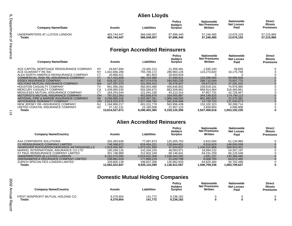## **Alien Lloyds**

| <b>Company Name/State</b>     | Assets      | Liabilities | Policy<br><b>Holders</b><br>Surplus | <b>Nationwide</b><br><b>Net Premiums</b><br>Written | <b>Nationwide</b><br><b>Net Losses</b><br>Paid | Direct<br><b>Illinois</b><br>Premiums |
|-------------------------------|-------------|-------------|-------------------------------------|-----------------------------------------------------|------------------------------------------------|---------------------------------------|
| UNDERWRITERS AT LLOYDS LONDON | 463.744.447 | 366.048.007 | 97,696,440                          | 57.246.485                                          | 13.676.103                                     | 57.215.965                            |
| <b>Totals</b>                 | 463.744.447 | 366.048.007 | 97.696.440                          | 57,246,485                                          | 13.676.103                                     | 57.215.965                            |

#### **Foreign Accredited Reinsurers**

| <b>Company Name/State</b>                |           | <b>Assets</b>  | <b>Liabilities</b> | <b>Policy</b><br><b>Holders</b><br><b>Surplus</b> | <b>Nationwide</b><br><b>Net Premiums</b><br>Written | <b>Nationwide</b><br><b>Net Losses</b><br>Paid | <b>Direct</b><br><b>Illinois</b><br><b>Premiums</b> |
|------------------------------------------|-----------|----------------|--------------------|---------------------------------------------------|-----------------------------------------------------|------------------------------------------------|-----------------------------------------------------|
| ACE CAPITAL MORTGAGE REINSURANCE COMPANY | <b>NY</b> | 44.847.694     | 23.491.213         | 21.356.481                                        | 1.935.240                                           | 59,830                                         |                                                     |
| ACE GUARANTY RE INC                      | NY        | 1.042.666.298  | 755.706.172        | 286,960,126                                       | 123.273.820                                         | 16,175,769                                     |                                                     |
| ALEA NORTH AMERICA REINSURANCE COMPANY   | СT        | 20.966.421     | 361.603            | 20.604.818                                        |                                                     |                                                |                                                     |
| COMMERCIAL RISK RE–INSURANCE COMPANY     | VT        | 417.433.608    | 380.333.988        | 37.099.621                                        | 103.098.669                                         | 59.986.859                                     |                                                     |
| <b>ESSEX INSURANCE COMPANY</b>           | DE        | 618.167.313    | 457.574.076        | 160.593.235                                       | 289.710.049                                         | 70.937.770                                     |                                                     |
| HOLYOKE MUTUAL INSURANCE COMPANY         | <b>MA</b> | 147.397.070    | 101.920.423        | 45.476.647                                        | 55.672.974                                          | 37.291.325                                     |                                                     |
| <b>HOUSTON CASUALTY COMPANY</b>          | ТX        | 851.590.282    | 450.943.480        | 400.646.802                                       | 228.819.101                                         | 74.976.985                                     |                                                     |
| MERCURY CASUALTY COMPANY                 | СA        | 1.439.090.535  | 555.580.673        | 883.509.862                                       | 669.914.464                                         | 318.460.861                                    |                                                     |
| MIDDLESEX MUTUAL ASSURANCE COMPANY       | CТ        | 164.254.544    | 121.041.230        | 43.213.314                                        | 47.857.731                                          | 42.726.947                                     |                                                     |
| MOTORISTS MUTUAL INSURANCE COMPANY       | OH        | 787.812.563    | 452.856.676        | 334.955.887                                       | 344.199.915                                         | 174.794.113                                    |                                                     |
| NATIONAL FIRE & MARINE INSURANCE COMPANY | <b>NE</b> | 4.258.865.316  | 2.352.697.261      | 1.906.168.055                                     | 801.482.825                                         | 32,375,381                                     |                                                     |
| NATIONWIDE INDEMNITY COMPANY             | <b>OH</b> | 2.619.325.679  | 2.027.698.784      | 591.626.896                                       | 14.729.703                                          | 131,030,873                                    |                                                     |
| NEW JERSEY RE–INSURANCE COMPANY          | NJ        | 1.164.968.217  | 601.011.778        | 563,956,439                                       | 153,102,323                                         | 90,288,714                                     |                                                     |
| UNITED COASTAL INSURANCE COMPANY         | AZ        | 37.142.131     | 15.185.008         | 21.957.123                                        | 3,659,804                                           | 4,086,808                                      |                                                     |
| Totals                                   |           | 13,614,527,671 | 8,296,402,365      | 5,318,125,306                                     | 2,837,456,618                                       | 1,053,192,235                                  | 0                                                   |

118

#### **Alien Accredited Reinsurers**

| Company Name/Country                     | <b>Assets</b>  | Liabilities   | <b>Policy</b><br><b>Holders</b><br><b>Surplus</b> | <b>Nationwide</b><br><b>Net Premiums</b><br>Written | <b>Nationwide</b><br><b>Net Losses</b><br>Paid | <b>Direct</b><br><b>Illinois</b><br>Premiums |
|------------------------------------------|----------------|---------------|---------------------------------------------------|-----------------------------------------------------|------------------------------------------------|----------------------------------------------|
| AXA CORPORATE SOLUTIONS                  | 202.393.626    | 77.087.873    | 125.305.753                                       | 5.815.004                                           | 61.134.960                                     | 0                                            |
| CX REINSURANCE COMPANY LIMITED           | 748.398.872    | 619.454.221   | 128.944.651                                       | 8.916.629                                           | 148,000,058                                    |                                              |
| HANNOVER RUCKVERSICHERUNGS-AKTIENGESELLS | 1.919.456.587  | 1.872.431.950 | 47.024.637                                        | 1.334.015.866                                       | 508.910.401                                    |                                              |
| MARKEL INTERNATIONAL INSURANCE CO LTD    | 190.268.126    | 142.204.155   | 48.063.971                                        | 18.994.232                                          | 54.307.197                                     |                                              |
| ST PAUL REINSURANCE COMPANY LIMITED      | 301.748.889    | 212.602.248   | 89.146.641                                        | 64.231.259                                          | 66.125.548                                     |                                              |
| UNDERWRITERS @ LLOYDS LONDON             | 8.161.075.590  | 6.624.632.308 | 1.536.443.282                                     | 1.841.197                                           | 130.366.485                                    |                                              |
| UNIONAMERICA INSURANCE COMPANY LIMITED   | 208.881.018    | 177.860.219   | 31.020.799                                        | 8.069.765                                           | 64.072.482                                     |                                              |
| ZURICH SPECIALTIES LONDON LIMITED        | 329.800.139    | 198.837.306   | 130.962.833                                       | 64.825.384                                          | 50.792.496                                     |                                              |
| Totals                                   | 12.062.022.847 | 9.925.110.280 | 2.136.912.567                                     | 1.506.709.336                                       | 1.083.709.627                                  |                                              |

#### **Domestic Mutual Holding Companies**

| <b>Company Name/Country</b>                 | Assets                 | Liabilities        | Policv<br><b>Holders</b><br>Surplus | <b>Nationwide</b><br><b>Net Premiums</b><br>Written | <b>Nationwide</b><br><b>Net Losses</b><br>Paid | <b>Direct</b><br><b>Illinois</b><br><b>Premiums</b> |
|---------------------------------------------|------------------------|--------------------|-------------------------------------|-----------------------------------------------------|------------------------------------------------|-----------------------------------------------------|
| FIRST NONPROFIT MUTUAL HOLDING CO<br>Totals | 9,379,954<br>9,379,954 | 141.772<br>141.772 | 9.238.182<br>9,238,182              |                                                     |                                                |                                                     |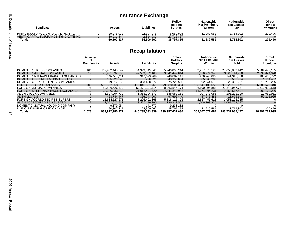# IL Departm ent of Insurance

#### **Policy Holders Syndicate Assets Liabilities Surplus Nationwide Net Premiums Written Nationwide Net Losses Premiums Illinois Direct** PRIME INSURANCE SYNDICATE INC THE IL 30,275,973 22,194,975 8,080,998 11,289,581 8,714,802 279,476 VESTA CAPITAL INSURANCE SYNDICATE INC IL 30,031,844 2,314,987 27,716,857 0 0 0 **Totals 60,307,817 24,509,962 35,797,855 11,289,581 8,714,802 279,476**

**Insurance Exchange**

#### **Recapitulation**

|                                    | <b>Number</b><br>Οt<br><b>Companies</b> | <b>Assets</b>   | <b>Liabilities</b> | <b>Policy</b><br><b>Holders</b><br><b>Surplus</b> | <b>Nationwide</b><br><b>Net Premiums</b><br>Written | <b>Nationwide</b><br><b>Net Losses</b><br>Paid | <b>Direct</b><br><b>Illinois</b><br><b>Premiums</b> |
|------------------------------------|-----------------------------------------|-----------------|--------------------|---------------------------------------------------|-----------------------------------------------------|------------------------------------------------|-----------------------------------------------------|
|                                    |                                         |                 |                    |                                                   |                                                     |                                                |                                                     |
| DOMESTIC STOCK COMPANIES           | 166                                     | 119.432.448.547 | 84.323.649.046     | 35.246.865.244                                    | 52.217.678.122                                      | 28.653.859.442                                 | 5,704,492,105                                       |
| DOMESTIC MUTUAL COMPANIES          | 17                                      | 76.401.332.008  | 42,559,882,163     | 33.841.449.844                                    | 32.356.274.345                                      | 23.306.114.960                                 | 2,893,024,920                                       |
| DOMESTIC INTER-INSURANCE EXCHANGES | 3                                       | 597.562.111     | 347.679.969        | 249.882.141                                       | 276.248.027                                         | 141.915.088                                    | 108,460,792                                         |
| DOMESTIC RISK RETENTION GROUPS     |                                         | 135.729.845     | 91.770.021         | 43.959.824                                        | 35.969.203                                          | 8.567.254                                      | 1.114.457                                           |
| DOMESTIC SURPLUS LINES COMPANIES   |                                         | 579.217.083     | 303.488.577        | 275,728,506                                       | 192,044,515                                         | 29.309.261                                     | 16,262,265                                          |
| <b>FOREIGN STOCK COMPANIES</b>     | 706                                     | 598.652.558.018 | 419.045.551.761    | 179.688.006.304                                   | 168.547.106.655                                     | 99.229.166.171                                 | 6,381,673,340                                       |
| FORFIGN MUTUAL COMPANIES           | 75                                      | 82.836.526.472  | 52.574.101.114     | 30.263.545.174                                    | 36.590.995.883                                      | 20.843.967.787                                 | 1,610,022,518                                       |
| FOREIGN INTER-INSURANCE EXCHANGES  | 17                                      | 33.230.333.819  | 21.018.491.729     | 12.211.842.088                                    | 14.771.304.231                                      | 9.154.517.527                                  | 203.172.206                                         |
| ALIEN STOCK COMPANIES              |                                         | .897.294.733    | 1.358.706.573      | 538,588,161                                       | 307.348.086                                         | 205.278.220                                    | 17.069.951                                          |
| ALIEN LLOYDS                       |                                         | 463.744.447     | 366.048.007        | 97.696.440                                        | 57.246.485                                          | 13.676.103                                     | 57,215,965                                          |
| FOREIGN ACCREDITED REINSURERS      | 14                                      | 13.614.527.671  | 8.296.402.365      | 5.318.125.306                                     | 2.837.456.618                                       | 1.053.192.235                                  |                                                     |
| ALIEN ACCREDITED REINSURERS        | 8                                       | 12.062.022.847  | 9.925.110.280      | 2.136.912.567                                     | 1.506.709.336                                       | 1.083.709.627                                  |                                                     |
| DOMESTIC MUTUAL HOLDING COMPANY    |                                         | 9,379,954       | 141.772            | 9,238,182                                         |                                                     |                                                |                                                     |
| <b>ILLINOIS INSURANCE EXCHANGE</b> |                                         | 60.307.817      | 24,509,962         | 35.797.855                                        | 11.289.581                                          | 8.714.802                                      | 279,476                                             |
| Totals                             | 1,023                                   | 939.972.985.372 | 640,235,533,339    | 299,957,637,636                                   | 309, 707, 671, 087                                  | 183,731,988,477                                | 16,992,787,995                                      |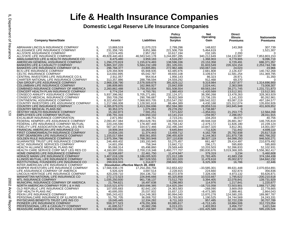# **Life & Health Insurance Companies**

| <b>Company Name/State</b>                                                        | Assets                                    | Liabilities                                            | <b>Policy</b><br><b>Holders</b><br><b>Surplus</b> | Net<br>Operating<br>Gain   | Direct<br><b>Illinois</b><br>Premiums | Nationwide<br><b>Premiums</b> |
|----------------------------------------------------------------------------------|-------------------------------------------|--------------------------------------------------------|---------------------------------------------------|----------------------------|---------------------------------------|-------------------------------|
| ABRAHAM LINCOLN INSURANCE COMPANY                                                | 13.869.519<br>IL                          | 11.070.223                                             | 2.799.296                                         | 148.822                    | 143,368                               | 307,739                       |
| ALLEGIANCE LIFE INSURANCE COMPANY                                                | IL<br>231,358,745                         | 9,851,986                                              | 221,506,759                                       | 5,464,619                  | O                                     | 1,521,307                     |
| ALLSTATE ASSURANCE COMPANY                                                       | IL<br>13,574,455                          | 2,957,262                                              | 10,617,194                                        | 232,165                    | 2.200                                 | $\Omega$                      |
| ALLSTATE LIFE INSURANCE COMPANY                                                  | 49,828,440,463<br>IL                      | 46,583,543,178                                         | 3,244,897,285                                     | 340,212,649                | 134, 133, 997                         | 7,853,803,153                 |
| AMALGAMATED LIFE & HEALTH INSURANCE CO                                           | IL<br>8,475,480<br>IL                     | 3,959,183                                              | 4,516,297                                         | 1,368,903                  | 9,779,905                             | 9,096,719                     |
| AMERICAN GENERAL ASSURANCE COMPANY<br><b>BANKERS LIFE &amp; CASUALTY COMPANY</b> | 1,294,270,819<br>IL<br>5,865,337,220      | 1,155,674,483<br>5,584,232,189                         | 138,596,336<br>281,105,031                        | 23,153,358<br>81,603,549   | 6,729,491<br>226,324,154              | 686,371,357<br>2,253,744,748  |
| BANKERS LIFE INSURANCE COMPANY OF IL                                             | IL<br>296,768,377                         | 23,805,891                                             | 272,962,486                                       | 150,067,316                | 24,023                                | 23,966                        |
| <b>BCS LIFE INSURANCE COMPANY</b>                                                | IL<br>129,394,909                         | 65,908,935                                             | 63,485,976                                        | 2,681,808                  | 2,126,437                             | 140,742,268                   |
| CELTIC INSURANCE COMPANY                                                         | IL<br>114,692,895                         | 65,042,787                                             | 49,650,108                                        | 3,109,674                  | 11,581,254                            | 151,369,795                   |
| CENTRAL INVESTORS LIFE INSURANCE CO IL                                           | IL<br>2,911,057                           | 954,914                                                | 1,956,143                                         | 86,323                     | 28,971                                | 31,350                        |
| CHARTER NATIONAL LIFE INSURANCE COMPANY                                          | IL<br>313,357,886                         | 288,798,594                                            | 24,559,292                                        | 912,468                    | 69,370                                | C                             |
| CNA GROUP LIFE ASSURANCE COMPANY                                                 | IL<br>2,968,338,790                       | 2,576,509,678                                          | 391,829,112                                       | 9,319,984                  | 2,437,977                             | 1,314,696,900                 |
| COLUMBIAN LIFE INSURANCE COMPANY                                                 | IL<br>186,809,865<br>IL                   | 162,966,927                                            | 23,842,938                                        | 2,024,441                  | 2,363,566                             | 73,008,307                    |
| COMBINED INSURANCE COMPANY OF AMERICA<br>CONCERT HEALTH PLAN INSURANCE COMPANY   | 2,260,862,488<br>IL<br>6,774,234          | 1,759,353,934<br>4,793,781                             | 501,508,554<br>1,980,453                          | 69,563,164<br>$-1,420,569$ | 39,271,745<br>13,512,301              | 1,231,721,873<br>13,512,301   |
| CONSECO ANNUITY ASSURANCE COMPANY                                                | IL<br>5,937,396,062                       | 5,705,271,691                                          | 232, 124, 371                                     | 38,390,268                 | 13,478,263                            | 328,363,929                   |
| CONSECO MEDICAL INSURANCE COMPANY                                                | IL<br>350,709,256                         | 290,786,687                                            | 59,922,569                                        | 13,736,155                 | 1,141,333                             | 80,262,961                    |
| CONTINENTAL ASSURANCE COMPANY                                                    | 8,322,450,997<br>IL                       | 7,068,903,705                                          | 1,253,547,292                                     | 189,542,022                | 83,087,219                            | 497,184,577                   |
| COUNTRY INVESTORS LIFE ASSURANCE COMPANY                                         | IL<br>1,217,066,008                       | 1,128,581,618                                          | 88,484,389                                        | 4,430,168                  | 115,312,074                           | 135,650,926                   |
| COUNTRY LIFE INSURANCE COMPANY                                                   | IL<br>4,265,879,076                       | 3,413,284,696                                          | 852,594,380                                       | 28,859,516                 | 343,845,948                           | 431,609,852                   |
| COUNTRY MEDICAL PLANS INC                                                        | IL<br>30.353.375                          | 1,075,083                                              | 29.278.292                                        | 1.738.887                  | $\Omega$                              | $\Omega$                      |
| DESTINY HEALTH INSURANCE COMPANY                                                 | IL<br>15,162,873                          | 7,591,251                                              | 7,571,622                                         | $-1,854,811$               | 21,253,775                            | 12,564,268                    |
| <b>EMPLOYEES LIFE COMPANY MUTUAL</b><br>EXCALIBUR INSURANCE CORPORATION          | IL<br>236,791,316<br>IL<br>2,871,992      | 226.650.102<br>148,751                                 | 10,141,214<br>2,723,241                           | $-259,957$<br>104,203      | 2,286,057<br>36,070                   | 28,011,915<br>40,756          |
| FEDERAL KEMPER LIFE ASSURANCE COMPANY                                            | IL<br>2,093,457,084                       | 1,954,628,781                                          | 138,828,303                                       | 49,948,318                 | 26,881,367                            | 146,705,819                   |
| FEDERAL LIFE INSURANCE COMPANY MUTUAL                                            | IL<br>220,245,590                         | 178,487,448                                            | 41,758,142                                        | $-2,479,172$               | 11,826,180                            | 22,239,124                    |
| FIDELITY LIFE ASSOCIATION MUTUAL LEG RES                                         | IL<br>567,167,810                         | 334,672,466                                            | 232,495,344                                       | 10,847,320                 | 3,812,361                             | 14,001,007                    |
| FINANCIAL AMERICAN LIFE INSURANCE CO                                             | IL<br>19,909,344                          | 10,263,500                                             | 9,645,844                                         | $-711,626$                 | 711,442                               | 4,699,110                     |
| FIRST COMMONWEALTH INSURANCE COMPANY                                             | IL<br>24,834,155                          | 11,374,443                                             | 13,459,712                                        | 4,162,708                  | 25,782,938                            | 25,617,518                    |
| FORT DEARBORN LIFE INSURANCE COMPANY                                             | IL<br>1,155,017,684                       | 858,561,855                                            | 296,455,829                                       | 6,144,363                  | 151,870,738                           | 465,766,202                   |
| GOLDEN RULE INSURANCE COMPANY<br><b>GUARANTEE TRUST LIFE INSURANCE COMPANY</b>   | IL<br>1,975,394,786<br>IL.<br>246,469,402 | 1,768,283,948<br>193,193,945                           | 207,110,838<br>53,275,457                         | 38,927,119<br>661,467      | 64,098,250<br>29,414,497              | 946,500,271<br>210,879,492    |
| HCSC INSURANCE SERVICES COMPANY                                                  | IL<br>14,601,056                          | 758,344                                                | 13,842,712                                        | 296,171                    | 595,800                               | 595,800                       |
| <b>HEALTH ALLIANCE MEDICAL PLANS INC</b>                                         | IL<br>95,068,314                          | 65,498,860                                             | 29,569,449                                        | 10,203,503                 | 52,396,833                            | 52,102,931                    |
| HEALTH CARE SERVICE CORP MUT LEG RES CO                                          | IL<br>4,160,997,055                       | 2,700,219,348                                          | 1,460,777,707                                     | 280,830,676                | 3,019,368,305                         | 5,556,362,417                 |
| HOME OWNERS LIFE INSURANCE COMPANY                                               | IL<br>33,936,697                          | 22,461,750                                             | 11,474,947                                        | 379,319                    | 3,234                                 | 5,460,608                     |
| HORACE MANN LIFE INSURANCE COMPANY                                               | IL<br>3,407,018,109                       | 3,186,005,920                                          | 221,012,189                                       | 21,783,405                 | 41,683,158                            | 374,184,438                   |
| ILLINOIS MUTUAL LIFE INSURANCE COMPANY                                           | IL<br>969,829,575                         | 867,528,555                                            | 102,301,020                                       | 11,478,618                 | 35,002,872                            | 164,842,232                   |
| INSTITUTIONAL FOUNDERS LIFE INSURANCE CO                                         | IL<br>299,916,933                         | 1,314,877                                              | 298,602,055                                       | 6,325,309                  | 16,786                                | 22,446                        |
| INTER AMERICAN LIFE INSURANCE COMPANY<br>KEMPER INVESTORS LIFE INSURANCE COMPANY | IL<br>17,566,938,178<br>IL                | Dissolution effective March 28, 2003<br>17,254,284,756 | 312,653,422                                       | $-33,585,301$              | 89,631,448                            | 2,070,654,891                 |
| LIFE ASSURANCE COMPANY OF AMERICA                                                | IL<br>5,926,429                           | 3,697,514                                              | 2,228,915                                         | 224,660                    | 432,874                               | 356,836                       |
| LINCOLN HERITAGE LIFE INSURANCE COMPANY                                          | 420,209,710<br>IL                         | 354,136,732                                            | 66,072,978                                        | 7,328,436                  | 4,973,132                             | 93,626,871                    |
| <b>MANHATTAN NATIONAL LIFE INSURANCE CO</b>                                      | 272,172,523<br>IL                         | 226,846,666                                            | 45,325,858                                        | 10,533,667                 | 1,795,622                             | $-200,210,618$                |
| <b>MTL INSURANCE COMPANY</b>                                                     | IL<br>1,035,250,930                       | 961,738,137                                            | 73,512,793                                        | 3,394,405                  | 22,078,841                            | 139,731,929                   |
| MUNICIPAL INSURANCE COMPANY OF AMERICA                                           | IL<br>21,794,621                          | 16,497,638                                             | 5,296,983                                         | 114,976                    | 1,217,841                             | 1.220.677                     |
| NORTH AMERICAN COMPANY FOR L & H INS                                             | IL<br>3,015,521,670                       | 2,800,696,385                                          | 214,825,284                                       | $-16,715,058$              | 72,503,901                            | 1,068,717,292                 |
| OLD REPUBLIC LIFE INSURANCE COMPANY                                              | IL<br>107,005,683                         | 82,642,100                                             | 24,363,583                                        | $-268,090$                 | 3,669,059                             | 22,778,665                    |
| OSF HEALTH PLANS INC<br>PEKIN LIFE INSURANCE COMPANY                             | IL<br>40,695,055<br>IL<br>595,243,422     | 25,037,932<br>514,249,383                              | 15,657,123<br>80,994,040                          | $-8,473,385$<br>13,870,278 | 2,988,461<br>124,580,205              | 2,864,043<br>189,987,787      |
| PERSONALCARE INSURANCE OF ILLINOIS INC                                           | IL<br>51,791,705                          | 36,008,702                                             | 15,783,003                                        | 1,190,525                  | 24,744,569                            | 24,243,331                    |
| PHYSICIANS BENEFITS TRUST LIFE INS CO                                            | IL<br>19,045,445                          | 12,334,282                                             | 6,711,163                                         | 957,485                    | 32,722,239                            | 30,707,789                    |
| PIONEER LIFE INSURANCE COMPANY                                                   | IL<br>559, 377, 523                       | 476,291,906                                            | 83,085,617                                        | –6,713,145                 | 18,884,506                            | 312,723,054                   |
| PROFESSIONAL LIFE & CASUALTY COMPANY                                             | IL<br>41,695,517                          | 35,682,296                                             | 6,013,221                                         | 1,403,953                  | 3,456,737                             | 3,421,544                     |
| REASSURE AMERICA LIFE INSURANCE COMPANY                                          | Ш.<br>9,939,930,055                       | 9,547,158,997                                          | 392,771,058                                       | $-101, 425, 589$           | 22,161,006                            | 595,226,526                   |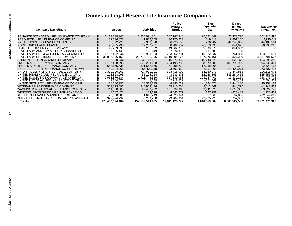|                                          |    |                 |                 | Policy<br><b>Holders</b> | <b>Net</b><br>Operating | <b>Direct</b><br><b>Illinois</b> | <b>Nationwide</b> |
|------------------------------------------|----|-----------------|-----------------|--------------------------|-------------------------|----------------------------------|-------------------|
| <b>Company Name/State</b>                |    | Assets          | Liabilities     | <b>Surplus</b>           | Gain                    | <b>Premiums</b>                  | <b>Premiums</b>   |
| RELIANCE STANDARD LIFE INSURANCE COMPANY | IL | 2,117,239,247   | 1,865,091,301   | 252,147,946              | 25,221,647              | 26,373,726                       | 561,316,395       |
| RESOURCE LIFE INSURANCE COMPANY          | IL | 72.036.878      | 41,866,255      | 30,170,623               | 519,613                 | 9.801.107                        | 2,730,411         |
| RIGHTCHOICE INSURANCE COMPANY            |    | 15.572.727      | 9.352.578       | 6.220.150                | 206.282                 | 44.246.880                       | 44,486,504        |
| ROCKFORD HEALTH PLANS                    |    | 25,405,290      | 17,202,751      | 8,202,537                | $-6,663,630$            | 10,644,625                       | 10,196,295        |
| <b>SEARS LIFE INSURANCE COMPANY</b>      |    | 49.263.330      | 6.201.052       | 43.062.278               | 5.099.073               | 5,091,959                        |                   |
| STATE FARM ANNUITY & LIFE INSURANCE CO   |    | 7,695,449       | 121.149         | 7,574,300                | 187,588                 |                                  |                   |
| STATE FARM LIFE & ACCIDENT ASSURANCE CO  |    | 1,107,462,944   | 903,900,653     | 203,562,291              | 15,982,937              | 761,868                          | 123,278,551       |
| STATE FARM LIFE INSURANCE COMPANY        |    | 32,097,996,159  | 28,787,401,996  | 3,310,594,164            | 187.176.161             | 210,307,360                      | 3,227,781,507     |
| STERLING LIFE INSURANCE COMPANY          | IL | 60.990.544      | 45.113.191      | 15.877.353               | $-10.743.822$           | 9.520.379                        | 124,695,388       |
| TRUSTMARK INSURANCE COMPANY              | IL | 1,107,488,893   | 873,290,108     | 234,198,785              | 28,379,806              | 403,798,935                      | 994,938,461       |
| TRUSTMARK LIFE INSURANCE COMPANY         |    | 653,665,438     | 591,667,166     | 61,998,272               | 17,258,305              | 19,381                           | 12,628,126        |
| UNICARE HEALTH INSURANCE CO OF THE MW    | IL | 89,124,068      | 65,422,118      | 23,701,950               | 2,001,064               | 273.402.074                      | 273,807,716       |
| UNION FIDELITY LIFE INSURANCE COMPANY    |    | 1.328.709.002   | 724.991.001     | 603.718.002              | 54.980.377              | 7.447.865                        | 230.611.976       |
| UNITED HEALTHCARE INSURANCE CO OF IL     |    | 103.828.295     | 55.195.024      | 48.633.271               | 12,728,191              | 335,284,456                      | 325,451,922       |
| UNITED INSURANCE COMPANY OF AMERICA      |    | 2,068,876,584   | 1,711,746,516   | 357,130,068              | 193,727,400             | 17,832,259                       | 248,076,772       |
| UNITED NATIONAL LIFE INSURANCE CO OF AM  | IL | 7.364.071       | 5,145,549       | 2,218,522                | $-551,567$              | 285,464                          | 2,504,932         |
| UNITED SECURITY LIFE INSURANCE CO OF IL  | IL | 20.700.957      | 16.315.235      | 4.385.722                | $-1,224,576$            | 12.444.180                       | 40,953,164        |
| <b>VETERANS LIFE INSURANCE COMPANY</b>   | IL | 301,723,692     | 245,808,436     | 55,915,256               | 8,012,861               | 4,844,776                        | $-1,942,824$      |
| WASHINGTON NATIONAL INSURANCE COMPANY    | IL | 911,350,385     | 729,450,402     | 181,899,983              | 9,941,020               | 1,613,307                        | 83,927,749        |
| WESTERN DIVERSIFIED LIFE INSURANCE CO    |    | 8.187.475       | 104.198         | 8.083.277                | 327.251                 | $-823.482$                       | 1,220,409         |
| XL LIFE INSURANCE & ANNUITY COMPANY      | IL | 26,138,587      | 1,615,243       | 24,523,344               | 657,365                 | 597,880                          | $-12,249,689$     |
| ZURICH LIFE INSURANCE COMPANY OF AMERICA |    | 329,474,232     | 250,269,268     | 79,204,964               | 23,485,723              | 8,757,881                        | 37,291,619        |
| Totals                                   |    | 175,400,674,464 | 157,589,546,185 | 17,811,128,277           | 1,840,559,509           | 6,300,527,580                    | 33,921,376,383    |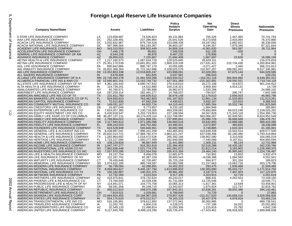| <b>Company Name/State</b>                                                           | <b>Assets</b>                                         | <b>Liabilities</b>              | Policy<br>Holders<br><b>Surplus</b> | Net<br><b>Operating</b><br>Gain | Direct<br><b>Illinois</b><br><b>Premiums</b> | <b>Nationwide</b><br><b>Premiums</b> |
|-------------------------------------------------------------------------------------|-------------------------------------------------------|---------------------------------|-------------------------------------|---------------------------------|----------------------------------------------|--------------------------------------|
| 5 STAR LIFE INSURANCE COMPANY                                                       | LA<br>123,658,687                                     | 74,526,823                      | 49,131,864                          | 705,326                         | 1,447,460                                    | 70,741,793                           |
| AAA LIFE INSURANCE COMPANY                                                          | DC<br>262,328,491                                     | 237,286,964                     | 25,041,526                          | $-6,273,658$                    | 2,403,064                                    | 76,370,880                           |
| <b>ACACIA LIFE INSURANCE COMPANY</b>                                                | DC<br>1,032,832,967                                   | 879,734,528                     | 153,098,439                         | 19,197,062                      | 2,882,922                                    | 36,339,056                           |
| ACACIA NATIONAL LIFE INSURANCE COMPANY<br>ACADEMY LIFE INSURANCE COMPANY            | DC<br>597,996,564<br><b>MO</b><br>343,310,553         | 561,193,367<br>308,502,449      | 36,803,197<br>34,808,104            | 9,194,357<br>$-6,361,820$       | 7,979,340<br>563,087                         | 87,321,644<br>26,711,964             |
| ACCELERATION LIFE INSURANCE COMPANY                                                 | OH<br>7,446,179                                       | 96,651                          | 7,349,528                           | 611,195                         | $-328$                                       |                                      |
| ADMIRAL LIFE INSURANCE COMPANY OF AM                                                | 8,544,108<br>ΑZ                                       | 46,876                          | 8,497,232                           | 176,906                         | $\Omega$                                     |                                      |
| ADVANCE INSURANCE COMPANY                                                           | <b>AZ</b><br>28,850,015                               | 7,155,607                       | 21,694,408                          | 1,667,697                       | 23,628                                       | 16,096,158                           |
| AETNA HEALTH & LIFE INSURANCE COMPANY                                               | СT<br>1,217,160,573                                   | 1,087,634,728                   | 129,525,845                         | 26,629,311                      | $\Omega$                                     | 216,075,818                          |
| AETNA LIFE INSURANCE COMPANY                                                        | СT<br>25,351,170,539                                  | 23,681,851,200                  | 1,669,319,339                       | 217,631,421                     | 210,734,436                                  | 4,260,804,962                        |
| AGL LIFE ASSURANCE COMPANY<br>AIG ANNUITY INSURANCE COMPANY                         | 890,842,866<br>PA<br><b>TX</b>                        | 880,787,170<br>31,722,342,688   | 10,055,695                          | $-3,071,427$                    | 1,440<br>289.091.931                         | 366,215,813<br>8,517,345,981         |
| AIG LIFE INSURANCE COMPANY                                                          | 33,831,368,264<br>DE<br>13,352,803,338                | 12,918,805,247                  | 2,109,025,576<br>433,998,091        | 110,507,207<br>42,028,093       | 67,675,144                                   | 944,029,595                          |
| ALL SAVERS INSURANCE COMPANY                                                        | IN<br>3,679,406                                       | 641,825                         | 3,037,581                           | 296,543                         |                                              | 120,23'                              |
| ALLIANZ LIFE INSURANCE COMPANY OF N A                                               | 22,745,493,278<br><b>MN</b>                           | 21,081,559,266                  | 1,663,934,012                       | $-163,311,118$                  | 394.934.992                                  | 8,439,391,412                        |
| ALLMERICA FINANCIAL LIFE INS & ANN CO                                               | 13,590,801,101<br>DE                                  | 13, 163, 749, 732               | 427,051,369                         | $-215,302,891$                  | 129,592,551                                  | 2,719,744,118                        |
| ALLSTATE LIFE INSURANCE COMPANY OF NY                                               | ΝY<br>4,361,166,442                                   | 4,090,747,832                   | 270,418,610                         | 16,272,108                      | 414,872                                      | 901,244,912                          |
| ALTA HEALTH & LIFE INSURANCE COMPANY                                                | 114,739,201<br>IN                                     | 14,522,880                      | 100,216,321                         | 3,909,300                       | 4,914,131                                    | 14,728                               |
| AMALGAMATED LIFE INSURANCE COMPANY<br>AMERIBEST LIFE INSURANCE COMPANY              | 40,768,571<br>NY<br>297,259,314<br>GА                 | 23,785,898<br>282,491,277       | 16,982,673<br>14,768,037            | 1,533,298<br>$-794,637$         | $\Omega$<br>290,747                          | 24,989,102<br>7,642,588              |
| AMERICAN AMICABLE LIFE INS CO OF TX                                                 | 231,811,760<br>ТX                                     | 194,835,612                     | 36,976,148                          | 12,179,610                      | 2,656,003                                    | 46,983,796                           |
| AMERICAN BANKERS LIFE ASSURANCE CO OF FL                                            | <b>FL</b><br>924,650,623                              | 763,462,803                     | 161,187,820                         | 12,861,134                      | 11,533,853                                   | 211,513,26                           |
| AMERICAN CAPITOL INSURANCE COMPANY                                                  | <b>TX</b><br>72,012,830                               | 67,582,209                      | 4,430,621                           | 3,832,167                       | 115,915                                      | 9,366,543                            |
| AMERICAN COMMUNITY MUTUAL INSURANCE CO                                              | MI<br>149,031,167                                     | 84,920,724                      | 64,110,443                          | 17,885,264                      | 35,532,746                                   | 251,825,845                          |
| AMERICAN CREDITORS LIFE INSURANCE CO                                                | DE<br>16,007,049                                      | 6,773,857                       | 9,233,192                           | 1,684,848                       | 0                                            | 285,89                               |
| AMERICAN ENTERPRISE LIFE INSURANCE CO                                               | IN<br>7,624,057,385                                   | 7,130,718,305                   | 493,339,081                         | $-75,893,884$                   | 69,023,248                                   | 2,159,025,281                        |
| AMERICAN EQUITY INVESTMENT LIFE INS CO<br>AMERICAN FAMILY LIFE ASSR CO OF COLUMBUS  | 5,430,918,547<br>ΙA<br>36,287,137,211<br><b>NE</b>    | 5,203,719,953<br>34,174,429,114 | 227,198,594<br>2,112,708,097        | 34,557,826<br>563,066,267       | 171,543,118<br>82,939,561                    | 1,554,395,730<br>8,624,952,549       |
| AMERICAN FAMILY LIFE INSURANCE COMPANY                                              | WI<br>2,769,804,022                                   | 2,531,908,181                   | 237,895,841                         | 25,086,729                      | 36,688,949                                   | 336,476,757                          |
| AMERICAN FIDELITY ASSURANCE COMPANY                                                 | OK<br>2,117,945,612                                   | 1,971,285,096                   | 146,660,516                         | 19,642,650                      | 12,888,080                                   | 369,403,285                          |
| AMERICAN FIDELITY LIFE INSURANCE COMPANY                                            | 409,243,023<br><b>FL</b>                              | 344,752,482                     | 64,490,541                          | 2,072,897                       | 460,835                                      | 18,336,089                           |
| AMERICAN FOUNDERS LIFE INSURANCE COMPANY                                            | 624,529,949<br><b>TX</b>                              | 593,846,951                     | 30,682,998                          | 3,748,885                       | 1,643,324                                    | 41,195,84                            |
| AMERICAN GENERAL LIFE & ACCIDENT INS CO                                             | ΤN<br>8,439,897,041                                   | 7,996,431,208                   | 443,465,833                         | 419,839,208                     | 15,503,514                                   | 828,577,500                          |
| AMERICAN GENERAL LIFE INSURANCE COMPANY<br>AMERICAN HEALTH & LIFE INSURANCE COMPANY | <b>TX</b><br>20,832,013,721<br>1,283,864,692<br>TX    | 17,968,792,474<br>1,018,472,526 | 2,863,221,247<br>265,392,166        | 637,038,408<br>139,902,580      | 82,180,480<br>3,310,500                      | 1,783,419,864<br>164,065,019         |
| AMERICAN HERITAGE LIFE INSURANCE COMPANY                                            | FL<br>1,723,227,094                                   | 1,560,277,499                   | 162,949,595                         | $-7,440,089$                    | 6,167,611                                    | 404,993,594                          |
| AMERICAN HOME LIFE INSURANCE COMPANY                                                | KS<br>108,129,828                                     | 96,687,949                      | 11,441,880                          | 1,309,131                       | 86,134                                       | 12,731,968                           |
| AMERICAN INCOME LIFE INSURANCE COMPANY                                              | IN<br>1,047,747,277                                   | 916,352,818                     | 131,394,459                         | 52,516,288                      | 16,420,182                                   | 342,230,766                          |
| AMERICAN INTERNATIONAL LIFE ASSR CO NY                                              | NY<br>7,962,836,448                                   | 7,521,774,376                   | 441,062,072                         | 51,812,214                      | 3,183,902                                    | 1,226,490,375                        |
| AMERICAN INVESTORS LIFE INSURANCE CO INC                                            | ΚS<br>7,557,970,286                                   | 7,222,554,930                   | 335,415,356                         | 19,464,140                      | 35,995,642                                   | 1,224,736,487                        |
| AMERICAN LIFE & HEALTH INSURANCE COMPANY<br>AMERICAN LIFE INSURANCE COMPANY OF NY   | <b>MO</b><br>19,137,754<br><b>NY</b><br>112, 187, 702 | 6,456,078<br>82,387,159         | 12,681,675<br>29,800,543            | 710,901<br>$-9.038.396$         | 13,853<br>1,084,583                          | 3,932,474<br>4,552,941               |
| AMERICAN MATURITY LIFE INSURANCE COMPANY                                            | 78,430,646<br>СT                                      | 42,705,487                      |                                     | 994,977                         | 301,334                                      | 189,823                              |
| AMERICAN MEMORIAL LIFE INSURANCE COMPANY                                            | 1,074,632,185<br>SD                                   | 980,749,587                     | 35,725,159<br>93,882,598            | 21,157,663                      | 13,063,726                                   | 303, 179, 706                        |
| AMERICAN MODERN LIFE INSURANCE COMPANY                                              | 56,739,094<br>OH                                      | 42,286,891                      | 14,452,203                          | 293,475                         | 1,839,468                                    | 11,509,460                           |
| AMERICAN NATIONAL INSURANCE COMPANY                                                 | ТX<br>8,059,064,627                                   | 6,445,167,794                   | 1,613,896,833                       | 130,365,890                     | 95,043,727                                   | 1,171,914,755                        |
| AMERICAN NATIONAL LIFE INSURANCE CO TX                                              | TX<br>150, 182, 867                                   | 100,201,375                     | 49,981,492                          | 3,197,574                       | 7,467,923                                    | 117,122,975                          |
| AMERICAN NETWORK INSURANCE COMPANY<br>AMERICAN PARTNERS LIFE INSURANCE COMPANY      | PA<br>12,732,359<br>ΑZ<br>418,975,641                 | 3,415,024<br>378,732,624        | 9,317,335<br>40,243,017             | 4,323,915<br>868,431            | 42.719<br>4,262,924                          | 4,261,619<br>73,169,165              |
| AMERICAN PHOENIX LIFE & REASSURANCE CO                                              | CT<br>73,760,500                                      | 32,029,436                      | 41,731,064                          | 13,725,046                      | $\Omega$                                     | 10,046,771                           |
| AMERICAN PROGRESSIVE LIFE & HEALTH OF NY                                            | <b>NY</b><br>114,841,071                              | 104,775,758                     | 10,065,313                          | $-1,817,361$                    | 13,649                                       | 53,458,901                           |
| AMERICAN PUBLIC LIFE INSURANCE COMPANY                                              | ΟK<br>58,591,356                                      | 45,248,719                      | 13,342,637                          | 1,674,924                       | 121,737                                      | 32,816,762                           |
| AMERICAN REPUBLIC INSURANCE COMPANY                                                 | 456,012,610<br>ΙA                                     | 268,070,288                     | 187,942,321                         | 32,838,391                      | 39,002,386                                   | 394,143,46                           |
| AMERICAN RETIREMENT LIFE INSURANCE CO                                               | OH<br>7,819,521                                       | 1,029,681                       | 6,789,840                           | 74.729                          | $\Omega$                                     | 27,883                               |
| AMERICAN SKANDIA LIFE ASSURANCE CORP<br>AMERICAN STATES LIFE INSURANCE COMPANY      | 22,464,924,455<br>CТ                                  | 22,184,967,029                  | 279,957,426                         | $-211,017,620$                  | 130,658,316                                  | 3,329,566,926                        |
| AMERICAN TRANSCONTINENTAL LIFE INS CO                                               | IN<br>554,175,620<br><b>MO</b><br>516,185,891         | 475,012,517<br>378,612,950      | 79,163,103<br>137,572,941           | 20,427,976<br>36,050,985        | 4,978,916<br>∩                               | 53,463,216<br>989,739,541            |
| AMERICAN TRAVELERS ASSURANCE COMPANY                                                | 11,032,791<br>ΙA                                      | 6,804,216                       | 4,228,575                           | -737,198                        | 16,022                                       | 20,052,850                           |
| AMERICAN UNDERWRITERS LIFE INSURANCE CO                                             | ΑZ<br>32,549,120                                      | 21,498,814                      | 11.050.306                          | 1,215,816                       | 25,782                                       | 4,642,106                            |
| AMERICAN UNITED LIFE INSURANCE COMPANY                                              | IN<br>9,117,845,765                                   | 8,499,119,290                   | 618,726,475                         | $-17,423,461$                   | 106,918,925                                  | 1,699,998,038                        |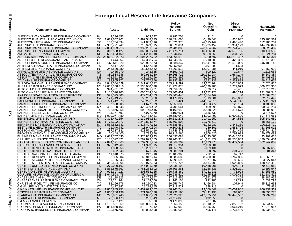| <b>Company Name/State</b>                                                               | <b>Assets</b>                                            | <b>Liabilities</b>             | <b>Policy</b><br><b>Holders</b><br><b>Surplus</b> | <b>Net</b><br>Operating<br>Gain | Direct<br><b>Illinois</b><br><b>Premiums</b> | <b>Nationwide</b><br>Premiums |
|-----------------------------------------------------------------------------------------|----------------------------------------------------------|--------------------------------|---------------------------------------------------|---------------------------------|----------------------------------------------|-------------------------------|
| AMERICAN VANGUARD LIFE INSURANCE COMPANY                                                | IA<br>9,236,855                                          | 953,147                        | 8,283,708                                         | 431,014                         |                                              |                               |
| AMERICO FINANCIAL LIFE & ANNUITY INS CO                                                 | TX<br>1,622,642,901                                      | 1,492,548,235                  | 130,094,666                                       | 6,439,048                       | 4.835.937                                    | 335,185,569                   |
| AMERICOM LIFE & ANNUITY INSURANCE CO                                                    | <b>TX</b><br>153,704,694                                 | 141,883,316                    | 11,821,378                                        | $-7, 115, 147$                  | 2,490,440                                    | 112,285,75                    |
| AMERITAS LIFE INSURANCE CORP<br>AMERITAS VARIABLE LIFE INSURANCE COMPANY                | <b>NE</b><br>2,302,771,248<br><b>NE</b><br>2,004,963,218 | 1,716,099,615<br>1,932,261,334 | 586,671,634<br>72,701,885                         | 45,929,459<br>$-20,164,962$     | 13,931,123<br>21,741,435                     | 444,739,041<br>308,828,437    |
| AMERUS LIFE INSURANCE COMPANY                                                           | IA<br>5,310,558,427                                      | 5,069,081,713                  | 241,476,714                                       | 16,426,906                      | 42,579,705                                   | 740,411,582                   |
| AMICA LIFE INSURANCE COMPANY                                                            | R <sub>1</sub><br>668,483,460                            | 571,238,618                    | 97,244,842                                        | 9,338,556                       | 1,334,170                                    | 117,624,784                   |
| ANCHOR NATIONAL LIFE INSURANCE COMPANY                                                  | <b>AZ</b><br>22,068,132,373                              | 21,604,227,702                 | 463,904,670                                       | $-132,030,697$                  | 133,213,497                                  | 2,908,251,324                 |
| ANNUITY & LIFE REASSURANCE AMERICA INC                                                  | CT<br>81,444,957                                         | 67,398,794                     | 14,046,163                                        | $-5,210,009$                    | 428,309                                      | 17,779,392                    |
| ANNUITY INVESTORS LIFE INSURANCE COMPANY                                                | OH<br>968,511,220                                        | 929,922,873                    | 38,588,347                                        | $-16,541,506$                   | 21,579,099                                   | 246,483,143                   |
| ANTHEM ALLIANCE HEALTH INSURANCE COMPANY                                                | TX<br>87,817,220                                         | 11,567,130                     | 76,250,090                                        | 1,191,093                       | 11,583                                       |                               |
| ANTHEM LIFE INSURANCE COMPANY<br>APPALACHIAN LIFE INSURANCE COMPANY                     | 244,830,080<br>IN<br>OH<br>9,435,270                     | 180,568,562<br>243,555         | 64,261,518<br>9,191,715                           | 12,307,285<br>500,122           | 441.919<br>12,647                            | 97,459,092<br>1,116,053       |
| ASSOCIATES FINANCIAL LIFE INSURANCE CO                                                  | <b>TN</b><br>880,584,646                                 | 460,918,930                    | 419,665,716                                       | 110,751,084                     | $-1,664,149$                                 | $-36,547,384$                 |
| ASSURITY LIFE INSURANCE COMPANY                                                         | <b>NE</b><br>173.951.162                                 | 143,159,266                    | 30,791,896                                        | 5,051,165                       | 911.793                                      | 46,403,036                    |
| ATLANTA LIFE INSURANCE COMPANY                                                          | GA<br>99,905,771                                         | 71,767,776                     | 28,137,995                                        | 2,221,237                       | 2,951,893                                    | 56,512,674                    |
| AURORA NATIONAL LIFE ASSURANCE COMPANY                                                  | СA<br>3,847,564,529                                      | 3,541,645,232                  | 305,919,297                                       | 33,152,964                      | 5,016,654                                    | 2,525,810                     |
| AUSA LIFE INSURANCE COMPANY INC                                                         | 12,057,358,416<br>NY                                     | 11,536,080,538                 | 521,277,878                                       | $-20,529,200$                   | 13,279,073                                   | 1,809,328,305                 |
| AUTO CLUB LIFE INSURANCE COMPANY                                                        | MI<br>344,451,071                                        | 320,891,901                    | 23,559,168                                        | 1,520,812                       | 143,461                                      | 67,613,212                    |
| AUTO OWNERS LIFE INSURANCE COMPANY                                                      | MI<br>1,158,590,705                                      | 1,005,284,304                  | 153,306,401                                       | 13,172,123                      | 4,490,214                                    | 131,009,545                   |
| AXA CORPORATE SOLUTIONS LIFE REINS CO                                                   | 597,595,303<br><b>DE</b>                                 | 472,234,863                    | 125,360,440                                       | $-203,384,442$                  | $\Omega$                                     | 152,064,235                   |
| <b>BALBOA LIFE INSURANCE COMPANY</b><br>BALTIMORE LIFE INSURANCE COMPANY                | CA<br>121,443,757<br><b>MD</b><br>774,412,573            | 53,265,930<br>748,296,152      | 68,177,827<br>26,116,421                          | 7,019,881<br>$-14,024,516$      | 845,888<br>5,949,116                         | 22,819,442<br>285,410,92      |
| <b>THE</b><br><b>BANKERS FIDELITY LIFE INSURANCE COMPANY</b>                            | 97,528,305<br>GA                                         | 71,677,999                     | 25,850,306                                        | 4,153,472                       | 1,228,134                                    | 60,783,038                    |
| BANKERS LIFE INSURANCE COMPANY OF NY                                                    | <b>NY</b><br>453,130,548                                 | 428,429,482                    | 24,701,064                                        | 409,999                         | 262,875                                      | 90,948,234                    |
| BANKERS NATIONAL LIFE INSURANCE COMPANY                                                 | <b>TX</b><br>723,855,058                                 | 693,745,415                    | 30,109,643                                        | 8,538,828                       | 1,314,573                                    | 28,086,910                    |
| BANKERS RESERVE LIFE INS CO OF WI                                                       | WI<br>11,167,691                                         | 6,977,070                      | 4,190,621                                         | 1,136,630                       |                                              | 3,875,576                     |
| BANNER LIFE INSURANCE COMPANY                                                           | <b>MD</b><br>1,010,077,480                               | 729,488,431                    | 280,589,049                                       | 14,202,492                      | 11,609,600                                   | 197,678,661                   |
| BENEFICIAL LIFE INSURANCE COMPANY                                                       | UT<br>2,313,471,654                                      | 2,132,939,383                  | 180,532,271                                       | 21,491,259                      | 244,536                                      | 305,141,680                   |
| BERKSHIRE HATHAWAY LIFE INS CO OF NE                                                    | <b>NE</b><br>1,778,392,377                               | 1,242,824,874                  | 535,567,503                                       | 71,776,619                      |                                              | 38,361,170                    |
| BERKSHIRE LIFE INSURANCE COMPANY OF AM                                                  | 1,564,882,742<br><b>MA</b>                               | 1,318,497,182                  | 246,385,560                                       | 6,942,987                       | 1,345,339                                    | 190,113,729                   |
| <b>BEST LIFE &amp; HEALTH INSURANCE COMPANY</b><br>BOSTON MUTUAL LIFE INSURANCE COMPANY | <b>TX</b><br>21,040,742<br>MA<br>687,317,881             | 11,940,504<br>623,571,410      | 9,100,238<br>63,746,471                           | 989,301<br>$-920,498$           | 1,681,796<br>7,224,496                       | 33,263,025<br>205,724,416     |
| BROKERS NATIONAL LIFE ASSURANCE COMPANY                                                 | AR<br>20,449,400                                         | 9,732,840                      | 10,716,560                                        | 2,808,620                       | 2,761,934                                    | 40,879,08                     |
| BUSINESS MENS ASSURANCE COMPANY OF AM                                                   | <b>MO</b><br>2,632,757,030                               | 2,375,859,943                  | 256,897,083                                       | $-23,495,086$                   | 30,640,359                                   | 423,907,658                   |
| C M LIFE INSURANCE COMPANY                                                              | СT<br>6,108,592,321                                      | 5,767,829,005                  | 340,763,316                                       | $-61, 121, 322$                 | 82,535,863                                   | 1,829,654,454                 |
| CANADA LIFE INSURANCE COMPANY OF AMERICA                                                | MI<br>2,874,171,363                                      | 2,737,301,964                  | 136,869,399                                       | 17,193,278                      | 37,477,534                                   | 302,242,082                   |
| CAPITOL LIFE INSURANCE COMPANY<br>THE                                                   | CO<br>325,012,969                                        | 311,393,015                    | 13,619,954                                        | 2,150,001                       | ∩                                            |                               |
| CENTRAL BENEFITS MUTUAL INSURANCE CO                                                    | DC<br>61,828,950                                         | 18,269,187                     | 43,559,763                                        | $-139,131$                      |                                              | 16,637,656                    |
| CENTRAL BENEFITS NATIONAL LIFE INS CO                                                   | OH<br>13,652,548                                         | 3,671,345                      | 9,981,201                                         | 58,397                          | 301,498                                      | 7,004,347                     |
| CENTRAL NATIONAL LIFE INS CO OF OMAHA                                                   | DE<br>11,648,873<br>OH<br>93,395,904                     | 242,910<br>62,812,214          | 11,405,963                                        | 292,246<br>8,280,709            | 67,717                                       | 187,663,708                   |
| CENTRAL RESERVE LIFE INSURANCE COMPANY<br>CENTRAL SECURITY LIFE INSURANCE COMPANY       | <b>TX</b><br>80,135,543                                  | 73,843,950                     | 30,583,689<br>6,291,593                           | 2,377,007                       | 5,767,895<br>183,635                         | 3,627,047                     |
| CENTRAL STATES HEALTH & LIFE CO OF OMAHA                                                | <b>NE</b><br>350,544,808                                 | 272,972,083                    | 77,572,725                                        | 3,654,400                       | 5,008,800                                    | 138,745,413                   |
| CENTRAL UNITED LIFE INSURANCE COMPANY                                                   | TX<br>279,030,163                                        | 246,991,969                    | 32,038,193                                        | 10,458,906                      | 605,794                                      | 79,519,980                    |
| CENTRE LIFE INSURANCE COMPANY                                                           | 1,881,870,867<br>MA                                      | 1,761,264,602                  | 120,606,261                                       | 33,756,631                      | 1,801,271                                    | 12,193,947                    |
| <b>CENTURION LIFE INSURANCE COMPANY</b>                                                 | <b>MO</b><br>975,307,027                                 | 208,568,165                    | 766,738,862                                       | 37,931,231                      | $-71,998$                                    | 53,256,980                    |
| CGU LIFE INSURANCE COMPANY OF AMERICA                                                   | DE<br>3,644,598,475                                      | 3,457,911,955                  | 186,686,520                                       | $-19,045,828$                   | 7,006,493                                    | 151,587,426                   |
| CHASE LIFE & ANNUITY COMPANY                                                            | DE<br>128,118,823                                        | 90,203,367                     | 37,915,455                                        | $-7,352,178$                    | 4,205                                        | 88,186,939                    |
| CHESAPEAKE LIFE INSURANCE COMPANY THE<br>CHRISTIAN FIDELITY LIFE INSURANCE CO           | OK<br>53,251,764<br>TX                                   | 32,108,606                     | 21,143,158<br>20,956,742                          | 931,986                         | 12,223<br>107,949                            | 2,537,794                     |
| CIGNA LIFE INSURANCE COMPANY                                                            | 82,166,776<br><b>CT</b><br>45,497,382                    | 61,210,033<br>28,278,855       | 17,218,527                                        | 4,466,584<br>398,218            | ∩                                            | 55,315,653<br>77,931          |
| CINCINNATI LIFE INSURANCE COMPANY<br><b>THE</b>                                         | OH<br>1,865,885,251                                      | 1,457,623,507                  | 408,261,744                                       | 19,666,047                      | 20,051,855                                   | 206,331,332                   |
| CITICORP LIFE INSURANCE COMPANY                                                         | AZ<br>1,010,288,198                                      | 271,996,038                    | 738,292,160                                       | 29,111,193                      | 584,667                                      | 28,696,776                    |
| CLARICA LIFE INSURANCE COMPANY US                                                       | <b>ND</b><br>3,296,961,745                               | 3,174,636,423                  | 122,325,323                                       | $-12,335,951$                   | 37,446,567                                   | 829,737,299                   |
| <b>CLARICA LIFE REINSURANCE COMPANY</b>                                                 | MI<br>23,366,473                                         | 251,649                        | 23,114,823                                        | 492,856                         | ∩                                            |                               |
| CM ASSURANCE COMPANY                                                                    | СT<br>9,227,420                                          | 55,530                         | 9,171,890                                         | 237,887                         | ∩                                            |                               |
| COLONIAL LIFE & ACCIDENT INSURANCE CO                                                   | SC<br>1,193,521,259<br>PA                                | 1,005,865,106                  | 187,656,153                                       | 58,610,523                      | 7,858,122                                    | 666,344,588                   |
| COLONIAL PENN LIFE INSURANCE COMPANY<br>COLORADO BANKERS LIFE INSURANCE COMPANY         | 851,850,165<br>CO<br>109,565,696                         | 810,797,212<br>88,083,598      | 41,052,953<br>21,482,098                          | $-8,556,468$<br>406,171         | 8,064,216<br>3,737,400                       | 71,979,917<br>35,035,730      |
|                                                                                         |                                                          |                                |                                                   |                                 |                                              |                               |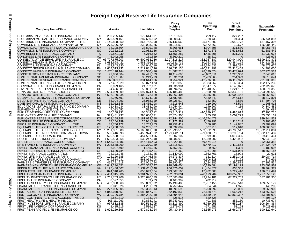| <b>Company Name/State</b>                                                         |                        | <b>Assets</b>                | Liabilities                  | Policy<br><b>Holders</b><br>Surplus | Net<br>Operating<br>Gain    | <b>Direct</b><br><b>Illinois</b><br><b>Premiums</b> | Nationwide<br><b>Premiums</b> |
|-----------------------------------------------------------------------------------|------------------------|------------------------------|------------------------------|-------------------------------------|-----------------------------|-----------------------------------------------------|-------------------------------|
| COLUMBIA UNIVERSAL LIFE INSURANCE CO                                              | <b>TX</b>              | 200.255.142                  | 172.644.601                  | 27.610.539                          | 229.117                     | 327.267                                             | $\mathsf{C}$                  |
| COLUMBIAN MUTUAL LIFE INSURANCE COMPANY                                           | <b>NY</b>              | 326,559,161                  | 287,650,692                  | 38,908,470                          | 1,028,433                   | 94,394                                              | 36,744,887                    |
| COLUMBUS LIFE INSURANCE COMPANY<br><b>THE</b>                                     | OH                     | 2,149,898,850                | 1,864,752,290                | 285,146,560                         | 25,171,802                  | 3,043,772                                           | 187,467,396                   |
| COMBINED LIFE INSURANCE COMPANY OF NY<br>COMMERCIAL TRAVELERS MUTUAL INSURANCE CO | <b>NY</b><br><b>NY</b> | 273,226,864<br>34,208,604    | 233,008,285<br>28,899,948    | 40,218,579<br>5,308,661             | 9,872,862<br>$-4,304,395$   | 12.677<br>331,530                                   | 126,086,440<br>45,051,783     |
| COMPANION LIFE INSURANCE COMPANY                                                  | SC                     | 70,362,215                   | 29,082,186                   | 41,280,034                          | 4,371,576                   | 3,531,682                                           | 61,581,442                    |
| COMPBENEFITS INSURANCE COMPANY                                                    | <b>TX</b>              | 19.871.939                   | 6,216,652                    | 13,655,287                          | 4,436,306                   | 821,229                                             | 51,032,075                    |
| CONGRESS LIFE INSURANCE COMPANY                                                   | <b>AZ</b>              | 6,042,058                    | 181,839                      | 5,860,219                           | 38,812                      |                                                     | 426,978                       |
| CONNECTICUT GENERAL LIFE INSURANCE CO                                             | СT                     | 66,797,875,203               | 64,500,058,986               | 2,297,816,217                       | $-332,757,187$              | 320,944,000                                         | 6,399,239,872                 |
| CONSECO HEALTH INSURANCE COMPANY                                                  | AZ                     | 1,683,668,422                | 1,583,356,691                | 100,311,732                         | 10,753,687                  | 30,384,129                                          | 354,121,539                   |
| <b>CONSECO LIFE INSURANCE COMPANY</b>                                             | IN                     | 4,252,843,330                | 4,105,946,010                | 146,897,320                         | $-15,744,632$               | 13,399,337                                          | 478,578,676                   |
| CONSECO SENIOR HEALTH INSURANCE COMPANY                                           | PA                     | 2,654,513,232                | 2,517,881,096                | 136,632,136                         | $-90,321,792$               | 23,316,458                                          | 454,703,000                   |
| CONSECO VARIABLE INSURANCE COMPANY<br>CONSTITUTION LIFE INSURANCE COMPANY         | <b>TX</b><br><b>TX</b> | 1,875,118,144<br>92,856,084  | 1,813,530,426<br>82,441,389  | 61,587,718<br>10,414,695            | 28,090,524<br>$-3,632,811$  | 33,473,674<br>1,225,350                             | 307,776,514<br>7,846,615      |
| CONTINENTAL AMERICAN INSURANCE COMPANY                                            | SC                     | 41,851,007                   | 30,219,773                   | 11,631,234                          | 2,283,565                   | 254,399                                             | 28,818,674                    |
| CONTINENTAL GENERAL INSURANCE COMPANY                                             | <b>NE</b>              | 365,399,110                  | 331,644,186                  | 33,754,924                          | $-12,276,309$               | 16,112,979                                          | 291,730,315                   |
| CONTINENTAL LIFE INS CO OF BRENTWOOD TN                                           | TN                     | 77,497,329                   | 50,077,473                   | 27,419,856                          | 3,583,562                   | 1,166,384                                           | 102,177,239                   |
| CORPORATE HEALTH INSURANCE COMPANY                                                | PA                     | 68.099.165                   | 24,762,181                   | 43,336,984                          | 68,647,672                  | 4,140,871                                           | 232,729,673                   |
| COVENTRY HEALTH AND LIFE INSURANCE CO                                             | DE                     | 94,426,081                   | 53,831,832                   | 40,594,248                          | 12,340,953                  | 1,324,187                                           | 180,571,358                   |
| <b>CUNA MUTUAL INSURANCE SOCIETY</b>                                              | WI                     | 2,594,059,909                | 2,097,874,426                | 496,185,483                         | 21,560,391                  | 50,332,101                                          | 1,293,991,658                 |
| CUNA MUTUAL LIFE INSURANCE COMPANY<br>DELAWARE AMERICAN LIFE INSURANCE COMPANY    | IA<br>DE               | 5,616,180,034                | 5,400,172,629                | 216,007,404                         | 3,936,303                   | 42,903,462                                          | 1,258,958,073                 |
| DELTA DENTAL INSURANCE COMPANY                                                    | DE                     | 98,256,691<br>55,994,093     | 64,674,008<br>26,968,129     | 33,582,683<br>29,025,914            | 7,830,442<br>182,850        | 245,612<br>3,589                                    | 18,817,80<br>137,494,706      |
| DIXIE NATIONAL LIFE INSURANCE COMPANY                                             | <b>MS</b>              | 35,052,346                   | 31,435,798                   | 3.616.548                           | 219.290                     | 48.579                                              | 1,268,918                     |
| EDUCATORS MUTUAL LIFE INSURANCE COMPANY                                           | <b>PA</b>              | 91,488,034                   | 38,433,090                   | 53,054,944                          | $-1,149,607$                | 4,116                                               | 94,840,482                    |
| <b>EMPHESYS INSURANCE COMPANY</b>                                                 | TX                     | 7,083,052                    | 582,378                      | 6,500,674                           | 388,968                     | $\Omega$                                            | 2,694,087                     |
| EMPIRE GENERAL LIFE ASSURANCE CORP                                                | <b>TN</b>              | 150,158,931                  | 106,348,612                  | 43.810.319                          | $-10.389.224$               | 9,485,612                                           | 47,990,716                    |
| <b>EMPLOYERS MODERN LIFE COMPANY</b>                                              | IA                     | 329,481,237                  | 296,606,331                  | 32,874,906                          | 755,352                     | 3,009,273                                           | 73,655,139                    |
| EMPLOYERS REASSURANCE CORPORATION                                                 | KS<br><b>TX</b>        | 5,653,158,188                | 5,181,013,288                | 472,144,900                         | -146,574,478                | 0                                                   | 999,944,532                   |
| ENTERPRISE LIFE INSURANCE COMPANY<br>EPIC LIFE INSURANCE COMPANY<br><b>THE</b>    | WI                     | 37,104,199<br>32,706,172     | 25,981,818<br>13,753,753     | 11,122,382<br>18,952,419            | 2,476,992<br>656,786        | 1,118,248<br>1,142,837                              | 3,203,460<br>13,307,097       |
| EQUITABLE LIFE & CASUALTY INSURANCE CO                                            | UT                     | 127,268,556                  | 97,235,867                   | 30,032,689                          | 1,607,913                   | 517,618                                             | 100,863,578                   |
| EQUITABLE LIFE ASSURANCE SOCIETY OF U S                                           | NY                     | 78,251,331,880               | 74,160,041,370               | 4,091,290,510                       | 589,662,090                 | 640,705,547                                         | 11,302,714,801                |
| EQUITABLE LIFE INSURANCE COMPANY OF IOWA                                          | IA                     | 6,586,416,893                | 5,456,974,582                | 1,129,442,311                       | $-99,130,573$               | 13,290,784                                          | 1,832,175,437                 |
| EQUITABLE OF COLORADO INC<br><b>THE</b>                                           | CO                     | 525,598,513                  | 454,591,406                  | 71,007,107                          | 1,999,903                   | 4,017,325                                           | 19,416,461                    |
| <b>EQUITRUST LIFE INSURANCE COMPANY</b>                                           | IA                     | 1,610,533,958                | 1,532,247,040                | 78,286,918                          | 12,089,902                  | 5,428,992                                           | 876,049,136                   |
| ERC LIFE REINSURANCE CORPORATION                                                  | <b>MO</b>              | 1,543,244,886                | 845,415,403                  | 697,829,483                         | 46,574,915                  | 0                                                   | 312,051,383                   |
| ERIE FAMILY LIFE INSURANCE COMPANY<br>FAMILY FINANCIAL LIFE INSURANCE COMPANY     | PA<br>IN               | 1,225,588,969<br>6,907,499   | 1,132,270,039<br>1,455,236   | 93,318,930<br>5,452,262             | 5,479,417<br>9,559          | 2,419,653<br>1,336                                  | 224,324,797<br>1,180,096      |
| FAMILY HERITAGE LIFE INSURANCE CO OF AM                                           | OH                     | 101,639,784                  | 90,425,421                   | 11,214,363                          | 1,961,208                   | 4,531,986                                           | 48,459,186                    |
| FAMILY INSURANCE CORPORATION                                                      | WI                     | 23.323.045                   | 2,183,045                    | 21,140,000                          | 1,562,761                   | $-15,903$                                           | $-22,621$                     |
| <b>FAMILY LIFE INSURANCE COMPANY</b>                                              | <b>WA</b>              | 125,120,685                  | 100,446,848                  | 24,673,837                          | 131,314                     | 1,252,342                                           | 29,084,714                    |
| FAMILY SERVICE LIFE INSURANCE COMPANY                                             | <b>TX</b>              | 649,514,031                  | 568,053,708                  | 81,460,323                          | 9,506,328                   | 36,162                                              | 377,691                       |
| FARMERS & TRADERS LIFE INSURANCE COMPANY                                          | NY                     | 455,291,518                  | 425,001,094                  | 30,290,424                          | 2,024,386                   | 1,290,878                                           | 57,307,534                    |
| FARMERS NEW WORLD LIFE INSURANCE COMPANY                                          | <b>WA</b>              | 6,049,234,651                | 5,070,365,047                | 978,869,604                         | 140,130,684                 | 37,199,179                                          | 783,697,967                   |
| FEDERAL HOME LIFE INSURANCE COMPANY<br>FEDERATED LIFE INSURANCE COMPANY           | <b>VA</b><br><b>MN</b> | 2,195,488,007                | 1,239,011,348                | 956,476,659                         | 21,454,827                  | 838,308                                             | 38,364,377                    |
| FIDELITY & GUARANTY LIFE INSURANCE CO                                             | MD                     | 824,310,765<br>7,464,815,586 | 650,643,604<br>6,981,921,695 | 173,667,165<br>482,893,891          | 17,482,583<br>$-28,179,784$ | 6,727,410<br>168,059,967                            | 126,614,491<br>3,797,656,120  |
| FIDELITY INVESTMENTS LIFE INSURANCE CO                                            | UT                     | 9,712,753,908                | 9,325,670,039                | 387,083,869                         | 43,294,181                  | 67,927,753                                          | 677,981,905                   |
| FIDELITY LIFE INSURANCE COMPANY                                                   | <b>PA</b>              | 8,577,655                    | 109,263                      | 8.468.392                           | 202.919                     | 0                                                   | O                             |
| FIDELITY SECURITY LIFE INSURANCE COMPANY                                          | <b>MO</b>              | 402,368,568                  | 356,869,082                  | 45,499,485                          | 2,957,156                   | 25,048,540                                          | 109,855,177                   |
| FINANCIAL ASSURANCE LIFE INSURANCE CO                                             | TX                     | 8,041,026                    | 1,281,579                    | 6,759,447                           | 364,844                     | 1,975                                               | 146,202                       |
| FINANCIAL BENEFIT LIFE INSURANCE COMPANY                                          | <b>KS</b>              | 277,055,005                  | 258,363,313                  | 18,691,692                          | 2,208,892                   | 20,000                                              | 9,265,909                     |
| FIRST ALLMERICA FINANCIAL LIFE INS CO                                             | <b>MA</b>              | 4,843,040,551                | 4,680,847,721                | 162,192,830                         | 72,138,678                  | 1,666,212                                           | 413,652,525                   |
| FIRST COLONY LIFE INSURANCE COMPANY<br>FIRST CONTINENTAL LIFE & ACCIDENT INS CO   | VA<br>UT               | 13,329,726,784<br>2,861,810  | 12,386,232,140<br>2,133,294  | 943,494,644<br>728,516              | 103,639,044<br>620,625      | 52,863,387<br>0                                     | 953,301,090<br>4,395,127      |
| FIRST HEALTH LIFE & HEALTH INS CO                                                 | ТX                     | 105,111,063                  | 89,868,041                   | 15,243,022                          | 401,386                     | 856,130                                             | 10,735,674                    |
| FIRST INVESTORS LIFE INSURANCE COMPANY                                            | ΝY                     | 967,832,385                  | 899,518,995                  | 68,313,390                          | 5,759,953                   | 4,552,287                                           | 106,264,864                   |
| FIRST LIFE AMERICA CORPORATION                                                    | KS                     | 8,415,215                    | 5,536,137                    | 2,879,078                           | -671,551                    | 51,164                                              | 5,028,661                     |
| FIRST PENN PACIFIC LIFE INSURANCE CO                                              | IN                     | 1,675,259,308                | 1,579,828,964                | 95,430,345                          | 23,555,973                  | 18,660,757                                          | 190,329,640                   |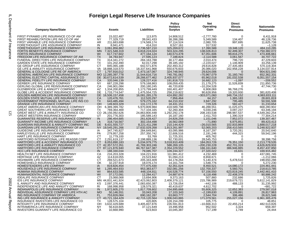| FIRST PYRAMID LIFE INSURANCE CO OF AM<br>AR<br>15,022,487<br>113,975<br>14,908,512<br>6,411,918<br>$-2,777,760$<br>∩<br>FIRST REHABILITATION LIFE INS CO OF AM<br><b>NY</b><br>77,329,719<br>39,041,433<br>38,288,286<br>5,349,589<br>48,128,736<br>134,407<br>FIRST VARIABLE LIFE INSURANCE COMPANY<br>211,683,698<br>174,569,174<br>11,625,738<br>AR<br>37, 114, 524<br>2,080,705<br>997,695<br>FORETHOUGHT LIFE ASSURANCE COMPANY<br>8,941,471<br>414,310<br>8,527,161<br>$-1,128$<br>IN<br>317,532<br>n<br>FORETHOUGHT LIFE INSURANCE COMPANY<br>3.061.856.882<br>2,736,587,210<br>325,269,672<br>484,110,285<br>IN<br>17,390,588<br>19,348,120<br>FORTIS BENEFITS INSURANCE COMPANY<br>7,321,548,319<br><b>MN</b><br>6,818,224,024<br>503,324,295<br>138,026,813<br>92,499,307<br>1,750,382,072<br><b>FORTIS INSURANCE COMPANY</b><br>WI<br>617,737,602<br>477,164,124<br>140,573,478<br>67,051,606<br>99,816,275<br>473,406,66<br>FREEDOM LIFE INSURANCE COMPANY OF AM<br><b>TX</b><br>34,783,947<br>27,595,123<br>7,188,824<br>$-2,114,588$<br>34,707,722<br>3,061,567<br>FUNERAL DIRECTORS LIFE INSURANCE COMPANY<br>314, 341, 272<br>47,229,603<br>TX<br>284, 163, 788<br>30,177,484<br>2,010,474<br>796,720<br><b>GARDEN STATE LIFE INSURANCE COMPANY</b><br>39,185,192<br>ТX<br>101,202,490<br>62,017,298<br>$-2,220,027$<br>1,146,909<br>33,256,139<br>GE GROUP LIFE ASSURANCE COMPANY<br><b>CT</b><br>202,493,312<br>845,065,188<br>642,571,876<br>29,616,828<br>27,435,483<br>570,119,304<br><b>GE LIFE &amp; ANNUITY ASSURANCE COMPANY</b><br>VA<br>18,888,318,570<br>18,337,641,968<br>550,676,603<br>162,958,228<br>3,134,037,914<br>26,086,020<br>GENERAL & COLOGNE LIFE RE OF AMERICA<br><b>CT</b><br>904,921,040<br>1,797,916,012<br>1,473,167,067<br>324,748,945<br>29,624,006<br>740,781,062<br>652,362,33<br>GENERAL AMERICAN LIFE INSURANCE COMPANY<br><b>MO</b><br>12,285,397,778<br>11,544,616,716<br>$-70,967,079$<br>31,160,740<br>2,405,937,077<br>GENERAL ELECTRIC CAPITAL ASSURANCE CO<br>30,672,614,539<br>28,266,677,462<br>65,962,018<br>6,051,557,154<br><b>DE</b><br>181,032,538<br>191,818,723<br><b>GENERAL FIDELITY LIFE INSURANCE COMPANY</b><br>CA<br>320,046,139<br>128,227,416<br>16,682,123<br>$-1,097$<br>$-209,552$<br>GERBER LIFE INSURANCE COMPANY<br><b>NY</b><br>687,228,298<br>579,168,863<br>108,059,435<br>11,526,839<br>211,850,736<br>21,179,275<br>GERLING GLOBAL LIFE REINSURANCE COMPANY<br>CA<br>246.901.084<br>200,180,245<br>46,720,839<br>$-10.204.528$<br>47,744,730<br>O<br><b>GLENBROOK LIFE &amp; ANNUITY COMPANY</b><br>AZ<br>1,334,200,855<br>1,173,799,449<br>160,401,407<br>6,908,069<br>96,768,276<br>DF<br><b>GLOBE LIFE &amp; ACCIDENT INSURANCE COMPANY</b><br>1,733,774,547<br>1,475,554,725<br>258,219,822<br>19,320,930<br>381,620,408<br>90,628,956<br>424,892,282<br>GOLDEN AMERICAN LIFE INSURANCE COMPANY<br>DE<br>16,506,157,458<br>16,081,265,176<br>$-303,071,060$<br>348,734,152<br>4,983,833,111<br>GOLDEN STATE MUTUAL LIFE INSURANCE CO<br>CA<br>120,476,761<br>112,520,297<br>7,956,464<br>64,157<br>1,365,183<br>28,601,819<br><b>TX</b><br>GOVERNMENT PERSONNEL MUTUAL LIFE INS CO<br>643,485,494<br>795,485<br>579,275,162<br>64,210,332<br>3,947,292<br>50,591,508<br><b>GRANGE LIFE INSURANCE COMPANY</b><br>OH<br>149,603,329<br>131, 172, 178<br>18.431.151<br>729.326<br>582.427<br>31.233.654<br>418,589,798<br><b>GREAT AMERICAN LIFE INSURANCE COMPANY</b><br>6,389,399,782<br>5,970,809,984<br>11,025,075<br>668,280,902<br>OH<br>46,288,551<br><b>GREAT SOUTHERN LIFE INSURANCE COMPANY</b><br>TX<br>769,364,469<br>3,097,237<br>717,104,165<br>52,260,304<br>5,030,246<br>63,346,194<br>GREAT WEST LIFE & ANNUITY INSURANCE CO<br>CO<br>26,156,092,626<br>24,863,800,448<br>1,292,292,178<br>208,193,538<br>298,987,537<br>4,549,282,254<br>GREAT WESTERN INSURANCE COMPANY<br>UT<br>201,776,303<br>185,589,143<br>16,187,160<br>1,390,319<br>77,304,214<br>2,411,703<br>GUARANTEE RESERVE LIFE INSURANCE COMPANY<br>IN<br>286,454,685<br>261,628,427<br>24,826,258<br>7,952,072<br>139,307,467<br>1,151,046<br><b>GUARANTY INCOME LIFE INSURANCE COMPANY</b><br>LA<br>318,716,567<br>302,154,498<br>16,562,069<br>6,975,851<br>89,423,413<br>$-71,890$<br>GUARDIAN INSURANCE & ANNUITY COMPANY INC<br>DE<br>8,431,555,727<br>8,221,411,298<br>210,144,429<br>$-26,010,565$<br>102,833,869<br>1,688,017,218<br><b>NY</b><br>GUARDIAN LIFE INSURANCE COMPANY OF AM<br>19,545,291,266<br>17,632,029,268<br>1,913,261,997<br>52,065,203<br>258,410,565<br>5,248,922,937<br><b>GUIDEONE LIFE INSURANCE COMPANY</b><br>284,649,841<br>63,095,986<br>20,542,640<br>IA<br>347,745,827<br>8,167,297<br>3,720,261<br>HARLEYSVILLE LIFE INSURANCE COMPANY<br>PA<br>279,957,258<br>59,542,196<br>257,350,742<br>22,606,516<br>2,191,246<br>444,315<br>HART LIFE INSURANCE COMPANY<br>СT<br>11,779,100<br>53,769<br>11,725,331<br>405,762<br>$\Omega$<br>HARTFORD INTERNATIONAL LIFE REASSR CORP<br>CT<br>2,291,619,137<br>2,198,889,136<br>92,730,001<br>28,545,753<br>38,398,758<br>∩<br>HARTFORD LIFE & ACCIDENT INSURANCE CO<br>8,053,890,183<br><b>CT</b><br>3,018,910,409<br>2,213,778,535<br>5,034,979,775<br>184,053,726<br>76,351,150<br><b>CT</b><br>4,626,829,933<br>HARTFORD LIFE & ANNUITY INSURANCE CO<br>42,357,572,351<br>41,769,303,246<br>588,269,105<br>$-200,230,228$<br>452,701,319<br>HARTFORD LIFE INSURANCE COMPANY<br>CT<br>87,121,876,940<br>84,767,647,387<br>2,354,229,552<br>166, 161, 640<br>386,946,885<br>8,457,437,850<br><b>HCC LIFE INSURANCE COMPANY</b><br>188,330,034<br>79,085,707<br>109,244,327<br>169,915,482<br>IN<br>27,320,022<br>15,631<br>HEALTH NET LIFE INSURANCE COMPANY<br>CA<br>216,203,328<br>104,221,916<br>111,981,412<br>4,232,469<br>437,081,745<br>$\Omega$<br>HERITAGE LIFE INSURANCE COMPANY<br>AZ<br>114,618,055<br>23,523,842<br>91,094,213<br>8,658,671<br>$-1,212,066$<br>∩<br><b>CT</b><br>HIGHMARK LIFE INSURANCE COMPANY<br>269,521,673<br>205,343,409<br>5,478,510<br>198,650,288<br>64,178,264<br>5,140,474<br>HOMESHIELD INSURANCE COMPANY<br>OK<br>5,272,230<br>32,237,918<br>18,076,174<br>14, 161, 744<br>1,548,776<br>42,351,024<br>224,461,441<br>HOMESTEADERS LIFE COMPANY<br>IA<br>819,826,454<br>777,475,430<br>8,450,521<br>14,080,172<br>HOUSEHOLD LIFE INSURANCE COMPANY<br>MI<br>1,285,464,933<br>953,383,677<br>332,081,256<br>5,560,701<br>218,613,785<br>132,700,337<br>HUMANA INSURANCE COMPANY<br>WI<br>864,633,585<br>448,104,811<br>416,528,774<br>623,819,245<br>2,442,461,410<br>57,156,550<br>HUMANADENTAL INSURANCE COMPANY<br>WI<br>12,284,417<br>24,887,674<br>37,172,091<br>6,118,498<br>22,408,378<br>90,886,242<br><b>IDEALIFE INSURANCE COMPANY</b><br>23,068,068<br>13.694.906<br>9,373,163<br>1,725,826<br>СT<br>507,860<br>232,686<br><b>IDS LIFE INSURANCE COMPANY</b><br>MN<br>44,831,441,924<br>42,423,062,803<br>2,408,379,121<br>215,786,989<br>219,679,721<br>5,612,141,829<br>IL ANNUITY AND INSURANCE COMPANY<br>2,097,376,441<br>488,133<br>κs<br>2,083,650,387<br>13,726,054<br>–442,106<br>31,235,992<br>INDEPENDENCE LIFE AND ANNUITY COMPANY<br>R <sub>1</sub><br>168.998.958<br>40.419.637<br>4,612,702<br>$-681,722$<br>128,579,321<br>$\Omega$<br>INDIANAPOLIS LIFE INSURANCE COMPANY<br>1,972,605,270<br>1,817,709,602<br>154,895,668<br>55,606,325<br>12,652,383<br>279,587,018<br>IN<br>INDIVIDUAL ASSURANCE COMPANY LIFE HTH AC<br><b>MO</b><br>17,103,343<br>4,109,891<br>50,146,551<br>33,043,208<br>–2,199,630<br>26,817,963<br>ING INSURANCE COMPANY OF AMERICA<br>753,826,064<br>63,663,777<br>26,621,546<br>FL<br>690, 162, 287<br>2,544,704<br>306,486<br>ING LIFE INSURANCE & ANNUITY COMPANY<br><b>CT</b><br>43,721,164,429<br>42,715,120,564<br>1,006,043,865<br>171,079,561<br>255,027,156<br>6,961,305,476<br>INSURANCE INVESTORS LIFE INSURANCE CO<br>128,575,104<br>420,805<br>48,851<br>ТX<br>128,154,299<br>105,775<br>$\Omega$<br>INTEGRITY LIFE INSURANCE COMPANY<br>3,632,429,689<br>226,591,813<br>22,455,214<br>482,513,826<br>OH<br>3,405,837,876<br>$-10,666,313$<br>INTRAMERICA LIFE INSURANCE COMPANY<br>3,324<br>659,397<br>NY<br>56,618,605<br>37,121,649<br>19,496,958<br>952,502<br>CA | <b>Company Name/State</b>                   | <b>Assets</b> | Liabilities | Policy<br>Holders<br>Surplus | <b>Net</b><br>Operating<br>Gain | <b>Direct</b><br><b>Illinois</b><br><b>Premiums</b> | <b>Nationwide</b><br><b>Premiums</b> |
|------------------------------------------------------------------------------------------------------------------------------------------------------------------------------------------------------------------------------------------------------------------------------------------------------------------------------------------------------------------------------------------------------------------------------------------------------------------------------------------------------------------------------------------------------------------------------------------------------------------------------------------------------------------------------------------------------------------------------------------------------------------------------------------------------------------------------------------------------------------------------------------------------------------------------------------------------------------------------------------------------------------------------------------------------------------------------------------------------------------------------------------------------------------------------------------------------------------------------------------------------------------------------------------------------------------------------------------------------------------------------------------------------------------------------------------------------------------------------------------------------------------------------------------------------------------------------------------------------------------------------------------------------------------------------------------------------------------------------------------------------------------------------------------------------------------------------------------------------------------------------------------------------------------------------------------------------------------------------------------------------------------------------------------------------------------------------------------------------------------------------------------------------------------------------------------------------------------------------------------------------------------------------------------------------------------------------------------------------------------------------------------------------------------------------------------------------------------------------------------------------------------------------------------------------------------------------------------------------------------------------------------------------------------------------------------------------------------------------------------------------------------------------------------------------------------------------------------------------------------------------------------------------------------------------------------------------------------------------------------------------------------------------------------------------------------------------------------------------------------------------------------------------------------------------------------------------------------------------------------------------------------------------------------------------------------------------------------------------------------------------------------------------------------------------------------------------------------------------------------------------------------------------------------------------------------------------------------------------------------------------------------------------------------------------------------------------------------------------------------------------------------------------------------------------------------------------------------------------------------------------------------------------------------------------------------------------------------------------------------------------------------------------------------------------------------------------------------------------------------------------------------------------------------------------------------------------------------------------------------------------------------------------------------------------------------------------------------------------------------------------------------------------------------------------------------------------------------------------------------------------------------------------------------------------------------------------------------------------------------------------------------------------------------------------------------------------------------------------------------------------------------------------------------------------------------------------------------------------------------------------------------------------------------------------------------------------------------------------------------------------------------------------------------------------------------------------------------------------------------------------------------------------------------------------------------------------------------------------------------------------------------------------------------------------------------------------------------------------------------------------------------------------------------------------------------------------------------------------------------------------------------------------------------------------------------------------------------------------------------------------------------------------------------------------------------------------------------------------------------------------------------------------------------------------------------------------------------------------------------------------------------------------------------------------------------------------------------------------------------------------------------------------------------------------------------------------------------------------------------------------------------------------------------------------------------------------------------------------------------------------------------------------------------------------------------------------------------------------------------------------------------------------------------------------------------------------------------------------------------------------------------------------------------------------------------------------------------------------------------------------------------------------------------------------------------------------------------------------------------------------------------------------------------------------------------------------------------------------------------------------------------------------------------------------------------------------------------------------------------------------------------------------------------------------------------------------------------------------------------------------------------------------------------------------------------------------------------------------------------------------------------------------------------------------------------------------------------------------------------------------------------------------------------------------------------------------------------------------------------------------------------------------------------------------------------------------------------------------------------------------------------------------------------------------------------------------------------------------------------------------------------------------------------------------------------------------------------------------------------------------------------------------------------------------------------------------------------------------------------------------------------------------------------------------------------------------------------------------------------------------------------------------------------------------------------------------------------------------------------|---------------------------------------------|---------------|-------------|------------------------------|---------------------------------|-----------------------------------------------------|--------------------------------------|
|                                                                                                                                                                                                                                                                                                                                                                                                                                                                                                                                                                                                                                                                                                                                                                                                                                                                                                                                                                                                                                                                                                                                                                                                                                                                                                                                                                                                                                                                                                                                                                                                                                                                                                                                                                                                                                                                                                                                                                                                                                                                                                                                                                                                                                                                                                                                                                                                                                                                                                                                                                                                                                                                                                                                                                                                                                                                                                                                                                                                                                                                                                                                                                                                                                                                                                                                                                                                                                                                                                                                                                                                                                                                                                                                                                                                                                                                                                                                                                                                                                                                                                                                                                                                                                                                                                                                                                                                                                                                                                                                                                                                                                                                                                                                                                                                                                                                                                                                                                                                                                                                                                                                                                                                                                                                                                                                                                                                                                                                                                                                                                                                                                                                                                                                                                                                                                                                                                                                                                                                                                                                                                                                                                                                                                                                                                                                                                                                                                                                                                                                                                                                                                                                                                                                                                                                                                                                                                                                                                                                                                                                                                                                                                                                                                                                                                                                                                                                                                                                                                                                                                                                                                                                                                                                                                                                                                                                                                                                                                                                                                                                                                                                                                                                                                          |                                             |               |             |                              |                                 |                                                     |                                      |
|                                                                                                                                                                                                                                                                                                                                                                                                                                                                                                                                                                                                                                                                                                                                                                                                                                                                                                                                                                                                                                                                                                                                                                                                                                                                                                                                                                                                                                                                                                                                                                                                                                                                                                                                                                                                                                                                                                                                                                                                                                                                                                                                                                                                                                                                                                                                                                                                                                                                                                                                                                                                                                                                                                                                                                                                                                                                                                                                                                                                                                                                                                                                                                                                                                                                                                                                                                                                                                                                                                                                                                                                                                                                                                                                                                                                                                                                                                                                                                                                                                                                                                                                                                                                                                                                                                                                                                                                                                                                                                                                                                                                                                                                                                                                                                                                                                                                                                                                                                                                                                                                                                                                                                                                                                                                                                                                                                                                                                                                                                                                                                                                                                                                                                                                                                                                                                                                                                                                                                                                                                                                                                                                                                                                                                                                                                                                                                                                                                                                                                                                                                                                                                                                                                                                                                                                                                                                                                                                                                                                                                                                                                                                                                                                                                                                                                                                                                                                                                                                                                                                                                                                                                                                                                                                                                                                                                                                                                                                                                                                                                                                                                                                                                                                                                          |                                             |               |             |                              |                                 |                                                     |                                      |
|                                                                                                                                                                                                                                                                                                                                                                                                                                                                                                                                                                                                                                                                                                                                                                                                                                                                                                                                                                                                                                                                                                                                                                                                                                                                                                                                                                                                                                                                                                                                                                                                                                                                                                                                                                                                                                                                                                                                                                                                                                                                                                                                                                                                                                                                                                                                                                                                                                                                                                                                                                                                                                                                                                                                                                                                                                                                                                                                                                                                                                                                                                                                                                                                                                                                                                                                                                                                                                                                                                                                                                                                                                                                                                                                                                                                                                                                                                                                                                                                                                                                                                                                                                                                                                                                                                                                                                                                                                                                                                                                                                                                                                                                                                                                                                                                                                                                                                                                                                                                                                                                                                                                                                                                                                                                                                                                                                                                                                                                                                                                                                                                                                                                                                                                                                                                                                                                                                                                                                                                                                                                                                                                                                                                                                                                                                                                                                                                                                                                                                                                                                                                                                                                                                                                                                                                                                                                                                                                                                                                                                                                                                                                                                                                                                                                                                                                                                                                                                                                                                                                                                                                                                                                                                                                                                                                                                                                                                                                                                                                                                                                                                                                                                                                                                          |                                             |               |             |                              |                                 |                                                     |                                      |
|                                                                                                                                                                                                                                                                                                                                                                                                                                                                                                                                                                                                                                                                                                                                                                                                                                                                                                                                                                                                                                                                                                                                                                                                                                                                                                                                                                                                                                                                                                                                                                                                                                                                                                                                                                                                                                                                                                                                                                                                                                                                                                                                                                                                                                                                                                                                                                                                                                                                                                                                                                                                                                                                                                                                                                                                                                                                                                                                                                                                                                                                                                                                                                                                                                                                                                                                                                                                                                                                                                                                                                                                                                                                                                                                                                                                                                                                                                                                                                                                                                                                                                                                                                                                                                                                                                                                                                                                                                                                                                                                                                                                                                                                                                                                                                                                                                                                                                                                                                                                                                                                                                                                                                                                                                                                                                                                                                                                                                                                                                                                                                                                                                                                                                                                                                                                                                                                                                                                                                                                                                                                                                                                                                                                                                                                                                                                                                                                                                                                                                                                                                                                                                                                                                                                                                                                                                                                                                                                                                                                                                                                                                                                                                                                                                                                                                                                                                                                                                                                                                                                                                                                                                                                                                                                                                                                                                                                                                                                                                                                                                                                                                                                                                                                                                          |                                             |               |             |                              |                                 |                                                     |                                      |
|                                                                                                                                                                                                                                                                                                                                                                                                                                                                                                                                                                                                                                                                                                                                                                                                                                                                                                                                                                                                                                                                                                                                                                                                                                                                                                                                                                                                                                                                                                                                                                                                                                                                                                                                                                                                                                                                                                                                                                                                                                                                                                                                                                                                                                                                                                                                                                                                                                                                                                                                                                                                                                                                                                                                                                                                                                                                                                                                                                                                                                                                                                                                                                                                                                                                                                                                                                                                                                                                                                                                                                                                                                                                                                                                                                                                                                                                                                                                                                                                                                                                                                                                                                                                                                                                                                                                                                                                                                                                                                                                                                                                                                                                                                                                                                                                                                                                                                                                                                                                                                                                                                                                                                                                                                                                                                                                                                                                                                                                                                                                                                                                                                                                                                                                                                                                                                                                                                                                                                                                                                                                                                                                                                                                                                                                                                                                                                                                                                                                                                                                                                                                                                                                                                                                                                                                                                                                                                                                                                                                                                                                                                                                                                                                                                                                                                                                                                                                                                                                                                                                                                                                                                                                                                                                                                                                                                                                                                                                                                                                                                                                                                                                                                                                                                          |                                             |               |             |                              |                                 |                                                     |                                      |
|                                                                                                                                                                                                                                                                                                                                                                                                                                                                                                                                                                                                                                                                                                                                                                                                                                                                                                                                                                                                                                                                                                                                                                                                                                                                                                                                                                                                                                                                                                                                                                                                                                                                                                                                                                                                                                                                                                                                                                                                                                                                                                                                                                                                                                                                                                                                                                                                                                                                                                                                                                                                                                                                                                                                                                                                                                                                                                                                                                                                                                                                                                                                                                                                                                                                                                                                                                                                                                                                                                                                                                                                                                                                                                                                                                                                                                                                                                                                                                                                                                                                                                                                                                                                                                                                                                                                                                                                                                                                                                                                                                                                                                                                                                                                                                                                                                                                                                                                                                                                                                                                                                                                                                                                                                                                                                                                                                                                                                                                                                                                                                                                                                                                                                                                                                                                                                                                                                                                                                                                                                                                                                                                                                                                                                                                                                                                                                                                                                                                                                                                                                                                                                                                                                                                                                                                                                                                                                                                                                                                                                                                                                                                                                                                                                                                                                                                                                                                                                                                                                                                                                                                                                                                                                                                                                                                                                                                                                                                                                                                                                                                                                                                                                                                                                          |                                             |               |             |                              |                                 |                                                     |                                      |
|                                                                                                                                                                                                                                                                                                                                                                                                                                                                                                                                                                                                                                                                                                                                                                                                                                                                                                                                                                                                                                                                                                                                                                                                                                                                                                                                                                                                                                                                                                                                                                                                                                                                                                                                                                                                                                                                                                                                                                                                                                                                                                                                                                                                                                                                                                                                                                                                                                                                                                                                                                                                                                                                                                                                                                                                                                                                                                                                                                                                                                                                                                                                                                                                                                                                                                                                                                                                                                                                                                                                                                                                                                                                                                                                                                                                                                                                                                                                                                                                                                                                                                                                                                                                                                                                                                                                                                                                                                                                                                                                                                                                                                                                                                                                                                                                                                                                                                                                                                                                                                                                                                                                                                                                                                                                                                                                                                                                                                                                                                                                                                                                                                                                                                                                                                                                                                                                                                                                                                                                                                                                                                                                                                                                                                                                                                                                                                                                                                                                                                                                                                                                                                                                                                                                                                                                                                                                                                                                                                                                                                                                                                                                                                                                                                                                                                                                                                                                                                                                                                                                                                                                                                                                                                                                                                                                                                                                                                                                                                                                                                                                                                                                                                                                                                          |                                             |               |             |                              |                                 |                                                     |                                      |
|                                                                                                                                                                                                                                                                                                                                                                                                                                                                                                                                                                                                                                                                                                                                                                                                                                                                                                                                                                                                                                                                                                                                                                                                                                                                                                                                                                                                                                                                                                                                                                                                                                                                                                                                                                                                                                                                                                                                                                                                                                                                                                                                                                                                                                                                                                                                                                                                                                                                                                                                                                                                                                                                                                                                                                                                                                                                                                                                                                                                                                                                                                                                                                                                                                                                                                                                                                                                                                                                                                                                                                                                                                                                                                                                                                                                                                                                                                                                                                                                                                                                                                                                                                                                                                                                                                                                                                                                                                                                                                                                                                                                                                                                                                                                                                                                                                                                                                                                                                                                                                                                                                                                                                                                                                                                                                                                                                                                                                                                                                                                                                                                                                                                                                                                                                                                                                                                                                                                                                                                                                                                                                                                                                                                                                                                                                                                                                                                                                                                                                                                                                                                                                                                                                                                                                                                                                                                                                                                                                                                                                                                                                                                                                                                                                                                                                                                                                                                                                                                                                                                                                                                                                                                                                                                                                                                                                                                                                                                                                                                                                                                                                                                                                                                                                          |                                             |               |             |                              |                                 |                                                     |                                      |
|                                                                                                                                                                                                                                                                                                                                                                                                                                                                                                                                                                                                                                                                                                                                                                                                                                                                                                                                                                                                                                                                                                                                                                                                                                                                                                                                                                                                                                                                                                                                                                                                                                                                                                                                                                                                                                                                                                                                                                                                                                                                                                                                                                                                                                                                                                                                                                                                                                                                                                                                                                                                                                                                                                                                                                                                                                                                                                                                                                                                                                                                                                                                                                                                                                                                                                                                                                                                                                                                                                                                                                                                                                                                                                                                                                                                                                                                                                                                                                                                                                                                                                                                                                                                                                                                                                                                                                                                                                                                                                                                                                                                                                                                                                                                                                                                                                                                                                                                                                                                                                                                                                                                                                                                                                                                                                                                                                                                                                                                                                                                                                                                                                                                                                                                                                                                                                                                                                                                                                                                                                                                                                                                                                                                                                                                                                                                                                                                                                                                                                                                                                                                                                                                                                                                                                                                                                                                                                                                                                                                                                                                                                                                                                                                                                                                                                                                                                                                                                                                                                                                                                                                                                                                                                                                                                                                                                                                                                                                                                                                                                                                                                                                                                                                                                          |                                             |               |             |                              |                                 |                                                     |                                      |
|                                                                                                                                                                                                                                                                                                                                                                                                                                                                                                                                                                                                                                                                                                                                                                                                                                                                                                                                                                                                                                                                                                                                                                                                                                                                                                                                                                                                                                                                                                                                                                                                                                                                                                                                                                                                                                                                                                                                                                                                                                                                                                                                                                                                                                                                                                                                                                                                                                                                                                                                                                                                                                                                                                                                                                                                                                                                                                                                                                                                                                                                                                                                                                                                                                                                                                                                                                                                                                                                                                                                                                                                                                                                                                                                                                                                                                                                                                                                                                                                                                                                                                                                                                                                                                                                                                                                                                                                                                                                                                                                                                                                                                                                                                                                                                                                                                                                                                                                                                                                                                                                                                                                                                                                                                                                                                                                                                                                                                                                                                                                                                                                                                                                                                                                                                                                                                                                                                                                                                                                                                                                                                                                                                                                                                                                                                                                                                                                                                                                                                                                                                                                                                                                                                                                                                                                                                                                                                                                                                                                                                                                                                                                                                                                                                                                                                                                                                                                                                                                                                                                                                                                                                                                                                                                                                                                                                                                                                                                                                                                                                                                                                                                                                                                                                          |                                             |               |             |                              |                                 |                                                     |                                      |
|                                                                                                                                                                                                                                                                                                                                                                                                                                                                                                                                                                                                                                                                                                                                                                                                                                                                                                                                                                                                                                                                                                                                                                                                                                                                                                                                                                                                                                                                                                                                                                                                                                                                                                                                                                                                                                                                                                                                                                                                                                                                                                                                                                                                                                                                                                                                                                                                                                                                                                                                                                                                                                                                                                                                                                                                                                                                                                                                                                                                                                                                                                                                                                                                                                                                                                                                                                                                                                                                                                                                                                                                                                                                                                                                                                                                                                                                                                                                                                                                                                                                                                                                                                                                                                                                                                                                                                                                                                                                                                                                                                                                                                                                                                                                                                                                                                                                                                                                                                                                                                                                                                                                                                                                                                                                                                                                                                                                                                                                                                                                                                                                                                                                                                                                                                                                                                                                                                                                                                                                                                                                                                                                                                                                                                                                                                                                                                                                                                                                                                                                                                                                                                                                                                                                                                                                                                                                                                                                                                                                                                                                                                                                                                                                                                                                                                                                                                                                                                                                                                                                                                                                                                                                                                                                                                                                                                                                                                                                                                                                                                                                                                                                                                                                                                          |                                             |               |             |                              |                                 |                                                     |                                      |
|                                                                                                                                                                                                                                                                                                                                                                                                                                                                                                                                                                                                                                                                                                                                                                                                                                                                                                                                                                                                                                                                                                                                                                                                                                                                                                                                                                                                                                                                                                                                                                                                                                                                                                                                                                                                                                                                                                                                                                                                                                                                                                                                                                                                                                                                                                                                                                                                                                                                                                                                                                                                                                                                                                                                                                                                                                                                                                                                                                                                                                                                                                                                                                                                                                                                                                                                                                                                                                                                                                                                                                                                                                                                                                                                                                                                                                                                                                                                                                                                                                                                                                                                                                                                                                                                                                                                                                                                                                                                                                                                                                                                                                                                                                                                                                                                                                                                                                                                                                                                                                                                                                                                                                                                                                                                                                                                                                                                                                                                                                                                                                                                                                                                                                                                                                                                                                                                                                                                                                                                                                                                                                                                                                                                                                                                                                                                                                                                                                                                                                                                                                                                                                                                                                                                                                                                                                                                                                                                                                                                                                                                                                                                                                                                                                                                                                                                                                                                                                                                                                                                                                                                                                                                                                                                                                                                                                                                                                                                                                                                                                                                                                                                                                                                                                          |                                             |               |             |                              |                                 |                                                     |                                      |
|                                                                                                                                                                                                                                                                                                                                                                                                                                                                                                                                                                                                                                                                                                                                                                                                                                                                                                                                                                                                                                                                                                                                                                                                                                                                                                                                                                                                                                                                                                                                                                                                                                                                                                                                                                                                                                                                                                                                                                                                                                                                                                                                                                                                                                                                                                                                                                                                                                                                                                                                                                                                                                                                                                                                                                                                                                                                                                                                                                                                                                                                                                                                                                                                                                                                                                                                                                                                                                                                                                                                                                                                                                                                                                                                                                                                                                                                                                                                                                                                                                                                                                                                                                                                                                                                                                                                                                                                                                                                                                                                                                                                                                                                                                                                                                                                                                                                                                                                                                                                                                                                                                                                                                                                                                                                                                                                                                                                                                                                                                                                                                                                                                                                                                                                                                                                                                                                                                                                                                                                                                                                                                                                                                                                                                                                                                                                                                                                                                                                                                                                                                                                                                                                                                                                                                                                                                                                                                                                                                                                                                                                                                                                                                                                                                                                                                                                                                                                                                                                                                                                                                                                                                                                                                                                                                                                                                                                                                                                                                                                                                                                                                                                                                                                                                          |                                             |               |             |                              |                                 |                                                     |                                      |
|                                                                                                                                                                                                                                                                                                                                                                                                                                                                                                                                                                                                                                                                                                                                                                                                                                                                                                                                                                                                                                                                                                                                                                                                                                                                                                                                                                                                                                                                                                                                                                                                                                                                                                                                                                                                                                                                                                                                                                                                                                                                                                                                                                                                                                                                                                                                                                                                                                                                                                                                                                                                                                                                                                                                                                                                                                                                                                                                                                                                                                                                                                                                                                                                                                                                                                                                                                                                                                                                                                                                                                                                                                                                                                                                                                                                                                                                                                                                                                                                                                                                                                                                                                                                                                                                                                                                                                                                                                                                                                                                                                                                                                                                                                                                                                                                                                                                                                                                                                                                                                                                                                                                                                                                                                                                                                                                                                                                                                                                                                                                                                                                                                                                                                                                                                                                                                                                                                                                                                                                                                                                                                                                                                                                                                                                                                                                                                                                                                                                                                                                                                                                                                                                                                                                                                                                                                                                                                                                                                                                                                                                                                                                                                                                                                                                                                                                                                                                                                                                                                                                                                                                                                                                                                                                                                                                                                                                                                                                                                                                                                                                                                                                                                                                                                          |                                             |               |             |                              |                                 |                                                     |                                      |
|                                                                                                                                                                                                                                                                                                                                                                                                                                                                                                                                                                                                                                                                                                                                                                                                                                                                                                                                                                                                                                                                                                                                                                                                                                                                                                                                                                                                                                                                                                                                                                                                                                                                                                                                                                                                                                                                                                                                                                                                                                                                                                                                                                                                                                                                                                                                                                                                                                                                                                                                                                                                                                                                                                                                                                                                                                                                                                                                                                                                                                                                                                                                                                                                                                                                                                                                                                                                                                                                                                                                                                                                                                                                                                                                                                                                                                                                                                                                                                                                                                                                                                                                                                                                                                                                                                                                                                                                                                                                                                                                                                                                                                                                                                                                                                                                                                                                                                                                                                                                                                                                                                                                                                                                                                                                                                                                                                                                                                                                                                                                                                                                                                                                                                                                                                                                                                                                                                                                                                                                                                                                                                                                                                                                                                                                                                                                                                                                                                                                                                                                                                                                                                                                                                                                                                                                                                                                                                                                                                                                                                                                                                                                                                                                                                                                                                                                                                                                                                                                                                                                                                                                                                                                                                                                                                                                                                                                                                                                                                                                                                                                                                                                                                                                                                          |                                             |               |             |                              |                                 |                                                     |                                      |
|                                                                                                                                                                                                                                                                                                                                                                                                                                                                                                                                                                                                                                                                                                                                                                                                                                                                                                                                                                                                                                                                                                                                                                                                                                                                                                                                                                                                                                                                                                                                                                                                                                                                                                                                                                                                                                                                                                                                                                                                                                                                                                                                                                                                                                                                                                                                                                                                                                                                                                                                                                                                                                                                                                                                                                                                                                                                                                                                                                                                                                                                                                                                                                                                                                                                                                                                                                                                                                                                                                                                                                                                                                                                                                                                                                                                                                                                                                                                                                                                                                                                                                                                                                                                                                                                                                                                                                                                                                                                                                                                                                                                                                                                                                                                                                                                                                                                                                                                                                                                                                                                                                                                                                                                                                                                                                                                                                                                                                                                                                                                                                                                                                                                                                                                                                                                                                                                                                                                                                                                                                                                                                                                                                                                                                                                                                                                                                                                                                                                                                                                                                                                                                                                                                                                                                                                                                                                                                                                                                                                                                                                                                                                                                                                                                                                                                                                                                                                                                                                                                                                                                                                                                                                                                                                                                                                                                                                                                                                                                                                                                                                                                                                                                                                                                          |                                             |               |             |                              |                                 |                                                     |                                      |
|                                                                                                                                                                                                                                                                                                                                                                                                                                                                                                                                                                                                                                                                                                                                                                                                                                                                                                                                                                                                                                                                                                                                                                                                                                                                                                                                                                                                                                                                                                                                                                                                                                                                                                                                                                                                                                                                                                                                                                                                                                                                                                                                                                                                                                                                                                                                                                                                                                                                                                                                                                                                                                                                                                                                                                                                                                                                                                                                                                                                                                                                                                                                                                                                                                                                                                                                                                                                                                                                                                                                                                                                                                                                                                                                                                                                                                                                                                                                                                                                                                                                                                                                                                                                                                                                                                                                                                                                                                                                                                                                                                                                                                                                                                                                                                                                                                                                                                                                                                                                                                                                                                                                                                                                                                                                                                                                                                                                                                                                                                                                                                                                                                                                                                                                                                                                                                                                                                                                                                                                                                                                                                                                                                                                                                                                                                                                                                                                                                                                                                                                                                                                                                                                                                                                                                                                                                                                                                                                                                                                                                                                                                                                                                                                                                                                                                                                                                                                                                                                                                                                                                                                                                                                                                                                                                                                                                                                                                                                                                                                                                                                                                                                                                                                                                          |                                             |               |             |                              |                                 |                                                     |                                      |
|                                                                                                                                                                                                                                                                                                                                                                                                                                                                                                                                                                                                                                                                                                                                                                                                                                                                                                                                                                                                                                                                                                                                                                                                                                                                                                                                                                                                                                                                                                                                                                                                                                                                                                                                                                                                                                                                                                                                                                                                                                                                                                                                                                                                                                                                                                                                                                                                                                                                                                                                                                                                                                                                                                                                                                                                                                                                                                                                                                                                                                                                                                                                                                                                                                                                                                                                                                                                                                                                                                                                                                                                                                                                                                                                                                                                                                                                                                                                                                                                                                                                                                                                                                                                                                                                                                                                                                                                                                                                                                                                                                                                                                                                                                                                                                                                                                                                                                                                                                                                                                                                                                                                                                                                                                                                                                                                                                                                                                                                                                                                                                                                                                                                                                                                                                                                                                                                                                                                                                                                                                                                                                                                                                                                                                                                                                                                                                                                                                                                                                                                                                                                                                                                                                                                                                                                                                                                                                                                                                                                                                                                                                                                                                                                                                                                                                                                                                                                                                                                                                                                                                                                                                                                                                                                                                                                                                                                                                                                                                                                                                                                                                                                                                                                                                          |                                             |               |             |                              |                                 |                                                     |                                      |
|                                                                                                                                                                                                                                                                                                                                                                                                                                                                                                                                                                                                                                                                                                                                                                                                                                                                                                                                                                                                                                                                                                                                                                                                                                                                                                                                                                                                                                                                                                                                                                                                                                                                                                                                                                                                                                                                                                                                                                                                                                                                                                                                                                                                                                                                                                                                                                                                                                                                                                                                                                                                                                                                                                                                                                                                                                                                                                                                                                                                                                                                                                                                                                                                                                                                                                                                                                                                                                                                                                                                                                                                                                                                                                                                                                                                                                                                                                                                                                                                                                                                                                                                                                                                                                                                                                                                                                                                                                                                                                                                                                                                                                                                                                                                                                                                                                                                                                                                                                                                                                                                                                                                                                                                                                                                                                                                                                                                                                                                                                                                                                                                                                                                                                                                                                                                                                                                                                                                                                                                                                                                                                                                                                                                                                                                                                                                                                                                                                                                                                                                                                                                                                                                                                                                                                                                                                                                                                                                                                                                                                                                                                                                                                                                                                                                                                                                                                                                                                                                                                                                                                                                                                                                                                                                                                                                                                                                                                                                                                                                                                                                                                                                                                                                                                          |                                             |               |             |                              |                                 |                                                     |                                      |
|                                                                                                                                                                                                                                                                                                                                                                                                                                                                                                                                                                                                                                                                                                                                                                                                                                                                                                                                                                                                                                                                                                                                                                                                                                                                                                                                                                                                                                                                                                                                                                                                                                                                                                                                                                                                                                                                                                                                                                                                                                                                                                                                                                                                                                                                                                                                                                                                                                                                                                                                                                                                                                                                                                                                                                                                                                                                                                                                                                                                                                                                                                                                                                                                                                                                                                                                                                                                                                                                                                                                                                                                                                                                                                                                                                                                                                                                                                                                                                                                                                                                                                                                                                                                                                                                                                                                                                                                                                                                                                                                                                                                                                                                                                                                                                                                                                                                                                                                                                                                                                                                                                                                                                                                                                                                                                                                                                                                                                                                                                                                                                                                                                                                                                                                                                                                                                                                                                                                                                                                                                                                                                                                                                                                                                                                                                                                                                                                                                                                                                                                                                                                                                                                                                                                                                                                                                                                                                                                                                                                                                                                                                                                                                                                                                                                                                                                                                                                                                                                                                                                                                                                                                                                                                                                                                                                                                                                                                                                                                                                                                                                                                                                                                                                                                          |                                             |               |             |                              |                                 |                                                     |                                      |
|                                                                                                                                                                                                                                                                                                                                                                                                                                                                                                                                                                                                                                                                                                                                                                                                                                                                                                                                                                                                                                                                                                                                                                                                                                                                                                                                                                                                                                                                                                                                                                                                                                                                                                                                                                                                                                                                                                                                                                                                                                                                                                                                                                                                                                                                                                                                                                                                                                                                                                                                                                                                                                                                                                                                                                                                                                                                                                                                                                                                                                                                                                                                                                                                                                                                                                                                                                                                                                                                                                                                                                                                                                                                                                                                                                                                                                                                                                                                                                                                                                                                                                                                                                                                                                                                                                                                                                                                                                                                                                                                                                                                                                                                                                                                                                                                                                                                                                                                                                                                                                                                                                                                                                                                                                                                                                                                                                                                                                                                                                                                                                                                                                                                                                                                                                                                                                                                                                                                                                                                                                                                                                                                                                                                                                                                                                                                                                                                                                                                                                                                                                                                                                                                                                                                                                                                                                                                                                                                                                                                                                                                                                                                                                                                                                                                                                                                                                                                                                                                                                                                                                                                                                                                                                                                                                                                                                                                                                                                                                                                                                                                                                                                                                                                                                          |                                             |               |             |                              |                                 |                                                     |                                      |
|                                                                                                                                                                                                                                                                                                                                                                                                                                                                                                                                                                                                                                                                                                                                                                                                                                                                                                                                                                                                                                                                                                                                                                                                                                                                                                                                                                                                                                                                                                                                                                                                                                                                                                                                                                                                                                                                                                                                                                                                                                                                                                                                                                                                                                                                                                                                                                                                                                                                                                                                                                                                                                                                                                                                                                                                                                                                                                                                                                                                                                                                                                                                                                                                                                                                                                                                                                                                                                                                                                                                                                                                                                                                                                                                                                                                                                                                                                                                                                                                                                                                                                                                                                                                                                                                                                                                                                                                                                                                                                                                                                                                                                                                                                                                                                                                                                                                                                                                                                                                                                                                                                                                                                                                                                                                                                                                                                                                                                                                                                                                                                                                                                                                                                                                                                                                                                                                                                                                                                                                                                                                                                                                                                                                                                                                                                                                                                                                                                                                                                                                                                                                                                                                                                                                                                                                                                                                                                                                                                                                                                                                                                                                                                                                                                                                                                                                                                                                                                                                                                                                                                                                                                                                                                                                                                                                                                                                                                                                                                                                                                                                                                                                                                                                                                          |                                             |               |             |                              |                                 |                                                     |                                      |
|                                                                                                                                                                                                                                                                                                                                                                                                                                                                                                                                                                                                                                                                                                                                                                                                                                                                                                                                                                                                                                                                                                                                                                                                                                                                                                                                                                                                                                                                                                                                                                                                                                                                                                                                                                                                                                                                                                                                                                                                                                                                                                                                                                                                                                                                                                                                                                                                                                                                                                                                                                                                                                                                                                                                                                                                                                                                                                                                                                                                                                                                                                                                                                                                                                                                                                                                                                                                                                                                                                                                                                                                                                                                                                                                                                                                                                                                                                                                                                                                                                                                                                                                                                                                                                                                                                                                                                                                                                                                                                                                                                                                                                                                                                                                                                                                                                                                                                                                                                                                                                                                                                                                                                                                                                                                                                                                                                                                                                                                                                                                                                                                                                                                                                                                                                                                                                                                                                                                                                                                                                                                                                                                                                                                                                                                                                                                                                                                                                                                                                                                                                                                                                                                                                                                                                                                                                                                                                                                                                                                                                                                                                                                                                                                                                                                                                                                                                                                                                                                                                                                                                                                                                                                                                                                                                                                                                                                                                                                                                                                                                                                                                                                                                                                                                          |                                             |               |             |                              |                                 |                                                     |                                      |
|                                                                                                                                                                                                                                                                                                                                                                                                                                                                                                                                                                                                                                                                                                                                                                                                                                                                                                                                                                                                                                                                                                                                                                                                                                                                                                                                                                                                                                                                                                                                                                                                                                                                                                                                                                                                                                                                                                                                                                                                                                                                                                                                                                                                                                                                                                                                                                                                                                                                                                                                                                                                                                                                                                                                                                                                                                                                                                                                                                                                                                                                                                                                                                                                                                                                                                                                                                                                                                                                                                                                                                                                                                                                                                                                                                                                                                                                                                                                                                                                                                                                                                                                                                                                                                                                                                                                                                                                                                                                                                                                                                                                                                                                                                                                                                                                                                                                                                                                                                                                                                                                                                                                                                                                                                                                                                                                                                                                                                                                                                                                                                                                                                                                                                                                                                                                                                                                                                                                                                                                                                                                                                                                                                                                                                                                                                                                                                                                                                                                                                                                                                                                                                                                                                                                                                                                                                                                                                                                                                                                                                                                                                                                                                                                                                                                                                                                                                                                                                                                                                                                                                                                                                                                                                                                                                                                                                                                                                                                                                                                                                                                                                                                                                                                                                          |                                             |               |             |                              |                                 |                                                     |                                      |
|                                                                                                                                                                                                                                                                                                                                                                                                                                                                                                                                                                                                                                                                                                                                                                                                                                                                                                                                                                                                                                                                                                                                                                                                                                                                                                                                                                                                                                                                                                                                                                                                                                                                                                                                                                                                                                                                                                                                                                                                                                                                                                                                                                                                                                                                                                                                                                                                                                                                                                                                                                                                                                                                                                                                                                                                                                                                                                                                                                                                                                                                                                                                                                                                                                                                                                                                                                                                                                                                                                                                                                                                                                                                                                                                                                                                                                                                                                                                                                                                                                                                                                                                                                                                                                                                                                                                                                                                                                                                                                                                                                                                                                                                                                                                                                                                                                                                                                                                                                                                                                                                                                                                                                                                                                                                                                                                                                                                                                                                                                                                                                                                                                                                                                                                                                                                                                                                                                                                                                                                                                                                                                                                                                                                                                                                                                                                                                                                                                                                                                                                                                                                                                                                                                                                                                                                                                                                                                                                                                                                                                                                                                                                                                                                                                                                                                                                                                                                                                                                                                                                                                                                                                                                                                                                                                                                                                                                                                                                                                                                                                                                                                                                                                                                                                          |                                             |               |             |                              |                                 |                                                     |                                      |
|                                                                                                                                                                                                                                                                                                                                                                                                                                                                                                                                                                                                                                                                                                                                                                                                                                                                                                                                                                                                                                                                                                                                                                                                                                                                                                                                                                                                                                                                                                                                                                                                                                                                                                                                                                                                                                                                                                                                                                                                                                                                                                                                                                                                                                                                                                                                                                                                                                                                                                                                                                                                                                                                                                                                                                                                                                                                                                                                                                                                                                                                                                                                                                                                                                                                                                                                                                                                                                                                                                                                                                                                                                                                                                                                                                                                                                                                                                                                                                                                                                                                                                                                                                                                                                                                                                                                                                                                                                                                                                                                                                                                                                                                                                                                                                                                                                                                                                                                                                                                                                                                                                                                                                                                                                                                                                                                                                                                                                                                                                                                                                                                                                                                                                                                                                                                                                                                                                                                                                                                                                                                                                                                                                                                                                                                                                                                                                                                                                                                                                                                                                                                                                                                                                                                                                                                                                                                                                                                                                                                                                                                                                                                                                                                                                                                                                                                                                                                                                                                                                                                                                                                                                                                                                                                                                                                                                                                                                                                                                                                                                                                                                                                                                                                                                          |                                             |               |             |                              |                                 |                                                     |                                      |
|                                                                                                                                                                                                                                                                                                                                                                                                                                                                                                                                                                                                                                                                                                                                                                                                                                                                                                                                                                                                                                                                                                                                                                                                                                                                                                                                                                                                                                                                                                                                                                                                                                                                                                                                                                                                                                                                                                                                                                                                                                                                                                                                                                                                                                                                                                                                                                                                                                                                                                                                                                                                                                                                                                                                                                                                                                                                                                                                                                                                                                                                                                                                                                                                                                                                                                                                                                                                                                                                                                                                                                                                                                                                                                                                                                                                                                                                                                                                                                                                                                                                                                                                                                                                                                                                                                                                                                                                                                                                                                                                                                                                                                                                                                                                                                                                                                                                                                                                                                                                                                                                                                                                                                                                                                                                                                                                                                                                                                                                                                                                                                                                                                                                                                                                                                                                                                                                                                                                                                                                                                                                                                                                                                                                                                                                                                                                                                                                                                                                                                                                                                                                                                                                                                                                                                                                                                                                                                                                                                                                                                                                                                                                                                                                                                                                                                                                                                                                                                                                                                                                                                                                                                                                                                                                                                                                                                                                                                                                                                                                                                                                                                                                                                                                                                          |                                             |               |             |                              |                                 |                                                     |                                      |
|                                                                                                                                                                                                                                                                                                                                                                                                                                                                                                                                                                                                                                                                                                                                                                                                                                                                                                                                                                                                                                                                                                                                                                                                                                                                                                                                                                                                                                                                                                                                                                                                                                                                                                                                                                                                                                                                                                                                                                                                                                                                                                                                                                                                                                                                                                                                                                                                                                                                                                                                                                                                                                                                                                                                                                                                                                                                                                                                                                                                                                                                                                                                                                                                                                                                                                                                                                                                                                                                                                                                                                                                                                                                                                                                                                                                                                                                                                                                                                                                                                                                                                                                                                                                                                                                                                                                                                                                                                                                                                                                                                                                                                                                                                                                                                                                                                                                                                                                                                                                                                                                                                                                                                                                                                                                                                                                                                                                                                                                                                                                                                                                                                                                                                                                                                                                                                                                                                                                                                                                                                                                                                                                                                                                                                                                                                                                                                                                                                                                                                                                                                                                                                                                                                                                                                                                                                                                                                                                                                                                                                                                                                                                                                                                                                                                                                                                                                                                                                                                                                                                                                                                                                                                                                                                                                                                                                                                                                                                                                                                                                                                                                                                                                                                                                          |                                             |               |             |                              |                                 |                                                     |                                      |
|                                                                                                                                                                                                                                                                                                                                                                                                                                                                                                                                                                                                                                                                                                                                                                                                                                                                                                                                                                                                                                                                                                                                                                                                                                                                                                                                                                                                                                                                                                                                                                                                                                                                                                                                                                                                                                                                                                                                                                                                                                                                                                                                                                                                                                                                                                                                                                                                                                                                                                                                                                                                                                                                                                                                                                                                                                                                                                                                                                                                                                                                                                                                                                                                                                                                                                                                                                                                                                                                                                                                                                                                                                                                                                                                                                                                                                                                                                                                                                                                                                                                                                                                                                                                                                                                                                                                                                                                                                                                                                                                                                                                                                                                                                                                                                                                                                                                                                                                                                                                                                                                                                                                                                                                                                                                                                                                                                                                                                                                                                                                                                                                                                                                                                                                                                                                                                                                                                                                                                                                                                                                                                                                                                                                                                                                                                                                                                                                                                                                                                                                                                                                                                                                                                                                                                                                                                                                                                                                                                                                                                                                                                                                                                                                                                                                                                                                                                                                                                                                                                                                                                                                                                                                                                                                                                                                                                                                                                                                                                                                                                                                                                                                                                                                                                          |                                             |               |             |                              |                                 |                                                     |                                      |
|                                                                                                                                                                                                                                                                                                                                                                                                                                                                                                                                                                                                                                                                                                                                                                                                                                                                                                                                                                                                                                                                                                                                                                                                                                                                                                                                                                                                                                                                                                                                                                                                                                                                                                                                                                                                                                                                                                                                                                                                                                                                                                                                                                                                                                                                                                                                                                                                                                                                                                                                                                                                                                                                                                                                                                                                                                                                                                                                                                                                                                                                                                                                                                                                                                                                                                                                                                                                                                                                                                                                                                                                                                                                                                                                                                                                                                                                                                                                                                                                                                                                                                                                                                                                                                                                                                                                                                                                                                                                                                                                                                                                                                                                                                                                                                                                                                                                                                                                                                                                                                                                                                                                                                                                                                                                                                                                                                                                                                                                                                                                                                                                                                                                                                                                                                                                                                                                                                                                                                                                                                                                                                                                                                                                                                                                                                                                                                                                                                                                                                                                                                                                                                                                                                                                                                                                                                                                                                                                                                                                                                                                                                                                                                                                                                                                                                                                                                                                                                                                                                                                                                                                                                                                                                                                                                                                                                                                                                                                                                                                                                                                                                                                                                                                                                          |                                             |               |             |                              |                                 |                                                     |                                      |
|                                                                                                                                                                                                                                                                                                                                                                                                                                                                                                                                                                                                                                                                                                                                                                                                                                                                                                                                                                                                                                                                                                                                                                                                                                                                                                                                                                                                                                                                                                                                                                                                                                                                                                                                                                                                                                                                                                                                                                                                                                                                                                                                                                                                                                                                                                                                                                                                                                                                                                                                                                                                                                                                                                                                                                                                                                                                                                                                                                                                                                                                                                                                                                                                                                                                                                                                                                                                                                                                                                                                                                                                                                                                                                                                                                                                                                                                                                                                                                                                                                                                                                                                                                                                                                                                                                                                                                                                                                                                                                                                                                                                                                                                                                                                                                                                                                                                                                                                                                                                                                                                                                                                                                                                                                                                                                                                                                                                                                                                                                                                                                                                                                                                                                                                                                                                                                                                                                                                                                                                                                                                                                                                                                                                                                                                                                                                                                                                                                                                                                                                                                                                                                                                                                                                                                                                                                                                                                                                                                                                                                                                                                                                                                                                                                                                                                                                                                                                                                                                                                                                                                                                                                                                                                                                                                                                                                                                                                                                                                                                                                                                                                                                                                                                                                          |                                             |               |             |                              |                                 |                                                     |                                      |
|                                                                                                                                                                                                                                                                                                                                                                                                                                                                                                                                                                                                                                                                                                                                                                                                                                                                                                                                                                                                                                                                                                                                                                                                                                                                                                                                                                                                                                                                                                                                                                                                                                                                                                                                                                                                                                                                                                                                                                                                                                                                                                                                                                                                                                                                                                                                                                                                                                                                                                                                                                                                                                                                                                                                                                                                                                                                                                                                                                                                                                                                                                                                                                                                                                                                                                                                                                                                                                                                                                                                                                                                                                                                                                                                                                                                                                                                                                                                                                                                                                                                                                                                                                                                                                                                                                                                                                                                                                                                                                                                                                                                                                                                                                                                                                                                                                                                                                                                                                                                                                                                                                                                                                                                                                                                                                                                                                                                                                                                                                                                                                                                                                                                                                                                                                                                                                                                                                                                                                                                                                                                                                                                                                                                                                                                                                                                                                                                                                                                                                                                                                                                                                                                                                                                                                                                                                                                                                                                                                                                                                                                                                                                                                                                                                                                                                                                                                                                                                                                                                                                                                                                                                                                                                                                                                                                                                                                                                                                                                                                                                                                                                                                                                                                                                          |                                             |               |             |                              |                                 |                                                     |                                      |
|                                                                                                                                                                                                                                                                                                                                                                                                                                                                                                                                                                                                                                                                                                                                                                                                                                                                                                                                                                                                                                                                                                                                                                                                                                                                                                                                                                                                                                                                                                                                                                                                                                                                                                                                                                                                                                                                                                                                                                                                                                                                                                                                                                                                                                                                                                                                                                                                                                                                                                                                                                                                                                                                                                                                                                                                                                                                                                                                                                                                                                                                                                                                                                                                                                                                                                                                                                                                                                                                                                                                                                                                                                                                                                                                                                                                                                                                                                                                                                                                                                                                                                                                                                                                                                                                                                                                                                                                                                                                                                                                                                                                                                                                                                                                                                                                                                                                                                                                                                                                                                                                                                                                                                                                                                                                                                                                                                                                                                                                                                                                                                                                                                                                                                                                                                                                                                                                                                                                                                                                                                                                                                                                                                                                                                                                                                                                                                                                                                                                                                                                                                                                                                                                                                                                                                                                                                                                                                                                                                                                                                                                                                                                                                                                                                                                                                                                                                                                                                                                                                                                                                                                                                                                                                                                                                                                                                                                                                                                                                                                                                                                                                                                                                                                                                          |                                             |               |             |                              |                                 |                                                     |                                      |
|                                                                                                                                                                                                                                                                                                                                                                                                                                                                                                                                                                                                                                                                                                                                                                                                                                                                                                                                                                                                                                                                                                                                                                                                                                                                                                                                                                                                                                                                                                                                                                                                                                                                                                                                                                                                                                                                                                                                                                                                                                                                                                                                                                                                                                                                                                                                                                                                                                                                                                                                                                                                                                                                                                                                                                                                                                                                                                                                                                                                                                                                                                                                                                                                                                                                                                                                                                                                                                                                                                                                                                                                                                                                                                                                                                                                                                                                                                                                                                                                                                                                                                                                                                                                                                                                                                                                                                                                                                                                                                                                                                                                                                                                                                                                                                                                                                                                                                                                                                                                                                                                                                                                                                                                                                                                                                                                                                                                                                                                                                                                                                                                                                                                                                                                                                                                                                                                                                                                                                                                                                                                                                                                                                                                                                                                                                                                                                                                                                                                                                                                                                                                                                                                                                                                                                                                                                                                                                                                                                                                                                                                                                                                                                                                                                                                                                                                                                                                                                                                                                                                                                                                                                                                                                                                                                                                                                                                                                                                                                                                                                                                                                                                                                                                                                          |                                             |               |             |                              |                                 |                                                     |                                      |
|                                                                                                                                                                                                                                                                                                                                                                                                                                                                                                                                                                                                                                                                                                                                                                                                                                                                                                                                                                                                                                                                                                                                                                                                                                                                                                                                                                                                                                                                                                                                                                                                                                                                                                                                                                                                                                                                                                                                                                                                                                                                                                                                                                                                                                                                                                                                                                                                                                                                                                                                                                                                                                                                                                                                                                                                                                                                                                                                                                                                                                                                                                                                                                                                                                                                                                                                                                                                                                                                                                                                                                                                                                                                                                                                                                                                                                                                                                                                                                                                                                                                                                                                                                                                                                                                                                                                                                                                                                                                                                                                                                                                                                                                                                                                                                                                                                                                                                                                                                                                                                                                                                                                                                                                                                                                                                                                                                                                                                                                                                                                                                                                                                                                                                                                                                                                                                                                                                                                                                                                                                                                                                                                                                                                                                                                                                                                                                                                                                                                                                                                                                                                                                                                                                                                                                                                                                                                                                                                                                                                                                                                                                                                                                                                                                                                                                                                                                                                                                                                                                                                                                                                                                                                                                                                                                                                                                                                                                                                                                                                                                                                                                                                                                                                                                          |                                             |               |             |                              |                                 |                                                     |                                      |
|                                                                                                                                                                                                                                                                                                                                                                                                                                                                                                                                                                                                                                                                                                                                                                                                                                                                                                                                                                                                                                                                                                                                                                                                                                                                                                                                                                                                                                                                                                                                                                                                                                                                                                                                                                                                                                                                                                                                                                                                                                                                                                                                                                                                                                                                                                                                                                                                                                                                                                                                                                                                                                                                                                                                                                                                                                                                                                                                                                                                                                                                                                                                                                                                                                                                                                                                                                                                                                                                                                                                                                                                                                                                                                                                                                                                                                                                                                                                                                                                                                                                                                                                                                                                                                                                                                                                                                                                                                                                                                                                                                                                                                                                                                                                                                                                                                                                                                                                                                                                                                                                                                                                                                                                                                                                                                                                                                                                                                                                                                                                                                                                                                                                                                                                                                                                                                                                                                                                                                                                                                                                                                                                                                                                                                                                                                                                                                                                                                                                                                                                                                                                                                                                                                                                                                                                                                                                                                                                                                                                                                                                                                                                                                                                                                                                                                                                                                                                                                                                                                                                                                                                                                                                                                                                                                                                                                                                                                                                                                                                                                                                                                                                                                                                                                          |                                             |               |             |                              |                                 |                                                     |                                      |
|                                                                                                                                                                                                                                                                                                                                                                                                                                                                                                                                                                                                                                                                                                                                                                                                                                                                                                                                                                                                                                                                                                                                                                                                                                                                                                                                                                                                                                                                                                                                                                                                                                                                                                                                                                                                                                                                                                                                                                                                                                                                                                                                                                                                                                                                                                                                                                                                                                                                                                                                                                                                                                                                                                                                                                                                                                                                                                                                                                                                                                                                                                                                                                                                                                                                                                                                                                                                                                                                                                                                                                                                                                                                                                                                                                                                                                                                                                                                                                                                                                                                                                                                                                                                                                                                                                                                                                                                                                                                                                                                                                                                                                                                                                                                                                                                                                                                                                                                                                                                                                                                                                                                                                                                                                                                                                                                                                                                                                                                                                                                                                                                                                                                                                                                                                                                                                                                                                                                                                                                                                                                                                                                                                                                                                                                                                                                                                                                                                                                                                                                                                                                                                                                                                                                                                                                                                                                                                                                                                                                                                                                                                                                                                                                                                                                                                                                                                                                                                                                                                                                                                                                                                                                                                                                                                                                                                                                                                                                                                                                                                                                                                                                                                                                                                          |                                             |               |             |                              |                                 |                                                     |                                      |
|                                                                                                                                                                                                                                                                                                                                                                                                                                                                                                                                                                                                                                                                                                                                                                                                                                                                                                                                                                                                                                                                                                                                                                                                                                                                                                                                                                                                                                                                                                                                                                                                                                                                                                                                                                                                                                                                                                                                                                                                                                                                                                                                                                                                                                                                                                                                                                                                                                                                                                                                                                                                                                                                                                                                                                                                                                                                                                                                                                                                                                                                                                                                                                                                                                                                                                                                                                                                                                                                                                                                                                                                                                                                                                                                                                                                                                                                                                                                                                                                                                                                                                                                                                                                                                                                                                                                                                                                                                                                                                                                                                                                                                                                                                                                                                                                                                                                                                                                                                                                                                                                                                                                                                                                                                                                                                                                                                                                                                                                                                                                                                                                                                                                                                                                                                                                                                                                                                                                                                                                                                                                                                                                                                                                                                                                                                                                                                                                                                                                                                                                                                                                                                                                                                                                                                                                                                                                                                                                                                                                                                                                                                                                                                                                                                                                                                                                                                                                                                                                                                                                                                                                                                                                                                                                                                                                                                                                                                                                                                                                                                                                                                                                                                                                                                          |                                             |               |             |                              |                                 |                                                     |                                      |
|                                                                                                                                                                                                                                                                                                                                                                                                                                                                                                                                                                                                                                                                                                                                                                                                                                                                                                                                                                                                                                                                                                                                                                                                                                                                                                                                                                                                                                                                                                                                                                                                                                                                                                                                                                                                                                                                                                                                                                                                                                                                                                                                                                                                                                                                                                                                                                                                                                                                                                                                                                                                                                                                                                                                                                                                                                                                                                                                                                                                                                                                                                                                                                                                                                                                                                                                                                                                                                                                                                                                                                                                                                                                                                                                                                                                                                                                                                                                                                                                                                                                                                                                                                                                                                                                                                                                                                                                                                                                                                                                                                                                                                                                                                                                                                                                                                                                                                                                                                                                                                                                                                                                                                                                                                                                                                                                                                                                                                                                                                                                                                                                                                                                                                                                                                                                                                                                                                                                                                                                                                                                                                                                                                                                                                                                                                                                                                                                                                                                                                                                                                                                                                                                                                                                                                                                                                                                                                                                                                                                                                                                                                                                                                                                                                                                                                                                                                                                                                                                                                                                                                                                                                                                                                                                                                                                                                                                                                                                                                                                                                                                                                                                                                                                                                          |                                             |               |             |                              |                                 |                                                     |                                      |
|                                                                                                                                                                                                                                                                                                                                                                                                                                                                                                                                                                                                                                                                                                                                                                                                                                                                                                                                                                                                                                                                                                                                                                                                                                                                                                                                                                                                                                                                                                                                                                                                                                                                                                                                                                                                                                                                                                                                                                                                                                                                                                                                                                                                                                                                                                                                                                                                                                                                                                                                                                                                                                                                                                                                                                                                                                                                                                                                                                                                                                                                                                                                                                                                                                                                                                                                                                                                                                                                                                                                                                                                                                                                                                                                                                                                                                                                                                                                                                                                                                                                                                                                                                                                                                                                                                                                                                                                                                                                                                                                                                                                                                                                                                                                                                                                                                                                                                                                                                                                                                                                                                                                                                                                                                                                                                                                                                                                                                                                                                                                                                                                                                                                                                                                                                                                                                                                                                                                                                                                                                                                                                                                                                                                                                                                                                                                                                                                                                                                                                                                                                                                                                                                                                                                                                                                                                                                                                                                                                                                                                                                                                                                                                                                                                                                                                                                                                                                                                                                                                                                                                                                                                                                                                                                                                                                                                                                                                                                                                                                                                                                                                                                                                                                                                          |                                             |               |             |                              |                                 |                                                     |                                      |
|                                                                                                                                                                                                                                                                                                                                                                                                                                                                                                                                                                                                                                                                                                                                                                                                                                                                                                                                                                                                                                                                                                                                                                                                                                                                                                                                                                                                                                                                                                                                                                                                                                                                                                                                                                                                                                                                                                                                                                                                                                                                                                                                                                                                                                                                                                                                                                                                                                                                                                                                                                                                                                                                                                                                                                                                                                                                                                                                                                                                                                                                                                                                                                                                                                                                                                                                                                                                                                                                                                                                                                                                                                                                                                                                                                                                                                                                                                                                                                                                                                                                                                                                                                                                                                                                                                                                                                                                                                                                                                                                                                                                                                                                                                                                                                                                                                                                                                                                                                                                                                                                                                                                                                                                                                                                                                                                                                                                                                                                                                                                                                                                                                                                                                                                                                                                                                                                                                                                                                                                                                                                                                                                                                                                                                                                                                                                                                                                                                                                                                                                                                                                                                                                                                                                                                                                                                                                                                                                                                                                                                                                                                                                                                                                                                                                                                                                                                                                                                                                                                                                                                                                                                                                                                                                                                                                                                                                                                                                                                                                                                                                                                                                                                                                                                          |                                             |               |             |                              |                                 |                                                     |                                      |
|                                                                                                                                                                                                                                                                                                                                                                                                                                                                                                                                                                                                                                                                                                                                                                                                                                                                                                                                                                                                                                                                                                                                                                                                                                                                                                                                                                                                                                                                                                                                                                                                                                                                                                                                                                                                                                                                                                                                                                                                                                                                                                                                                                                                                                                                                                                                                                                                                                                                                                                                                                                                                                                                                                                                                                                                                                                                                                                                                                                                                                                                                                                                                                                                                                                                                                                                                                                                                                                                                                                                                                                                                                                                                                                                                                                                                                                                                                                                                                                                                                                                                                                                                                                                                                                                                                                                                                                                                                                                                                                                                                                                                                                                                                                                                                                                                                                                                                                                                                                                                                                                                                                                                                                                                                                                                                                                                                                                                                                                                                                                                                                                                                                                                                                                                                                                                                                                                                                                                                                                                                                                                                                                                                                                                                                                                                                                                                                                                                                                                                                                                                                                                                                                                                                                                                                                                                                                                                                                                                                                                                                                                                                                                                                                                                                                                                                                                                                                                                                                                                                                                                                                                                                                                                                                                                                                                                                                                                                                                                                                                                                                                                                                                                                                                                          |                                             |               |             |                              |                                 |                                                     |                                      |
|                                                                                                                                                                                                                                                                                                                                                                                                                                                                                                                                                                                                                                                                                                                                                                                                                                                                                                                                                                                                                                                                                                                                                                                                                                                                                                                                                                                                                                                                                                                                                                                                                                                                                                                                                                                                                                                                                                                                                                                                                                                                                                                                                                                                                                                                                                                                                                                                                                                                                                                                                                                                                                                                                                                                                                                                                                                                                                                                                                                                                                                                                                                                                                                                                                                                                                                                                                                                                                                                                                                                                                                                                                                                                                                                                                                                                                                                                                                                                                                                                                                                                                                                                                                                                                                                                                                                                                                                                                                                                                                                                                                                                                                                                                                                                                                                                                                                                                                                                                                                                                                                                                                                                                                                                                                                                                                                                                                                                                                                                                                                                                                                                                                                                                                                                                                                                                                                                                                                                                                                                                                                                                                                                                                                                                                                                                                                                                                                                                                                                                                                                                                                                                                                                                                                                                                                                                                                                                                                                                                                                                                                                                                                                                                                                                                                                                                                                                                                                                                                                                                                                                                                                                                                                                                                                                                                                                                                                                                                                                                                                                                                                                                                                                                                                                          |                                             |               |             |                              |                                 |                                                     |                                      |
|                                                                                                                                                                                                                                                                                                                                                                                                                                                                                                                                                                                                                                                                                                                                                                                                                                                                                                                                                                                                                                                                                                                                                                                                                                                                                                                                                                                                                                                                                                                                                                                                                                                                                                                                                                                                                                                                                                                                                                                                                                                                                                                                                                                                                                                                                                                                                                                                                                                                                                                                                                                                                                                                                                                                                                                                                                                                                                                                                                                                                                                                                                                                                                                                                                                                                                                                                                                                                                                                                                                                                                                                                                                                                                                                                                                                                                                                                                                                                                                                                                                                                                                                                                                                                                                                                                                                                                                                                                                                                                                                                                                                                                                                                                                                                                                                                                                                                                                                                                                                                                                                                                                                                                                                                                                                                                                                                                                                                                                                                                                                                                                                                                                                                                                                                                                                                                                                                                                                                                                                                                                                                                                                                                                                                                                                                                                                                                                                                                                                                                                                                                                                                                                                                                                                                                                                                                                                                                                                                                                                                                                                                                                                                                                                                                                                                                                                                                                                                                                                                                                                                                                                                                                                                                                                                                                                                                                                                                                                                                                                                                                                                                                                                                                                                                          |                                             |               |             |                              |                                 |                                                     |                                      |
|                                                                                                                                                                                                                                                                                                                                                                                                                                                                                                                                                                                                                                                                                                                                                                                                                                                                                                                                                                                                                                                                                                                                                                                                                                                                                                                                                                                                                                                                                                                                                                                                                                                                                                                                                                                                                                                                                                                                                                                                                                                                                                                                                                                                                                                                                                                                                                                                                                                                                                                                                                                                                                                                                                                                                                                                                                                                                                                                                                                                                                                                                                                                                                                                                                                                                                                                                                                                                                                                                                                                                                                                                                                                                                                                                                                                                                                                                                                                                                                                                                                                                                                                                                                                                                                                                                                                                                                                                                                                                                                                                                                                                                                                                                                                                                                                                                                                                                                                                                                                                                                                                                                                                                                                                                                                                                                                                                                                                                                                                                                                                                                                                                                                                                                                                                                                                                                                                                                                                                                                                                                                                                                                                                                                                                                                                                                                                                                                                                                                                                                                                                                                                                                                                                                                                                                                                                                                                                                                                                                                                                                                                                                                                                                                                                                                                                                                                                                                                                                                                                                                                                                                                                                                                                                                                                                                                                                                                                                                                                                                                                                                                                                                                                                                                                          |                                             |               |             |                              |                                 |                                                     |                                      |
|                                                                                                                                                                                                                                                                                                                                                                                                                                                                                                                                                                                                                                                                                                                                                                                                                                                                                                                                                                                                                                                                                                                                                                                                                                                                                                                                                                                                                                                                                                                                                                                                                                                                                                                                                                                                                                                                                                                                                                                                                                                                                                                                                                                                                                                                                                                                                                                                                                                                                                                                                                                                                                                                                                                                                                                                                                                                                                                                                                                                                                                                                                                                                                                                                                                                                                                                                                                                                                                                                                                                                                                                                                                                                                                                                                                                                                                                                                                                                                                                                                                                                                                                                                                                                                                                                                                                                                                                                                                                                                                                                                                                                                                                                                                                                                                                                                                                                                                                                                                                                                                                                                                                                                                                                                                                                                                                                                                                                                                                                                                                                                                                                                                                                                                                                                                                                                                                                                                                                                                                                                                                                                                                                                                                                                                                                                                                                                                                                                                                                                                                                                                                                                                                                                                                                                                                                                                                                                                                                                                                                                                                                                                                                                                                                                                                                                                                                                                                                                                                                                                                                                                                                                                                                                                                                                                                                                                                                                                                                                                                                                                                                                                                                                                                                                          |                                             |               |             |                              |                                 |                                                     |                                      |
|                                                                                                                                                                                                                                                                                                                                                                                                                                                                                                                                                                                                                                                                                                                                                                                                                                                                                                                                                                                                                                                                                                                                                                                                                                                                                                                                                                                                                                                                                                                                                                                                                                                                                                                                                                                                                                                                                                                                                                                                                                                                                                                                                                                                                                                                                                                                                                                                                                                                                                                                                                                                                                                                                                                                                                                                                                                                                                                                                                                                                                                                                                                                                                                                                                                                                                                                                                                                                                                                                                                                                                                                                                                                                                                                                                                                                                                                                                                                                                                                                                                                                                                                                                                                                                                                                                                                                                                                                                                                                                                                                                                                                                                                                                                                                                                                                                                                                                                                                                                                                                                                                                                                                                                                                                                                                                                                                                                                                                                                                                                                                                                                                                                                                                                                                                                                                                                                                                                                                                                                                                                                                                                                                                                                                                                                                                                                                                                                                                                                                                                                                                                                                                                                                                                                                                                                                                                                                                                                                                                                                                                                                                                                                                                                                                                                                                                                                                                                                                                                                                                                                                                                                                                                                                                                                                                                                                                                                                                                                                                                                                                                                                                                                                                                                                          |                                             |               |             |                              |                                 |                                                     |                                      |
|                                                                                                                                                                                                                                                                                                                                                                                                                                                                                                                                                                                                                                                                                                                                                                                                                                                                                                                                                                                                                                                                                                                                                                                                                                                                                                                                                                                                                                                                                                                                                                                                                                                                                                                                                                                                                                                                                                                                                                                                                                                                                                                                                                                                                                                                                                                                                                                                                                                                                                                                                                                                                                                                                                                                                                                                                                                                                                                                                                                                                                                                                                                                                                                                                                                                                                                                                                                                                                                                                                                                                                                                                                                                                                                                                                                                                                                                                                                                                                                                                                                                                                                                                                                                                                                                                                                                                                                                                                                                                                                                                                                                                                                                                                                                                                                                                                                                                                                                                                                                                                                                                                                                                                                                                                                                                                                                                                                                                                                                                                                                                                                                                                                                                                                                                                                                                                                                                                                                                                                                                                                                                                                                                                                                                                                                                                                                                                                                                                                                                                                                                                                                                                                                                                                                                                                                                                                                                                                                                                                                                                                                                                                                                                                                                                                                                                                                                                                                                                                                                                                                                                                                                                                                                                                                                                                                                                                                                                                                                                                                                                                                                                                                                                                                                                          |                                             |               |             |                              |                                 |                                                     |                                      |
|                                                                                                                                                                                                                                                                                                                                                                                                                                                                                                                                                                                                                                                                                                                                                                                                                                                                                                                                                                                                                                                                                                                                                                                                                                                                                                                                                                                                                                                                                                                                                                                                                                                                                                                                                                                                                                                                                                                                                                                                                                                                                                                                                                                                                                                                                                                                                                                                                                                                                                                                                                                                                                                                                                                                                                                                                                                                                                                                                                                                                                                                                                                                                                                                                                                                                                                                                                                                                                                                                                                                                                                                                                                                                                                                                                                                                                                                                                                                                                                                                                                                                                                                                                                                                                                                                                                                                                                                                                                                                                                                                                                                                                                                                                                                                                                                                                                                                                                                                                                                                                                                                                                                                                                                                                                                                                                                                                                                                                                                                                                                                                                                                                                                                                                                                                                                                                                                                                                                                                                                                                                                                                                                                                                                                                                                                                                                                                                                                                                                                                                                                                                                                                                                                                                                                                                                                                                                                                                                                                                                                                                                                                                                                                                                                                                                                                                                                                                                                                                                                                                                                                                                                                                                                                                                                                                                                                                                                                                                                                                                                                                                                                                                                                                                                                          |                                             |               |             |                              |                                 |                                                     |                                      |
|                                                                                                                                                                                                                                                                                                                                                                                                                                                                                                                                                                                                                                                                                                                                                                                                                                                                                                                                                                                                                                                                                                                                                                                                                                                                                                                                                                                                                                                                                                                                                                                                                                                                                                                                                                                                                                                                                                                                                                                                                                                                                                                                                                                                                                                                                                                                                                                                                                                                                                                                                                                                                                                                                                                                                                                                                                                                                                                                                                                                                                                                                                                                                                                                                                                                                                                                                                                                                                                                                                                                                                                                                                                                                                                                                                                                                                                                                                                                                                                                                                                                                                                                                                                                                                                                                                                                                                                                                                                                                                                                                                                                                                                                                                                                                                                                                                                                                                                                                                                                                                                                                                                                                                                                                                                                                                                                                                                                                                                                                                                                                                                                                                                                                                                                                                                                                                                                                                                                                                                                                                                                                                                                                                                                                                                                                                                                                                                                                                                                                                                                                                                                                                                                                                                                                                                                                                                                                                                                                                                                                                                                                                                                                                                                                                                                                                                                                                                                                                                                                                                                                                                                                                                                                                                                                                                                                                                                                                                                                                                                                                                                                                                                                                                                                                          | <b>INVESTORS GUARANTY LIFE INSURANCE CO</b> | 10,668,990    | 623,603     | 10,045,387                   | 717,199                         | 1,749                                               | 24,444                               |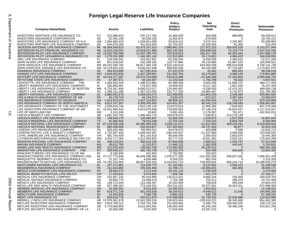| <b>Company Name/State</b>                                                                  | Assets                                               | Liabilities                   | <b>Policy</b><br><b>Holders</b><br>Surplus | <b>Net</b><br>Operating<br>Gain | <b>Direct</b><br><b>Illinois</b><br><b>Premiums</b> | <b>Nationwide</b><br>Premiums |
|--------------------------------------------------------------------------------------------|------------------------------------------------------|-------------------------------|--------------------------------------------|---------------------------------|-----------------------------------------------------|-------------------------------|
| <b>INVESTORS HERITAGE LIFE INSURANCE CO</b>                                                | KY<br>312,686,813                                    | 297,217,784                   | 15,469,029                                 | 303,009                         | 688,893                                             | 59,039,521                    |
| <b>INVESTORS INSURANCE CORPORATION</b>                                                     | DE<br>52,491,109                                     | 40,538,235                    | 11,952,874                                 | -276,655                        | 0                                                   | 19,763,151                    |
| INVESTORS LIFE INSURANCE COMPANY OF N A                                                    | <b>WA</b><br>1,084,660,424                           | 1,028,841,009                 | 55,819,415                                 | 3,576,314                       | 2.192.967                                           | 59,399,805                    |
| <b>INVESTORS PARTNER LIFE INSURANCE COMPANY</b><br>JACKSON NATIONAL LIFE INSURANCE COMPANY | DE<br>544,678,160<br>MI<br>45,364,049,613            | 451,924,593<br>42,475,167,510 | 92,753,567<br>2,888,882,103                | 10,326,545<br>127,972,202       | 81,308<br>350,005,535                               | 516,493<br>6,153,077,944      |
| JEFFERSON PILOT FINANCIAL INSURANCE CO                                                     | 11,620,156,052<br><b>NE</b>                          | 10,818,021,960                | 802,134,092                                | 209,698,545                     | 74,125,779                                          | 1,447,532,160                 |
| JEFFERSON PILOT LIFE INSURANCE COMPANY                                                     | <b>NC</b><br>13,020,700,568                          | 12,267,780,755                | 752,919,813                                | 183,317,766                     | 85,454,344                                          | 1,947,660,178                 |
| JEFFERSON PILOT LIFEAMERICA INSURANCE CO                                                   | <b>NJ</b><br>1,279,291,998                           | 1,166,381,142                 | 112,910,856                                | 25, 174, 851                    | 4,894,432                                           | 166,836,850                   |
| JMIC LIFE INSURANCE COMPANY<br>JOHN ALDEN LIFE INSURANCE COMPANY                           | <b>FL</b><br>226,459,341<br>WI                       | 163,922,987                   | 62,536,354                                 | 6,200,509                       | 2,465,810                                           | 51,671,290                    |
| JOHN HANCOCK LIFE INSURANCE COMPANY                                                        | 651,026,042<br>69,341,546,764<br>МA                  | 532,288,182<br>65,817,406,145 | 118,737,860<br>3,524,140,619               | 39,133,690<br>644,564,538       | 62,887,525<br>398,624,838                           | 320,099,521<br>6,748,141,736  |
| JOHN HANCOCK VARIABLE LIFE INSURANCE CO                                                    | MA<br>10,129,624,135                                 | 9,540,031,599                 | 589,592,536                                | 80,429,368                      | 87,735,687                                          | 1,273,807,975                 |
| KANAWHA INSURANCE COMPANY                                                                  | SC<br>494,523,995                                    | 427,291,616                   | 67,232,379                                 | 42,462                          | 885,924                                             | 98,538,016                    |
| KANSAS CITY LIFE INSURANCE COMPANY                                                         | <b>MO</b><br>2,649,262,635                           | 2,407,329,841                 | 241,932,794                                | 20,279,865                      | 3,388,129                                           | 179,961,885                   |
| KEYPORT LIFE INSURANCE COMPANY<br>KEYSTONE STATE LIFE INSURANCE COMPANY                    | R <sub>l</sub><br>16,104,377,587<br>PA<br>47,387,571 | 15,570,764,089<br>36,164,937  | 533,613,498<br>11,222,634                  | $-47,640,306$<br>1,756,299      | 57,320,805<br>56,318                                | 2,085,845,754<br>4,007,821    |
| LAFAYETTE LIFE INSURANCE COMPANY<br><b>THE</b>                                             | IN<br>1,483,463,343                                  | 1,398,973,884                 | 84,489,459                                 | 5,005,458                       | 21,686,275                                          | 384,177,450                   |
| LIBERTY BANKERS LIFE INSURANCE COMPANY                                                     | IA<br>195,895,881                                    | 176,937,056                   | 18,958,825                                 | $-6, 117, 163$                  | 1,651,435                                           | 76,107,459                    |
| LIBERTY LIFE ASSURANCE COMPANY OF BOSTON                                                   | 6,725,357,484<br>MA                                  | 6,600,512,017                 | 124,845,467                                | $-4,338,000$                    | 12,474,321                                          | 469,000,138                   |
| LIBERTY LIFE INSURANCE COMPANY                                                             | <b>SC</b><br>1,399,131,298                           | 1,267,414,093                 | 131,717,205                                | 16,865,497                      | 4,730,974                                           | 231,795,385                   |
| LIBERTY NATIONAL LIFE INSURANCE COMPANY<br>LIFE & HEALTH INSURANCE COMPANY OF AM           | <b>AL</b><br>3,890,932,879<br>45,179,743<br>PA       | 3,468,034,074<br>42,154,273   | 422,898,805<br>3,025,470                   | 114,904,259<br>$-521,621$       | 2,548,380<br>2,487,444                              | 509,964,600<br>13,065,870     |
| LIFE INSURANCE COMPANY OF GEORGIA                                                          | GA<br>1,913,973,073                                  | 1,817,114,652                 | 96,858,421                                 | $-42,034,944$                   | 218,757                                             | 523,420,889                   |
| LIFE INSURANCE COMPANY OF NORTH AMERICA                                                    | PA<br>4,813,707,307                                  | 4,389,305,950                 | 424,401,357                                | 90,442,216                      | 129,249,836                                         | 1,536,942,867                 |
| LIFE INSURANCE COMPANY OF THE SOUTHWEST                                                    | 2,934,818,746<br>TX                                  | 2,810,148,130                 | 124,670,616                                | 11,959,394                      | 7,628,920                                           | 407,579,068                   |
| LIFE INVESTORS INSURANCE COMPANY OF AM                                                     | IA<br>10,641,484,520                                 | 9,922,878,568                 | 718,605,952                                | 37,146,578                      | 36,642,547                                          | 1,117,224,047                 |
| LIFE OF MARYLAND INC<br>LINCOLN BENEFIT LIFE COMPANY                                       | <b>MD</b><br>3,101,246<br><b>NE</b><br>1,681,342,793 | 19,842<br>1,486,464,723       | 3,081,404<br>194,878,070                   | 2,176,397<br>7,448,873          | 761,971<br>213,276,139                              | –162,642,831<br>0             |
| LINCOLN DIRECT LIFE INSURANCE CO                                                           | <b>NE</b><br>148,630,179                             | 126,365,847                   | 22,264,332                                 | 1,018,975                       | 1,537,559                                           | 16,897,644                    |
| LINCOLN MEMORIAL LIFE INSURANCE COMPANY                                                    | <b>TX</b><br>91,946,402                              | 79,243,258                    | 12,703,144                                 | 7,154,223                       | 6,603,709                                           | 6,556,993                     |
| LINCOLN NATIONAL LIFE INSURANCE COMPANY                                                    | 67,123,506,108<br>IN                                 | 64,495,395,035                | 2,628,111,073                              | $-21,314,303$                   | 409,410,291                                         | 8,229,404,603                 |
| LINCOLN NATIONAL REASSURANCE COMPANY                                                       | IN<br>680,408,509<br>PA                              | 542,916,817                   | 137,491,692                                | 29,737,002                      | 90,077                                              | 32,825,328                    |
| LONDON LIFE REINSURANCE COMPANY<br>LONDON PACIFIC LIFE & ANNUITY COMPANY                   | 830,032,484<br><b>NC</b><br>1,752,997,630            | 765,953,511<br>1,939,443,467  | 64,078,973<br>$-186,445,837$               | -403.898<br>$-21,537,869$       | 5,566<br>3,599,059                                  | $-12,610,712$<br>153,509,591  |
| LOYAL AMERICAN LIFE INSURANCE COMPANY                                                      | OH<br>381,754,409                                    | 301,104,919                   | 80,649,490                                 | 2,569,420                       | 2,663,676                                           | 19,445,300                    |
| LUTHERAN BROTHERHOOD VARIABLE INS PRO CO                                                   | <b>MN</b><br>3,403,717,063                           | 3,312,939,820                 | 90,777,243                                 | $-8,561,482$                    | 4,563,161                                           | 176,942,490                   |
| MADISON NATIONAL LIFE INSURANCE COMPANY                                                    | WI<br>448,219,001                                    | 360,618,165                   | 87,600,836                                 | 1,660,812                       | 1,533,787                                           | 57,613,548                    |
| MAGNA INSURANCE COMPANY<br>MAMSI LIFE AND HEALTH INSURANCE COMPANY                         | <b>MS</b><br>28,612,793<br><b>MD</b><br>312,525,440  | 11,152,671<br>138,942,758     | 17,460,122<br>173,582,682                  | 1,362,828<br>50,195,422         | 443,442<br>0                                        | 5,763,631<br>660,353,268      |
| MANHATTAN LIFE INSURANCE COMPANY<br><b>THE</b>                                             | <b>NY</b><br>359.949.217                             | 340,793,738                   | 19,155,479                                 | 594,498                         | 646,669                                             | 23,694,305                    |
| MANUFACTURERS LIFE INSURANCE CO OF AM                                                      | MI<br>8,185,845                                      | 422,953                       | 7,762,892                                  | 262,923                         | 0                                                   | U                             |
| MANUFACTURERS LIFE INSURANCE COMPANY USA                                                   | MI<br>47,127,775,646                                 | 46,049,498,366                | 1,078,277,280                              | $-211,065,556$                  | 340,627,262                                         | 7,566,451,428                 |
| MARQUETTE INDEMNITY & LIFE INSURANCE CO                                                    | AZ<br>11,107,749                                     | 4,838,496                     | 6,269,253                                  | 681,555                         | O                                                   | 2,215,200                     |
| MASSACHUSETTS MUTUAL LIFE INSURANCE CO<br>MAYFLOWER NATIONAL LIFE INSURANCE CO             | <b>MA</b><br>74,762,103,063<br>IN<br>167, 171, 861   | 68,657,500,353<br>110,029,770 | 6,104,602,710<br>57,142,091                | 729,005,644<br>8,237,691        | 565,234,714<br>2,538,225                            | 10,296,636,279<br>51,448,538  |
| MEDAMERICA INSURANCE COMPANY                                                               | PA<br>211,414,665                                    | 195,625,494                   | 15,789,171                                 | $-10,066,631$                   | 462,306                                             | 28,069,171                    |
| MEDCO CONTAINMENT LIFE INSURANCE COMPANY                                                   | PA<br>39,504,575                                     | 4,173,443                     | 35,331,132                                 | 2,430,526                       | $\Omega$                                            | 2,274,000                     |
| MEDICAL BENEFITS MUTUAL LIFE INS CO                                                        | OH<br>17,334,631                                     | 9,975,845                     | 7,358,786                                  | $-421,270$                      | $\Omega$                                            | 37,100,177                    |
| <b>MEDICAL LIFE INSURANCE COMPANY</b><br>MEDICAL SAVINGS INSURANCE COMPANY                 | OH<br>225,947,210<br>OK<br>30,800,776                | 95,433,959                    | 130,513,251                                | 9,660,104                       | 156,400<br>266,076                                  | 200,029,763<br>24,721,959     |
| MEDICO LIFE INSURANCE COMPANY                                                              | <b>NE</b><br>138,723,303                             | 23,098,578<br>122,430,397     | 7,702,198<br>16,292,909                    | 755,212<br>708,819              | 495,034                                             | 24,604,475                    |
| MEGA LIFE AND HEALTH INSURANCE COMPANY                                                     | OK<br>927,496,362                                    | 723,184,931                   | 204,311,431                                | 20,972,561                      | 44,624,311                                          | 872,998,858                   |
| MEMBER SERVICE LIFE INSURANCE COMPANY                                                      | OK<br>34,305,004                                     | 9,919,450                     | 24,385,554                                 | 1,054,922                       | 0                                                   | 22,198,420                    |
| MEMBERS LIFE INSURANCE COMPANY                                                             | WI<br>619,571,139                                    | 581,426,526                   | 38,144,613                                 | $-4,048,012$                    | 21,046                                              | 144,666,263                   |
| MERCYCARE INSURANCE COMPANY<br>MERIT LIFE INSURANCE CO                                     | WI<br>14,443,928<br>929,618,776<br>IN                | 7,548,736<br>455,021,878      | 6,895,193<br>474,596,898                   | 436,730<br>52,740,332           | $\Omega$<br>15,036,988                              | 67,196,231<br>110,919,985     |
| MERRILL LYNCH LIFE INSURANCE COMPANY                                                       | AR.<br>12,678,381,678                                | 12,541,558,224                | 136,823,454                                | $-128,034,221$                  | 36,245,080                                          | 654,462,390                   |
| METLIFE INVESTORS INSURANCE COMPANY                                                        | <b>MO</b><br>4,915,768,112                           | 4,764,762,208                 | 151,005,905                                | 5,508,734                       | 109,460,320                                         | 158,723,114                   |
| METLIFE INVESTORS USA INSURANCE COMPANY                                                    | DE<br>5,770,058,850                                  | 5,622,003,491                 | 148,055,359                                | 40,245,195                      | 59,390,106                                          | 510,921,785                   |
| METLIFE SECURITY INSURANCE COMPANY OF LA                                                   | LA<br>20,560,280                                     | 3,015,635                     | 17,544,645                                 | 23, 287, 222                    | 0                                                   | 0                             |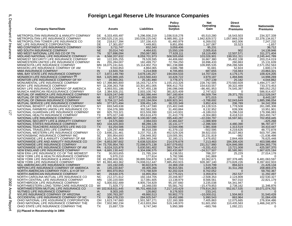| <b>Company Name/State</b>                                                                                                                                            | Assets                                                                                          | Liabilities                                                    | Policy<br><b>Holders</b><br><b>Surplus</b>                | <b>Net</b><br>Operating<br>Gain                               | <b>Direct</b><br><b>Illinois</b><br><b>Premiums</b> | <b>Nationwide</b><br><b>Premiums</b>                    |
|----------------------------------------------------------------------------------------------------------------------------------------------------------------------|-------------------------------------------------------------------------------------------------|----------------------------------------------------------------|-----------------------------------------------------------|---------------------------------------------------------------|-----------------------------------------------------|---------------------------------------------------------|
| METROPOLITAN INSURANCE & ANNUITY COMPANY<br>METROPOLITAN LIFE INSURANCE COMPANY<br>METROPOLITAN TOWER LIFE INSURANCE CO<br>MIC LIFE INSURANCE CORPORATION            | DE<br>6,333,455,497<br>NY 200, 525, 216, 161<br>DE<br>218,617,394<br>DE<br>17,301,657           | 5,296,936,219<br>193,539,225,042<br>157, 156, 415<br>7,449,801 | 1,036,519,278<br>6,985,991,119<br>61,460,979<br>9,851,856 | 65,510,280<br>1,942,829,572<br>6,269,032<br>1,167,087         | 16,543,503<br>1,057,869,239<br>642,006<br>33,523    | 234,327,339<br>22,378,134,817<br>7,247,232<br>–1,657    |
| MID CONTINENT LIFE INSURANCE COMPANY<br>MID SOUTH INSURANCE COMPANY<br>MID WEST NATIONAL LIFE INS CO OF TN                                                           | 3,711,747<br>OK<br>20,014,740<br><b>NE</b><br><b>TN</b><br>327,696,094                          | 652,343<br>4,464,631<br>250,067,983                            | 3,059,406<br>15,550,109<br>77,628,111                     | 95,231<br>2,005,816<br>18,119,490                             | $\Omega$<br>902<br>12,507,571                       | 36,712<br>14,139,946<br>311,271,404                     |
| MIDLAND NATIONAL LIFE INSURANCE COMPANY<br>MIDWEST SECURITY LIFE INSURANCE COMPANY<br>MIDWESTERN UNITED LIFE INSURANCE COMPANY                                       | 8,568,207,632<br>IA<br>122,935,255<br>WI<br>255,284,007<br>IN                                   | 8,059,701,973<br>78,528,595<br>182,499,757                     | 508,505,658<br>44,406,660<br>72,784,250                   | 103,026,901<br>16,667,380<br>18,896,433                       | 199,551,311<br>35,402,108<br>260,863                | 2,245,441,789<br>203,214,019<br>15,131,639              |
| MINNESOTA LIFE INSURANCE COMPANY<br>MISSION LIFE INSURANCE COMPANY OF AM<br>MMA INSURANCE COMPANY<br>MML BAY STATE LIFE INSURANCE COMPANY                            | 16,075,241,641<br>MΝ<br>TX<br>9,550,853<br>13,920,764<br>IN<br><b>CT</b>                        | 15,114,002,753<br>4,864,065<br>5,214,908                       | 961,238,888<br>4,686,788<br>8,705,855                     | 109,895,535<br>91,681<br>687,655                              | 258,286,569<br>52,824<br>716,943                    | 2,571,052,563<br>1,600,174<br>23,863,321                |
| MONARCH LIFE INSURANCE COMPANY (1)<br>MONITOR LIFE INSURANCE COMPANY OF NY<br>MONUMENTAL LIFE INSURANCE COMPANY                                                      | 3,872,149,790<br><b>MA</b><br>1,025,989,165<br><b>NY</b><br>28,960,261<br>17,398,865,800<br>MD. | 3,678,145,257<br>1,015,560,443<br>25,181,890<br>16,243,712,474 | 194,004,533<br>10.428.722<br>3,778,371<br>1,155,153,326   | 14,707,024<br>3,979,187<br>$-257,139$<br>228,742,585          | 4,179,175<br>1,494,846<br>25,182<br>270,560,928     | 109,424,205<br>14,998,269<br>4,044,862<br>1,494,277,347 |
| MONY LIFE INSURANCE COMPANY<br>MONY LIFE INSURANCE COMPANY OF AMERICA<br>MUNICH AMERICAN REASSURANCE COMPANY                                                         | <b>NY</b><br>11,208,263,758<br>4,993,551,186<br>AΖ<br>GA<br>2,384,926,151                       | 10,301,851,005<br>4,747,455,138<br>2,003,100,742               | 906,412,753<br>246,096,048<br>381,825,409                 | 154.633.557<br>$-86,481,953$<br>2,747,622                     | 39.322.469<br>74,545,397<br>0                       | 733,373,453<br>995,052,252<br>586,914,437               |
| MUTUAL OF AMERICA LIFE INSURANCE COMPANY<br>MUTUAL OF DETROIT INSURANCE COMPANY<br>MUTUAL OF OMAHA INSURANCE COMPANY                                                 | <b>NY</b><br>9,929,247,048<br>62,577,342<br>MI<br>3,704,117,345<br><b>NE</b>                    | 9,362,086,444<br>46,160,059<br>2,103,194,004                   | 567,160,604<br>16,417,283<br>1,600,923,341                | 66,509,794<br>971,015<br>$-3,788,692$                         | 29,371,755<br>926<br>52,043,649                     | 1,012,526,047<br>8,443,197<br>1,885,396,054             |
| MUTUAL SERVICE LIFE INSURANCE COMPANY<br>NATIONAL BENEFIT LIFE INSURANCE COMPANY<br>NATIONAL FARMERS UNION LIFE INSURANCE CO                                         | 377,671,494<br>MN<br>693,549,638<br>NY<br>334,076,389<br>ТX                                     | 339,451,145<br>478,147,590<br>302,582,505                      | 38,220,349<br>215,402,048<br>31,493,884                   | 3,852,424<br>24,128,515<br>8,132,952                          | 206,789<br>1,778,508<br>639,306                     | 34,242,359<br>261,085,308<br>10,951,901                 |
| NATIONAL GUARDIAN LIFE INSURANCE COMPANY<br>NATIONAL HEALTH INSURANCE COMPANY<br>NATIONAL LIFE INSURANCE COMPANY<br>NATIONAL SECURITY LIFE & ANNUITY COMPANY         | WI<br>925,703,321<br>975,027,248<br><b>TX</b><br>VT<br>6,495,507,383<br>24,575,680<br><b>NY</b> | 815,559,390<br>953,616,470<br>6,100,067,095<br>2,084,033       | 110,143,931<br>21,410,778<br>395,440,287<br>22,491,647    | $-9,189,010$<br>$-9,304,883$<br>$-22,030,797$<br>$-1,088,909$ | 5,296,518<br>8,418,510<br>16,597,661<br>0           | 179,396,083<br>263,493,747<br>702,859,445<br>$-425,268$ |
| NATIONAL STATES INSURANCE COMPANY<br>NATIONAL TEACHERS ASSOCIATES LIFE INS CO<br>NATIONAL TRAVELERS LIFE COMPANY                                                     | 104,420,303<br><b>MO</b><br>63,254,586<br>TX<br>128,297,468<br>IA                               | 88,289,126<br>51,210,090<br>86,918,338                         | 16, 131, 177<br>12,044,496<br>41,379,132                  | $-2,396,500$<br>1,981,608<br>–502,595                         | 4,480,390<br>1,313,519<br>4,219,626                 | 96,787,477<br>34,410,447<br>48,772,878                  |
| NATIONAL WESTERN LIFE INSURANCE COMPANY<br>NATIONSBANC INSURANCE COMPANY INC<br>NATIONWIDE LIFE & ANNUITY COMPANY OF AM                                              | CO<br>3,690,231,461<br>355,954,693<br>SC<br>DE<br>1,101,545,369                                 | 3,237,702,135<br>236,949,302<br>1,069,365,248                  | 452,529,326<br>119,005,391<br>32,180,121                  | 39,922,033<br>20,231,819<br>1,476,652                         | 35,027,863<br>$-982$<br>2,844,469                   | 503,797,286<br>–21,636,498<br>76,625,448                |
| NATIONWIDE LIFE AND ANNUITY INSURANCE CO<br>NATIONWIDE LIFE INSURANCE COMPANY<br>NATIONWIDE LIFE INSURANCE COMPANY OF AM                                             | OH<br>6,853,097,602<br><b>OH</b><br>73,705,954,790<br>PA<br>6,024,315,878                       | 6,638,520,924<br>72,098,875,138<br>5,630,581,402               | 214,576,678<br>1,607,079,652<br>393,734,476               | 7,213,463<br>231,517,980<br>$-5,331,410$                      | 184,306,426<br>624,846,088<br>13,721,008            | 403,586,484<br>12,594,365,776<br>425,587,370            |
| NEW ENGLAND LIFE INSURANCE COMPANY<br>NEW ERA LIFE INSURANCE CO OF THE MIDWEST<br>NEW YORK LIFE & HEALTH INSURANCE COMPANY<br>NEW YORK LIFE INSURANCE & ANNUITY CORP | 6,665,130,442<br>МA<br>ТX<br>30,003,655<br>DE<br>5,970,210<br>DE<br>41,298,839,581              | 6,304,696,575<br>21,765,104<br>177,614<br>39,895,556,878       | 360,433,867<br>8,238,551<br>5,792,596<br>1,403,282,703    | $-24,517,507$<br>788,207<br>241,869<br>10,362,671             | 85,585,991<br>25,229<br>$\Omega$<br>187,378,485     | 1,867,625,184<br>27,014,178<br>6,481,063,597            |
| NEW YORK LIFE INSURANCE COMPANY<br>NGL AMERICAN LIFE INSURANCE COMPANY<br>NIPPON LIFE INSURANCE COMPANY OF AMERICA                                                   | 81,993,463,362<br>NY<br>WI<br>115, 192, 035<br>IA<br>145,220,847                                | 74,008,012,447<br>90,822,876<br>49,405,266                     | 7,985,450,915<br>24,369,159<br>95,815,581                 | 928,387,140<br>1,519,799<br>1,845,828                         | 273,828,226<br>894,623<br>31,511,268                | 8,397,602,933<br>21,426,134<br>208,869,476              |
| NORTH AMERICAN COMPANY FOR L & H OF NY<br>NORTH AMERICAN INSURANCE COMPANY<br>NORTH CAROLINA MUTUAL LIFE INSURANCE CO                                                | <b>NY</b><br>855,970,953<br>WI<br>29,630,375<br><b>NC</b><br>212,371,612                        | 773,768,929<br>16,855,354<br>192,164,705                       | 82,202,024<br>12,775,021<br>20,206,907                    | 8,702,052<br>3,359,874<br>$-2.508.353$                        | O<br>262,537<br>2.124.809                           | 59,792,367<br>11,292,497<br>102,530,327                 |
| NORTH CENTRAL LIFE INSURANCE COMPANY<br>NORTHBROOK LIFE INSURANCE COMPANY<br>NORTHWESTERN LONG TERM CARE INSURANCE CO<br>NORTHWESTERN MUTUAL LIFE INSURANCE CO       | ΜN<br>130,220,584<br>AΖ<br>5,000,932,489<br>71.929.772<br>WI<br>WI 102,918,611,445              | 117,081,605<br>4,905,734,829<br>16,348,030<br>95,701,468,016   | 13,138,979<br>95,197,660<br>55,581,742<br>7,217,143,429   | 8,566,561<br>3,235,038<br>–15,479,853<br>779,814,263          | 947,010<br>54,341,947<br>2,738,162<br>552,817,535   | 22,821,179<br>0<br>11.346.876<br>10,071,074,702         |
| NUTMEG LIFE INSURANCE COMPANY<br>NYLIFE INSURANCE COMPANY OF ARIZONA<br>OCCIDENTAL LIFE INSURANCE COMPANY OF NC                                                      | 9,303,165<br>IA<br>AZ<br>100,763,287<br><b>TX</b><br>304,378,233                                | 126,662<br>49,860,513<br>284,925,547                           | 9,176,503<br>50,902,773<br>19,452,686                     | 233,141<br>$-10,000,011$<br>5,990,543                         | 0<br>1,504,663<br>863,964                           | 31,540,428<br>31,084,439                                |
| OHIO NATIONAL LIFE ASSURANCE CORPORATION<br>OHIO NATIONAL LIFE INSURANCE COMPANY THE<br>OHIO STATE LIFE INSURANCE COMPANY THE                                        | OΗ<br>1,623,747,660<br>OΗ<br>7,932,982,234<br>ТX<br>15,697,729                                  | 1,501,587,271<br>7,413,833,264<br>9,747,340                    | 122,160,389<br>519,148,970<br>5,950,389                   | 7,405,863<br>51,601,650<br>$-683,766$                         | 12,075,665<br>110,435,563<br>1,092,221              | 276,934,486<br>1,466,242,875<br>0                       |

 $127$ 

**(1) Placed in Receivership in 1994**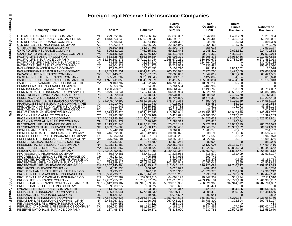| <b>Company Name/State</b>                                                      | Assets                                   | Liabilities                  | Policy<br><b>Holders</b><br>Surplus | Net<br>Operating<br>Gain   | <b>Direct</b><br><b>Illinois</b><br><b>Premiums</b> | Nationwide<br><b>Premiums</b> |
|--------------------------------------------------------------------------------|------------------------------------------|------------------------------|-------------------------------------|----------------------------|-----------------------------------------------------|-------------------------------|
| OLD AMERICAN INSURANCE COMPANY                                                 | <b>MO</b><br>279,622,169                 | 241,786,862                  | 37,835,307                          | 7,042,302                  | 4,498,239                                           | 70,215,904                    |
| OLD LINE LIFE INSURANCE COMPANY OF AM                                          | 1,843,693,649<br>WI                      | 1,699,399,947                | 144,293,702                         | 6,026,400                  | 18,426,954                                          | 266,209,001                   |
| OLD RELIANCE INSURANCE COMPANY                                                 | <b>AZ</b><br>7,265,533                   | 4,964,195                    | 2,301,338                           | $-345.283$                 | 33,243                                              | 3,894,309                     |
| OLD UNITED LIFE INSURANCE COMPANY                                              | AZ<br>57,202,876                         | 35,036,927                   | 22,165,949                          | 1,254,464                  | 191,736                                             | 11,749,160                    |
| OPTIMUM RE INSURANCE COMPANY                                                   | <b>TX</b><br>36,190,381<br><b>AZ</b>     | 14,897,605                   | 21,292,776<br>59,216,445            | 255,026                    | ∩                                                   | 7,932,137                     |
| OXFORD LIFE INSURANCE COMPANY<br>OZARK NATIONAL LIFE INSURANCE COMPANY         | 806,132,027<br><b>MO</b><br>435,186,536  | 746,915,582<br>378,376,120   | 56,810,416                          | $-2,048,429$<br>20,271,329 | 2,672,631<br>4,818,114                              | 214,779,563<br>97,510,074     |
| PACIFIC LIFE & ANNUITY COMPANY                                                 | <b>AZ</b><br>853,828,755                 | 586,830,384                  | 266,998,371                         | 25,208,376                 | 37,058,486                                          | 1,010,537,838                 |
| PACIFIC LIFE INSURANCE COMPANY                                                 | CA<br>51,380,393,175                     | 49,711,713,944               | 1,668,679,231                       | 186,169,672                | 439,784,035                                         | 6,671,486,058                 |
| PACIFICARE LIFE & HEALTH INSURANCE CO                                          | 78,395,497<br>IN                         | 42,933,810                   | 35,461,687                          | 124,764,021                | 0                                                   | 130,908,135                   |
| PACIFICARE LIFE ASSURANCE COMPANY                                              | CO<br>94,304,329                         | 58,571,775                   | 35,732,554                          | 7,335,484                  | ∩                                                   | 156,623,030                   |
| PAN AMERICAN ASSURANCE COMPANY                                                 | LA<br>17.226.625                         | 7,122,855                    | 10.103.770                          | 284,322                    | 3,859,662                                           | 36,078<br>172,603,958         |
| PAN AMERICAN LIFE INSURANCE COMPANY                                            | 2,285,192,251<br>LA                      | 2,084,241,274                | 200,950,977                         | 2,976,765                  | 3,472,650                                           |                               |
| PARAGON LIFE INSURANCE COMPANY                                                 | <b>MO</b><br>361,140,610                 | 338,537,578                  | 22,603,032                          | 1,649,819                  | 5,685,258                                           | 65,424,505                    |
| PARK AVENUE LIFE INSURANCE COMPANY                                             | DE<br>565,737,202                        | 383,613,045                  | 182, 124, 157                       | 27,422,892                 | 84,064                                              | 6,618,628                     |
| PAUL REVERE LIFE INSURANCE COMPANY THE                                         | MA<br>4,976,411,855                      | 4,064,999,271                | 911,412,583                         | 105,538,831                | 31,454,528                                          | 810, 152, 843                 |
| PAUL REVERE VARIABLE ANNUITY INS CO THE<br>PENINSULAR LIFE INSURANCE COMPANY   | MA<br>159,400,787<br>FL<br>5,858,737     | 24,692,432<br>94,233         | 134,708,355<br>5,764,504            | 10,990,232<br>$-165,992$   | 56,250<br>0                                         |                               |
| PENN INSURANCE & ANNUITY COMPANY THE                                           | DE<br>1,220,758,318                      | 1.114.193.904                | 106,564,422                         | 17,498,768                 | 793.969                                             | 38,714,067                    |
| PENN MUTUAL LIFE INSURANCE COMPANY THE                                         | 6,979,313,641<br>PA                      | 6,173,214,647                | 806,098,994                         | 96,825,792                 | 33,502,522                                          | 738,852,046                   |
| PENN TREATY NETWORK AMERICA INS CO                                             | PA<br>124,079,541                        | 95.148.449                   | 28,931,092                          | 10,388,603                 | 17,429,769                                          | 14,361,311                    |
| PENNSYLVANIA LIFE INSURANCE COMPANY                                            | PA<br>429,321,239                        | 380,525,439                  | 48,795,800                          | 10,578,318                 | 5,012,219                                           | 110,237,488                   |
| PEOPLES BENEFIT LIFE INSURANCE COMPANY                                         | IA<br>13,046,470,592                     | 12,668,328,239               | 378,142,353                         | 77,690,705                 | 48,179,159                                          | 1,244,966,192                 |
| PHARMACISTS LIFE INSURANCE COMPANY THE                                         | IA<br>23,210,762                         | 16,191,789                   | 7,018,973                           | 343.552                    | 85,922                                              | 1,169,534                     |
| PHILADELPHIA AMERICAN LIFE INSURANCE CO                                        | ТX<br>48,212,645                         | 37,335,863                   | 10,876,782                          | 74,629                     | 303,072                                             | 43,351,128                    |
| PHILADELPHIA UNITED LIFE INSURANCE CO                                          | PA<br>42,831,764                         | 26,820,148                   | 16,011,616                          | –26,219                    | 482                                                 | 7,027,013                     |
| PHL VARIABLE INSURANCE COMPANY                                                 | СT<br>4,079,795,426                      | 3,864,497,385                | 215,298,041                         | $-133,996,386$             | 98,047,939                                          | 1,946,699,787                 |
| PHOENIX LIFE & ANNUITY COMPANY<br>PHOENIX LIFE INSURANCE COMPANY               | 39.983.780<br>CT<br><b>NY</b>            | 29,559,109                   | 10,424,671                          | $-3.480.508$               | 5,217,872                                           | 15,392,203                    |
| PHOENIX NATIONAL INSURANCE COMPANY                                             | 16,103,186,398<br>OH<br>13,254,279       | 15,242,171,637<br>670.967    | 861,014,761<br>12,583,312           | 44,525,633<br>276,816      | 47,187,081<br>26,574                                | 1,425,521,801                 |
| PHYSICIANS LIFE INSURANCE COMPANY                                              | 1,119,731,245<br><b>NE</b>               | 1,049,121,096                | 70,610,149                          | 5,321,921                  | 14,053,129                                          | 206,764,029                   |
| PHYSICIANS MUTUAL INSURANCE COMPANY                                            | <b>NE</b><br>1,069,524,663               | 486,858,178                  | 582,666,485                         | 49,040,750                 | 20,363,132                                          | 501,521,903                   |
| PIONEER AMERICAN INSURANCE COMPANY                                             | ТX<br>35,742,134                         | 24,981,047                   | 10,761,087                          | 1,908,276                  | 98,487                                              | 6,254,752                     |
| PIONEER MUTUAL LIFE INSURANCE COMPANY                                          | <b>ND</b><br>446,522,308                 | 415,812,483                  | 30,709,825                          | 638,190                    | 101,906                                             | 36,597,436                    |
| PIONEER SECURITY LIFE INSURANCE COMPANY                                        | 65,534,051<br>ТX                         | 14,597,813                   | 50,936,238                          | 12,217,658                 | 33,522                                              | 1,962,973                     |
| PREFERRED LIFE INSURANCE COMPANY OF NY                                         | NY<br>375,606,201                        | 325,047,736                  | 50,558,465                          | 3,322,968                  | 83,381                                              | 18,092,666                    |
| PREMIER MEDICAL INSURANCE GROUP INC                                            | WI<br>42,733,050                         | 264,789                      | 42,468,261                          | 80,908                     | 0                                                   | 882,096                       |
| PRESIDENTIAL LIFE INSURANCE COMPANY                                            | <b>NY</b><br>4,128,341,489               | 3,927,989,077                | 200,352,412                         | 22,127,006                 | 27,131,754                                          | 774,694,410                   |
| PRIMERICA LIFE INSURANCE COMPANY                                               | MA<br>4,674,481,857                      | 3,193,430,422                | 1,481,051,436                       | 111,920,519                | 53,893,223                                          | 1,090,440,662                 |
| PRINCIPAL LIFE INSURANCE COMPANY<br>PROFESSIONAL INSURANCE COMPANY             | 78,002,390,350<br>IA<br>69,670,881<br>ТX | 74,663,157,998<br>52,431,918 | 3,339,232,352<br>17,238,963         | 746,559,023<br>$-316,570$  | 311,833,471<br>181,409                              | 5,065,854,512<br>37,925,107   |
| PROGRESSIVE AMERICAN LIFE INSURANCE CO                                         | OH<br>5,942,424                          | 405,358                      | 5,537,066                           | 292,745                    | 0                                                   |                               |
| PROTECTED HOME MUTUAL LIFE INSURANCE CO                                        | 200,939,480<br>PA                        | 192,246,593                  | 8,692,887                           | $-1,343,278$               | 40,395                                              | 25,185,713                    |
| PROTECTIVE LIFE & ANNUITY INSURANCE CO                                         | 724,399,310<br>AL                        | 621,848,761                  | 102,550,549                         | 12,057,048                 | 2,165                                               | 47,501,892                    |
| PROTECTIVE LIFE INSURANCE COMPANY                                              | <b>TN</b><br>14,307,140,404              | 13,494,495,217               | 812,645,187                         | 126,120,083                | 67,740,797                                          | 2,159,521,393                 |
| PROVANTIS INSURANCE COMPANY                                                    | 6,832,838<br>DE                          | 206,766                      | 6,626,072                           | $-484,834$                 | $\Omega$                                            | 840,746                       |
| PROVIDENT AMERICAN LIFE & HEALTH INS CO                                        | OH<br>9,235,978                          | 6,020,611                    | 3,215,366                           | $-1,328,978$               | 1,730,958                                           | 12,365,212                    |
| PROVIDENT LIFE & ACCIDENT INSURANCE CO                                         | 8,556,790,316<br><b>TN</b>               | 7,629,514,061                | 927,276,255                         | 57,935,731                 | 42,748,963                                          | 1,387,447,198                 |
| PROVIDENT LIFE & CASUALTY INSURANCE CO                                         | 597,627,282<br>ΤN                        | 532,933,110                  | 64,694,172                          | 10,347,339                 | 351,724                                             | 77,911,310                    |
| PRUCO LIFE INSURANCE COMPANY                                                   | AZ<br>17,232,755,525                     | 16,761,737,324               | 471,018,201                         | $-203, 137, 181$           | 155,793,190                                         | 1,761,305,267                 |
| PRUDENTIAL INSURANCE COMPANY OF AMERICA<br>PRUDENTIAL SELECT LIFE INS CO OF AM | NJ 186,612,438,187<br>9,030,277<br>MN    | 180,913,059,807<br>153,627   | 5,699,378,380<br>8,876,650          | 706,821,963<br>35,471      | 702,914,812<br>∩                                    | 16,202,764,067                |
| PYRAMID LIFE INSURANCE COMPANY THE                                             | 114,292,932<br>KS                        | 91,993,585                   | 22,299,347                          | 428,295                    | 3,094,656                                           | 101,649,636                   |
| RELIABLE LIFE INSURANCE COMPANY THE                                            | <b>MO</b><br>636,414,041                 | 577,548,930                  | 58,865,111                          | 3,308,419                  | 900,995                                             | 115,481,565                   |
| RELIANCE LIFE INSURANCE COMPANY                                                | DE<br>9,125,120                          | 149,583                      | 8,975,537                           | 202,941                    | $\Omega$                                            | $-9,832$                      |
| RELIASTAR LIFE INSURANCE COMPANY                                               | <b>MN</b><br>17,574,309,635              | 16,216,684,937               | 1,357,624,698                       | 166,850,932                | 76,270,347                                          | 2,231,655,750                 |
| RELIASTAR LIFE INSURANCE COMPANY OF NY                                         | NΥ<br>2,438,967,230                      | 2,171,926,005                | 267,041,225                         | 28,786,300                 | 4,392,804                                           | 200,758,127                   |
| RENAISSANCE LIFE & HEALTH INSURANCE CO                                         | IN<br>4,694,655                          | 443,329                      | 4,251,326                           | -966,073                   | 0                                                   | 438                           |
| REPUBLIC VANGUARD LIFE INSURANCE COMPANY                                       | <b>TX</b><br>596,093,351                 | 581,912,107                  | 14,181,244                          | 5,234,952                  | 107,236                                             | $-357,024,298$                |
| RESERVE NATIONAL INSURANCE COMPANY                                             | OK<br>137,498,371                        | 59,160,371                   | 78,338,000                          | 7,237,781                  | 10,527,145                                          | 113,582,670                   |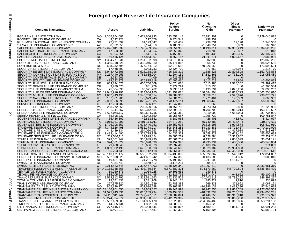| RGA REINSURANCE COMPANY<br>7,305,164,081<br>6,671,606,933<br>633,557,148<br>42,291,401<br>2,129,040,815<br>MO.<br>$\Omega$<br>ROONEY LIFE INSURANCE COMPANY<br>9,374,547<br>298,957<br>СA<br>9,592,223<br>217,676<br>$\Omega$<br>RUSHMORE NATIONAL LIFE INSURANCE COMPANY<br>SD<br>72,771,099<br>11,641,452<br>1,738,031<br>1,345,568<br>61,129,647<br>17,198<br>S USA LIFE INSURANCE COMPANY INC<br><b>AZ</b><br>8.362.856<br>2.174.519<br>6.188.337<br>5.809<br>168.940<br>$-1.649.354$<br>SAFECO LIFE INSURANCE COMPANY<br><b>WA</b><br>17,648,811,339<br>16,745,459,384<br>903,351,953<br>180,498,314<br>32,362,249<br>1,834,528,256<br>SAFECO NATIONAL LIFE INSURANCE COMPANY<br><b>WA</b><br>17,353,201<br>4,794,854<br>12,558,346<br>718,709<br>26,857<br>516,818<br>9.994.254<br>SAFEHEALTH LIFE INSURANCE COMPANY<br>CA<br>3,541,216<br>6.453.038<br>310,305<br>32,107,430<br>401.435<br>SAGE LIFE ASSURANCE OF AMERICA INC<br>DE<br>147,853,967<br>8,562,157<br>9,582,981<br>156,416,124<br>$-21, 111, 271$<br>4,029,657<br>SBLI USA MUTUAL LIFE INS CO INC<br>NY<br>1,384,777,931<br>1,261,702,098<br>123,075,834<br>125,060,206<br>502,086<br>$\Omega$<br>SCOR LIFE US RE INSURANCE COMPANY<br><b>TX</b><br>1,365,218,826<br>584,025,696<br>1,330,046,960<br>35,171,866<br>-964.733<br>$\Omega$<br>SCOTTISH RE U S INC<br>DE<br>528,232,695<br>476,154,012<br>52,078,683<br>$-60,226,153$<br>173,590,504<br>SECURIAN LIFE INSURANCE COMPANY<br>17,468,492<br>4,943,783<br>12,524,709<br><b>MN</b><br>108,054<br>2,215,779<br>877,653<br>SECURITY BENEFIT LIFE INSURANCE COMPANY<br>KS<br>6,944,472,308<br>6,528,138,996<br>27.804.598<br>416,333,312<br>1.688.625<br>1,152,736,884<br><b>MN</b><br>451,604,152<br>SECURITY CONNECTICUT LIFE INSURANCE CO<br>2,217,440,056<br>1,765,835,904<br>37,832,861<br>218,053,489<br>14,733,106<br>SECURITY CONTINENTAL INSURANCE COMPANY<br>$-22,505$<br><b>DE</b><br>2,733,901<br>7,409<br>2,726,492<br>SECURITY EQUITY LIFE INSURANCE COMPANY<br><b>NY</b><br>499,222,278<br>476,815,818<br>22,406,460<br>3,113,623<br>69,954<br>$-3,605,873$<br>SECURITY FINANCIAL LIFE INSURANCE CO<br>NE<br>669,824,577<br>605,750,509<br>64,074,068<br>2,013,986<br>1,588,362<br>78,997,417<br>SECURITY GENERAL LIFE INSURANCE COMPANY<br>801,279<br>2,979,291<br>$-1,265,584$<br>OK<br>3,780,570<br>515,830<br>SECURITY LIFE INSURANCE COMPANY OF AM<br>75,304,895<br>4,025,236<br>ΜN<br>65,571,702<br>9,733,194<br>1,193,694<br>72,096,252<br>1,031,252,026<br>SECURITY LIFE OF DENVER INSURANCE CO<br>CO.<br>17,945,916,191<br>16,914,664,165<br>180,584,304<br>43,817,723<br>2,063,758,016<br>SECURITY MUTUAL LIFE INSURANCE CO OF NY<br>1,637,443,490<br><b>NY</b><br>1,540,758,554<br>96,684,936<br>2,595,876<br>238,070,721<br>9,059,613<br>SECURITY NATIONAL LIFE INSURANCE COMPANY<br>187,061,200<br>14,381,257<br>UT<br>172,679,943<br>1,271,464<br>193,339<br>9,666,982<br>SENTRY LIFE INSURANCE COMPANY<br>WI<br>178,165,211<br>2,003,586,596<br>1,825,421,385<br>19,563,446<br>19,479,837<br>356,505,376<br>SERVUS LIFE INSURANCE COMPANY<br>11,547,860<br><b>CT</b><br>12,203,982<br>656,121<br>1,265<br>106<br>SETTLERS LIFE INSURANCE COMPANY<br>228,272,358<br>209,520,566<br>18,751,792<br>9,880<br>21,229,995<br>VA<br>4,273,351<br><b>MO</b><br>791,241,867<br>132,899,183<br>SHELTER LIFE INSURANCE COMPANY<br>658,342,684<br>9,766,703<br>2,983,014<br>103,170,537<br>92,530,362<br>SHENANDOAH LIFE INSURANCE COMPANY<br>VA<br>1,075,065,117<br>982.534.755<br>$-7,819,099$<br>4,684,083<br>287,736,920<br>SIERRA HEALTH & LIFE INS CO INC<br>CA<br>55,898,237<br>36,942,550<br>18,955,687<br>1,995,720<br>109,751,847<br>SOUTHERN SECURITY LIFE INSURANCE COMPANY<br>FL<br>55,436,809<br>46,853,841<br>8,582,968<br>–426,401<br>43,571<br>8,414,077<br>SOUTHLAND LIFE INSURANCE COMPANY<br><b>TX</b><br>3,016,031,291<br>2.891.161.011<br>124,870,280<br>55,740,483<br>28.414.444<br>119,377,911<br>SOUTHWESTERN LIFE INSURANCE COMPANY<br>1,796,998,659<br>TX<br>1,676,440,963<br>120,557,695<br>20,315,198<br>1,994,574<br>108,510,910<br><b>OR</b><br>STANDARD INSURANCE COMPANY<br>7,344,626,498<br>6,536,378,217<br>36,791,457<br>1,470,139,099<br>808,248,281<br>34,033,885<br>STANDARD LIFE & ACCIDENT INSURANCE CO<br>STANDARD LIFE INSURANCE COMPANY OF IN<br>443.439.134<br>294.050.663<br>149.388.471<br>18,572,125<br>14.417.984<br>212,513,687<br>OK<br>54,636,331<br>IN<br>1,433,414,490<br>1,378,778,159<br>5,058,227<br>26,673,452<br>455,600,639<br>STANDARD SECURITY LIFE INSURANCE CO NY<br>NY<br>212,586,115<br>80,686,262<br>131,899,854<br>8,528,884<br>16,313,802<br>77,237,245<br>STATE LIFE INSURANCE COMPANY THE<br>379.601.749<br>336.939.990<br>42,661,759<br>6,137,975<br>2.858.029<br>33,651,121<br>IN<br>STATE MUTUAL INSURANCE COMPANY<br>GA<br>324,081,029<br>295,928,039<br>28,152,990<br>6,935,934<br>13,480,566<br>$-60,548,054$<br>12,832,463<br>STERLING INVESTORS LIFE INSURANCE CO<br>FL<br>$-1,409,132$<br>274,869<br>29,488,843<br>16,656,379<br>4,381<br>STONEBRIDGE LIFE INSURANCE COMPANY<br>VT<br>1,869,302,496<br>196,541,603<br>138,329,182<br>688,340,760<br>1,672,760,893<br>29,984,863<br>SUN LIFE ASSURANCE COMPANY OF CANADA US<br>142,432,020<br><b>DE</b><br>19,725,703,735<br>19,039,142,418<br>686,561,317<br>$-175,236,930$<br>2,510,615,642<br>SUNAMERICA LIFE INSURANCE COMPANY<br>AZ<br>3,584,438,882<br>10,548,812<br>43, 143, 171, 172<br>39,558,732,290<br>665,622,367<br>172,851,037<br>SUNSET LIFE INSURANCE COMPANY OF AMERICA<br><b>MO</b><br>502,698,625<br>81,067,380<br>20,433,583<br>421,631,242<br>134,386<br>19,008,810<br>SURETY LIFE INSURANCE COMPANY<br>24,281,778<br>25,199,825<br>NE<br>49,481,602<br>2,011,103<br>4,181,761<br>SWISS AM REASSURANCE COMPANY<br>DE<br>27,984,743<br>3,869,512<br>24,115,231<br>904,874<br>∩<br>SWISS RE LIFE & HEALTH AMERICA INC<br>9,214,583,645<br>1,888,126,342<br>СT<br>7,326,457,303<br>371,967,819<br>2,333,651,319<br>$\Omega$<br>TEACHERS INSURANCE & ANNUITY ASSN OF AM<br>NY 142, 165, 348, 865<br>9,671,589,321<br>8,685,467,429<br>132,493,759,544<br>894,173,260<br>345,799,804<br>TEMPLETON FUNDS ANNUITY COMPANY<br>19,960,876<br>10,896,651<br>FL<br>9,064,225<br>249,871<br><b>TEXAS LIFE INSURANCE COMPANY</b><br><b>TX</b><br>835.205.227<br>802,378,495<br>32,826,732<br>12.871.040<br>948,622<br>59,109,338<br>TIAA-CREF LIFE INSURANCE COMPANY<br>946,397,257<br>NY<br>2,574,812,791<br>2,312,581,263<br>262,231,528<br>$-10,042,811$<br>38,793,222<br>TOWN & COUNTRY LIFE INSURANCE COMPANY<br>UT<br>9,331,708<br>9,340,128<br>385.422<br>230,898<br>18,671,836<br>9.810<br>TRANS WORLD ASSURANCE COMPANY<br>СA<br>267,375,320<br>214,591,939<br>52,783,382<br>269,338<br>371,692<br>16,067,161<br>TRANSAMERICA ASSURANCE COMPANY<br>3,483,396<br>852,896,274<br>802,634,688<br>50,261,586<br>$-14, 196, 132$<br>97,546,628<br>МO<br>TRANSAMERICA LIFE INSURANCE & ANNUITY CO<br>23.156.951.550<br>22, 157, 609, 557<br>999.341.993<br>219,818,709<br><b>NC</b><br>20,947,755<br>4,127,065,553<br>TRANSAMERICA LIFE INSURANCE COMPANY<br>IA<br>31,525,743,831<br>30,016,289,294<br>1,509,454,537<br>$-18,632,734$<br>392,265,765<br>8,934,056,231<br>TRANSAMERICA OCCIDENTAL LIFE INS CO<br>IA<br>24, 116, 311, 742<br>21,747,427,651<br>2,368,884,091<br>76,149,856<br>103,915,918<br>1,991,572,327<br>TRAVELERS INSURANCE COMPANY THE<br><b>CT</b><br>55,274,524,674<br>6,942,824,367<br>3,771,979,506<br>48,331,700,307<br>966,404,755<br>90.869.238<br>TRAVELERS LIFE & ANNUITY COMPANY THE<br>12,502,189,003<br>12,104,865,170<br>397,323,833<br>$-204,084,489$<br>3,053,294,188<br>CТ<br>235,313,856<br>TRIGON HEALTH & LIFE INSURANCE COMPANY<br>14,835,734<br>13,003,166<br>1,163,323<br>1,743<br>VA<br>1,832,568<br>OH<br>U S FINANCIAL LIFE INSURANCE COMPANY<br>277,145,470<br>252,938,644<br>24,206,827<br>$-3,480,279$<br>6,851,184<br>54,991,283<br>UBS PAINEWEBBER LIFE INSURANCE COMPANY<br>CA<br>35,401,010<br>18,137,681<br>17,263,329<br>63,583,724<br>–6.159.305<br>∩ | <b>Company Name/State</b> | Assets | Liabilities | <b>Policy</b><br><b>Holders</b><br><b>Surplus</b> | Net<br>Operating<br>Gain | <b>Direct</b><br><b>Illinois</b><br><b>Premiums</b> | <b>Nationwide</b><br>Premiums |
|---------------------------------------------------------------------------------------------------------------------------------------------------------------------------------------------------------------------------------------------------------------------------------------------------------------------------------------------------------------------------------------------------------------------------------------------------------------------------------------------------------------------------------------------------------------------------------------------------------------------------------------------------------------------------------------------------------------------------------------------------------------------------------------------------------------------------------------------------------------------------------------------------------------------------------------------------------------------------------------------------------------------------------------------------------------------------------------------------------------------------------------------------------------------------------------------------------------------------------------------------------------------------------------------------------------------------------------------------------------------------------------------------------------------------------------------------------------------------------------------------------------------------------------------------------------------------------------------------------------------------------------------------------------------------------------------------------------------------------------------------------------------------------------------------------------------------------------------------------------------------------------------------------------------------------------------------------------------------------------------------------------------------------------------------------------------------------------------------------------------------------------------------------------------------------------------------------------------------------------------------------------------------------------------------------------------------------------------------------------------------------------------------------------------------------------------------------------------------------------------------------------------------------------------------------------------------------------------------------------------------------------------------------------------------------------------------------------------------------------------------------------------------------------------------------------------------------------------------------------------------------------------------------------------------------------------------------------------------------------------------------------------------------------------------------------------------------------------------------------------------------------------------------------------------------------------------------------------------------------------------------------------------------------------------------------------------------------------------------------------------------------------------------------------------------------------------------------------------------------------------------------------------------------------------------------------------------------------------------------------------------------------------------------------------------------------------------------------------------------------------------------------------------------------------------------------------------------------------------------------------------------------------------------------------------------------------------------------------------------------------------------------------------------------------------------------------------------------------------------------------------------------------------------------------------------------------------------------------------------------------------------------------------------------------------------------------------------------------------------------------------------------------------------------------------------------------------------------------------------------------------------------------------------------------------------------------------------------------------------------------------------------------------------------------------------------------------------------------------------------------------------------------------------------------------------------------------------------------------------------------------------------------------------------------------------------------------------------------------------------------------------------------------------------------------------------------------------------------------------------------------------------------------------------------------------------------------------------------------------------------------------------------------------------------------------------------------------------------------------------------------------------------------------------------------------------------------------------------------------------------------------------------------------------------------------------------------------------------------------------------------------------------------------------------------------------------------------------------------------------------------------------------------------------------------------------------------------------------------------------------------------------------------------------------------------------------------------------------------------------------------------------------------------------------------------------------------------------------------------------------------------------------------------------------------------------------------------------------------------------------------------------------------------------------------------------------------------------------------------------------------------------------------------------------------------------------------------------------------------------------------------------------------------------------------------------------------------------------------------------------------------------------------------------------------------------------------------------------------------------------------------------------------------------------------------------------------------------------------------------------------------------------------------------------------------------------------------------------------------------------------------------------------------------------------------------------------------------------------------------------------------------------------------------------------------------------------------------------------------------------------------------------------------------------------------------------------------------------------------------------------------------------------------------------------------------------------------------------------------------------------------------------------------------------------------------------------------------------------------------------------------------------------------------------------------------------------------------------------------------------------------------------------------------------------------------------------------------------------------------------------------------------------------------------------------------------------------------------------------------------------------------------------------------------------------------------------------------------|---------------------------|--------|-------------|---------------------------------------------------|--------------------------|-----------------------------------------------------|-------------------------------|
|                                                                                                                                                                                                                                                                                                                                                                                                                                                                                                                                                                                                                                                                                                                                                                                                                                                                                                                                                                                                                                                                                                                                                                                                                                                                                                                                                                                                                                                                                                                                                                                                                                                                                                                                                                                                                                                                                                                                                                                                                                                                                                                                                                                                                                                                                                                                                                                                                                                                                                                                                                                                                                                                                                                                                                                                                                                                                                                                                                                                                                                                                                                                                                                                                                                                                                                                                                                                                                                                                                                                                                                                                                                                                                                                                                                                                                                                                                                                                                                                                                                                                                                                                                                                                                                                                                                                                                                                                                                                                                                                                                                                                                                                                                                                                                                                                                                                                                                                                                                                                                                                                                                                                                                                                                                                                                                                                                                                                                                                                                                                                                                                                                                                                                                                                                                                                                                                                                                                                                                                                                                                                                                                                                                                                                                                                                                                                                                                                                                                                                                                                                                                                                                                                                                                                                                                                                                                                                                                                                                                                                                                                                                                                                                                                                                                                                                                                                                                                                                                                                                                                                                                                                                                                                                                                                                                                                                                                                                                                                                                                                                                                                   |                           |        |             |                                                   |                          |                                                     |                               |
|                                                                                                                                                                                                                                                                                                                                                                                                                                                                                                                                                                                                                                                                                                                                                                                                                                                                                                                                                                                                                                                                                                                                                                                                                                                                                                                                                                                                                                                                                                                                                                                                                                                                                                                                                                                                                                                                                                                                                                                                                                                                                                                                                                                                                                                                                                                                                                                                                                                                                                                                                                                                                                                                                                                                                                                                                                                                                                                                                                                                                                                                                                                                                                                                                                                                                                                                                                                                                                                                                                                                                                                                                                                                                                                                                                                                                                                                                                                                                                                                                                                                                                                                                                                                                                                                                                                                                                                                                                                                                                                                                                                                                                                                                                                                                                                                                                                                                                                                                                                                                                                                                                                                                                                                                                                                                                                                                                                                                                                                                                                                                                                                                                                                                                                                                                                                                                                                                                                                                                                                                                                                                                                                                                                                                                                                                                                                                                                                                                                                                                                                                                                                                                                                                                                                                                                                                                                                                                                                                                                                                                                                                                                                                                                                                                                                                                                                                                                                                                                                                                                                                                                                                                                                                                                                                                                                                                                                                                                                                                                                                                                                                                   |                           |        |             |                                                   |                          |                                                     |                               |
|                                                                                                                                                                                                                                                                                                                                                                                                                                                                                                                                                                                                                                                                                                                                                                                                                                                                                                                                                                                                                                                                                                                                                                                                                                                                                                                                                                                                                                                                                                                                                                                                                                                                                                                                                                                                                                                                                                                                                                                                                                                                                                                                                                                                                                                                                                                                                                                                                                                                                                                                                                                                                                                                                                                                                                                                                                                                                                                                                                                                                                                                                                                                                                                                                                                                                                                                                                                                                                                                                                                                                                                                                                                                                                                                                                                                                                                                                                                                                                                                                                                                                                                                                                                                                                                                                                                                                                                                                                                                                                                                                                                                                                                                                                                                                                                                                                                                                                                                                                                                                                                                                                                                                                                                                                                                                                                                                                                                                                                                                                                                                                                                                                                                                                                                                                                                                                                                                                                                                                                                                                                                                                                                                                                                                                                                                                                                                                                                                                                                                                                                                                                                                                                                                                                                                                                                                                                                                                                                                                                                                                                                                                                                                                                                                                                                                                                                                                                                                                                                                                                                                                                                                                                                                                                                                                                                                                                                                                                                                                                                                                                                                                   |                           |        |             |                                                   |                          |                                                     |                               |
|                                                                                                                                                                                                                                                                                                                                                                                                                                                                                                                                                                                                                                                                                                                                                                                                                                                                                                                                                                                                                                                                                                                                                                                                                                                                                                                                                                                                                                                                                                                                                                                                                                                                                                                                                                                                                                                                                                                                                                                                                                                                                                                                                                                                                                                                                                                                                                                                                                                                                                                                                                                                                                                                                                                                                                                                                                                                                                                                                                                                                                                                                                                                                                                                                                                                                                                                                                                                                                                                                                                                                                                                                                                                                                                                                                                                                                                                                                                                                                                                                                                                                                                                                                                                                                                                                                                                                                                                                                                                                                                                                                                                                                                                                                                                                                                                                                                                                                                                                                                                                                                                                                                                                                                                                                                                                                                                                                                                                                                                                                                                                                                                                                                                                                                                                                                                                                                                                                                                                                                                                                                                                                                                                                                                                                                                                                                                                                                                                                                                                                                                                                                                                                                                                                                                                                                                                                                                                                                                                                                                                                                                                                                                                                                                                                                                                                                                                                                                                                                                                                                                                                                                                                                                                                                                                                                                                                                                                                                                                                                                                                                                                                   |                           |        |             |                                                   |                          |                                                     |                               |
|                                                                                                                                                                                                                                                                                                                                                                                                                                                                                                                                                                                                                                                                                                                                                                                                                                                                                                                                                                                                                                                                                                                                                                                                                                                                                                                                                                                                                                                                                                                                                                                                                                                                                                                                                                                                                                                                                                                                                                                                                                                                                                                                                                                                                                                                                                                                                                                                                                                                                                                                                                                                                                                                                                                                                                                                                                                                                                                                                                                                                                                                                                                                                                                                                                                                                                                                                                                                                                                                                                                                                                                                                                                                                                                                                                                                                                                                                                                                                                                                                                                                                                                                                                                                                                                                                                                                                                                                                                                                                                                                                                                                                                                                                                                                                                                                                                                                                                                                                                                                                                                                                                                                                                                                                                                                                                                                                                                                                                                                                                                                                                                                                                                                                                                                                                                                                                                                                                                                                                                                                                                                                                                                                                                                                                                                                                                                                                                                                                                                                                                                                                                                                                                                                                                                                                                                                                                                                                                                                                                                                                                                                                                                                                                                                                                                                                                                                                                                                                                                                                                                                                                                                                                                                                                                                                                                                                                                                                                                                                                                                                                                                                   |                           |        |             |                                                   |                          |                                                     |                               |
|                                                                                                                                                                                                                                                                                                                                                                                                                                                                                                                                                                                                                                                                                                                                                                                                                                                                                                                                                                                                                                                                                                                                                                                                                                                                                                                                                                                                                                                                                                                                                                                                                                                                                                                                                                                                                                                                                                                                                                                                                                                                                                                                                                                                                                                                                                                                                                                                                                                                                                                                                                                                                                                                                                                                                                                                                                                                                                                                                                                                                                                                                                                                                                                                                                                                                                                                                                                                                                                                                                                                                                                                                                                                                                                                                                                                                                                                                                                                                                                                                                                                                                                                                                                                                                                                                                                                                                                                                                                                                                                                                                                                                                                                                                                                                                                                                                                                                                                                                                                                                                                                                                                                                                                                                                                                                                                                                                                                                                                                                                                                                                                                                                                                                                                                                                                                                                                                                                                                                                                                                                                                                                                                                                                                                                                                                                                                                                                                                                                                                                                                                                                                                                                                                                                                                                                                                                                                                                                                                                                                                                                                                                                                                                                                                                                                                                                                                                                                                                                                                                                                                                                                                                                                                                                                                                                                                                                                                                                                                                                                                                                                                                   |                           |        |             |                                                   |                          |                                                     |                               |
|                                                                                                                                                                                                                                                                                                                                                                                                                                                                                                                                                                                                                                                                                                                                                                                                                                                                                                                                                                                                                                                                                                                                                                                                                                                                                                                                                                                                                                                                                                                                                                                                                                                                                                                                                                                                                                                                                                                                                                                                                                                                                                                                                                                                                                                                                                                                                                                                                                                                                                                                                                                                                                                                                                                                                                                                                                                                                                                                                                                                                                                                                                                                                                                                                                                                                                                                                                                                                                                                                                                                                                                                                                                                                                                                                                                                                                                                                                                                                                                                                                                                                                                                                                                                                                                                                                                                                                                                                                                                                                                                                                                                                                                                                                                                                                                                                                                                                                                                                                                                                                                                                                                                                                                                                                                                                                                                                                                                                                                                                                                                                                                                                                                                                                                                                                                                                                                                                                                                                                                                                                                                                                                                                                                                                                                                                                                                                                                                                                                                                                                                                                                                                                                                                                                                                                                                                                                                                                                                                                                                                                                                                                                                                                                                                                                                                                                                                                                                                                                                                                                                                                                                                                                                                                                                                                                                                                                                                                                                                                                                                                                                                                   |                           |        |             |                                                   |                          |                                                     |                               |
|                                                                                                                                                                                                                                                                                                                                                                                                                                                                                                                                                                                                                                                                                                                                                                                                                                                                                                                                                                                                                                                                                                                                                                                                                                                                                                                                                                                                                                                                                                                                                                                                                                                                                                                                                                                                                                                                                                                                                                                                                                                                                                                                                                                                                                                                                                                                                                                                                                                                                                                                                                                                                                                                                                                                                                                                                                                                                                                                                                                                                                                                                                                                                                                                                                                                                                                                                                                                                                                                                                                                                                                                                                                                                                                                                                                                                                                                                                                                                                                                                                                                                                                                                                                                                                                                                                                                                                                                                                                                                                                                                                                                                                                                                                                                                                                                                                                                                                                                                                                                                                                                                                                                                                                                                                                                                                                                                                                                                                                                                                                                                                                                                                                                                                                                                                                                                                                                                                                                                                                                                                                                                                                                                                                                                                                                                                                                                                                                                                                                                                                                                                                                                                                                                                                                                                                                                                                                                                                                                                                                                                                                                                                                                                                                                                                                                                                                                                                                                                                                                                                                                                                                                                                                                                                                                                                                                                                                                                                                                                                                                                                                                                   |                           |        |             |                                                   |                          |                                                     |                               |
|                                                                                                                                                                                                                                                                                                                                                                                                                                                                                                                                                                                                                                                                                                                                                                                                                                                                                                                                                                                                                                                                                                                                                                                                                                                                                                                                                                                                                                                                                                                                                                                                                                                                                                                                                                                                                                                                                                                                                                                                                                                                                                                                                                                                                                                                                                                                                                                                                                                                                                                                                                                                                                                                                                                                                                                                                                                                                                                                                                                                                                                                                                                                                                                                                                                                                                                                                                                                                                                                                                                                                                                                                                                                                                                                                                                                                                                                                                                                                                                                                                                                                                                                                                                                                                                                                                                                                                                                                                                                                                                                                                                                                                                                                                                                                                                                                                                                                                                                                                                                                                                                                                                                                                                                                                                                                                                                                                                                                                                                                                                                                                                                                                                                                                                                                                                                                                                                                                                                                                                                                                                                                                                                                                                                                                                                                                                                                                                                                                                                                                                                                                                                                                                                                                                                                                                                                                                                                                                                                                                                                                                                                                                                                                                                                                                                                                                                                                                                                                                                                                                                                                                                                                                                                                                                                                                                                                                                                                                                                                                                                                                                                                   |                           |        |             |                                                   |                          |                                                     |                               |
|                                                                                                                                                                                                                                                                                                                                                                                                                                                                                                                                                                                                                                                                                                                                                                                                                                                                                                                                                                                                                                                                                                                                                                                                                                                                                                                                                                                                                                                                                                                                                                                                                                                                                                                                                                                                                                                                                                                                                                                                                                                                                                                                                                                                                                                                                                                                                                                                                                                                                                                                                                                                                                                                                                                                                                                                                                                                                                                                                                                                                                                                                                                                                                                                                                                                                                                                                                                                                                                                                                                                                                                                                                                                                                                                                                                                                                                                                                                                                                                                                                                                                                                                                                                                                                                                                                                                                                                                                                                                                                                                                                                                                                                                                                                                                                                                                                                                                                                                                                                                                                                                                                                                                                                                                                                                                                                                                                                                                                                                                                                                                                                                                                                                                                                                                                                                                                                                                                                                                                                                                                                                                                                                                                                                                                                                                                                                                                                                                                                                                                                                                                                                                                                                                                                                                                                                                                                                                                                                                                                                                                                                                                                                                                                                                                                                                                                                                                                                                                                                                                                                                                                                                                                                                                                                                                                                                                                                                                                                                                                                                                                                                                   |                           |        |             |                                                   |                          |                                                     |                               |
|                                                                                                                                                                                                                                                                                                                                                                                                                                                                                                                                                                                                                                                                                                                                                                                                                                                                                                                                                                                                                                                                                                                                                                                                                                                                                                                                                                                                                                                                                                                                                                                                                                                                                                                                                                                                                                                                                                                                                                                                                                                                                                                                                                                                                                                                                                                                                                                                                                                                                                                                                                                                                                                                                                                                                                                                                                                                                                                                                                                                                                                                                                                                                                                                                                                                                                                                                                                                                                                                                                                                                                                                                                                                                                                                                                                                                                                                                                                                                                                                                                                                                                                                                                                                                                                                                                                                                                                                                                                                                                                                                                                                                                                                                                                                                                                                                                                                                                                                                                                                                                                                                                                                                                                                                                                                                                                                                                                                                                                                                                                                                                                                                                                                                                                                                                                                                                                                                                                                                                                                                                                                                                                                                                                                                                                                                                                                                                                                                                                                                                                                                                                                                                                                                                                                                                                                                                                                                                                                                                                                                                                                                                                                                                                                                                                                                                                                                                                                                                                                                                                                                                                                                                                                                                                                                                                                                                                                                                                                                                                                                                                                                                   |                           |        |             |                                                   |                          |                                                     |                               |
|                                                                                                                                                                                                                                                                                                                                                                                                                                                                                                                                                                                                                                                                                                                                                                                                                                                                                                                                                                                                                                                                                                                                                                                                                                                                                                                                                                                                                                                                                                                                                                                                                                                                                                                                                                                                                                                                                                                                                                                                                                                                                                                                                                                                                                                                                                                                                                                                                                                                                                                                                                                                                                                                                                                                                                                                                                                                                                                                                                                                                                                                                                                                                                                                                                                                                                                                                                                                                                                                                                                                                                                                                                                                                                                                                                                                                                                                                                                                                                                                                                                                                                                                                                                                                                                                                                                                                                                                                                                                                                                                                                                                                                                                                                                                                                                                                                                                                                                                                                                                                                                                                                                                                                                                                                                                                                                                                                                                                                                                                                                                                                                                                                                                                                                                                                                                                                                                                                                                                                                                                                                                                                                                                                                                                                                                                                                                                                                                                                                                                                                                                                                                                                                                                                                                                                                                                                                                                                                                                                                                                                                                                                                                                                                                                                                                                                                                                                                                                                                                                                                                                                                                                                                                                                                                                                                                                                                                                                                                                                                                                                                                                                   |                           |        |             |                                                   |                          |                                                     |                               |
|                                                                                                                                                                                                                                                                                                                                                                                                                                                                                                                                                                                                                                                                                                                                                                                                                                                                                                                                                                                                                                                                                                                                                                                                                                                                                                                                                                                                                                                                                                                                                                                                                                                                                                                                                                                                                                                                                                                                                                                                                                                                                                                                                                                                                                                                                                                                                                                                                                                                                                                                                                                                                                                                                                                                                                                                                                                                                                                                                                                                                                                                                                                                                                                                                                                                                                                                                                                                                                                                                                                                                                                                                                                                                                                                                                                                                                                                                                                                                                                                                                                                                                                                                                                                                                                                                                                                                                                                                                                                                                                                                                                                                                                                                                                                                                                                                                                                                                                                                                                                                                                                                                                                                                                                                                                                                                                                                                                                                                                                                                                                                                                                                                                                                                                                                                                                                                                                                                                                                                                                                                                                                                                                                                                                                                                                                                                                                                                                                                                                                                                                                                                                                                                                                                                                                                                                                                                                                                                                                                                                                                                                                                                                                                                                                                                                                                                                                                                                                                                                                                                                                                                                                                                                                                                                                                                                                                                                                                                                                                                                                                                                                                   |                           |        |             |                                                   |                          |                                                     |                               |
|                                                                                                                                                                                                                                                                                                                                                                                                                                                                                                                                                                                                                                                                                                                                                                                                                                                                                                                                                                                                                                                                                                                                                                                                                                                                                                                                                                                                                                                                                                                                                                                                                                                                                                                                                                                                                                                                                                                                                                                                                                                                                                                                                                                                                                                                                                                                                                                                                                                                                                                                                                                                                                                                                                                                                                                                                                                                                                                                                                                                                                                                                                                                                                                                                                                                                                                                                                                                                                                                                                                                                                                                                                                                                                                                                                                                                                                                                                                                                                                                                                                                                                                                                                                                                                                                                                                                                                                                                                                                                                                                                                                                                                                                                                                                                                                                                                                                                                                                                                                                                                                                                                                                                                                                                                                                                                                                                                                                                                                                                                                                                                                                                                                                                                                                                                                                                                                                                                                                                                                                                                                                                                                                                                                                                                                                                                                                                                                                                                                                                                                                                                                                                                                                                                                                                                                                                                                                                                                                                                                                                                                                                                                                                                                                                                                                                                                                                                                                                                                                                                                                                                                                                                                                                                                                                                                                                                                                                                                                                                                                                                                                                                   |                           |        |             |                                                   |                          |                                                     |                               |
|                                                                                                                                                                                                                                                                                                                                                                                                                                                                                                                                                                                                                                                                                                                                                                                                                                                                                                                                                                                                                                                                                                                                                                                                                                                                                                                                                                                                                                                                                                                                                                                                                                                                                                                                                                                                                                                                                                                                                                                                                                                                                                                                                                                                                                                                                                                                                                                                                                                                                                                                                                                                                                                                                                                                                                                                                                                                                                                                                                                                                                                                                                                                                                                                                                                                                                                                                                                                                                                                                                                                                                                                                                                                                                                                                                                                                                                                                                                                                                                                                                                                                                                                                                                                                                                                                                                                                                                                                                                                                                                                                                                                                                                                                                                                                                                                                                                                                                                                                                                                                                                                                                                                                                                                                                                                                                                                                                                                                                                                                                                                                                                                                                                                                                                                                                                                                                                                                                                                                                                                                                                                                                                                                                                                                                                                                                                                                                                                                                                                                                                                                                                                                                                                                                                                                                                                                                                                                                                                                                                                                                                                                                                                                                                                                                                                                                                                                                                                                                                                                                                                                                                                                                                                                                                                                                                                                                                                                                                                                                                                                                                                                                   |                           |        |             |                                                   |                          |                                                     |                               |
|                                                                                                                                                                                                                                                                                                                                                                                                                                                                                                                                                                                                                                                                                                                                                                                                                                                                                                                                                                                                                                                                                                                                                                                                                                                                                                                                                                                                                                                                                                                                                                                                                                                                                                                                                                                                                                                                                                                                                                                                                                                                                                                                                                                                                                                                                                                                                                                                                                                                                                                                                                                                                                                                                                                                                                                                                                                                                                                                                                                                                                                                                                                                                                                                                                                                                                                                                                                                                                                                                                                                                                                                                                                                                                                                                                                                                                                                                                                                                                                                                                                                                                                                                                                                                                                                                                                                                                                                                                                                                                                                                                                                                                                                                                                                                                                                                                                                                                                                                                                                                                                                                                                                                                                                                                                                                                                                                                                                                                                                                                                                                                                                                                                                                                                                                                                                                                                                                                                                                                                                                                                                                                                                                                                                                                                                                                                                                                                                                                                                                                                                                                                                                                                                                                                                                                                                                                                                                                                                                                                                                                                                                                                                                                                                                                                                                                                                                                                                                                                                                                                                                                                                                                                                                                                                                                                                                                                                                                                                                                                                                                                                                                   |                           |        |             |                                                   |                          |                                                     |                               |
|                                                                                                                                                                                                                                                                                                                                                                                                                                                                                                                                                                                                                                                                                                                                                                                                                                                                                                                                                                                                                                                                                                                                                                                                                                                                                                                                                                                                                                                                                                                                                                                                                                                                                                                                                                                                                                                                                                                                                                                                                                                                                                                                                                                                                                                                                                                                                                                                                                                                                                                                                                                                                                                                                                                                                                                                                                                                                                                                                                                                                                                                                                                                                                                                                                                                                                                                                                                                                                                                                                                                                                                                                                                                                                                                                                                                                                                                                                                                                                                                                                                                                                                                                                                                                                                                                                                                                                                                                                                                                                                                                                                                                                                                                                                                                                                                                                                                                                                                                                                                                                                                                                                                                                                                                                                                                                                                                                                                                                                                                                                                                                                                                                                                                                                                                                                                                                                                                                                                                                                                                                                                                                                                                                                                                                                                                                                                                                                                                                                                                                                                                                                                                                                                                                                                                                                                                                                                                                                                                                                                                                                                                                                                                                                                                                                                                                                                                                                                                                                                                                                                                                                                                                                                                                                                                                                                                                                                                                                                                                                                                                                                                                   |                           |        |             |                                                   |                          |                                                     |                               |
|                                                                                                                                                                                                                                                                                                                                                                                                                                                                                                                                                                                                                                                                                                                                                                                                                                                                                                                                                                                                                                                                                                                                                                                                                                                                                                                                                                                                                                                                                                                                                                                                                                                                                                                                                                                                                                                                                                                                                                                                                                                                                                                                                                                                                                                                                                                                                                                                                                                                                                                                                                                                                                                                                                                                                                                                                                                                                                                                                                                                                                                                                                                                                                                                                                                                                                                                                                                                                                                                                                                                                                                                                                                                                                                                                                                                                                                                                                                                                                                                                                                                                                                                                                                                                                                                                                                                                                                                                                                                                                                                                                                                                                                                                                                                                                                                                                                                                                                                                                                                                                                                                                                                                                                                                                                                                                                                                                                                                                                                                                                                                                                                                                                                                                                                                                                                                                                                                                                                                                                                                                                                                                                                                                                                                                                                                                                                                                                                                                                                                                                                                                                                                                                                                                                                                                                                                                                                                                                                                                                                                                                                                                                                                                                                                                                                                                                                                                                                                                                                                                                                                                                                                                                                                                                                                                                                                                                                                                                                                                                                                                                                                                   |                           |        |             |                                                   |                          |                                                     |                               |
|                                                                                                                                                                                                                                                                                                                                                                                                                                                                                                                                                                                                                                                                                                                                                                                                                                                                                                                                                                                                                                                                                                                                                                                                                                                                                                                                                                                                                                                                                                                                                                                                                                                                                                                                                                                                                                                                                                                                                                                                                                                                                                                                                                                                                                                                                                                                                                                                                                                                                                                                                                                                                                                                                                                                                                                                                                                                                                                                                                                                                                                                                                                                                                                                                                                                                                                                                                                                                                                                                                                                                                                                                                                                                                                                                                                                                                                                                                                                                                                                                                                                                                                                                                                                                                                                                                                                                                                                                                                                                                                                                                                                                                                                                                                                                                                                                                                                                                                                                                                                                                                                                                                                                                                                                                                                                                                                                                                                                                                                                                                                                                                                                                                                                                                                                                                                                                                                                                                                                                                                                                                                                                                                                                                                                                                                                                                                                                                                                                                                                                                                                                                                                                                                                                                                                                                                                                                                                                                                                                                                                                                                                                                                                                                                                                                                                                                                                                                                                                                                                                                                                                                                                                                                                                                                                                                                                                                                                                                                                                                                                                                                                                   |                           |        |             |                                                   |                          |                                                     |                               |
|                                                                                                                                                                                                                                                                                                                                                                                                                                                                                                                                                                                                                                                                                                                                                                                                                                                                                                                                                                                                                                                                                                                                                                                                                                                                                                                                                                                                                                                                                                                                                                                                                                                                                                                                                                                                                                                                                                                                                                                                                                                                                                                                                                                                                                                                                                                                                                                                                                                                                                                                                                                                                                                                                                                                                                                                                                                                                                                                                                                                                                                                                                                                                                                                                                                                                                                                                                                                                                                                                                                                                                                                                                                                                                                                                                                                                                                                                                                                                                                                                                                                                                                                                                                                                                                                                                                                                                                                                                                                                                                                                                                                                                                                                                                                                                                                                                                                                                                                                                                                                                                                                                                                                                                                                                                                                                                                                                                                                                                                                                                                                                                                                                                                                                                                                                                                                                                                                                                                                                                                                                                                                                                                                                                                                                                                                                                                                                                                                                                                                                                                                                                                                                                                                                                                                                                                                                                                                                                                                                                                                                                                                                                                                                                                                                                                                                                                                                                                                                                                                                                                                                                                                                                                                                                                                                                                                                                                                                                                                                                                                                                                                                   |                           |        |             |                                                   |                          |                                                     |                               |
|                                                                                                                                                                                                                                                                                                                                                                                                                                                                                                                                                                                                                                                                                                                                                                                                                                                                                                                                                                                                                                                                                                                                                                                                                                                                                                                                                                                                                                                                                                                                                                                                                                                                                                                                                                                                                                                                                                                                                                                                                                                                                                                                                                                                                                                                                                                                                                                                                                                                                                                                                                                                                                                                                                                                                                                                                                                                                                                                                                                                                                                                                                                                                                                                                                                                                                                                                                                                                                                                                                                                                                                                                                                                                                                                                                                                                                                                                                                                                                                                                                                                                                                                                                                                                                                                                                                                                                                                                                                                                                                                                                                                                                                                                                                                                                                                                                                                                                                                                                                                                                                                                                                                                                                                                                                                                                                                                                                                                                                                                                                                                                                                                                                                                                                                                                                                                                                                                                                                                                                                                                                                                                                                                                                                                                                                                                                                                                                                                                                                                                                                                                                                                                                                                                                                                                                                                                                                                                                                                                                                                                                                                                                                                                                                                                                                                                                                                                                                                                                                                                                                                                                                                                                                                                                                                                                                                                                                                                                                                                                                                                                                                                   |                           |        |             |                                                   |                          |                                                     |                               |
|                                                                                                                                                                                                                                                                                                                                                                                                                                                                                                                                                                                                                                                                                                                                                                                                                                                                                                                                                                                                                                                                                                                                                                                                                                                                                                                                                                                                                                                                                                                                                                                                                                                                                                                                                                                                                                                                                                                                                                                                                                                                                                                                                                                                                                                                                                                                                                                                                                                                                                                                                                                                                                                                                                                                                                                                                                                                                                                                                                                                                                                                                                                                                                                                                                                                                                                                                                                                                                                                                                                                                                                                                                                                                                                                                                                                                                                                                                                                                                                                                                                                                                                                                                                                                                                                                                                                                                                                                                                                                                                                                                                                                                                                                                                                                                                                                                                                                                                                                                                                                                                                                                                                                                                                                                                                                                                                                                                                                                                                                                                                                                                                                                                                                                                                                                                                                                                                                                                                                                                                                                                                                                                                                                                                                                                                                                                                                                                                                                                                                                                                                                                                                                                                                                                                                                                                                                                                                                                                                                                                                                                                                                                                                                                                                                                                                                                                                                                                                                                                                                                                                                                                                                                                                                                                                                                                                                                                                                                                                                                                                                                                                                   |                           |        |             |                                                   |                          |                                                     |                               |
|                                                                                                                                                                                                                                                                                                                                                                                                                                                                                                                                                                                                                                                                                                                                                                                                                                                                                                                                                                                                                                                                                                                                                                                                                                                                                                                                                                                                                                                                                                                                                                                                                                                                                                                                                                                                                                                                                                                                                                                                                                                                                                                                                                                                                                                                                                                                                                                                                                                                                                                                                                                                                                                                                                                                                                                                                                                                                                                                                                                                                                                                                                                                                                                                                                                                                                                                                                                                                                                                                                                                                                                                                                                                                                                                                                                                                                                                                                                                                                                                                                                                                                                                                                                                                                                                                                                                                                                                                                                                                                                                                                                                                                                                                                                                                                                                                                                                                                                                                                                                                                                                                                                                                                                                                                                                                                                                                                                                                                                                                                                                                                                                                                                                                                                                                                                                                                                                                                                                                                                                                                                                                                                                                                                                                                                                                                                                                                                                                                                                                                                                                                                                                                                                                                                                                                                                                                                                                                                                                                                                                                                                                                                                                                                                                                                                                                                                                                                                                                                                                                                                                                                                                                                                                                                                                                                                                                                                                                                                                                                                                                                                                                   |                           |        |             |                                                   |                          |                                                     |                               |
|                                                                                                                                                                                                                                                                                                                                                                                                                                                                                                                                                                                                                                                                                                                                                                                                                                                                                                                                                                                                                                                                                                                                                                                                                                                                                                                                                                                                                                                                                                                                                                                                                                                                                                                                                                                                                                                                                                                                                                                                                                                                                                                                                                                                                                                                                                                                                                                                                                                                                                                                                                                                                                                                                                                                                                                                                                                                                                                                                                                                                                                                                                                                                                                                                                                                                                                                                                                                                                                                                                                                                                                                                                                                                                                                                                                                                                                                                                                                                                                                                                                                                                                                                                                                                                                                                                                                                                                                                                                                                                                                                                                                                                                                                                                                                                                                                                                                                                                                                                                                                                                                                                                                                                                                                                                                                                                                                                                                                                                                                                                                                                                                                                                                                                                                                                                                                                                                                                                                                                                                                                                                                                                                                                                                                                                                                                                                                                                                                                                                                                                                                                                                                                                                                                                                                                                                                                                                                                                                                                                                                                                                                                                                                                                                                                                                                                                                                                                                                                                                                                                                                                                                                                                                                                                                                                                                                                                                                                                                                                                                                                                                                                   |                           |        |             |                                                   |                          |                                                     |                               |
|                                                                                                                                                                                                                                                                                                                                                                                                                                                                                                                                                                                                                                                                                                                                                                                                                                                                                                                                                                                                                                                                                                                                                                                                                                                                                                                                                                                                                                                                                                                                                                                                                                                                                                                                                                                                                                                                                                                                                                                                                                                                                                                                                                                                                                                                                                                                                                                                                                                                                                                                                                                                                                                                                                                                                                                                                                                                                                                                                                                                                                                                                                                                                                                                                                                                                                                                                                                                                                                                                                                                                                                                                                                                                                                                                                                                                                                                                                                                                                                                                                                                                                                                                                                                                                                                                                                                                                                                                                                                                                                                                                                                                                                                                                                                                                                                                                                                                                                                                                                                                                                                                                                                                                                                                                                                                                                                                                                                                                                                                                                                                                                                                                                                                                                                                                                                                                                                                                                                                                                                                                                                                                                                                                                                                                                                                                                                                                                                                                                                                                                                                                                                                                                                                                                                                                                                                                                                                                                                                                                                                                                                                                                                                                                                                                                                                                                                                                                                                                                                                                                                                                                                                                                                                                                                                                                                                                                                                                                                                                                                                                                                                                   |                           |        |             |                                                   |                          |                                                     |                               |
|                                                                                                                                                                                                                                                                                                                                                                                                                                                                                                                                                                                                                                                                                                                                                                                                                                                                                                                                                                                                                                                                                                                                                                                                                                                                                                                                                                                                                                                                                                                                                                                                                                                                                                                                                                                                                                                                                                                                                                                                                                                                                                                                                                                                                                                                                                                                                                                                                                                                                                                                                                                                                                                                                                                                                                                                                                                                                                                                                                                                                                                                                                                                                                                                                                                                                                                                                                                                                                                                                                                                                                                                                                                                                                                                                                                                                                                                                                                                                                                                                                                                                                                                                                                                                                                                                                                                                                                                                                                                                                                                                                                                                                                                                                                                                                                                                                                                                                                                                                                                                                                                                                                                                                                                                                                                                                                                                                                                                                                                                                                                                                                                                                                                                                                                                                                                                                                                                                                                                                                                                                                                                                                                                                                                                                                                                                                                                                                                                                                                                                                                                                                                                                                                                                                                                                                                                                                                                                                                                                                                                                                                                                                                                                                                                                                                                                                                                                                                                                                                                                                                                                                                                                                                                                                                                                                                                                                                                                                                                                                                                                                                                                   |                           |        |             |                                                   |                          |                                                     |                               |
|                                                                                                                                                                                                                                                                                                                                                                                                                                                                                                                                                                                                                                                                                                                                                                                                                                                                                                                                                                                                                                                                                                                                                                                                                                                                                                                                                                                                                                                                                                                                                                                                                                                                                                                                                                                                                                                                                                                                                                                                                                                                                                                                                                                                                                                                                                                                                                                                                                                                                                                                                                                                                                                                                                                                                                                                                                                                                                                                                                                                                                                                                                                                                                                                                                                                                                                                                                                                                                                                                                                                                                                                                                                                                                                                                                                                                                                                                                                                                                                                                                                                                                                                                                                                                                                                                                                                                                                                                                                                                                                                                                                                                                                                                                                                                                                                                                                                                                                                                                                                                                                                                                                                                                                                                                                                                                                                                                                                                                                                                                                                                                                                                                                                                                                                                                                                                                                                                                                                                                                                                                                                                                                                                                                                                                                                                                                                                                                                                                                                                                                                                                                                                                                                                                                                                                                                                                                                                                                                                                                                                                                                                                                                                                                                                                                                                                                                                                                                                                                                                                                                                                                                                                                                                                                                                                                                                                                                                                                                                                                                                                                                                                   |                           |        |             |                                                   |                          |                                                     |                               |
|                                                                                                                                                                                                                                                                                                                                                                                                                                                                                                                                                                                                                                                                                                                                                                                                                                                                                                                                                                                                                                                                                                                                                                                                                                                                                                                                                                                                                                                                                                                                                                                                                                                                                                                                                                                                                                                                                                                                                                                                                                                                                                                                                                                                                                                                                                                                                                                                                                                                                                                                                                                                                                                                                                                                                                                                                                                                                                                                                                                                                                                                                                                                                                                                                                                                                                                                                                                                                                                                                                                                                                                                                                                                                                                                                                                                                                                                                                                                                                                                                                                                                                                                                                                                                                                                                                                                                                                                                                                                                                                                                                                                                                                                                                                                                                                                                                                                                                                                                                                                                                                                                                                                                                                                                                                                                                                                                                                                                                                                                                                                                                                                                                                                                                                                                                                                                                                                                                                                                                                                                                                                                                                                                                                                                                                                                                                                                                                                                                                                                                                                                                                                                                                                                                                                                                                                                                                                                                                                                                                                                                                                                                                                                                                                                                                                                                                                                                                                                                                                                                                                                                                                                                                                                                                                                                                                                                                                                                                                                                                                                                                                                                   |                           |        |             |                                                   |                          |                                                     |                               |
|                                                                                                                                                                                                                                                                                                                                                                                                                                                                                                                                                                                                                                                                                                                                                                                                                                                                                                                                                                                                                                                                                                                                                                                                                                                                                                                                                                                                                                                                                                                                                                                                                                                                                                                                                                                                                                                                                                                                                                                                                                                                                                                                                                                                                                                                                                                                                                                                                                                                                                                                                                                                                                                                                                                                                                                                                                                                                                                                                                                                                                                                                                                                                                                                                                                                                                                                                                                                                                                                                                                                                                                                                                                                                                                                                                                                                                                                                                                                                                                                                                                                                                                                                                                                                                                                                                                                                                                                                                                                                                                                                                                                                                                                                                                                                                                                                                                                                                                                                                                                                                                                                                                                                                                                                                                                                                                                                                                                                                                                                                                                                                                                                                                                                                                                                                                                                                                                                                                                                                                                                                                                                                                                                                                                                                                                                                                                                                                                                                                                                                                                                                                                                                                                                                                                                                                                                                                                                                                                                                                                                                                                                                                                                                                                                                                                                                                                                                                                                                                                                                                                                                                                                                                                                                                                                                                                                                                                                                                                                                                                                                                                                                   |                           |        |             |                                                   |                          |                                                     |                               |
|                                                                                                                                                                                                                                                                                                                                                                                                                                                                                                                                                                                                                                                                                                                                                                                                                                                                                                                                                                                                                                                                                                                                                                                                                                                                                                                                                                                                                                                                                                                                                                                                                                                                                                                                                                                                                                                                                                                                                                                                                                                                                                                                                                                                                                                                                                                                                                                                                                                                                                                                                                                                                                                                                                                                                                                                                                                                                                                                                                                                                                                                                                                                                                                                                                                                                                                                                                                                                                                                                                                                                                                                                                                                                                                                                                                                                                                                                                                                                                                                                                                                                                                                                                                                                                                                                                                                                                                                                                                                                                                                                                                                                                                                                                                                                                                                                                                                                                                                                                                                                                                                                                                                                                                                                                                                                                                                                                                                                                                                                                                                                                                                                                                                                                                                                                                                                                                                                                                                                                                                                                                                                                                                                                                                                                                                                                                                                                                                                                                                                                                                                                                                                                                                                                                                                                                                                                                                                                                                                                                                                                                                                                                                                                                                                                                                                                                                                                                                                                                                                                                                                                                                                                                                                                                                                                                                                                                                                                                                                                                                                                                                                                   |                           |        |             |                                                   |                          |                                                     |                               |
|                                                                                                                                                                                                                                                                                                                                                                                                                                                                                                                                                                                                                                                                                                                                                                                                                                                                                                                                                                                                                                                                                                                                                                                                                                                                                                                                                                                                                                                                                                                                                                                                                                                                                                                                                                                                                                                                                                                                                                                                                                                                                                                                                                                                                                                                                                                                                                                                                                                                                                                                                                                                                                                                                                                                                                                                                                                                                                                                                                                                                                                                                                                                                                                                                                                                                                                                                                                                                                                                                                                                                                                                                                                                                                                                                                                                                                                                                                                                                                                                                                                                                                                                                                                                                                                                                                                                                                                                                                                                                                                                                                                                                                                                                                                                                                                                                                                                                                                                                                                                                                                                                                                                                                                                                                                                                                                                                                                                                                                                                                                                                                                                                                                                                                                                                                                                                                                                                                                                                                                                                                                                                                                                                                                                                                                                                                                                                                                                                                                                                                                                                                                                                                                                                                                                                                                                                                                                                                                                                                                                                                                                                                                                                                                                                                                                                                                                                                                                                                                                                                                                                                                                                                                                                                                                                                                                                                                                                                                                                                                                                                                                                                   |                           |        |             |                                                   |                          |                                                     |                               |
|                                                                                                                                                                                                                                                                                                                                                                                                                                                                                                                                                                                                                                                                                                                                                                                                                                                                                                                                                                                                                                                                                                                                                                                                                                                                                                                                                                                                                                                                                                                                                                                                                                                                                                                                                                                                                                                                                                                                                                                                                                                                                                                                                                                                                                                                                                                                                                                                                                                                                                                                                                                                                                                                                                                                                                                                                                                                                                                                                                                                                                                                                                                                                                                                                                                                                                                                                                                                                                                                                                                                                                                                                                                                                                                                                                                                                                                                                                                                                                                                                                                                                                                                                                                                                                                                                                                                                                                                                                                                                                                                                                                                                                                                                                                                                                                                                                                                                                                                                                                                                                                                                                                                                                                                                                                                                                                                                                                                                                                                                                                                                                                                                                                                                                                                                                                                                                                                                                                                                                                                                                                                                                                                                                                                                                                                                                                                                                                                                                                                                                                                                                                                                                                                                                                                                                                                                                                                                                                                                                                                                                                                                                                                                                                                                                                                                                                                                                                                                                                                                                                                                                                                                                                                                                                                                                                                                                                                                                                                                                                                                                                                                                   |                           |        |             |                                                   |                          |                                                     |                               |
|                                                                                                                                                                                                                                                                                                                                                                                                                                                                                                                                                                                                                                                                                                                                                                                                                                                                                                                                                                                                                                                                                                                                                                                                                                                                                                                                                                                                                                                                                                                                                                                                                                                                                                                                                                                                                                                                                                                                                                                                                                                                                                                                                                                                                                                                                                                                                                                                                                                                                                                                                                                                                                                                                                                                                                                                                                                                                                                                                                                                                                                                                                                                                                                                                                                                                                                                                                                                                                                                                                                                                                                                                                                                                                                                                                                                                                                                                                                                                                                                                                                                                                                                                                                                                                                                                                                                                                                                                                                                                                                                                                                                                                                                                                                                                                                                                                                                                                                                                                                                                                                                                                                                                                                                                                                                                                                                                                                                                                                                                                                                                                                                                                                                                                                                                                                                                                                                                                                                                                                                                                                                                                                                                                                                                                                                                                                                                                                                                                                                                                                                                                                                                                                                                                                                                                                                                                                                                                                                                                                                                                                                                                                                                                                                                                                                                                                                                                                                                                                                                                                                                                                                                                                                                                                                                                                                                                                                                                                                                                                                                                                                                                   |                           |        |             |                                                   |                          |                                                     |                               |
|                                                                                                                                                                                                                                                                                                                                                                                                                                                                                                                                                                                                                                                                                                                                                                                                                                                                                                                                                                                                                                                                                                                                                                                                                                                                                                                                                                                                                                                                                                                                                                                                                                                                                                                                                                                                                                                                                                                                                                                                                                                                                                                                                                                                                                                                                                                                                                                                                                                                                                                                                                                                                                                                                                                                                                                                                                                                                                                                                                                                                                                                                                                                                                                                                                                                                                                                                                                                                                                                                                                                                                                                                                                                                                                                                                                                                                                                                                                                                                                                                                                                                                                                                                                                                                                                                                                                                                                                                                                                                                                                                                                                                                                                                                                                                                                                                                                                                                                                                                                                                                                                                                                                                                                                                                                                                                                                                                                                                                                                                                                                                                                                                                                                                                                                                                                                                                                                                                                                                                                                                                                                                                                                                                                                                                                                                                                                                                                                                                                                                                                                                                                                                                                                                                                                                                                                                                                                                                                                                                                                                                                                                                                                                                                                                                                                                                                                                                                                                                                                                                                                                                                                                                                                                                                                                                                                                                                                                                                                                                                                                                                                                                   |                           |        |             |                                                   |                          |                                                     |                               |
|                                                                                                                                                                                                                                                                                                                                                                                                                                                                                                                                                                                                                                                                                                                                                                                                                                                                                                                                                                                                                                                                                                                                                                                                                                                                                                                                                                                                                                                                                                                                                                                                                                                                                                                                                                                                                                                                                                                                                                                                                                                                                                                                                                                                                                                                                                                                                                                                                                                                                                                                                                                                                                                                                                                                                                                                                                                                                                                                                                                                                                                                                                                                                                                                                                                                                                                                                                                                                                                                                                                                                                                                                                                                                                                                                                                                                                                                                                                                                                                                                                                                                                                                                                                                                                                                                                                                                                                                                                                                                                                                                                                                                                                                                                                                                                                                                                                                                                                                                                                                                                                                                                                                                                                                                                                                                                                                                                                                                                                                                                                                                                                                                                                                                                                                                                                                                                                                                                                                                                                                                                                                                                                                                                                                                                                                                                                                                                                                                                                                                                                                                                                                                                                                                                                                                                                                                                                                                                                                                                                                                                                                                                                                                                                                                                                                                                                                                                                                                                                                                                                                                                                                                                                                                                                                                                                                                                                                                                                                                                                                                                                                                                   |                           |        |             |                                                   |                          |                                                     |                               |
|                                                                                                                                                                                                                                                                                                                                                                                                                                                                                                                                                                                                                                                                                                                                                                                                                                                                                                                                                                                                                                                                                                                                                                                                                                                                                                                                                                                                                                                                                                                                                                                                                                                                                                                                                                                                                                                                                                                                                                                                                                                                                                                                                                                                                                                                                                                                                                                                                                                                                                                                                                                                                                                                                                                                                                                                                                                                                                                                                                                                                                                                                                                                                                                                                                                                                                                                                                                                                                                                                                                                                                                                                                                                                                                                                                                                                                                                                                                                                                                                                                                                                                                                                                                                                                                                                                                                                                                                                                                                                                                                                                                                                                                                                                                                                                                                                                                                                                                                                                                                                                                                                                                                                                                                                                                                                                                                                                                                                                                                                                                                                                                                                                                                                                                                                                                                                                                                                                                                                                                                                                                                                                                                                                                                                                                                                                                                                                                                                                                                                                                                                                                                                                                                                                                                                                                                                                                                                                                                                                                                                                                                                                                                                                                                                                                                                                                                                                                                                                                                                                                                                                                                                                                                                                                                                                                                                                                                                                                                                                                                                                                                                                   |                           |        |             |                                                   |                          |                                                     |                               |
|                                                                                                                                                                                                                                                                                                                                                                                                                                                                                                                                                                                                                                                                                                                                                                                                                                                                                                                                                                                                                                                                                                                                                                                                                                                                                                                                                                                                                                                                                                                                                                                                                                                                                                                                                                                                                                                                                                                                                                                                                                                                                                                                                                                                                                                                                                                                                                                                                                                                                                                                                                                                                                                                                                                                                                                                                                                                                                                                                                                                                                                                                                                                                                                                                                                                                                                                                                                                                                                                                                                                                                                                                                                                                                                                                                                                                                                                                                                                                                                                                                                                                                                                                                                                                                                                                                                                                                                                                                                                                                                                                                                                                                                                                                                                                                                                                                                                                                                                                                                                                                                                                                                                                                                                                                                                                                                                                                                                                                                                                                                                                                                                                                                                                                                                                                                                                                                                                                                                                                                                                                                                                                                                                                                                                                                                                                                                                                                                                                                                                                                                                                                                                                                                                                                                                                                                                                                                                                                                                                                                                                                                                                                                                                                                                                                                                                                                                                                                                                                                                                                                                                                                                                                                                                                                                                                                                                                                                                                                                                                                                                                                                                   |                           |        |             |                                                   |                          |                                                     |                               |
|                                                                                                                                                                                                                                                                                                                                                                                                                                                                                                                                                                                                                                                                                                                                                                                                                                                                                                                                                                                                                                                                                                                                                                                                                                                                                                                                                                                                                                                                                                                                                                                                                                                                                                                                                                                                                                                                                                                                                                                                                                                                                                                                                                                                                                                                                                                                                                                                                                                                                                                                                                                                                                                                                                                                                                                                                                                                                                                                                                                                                                                                                                                                                                                                                                                                                                                                                                                                                                                                                                                                                                                                                                                                                                                                                                                                                                                                                                                                                                                                                                                                                                                                                                                                                                                                                                                                                                                                                                                                                                                                                                                                                                                                                                                                                                                                                                                                                                                                                                                                                                                                                                                                                                                                                                                                                                                                                                                                                                                                                                                                                                                                                                                                                                                                                                                                                                                                                                                                                                                                                                                                                                                                                                                                                                                                                                                                                                                                                                                                                                                                                                                                                                                                                                                                                                                                                                                                                                                                                                                                                                                                                                                                                                                                                                                                                                                                                                                                                                                                                                                                                                                                                                                                                                                                                                                                                                                                                                                                                                                                                                                                                                   |                           |        |             |                                                   |                          |                                                     |                               |
|                                                                                                                                                                                                                                                                                                                                                                                                                                                                                                                                                                                                                                                                                                                                                                                                                                                                                                                                                                                                                                                                                                                                                                                                                                                                                                                                                                                                                                                                                                                                                                                                                                                                                                                                                                                                                                                                                                                                                                                                                                                                                                                                                                                                                                                                                                                                                                                                                                                                                                                                                                                                                                                                                                                                                                                                                                                                                                                                                                                                                                                                                                                                                                                                                                                                                                                                                                                                                                                                                                                                                                                                                                                                                                                                                                                                                                                                                                                                                                                                                                                                                                                                                                                                                                                                                                                                                                                                                                                                                                                                                                                                                                                                                                                                                                                                                                                                                                                                                                                                                                                                                                                                                                                                                                                                                                                                                                                                                                                                                                                                                                                                                                                                                                                                                                                                                                                                                                                                                                                                                                                                                                                                                                                                                                                                                                                                                                                                                                                                                                                                                                                                                                                                                                                                                                                                                                                                                                                                                                                                                                                                                                                                                                                                                                                                                                                                                                                                                                                                                                                                                                                                                                                                                                                                                                                                                                                                                                                                                                                                                                                                                                   |                           |        |             |                                                   |                          |                                                     |                               |
|                                                                                                                                                                                                                                                                                                                                                                                                                                                                                                                                                                                                                                                                                                                                                                                                                                                                                                                                                                                                                                                                                                                                                                                                                                                                                                                                                                                                                                                                                                                                                                                                                                                                                                                                                                                                                                                                                                                                                                                                                                                                                                                                                                                                                                                                                                                                                                                                                                                                                                                                                                                                                                                                                                                                                                                                                                                                                                                                                                                                                                                                                                                                                                                                                                                                                                                                                                                                                                                                                                                                                                                                                                                                                                                                                                                                                                                                                                                                                                                                                                                                                                                                                                                                                                                                                                                                                                                                                                                                                                                                                                                                                                                                                                                                                                                                                                                                                                                                                                                                                                                                                                                                                                                                                                                                                                                                                                                                                                                                                                                                                                                                                                                                                                                                                                                                                                                                                                                                                                                                                                                                                                                                                                                                                                                                                                                                                                                                                                                                                                                                                                                                                                                                                                                                                                                                                                                                                                                                                                                                                                                                                                                                                                                                                                                                                                                                                                                                                                                                                                                                                                                                                                                                                                                                                                                                                                                                                                                                                                                                                                                                                                   |                           |        |             |                                                   |                          |                                                     |                               |
|                                                                                                                                                                                                                                                                                                                                                                                                                                                                                                                                                                                                                                                                                                                                                                                                                                                                                                                                                                                                                                                                                                                                                                                                                                                                                                                                                                                                                                                                                                                                                                                                                                                                                                                                                                                                                                                                                                                                                                                                                                                                                                                                                                                                                                                                                                                                                                                                                                                                                                                                                                                                                                                                                                                                                                                                                                                                                                                                                                                                                                                                                                                                                                                                                                                                                                                                                                                                                                                                                                                                                                                                                                                                                                                                                                                                                                                                                                                                                                                                                                                                                                                                                                                                                                                                                                                                                                                                                                                                                                                                                                                                                                                                                                                                                                                                                                                                                                                                                                                                                                                                                                                                                                                                                                                                                                                                                                                                                                                                                                                                                                                                                                                                                                                                                                                                                                                                                                                                                                                                                                                                                                                                                                                                                                                                                                                                                                                                                                                                                                                                                                                                                                                                                                                                                                                                                                                                                                                                                                                                                                                                                                                                                                                                                                                                                                                                                                                                                                                                                                                                                                                                                                                                                                                                                                                                                                                                                                                                                                                                                                                                                                   |                           |        |             |                                                   |                          |                                                     |                               |
|                                                                                                                                                                                                                                                                                                                                                                                                                                                                                                                                                                                                                                                                                                                                                                                                                                                                                                                                                                                                                                                                                                                                                                                                                                                                                                                                                                                                                                                                                                                                                                                                                                                                                                                                                                                                                                                                                                                                                                                                                                                                                                                                                                                                                                                                                                                                                                                                                                                                                                                                                                                                                                                                                                                                                                                                                                                                                                                                                                                                                                                                                                                                                                                                                                                                                                                                                                                                                                                                                                                                                                                                                                                                                                                                                                                                                                                                                                                                                                                                                                                                                                                                                                                                                                                                                                                                                                                                                                                                                                                                                                                                                                                                                                                                                                                                                                                                                                                                                                                                                                                                                                                                                                                                                                                                                                                                                                                                                                                                                                                                                                                                                                                                                                                                                                                                                                                                                                                                                                                                                                                                                                                                                                                                                                                                                                                                                                                                                                                                                                                                                                                                                                                                                                                                                                                                                                                                                                                                                                                                                                                                                                                                                                                                                                                                                                                                                                                                                                                                                                                                                                                                                                                                                                                                                                                                                                                                                                                                                                                                                                                                                                   |                           |        |             |                                                   |                          |                                                     |                               |
|                                                                                                                                                                                                                                                                                                                                                                                                                                                                                                                                                                                                                                                                                                                                                                                                                                                                                                                                                                                                                                                                                                                                                                                                                                                                                                                                                                                                                                                                                                                                                                                                                                                                                                                                                                                                                                                                                                                                                                                                                                                                                                                                                                                                                                                                                                                                                                                                                                                                                                                                                                                                                                                                                                                                                                                                                                                                                                                                                                                                                                                                                                                                                                                                                                                                                                                                                                                                                                                                                                                                                                                                                                                                                                                                                                                                                                                                                                                                                                                                                                                                                                                                                                                                                                                                                                                                                                                                                                                                                                                                                                                                                                                                                                                                                                                                                                                                                                                                                                                                                                                                                                                                                                                                                                                                                                                                                                                                                                                                                                                                                                                                                                                                                                                                                                                                                                                                                                                                                                                                                                                                                                                                                                                                                                                                                                                                                                                                                                                                                                                                                                                                                                                                                                                                                                                                                                                                                                                                                                                                                                                                                                                                                                                                                                                                                                                                                                                                                                                                                                                                                                                                                                                                                                                                                                                                                                                                                                                                                                                                                                                                                                   |                           |        |             |                                                   |                          |                                                     |                               |
|                                                                                                                                                                                                                                                                                                                                                                                                                                                                                                                                                                                                                                                                                                                                                                                                                                                                                                                                                                                                                                                                                                                                                                                                                                                                                                                                                                                                                                                                                                                                                                                                                                                                                                                                                                                                                                                                                                                                                                                                                                                                                                                                                                                                                                                                                                                                                                                                                                                                                                                                                                                                                                                                                                                                                                                                                                                                                                                                                                                                                                                                                                                                                                                                                                                                                                                                                                                                                                                                                                                                                                                                                                                                                                                                                                                                                                                                                                                                                                                                                                                                                                                                                                                                                                                                                                                                                                                                                                                                                                                                                                                                                                                                                                                                                                                                                                                                                                                                                                                                                                                                                                                                                                                                                                                                                                                                                                                                                                                                                                                                                                                                                                                                                                                                                                                                                                                                                                                                                                                                                                                                                                                                                                                                                                                                                                                                                                                                                                                                                                                                                                                                                                                                                                                                                                                                                                                                                                                                                                                                                                                                                                                                                                                                                                                                                                                                                                                                                                                                                                                                                                                                                                                                                                                                                                                                                                                                                                                                                                                                                                                                                                   |                           |        |             |                                                   |                          |                                                     |                               |
|                                                                                                                                                                                                                                                                                                                                                                                                                                                                                                                                                                                                                                                                                                                                                                                                                                                                                                                                                                                                                                                                                                                                                                                                                                                                                                                                                                                                                                                                                                                                                                                                                                                                                                                                                                                                                                                                                                                                                                                                                                                                                                                                                                                                                                                                                                                                                                                                                                                                                                                                                                                                                                                                                                                                                                                                                                                                                                                                                                                                                                                                                                                                                                                                                                                                                                                                                                                                                                                                                                                                                                                                                                                                                                                                                                                                                                                                                                                                                                                                                                                                                                                                                                                                                                                                                                                                                                                                                                                                                                                                                                                                                                                                                                                                                                                                                                                                                                                                                                                                                                                                                                                                                                                                                                                                                                                                                                                                                                                                                                                                                                                                                                                                                                                                                                                                                                                                                                                                                                                                                                                                                                                                                                                                                                                                                                                                                                                                                                                                                                                                                                                                                                                                                                                                                                                                                                                                                                                                                                                                                                                                                                                                                                                                                                                                                                                                                                                                                                                                                                                                                                                                                                                                                                                                                                                                                                                                                                                                                                                                                                                                                                   |                           |        |             |                                                   |                          |                                                     |                               |
|                                                                                                                                                                                                                                                                                                                                                                                                                                                                                                                                                                                                                                                                                                                                                                                                                                                                                                                                                                                                                                                                                                                                                                                                                                                                                                                                                                                                                                                                                                                                                                                                                                                                                                                                                                                                                                                                                                                                                                                                                                                                                                                                                                                                                                                                                                                                                                                                                                                                                                                                                                                                                                                                                                                                                                                                                                                                                                                                                                                                                                                                                                                                                                                                                                                                                                                                                                                                                                                                                                                                                                                                                                                                                                                                                                                                                                                                                                                                                                                                                                                                                                                                                                                                                                                                                                                                                                                                                                                                                                                                                                                                                                                                                                                                                                                                                                                                                                                                                                                                                                                                                                                                                                                                                                                                                                                                                                                                                                                                                                                                                                                                                                                                                                                                                                                                                                                                                                                                                                                                                                                                                                                                                                                                                                                                                                                                                                                                                                                                                                                                                                                                                                                                                                                                                                                                                                                                                                                                                                                                                                                                                                                                                                                                                                                                                                                                                                                                                                                                                                                                                                                                                                                                                                                                                                                                                                                                                                                                                                                                                                                                                                   |                           |        |             |                                                   |                          |                                                     |                               |
|                                                                                                                                                                                                                                                                                                                                                                                                                                                                                                                                                                                                                                                                                                                                                                                                                                                                                                                                                                                                                                                                                                                                                                                                                                                                                                                                                                                                                                                                                                                                                                                                                                                                                                                                                                                                                                                                                                                                                                                                                                                                                                                                                                                                                                                                                                                                                                                                                                                                                                                                                                                                                                                                                                                                                                                                                                                                                                                                                                                                                                                                                                                                                                                                                                                                                                                                                                                                                                                                                                                                                                                                                                                                                                                                                                                                                                                                                                                                                                                                                                                                                                                                                                                                                                                                                                                                                                                                                                                                                                                                                                                                                                                                                                                                                                                                                                                                                                                                                                                                                                                                                                                                                                                                                                                                                                                                                                                                                                                                                                                                                                                                                                                                                                                                                                                                                                                                                                                                                                                                                                                                                                                                                                                                                                                                                                                                                                                                                                                                                                                                                                                                                                                                                                                                                                                                                                                                                                                                                                                                                                                                                                                                                                                                                                                                                                                                                                                                                                                                                                                                                                                                                                                                                                                                                                                                                                                                                                                                                                                                                                                                                                   |                           |        |             |                                                   |                          |                                                     |                               |
|                                                                                                                                                                                                                                                                                                                                                                                                                                                                                                                                                                                                                                                                                                                                                                                                                                                                                                                                                                                                                                                                                                                                                                                                                                                                                                                                                                                                                                                                                                                                                                                                                                                                                                                                                                                                                                                                                                                                                                                                                                                                                                                                                                                                                                                                                                                                                                                                                                                                                                                                                                                                                                                                                                                                                                                                                                                                                                                                                                                                                                                                                                                                                                                                                                                                                                                                                                                                                                                                                                                                                                                                                                                                                                                                                                                                                                                                                                                                                                                                                                                                                                                                                                                                                                                                                                                                                                                                                                                                                                                                                                                                                                                                                                                                                                                                                                                                                                                                                                                                                                                                                                                                                                                                                                                                                                                                                                                                                                                                                                                                                                                                                                                                                                                                                                                                                                                                                                                                                                                                                                                                                                                                                                                                                                                                                                                                                                                                                                                                                                                                                                                                                                                                                                                                                                                                                                                                                                                                                                                                                                                                                                                                                                                                                                                                                                                                                                                                                                                                                                                                                                                                                                                                                                                                                                                                                                                                                                                                                                                                                                                                                                   |                           |        |             |                                                   |                          |                                                     |                               |
|                                                                                                                                                                                                                                                                                                                                                                                                                                                                                                                                                                                                                                                                                                                                                                                                                                                                                                                                                                                                                                                                                                                                                                                                                                                                                                                                                                                                                                                                                                                                                                                                                                                                                                                                                                                                                                                                                                                                                                                                                                                                                                                                                                                                                                                                                                                                                                                                                                                                                                                                                                                                                                                                                                                                                                                                                                                                                                                                                                                                                                                                                                                                                                                                                                                                                                                                                                                                                                                                                                                                                                                                                                                                                                                                                                                                                                                                                                                                                                                                                                                                                                                                                                                                                                                                                                                                                                                                                                                                                                                                                                                                                                                                                                                                                                                                                                                                                                                                                                                                                                                                                                                                                                                                                                                                                                                                                                                                                                                                                                                                                                                                                                                                                                                                                                                                                                                                                                                                                                                                                                                                                                                                                                                                                                                                                                                                                                                                                                                                                                                                                                                                                                                                                                                                                                                                                                                                                                                                                                                                                                                                                                                                                                                                                                                                                                                                                                                                                                                                                                                                                                                                                                                                                                                                                                                                                                                                                                                                                                                                                                                                                                   |                           |        |             |                                                   |                          |                                                     |                               |
|                                                                                                                                                                                                                                                                                                                                                                                                                                                                                                                                                                                                                                                                                                                                                                                                                                                                                                                                                                                                                                                                                                                                                                                                                                                                                                                                                                                                                                                                                                                                                                                                                                                                                                                                                                                                                                                                                                                                                                                                                                                                                                                                                                                                                                                                                                                                                                                                                                                                                                                                                                                                                                                                                                                                                                                                                                                                                                                                                                                                                                                                                                                                                                                                                                                                                                                                                                                                                                                                                                                                                                                                                                                                                                                                                                                                                                                                                                                                                                                                                                                                                                                                                                                                                                                                                                                                                                                                                                                                                                                                                                                                                                                                                                                                                                                                                                                                                                                                                                                                                                                                                                                                                                                                                                                                                                                                                                                                                                                                                                                                                                                                                                                                                                                                                                                                                                                                                                                                                                                                                                                                                                                                                                                                                                                                                                                                                                                                                                                                                                                                                                                                                                                                                                                                                                                                                                                                                                                                                                                                                                                                                                                                                                                                                                                                                                                                                                                                                                                                                                                                                                                                                                                                                                                                                                                                                                                                                                                                                                                                                                                                                                   |                           |        |             |                                                   |                          |                                                     |                               |
|                                                                                                                                                                                                                                                                                                                                                                                                                                                                                                                                                                                                                                                                                                                                                                                                                                                                                                                                                                                                                                                                                                                                                                                                                                                                                                                                                                                                                                                                                                                                                                                                                                                                                                                                                                                                                                                                                                                                                                                                                                                                                                                                                                                                                                                                                                                                                                                                                                                                                                                                                                                                                                                                                                                                                                                                                                                                                                                                                                                                                                                                                                                                                                                                                                                                                                                                                                                                                                                                                                                                                                                                                                                                                                                                                                                                                                                                                                                                                                                                                                                                                                                                                                                                                                                                                                                                                                                                                                                                                                                                                                                                                                                                                                                                                                                                                                                                                                                                                                                                                                                                                                                                                                                                                                                                                                                                                                                                                                                                                                                                                                                                                                                                                                                                                                                                                                                                                                                                                                                                                                                                                                                                                                                                                                                                                                                                                                                                                                                                                                                                                                                                                                                                                                                                                                                                                                                                                                                                                                                                                                                                                                                                                                                                                                                                                                                                                                                                                                                                                                                                                                                                                                                                                                                                                                                                                                                                                                                                                                                                                                                                                                   |                           |        |             |                                                   |                          |                                                     |                               |
|                                                                                                                                                                                                                                                                                                                                                                                                                                                                                                                                                                                                                                                                                                                                                                                                                                                                                                                                                                                                                                                                                                                                                                                                                                                                                                                                                                                                                                                                                                                                                                                                                                                                                                                                                                                                                                                                                                                                                                                                                                                                                                                                                                                                                                                                                                                                                                                                                                                                                                                                                                                                                                                                                                                                                                                                                                                                                                                                                                                                                                                                                                                                                                                                                                                                                                                                                                                                                                                                                                                                                                                                                                                                                                                                                                                                                                                                                                                                                                                                                                                                                                                                                                                                                                                                                                                                                                                                                                                                                                                                                                                                                                                                                                                                                                                                                                                                                                                                                                                                                                                                                                                                                                                                                                                                                                                                                                                                                                                                                                                                                                                                                                                                                                                                                                                                                                                                                                                                                                                                                                                                                                                                                                                                                                                                                                                                                                                                                                                                                                                                                                                                                                                                                                                                                                                                                                                                                                                                                                                                                                                                                                                                                                                                                                                                                                                                                                                                                                                                                                                                                                                                                                                                                                                                                                                                                                                                                                                                                                                                                                                                                                   |                           |        |             |                                                   |                          |                                                     |                               |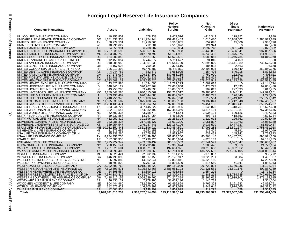|                                                                                   |                 |                                |                                | <b>Policy</b><br><b>Holders</b> | Net<br>Operating             | <b>Direct</b><br><b>Illinois</b> | <b>Nationwide</b>          |
|-----------------------------------------------------------------------------------|-----------------|--------------------------------|--------------------------------|---------------------------------|------------------------------|----------------------------------|----------------------------|
| <b>Company Name/State</b>                                                         |                 | <b>Assets</b>                  | <b>Liabilities</b>             | <b>Surplus</b>                  | Gain                         | Premiums                         | <b>Premiums</b>            |
| ULLICO LIFE INSURANCE COMPANY                                                     | ТX              | 10,155,809                     | 678,233                        | 9,477,576                       | $-116,342$                   | 179,352                          | 44,840                     |
| UNICARE LIFE & HEALTH INSURANCE COMPANY                                           | DE              | 1,381,438,353                  | 1,121,954,944                  | 259,483,409                     | 1,015,480                    | 36,888,602                       | 1,380,972,849              |
| UNIFIED LIFE INSURANCE COMPANY                                                    | тх              | 50,279,531                     | 41,710,666                     | 8,568,865                       | 657,076                      | 45,606                           | 9,988,790                  |
| UNIMERICA INSURANCE COMPANY                                                       | WI              | 10.231.627                     | 712,801                        | 9,518,826                       | 124,324                      | $\Omega$                         | 620,406                    |
| UNION BANKERS INSURANCE COMPANY                                                   | <b>TX</b>       | 94,353,991                     | 86.208.907                     | 8,145,084                       | 2.832.748                    | 2.001.248                        | 9,072,852                  |
| UNION CENTRAL LIFE INSURANCE COMPANY THE                                          | OH              | 5,797,836,598                  | 5,526,857,660                  | 270,978,938                     | $-7,445,836$                 | 28,456,041                       | 987,867,686                |
| UNION LABOR LIFE INSURANCE COMPANY THE<br>UNION SECURITY LIFE INSURANCE COMPANY   | <b>MD</b><br>DF | 3,063,702,753<br>184.200.840   | 3,012,570,792<br>132.521.259   | 51,131,961<br>51,679,581        | $-16,749,496$<br>4.080.065   | 19,875,575<br>10.046.784         | 411,986,821<br>81,810,070  |
| UNION STANDARD OF AMERICA LIFE INS CO                                             | <b>MD</b>       | 12,456,054                     | 6,744,377                      | 5,711,677                       | 91,840                       | 4,159                            | 66,938                     |
| UNITED AMERICAN INSURANCE COMPANY                                                 | DE              | 910,905,953                    | 734,361,233                    | 176,544,720                     | 77,895,029                   | 35,641,389                       | 732,678,238                |
| UNITED BENEFIT LIFE INSURANCE COMPANY                                             | OH              | 4,167,624                      | 790,009                        | 3,377,616                       | $-186,903$                   | $-2,463$                         | $-36,668$                  |
| UNITED CONCORDIA LIFE & HEALTH INS CO                                             | PA              | 126,019,393                    | 60,475,582                     | 65,543,811                      | 20,498,905                   | 670,549                          | 359,850,375                |
| UNITED DENTAL CARE INSURANCE COMPANY                                              | <b>AZ</b>       | 4.044.782                      | 382.877                        | 3.661.905                       | $-154,426$                   | 646.918                          | 1,878,553                  |
| UNITED FAMILY LIFE INSURANCE COMPANY                                              | GA              | 997,276,037                    | 109,587,802                    | 887,688,235                     | $-7,759,920$                 | 152,702                          | 4,403,811                  |
| UNITED FIDELITY LIFE INSURANCE COMPANY                                            | <b>TX</b>       | 623,786,730                    | 500,452,536                    | 123,334,194                     | 38.845.424                   | 521,817                          | 13,285,461                 |
| UNITED HEALTHCARE INSURANCE COMPANY<br>UNITED HEARTLAND LIFE INSURANCE COMPANY    | <b>CT</b><br>WI | 4,723,509,132<br>43,821,984    | 3,645,535,620<br>31,034,690    | 1,077,973,512<br>12,787,293     | 678,625,549                  | 353,193,625<br>0                 | 8,166,583,445              |
| UNITED HERITAGE LIFE INSURANCE COMPANY                                            | ID              | 348, 341, 122                  | 320,707,264                    | 27,633,858                      | 2,662,018<br>1,473,227       | 12,893                           | 49,141,724<br>62,801,488   |
| UNITED HOME LIFE INSURANCE COMPANY                                                | IN              | 49,753,265                     | 39,746,898                     | 10,006,367                      | 909,012                      | 227,633                          | 3,019,935                  |
| UNITED INVESTORS LIFE INSURANCE COMPANY                                           | <b>MO</b>       | 2,789,048,586                  | 2,630,815,069                  | 158,233,517                     | 26,988,055                   | 8,348,111                        | 147,993,26                 |
| UNITED LIFE & ANNUITY INSURANCE COMPANY                                           | IA              | 753,496,462                    | 670,644,085                    | 82,852,377                      | 12,485,272                   | 176,346                          | 1,227,955                  |
| UNITED LIFE INSURANCE COMPANY                                                     | IA              | 1,248,751,940                  | 1,151,108,142                  | 97,643,798                      | 7,219,564                    | 13,443,181                       | 256,721,042                |
| UNITED OF OMAHA LIFE INSURANCE COMPANY                                            | <b>NE</b>       | 11,875,538,507                 | 10,875,480,347                 | 1,000,058,160                   | 78,132,041                   | 85,212,840                       | 1,362,403,537              |
| UNITED STATES LIFE INSURANCE CO OF NY                                             | <b>NY</b>       | 3,250,131,471                  | 2.953.034.551                  | 297.096.920                     | 76.451.185                   | 28.349.411                       | 353.274.207                |
| UNITED TEACHER ASSOCIATES INSURANCE CO<br>UNITED WISCONSIN LIFE INSURANCE COMPANY | ТX<br>WI        | 353,044,727                    | 307,145,822                    | 45,898,905                      | 1,545,825                    | 3,318,757                        | 175,627,630                |
| UNITED WORLD LIFE INSURANCE COMPANY                                               | <b>NE</b>       | 322,319,547<br>62,500,337      | 164,832,192<br>43,758,773      | 157,487,356<br>18,741,564       | 13,316,191<br>2,936,101      | 73,191,087<br>590,126            | 757,356,675<br>3,407,133   |
| UNITY FINANCIAL LIFE INSURANCE COMPANY                                            | <b>PA</b>       | 19,230,857                     | 13,767,054                     | 5,463,806                       | –693.713                     | 418,853                          | 4,524,734                  |
| UNITY MUTUAL LIFE INSURANCE COMPANY                                               | NY              | 412,952,312                    | 391,696,914                    | 21,255,398                      | 1,120,013                    | 126,762                          | 30,508,449                 |
| UNIVERSAL GUARANTY LIFE INSURANCE CO                                              | OH              | 233,086,327                    | 217,056,127                    | 16,030,200                      | 2,051,837                    | 3,721,463                        | 16,086,240                 |
| UNIVERSAL UNDERWRITERS LIFE INSURANCE CO                                          | KS              | 369,254,547                    | 246,087,441                    | 123, 167, 106                   | 9,933,599                    | 3,477,737                        | 61,530,437                 |
| UNUM LIFE INSURANCE COMPANY OF AMERICA                                            | <b>ME</b>       | 0,982,351,443                  | 9,851,896,922                  | 1,130,454,521                   | $-47,996,283$                | 181,821,677                      | 2,758,461,918              |
| US HEALTH & LIFE INSURANCE COMPANY                                                | MI              | 11.276.656                     | 4,952,153                      | 6,324,504                       | 175.404                      | 45,191                           | 13.977.049                 |
| USA LIFE ONE INSURANCE COMPANY OF IN                                              | IN              | 35,938,260                     | 22,076,303                     | 13,861,957                      | 632.423                      | 145.141                          | 1,764,873                  |
| USAA LIFE INSURANCE COMPANY<br><b>USABLE LIFE</b>                                 | ТX<br><b>AR</b> | 8,774,352,750<br>117,586,956   | 8,172,499,490<br>62,736,325    | 601,853,260                     | 85,768,145<br>4,828,183      | 20,487,574<br>$\Omega$           | 890,971,350<br>62,131,785  |
| USG ANNUITY & LIFE COMPANY                                                        | OK              | 7,795,222,947                  | 7,409,036,437                  | 54,850,634<br>386,186,509       | 67,341,571                   | 84,097,547                       | 1,285,639,907              |
| UTICA NATIONAL LIFE INSURANCE COMPANY                                             | NY              | 250,158,144                    | 230,792,466                    | 19,365,674                      | 1,386,476                    | 9,310                            | 24,779,164                 |
| VALLEY FORGE LIFE INSURANCE COMPANY                                               | <b>PA</b>       | 1,251,026,601                  | 1,058,371,630                  | 192,654,971                     | 30,715,653                   | 48,032,352                       | 65,423,790                 |
| VARIABLE ANNUITY LIFE INSURANCE COMPANY                                           | <b>TX</b>       | 43.623.690.403                 | 41,962,938,565                 | 1,660,751,838                   | 436,727,692                  | 227,726,105                      | 5.031.896.814              |
| VISTA LIFE INSURANCE COMPANY                                                      | MI              | 36,026,424                     | 22,862,139                     | 13,164,285                      | $-976.887$                   | ∩                                | 958,272                    |
| VOYAGER LIFE INSURANCE COMPANY                                                    | GA              | 146,796,096                    | 118,617,150                    | 28,178,947                      | 10,228,281                   | 63,584                           | 71,496,037                 |
| WELLCHOICE INSURANCE OF NEW JERSEY INC                                            | NJ              | 26,897,882                     | 14,062,041                     | 12,835,841                      | $-14,320,160$                | ∩                                | 67,207,829                 |
| WELLMARK COMMUNITY INSURANCE INC                                                  | IA<br>CA        | 18,691,820                     | 6,797,230                      | 11,894,590                      | 1,516,669                    | 40.911                           | 1,086,043                  |
| WEST COAST LIFE INSURANCE COMPANY<br>WESTERN & SOUTHERN LIFE INSURANCE CO         | OH              | 2,022,499,768<br>7,692,593,571 | 1,918,348,829<br>5,105,642,468 | 104,150,939<br>2,586,951,103    | $-26,729,804$<br>201,121,581 | 31,740,036<br>21,501,175         | 311,102,934<br>402,887,759 |
| WESTERN HEMISPHERE LIFE INSURANCE CO                                              | DE              | 24,398,554                     | 13,899,916                     | 10,498,638                      | $-1,554,296$                 | $\Omega$                         | 11,774,784                 |
| WESTERN RESERVE LIFE ASSURANCE CO OF OH                                           | <b>OH</b>       | 7.674.380.812                  | 7.458.074.334                  | 216.306.478                     | $-12.883.295$                | 113.784.735                      | 1.742.616.766              |
| WESTERN SOUTHERN LIFE ASSURANCE COMPANY                                           | OН              | 7,438,910,159                  | 7,064,639,760                  | 374,270,399                     | 28,265,012                   | 80.919.102                       | 1,478,194,615              |
| <b>WESTWARD LIFE INSURANCE COMPANY</b>                                            | ΑZ              | 46,430,132                     | 7,978,996                      | 38,451,136                      | 1,140,733                    | ∩                                | 1,361,504                  |
| WOODMEN ACCIDENT & LIFE COMPANY                                                   | <b>NE</b>       | 804,444,960                    | 712,949,060                    | 91,495,899                      | 9,769,323                    | 2,191,583                        | 49,892,751                 |
| <b>WORLD INSURANCE COMPANY</b>                                                    | <b>NE</b>       | 212,576,422                    | 146,705,397                    | 65,871,025                      | 8,442,645                    | 4,974,065                        | 193,319,472                |
| ZALE LIFE INSURANCE COMPANY                                                       | <b>AZ</b>       | 12.000.908                     | 3.198.209                      | 8.802.699                       | 119.297                      | 658                              | 1,569,135                  |
| Totals                                                                            |                 | 3,098,881,610,259              | 2,903,762,614,094              | 195,118,996,124                 | 18,433,963,927               | 21,373,557,600                   | 431,253,474,569            |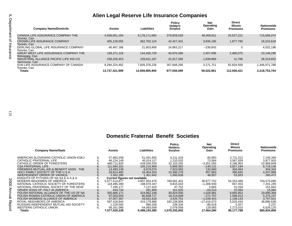| <b>Company Name/Domicile</b>                                 | <b>Assets</b>  | <b>Liabilities</b> | <b>Policy</b><br><b>Holders</b><br><b>Surplus</b> | <b>Net</b><br>Operating<br>Gain | <b>Direct</b><br><b>Illinois</b><br><b>Premiums</b> | <b>Nationwide</b><br><b>Premiums</b> |
|--------------------------------------------------------------|----------------|--------------------|---------------------------------------------------|---------------------------------|-----------------------------------------------------|--------------------------------------|
| CANADA LIFE ASSURANCE COMPANY THE<br>Toronto. Can            | 4,558,001,194  | 4.178.171.665      | 379,829,529                                       | 48.408.911                      | 25.527.221                                          | 715,056,974                          |
| CROWN LIFE INSURANCE COMPANY<br>Toronto. Can                 | 405,129,555    | 362,702,124        | 42,427,431                                        | 3,935,195                       | 1,877,790                                           | 16,224,618                           |
| <b>GERLING GLOBAL LIFE INSURANCE COMPANY</b><br>Toronto. Can | 46.467.186     | 21,603,969         | 24.863.217                                        | $-239,843$                      |                                                     | 4,032,196                            |
| GREAT WEST LIFE ASSURANCE COMPANY THE<br>Winnepeg, Can       | 185.371.119    | 144,400,729        | 40,970,390                                        | 2,407,008                       | 2,485,075                                           | 10,148,296                           |
| INDUSTRIAL ALLIANCE PACIFIC LIFE INS CO<br>Vancouver. Can    | 258,228,453    | 226.611.187        | 31.617.266                                        | 1,839,869                       | 11.766                                              | 26,319,832                           |
| SUN LIFE ASSURANCE COMPANY OF CANADA<br>Toronto, Can         | 8,284,224,492  | 7,926,376,226      | 357.848.266                                       | 3.171.721                       | 82.604.569                                          | 1,446,971,788                        |
| Totals                                                       | 13,737,421,999 | 12.859.865.900     | 877.556.099                                       | 59,522,861                      | 112,506,421                                         | 2,218,753,704                        |

#### **Domestic Fraternal Benefit Societies**

| <b>Company Name/State</b>                                                                                                                                 |              | Assets                                                                      | Liabilities                                        | <b>Policy</b><br><b>Holders</b><br><b>Surplus</b> | <b>Net</b><br>Operating<br>Gain                      | <b>Direct</b><br><b>Illinois</b><br>Premiums  | <b>Nationwide</b><br><b>Premiums</b>           |
|-----------------------------------------------------------------------------------------------------------------------------------------------------------|--------------|-----------------------------------------------------------------------------|----------------------------------------------------|---------------------------------------------------|------------------------------------------------------|-----------------------------------------------|------------------------------------------------|
| AMERICAN SLOVENIAN CATHOLIC UNION KSKJ                                                                                                                    | IL.          | 57.663.258                                                                  | 51,451,942                                         | 6.211.316                                         | 84,850                                               | 2,711,312                                     | 7,145,346                                      |
| CATHOLIC FRATERNAL LIFE                                                                                                                                   |              | 46.224.149                                                                  | 45,014,117                                         | 1,210,032                                         | 73,564                                               | 3,567,828                                     | 3,877,920                                      |
| CATHOLIC ORDER OF FORESTERS                                                                                                                               |              | 460.711.820                                                                 | 428,556,528                                        | 32,155,292                                        | $-3,351,055$                                         | 4,186,953                                     | 52,999,849                                     |
| CSA FRATERNAL LIFE                                                                                                                                        | ℡            | 111.084.331                                                                 | 105,215,969                                        | 5,868,362                                         | $-140.131$                                           | 3.827.194                                     | 6,718,130                                      |
| FIREMENS MUTUAL AID & BENEFIT ASSN THE                                                                                                                    |              | 14.493.136                                                                  | 6.670.074                                          | 7.823.062                                         | 132.660                                              | 304.064                                       | 304,342                                        |
| HOLY FAMILY SOCIETY OF THE U S A                                                                                                                          |              | 26.814.482                                                                  | 16.454.203                                         | 10,360,278                                        | 657,663                                              | 395,645                                       | 4,247,896                                      |
| INDEPENDENT ORDER OF VIKINGS                                                                                                                              |              | 2.302.280                                                                   | 1.301.642                                          | 1,000,638                                         | 48,957                                               | 53,933                                        | 160,472                                        |
| KNIGHTS OF PYTHIAS OF NA SA E A A & A<br>MODERN WOODMEN OF AMERICA<br>NATIONAL CATHOLIC SOCIETY OF FORESTERS<br>NATIONAL FRATERNAL SOCIETY OF THE DEAF    | IL           | Current figures not available.<br>5,577,514,877<br>118.485.390<br>7.185.177 | 4,807,853,476<br>108.670.347<br>7.137.425          | 769,661,401<br>9.815.042<br>47.752                | 38,977,752<br>$-1,306,940$<br>5,665                  | 54,253,489<br>657.453<br>31.034               | 704,575,685<br>7.201.245<br>151,842            |
| ORDER SONS OF ITALY IN AMERICA<br>POLISH NATIONAL ALLIANCE OF THE US OF NA<br>POLISH ROMAN CATHOLIC UNION OF AMERICA<br>POLISH WOMENS ALLIANCE OF AMERICA | ᄔ<br>℡<br>IL | 443.734<br>355,686,171<br>97.053.554<br>47.057.367                          | 281.909<br>324,862,166<br>80,838,717<br>43.631.616 | 161.825<br>30,824,005<br>16,214,838<br>3.425.751  | $-63.510$<br>1,028,981<br>$-271.707$<br>$-1.039.443$ | 15.084<br>9,665,852<br>1,596,013<br>1.108.143 | 15,084<br>20,890,369<br>5,375,137<br>3.757.541 |
| ROYAL NEIGHBORS OF AMERICA                                                                                                                                | ℡            | 597.418.844                                                                 | 415,179,988                                        | 182,238,856                                       | –17.416.073                                          | 5,525,434                                     | 36,880,636                                     |
| RUSSIAN INDEPENDENT MUTUAL AID SOCIETY                                                                                                                    |              | 1.229.592                                                                   | 990.258                                            | 239.334                                           | $-86.018$                                            | 5,327                                         | 5,237                                          |
| WESTERN CATHOLIC UNION                                                                                                                                    |              | 56.161.066                                                                  | 54.083.008                                         | 2.078.058                                         | 129.065                                              | 2.273.010                                     | 6,528,125                                      |
| Totals                                                                                                                                                    |              | 7,577,529,228                                                               | 6,498,193,385                                      | 1,079,335,842                                     | 17,464,280                                           | 90,177,768                                    | 860,834,856                                    |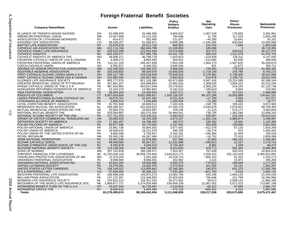## **Foreign Fraternal Benefit Societies**

| <b>Company Name/State</b>                                                          |                 | <b>Assets</b>              | <b>Liabilities</b>         | Policy<br><b>Holders</b><br><b>Surplus</b> | Net<br>Operating<br>Gain | Direct<br><b>Illinois</b><br>Premiums | <b>Nationwide</b><br><b>Premiums</b> |
|------------------------------------------------------------------------------------|-----------------|----------------------------|----------------------------|--------------------------------------------|--------------------------|---------------------------------------|--------------------------------------|
| ALLIANCE OF TRANSYLVANIAN SAXONS                                                   | OН              | 54,099,403                 | 50,496,356                 | 3,603,047                                  | 1,007,418                | 175,650                               | 3,281,961                            |
| AMERICAN FRATERNAL UNION                                                           | MN              | 22.007.848                 | 21,213,150                 | 794.698                                    | 11,736                   | 117,519                               | 1.843.235                            |
| ASSOCIATION OF LITHUANIAN WORKERS                                                  | ΝY              | 814.472                    | 592.495                    | 221.977                                    | -44.280                  | 10.641                                | 35,181                               |
| ASSURED LIFE ASSOCIATION                                                           | CO              | 58.438.257                 | 51.568.971                 | 6.869.286                                  | $-1,185,286$             | 630.564                               | 10.094.088                           |
| <b>BAPTIST LIFE ASSOCIATION</b>                                                    | <b>NY</b>       | 20.878.619                 | 20,012,716                 | 865,903                                    | 154,792                  | 7,090                                 | 1,903,538                            |
| CATHOLIC AID ASSOCIATION THE<br>CATHOLIC FAMILY LIFE INSURANCE                     | <b>MN</b>       | 413.713.749                | 392.684.799                | 21.028.950                                 | 545.858                  | $\Omega$                              | 36,719,955                           |
| <b>CATHOLIC KNIGHTS</b>                                                            | WI<br>WI        | 233,519,299<br>602,328,477 | 222,943,430<br>557,896,738 | 10,575,869<br>44,431,739                   | 301,473<br>468,265       | 528,015<br>1,511,079                  | 26,227,270<br>51,432,704             |
| CATHOLIC KNIGHTS OF AMERICA THE                                                    | <b>MO</b>       | 48,699,371                 | 46,788,718                 | 1,910,653                                  | $-224,938$               | 128,311                               | 4,147,092                            |
| CROATIAN CATHOLIC UNION OF USA & CANADA                                            | IN              | 9,308,272                  | 8,804,350                  | 503,922                                    | $-213,064$               | 82,930                                | 488,036                              |
| CROATIAN FRATERNAL UNION OF AMERICA                                                | PA              | 214,111,105                | 206,457,939                | 7,653,166                                  | 1,904,173                | 2,947,625                             | 35,039,670                           |
| <b>CZECH CATHOLIC UNION</b>                                                        | OH              | 9,391,871                  | 6,346,325                  | 3.045.546                                  | 831                      | 11,672                                | 350,711                              |
| DEGREE OF HONOR PROTECTIVE ASSOCIATION                                             | <b>MN</b>       | 153,349,052                | 149,380,472                | 3,968,580                                  | $-729,091$               | 779,516                               | 41,094,49                            |
| <b>EQUITABLE RESERVE ASSOCIATION</b>                                               | WI              | 103,429,602                | 88,429,576                 | 15,000,026                                 | $-1,719,149$             | 239,780                               | 8,763,172                            |
| FIRST CATHOLIC SLOVAK LADIES ASSN U S A                                            | OH              | 329, 127, 765              | 253,518,449                | 75,609,324                                 | 5,278,381                | 2,736,926                             | 30,911,080                           |
| FIRST CATHOLIC SLOVAK UNION USA & CANADA                                           | OH              | 151,850,291                | 145,907,481                | 5,942,810                                  | 514,979                  | 1,209,711                             | 18,812,246                           |
| GLEANER LIFE INSURANCE SOCIETY                                                     | MI<br>PA        | 903,777,075                | 821,105,385                | 82,671,690                                 | 6,587,418                | 23,224,569                            | 92,268,164                           |
| <b>GREATER BENEFICIAL UNION OF PITTSBURGH</b><br>GREEK CATHOLIC UNION OF THE U S A | PA              | 267,881,207<br>487,916,864 | 254,899,654<br>463,637,049 | 12,981,553<br>24,279,815                   | 1,008,635<br>2,368,225   | 3,809,222<br>519,164                  | 62,319,244<br>62,120,736             |
| HUNGARIAN REFORMED FEDERATION OF AMERICA                                           | DC              | 23,164,370                 | 14,982,842                 | 8,181,510                                  | $-195,819$               | 6.664                                 | 518,992                              |
| <b>ISDA FRATERNAL ASSOCIATION</b>                                                  | PA              | 28.458.203                 | 24.450.932                 | 4,007,271                                  | 92,721                   | 157,031                               | 2,968,899                            |
| <b>KNIGHTS OF COLUMBUS</b>                                                         | <b>CT</b>       | 9,957,824,804              | 8,631,586,617              | 1,326,238,187                              | 86,107,286               | 18,933,888                            | 734,647,15                           |
| LADIES PENNSYLVANIA SLOVAK CATHOLIC UN                                             | PA              | 16,678,761                 | 10,447,442                 | 6,231,319                                  | $-17,760$                | 4,059                                 | 227,071                              |
| LITHUANIAN ALLIANCE OF AMERICA                                                     | PA              | 2,800,523                  | 1,535,889                  | 1,264,634                                  | $-73,280$                | 4,662                                 | 19,777                               |
| LOYAL CHRISTIAN BENEFIT ASSOCIATION                                                | PA              | 91,791,948                 | 84,609,512                 | 7,182,436                                  | $-158,739$               | 195,432                               | 9,972,982                            |
| MENNONITE MUTUAL AID ASSOCIATION                                                   | IN              | 259,266,327                | 201,820,623                | 57,445,703                                 | 5,044,678                | 2,676,601                             | 69,759,405                           |
| MUTUAL BENEFICIAL ASSOCIATION INC THE                                              | DE              | 25,563,233                 | 24,853,997                 | 709,236                                    | 21,223                   | 519,177                               | 3,563,854                            |
| NATIONAL MUTUAL BENEFIT THE<br>NATIONAL SLOVAK SOCIETY OF THE USA                  | WI<br>PA        | 203,569,897<br>117,712,253 | 182,575,356<br>113,230,211 | 20,994,541<br>4,482,042                    | 736,705<br>626,967       | 1,382,280<br>216,155                  | 22,606,242<br>33,613,012             |
| ORDER OF UNITED COMMERCIAL TRAVELERS AM                                            | OH              | 20,083,525                 | 16,410,338                 | 3,673,187                                  | $-1,382,156$             | 5,668,874                             | 3,498,987                            |
| ORTHODOX SOCIETY OF AMERICA                                                        | OH              | 17,281,497                 | 16,799,425                 | 482,072                                    | 180,392                  | 19,051                                | 1,102,360                            |
| POLISH FALCONS OF AMERICA                                                          | PA              | 36,877,596                 | 34,770,004                 | 2,107,592                                  | 263,595                  | 139,980                               | 3,951,828                            |
| POLISH NATIONAL UNION OF AMERICA                                                   | PA              | 23,981,736                 | 20,904,292                 | 3,077,442                                  | $-411,578$               | 67,120                                | 1,503,260                            |
| POLISH UNION OF AMERICA                                                            | NY              | 18,508,433                 | 18,221,678                 | 286,755                                    | $-26,279$                | 675                                   | 1,083,442                            |
| POLISH UNION OF THE UNITED STATES OF NA                                            | <b>PA</b>       | 8,865,948                  | 5,703,657                  | 3,162,291                                  | $-194,364$               | 31,929                                | 230,029                              |
| ROYAL ARCANUM                                                                      | MA              | 55,500,156                 | 44,267,484                 | 11,232,672                                 | $-16,752$                | 72,419                                | 2,828,066                            |
| SERB NATIONAL FEDERATION                                                           | PA              | 23,487,246                 | 22,979,865                 | 507,380                                    | 42,684                   | 394,163                               | 1,246,383                            |
| <b>SLOVAK CATHOLIC SOKOL</b>                                                       | <b>NJ</b>       | 49,469,005                 | 36,937,917                 | 12,531,088                                 | $-335,813$               | 22,337                                | 1,170,714                            |
| SLOVAK GYMNASTIC UNION SOKOL OF THE USA                                            | <b>NJ</b><br>PA | 9,283,678<br>113,148,258   | 4,549,415                  | 4,734,263<br>8,401,655                     | 8,981                    | 2,206<br>581,464                      | 84,473                               |
| SLOVENE NATIONAL BENEFIT SOCIETY<br><b>SONS OF NORWAY</b>                          | <b>MN</b>       | 187,742,828                | 104,746,603<br>180,189,471 | 7,553,357                                  | 478,773<br>767,439       | 930,919                               | 8,908,390<br>24,854,014              |
| THRIVENT FINANCIAL FOR LUTHERANS                                                   | WI              | 41,203,540,118             | 38,559,726,944             | 2,643,813,175                              | 1,205,423                | 202,102,428                           | 3,365,553,891                        |
| TRAVELERS PROTECTIVE ASSOCIATION OF AM                                             | МO              | 12,370,240                 | 2,051,530                  | 10,318,710                                 | $-950, 152$              | 61,352                                | 1,203,173                            |
| UKRAINIAN FRATERNAL ASSOCIATION                                                    | <b>PA</b>       | 9,098,984                  | 8,666,001                  | 432,982                                    | 3,115                    | 15,971                                | 305,260                              |
| UKRAINIAN NATIONAL ASSOCIATION INC                                                 | <b>NJ</b>       | 63,842,260                 | 58,006,886                 | 5,835,375                                  | $-776,622$               | 108,089                               | 3,177,220                            |
| UNITED LUTHERAN SOCIETY                                                            | <b>PA</b>       | 16,376,391                 | 14,002,475                 | 2,373,916                                  | 201,525                  | 52,151                                | 1,592,257                            |
| UNITED STATES LETTER CARRIERS                                                      | <b>TN</b>       | 136.146.022                | 113.959.662                | 22,186,360                                 | 240,975                  | 831.275                               | 17.093.760                           |
| W S A FRATERNAL LIFE                                                               | CO              | 37,628,484                 | 30,388,122                 | 7,240,363                                  | $-821.763$               | 5.534                                 | 3,284,733                            |
| WESTERN FRATERNAL LIFE ASSOCIATION                                                 | IA              | 169,938,039                | 156,875,273                | 13.062.766                                 | 543,248                  | 1.064.133                             | 21.004.033                           |
| WILLIAM PENN ASSOCIATION<br>WOMANS LIFE INSURANCE SOCIETY                          | PA<br>MI        | 147,272,307<br>154.823.122 | 123,346,692<br>126.351.220 | 23,925,616<br>28,471,902                   | 706,648<br>58,513        | 121,799<br>2,839,141                  | 16,250,060<br>11,960,185             |
| WOODMEN OF THE WORLD LIFE INSURANCE SOC                                            | <b>NE</b>       | 5,909,877,727              | 5,374,918,489              | 534,959,238                                | 31,067,501               | 5,671,023                             | 713,887,158                          |
| WORKMENS BENEFIT FUND OF THE U S A                                                 | <b>NY</b>       | 33,037,540                 | 30,726,597                 | 2.310.943                                  | –56,312                  | 97.695                                | 2,081,747                            |
| <b>WORKMENS CIRCLE THE</b>                                                         | <b>NY</b>       | 8.836.616                  | 8.364.490                  | 472,126                                    | –800.341                 | 8.324                                 | 1.867.085                            |
| Totals                                                                             |                 | 63,278,490,674             | 58,166,642,004             | 5,111,848,659                              | 138,217,038              | 283,675,985                           | 5,575,472,467                        |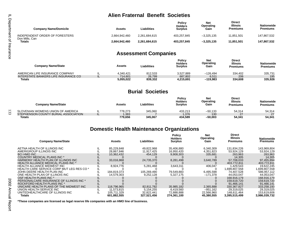#### **Alien Fraternal Benefit Societies**

| <b>Company Name/Domicile</b>    | Assets        | Liabilities   | <b>Policy</b><br><b>Holders</b><br><b>Surplus</b> | <b>Net</b><br>Operating<br>Gain | <b>Direct</b><br><b>Illinois</b><br>Premiums | <b>Nationwide</b><br>Premiums |
|---------------------------------|---------------|---------------|---------------------------------------------------|---------------------------------|----------------------------------------------|-------------------------------|
| INDEPENDENT ORDER OF FORESTERS  | 2,664,942,460 | 2.261.684.615 | 403.257.845                                       | $-3.325.135$                    | 11.851.501                                   | 147.867.532                   |
| Don Mills, Can<br><b>Totals</b> | 2,664,942,460 | 2.261.684.615 | 403.257.845                                       | $-3.325.135$                    | 11,851,501                                   | 147.867.532                   |

#### **Assessment Companies**

| <b>Company Name/State</b>            | Assets    | Liabilities | <b>Policy</b><br><b>Holders</b><br>Surplus | Net<br>Operating<br>Gain | <b>Direct</b><br><b>Illinois</b><br>Premiums | Nationwide<br>Premiums |
|--------------------------------------|-----------|-------------|--------------------------------------------|--------------------------|----------------------------------------------|------------------------|
| AMERICAN LIFE INSURANCE COMPANY      | 4.340.421 | 812.533     | 3.527.889                                  | $-126.494$               | 334.402                                      | 335.731                |
| INTERSTATE BANKERS LIFE INSURANCE CO | 714.601   | 26.799      | 687.802                                    | 6.511                    | 206                                          | 195                    |
| Totals                               | 5.055.022 | 839.332     | 4.215.691                                  | $-119.983$               | 334.608                                      | 335.926                |

#### **Burial Societies**

**Direct**

|                                      | <b>Company Name/State</b>            | Assets  | <b>Liabilities</b> | <b>Policy</b><br><b>Holders</b><br><b>Surplus</b> | <b>Net</b><br>Operating<br>Gain | <b>Direct</b><br><b>Illinois</b><br>Premiums | <b>Nationwide</b><br>Premiums |
|--------------------------------------|--------------------------------------|---------|--------------------|---------------------------------------------------|---------------------------------|----------------------------------------------|-------------------------------|
| $\overline{\phantom{0}}$<br>$\omega$ | SLOVENIAN WOMENS UNION OF AMERICA    | 778.273 | 345.060            | 433.213                                           | $-50, 133$                      | 54,314                                       | 54,314                        |
| $\bm{\omega}$                        | STEPHENSON COUNTY BURIAL ASSOCIATION | 1.383   |                    | 1.376                                             | 130                             |                                              | 27                            |
|                                      | Totals                               | 779.656 | 345.067            | 434.589                                           | $-50.003$                       | 54,341                                       | 54.341                        |

#### **Domestic Health Maintenance Organizations**

| <b>Company Name/State</b>                               |     | Assets      | <b>Liabilities</b>    | <b>Policy</b><br><b>Holders</b><br><b>Surplus</b> | <b>Net</b><br>Operating<br>Gain | <b>Direct</b><br>Illinois<br>Premiums | <b>Nationwide</b><br>Premiums |
|---------------------------------------------------------|-----|-------------|-----------------------|---------------------------------------------------|---------------------------------|---------------------------------------|-------------------------------|
| AETNA HEALTH OF ILLINOIS INC<br>AMERIGROUP ILLINOIS INC |     | 85,229,848  | 49,822,968            | 35,406,880                                        | 6,340,309                       | 131,834,226                           | 143,969,804                   |
| BCI HMO INC                                             |     | 28,867,846  | 11,917,425<br>454.129 | 16,950,420                                        | 4,351,823                       | 53,924,129                            | 53,924,129                    |
| COUNTRY MEDICAL PLANS INC <sup>*</sup>                  |     | 10,362,432  |                       | 9,908,303                                         | 335,681                         | 263,963<br>14,305                     | 263,963<br>14,305             |
| HARMONY HEALTH PLAN OF ILLINOIS INC                     |     | 33,016,868  | 24,735,370            | 8,281,498                                         | 3,640,789                       | 57,708,033                            | 97,455,894                    |
| <b>HEALTH ALLIANCE MEDICAL PLANS INC *</b>              |     |             |                       |                                                   |                                 | 403.772.811                           | 403,772,811                   |
| <b>HEALTH ALLIANCE MIDWEST INC</b>                      |     | 8.924.776   | 5.281.468             | 3.643.311                                         | 406.047                         | 1.429.543                             | 19.622.245                    |
| HEALTH CARE SERVICE CORP MUT LEG RES CO *               |     |             |                       |                                                   |                                 | 699,807,558. ا                        | 699,807,558                   |
| JOHN DEERE HEALTH PLAN INC                              |     | 184.819.373 | 105,269,490           | 79,549,883                                        | 6.495.598                       | 74,407,528                            | 586,957,112                   |
| ONE HEALTH PLAN OF ILLINOIS INC                         |     | 14.579.303  | 9.252.128             | 5.327.175                                         | $-171.378$                      | 44.053.047                            | 44.053.047                    |
| OSF HEALTH PLANS INC *                                  |     |             |                       |                                                   |                                 | 168.916.179                           | 168,916,179                   |
| PERSONALCARE INSURANCE OF ILLINOIS INC *                |     |             |                       |                                                   |                                 | 159.619.720                           | 159.619.720                   |
| ROCKFORD HEALTH PLANS INC *                             |     |             |                       |                                                   |                                 | 91,466,141                            | 91,466,141                    |
| UNICARE HEALTH PLANS OF THE MIDWEST INC                 |     | 118,796,965 | 82.811.782            | 35.985.182                                        | 2.365.888                       | 330.367.827                           | 333.258.193                   |
| UNION HEALTH SERVICE INC                                |     | 11.573.815  | 5.154.255             | 6.419.560                                         | $-951.162$                      | 29.319.025                            | 29,319,025                    |
| UNITEDHEALTHCARE OF ILLINOIS INC                        | IL. | 105.711.329 | 32.822.441            | 72.888.888                                        | 22.566.960                      | 148.611.464                           | 153.619.606                   |
| Totals                                                  |     | 601,882,555 | 327,521,456           | 274,361,100                                       | 45,380,555                      | 3,395,515,499                         | 3,986,039,732                 |

**\*These companies are licensed as legal reserve life companies with an HMO line of business.**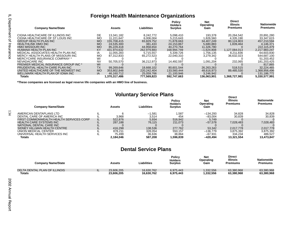#### **Foreign Health Maintenance Organizations**

| <b>Company Name/State</b>                                                 |                        | <b>Assets</b>             | <b>Liabilities</b>        | <b>Policy</b><br><b>Holders</b><br><b>Surplus</b> | <b>Net</b><br>Operating<br>Gain | <b>Direct</b><br><b>Illinois</b><br>Premiums | <b>Nationwide</b><br><b>Premiums</b> |
|---------------------------------------------------------------------------|------------------------|---------------------------|---------------------------|---------------------------------------------------|---------------------------------|----------------------------------------------|--------------------------------------|
| CIGNA HEALTHCARE OF ILLINOIS INC<br>CIGNA HEALTHCARE OF ST LOUIS INC      | DE<br>MC               | 13.341.182<br>11.221.647  | 8.242.772<br>6.006.004    | 5.098.410<br>5.215.643                            | 193,378<br>.826.560             | 20.264.542<br>4.335.190                      | 20,891,280<br>33.347.615             |
| <b>GROUP HEALTH PLAN INC</b>                                              | <b>MO</b>              | 155,708,415               | 83,829,752                | 71,878,663                                        | 34,407,249                      | 80,124,803                                   | 457,210,594                          |
| <b>HEALTHLINK HMO INC</b><br>HMO MISSOURI INC                             | <b>MO</b><br><b>MO</b> | 24.535.300<br>85.229.418  | 381.433<br>44.958.654     | 24.153.867<br>40.270.764                          | 5,680,883<br>11.326.780         | 1.839.464                                    | 4.146.371<br>222.115.479             |
| HUMANA HEALTH PLAN INC                                                    | KY                     | 431.974.632               | 262.979.883               | 168.994.749                                       | $-1.624.808$                    | 1.127.084.013                                | 2.217.983.247                        |
| MEDICAL ASSOCIATES HEALTH PLAN INC                                        | IA                     | 11.055.283                | 5.715.557                 | 5,339,726                                         | 1,756,135                       | 8,211,836                                    | 64,603,830                           |
| MERCY HEALTH PLANS OF MISSOURI INC<br>MERCYCARE INSURANCE COMPANY *       | МC<br>WI               | 87.312.833                | 65.272.523                | 22.040.310                                        | 3.279.342                       | 36.632.023                                   | 544,687,100<br>51,203,452            |
| NEVADACARE INC                                                            | <b>NV</b>              | 50.705.570                | 36.212.973                | 14,492,597                                        | 1,091,204                       | 232,065                                      | 181,203,425                          |
| PREMIER MEDICAL INSURANCE GROUP INC *                                     | WI                     |                           |                           |                                                   |                                 |                                              | 817.865                              |
| PRUDENTIAL HEALTH CARE PLAN INC                                           | <b>TX</b>              | 99.269.646                | 18.668.102                | 80.601.544                                        | 26,263,263                      | 518,515                                      | 32,224,465                           |
| UNITED HEALTHCARE OF THE MIDWEST INC.<br>WELLMARK HEALTH PLAN OF IOWA INC | <b>MO</b><br>ΙA        | 353.802.848<br>46.160.712 | 220.242.404<br>25.059.766 | 133,560,444<br>21.100.946                         | 48,616,973<br>3.246.942         | 89,485,530                                   | 1,368,956,496<br>131.186.772         |
| Totals                                                                    |                        | 1,370,317,486             | 777,569,823               | 592.747.663                                       | 136,063,901                     | 1,368,727,981                                | 5.330.577.991                        |

**\*These companies are licensed as legal reserve life companies with an HMO line of business.**

#### **Voluntary Service Plans**

**Direct**

|     | Company Name/State                      | <b>Assets</b> | <b>Liabilities</b> | Policy<br><b>Holders</b><br>Surplus | <b>Net</b><br>Operating<br>Gain | <b>Illinois</b><br><b>Premiums</b> | <b>Nationwide</b><br><b>Premiums</b> |
|-----|-----------------------------------------|---------------|--------------------|-------------------------------------|---------------------------------|------------------------------------|--------------------------------------|
| 134 | AMERICAN DENTAPLANS LTD                 |               | $-1.581$           | .587                                | $-134.293$                      | 34.828                             | 34,828                               |
|     | DENTAL CARE OF AMERICA INC              | 3,968         | 3.514              | 454                                 | $-83.004$                       | 30.839                             | 30,839                               |
|     | FIRST COMMONWEALTH HEALTH SERVICES CORP | 522.876       | 5,934              | 516.942                             | 5.749                           |                                    |                                      |
|     | <b>HEALTH CARE SYSTEMS INC</b>          | 287.188       | 76,115             | 211.073                             | $-57.578$                       | 7,028,483                          | 7,028,483                            |
|     | NATIONAL DENTAL CARE INC.               |               |                    |                                     |                                 |                                    |                                      |
|     | SIDNEY HILLMAN HEALTH CENTRE            | 416.298       | 138.536            | 277.762                             | 53.342                          | 2.017.778                          | 2.017.778                            |
|     | UNION MEDICAL CENTER                    | 878.211       | 328.054            | 550.157                             | $-136.779$                      | 3.875.392                          | 3,875,392                            |
|     | UNIVERSAL HEALTH SERVICES INC           | 75.499        | 36.636             | 38.864                              | $-67.931$                       | 334.234                            | 486.527                              |
|     | Totals                                  | 2.184.046     | 587.208            | 1.596.839                           | -420.494                        | 13.321.554                         | 13.473.847                           |

#### **Dental Service Plans**

| <b>Company Name/State</b>     |   | Assets     | <b>Liabilities</b> | <b>Policy</b><br>Holders<br><b>Surplus</b> | <b>Net</b><br>Operating<br>Gain | <b>Direct</b><br><b>Illinois</b><br>Premiums | <b>Nationwide</b><br>Premiums |
|-------------------------------|---|------------|--------------------|--------------------------------------------|---------------------------------|----------------------------------------------|-------------------------------|
| DELTA DENTAL PLAN OF ILLINOIS | · | 23.606.205 | 16.630.762         | 6.975.443                                  | .332.556                        | 63.380.968                                   | 63.380.968                    |
| <b>Totals</b>                 |   | 23,606,205 | 16,630,762         | 6,975,443                                  | .332.556                        | 63.380.968                                   | 63,380,968                    |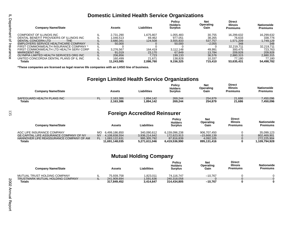#### **Domestic Limited Health Service Organizations**

| Company Name/State                        |    | Assets     | Liabilities | <b>Policy</b><br><b>Holders</b><br><b>Surplus</b> | <b>Net</b><br>Operating<br>Gain | <b>Direct</b><br><b>Illinois</b><br><b>Premiums</b> | <b>Nationwide</b><br><b>Premiums</b> |
|-------------------------------------------|----|------------|-------------|---------------------------------------------------|---------------------------------|-----------------------------------------------------|--------------------------------------|
| COMPDENT OF ILLINOIS INC                  |    | 2.731.290  | .675.807    | 1.055.483                                         | 30.755                          | 16.299.632                                          | 16,299,632                           |
| DENTAL BENEFIT PROVIDERS OF ILLINOIS INC. |    | 1.046.513  | 69.462      | 977.051                                           | 38,265                          | 76.633                                              | 338.776                              |
| DENTAL CONCERN LTD<br>THF                 |    | 3.680.341  | 124.508     | 3,555,833                                         | 537.757                         | 1.571.209                                           | ,749,129                             |
| EMPLOYERS SERVICE HEALTHCARE COMPANY      |    | 50,000     |             | 50,000                                            | $-2,055$                        | 348                                                 | 348                                  |
| FIRST COMMONWEALTH INSURANCE COMPANY *    |    |            |             |                                                   |                                 | 32.219.711                                          | 32.219.711                           |
| FIRST COMMONWEALTH LTD HEALTH SERV CORP   |    | 3.276.567  | 164.419     | 3.112.148                                         | 49.991                          | 300.475                                             | 723.763                              |
| MARKDENT INC                              |    | 91.019     | 23.170      | 67.849                                            | 13.784                          | 209.928                                             | 209,928                              |
| OLYMPIA LIMITED HEALTH SERVICES ORG INC   |    | 206.856    | 7.723       | 199.133                                           | 36.576                          | 2.880.315                                           | 2,880,315                            |
| UNITED CONCORDIA DENTAL PLANS OF IL INC   | IL | 160.499    | 21.671      | 138.828                                           | 10.337                          | 77.180                                              | 77.180                               |
| <b>Totals</b>                             |    | 11.243.085 | 2.086.760   | 9.156.325                                         | 715.410                         | 53.635.431                                          | 54.498.782                           |

**\*These companies are licensed as legal reserve life companies with an LHSO line of business.**

#### **Foreign Limited Health Service Organizations**

| <b>Company Name/State</b>  | Assets    | Liabilities | <b>Policy</b><br><b>Holders</b><br>Surplus | <b>Net</b><br>Operating<br>Gain | <b>Direct</b><br><b>Illinois</b><br>Premiums | <b>Nationwide</b><br><b>Premiums</b> |
|----------------------------|-----------|-------------|--------------------------------------------|---------------------------------|----------------------------------------------|--------------------------------------|
| SAFEGUARD HEALTH PLANS INC | 2.163.386 | 1.894.142   | 269.244                                    | 254.879                         | 21.686                                       | 7,450,096                            |
| <b>Totals</b>              | 2,163,386 | 894,142.ا   | 269,244                                    | 254.879                         | 21,686                                       | 450,096,                             |

#### **Foreign Accredited Reinsurer**

| <b>Company Name/State</b>               | Assets                     | Liabilities   | <b>Policy</b><br><b>Holders</b><br>Surplus | <b>Net</b><br>Operating<br>Gain | <b>Direct</b><br><b>Illinois</b><br>Premiums | <b>Nationwide</b><br>Premiums |
|-----------------------------------------|----------------------------|---------------|--------------------------------------------|---------------------------------|----------------------------------------------|-------------------------------|
| AGC LIFE INSURANCE COMPANY              | 6.499.186.850<br>MO        | 340.090.612   | 6.159.096.238                              | 906.707.450                     |                                              | 35.099.123                    |
| GE CAPITAL LIFE ASSURANCE COMPANY OF NY | <b>NY</b><br>4.108.838.554 | 3.936.214.642 | 172.623.913                                | $-15.668.139$                   |                                              | 802.469.901                   |
| HANNOVER LIFE REASSURANCE COMPANY OF AM | <b>FL</b><br>1.083.122.631 | 995.305.792   | 87.816.839                                 | 4.092.105                       |                                              | 272.225.904                   |
| <b>Totals</b>                           | 11.691.148.035             | 5.271.611.046 | 6.419.536.990                              | 895.131.416                     |                                              | 1.109.794.928                 |

#### **Mutual Holding Company**

| <b>Company Name/State</b>        | Assets      | Liabilities | <b>Policy</b><br><b>Holders</b><br><b>Surplus</b> | <b>Net</b><br>Operating<br>Gain | <b>Direct</b><br><b>Illinois</b><br>Premiums | <b>Nationwide</b><br>Premiums |
|----------------------------------|-------------|-------------|---------------------------------------------------|---------------------------------|----------------------------------------------|-------------------------------|
| MUTUAL TRUST HOLDING COMPANY     | 75.939.758  | .823.011    | 74.116.747                                        | $-10.767$                       |                                              |                               |
| TRUSTMARK MUTUAL HOLDING COMPANY | 241.909.694 | 1.591.636   | 240.318.058                                       |                                 |                                              |                               |
| <b>Totals</b>                    | 317.849.452 | 3.414.647   | 314.434.805                                       | $-10.767$                       |                                              |                               |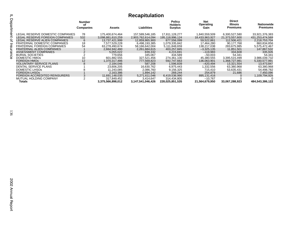## **Recapitulation**

|                                     | <b>Number</b><br>οf<br><b>Companies</b> | Assets            | <b>Liabilities</b>    | <b>Policy</b><br><b>Holders</b><br><b>Surplus</b> | <b>Net</b><br>Operating<br>Gain | <b>Direct</b><br>Illinois<br>Premiums | <b>Nationwide</b><br><b>Premiums</b> |
|-------------------------------------|-----------------------------------------|-------------------|-----------------------|---------------------------------------------------|---------------------------------|---------------------------------------|--------------------------------------|
| LEGAL RESERVE DOMESTIC COMPANIES    | 78                                      | 175.400.674.464   | 157.589.546.185       | 17.811.128.277                                    | 1,840,559,509                   | 6,300,527,580                         | 33,921,376,383                       |
| LEGAL RESERVE FOREIGN COMPANIES     | 532                                     | 3,098,881,610,259 | 2,903,762,614,094     | 195,118,996,124                                   | 18,433,963,927                  | 21,373,557,600                        | 431,253,474,569                      |
| I FGAL RESERVE ALIEN COMPANIES      | 6                                       | 13.737.421.999    | 12.859.865.900        | 877.556.099                                       | 59.522.861                      | 112.506.421                           | 2.218.753.704                        |
| <b>FRATERNAL DOMESTIC COMPANIES</b> | 18                                      | 7,577,529,228     | 6,498,193,385         | 1,079,335,842                                     | 17,464,280                      | 90,177,768                            | 860,834,856                          |
| <b>FRATERNAL FOREIGN COMPANIES</b>  | 54                                      | 63,278,490,674    | 58,166,642,004        | 5,111,848,659                                     | 138,217,038                     | 283,675,985                           | 5,575,472,467                        |
| <b>FRATERNAL ALIEN COMPANIES</b>    |                                         | 2,664,942,460     | 2,261,684,615         | 403,257,845                                       | $-3,325,135$                    | 11,851,501                            | 147,867,532                          |
| ASSESSMENT COMPANIES                |                                         | 5.055.022         | 839.332               | 4.215.691                                         | $-119.983$                      | 334.608                               | 335.926                              |
| <b>BURIAL SOCIETIES</b>             |                                         | 779.656           | 345,067               | 434.589                                           | $-50,003$                       | 54.341                                | 54,341                               |
| DOMESTIC HMOS                       | 10                                      | 601,882,555       | 327,521,456           | 274.361.100                                       | 45,380,555                      | 3,395,515,499                         | 3,986,039,732                        |
| <b>FOREIGN HMOS</b>                 | 12                                      | 1.370.317.486     | 777.569.823           | 592.747.663                                       | 136.063.901                     | 1.368.727.981                         | 5,330,577,991                        |
| <b>VOLUNTARY SERVICE PLANS</b>      |                                         | 2.184.046         | 587.208               | 1.596.839                                         | -420.494                        | 13.321.554                            | 13.473.847                           |
| DENTAL SERVICE PLANS                |                                         | 23,606,205        | 16,630,762            | 6,975,443                                         | 1,332,556                       | 63,380,968                            | 63,380,968                           |
| <b>DOMESTIC LHSOS</b>               |                                         | 11.243.085        | 2.086.760             | 9.156.325                                         | 715.410                         | 53.635.431                            | 54,498,782                           |
| <b>FOREIGN LHSOS</b>                |                                         | 2.163.386         | 1.894.142             | 269.244                                           | 254.879                         | 21,686                                | 7,450,096                            |
| FOREIGN ACCREDITED REINSURERS       |                                         | 11.691.148.035    | 5.271.611.046         | 6.419.536.990                                     | 895.131.416                     |                                       | 1,109,794,928                        |
| MUTUAL HOLDING COMPANY              |                                         | 317.849.452       | 3.414.647             | 314.434.805                                       | $-10.767$                       |                                       |                                      |
| Totals                              |                                         | 3,375,566,898,012 | 3, 147, 541, 046, 426 | 228,025,851,535                                   | 21.564.679.950                  | 33,067,288,923                        | 484,543,386,122                      |